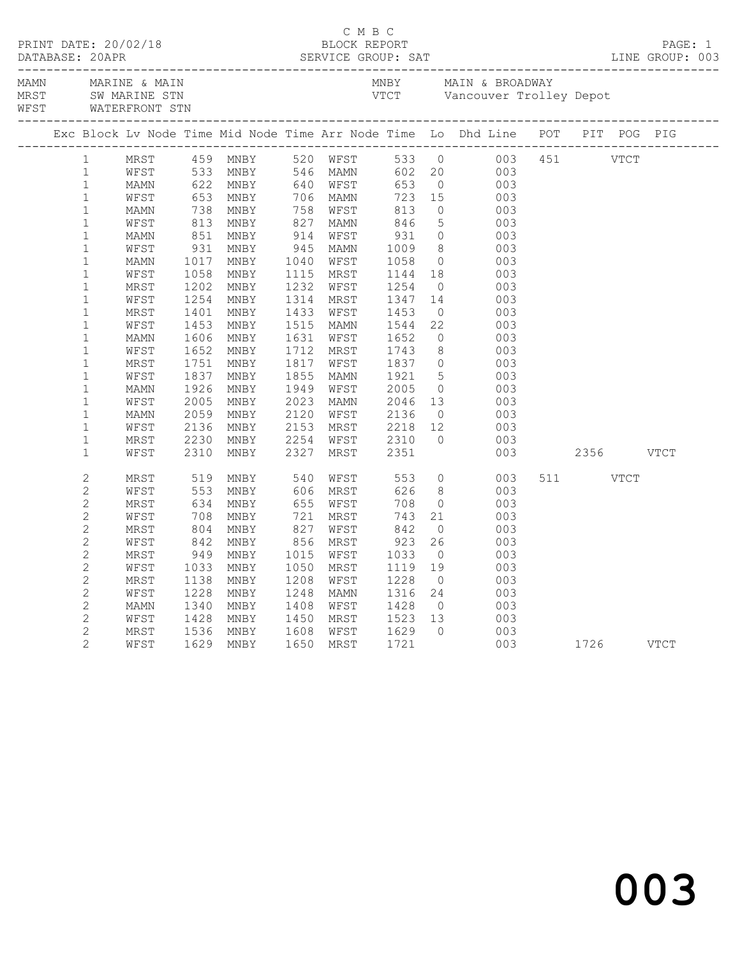|  |                   |          |                     |                        |                 |                      |                                                                                |                | Exc Block Lv Node Time Mid Node Time Arr Node Time Lo Dhd Line POT PIT POG PIG                                                                                                                                                                     |               |          |  |  |
|--|-------------------|----------|---------------------|------------------------|-----------------|----------------------|--------------------------------------------------------------------------------|----------------|----------------------------------------------------------------------------------------------------------------------------------------------------------------------------------------------------------------------------------------------------|---------------|----------|--|--|
|  | $1 \qquad \qquad$ |          |                     |                        |                 |                      |                                                                                |                | 1991 - 1991 MRST 1013 MMBY 520 WFST 533 0 003 451 VTCT<br>1997 MEST 533 MMBY 546 MAMN 602 20 003 451 VTCT<br>1997 MAMN 622 MMBY 546 MAMN 753 0 003<br>1998 MAMN 738 MNBY 756 WFST 813 0 003<br>1998 MAMN 738 MNBY 756 WFST 813 0 003<br>           |               |          |  |  |
|  | $\mathbf 1$       |          |                     |                        |                 |                      |                                                                                |                |                                                                                                                                                                                                                                                    |               |          |  |  |
|  | $\mathbf 1$       |          |                     |                        |                 |                      |                                                                                |                |                                                                                                                                                                                                                                                    |               |          |  |  |
|  | $\mathbf{1}$      |          |                     |                        |                 |                      |                                                                                |                |                                                                                                                                                                                                                                                    |               |          |  |  |
|  | $\mathbf{1}$      |          |                     |                        |                 |                      |                                                                                |                |                                                                                                                                                                                                                                                    |               |          |  |  |
|  | $\mathbf{1}$      |          |                     |                        |                 |                      |                                                                                |                |                                                                                                                                                                                                                                                    |               |          |  |  |
|  | $\mathbf{1}$      |          |                     |                        |                 |                      |                                                                                |                |                                                                                                                                                                                                                                                    |               |          |  |  |
|  | $\mathbf{1}$      |          |                     |                        |                 |                      |                                                                                |                |                                                                                                                                                                                                                                                    |               |          |  |  |
|  | $\mathbf{1}$      |          |                     |                        |                 |                      |                                                                                |                |                                                                                                                                                                                                                                                    |               |          |  |  |
|  | $\mathbf 1$       |          |                     |                        |                 |                      |                                                                                |                |                                                                                                                                                                                                                                                    |               |          |  |  |
|  | $1\,$             |          |                     | 1058 MNBY<br>1202 MNBY |                 |                      |                                                                                |                |                                                                                                                                                                                                                                                    |               |          |  |  |
|  | $\mathbf 1$       | WFST     | 1254                | MNBY                   |                 |                      |                                                                                |                |                                                                                                                                                                                                                                                    |               |          |  |  |
|  | $\mathbf 1$       | MRST     | 1401                | MNBY                   |                 |                      |                                                                                |                |                                                                                                                                                                                                                                                    |               |          |  |  |
|  | $\mathbf 1$       | WFST     | 1453                | MNBY                   |                 |                      |                                                                                |                |                                                                                                                                                                                                                                                    |               |          |  |  |
|  | $\mathbf 1$       | MAMN     | 1606                | MNBY                   |                 |                      |                                                                                |                | 1232 WFST 1254 0 003<br>1314 MRST 1347 14 003<br>1433 WFST 1453 0 003<br>1515 MAMN 1544 22 003<br>1631 WFST 1652 0 003<br>1712 MRST 1743 8 003<br>1712 MRST 1743 8 003<br>1817 WFST 1837 0 003<br>1855 MAMN 1921 5 003<br>1949 WFST 2005 0 003<br> |               |          |  |  |
|  | $\mathbf 1$       | WFST     | 1652                | MNBY                   |                 |                      |                                                                                |                |                                                                                                                                                                                                                                                    |               |          |  |  |
|  | $1\,$             | MRST     |                     | MNBY                   |                 |                      |                                                                                |                |                                                                                                                                                                                                                                                    |               |          |  |  |
|  | $\mathbf 1$       | WFST     | 1751<br>1837        | MNBY                   |                 |                      |                                                                                |                |                                                                                                                                                                                                                                                    |               |          |  |  |
|  | $\mathbf 1$       | MAMN     | 1926                | MNBY                   |                 |                      |                                                                                |                |                                                                                                                                                                                                                                                    |               |          |  |  |
|  | $\mathbf{1}$      | WFST     | 2005                | MNBY                   |                 |                      |                                                                                |                |                                                                                                                                                                                                                                                    |               |          |  |  |
|  | $\mathbf{1}$      | MAMN     | 2059                | MNBY                   |                 |                      |                                                                                |                |                                                                                                                                                                                                                                                    |               |          |  |  |
|  | $\mathbf 1$       | WFST     | 2136                | MNBY                   |                 |                      |                                                                                |                |                                                                                                                                                                                                                                                    |               |          |  |  |
|  | $\mathbf 1$       | MRST     | 2230                | MNBY                   | 2254            |                      |                                                                                | $\overline{0}$ | 003                                                                                                                                                                                                                                                |               |          |  |  |
|  | $\mathbf{1}$      | WFST     | 2310                | MNBY                   | 2327            |                      | WFST 2310<br>MRST 2351                                                         |                |                                                                                                                                                                                                                                                    | 003 2356 VTCT |          |  |  |
|  |                   |          |                     |                        |                 |                      |                                                                                |                |                                                                                                                                                                                                                                                    |               |          |  |  |
|  | $\mathbf{2}$      | MRST 519 |                     | MNBY 540 WFST 553      |                 |                      |                                                                                |                | $\overline{0}$<br>003                                                                                                                                                                                                                              |               | 511 VTCT |  |  |
|  | $\mathbf{2}$      | WFST     | 553<br>634          | MNBY                   |                 | 606 MRST<br>655 WFST | 626                                                                            |                | $\begin{array}{c} 8 \\ 0 \end{array}$<br>003                                                                                                                                                                                                       |               |          |  |  |
|  | $\mathbf{2}$      | MRST     |                     | MNBY                   |                 |                      | 708                                                                            |                | 003                                                                                                                                                                                                                                                |               |          |  |  |
|  | $\mathbf{2}$      | WFST     | 708<br>804          | MNBY                   | $\frac{1}{827}$ | 721 MRST             | $743\n842\n923\n1033$                                                          |                | $\begin{array}{c} 21 \\ 0 \end{array}$<br>003                                                                                                                                                                                                      |               |          |  |  |
|  | $\mathbf{2}$      | MRST     |                     | MNBY                   |                 | WFST                 |                                                                                |                | 003                                                                                                                                                                                                                                                |               |          |  |  |
|  | $\mathbf{2}$      | WFST     |                     | 842 MNBY<br>949 MNBY   |                 | 856 MRST             |                                                                                | 26             | 003                                                                                                                                                                                                                                                |               |          |  |  |
|  | $\mathbf{2}$      | MRST     |                     |                        |                 | 1015 WFST            |                                                                                | $\overline{0}$ | 003                                                                                                                                                                                                                                                |               |          |  |  |
|  | $\overline{c}$    | WFST     |                     | MNBY                   |                 | 1050 MRST            | 1119<br>1228                                                                   | 19             | 003                                                                                                                                                                                                                                                |               |          |  |  |
|  | $\mathbf{2}$      | MRST     | $\frac{1033}{1138}$ | MNBY                   |                 | 1208 WFST            |                                                                                | $\overline{0}$ | 003                                                                                                                                                                                                                                                |               |          |  |  |
|  | $\mathbf{2}$      | WFST     | 1228                | MNBY                   |                 |                      |                                                                                |                | $\begin{array}{c} 003 \\ 003 \end{array}$                                                                                                                                                                                                          |               |          |  |  |
|  | $\overline{c}$    | MAMN     | 1340                | MNBY                   |                 |                      |                                                                                |                |                                                                                                                                                                                                                                                    |               |          |  |  |
|  | $\overline{c}$    | WFST     |                     | 1428 MNBY<br>1536 MNBY |                 |                      |                                                                                |                | $\begin{array}{c} 003 \\ 003 \end{array}$                                                                                                                                                                                                          |               |          |  |  |
|  | $\mathbf{2}$      | MRST     |                     |                        |                 |                      | 1248 MAMN 1316 24<br>1408 WFST 1428 0<br>1450 MRST 1523 13<br>1608 WFST 1629 0 |                | 003                                                                                                                                                                                                                                                |               |          |  |  |
|  | $\overline{2}$    | WFST     |                     | 1629 MNBY              |                 |                      | 1650 MRST 1721                                                                 |                | 003 1726 VTCT                                                                                                                                                                                                                                      |               |          |  |  |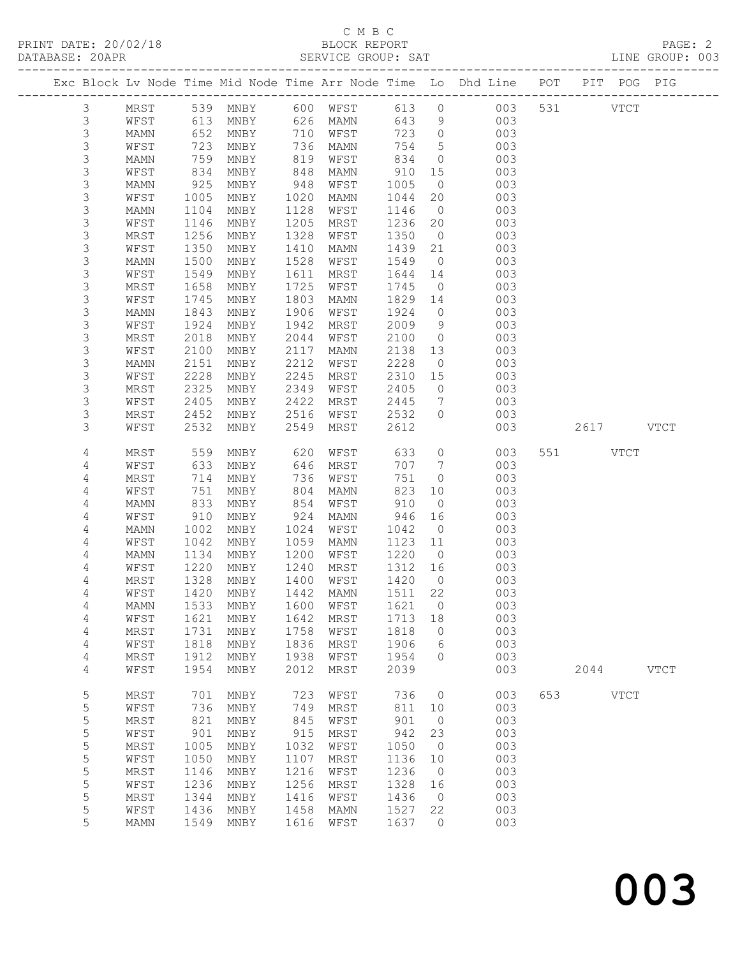## C M B C<br>BLOCK REPORT

| DATABASE: 20APR |                  |                      |                   |      |      | SERVICE GROUP: SAT               |              |                                  |                                                                                |     |             | LINE GROUP: 003 |
|-----------------|------------------|----------------------|-------------------|------|------|----------------------------------|--------------|----------------------------------|--------------------------------------------------------------------------------|-----|-------------|-----------------|
|                 |                  | -------------------- |                   |      |      |                                  |              |                                  | Exc Block Lv Node Time Mid Node Time Arr Node Time Lo Dhd Line POT PIT POG PIG |     |             |                 |
|                 | 3                |                      |                   |      |      |                                  |              |                                  | MRST 539 MNBY 600 WFST 613 0 003 531 VTCT                                      |     |             |                 |
|                 | $\mathfrak{Z}$   | WFST                 | 613               |      |      | MNBY 626 MAMN                    | 643          |                                  | $9 \left( \frac{1}{2} \right)$<br>003                                          |     |             |                 |
|                 | 3                | MAMN                 | 652<br>723<br>759 |      |      | MNBY 710 WFST                    |              | 723 0                            | 003                                                                            |     |             |                 |
|                 | $\mathsf S$      | WFST                 |                   | MNBY |      | 736 MAMN                         | 754          | 5 <sup>5</sup>                   | 003                                                                            |     |             |                 |
|                 | $\mathsf S$      | MAMN                 | 759               | MNBY | 819  | WFST                             | 834          | $\overline{0}$                   | 003                                                                            |     |             |                 |
|                 | $\mathsf S$      | WFST                 | 834               | MNBY | 848  | MAMN                             | 910          | 15                               | 003                                                                            |     |             |                 |
|                 | 3                | MAMN                 | 925               | MNBY | 948  | WFST                             | 1005         | $\overline{0}$                   | 003                                                                            |     |             |                 |
|                 | $\mathsf S$      | WFST                 | 1005              | MNBY | 1020 | MAMN                             | 1044         | 20                               | 003                                                                            |     |             |                 |
|                 | $\mathsf 3$      | MAMN                 | 1104              | MNBY | 1128 | WFST                             | 1146         | $\overline{0}$                   | 003                                                                            |     |             |                 |
|                 | $\mathsf 3$      | WFST                 | 1146              | MNBY | 1205 | MRST                             | 1236         | 20                               | 003                                                                            |     |             |                 |
|                 | $\mathsf S$      | MRST                 | 1256              | MNBY | 1328 | WFST                             | 1350         | $\overline{0}$                   | 003                                                                            |     |             |                 |
|                 | $\mathsf S$      | WFST                 | 1350              | MNBY | 1410 | MAMN                             | 1439         | 21                               | 003                                                                            |     |             |                 |
|                 | $\mathsf 3$      | MAMN                 | 1500              | MNBY | 1528 | WFST                             | 1549         | $\overline{0}$                   | 003                                                                            |     |             |                 |
|                 | $\mathsf 3$      | WFST                 | 1549              | MNBY | 1611 | MRST                             | 1644         | 14                               | 003                                                                            |     |             |                 |
|                 | $\mathsf S$      | MRST                 | 1658              | MNBY | 1725 | WFST                             | 1745         | $\overline{0}$                   | 003                                                                            |     |             |                 |
|                 | $\mathsf S$      | WFST                 | 1745              | MNBY | 1803 | MAMN                             | 1829 14      |                                  | 003                                                                            |     |             |                 |
|                 | $\mathsf S$      | MAMN                 | 1843              | MNBY | 1906 | WFST                             | 1924         | $\overline{0}$                   | 003                                                                            |     |             |                 |
|                 | 3                | WFST                 | 1924              | MNBY | 1942 | MRST                             | 2009         | 9                                | 003                                                                            |     |             |                 |
|                 | 3                | MRST                 | 2018              | MNBY | 2044 | WFST                             | 2100         | $\overline{0}$                   | 003                                                                            |     |             |                 |
|                 | 3                | WFST                 | 2100              | MNBY | 2117 | MAMN                             | 2138 13      |                                  | 003                                                                            |     |             |                 |
|                 | 3                |                      | 2151              |      | 2212 |                                  | 2228         | $\overline{0}$                   | 003                                                                            |     |             |                 |
|                 | $\mathsf 3$      | MAMN                 |                   | MNBY |      | WFST                             |              |                                  |                                                                                |     |             |                 |
|                 |                  | WFST                 | 2228<br>2325      | MNBY | 2245 | MRST                             | 2310         | 15                               | 003                                                                            |     |             |                 |
|                 | $\mathsf S$<br>3 | MRST                 |                   | MNBY | 2349 | WFST                             | 2405<br>2445 | $\overline{0}$                   | 003                                                                            |     |             |                 |
|                 |                  | WFST                 | 2405              | MNBY | 2422 | MRST                             |              | $\overline{7}$<br>$\overline{0}$ | 003                                                                            |     |             |                 |
|                 | 3                | MRST                 | 2452<br>2532      | MNBY | 2516 | WFST                             | 2532         |                                  | 003                                                                            |     |             |                 |
|                 | 3                | WFST                 |                   | MNBY | 2549 | MRST                             | 2612         |                                  | 003                                                                            |     | 2617 VTCT   |                 |
|                 | 4                | MRST                 | 559               | MNBY | 620  | WFST                             | 633          | $\overline{0}$                   | 003                                                                            |     | 551 VTCT    |                 |
|                 | 4                | WFST                 | 633               | MNBY | 646  | MRST                             | 707          | $7\overline{ }$                  | 003                                                                            |     |             |                 |
|                 | 4                | MRST                 | 714               | MNBY | 736  | WFST                             | 751          | $\circ$                          | 003                                                                            |     |             |                 |
|                 | 4                | WFST                 | 751               | MNBY | 804  | MAMN                             | 823          | 10                               | 003                                                                            |     |             |                 |
|                 | 4                | MAMN                 | 833               | MNBY | 854  | WFST                             | 910          | $\overline{0}$                   | 003                                                                            |     |             |                 |
|                 | 4                | WFST                 | 910               | MNBY | 924  | MAMN                             | 946          | 16                               | 003                                                                            |     |             |                 |
|                 | 4                | MAMN                 | 1002              | MNBY | 1024 | WFST                             | 1042         | $\overline{0}$                   | 003                                                                            |     |             |                 |
|                 | 4                | WFST                 | 1042              | MNBY | 1059 | MAMN                             | 1123 11      |                                  | 003                                                                            |     |             |                 |
|                 | 4                | MAMN                 | 1134              | MNBY | 1200 | WFST                             | 1220         | $\overline{0}$                   | 003                                                                            |     |             |                 |
|                 | 4                | WFST                 | 1220<br>1328      | MNBY | 1240 | MRST                             | 1312 16      |                                  | 003                                                                            |     |             |                 |
|                 | 4                | MRST                 |                   | MNBY | 1400 | WFST                             | 1420         | $\overline{0}$                   | 003                                                                            |     |             |                 |
|                 | 4                |                      |                   |      |      | WFST 1420 MNBY 1442 MAMN 1511 22 |              |                                  | 003                                                                            |     |             |                 |
|                 | 4                | MAMN                 | 1533              | MNBY | 1600 | WFST                             | 1621         | $\overline{\phantom{0}}$         | 003                                                                            |     |             |                 |
|                 | 4                | WFST                 | 1621              | MNBY | 1642 | MRST                             | 1713         | 18                               | 003                                                                            |     |             |                 |
|                 | 4                | MRST                 | 1731              | MNBY | 1758 | WFST                             | 1818         | $\overline{0}$                   | 003                                                                            |     |             |                 |
|                 | 4                | WFST                 | 1818              | MNBY | 1836 | MRST                             | 1906         | 6                                | 003                                                                            |     |             |                 |
|                 | 4                | MRST                 | 1912              | MNBY | 1938 | WFST                             | 1954         | $\Omega$                         | 003                                                                            |     |             |                 |
|                 | 4                | WFST                 | 1954              | MNBY | 2012 | MRST                             | 2039         |                                  | 003                                                                            |     | 2044 VTCT   |                 |
|                 | 5                | MRST                 | 701               | MNBY | 723  | WFST                             | 736          | $\overline{0}$                   | 003                                                                            | 653 | <b>VTCT</b> |                 |
|                 | 5                | WFST                 | 736               | MNBY | 749  | MRST                             | 811          | 10                               | 003                                                                            |     |             |                 |
|                 | 5                | MRST                 | 821               | MNBY | 845  | WFST                             | 901          | $\overline{0}$                   | 003                                                                            |     |             |                 |
|                 | $\mathsf S$      | WFST                 | 901               | MNBY | 915  | MRST                             | 942          | 23                               | 003                                                                            |     |             |                 |
|                 | 5                | $\tt MRST$           | 1005              | MNBY | 1032 | WFST                             | 1050         | $\overline{0}$                   | 003                                                                            |     |             |                 |
|                 | $\mathsf S$      | WFST                 | 1050              | MNBY | 1107 | MRST                             | 1136         | 10                               | 003                                                                            |     |             |                 |
|                 | 5                | MRST                 | 1146              | MNBY | 1216 | WFST                             | 1236         | $\overline{0}$                   | 003                                                                            |     |             |                 |
|                 | 5                | WFST                 | 1236              | MNBY | 1256 | MRST                             | 1328         | 16                               | 003                                                                            |     |             |                 |
|                 | 5                | MRST                 | 1344              | MNBY | 1416 | WFST                             | 1436         | $\overline{0}$                   | 003                                                                            |     |             |                 |
|                 | 5                | WFST                 | 1436              | MNBY | 1458 | MAMN                             | 1527         | 22                               | 003                                                                            |     |             |                 |
|                 | 5                | MAMN                 | 1549              | MNBY | 1616 | WFST                             | 1637         | $\circ$                          | 003                                                                            |     |             |                 |
|                 |                  |                      |                   |      |      |                                  |              |                                  |                                                                                |     |             |                 |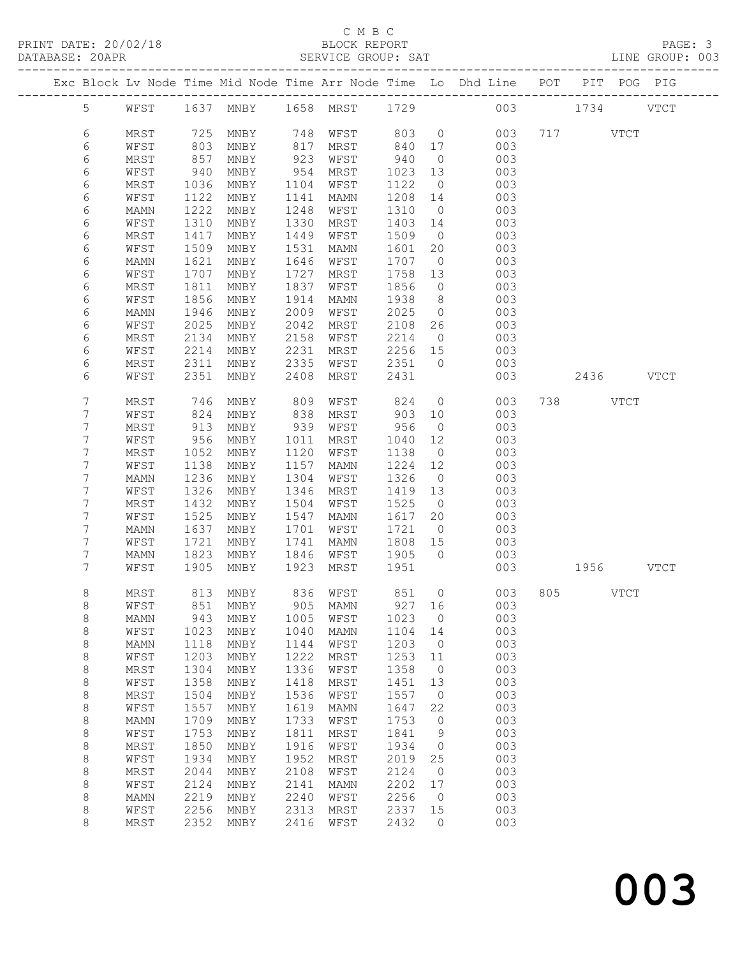#### C M B C<br>BLOCK REPORT SERVICE GROUP: SAT

|                |              |              |              |              |                          |              |                      | Exc Block Lv Node Time Mid Node Time Arr Node Time Lo Dhd Line POT |               | PIT POG PIG |  |
|----------------|--------------|--------------|--------------|--------------|--------------------------|--------------|----------------------|--------------------------------------------------------------------|---------------|-------------|--|
| 5 <sup>5</sup> | WFST         |              |              |              | 1637 MNBY 1658 MRST 1729 |              |                      |                                                                    | 003 1734 VTCT |             |  |
| 6              | MRST         |              | 725 MNBY     | 748          | WFST                     |              |                      | 803 0<br>003                                                       | 717 VTCT      |             |  |
| 6              | WFST         | 803          | MNBY         | 817          | MRST                     | 840          | 17                   | 003                                                                |               |             |  |
| 6              | MRST         | 857          | MNBY         | 923          | WFST                     | 940          | $\overline{0}$       | 003                                                                |               |             |  |
| 6              | WFST         | 940          | MNBY         | 954          | MRST                     | 1023         | 13                   | 003                                                                |               |             |  |
| 6              | MRST         | 1036         | MNBY         | 1104         | WFST                     | 1122         | $\overline{0}$       | 003                                                                |               |             |  |
| 6              | WFST         | 1122         | MNBY         | 1141         | MAMN                     | 1208         | 14                   | 003                                                                |               |             |  |
| 6              | MAMN         | 1222         | MNBY         | 1248         | WFST                     | 1310         | $\overline{0}$       | 003                                                                |               |             |  |
| 6              | WFST         | 1310         | MNBY         | 1330<br>1449 | MRST                     | 1403         | 14<br>$\overline{0}$ | 003                                                                |               |             |  |
| 6<br>6         | MRST<br>WFST | 1417<br>1509 | MNBY<br>MNBY | 1531         | WFST<br>MAMN             | 1509<br>1601 | 20                   | 003<br>003                                                         |               |             |  |
| 6              | MAMN         | 1621         | MNBY         | 1646         | WFST                     | 1707         | $\overline{0}$       | 003                                                                |               |             |  |
| 6              | WFST         | 1707         | MNBY         | 1727         | MRST                     | 1758         | 13                   | 003                                                                |               |             |  |
| 6              | MRST         | 1811         | MNBY         | 1837         | WFST                     | 1856         | $\overline{0}$       | 003                                                                |               |             |  |
| 6              | WFST         | 1856         | MNBY         | 1914         | MAMN                     | 1938         | 8 <sup>8</sup>       | 003                                                                |               |             |  |
| 6              | MAMN         | 1946         | MNBY         | 2009         | WFST                     | 2025         | $\overline{0}$       | 003                                                                |               |             |  |
| 6              | WFST         | 2025         | MNBY         | 2042         | MRST                     | 2108         | 26                   | 003                                                                |               |             |  |
| 6              | MRST         | 2134         | MNBY         | 2158         | WFST                     | 2214         | $\overline{0}$       | 003                                                                |               |             |  |
| 6              | WFST         | 2214         | MNBY         | 2231         | MRST                     | 2256 15      |                      | 003                                                                |               |             |  |
| 6              | MRST         | 2311         | MNBY         | 2335         | WFST                     | 2351         | $\overline{0}$       | 003                                                                |               |             |  |
| 6              | WFST         | 2351         | MNBY         | 2408         | MRST                     | 2431         |                      | 003                                                                | 2436 VTCT     |             |  |
| 7              | MRST         | 746          | MNBY         | 809          | WFST                     | 824          | $\overline{0}$       | 003                                                                | 738 VTCT      |             |  |
| 7              | WFST         | 824          | MNBY         | 838          | MRST                     | 903          | 10                   | 003                                                                |               |             |  |
| 7              | MRST         | 913          | MNBY         | 939          | WFST                     | 956          | $\overline{0}$       | 003                                                                |               |             |  |
| 7              | WFST         | 956          | MNBY         | 1011         | MRST                     | 1040         | 12                   | 003                                                                |               |             |  |
| 7              | MRST         | 1052         | MNBY         | 1120         | WFST                     | 1138         | $\overline{0}$       | 003                                                                |               |             |  |
| 7              | WFST         | 1138         | MNBY         | 1157         | MAMN                     | 1224         | 12                   | 003                                                                |               |             |  |
| 7              | MAMN         | 1236         | MNBY         | 1304         | WFST                     | 1326         | $\overline{0}$       | 003                                                                |               |             |  |
| 7<br>7         | WFST<br>MRST | 1326<br>1432 | MNBY<br>MNBY | 1346<br>1504 | MRST<br>WFST             | 1419<br>1525 | 13<br>$\overline{0}$ | 003<br>003                                                         |               |             |  |
| 7              | WFST         | 1525         | MNBY         | 1547         | MAMN                     | 1617         | 20                   | 003                                                                |               |             |  |
| 7              | MAMN         | 1637         | MNBY         | 1701         | WFST                     | 1721         | $\overline{0}$       | 003                                                                |               |             |  |
| 7              | WFST         | 1721         | MNBY         | 1741         | MAMN                     | 1808         | 15                   | 003                                                                |               |             |  |
| 7              | MAMN         | 1823         | MNBY         | 1846         | WFST                     | 1905         | $\overline{0}$       | 003                                                                |               |             |  |
| 7              | WFST         | 1905         | MNBY         | 1923         | MRST                     | 1951         |                      | 003                                                                | 1956 VTCT     |             |  |
| 8              | MRST         |              | 813 MNBY     |              | 836 WFST                 | 851          | $\overline{0}$       | 003                                                                | 805 VTCT      |             |  |
| 8              | WFST         |              |              |              | 851 MNBY 905 MAMN 927 16 |              |                      | 003                                                                |               |             |  |
| 8              | MAMN         | 943          | MNBY         | 1005         | WFST                     | 1023         | $\overline{0}$       | 003                                                                |               |             |  |
| 8              | WFST         | 1023         | MNBY         | 1040         | MAMN                     | 1104         | 14                   | 003                                                                |               |             |  |
| $\,8\,$        | MAMN         | 1118<br>1203 | MNBY         | 1144<br>1222 | WFST                     | 1203<br>1253 | $\overline{0}$       | 003<br>003                                                         |               |             |  |
| 8<br>8         | WFST<br>MRST | 1304         | MNBY<br>MNBY | 1336         | MRST<br>WFST             | 1358         | 11<br>$\overline{0}$ | 003                                                                |               |             |  |
| 8              | WFST         | 1358         | MNBY         | 1418         | MRST                     | 1451         | 13                   | 003                                                                |               |             |  |
| $\,8\,$        | MRST         | 1504         | MNBY         | 1536         | WFST                     | 1557         | $\overline{0}$       | 003                                                                |               |             |  |
| 8              | WFST         | 1557         | MNBY         | 1619         | MAMN                     | 1647         | 22                   | 003                                                                |               |             |  |
| 8              | MAMN         | 1709         | MNBY         | 1733         | WFST                     | 1753         | $\overline{0}$       | 003                                                                |               |             |  |
| 8              | WFST         | 1753         | MNBY         | 1811         | MRST                     | 1841         | 9                    | 003                                                                |               |             |  |
| $\,8\,$        | MRST         | 1850         | MNBY         | 1916         | WFST                     | 1934         | $\overline{0}$       | 003                                                                |               |             |  |
| $\,8\,$        | WFST         | 1934         | MNBY         | 1952         | MRST                     | 2019         | 25                   | 003                                                                |               |             |  |
| 8              | MRST         | 2044         | MNBY         | 2108         | WFST                     | 2124         | $\overline{0}$       | 003                                                                |               |             |  |
| 8              | WFST         | 2124         | MNBY         | 2141         | MAMN                     | 2202         | 17                   | 003                                                                |               |             |  |
| 8              | MAMN         | 2219         | MNBY         | 2240         | WFST                     | 2256         | $\overline{0}$       | 003                                                                |               |             |  |
| 8<br>8         | WFST         | 2256         | MNBY         | 2313         | MRST                     | 2337         | 15                   | 003                                                                |               |             |  |
|                | MRST         | 2352         | MNBY         | 2416         | WFST                     | 2432         | $\circ$              | 003                                                                |               |             |  |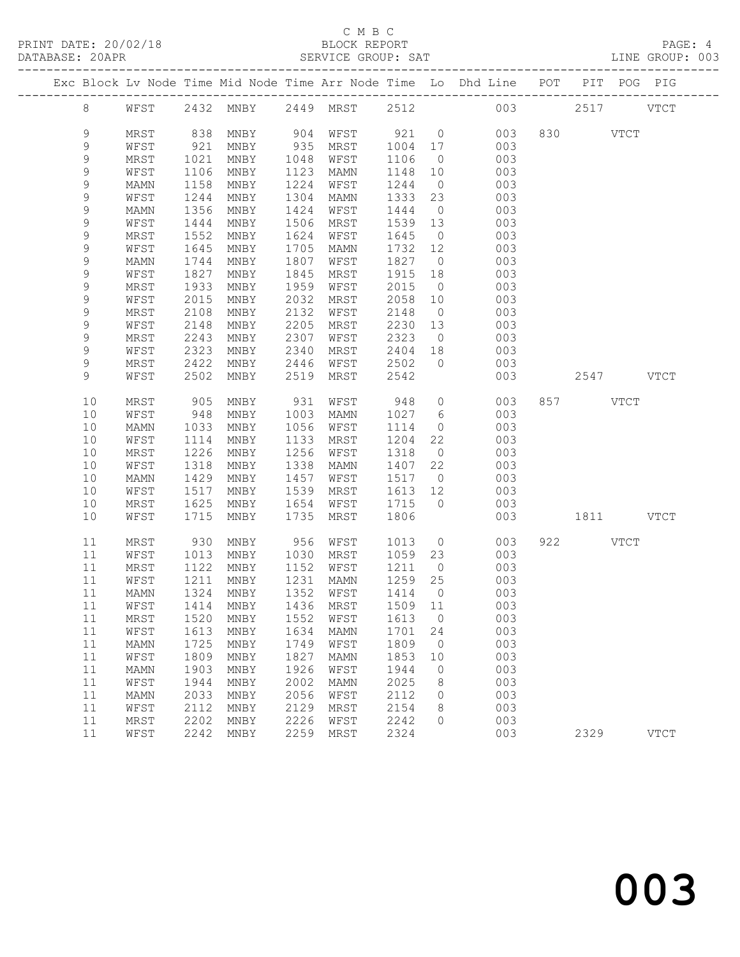## C M B C<br>BLOCK REPORT

| PRINT DATE: 20/02/18 | BLOCK REPORT       | PAGE:           |
|----------------------|--------------------|-----------------|
| DATABASE: 20APR      | SERVICE GROUP: SAT | LINE GROUP: 003 |
|                      |                    |                 |

|  |             |      |      |                             |      |             |         |                 | Exc Block Lv Node Time Mid Node Time Arr Node Time Lo Dhd Line POT PIT POG PIG |     |          |             |
|--|-------------|------|------|-----------------------------|------|-------------|---------|-----------------|--------------------------------------------------------------------------------|-----|----------|-------------|
|  | 8           | WFST |      | 2432 MNBY 2449 MRST 2512    |      |             |         |                 |                                                                                | 003 |          | 2517 VTCT   |
|  | 9           | MRST |      | 838 MNBY                    |      | 904 WFST    | 921     | $\overline{0}$  | 003                                                                            |     | 830 VTCT |             |
|  | 9           | WFST | 921  | MNBY                        | 935  | MRST        | 1004 17 |                 | 003                                                                            |     |          |             |
|  | 9           | MRST | 1021 | MNBY                        | 1048 | WFST        | 1106    | $\overline{0}$  | 003                                                                            |     |          |             |
|  | 9           | WFST | 1106 | MNBY                        | 1123 | MAMN        | 1148    | 10              | 003                                                                            |     |          |             |
|  | $\mathsf 9$ | MAMN | 1158 | MNBY                        | 1224 | WFST        | 1244    | $\overline{0}$  | 003                                                                            |     |          |             |
|  | 9           | WFST | 1244 | MNBY                        | 1304 | MAMN        | 1333    | 23              | 003                                                                            |     |          |             |
|  | 9           | MAMN | 1356 | MNBY                        | 1424 | WFST        | 1444    | $\overline{0}$  | 003                                                                            |     |          |             |
|  | 9           | WFST | 1444 | MNBY                        | 1506 | MRST        | 1539    | 13              | 003                                                                            |     |          |             |
|  | 9           | MRST | 1552 | MNBY                        | 1624 | WFST        | 1645    | $\overline{0}$  | 003                                                                            |     |          |             |
|  | 9           | WFST | 1645 | MNBY                        | 1705 | MAMN        | 1732    | 12              | 003                                                                            |     |          |             |
|  | 9           | MAMN | 1744 | MNBY                        | 1807 | WFST        | 1827    | $\overline{0}$  | 003                                                                            |     |          |             |
|  | 9           | WFST | 1827 | MNBY                        | 1845 | MRST        | 1915    | 18              | 003                                                                            |     |          |             |
|  | 9           | MRST | 1933 | MNBY                        | 1959 | WFST        | 2015    | $\overline{0}$  | 003                                                                            |     |          |             |
|  | 9           | WFST | 2015 | MNBY                        | 2032 | MRST        | 2058    | 10              | 003                                                                            |     |          |             |
|  | 9           | MRST | 2108 | MNBY                        | 2132 | WFST        | 2148    | $\overline{0}$  | 003                                                                            |     |          |             |
|  | 9           | WFST | 2148 | MNBY                        | 2205 | MRST        | 2230    | 13              | 003                                                                            |     |          |             |
|  | 9           | MRST | 2243 | MNBY                        | 2307 | WFST        | 2323    | $\overline{0}$  | 003                                                                            |     |          |             |
|  | 9           | WFST | 2323 | MNBY                        | 2340 | MRST        | 2404    | 18              | 003                                                                            |     |          |             |
|  | 9           | MRST | 2422 | MNBY                        | 2446 | WFST        | 2502    | $\circ$         | 003                                                                            |     |          |             |
|  | 9           | WFST | 2502 | MNBY                        | 2519 | MRST        | 2542    |                 | 003                                                                            |     |          | 2547 VTCT   |
|  | 10          | MRST | 905  | MNBY                        | 931  | WFST        | 948     | $\circ$         | 003                                                                            |     | 857 VTCT |             |
|  | 10          | WFST | 948  | MNBY                        | 1003 | MAMN        | 1027    | $6\overline{6}$ | 003                                                                            |     |          |             |
|  | 10          | MAMN | 1033 | MNBY                        | 1056 | WFST        | 1114    | $\circ$         | 003                                                                            |     |          |             |
|  | $10$        | WFST | 1114 | MNBY                        | 1133 | MRST        | 1204    | 22              | 003                                                                            |     |          |             |
|  | 10          | MRST | 1226 | MNBY                        | 1256 | WFST        | 1318    | $\overline{0}$  | 003                                                                            |     |          |             |
|  | 10          | WFST | 1318 | MNBY                        | 1338 | MAMN        | 1407    | 22              | 003                                                                            |     |          |             |
|  | 10          | MAMN | 1429 | MNBY                        | 1457 | WFST        | 1517    | $\overline{0}$  | 003                                                                            |     |          |             |
|  | 10          | WFST | 1517 | MNBY                        | 1539 | MRST        | 1613    | 12              | 003                                                                            |     |          |             |
|  | 10          | MRST | 1625 | MNBY                        | 1654 | WFST        | 1715    | $\bigcirc$      | 003                                                                            |     |          |             |
|  | 10          | WFST | 1715 | MNBY                        | 1735 | MRST        | 1806    |                 | 003                                                                            |     |          | 1811 VTCT   |
|  |             |      |      |                             |      |             |         |                 |                                                                                |     |          |             |
|  | 11          | MRST | 930  | MNBY                        | 956  | WFST        | 1013    | $\overline{0}$  | 003                                                                            |     | 922 VTCT |             |
|  | 11          | WFST | 1013 | MNBY                        | 1030 | MRST        | 1059    | 23              | 003                                                                            |     |          |             |
|  | 11          | MRST | 1122 | MNBY                        | 1152 | WFST        | 1211    | $\overline{0}$  | 003                                                                            |     |          |             |
|  | 11          | WFST | 1211 | MNBY                        | 1231 | MAMN        | 1259    | 25              | 003                                                                            |     |          |             |
|  | 11          | MAMN | 1324 | MNBY                        |      | 1352 WFST   | 1414    | $\overline{0}$  | 003                                                                            |     |          |             |
|  | 11 WFST     |      |      | 1414 MNBY 1436 MRST 1509 11 |      |             |         |                 | 003                                                                            |     |          |             |
|  | 11          | MRST | 1520 | MNBY                        | 1552 | WFST        | 1613    | $\circ$         | 003                                                                            |     |          |             |
|  | 11          | WFST | 1613 | MNBY                        | 1634 | <b>MAMN</b> | 1701    | 24              | 003                                                                            |     |          |             |
|  | $11$        | MAMN | 1725 | MNBY                        | 1749 | WFST        | 1809    | $\circ$         | 003                                                                            |     |          |             |
|  | $11$        | WFST | 1809 | MNBY                        | 1827 | MAMN        | 1853    | 10              | 003                                                                            |     |          |             |
|  | $11$        | MAMN | 1903 | MNBY                        | 1926 | WFST        | 1944    | 0               | 003                                                                            |     |          |             |
|  | 11          | WFST | 1944 | MNBY                        | 2002 | <b>MAMN</b> | 2025    | 8               | 003                                                                            |     |          |             |
|  | $11$        | MAMN | 2033 | MNBY                        | 2056 | WFST        | 2112    | $\mathbf{0}$    | 003                                                                            |     |          |             |
|  | 11          | WFST | 2112 | MNBY                        | 2129 | MRST        | 2154    | 8               | 003                                                                            |     |          |             |
|  | 11          | MRST | 2202 | MNBY                        | 2226 | WFST        | 2242    | 0               | 003                                                                            |     |          |             |
|  | 11          | WFST | 2242 | MNBY                        | 2259 | MRST        | 2324    |                 | 003                                                                            |     | 2329     | <b>VTCT</b> |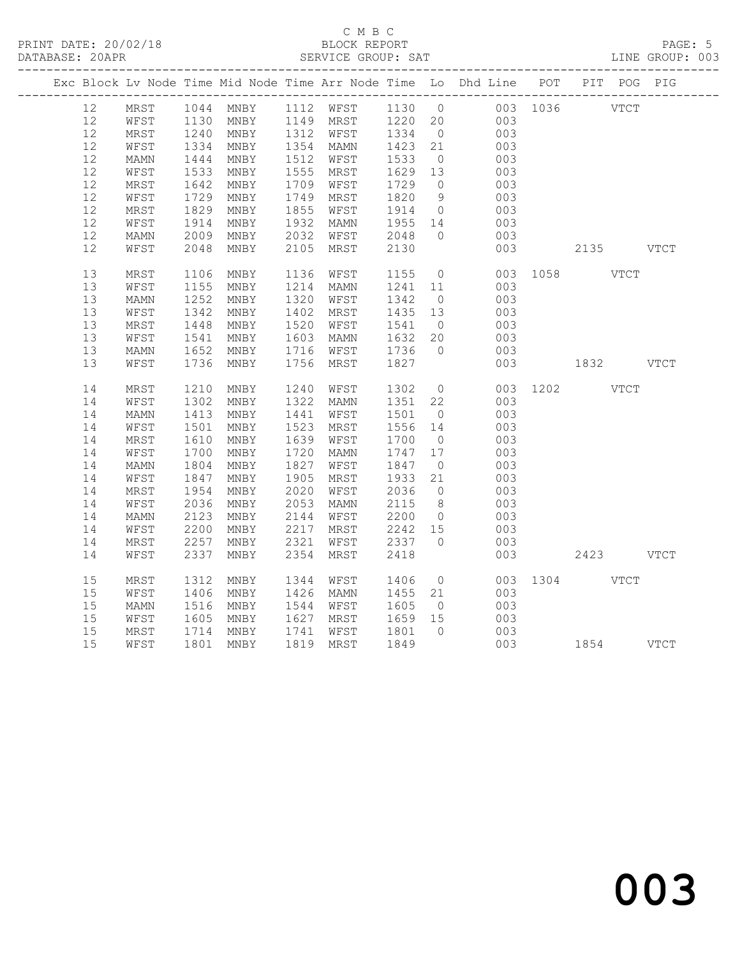#### C M B C<br>BLOCK REPORT SERVICE GROUP: SAT

|  |    |                 |              |      |      |           |                 |                | Exc Block Lv Node Time Mid Node Time Arr Node Time Lo Dhd Line POT PIT POG PIG |               |  |
|--|----|-----------------|--------------|------|------|-----------|-----------------|----------------|--------------------------------------------------------------------------------|---------------|--|
|  | 12 | MRST            |              |      |      |           |                 |                | 1044 MNBY 1112 WFST 1130 0 003 1036 VTCT                                       |               |  |
|  | 12 | WFST            | 1130<br>1240 |      |      |           |                 |                | MNBY 1149 MRST 1220 20 003<br>MNBY 1312 WFST 1334 0 003                        |               |  |
|  | 12 | MRST            |              |      |      |           |                 |                |                                                                                |               |  |
|  | 12 | WFST            | 1334         | MNBY |      | 1354 MAMN | 1423            | 21             | 003                                                                            |               |  |
|  | 12 | MAMN            | 1444         | MNBY |      | 1512 WFST | 1533            | $\overline{0}$ | 003                                                                            |               |  |
|  | 12 | WFST            | 1533         | MNBY | 1555 | MRST      | 1629 13         |                | 003                                                                            |               |  |
|  | 12 | MRST            | 1642         | MNBY | 1709 | WFST      | 1729            | $\overline{0}$ | 003                                                                            |               |  |
|  | 12 | WFST            | 1729         | MNBY | 1749 | MRST      | 1820            | 9              | 003                                                                            |               |  |
|  | 12 | MRST            | 1829         | MNBY | 1855 | WFST      | 1914            | $\overline{0}$ | 003                                                                            |               |  |
|  | 12 | WFST            | 1914         | MNBY | 1932 | MAMN      | 1955 14         |                | 003                                                                            |               |  |
|  | 12 | MAMN            | 2009         | MNBY | 2032 | WFST      | 2048            | $\overline{0}$ | 003                                                                            |               |  |
|  | 12 | WFST            | 2048         | MNBY | 2105 | MRST      | 2130            |                | 003                                                                            | 2135 VTCT     |  |
|  | 13 | MRST            | 1106         | MNBY | 1136 | WFST      | 1155            | $\overline{0}$ |                                                                                | 003 1058 VTCT |  |
|  | 13 | WFST            | 1155         | MNBY | 1214 | MAMN      | 1241            | 11             | 003                                                                            |               |  |
|  | 13 | MAMN            | 1252         | MNBY | 1320 | WFST      | 1342            | $\overline{0}$ | 003                                                                            |               |  |
|  | 13 | WFST            | 1342         | MNBY | 1402 | MRST      | 1435 13         |                | 003                                                                            |               |  |
|  | 13 | MRST            | 1448         | MNBY | 1520 | WFST      | 1541            | $\overline{0}$ | 003                                                                            |               |  |
|  | 13 | WFST            | 1541         | MNBY | 1603 | MAMN      | 1632            | 20             | 003                                                                            |               |  |
|  | 13 | $\texttt{MAMN}$ | 1652         | MNBY | 1716 | WFST      | 1736            | $\overline{0}$ | 003                                                                            |               |  |
|  | 13 | WFST            | 1736         | MNBY | 1756 | MRST      | 1827            |                | 003                                                                            | 1832 VTCT     |  |
|  | 14 | MRST            | 1210         | MNBY | 1240 | WFST      | 1302            | $\overline{0}$ |                                                                                | 003 1202 VTCT |  |
|  | 14 | WFST            | 1302         | MNBY | 1322 | MAMN      | 1351 22         |                | 003                                                                            |               |  |
|  | 14 | MAMN            | 1413         | MNBY | 1441 | WFST      | 1501            | $\overline{0}$ | 003                                                                            |               |  |
|  | 14 | WFST            | 1501         | MNBY | 1523 | MRST      | 1556 14         |                | 003                                                                            |               |  |
|  | 14 | MRST            | 1610         | MNBY | 1639 | WFST      | 1700            | $\overline{0}$ | 003                                                                            |               |  |
|  | 14 | WFST            | 1700         | MNBY | 1720 | MAMN      | 1747 17         |                | 003                                                                            |               |  |
|  | 14 | MAMN            | 1804         | MNBY | 1827 | WFST      | 1847            | $\overline{0}$ | 003                                                                            |               |  |
|  | 14 | WFST            | 1847         | MNBY | 1905 | MRST      | 1933            | 21             | 003                                                                            |               |  |
|  | 14 | MRST            | 1954         | MNBY | 2020 | WFST      | 2036            | $\overline{0}$ | 003                                                                            |               |  |
|  | 14 | WFST            | 2036         | MNBY | 2053 | MAMN      | 2115            | 8 <sup>8</sup> | 003                                                                            |               |  |
|  | 14 | MAMN            | 2123         | MNBY | 2144 | WFST      | 2200            | $\overline{0}$ | 003                                                                            |               |  |
|  | 14 | WFST            | 2200         | MNBY | 2217 | MRST      | 2242 15         |                | 003                                                                            |               |  |
|  | 14 | MRST            | 2257         | MNBY | 2321 | WFST      | 2337            | $\bigcirc$     | 003                                                                            |               |  |
|  | 14 | WFST            | 2337         | MNBY | 2354 | MRST      | 2418            |                | 003                                                                            | 2423 VTCT     |  |
|  |    |                 |              |      |      |           |                 |                |                                                                                |               |  |
|  | 15 | MRST            | 1312         | MNBY | 1344 | WFST      | 1406            | $\overline{0}$ | 003                                                                            | 1304 VTCT     |  |
|  | 15 | WFST            | 1406         | MNBY | 1426 | MAMN      | 1455 21         |                | 003                                                                            |               |  |
|  | 15 | MAMN            | 1516         | MNBY | 1544 | WFST      | 1605            | $\overline{0}$ | 003                                                                            |               |  |
|  | 15 | WFST            | 1605         | MNBY | 1627 | MRST      |                 |                | 003                                                                            |               |  |
|  | 15 | MRST            | 1714         | MNBY | 1741 | WFST      | $1659$ $1801$ 0 |                | 003                                                                            |               |  |
|  | 15 | WFST            | 1801         | MNBY |      | 1819 MRST | 1849            |                | 003 1854 VTCT                                                                  |               |  |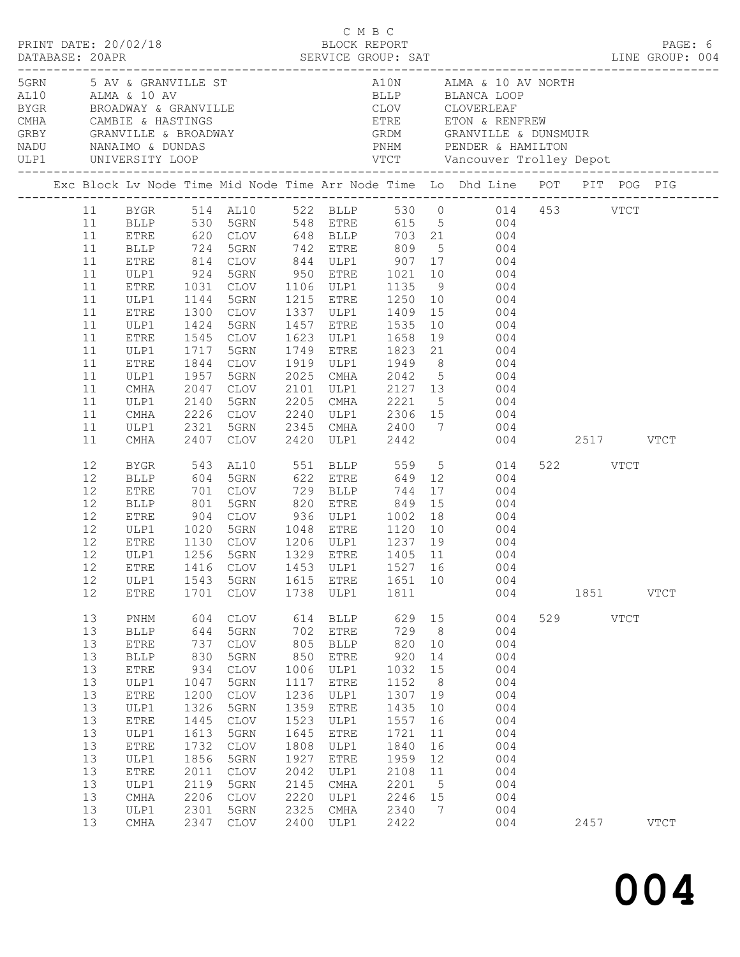| $\begin{array}{cccc}\n\texttt{CRINT} & \texttt{DATE:} & 20/02/18 & \texttt{C} & \texttt{M} & \texttt{B} & \texttt{C}\n\end{array}$ |                                                                                                    |                                                                                                                                                                                                          |                                                                                                                                 |                                                                                                                                                                                              |                                                                                                                                  |                                                                                                                                                            |                                                                                                                                  |                                                                                                                              |                                                                                                                                                                                                                                                                                                                                                                                                                                                                                              |                  |             | PAGE: 6     |
|------------------------------------------------------------------------------------------------------------------------------------|----------------------------------------------------------------------------------------------------|----------------------------------------------------------------------------------------------------------------------------------------------------------------------------------------------------------|---------------------------------------------------------------------------------------------------------------------------------|----------------------------------------------------------------------------------------------------------------------------------------------------------------------------------------------|----------------------------------------------------------------------------------------------------------------------------------|------------------------------------------------------------------------------------------------------------------------------------------------------------|----------------------------------------------------------------------------------------------------------------------------------|------------------------------------------------------------------------------------------------------------------------------|----------------------------------------------------------------------------------------------------------------------------------------------------------------------------------------------------------------------------------------------------------------------------------------------------------------------------------------------------------------------------------------------------------------------------------------------------------------------------------------------|------------------|-------------|-------------|
|                                                                                                                                    |                                                                                                    | ULP1 UNIVERSITY LOOP                                                                                                                                                                                     |                                                                                                                                 |                                                                                                                                                                                              |                                                                                                                                  |                                                                                                                                                            |                                                                                                                                  |                                                                                                                              |                                                                                                                                                                                                                                                                                                                                                                                                                                                                                              |                  |             |             |
|                                                                                                                                    |                                                                                                    |                                                                                                                                                                                                          |                                                                                                                                 |                                                                                                                                                                                              |                                                                                                                                  |                                                                                                                                                            |                                                                                                                                  |                                                                                                                              | Exc Block Lv Node Time Mid Node Time Arr Node Time Lo Dhd Line POT PIT POG PIG                                                                                                                                                                                                                                                                                                                                                                                                               |                  |             |             |
|                                                                                                                                    | 11<br>11<br>11<br>11<br>11<br>11<br>11<br>11<br>11<br>11<br>11<br>11<br>11<br>11<br>11             | BLLP 724<br>ETRE<br>ULP1<br>ETRE<br>ULP1<br>ETRE<br>ULP1<br>ETRE<br>ULP1<br>ETRE<br>ULP1<br>CMHA<br>ULP1<br>CMHA<br>ULP1                                                                                 | 814<br>924<br>1031<br>1144<br>1300<br>1717<br>1844<br>1957<br>2140<br>2321                                                      | 5GRN<br>5GRN<br>CLOV<br>1424 5GRN<br>1545 CLOV<br>5GRN<br>CLOV<br>5GRN<br>2047 CLOV<br>5GRN<br>2226 CLOV<br>5GRN                                                                             | 2025<br>2205                                                                                                                     | 742 ETRE 809<br>1457 ETRE 1535<br>1623 ULP1 1658                                                                                                           |                                                                                                                                  |                                                                                                                              | 11 BYGR 514 AL10 522 BLLP 530 0 014 453 VTCT<br>11 BLLP 530 5GRN 548 ETRE 615 5 004<br>11 ETRE 620 CLOV 648 BLLP 703 21 004<br>5 004<br>CLOV 844 ULP1 907 17 004<br>5GRN 950 ETRE 1021 10 004<br>CLOV 1106 ULP1 1135 9 004<br>1215 ETRE 1250 10 004<br>1337 ULP1 1409 15 004<br>$\begin{array}{ccc} 10 & & 004 \\ 19 & & 004 \end{array}$<br>1749 ETRE 1823 21 004<br>1919 ULP1 1949 8 004<br>2025 CMHA 2042 5 004<br>2101 ULP1 2127 13 004<br>2205 CMHA 2221 5 004<br>2240 ULP1 2306 15 004 |                  |             |             |
|                                                                                                                                    | 11                                                                                                 | CMHA                                                                                                                                                                                                     |                                                                                                                                 | 2407 CLOV                                                                                                                                                                                    |                                                                                                                                  |                                                                                                                                                            |                                                                                                                                  |                                                                                                                              | 2345 CMHA 2400 7 004<br>2420 ULP1 2442 004                                                                                                                                                                                                                                                                                                                                                                                                                                                   | 004 2517 VTCT    |             |             |
|                                                                                                                                    | 12<br>12<br>12<br>12<br>12<br>12<br>12<br>12<br>12<br>12<br>12                                     | BYGR<br><b>BLLP</b><br>ETRE<br>BLLP<br>ETRE<br>ULP1<br>ETRE<br>ULP1<br>ULP1<br>ETRE                                                                                                                      | 543<br>904<br>1020<br>1543<br>1701                                                                                              | AL10<br>604 5GRN<br>701 CLOV<br>801 5GRN<br>CLOV 936 ULP1 1002 18<br>5GRN<br>1130 CLOV<br>1256 5GRN<br>CLOV<br>5GRN<br>CLOV                                                                  | 820<br>1615<br>1738                                                                                                              | 551 BLLP 559 5<br>622 ETRE 649<br>729 BLLP 744<br>820 ETRE 849<br>1048 ETRE 1120<br>ETRE<br>ULP1                                                           | 1651 10<br>1811                                                                                                                  | 17<br>15                                                                                                                     | 014<br>12 004<br>004<br>004<br>004<br>10 004<br>1206 ULP1 1237 19 004<br>1329 ETRE 1405 11 004<br>ETRE 1416 CLOV 1453 ULP1 1527 16 004<br>004<br>004                                                                                                                                                                                                                                                                                                                                         | 522 VTCT<br>1851 |             | <b>VTCT</b> |
|                                                                                                                                    | 13<br>13<br>13<br>13<br>13<br>13<br>13<br>13<br>13<br>13<br>13<br>13<br>13<br>13<br>13<br>13<br>13 | $\mathop{\rm PNHM}\nolimits$<br><b>BLLP</b><br><b>ETRE</b><br><b>BLLP</b><br>${\tt ETRE}$<br>ULP1<br><b>ETRE</b><br>ULP1<br>${\tt ETRE}$<br>ULP1<br>ETRE<br>ULP1<br>ETRE<br>ULP1<br>CMHA<br>ULP1<br>CMHA | 604<br>644<br>737<br>830<br>934<br>1047<br>1200<br>1326<br>1445<br>1613<br>1732<br>1856<br>2011<br>2119<br>2206<br>2301<br>2347 | <b>CLOV</b><br>5GRN<br><b>CLOV</b><br>5GRN<br><b>CLOV</b><br>5GRN<br><b>CLOV</b><br>5GRN<br><b>CLOV</b><br>5GRN<br><b>CLOV</b><br>5GRN<br><b>CLOV</b><br>5GRN<br><b>CLOV</b><br>5GRN<br>CLOV | 614<br>702<br>805<br>850<br>1006<br>1117<br>1236<br>1359<br>1523<br>1645<br>1808<br>1927<br>2042<br>2145<br>2220<br>2325<br>2400 | <b>BLLP</b><br>ETRE<br><b>BLLP</b><br>ETRE<br>ULP1<br>ETRE<br>ULP1<br>${\tt ETRE}$<br>ULP1<br>ETRE<br>ULP1<br>ETRE<br>ULP1<br>CMHA<br>ULP1<br>CMHA<br>ULP1 | 629<br>729<br>820<br>920<br>1032<br>1152<br>1307<br>1435<br>1557<br>1721<br>1840<br>1959<br>2108<br>2201<br>2246<br>2340<br>2422 | 15<br>8 <sup>8</sup><br>10<br>14<br>15<br>8 <sup>8</sup><br>19<br>10<br>16<br>11<br>16<br>12<br>11<br>$5^{\circ}$<br>15<br>7 | 004<br>004<br>004<br>004<br>004<br>004<br>004<br>004<br>004<br>004<br>004<br>004<br>004<br>004<br>004<br>004<br>004                                                                                                                                                                                                                                                                                                                                                                          | 529<br>2457      | <b>VTCT</b> | <b>VTCT</b> |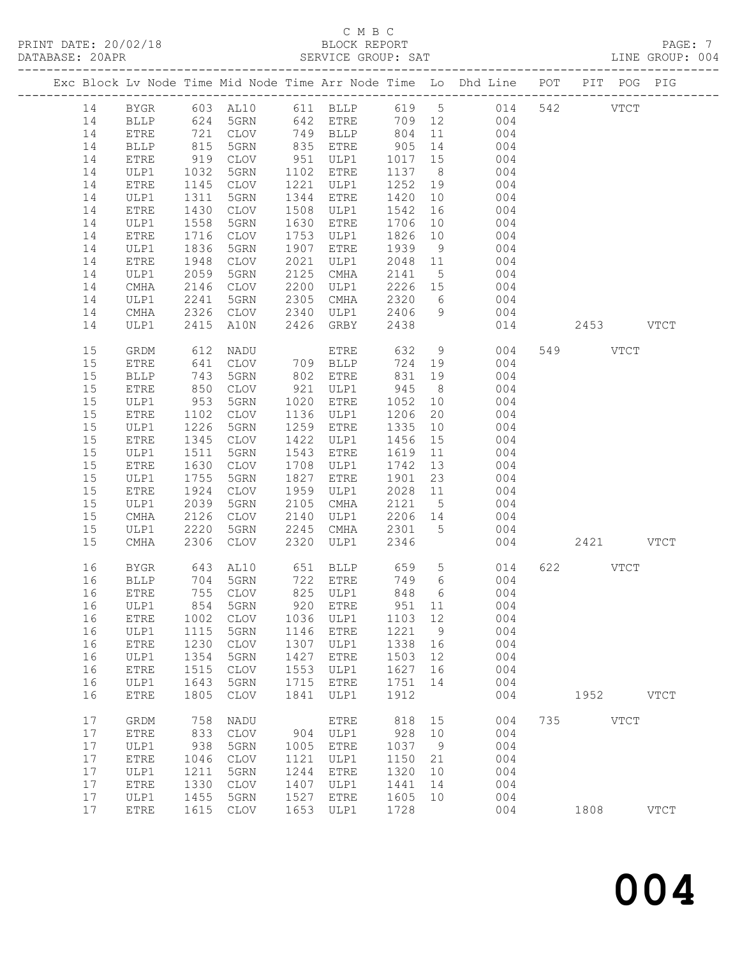# C M B C<br>BLOCK REPORT

LINE GROUP: 004

|    |                       |            |             |      |                 |            |                 | Exc Block Lv Node Time Mid Node Time Arr Node Time Lo Dhd Line POT PIT POG PIG |     |           |               |             |
|----|-----------------------|------------|-------------|------|-----------------|------------|-----------------|--------------------------------------------------------------------------------|-----|-----------|---------------|-------------|
| 14 | BYGR                  |            | 603 AL10    |      |                 |            |                 | 611 BLLP 619 5 014                                                             |     | 542       | $_{\rm VTCT}$ |             |
| 14 | BLLP                  | 624        | 5GRN        |      | 642 ETRE        | 709 12     |                 | 004                                                                            |     |           |               |             |
| 14 | ETRE                  |            | CLOV        |      | 749 BLLP        |            | 11              | 004                                                                            |     |           |               |             |
| 14 | $\operatorname{BLLP}$ | 721<br>815 | 5GRN        |      | 835 ETRE        | 804<br>905 | 14              | 004                                                                            |     |           |               |             |
| 14 | ETRE                  | 919        | CLOV        |      | 951 ULP1        | 1017 15    |                 | 004                                                                            |     |           |               |             |
| 14 | ULP1                  | 1032       | 5GRN        | 1102 | ETRE            | 1137       | 8 <sup>8</sup>  | 004                                                                            |     |           |               |             |
| 14 | ETRE                  | 1145       | CLOV        | 1221 | ULP1            | 1252       | 19              | 004                                                                            |     |           |               |             |
| 14 | ULP1                  | 1311       | 5GRN        | 1344 | ETRE            | 1420       | 10              | 004                                                                            |     |           |               |             |
| 14 | ${\tt ETRE}$          | 1430       | CLOV        | 1508 | ULP1            | 1542       | 16              | 004                                                                            |     |           |               |             |
| 14 | ULP1                  | 1558       | 5GRN        | 1630 | <b>ETRE</b>     | 1706       | 10              | 004                                                                            |     |           |               |             |
| 14 | ${\tt ETRE}$          | 1716       | CLOV        | 1753 | ULP1            | 1826       | 10              | 004                                                                            |     |           |               |             |
| 14 | ULP1                  | 1836       | 5GRN        | 1907 | ${\tt ETRE}$    | 1939       | 9               | 004                                                                            |     |           |               |             |
| 14 | ETRE                  | 1948       | CLOV        | 2021 | ULP1            | 2048 11    |                 | 004                                                                            |     |           |               |             |
| 14 | ULP1                  | 2059       | 5GRN        | 2125 | CMHA            | 2141       | $5\overline{)}$ | 004                                                                            |     |           |               |             |
| 14 | CMHA                  | 2146       | CLOV        | 2200 | ULP1            | 2226       | 15              | 004                                                                            |     |           |               |             |
| 14 | ULP1                  | 2241       | 5GRN        | 2305 | CMHA            | 2320       | $6\overline{6}$ | 004                                                                            |     |           |               |             |
| 14 |                       |            | CLOV        | 2340 | ULP1            | 2406       | 9               | 004                                                                            |     |           |               |             |
|    | CMHA                  | 2326       |             |      |                 |            |                 |                                                                                |     | 2453 VTCT |               |             |
| 14 | ULP1                  | 2415       | A10N        | 2426 | GRBY            | 2438       |                 | 014                                                                            |     |           |               |             |
| 15 | GRDM                  | 612        | NADU        |      | ETRE            | 632        | 9               | 004                                                                            |     | 549 VTCT  |               |             |
| 15 | ETRE                  | 641        | <b>CLOV</b> |      | 709 BLLP        | 724 19     |                 | 004                                                                            |     |           |               |             |
| 15 | <b>BLLP</b>           | 743        | 5GRN        | 802  | ETRE            | 831        | 19              | 004                                                                            |     |           |               |             |
| 15 | ETRE                  | 850        | CLOV        | 921  | ULP1            | 945        | 8 <sup>8</sup>  | 004                                                                            |     |           |               |             |
| 15 | ULP1                  | 953        | 5GRN        | 1020 | ETRE            | 1052       | 10              | 004                                                                            |     |           |               |             |
| 15 | ${\tt ETRE}$          | 1102       | CLOV        | 1136 | ULP1            | 1206       | 20              | 004                                                                            |     |           |               |             |
| 15 | ULP1                  | 1226       | 5GRN        | 1259 | ETRE            | 1335       | 10              | 004                                                                            |     |           |               |             |
| 15 | ETRE                  | 1345       | CLOV        | 1422 | ULP1            | 1456       | 15              | 004                                                                            |     |           |               |             |
| 15 | ULP1                  | 1511       | 5GRN        | 1543 | <b>ETRE</b>     | 1619       | 11              | 004                                                                            |     |           |               |             |
| 15 | ${\tt ETRE}$          | 1630       | CLOV        | 1708 | ULP1            | 1742       | 13              | 004                                                                            |     |           |               |             |
| 15 | ULP1                  | 1755       | 5GRN        | 1827 | ETRE            | 1901       | 23              | 004                                                                            |     |           |               |             |
| 15 | ETRE                  | 1924       | CLOV        | 1959 | ULP1            | 2028       | 11              | 004                                                                            |     |           |               |             |
| 15 | ULP1                  | 2039       | 5GRN        | 2105 | CMHA            | 2121       | $5^{\circ}$     | 004                                                                            |     |           |               |             |
| 15 | $\rm CMA$             | 2126       | CLOV        | 2140 | ULP1            | 2206       | 14              | 004                                                                            |     |           |               |             |
| 15 | ULP1                  | 2220       | 5GRN        | 2245 | CMHA            | 2301       | $5^{\circ}$     | 004                                                                            |     |           |               |             |
| 15 | CMHA                  | 2306       | CLOV        | 2320 | ULP1            | 2346       |                 | 004                                                                            |     | 2421 VTCT |               |             |
| 16 | BYGR                  | 643        | AL10        |      | 651 BLLP        | 659        | 5 <sup>5</sup>  | 014                                                                            | 622 |           | VTCT          |             |
| 16 | BLLP                  |            | 704 5GRN    |      | 722 ETRE        | 749        | $6\overline{6}$ | 004                                                                            |     |           |               |             |
| 16 | <b>ETRE</b>           |            | 755 CLOV    |      | 825 ULP1        | 848        |                 | $6\overline{6}$<br>004                                                         |     |           |               |             |
| 16 | ULP1                  |            | 854 5GRN    |      | 920 ETRE 951 11 |            |                 | 004                                                                            |     |           |               |             |
| 16 | ETRE                  | 1002       | <b>CLOV</b> | 1036 | ULP1            | 1103       | 12              | 004                                                                            |     |           |               |             |
| 16 | ULP1                  | 1115       | 5GRN        | 1146 | <b>ETRE</b>     | 1221       | 9               | 004                                                                            |     |           |               |             |
| 16 | ETRE                  | 1230       | CLOV        | 1307 | ULP1            | 1338       | 16              | 004                                                                            |     |           |               |             |
| 16 | ULP1                  | 1354       | 5GRN        | 1427 | <b>ETRE</b>     | 1503       | 12              | 004                                                                            |     |           |               |             |
| 16 | ETRE                  | 1515       | <b>CLOV</b> | 1553 | ULP1            | 1627       | 16              | 004                                                                            |     |           |               |             |
| 16 | ULP1                  | 1643       | 5GRN        | 1715 | <b>ETRE</b>     | 1751       | 14              | 004                                                                            |     |           |               |             |
| 16 | ETRE                  | 1805       | <b>CLOV</b> | 1841 | ULP1            | 1912       |                 | 004                                                                            |     | 1952      |               | <b>VTCT</b> |
| 17 | GRDM                  | 758        | NADU        |      | <b>ETRE</b>     | 818        | 15              | 004                                                                            | 735 |           | <b>VTCT</b>   |             |
| 17 | ${\tt ETRE}$          | 833        | CLOV        | 904  | ULP1            | 928        | 10              | 004                                                                            |     |           |               |             |
| 17 | ULP1                  | 938        | 5GRN        | 1005 | <b>ETRE</b>     | 1037       | 9               | 004                                                                            |     |           |               |             |
| 17 | ETRE                  | 1046       | CLOV        | 1121 | ULP1            | 1150       | 21              | 004                                                                            |     |           |               |             |
| 17 | ULP1                  | 1211       | 5GRN        | 1244 | <b>ETRE</b>     | 1320       | 10              | 004                                                                            |     |           |               |             |
| 17 | ETRE                  | 1330       | <b>CLOV</b> | 1407 | ULP1            | 1441       | 14              | 004                                                                            |     |           |               |             |
| 17 | ULP1                  | 1455       | 5GRN        | 1527 | <b>ETRE</b>     | 1605       | 10              | 004                                                                            |     |           |               |             |
| 17 | ETRE                  | 1615       | CLOV        | 1653 | ULP1            | 1728       |                 | 004                                                                            |     | 1808      |               | <b>VTCT</b> |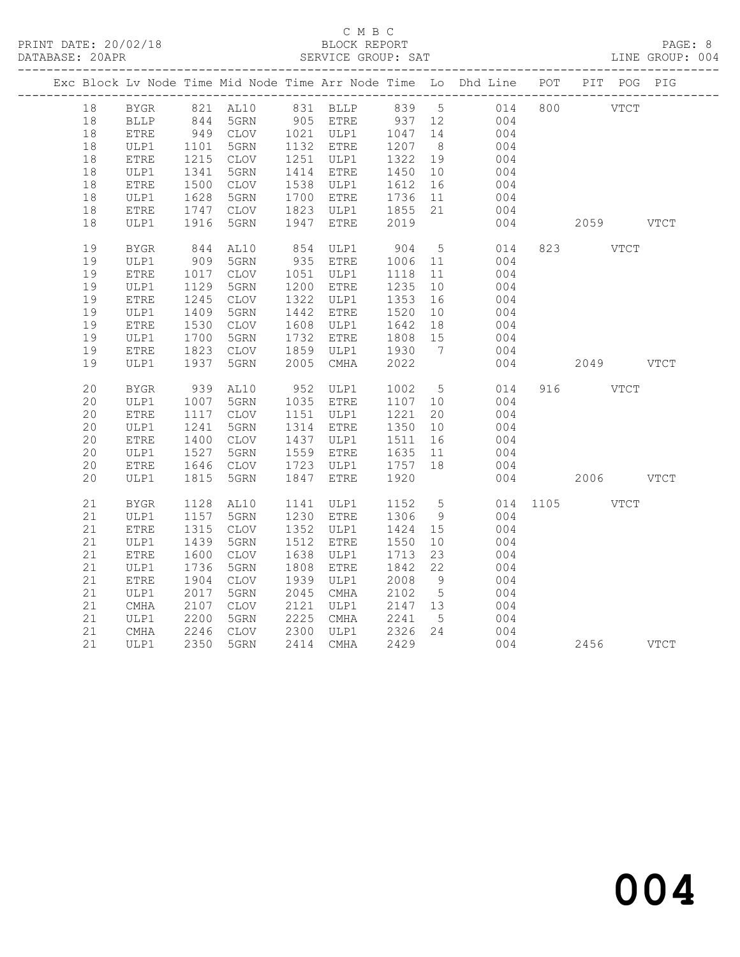## C M B C<br>BLOCK REPORT

LINE GROUP: 004

|  |    |              |                  |                                                        |      |                   |                            |                 | Exc Block Lv Node Time Mid Node Time Arr Node Time Lo Dhd Line POT PIT POG PIG |     |               |             |  |
|--|----|--------------|------------------|--------------------------------------------------------|------|-------------------|----------------------------|-----------------|--------------------------------------------------------------------------------|-----|---------------|-------------|--|
|  | 18 | <b>BYGR</b>  |                  |                                                        |      |                   |                            |                 | 821 AL10 831 BLLP 839 5 014 800 VTCT                                           |     |               |             |  |
|  | 18 | <b>BLLP</b>  |                  | 844 5GRN 905 ETRE 937 12<br>949 CLOV 1021 ULP1 1047 14 |      |                   |                            |                 | 004                                                                            |     |               |             |  |
|  | 18 | <b>ETRE</b>  |                  |                                                        |      |                   |                            |                 | 004                                                                            |     |               |             |  |
|  | 18 | ULP1         | 1101             | 5GRN                                                   |      | 1132 ETRE         | 1207 8                     |                 | 004                                                                            |     |               |             |  |
|  | 18 | ETRE         | 1215             | CLOV                                                   |      | 1251 ULP1         | 1322 19                    |                 | 004                                                                            |     |               |             |  |
|  | 18 | ULP1         | 1341             | 5GRN                                                   |      | 1414 ETRE         | 1450 10                    |                 | 004                                                                            |     |               |             |  |
|  | 18 | ETRE         | $1528$<br>$-747$ | CLOV                                                   |      | 1538 ULP1         | 1612<br>1612 10<br>1736 11 | 16              | 004                                                                            |     |               |             |  |
|  | 18 | ULP1         |                  | 5GRN                                                   |      | 1700 ETRE         |                            |                 | 004                                                                            |     |               |             |  |
|  | 18 | ETRE         | 1747             | CLOV                                                   |      | 1823 ULP1 1855 21 |                            |                 | 004                                                                            |     |               |             |  |
|  | 18 | ULP1         | 1916             | 5GRN                                                   |      | 1947 ETRE         | 2019                       |                 | 004                                                                            |     | 2059 VTCT     |             |  |
|  | 19 | <b>BYGR</b>  | 844<br>909       | AL10                                                   |      | 854 ULP1          | 904                        | 5 <sup>5</sup>  | 014                                                                            |     | 823 VTCT      |             |  |
|  | 19 | ULP1         |                  | 5GRN                                                   |      | 935 ETRE          | 1006 11                    |                 | 004                                                                            |     |               |             |  |
|  | 19 | ${\tt ETRE}$ | 1017             | CLOV                                                   |      | 1051 ULP1         | 1118                       | 11              | 004                                                                            |     |               |             |  |
|  | 19 | ULP1         | 1129             | 5GRN                                                   |      | 1200 ETRE         | 1235                       | 10              | 004                                                                            |     |               |             |  |
|  | 19 | ETRE         | 1245             | CLOV                                                   |      | 1322 ULP1         | 1353                       | 16              | 004                                                                            |     |               |             |  |
|  | 19 | ULP1         | 1409             | 5GRN                                                   |      | 1442 ETRE         | 1520                       | 10              | 004                                                                            |     |               |             |  |
|  | 19 | ${\tt ETRE}$ | 1530             | CLOV                                                   |      | 1608 ULP1         | 1642                       | 18              | 004                                                                            |     |               |             |  |
|  | 19 | ULP1         | 1700             | 5GRN                                                   |      | 1732 ETRE         | 1808 15                    |                 | 004                                                                            |     |               |             |  |
|  | 19 | ETRE         | 1823             | CLOV                                                   |      | 1859 ULP1         | 1930                       | 7               | 004                                                                            |     |               |             |  |
|  | 19 | ULP1         | 1937             | 5GRN                                                   |      | 2005 CMHA         | 2022                       |                 | 004                                                                            |     | 2049 VTCT     |             |  |
|  | 20 | <b>BYGR</b>  | 939              | AL10                                                   |      | 952 ULP1          | 1002                       | 5 <sup>5</sup>  | 014                                                                            |     | 916 VTCT      |             |  |
|  | 20 | ULP1         | 1007             | 5GRN                                                   |      | 1035 ETRE         | 1107 10                    |                 | 004                                                                            |     |               |             |  |
|  | 20 | <b>ETRE</b>  | 1117             | CLOV                                                   |      | 1151 ULP1         | 1221                       | 20              | 004                                                                            |     |               |             |  |
|  | 20 | ULP1         | 1241             | 5GRN                                                   |      | 1314 ETRE         | 1350 10                    |                 | 004                                                                            |     |               |             |  |
|  | 20 | ${\tt ETRE}$ | 1400             | CLOV                                                   |      | 1437 ULP1         | 1511                       | 16              | 004                                                                            |     |               |             |  |
|  | 20 | ULP1         | 1527             | 5GRN                                                   |      | 1559 ETRE         | 1635                       | 11              | 004                                                                            |     |               |             |  |
|  | 20 | ETRE         | 1646             | CLOV                                                   |      | 1723 ULP1         | 1757                       | 18              | 004                                                                            |     |               |             |  |
|  | 20 | ULP1         | 1815             | 5GRN                                                   | 1847 | ETRE              | 1920                       |                 | 004                                                                            |     | 2006 700      | <b>VTCT</b> |  |
|  | 21 | BYGR         | 1128             | AL10                                                   |      | 1141 ULP1         | 1152 5                     |                 |                                                                                |     | 014 1105 VTCT |             |  |
|  | 21 | ULP1         | 1157             | 5GRN                                                   |      | 1230 ETRE         | 1306                       | 9               | 004                                                                            |     |               |             |  |
|  | 21 | <b>ETRE</b>  | 1315             | CLOV                                                   |      | 1352 ULP1         | 1424 15                    |                 | 004                                                                            |     |               |             |  |
|  | 21 | ULP1         | 1439             | 5GRN                                                   |      | 1512 ETRE         | 1550                       | 10              | 004                                                                            |     |               |             |  |
|  | 21 | ${\tt ETRE}$ | 1600             | CLOV                                                   |      | 1638 ULP1         | 1713                       | 23              | 004                                                                            |     |               |             |  |
|  | 21 | ULP1         | 1736             | 5GRN                                                   | 1808 | ETRE              | 1842                       | 22              | 004                                                                            |     |               |             |  |
|  | 21 | <b>ETRE</b>  | 1904             | CLOV                                                   |      | 1939 ULP1         | 2008                       | 9               | 004                                                                            |     |               |             |  |
|  | 21 | ULP1         | 2017             | 5GRN                                                   | 2045 | CMHA              | 2102                       | $5\overline{)}$ | 004                                                                            |     |               |             |  |
|  | 21 | CMHA         | 2107             | CLOV                                                   | 2121 | ULP1              | 2147 13                    |                 | 004                                                                            |     |               |             |  |
|  | 21 | ULP1         | 2200             | 5GRN                                                   |      | 2225 CMHA         | 2241                       | $5\phantom{.0}$ | 004                                                                            |     |               |             |  |
|  | 21 | CMHA         | 2246             | CLOV                                                   |      | 2300 ULP1 2326 24 |                            |                 | 004                                                                            |     |               |             |  |
|  | 21 | ULP1         |                  | 2350 5GRN                                              |      | 2414 CMHA         | 2429                       |                 |                                                                                | 004 | 2456 VTCT     |             |  |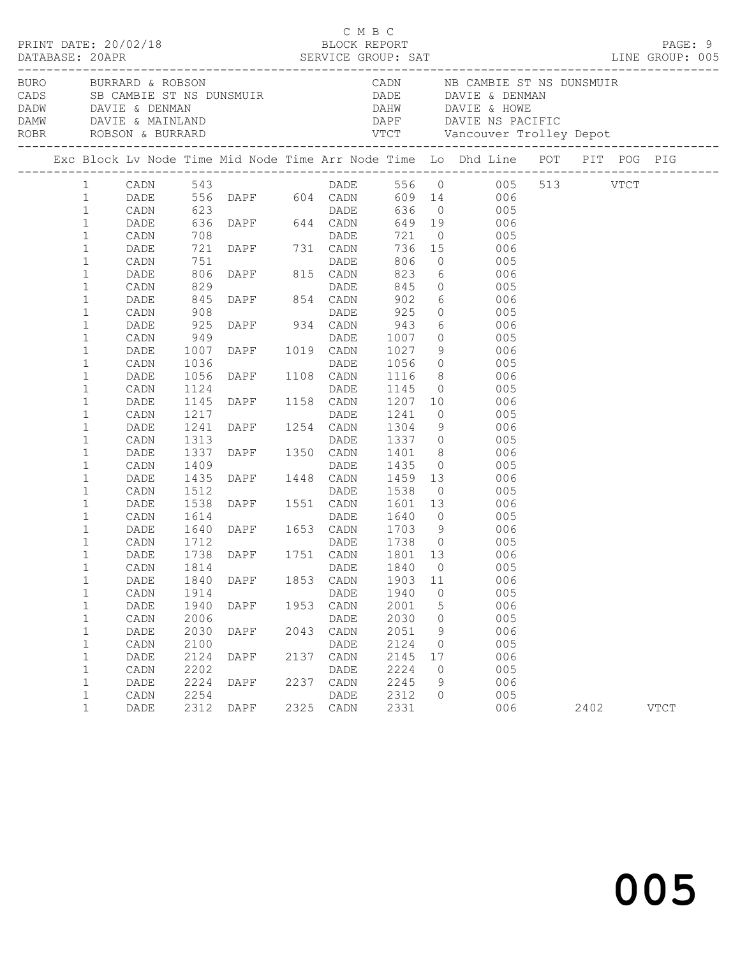| CADN             NB  CAMBIE  ST  NS  DUNSMUIR<br>DADE             DAVIE  &  DENMAN                                                                                                                                                                                                                     |             |
|--------------------------------------------------------------------------------------------------------------------------------------------------------------------------------------------------------------------------------------------------------------------------------------------------------|-------------|
| BURO BURRARD & ROBSON<br>CADS SB CAMBIE ST NS DUNSMUIR<br>DADW DAVIE & DENMAN<br>DAMW DAVIE & MAINLAND<br>DAHW DAVIE & HOWE<br>ROBR ROBSON & BURRARD<br>-------------------------------                                                                                                                |             |
| Exc Block Lv Node Time Mid Node Time Arr Node Time Lo Dhd Line POT PIT POG PIG                                                                                                                                                                                                                         |             |
| CADN 543<br>DADE 556 DAPF 604 CADN 609 14 006 513 VTCT<br>CADN 623 DADE 636 0 005<br>$\mathbf{1}$<br>$\mathbf{1}$<br>$\mathbf{1}$                                                                                                                                                                      |             |
| $\mathbf{1}$<br>649 19 006<br>DADE<br>721 0 005<br>736 15 006<br>1<br>CADN                                                                                                                                                                                                                             |             |
| 623 DADE<br>623 DADE<br>636 DAPF 644 CADN<br>708 DADE<br>721 DAPF 731 CADN<br>751 DADE<br>806 DAPF 815 CADN<br>806 DAPF 815 CADN<br>$\mathbf 1$<br>DADE<br>$0\qquad \qquad 005$<br>806<br>$\mathbf{1}$<br>CADN                                                                                         |             |
| 823 6 006<br>$\mathbf{1}$<br>DADE<br>829<br>845<br>908<br>DADE<br>DAPF 854 CADN<br>$845$ 0 005<br>902 6 006<br>$\mathbf{1}$<br>CADN<br>902 6<br>$\mathbf 1$<br>DADE<br>006                                                                                                                             |             |
| 92500005<br>$\mathbf{1}$<br>CADN<br>DADE<br>DAPF 934 CADN<br>925<br>943 6 006<br>$\mathbf{1}$<br>DADE                                                                                                                                                                                                  |             |
| 949<br>1<br>CADN<br>DAPF 1019 CADN 1027 9 005<br>DAPF 1019 CADN 1027 9 006<br>DAPF 1108 CADN 1116 8 006<br>$\mathbf 1$<br>1007<br>DADE<br>1036<br>$\mathbf{1}$<br>CADN                                                                                                                                 |             |
| 1056<br>$\mathbf{1}$<br>DADE<br>1124<br>1<br>CADN                                                                                                                                                                                                                                                      |             |
| 1145 0 005<br>DAPF 1158 CADN 1207 10 006<br>DAPF 1254 CADN 1304 9 006<br>1145<br>1<br>DADE<br>$\mathbf{1}$<br>1217<br>CADN                                                                                                                                                                             |             |
| $\mathbf{1}$<br>1241<br>DADE<br>1<br>CADN<br>1<br>DADE                                                                                                                                                                                                                                                 |             |
| $\mathbf{1}$<br>CADN<br>1<br>DADE                                                                                                                                                                                                                                                                      |             |
| 1<br>CADN<br>1<br>DADE                                                                                                                                                                                                                                                                                 |             |
| 1313 DAPE 1350 CADN 1307 0 0005<br>1337 DAPE 1350 CADN 1401 8 0006<br>1409 DADE 1435 0 0065<br>1435 DAPE 1448 CADN 1459 13 0065<br>1512 DADE 1538 0 005<br>1538 DAPE 1551 CADN 1601 13 006<br>1614 DADE 1640 0 005<br>1614 DADE 1640 0 005<br>1713 9 0<br>$\mathbf{1}$<br>CADN<br>$\mathbf{1}$<br>DADE |             |
| 1712 DADE<br>1738 DAPF 1751 CADN<br>$\mathbf{1}$<br>1712<br>1738 0 005<br>CADN<br>1801 13<br>1<br>DADE<br>- 006<br>$\mathbf 1$<br>DADE 1840 0<br>CADN 1814<br>005                                                                                                                                      |             |
| 1853<br>CADN<br>1903<br>006<br>1<br>DADE<br>1840<br>DAPF<br>11<br>1940<br>$\mathbf 1$<br>CADN<br>1914<br>DADE<br>$\mathbf{0}$<br>005                                                                                                                                                                   |             |
| 1940<br>2001<br>006<br>DADE<br>DAPF<br>1953<br>CADN<br>5<br>1<br>2006<br>2030<br>005<br>1<br>CADN<br>DADE<br>0                                                                                                                                                                                         |             |
| 006<br>2030<br>2043<br>$\mathtt{CADN}$<br>2051<br>$\mathbf{1}$<br>DADE<br>DAPF<br>9<br>2100<br>2124<br>005<br>$\mathbf 1$<br>CADN<br>DADE<br>$\mathbf{0}$                                                                                                                                              |             |
| 2124<br>006<br>DADE<br>DAPF<br>2137<br>CADN<br>2145<br>1<br>17<br>2202<br>2224<br>005<br>$\mathbf 1$<br>CADN<br>DADE<br>0<br>2224<br>2237<br>2245<br>006<br>$\mathbf{1}$<br>DADE<br>DAPF<br>CADN<br>9                                                                                                  |             |
| 2254<br>2312<br>005<br>$\mathbf{1}$<br>CADN<br>DADE<br>0<br>2312<br>2325 CADN<br>2331<br>006<br>$\mathbf 1$<br>DAPF<br>2402<br>DADE                                                                                                                                                                    | <b>VTCT</b> |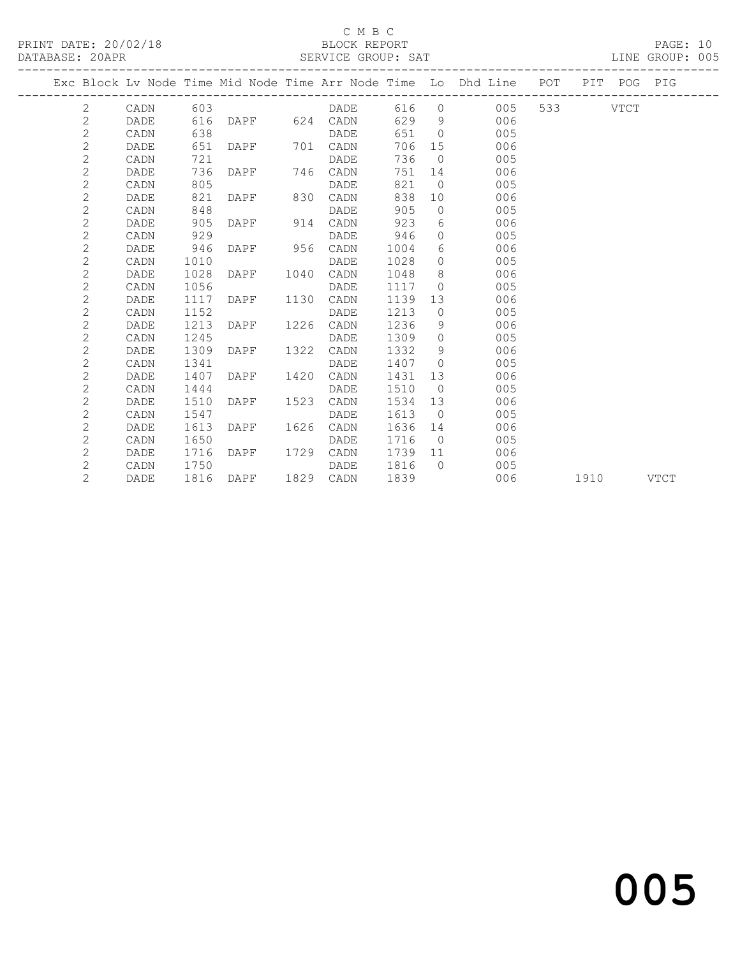#### C M B C

| PRINT DATE: 20/02/18<br>DATABASE: 20APR |                |             |      | BLOCK REPORT<br>SERVICE GROUP: SAT |               |         |                |                                                                                | PAGE: 10<br>LINE GROUP: 005 |  |  |
|-----------------------------------------|----------------|-------------|------|------------------------------------|---------------|---------|----------------|--------------------------------------------------------------------------------|-----------------------------|--|--|
|                                         |                |             |      |                                    |               |         |                | Exc Block Lv Node Time Mid Node Time Arr Node Time Lo Dhd Line POT PIT POG PIG |                             |  |  |
|                                         |                | 2 CADN 603  |      |                                    |               |         |                | DADE 616 0 005 533 VTCT                                                        |                             |  |  |
|                                         | $\mathbf{2}$   | DADE        |      | 616 DAPF 624 CADN                  |               |         |                | 629 9 006                                                                      |                             |  |  |
|                                         | $\overline{2}$ | CADN        | 638  |                                    | DADE          | 651     |                | $\Omega$<br>005                                                                |                             |  |  |
|                                         | $\mathbf{2}$   | DADE        | 651  |                                    | DAPF 701 CADN |         |                | 706 15<br>006                                                                  |                             |  |  |
|                                         | 2              | CADN        | 721  |                                    | DADE          | 736     |                | $\overline{0}$<br>005                                                          |                             |  |  |
|                                         | $\mathbf{2}$   | DADE        | 736  |                                    |               |         | 751 14         | 006                                                                            |                             |  |  |
|                                         | $\overline{c}$ | CADN        | 805  |                                    | <b>DADE</b>   | 821     | $\Omega$       | 005                                                                            |                             |  |  |
|                                         | $\mathbf{2}$   | DADE        | 821  | DAPF 830 CADN                      |               | 838     |                | 10<br>006                                                                      |                             |  |  |
|                                         | $\mathbf{2}$   | CADN        | 848  |                                    | DADE          | 905     |                | 005<br>$\overline{0}$                                                          |                             |  |  |
|                                         | $\mathbf{2}$   | DADE        | 905  | DAPF 914 CADN                      |               | 923     | $6 \qquad$     | 006                                                                            |                             |  |  |
|                                         | $\mathbf{2}$   | CADN        | 929  |                                    | DADE          | 946     |                | 005<br>$\Omega$                                                                |                             |  |  |
|                                         | $\mathbf{2}$   | DADE        | 946  | DAPF 956 CADN                      |               | 1004    |                | $6 \quad \text{or}$<br>006                                                     |                             |  |  |
|                                         | $\mathbf{2}$   | CADN        | 1010 |                                    |               | 1028    |                | $\overline{0}$<br>005                                                          |                             |  |  |
|                                         | $\mathbf{2}$   | DADE        | 1028 |                                    |               | 1048    | 8              | 006                                                                            |                             |  |  |
|                                         | $\mathbf{2}$   | CADN        | 1056 |                                    | DADE          | 1117    |                | 005<br>$\bigcirc$                                                              |                             |  |  |
|                                         | $\mathbf{2}$   | DADE        | 1117 | DAPF 1130 CADN                     |               | 1139    |                | 006<br>13                                                                      |                             |  |  |
|                                         | $\mathbf{2}$   | CADN        | 1152 |                                    | DADE          | 1213    | $\overline{0}$ | 005                                                                            |                             |  |  |
|                                         | $\overline{2}$ | DADE        | 1213 | DAPF 1226 CADN                     |               | 1236    | 9              | 006                                                                            |                             |  |  |
|                                         | $\mathbf{2}$   | CADN        | 1245 |                                    | DADE          | 1309    |                | $\Omega$<br>005                                                                |                             |  |  |
|                                         | 2              | DADE        | 1309 | DAPF 1322 CADN                     |               | 1332    |                | $9 \left( \frac{1}{2} \right)$<br>006                                          |                             |  |  |
|                                         | $\mathbf{2}$   | CADN        | 1341 |                                    | <b>DADE</b>   | 1407    | $\overline{0}$ | 005                                                                            |                             |  |  |
|                                         | $\mathbf{2}$   | <b>DADE</b> | 1407 | DAPF                               | 1420 CADN     | 1431    | 13             | 006                                                                            |                             |  |  |
|                                         | $\overline{c}$ | CADN        | 1444 |                                    | DADE          | 1510    |                | 005<br>$\Omega$                                                                |                             |  |  |
|                                         | 2              | <b>DADE</b> | 1510 | DAPF 1523 CADN                     |               | 1534    |                | 006<br>13                                                                      |                             |  |  |
|                                         | $\mathbf{2}$   | CADN        | 1547 |                                    | DADE          | 1613    | $\overline{0}$ | 005                                                                            |                             |  |  |
|                                         | $\overline{2}$ | <b>DADE</b> | 1613 | DAPF 1626 CADN                     |               | 1636 14 |                | 006                                                                            |                             |  |  |
|                                         | $\overline{2}$ | CADN        | 1650 |                                    | DADE          | 1716    | $\bigcirc$     | 005                                                                            |                             |  |  |
|                                         | $\overline{2}$ | DADE        |      | 1716 DAPF 1729 CADN                |               | 1739 11 |                | 006                                                                            |                             |  |  |

2 CADN 1750 DADE 1816 0 005

2 DADE 1816 DAPF 1829 CADN 1839 006 1910 VTCT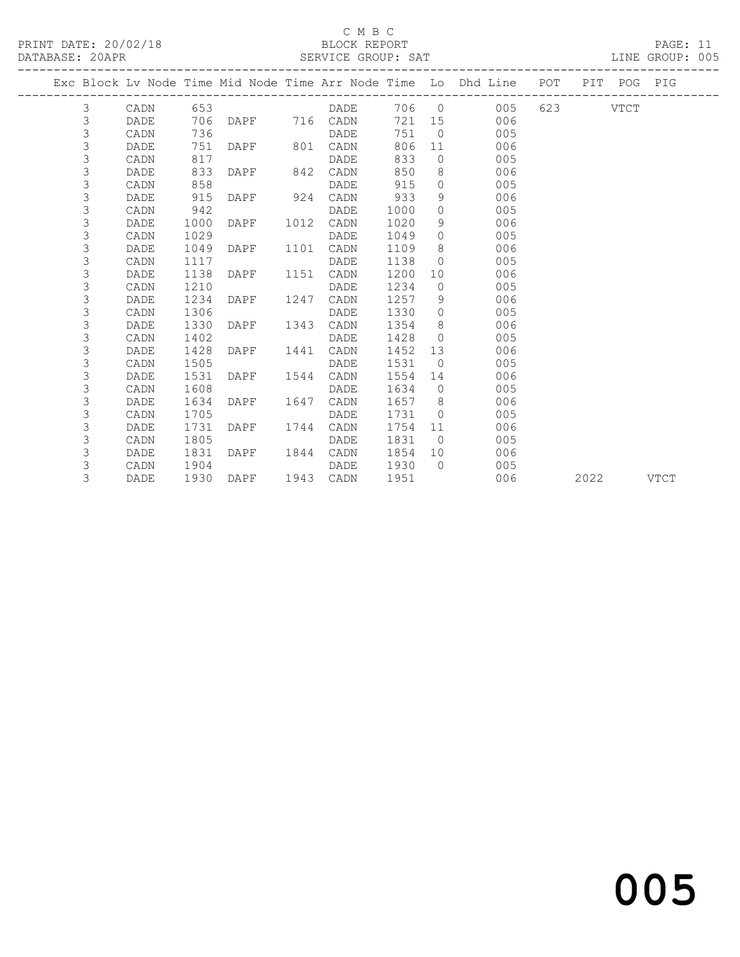### C M B C<br>BLOCK REPORT

| PRINT DATE: 20/02/18<br>DATABASE: 20APR |      |      |                |      | U M B U           |      |                | THE CHECK<br>BLOCK REPORT<br>SERVICE GROUP: SAT<br>---------------------------------- |  |             | PAGE: 11<br>LINE GROUP: 005 |  |
|-----------------------------------------|------|------|----------------|------|-------------------|------|----------------|---------------------------------------------------------------------------------------|--|-------------|-----------------------------|--|
|                                         |      |      |                |      |                   |      |                | Exc Block Lv Node Time Mid Node Time Arr Node Time Lo Dhd Line POT                    |  | PIT POG PIG |                             |  |
| 3                                       | CADN |      |                |      | DADE              |      |                | 706 0<br>005                                                                          |  | 623 VTCT    |                             |  |
| $\mathsf 3$                             | DADE |      |                |      | 706 DAPF 716 CADN | 721  |                | 15<br>006                                                                             |  |             |                             |  |
| 3                                       | CADN | 736  |                |      | DADE              | 751  |                | $\overline{0}$<br>005                                                                 |  |             |                             |  |
| 3                                       | DADE | 751  | DAPF 801       |      | CADN              | 806  |                | 11 —<br>006                                                                           |  |             |                             |  |
| 3                                       | CADN | 817  |                |      | DADE              | 833  |                | $\overline{0}$<br>005                                                                 |  |             |                             |  |
| 3                                       | DADE | 833  | DAPF 842       |      | CADN              | 850  |                | 8<br>006                                                                              |  |             |                             |  |
| 3                                       | CADN | 858  |                |      | DADE              | 915  | $\overline{0}$ | 005                                                                                   |  |             |                             |  |
| 3                                       | DADE | 915  | DAPF 924       |      | CADN              | 933  | 9              | 006                                                                                   |  |             |                             |  |
| 3                                       | CADN | 942  |                |      | DADE              | 1000 | $\Omega$       | 005                                                                                   |  |             |                             |  |
| 3                                       | DADE | 1000 | DAPF           | 1012 | CADN              | 1020 | 9              | 006                                                                                   |  |             |                             |  |
| 3                                       | CADN | 1029 |                |      | DADE              | 1049 | $\Omega$       | 005                                                                                   |  |             |                             |  |
| 3                                       | DADE | 1049 | DAPF           | 1101 | CADN              | 1109 |                | $8 -$<br>006                                                                          |  |             |                             |  |
| 3                                       | CADN | 1117 |                |      | DADE              | 1138 | $\overline{0}$ | 005                                                                                   |  |             |                             |  |
| 3                                       | DADE | 1138 | DAPF           | 1151 | CADN              | 1200 |                | 10<br>006                                                                             |  |             |                             |  |
| 3                                       | CADN | 1210 |                |      | DADE              | 1234 | $\overline{0}$ | 005                                                                                   |  |             |                             |  |
| 3                                       | DADE | 1234 | DAPF           | 1247 | CADN              | 1257 | 9              | 006                                                                                   |  |             |                             |  |
| 3                                       | CADN | 1306 |                |      | DADE              | 1330 |                | $\overline{0}$<br>005                                                                 |  |             |                             |  |
| 3                                       | DADE | 1330 | DAPF 1343      |      | CADN              | 1354 |                | 8 - 10<br>006                                                                         |  |             |                             |  |
| 3                                       | CADN | 1402 |                |      | DADE              | 1428 |                | $\overline{0}$<br>005                                                                 |  |             |                             |  |
| 3                                       | DADE | 1428 | DAPF 1441 CADN |      |                   | 1452 | 13             | 006                                                                                   |  |             |                             |  |

 3 CADN 1505 DADE 1531 0 005 3 DADE 1531 DAPF 1544 CADN 1554 14 006 3 CADN 1608 DADE 1634 0 005

 3 CADN 1805 DADE 1831 0 005 3 DADE 1831 DAPF 1844 CADN 1854 10 006 3 CADN 1904 DADE 1930 0 005

3 DADE 1634 DAPF 1647 CADN 1657 8 006<br>3 CADN 1705 DADE 1731 0 005 3 CADN 1705 DADE 1731 0 005 3 DADE 1731 DAPF 1744 CADN 1754 11 006<br>3 CADN 1805 DADE 1831 0 005<br>3 DADE 1831 DAPF 1844 CADN 1854 10 006

3 DADE 1930 DAPF 1943 CADN 1951 006 2022 VTCT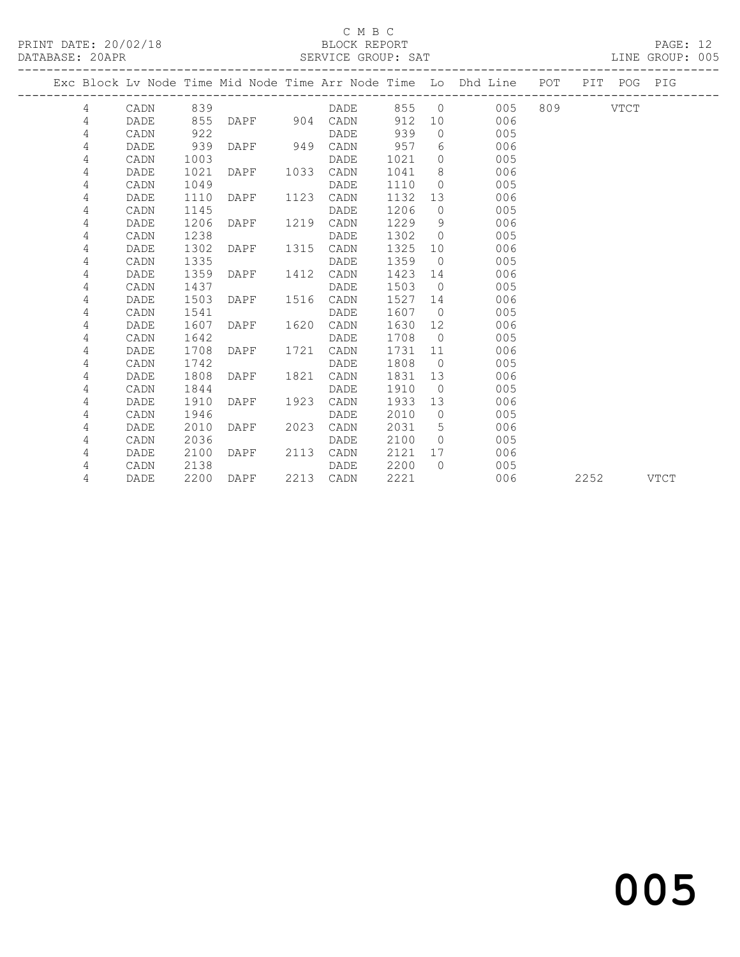#### C M B C<br>BLOCK REPORT

|  | DATABASE: 20APR |             |      |                   |      | SERVICE GROUP: SAT |         |                |                                                                                |  | LINE GROUP: 005 |  |
|--|-----------------|-------------|------|-------------------|------|--------------------|---------|----------------|--------------------------------------------------------------------------------|--|-----------------|--|
|  |                 |             |      |                   |      |                    |         |                | Exc Block Lv Node Time Mid Node Time Arr Node Time Lo Dhd Line POT PIT POG PIG |  |                 |  |
|  | 4               | CADN 839    |      |                   |      | <b>DADE</b>        |         |                | 855 0 005 809 VTCT                                                             |  |                 |  |
|  | 4               | DADE        |      | 855 DAPF 904 CADN |      |                    |         |                | 912 10<br>006                                                                  |  |                 |  |
|  | 4               | CADN        | 922  |                   |      | DADE               | 939     |                | $\Omega$<br>005                                                                |  |                 |  |
|  | 4               | DADE        | 939  |                   |      | DAPF 949 CADN 957  |         | 6 <sup>6</sup> | 006                                                                            |  |                 |  |
|  | 4               | CADN        | 1003 |                   |      | DADE               | 1021    |                | $\Omega$<br>005                                                                |  |                 |  |
|  | 4               | DADE        | 1021 | DAPF 1033         |      | CADN               | 1041    | 8              | 006                                                                            |  |                 |  |
|  | 4               | CADN        | 1049 |                   |      | DADE               | 1110    | $\Omega$       | 005                                                                            |  |                 |  |
|  | 4               | DADE        | 1110 | DAPF              | 1123 | CADN               | 1132 13 |                | 006                                                                            |  |                 |  |
|  | 4               | CADN        | 1145 |                   |      | DADE               | 1206    | $\bigcirc$     | 005                                                                            |  |                 |  |
|  | 4               | <b>DADE</b> | 1206 | DAPF              | 1219 | CADN               | 1229    | - 9            | 006                                                                            |  |                 |  |
|  | 4               | CADN        | 1238 |                   |      | DADE               | 1302    | $\overline{0}$ | 005                                                                            |  |                 |  |
|  | 4               | DADE        | 1302 | DAPF 1315         |      | CADN               | 1325    |                | 006<br>10                                                                      |  |                 |  |
|  | 4               | CADN        | 1335 |                   |      | DADE               | 1359 0  |                | 005                                                                            |  |                 |  |
|  | 4               | DADE        | 1359 | DAPF              | 1412 | CADN               | 1423    | 14             | 006                                                                            |  |                 |  |
|  | 4               | CADN        | 1437 |                   |      | DADE               | 1503    |                | 005<br>$\bigcirc$                                                              |  |                 |  |
|  | 4               | DADE        | 1503 | DAPF 1516 CADN    |      |                    | 1527    | 14             | 006                                                                            |  |                 |  |
|  | 4               | CADN        | 1541 |                   |      | DADE               | 1607    |                | $\overline{0}$<br>005                                                          |  |                 |  |
|  | 4               | DADE        | 1607 | DAPF 1620 CADN    |      |                    | 1630    |                | 12<br>006                                                                      |  |                 |  |
|  | 4               | CADN        | 1642 |                   |      | DADE               | 1708    | $\bigcirc$     | 005                                                                            |  |                 |  |
|  | 4               | DADE        | 1708 | DAPF              | 1721 | CADN               | 1731    |                | 006<br>11 \,                                                                   |  |                 |  |
|  | 4               | CADN        | 1742 |                   |      | DADE               | 1808    | $\overline{0}$ | 005                                                                            |  |                 |  |
|  | 4               | DADE        | 1808 | DAPF 1821         |      | CADN               | 1831    |                | 13<br>006                                                                      |  |                 |  |
|  | 4               | CADN        | 1844 |                   |      | DADE               | 1910 0  |                | 005                                                                            |  |                 |  |
|  | 4               | DADE        | 1910 | DAPF              | 1923 | CADN               | 1933    |                | 006<br>13                                                                      |  |                 |  |
|  | 4               | CADN        | 1946 |                   |      | DADE               | 2010    |                | 005<br>$\Omega$                                                                |  |                 |  |
|  | 4               | DADE        | 2010 | DAPF 2023 CADN    |      |                    | 2031    | 5              | 006                                                                            |  |                 |  |
|  | 4               | CADN        | 2036 |                   |      | DADE               | 2100    | $\Omega$       | 005                                                                            |  |                 |  |

 4 DADE 2100 DAPF 2113 CADN 2121 17 006 4 CADN 2138 DADE 2200 0 005

4 DADE 2200 DAPF 2213 CADN 2221 006 2252 VTCT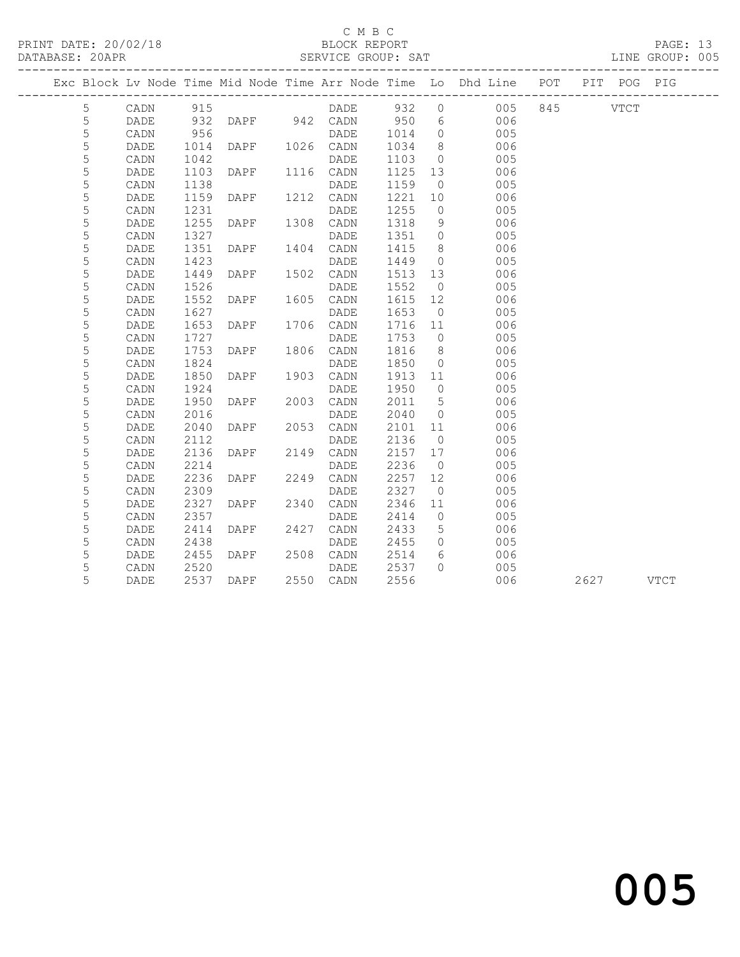#### C M B C<br>BLOCK REPORT

| PRINT DATE: 20/02/18<br>DATABASE: 20APR<br>---------------------------------- |                 |                 |      |                                              | BLOCK REPORT<br>SERVICE GROUP: SAT |                           |                 |                                                                                |  |           | PAGE: 13<br>LINE GROUP: 005 |  |
|-------------------------------------------------------------------------------|-----------------|-----------------|------|----------------------------------------------|------------------------------------|---------------------------|-----------------|--------------------------------------------------------------------------------|--|-----------|-----------------------------|--|
|                                                                               |                 |                 |      |                                              |                                    |                           |                 | Exc Block Lv Node Time Mid Node Time Arr Node Time Lo Dhd Line POT PIT POG PIG |  |           |                             |  |
|                                                                               | $5\overline{)}$ |                 |      |                                              |                                    |                           |                 | CADN 915 DADE 932 0 005 845 VTCT                                               |  |           |                             |  |
|                                                                               | 5               | DADE            |      |                                              |                                    |                           |                 | 932 DAPF 942 CADN 950 6 006                                                    |  |           |                             |  |
|                                                                               | $\overline{5}$  | CADN            |      | 956 DADE<br>1014 DAPF 1026 CADN<br>1042 DADE |                                    |                           |                 | DADE 1014 0 005<br>CADN 1034 8 006                                             |  |           |                             |  |
|                                                                               | $\mathsf S$     | DADE            |      |                                              |                                    |                           |                 |                                                                                |  |           |                             |  |
|                                                                               | $\mathsf S$     | CADN            |      |                                              |                                    | 1103                      |                 | $\frac{3}{2}$ 005                                                              |  |           |                             |  |
|                                                                               | 5               | DADE            | 1103 | DAPF 1116 CADN                               |                                    | 1125 13                   |                 | 006                                                                            |  |           |                             |  |
|                                                                               | $\mathsf S$     | CADN            | 1138 |                                              |                                    | 1159                      | $\overline{0}$  | 005                                                                            |  |           |                             |  |
|                                                                               | $\mathsf S$     | DADE            |      | 1138 DADE<br>1159 DAPF 1212 CADN             |                                    | 1221 10                   |                 | 006                                                                            |  |           |                             |  |
|                                                                               | $\mathsf S$     | $\mathtt{CADN}$ | 1231 |                                              | DADE                               | 1255                      | $\overline{0}$  | 005                                                                            |  |           |                             |  |
|                                                                               | $\mathsf S$     | DADE            | 1255 | DAPF 1308 CADN                               |                                    | 1318                      | 9               | 006                                                                            |  |           |                             |  |
|                                                                               | 5               | CADN            | 1327 |                                              | DADE                               | 1351                      | $\overline{0}$  | 005                                                                            |  |           |                             |  |
|                                                                               | $\overline{5}$  | DADE            | 1351 | DAPF 1404 CADN<br>DADE DADE                  |                                    | 1415                      | 8 <sup>8</sup>  | 006                                                                            |  |           |                             |  |
|                                                                               | $\mathsf S$     | CADN            | 1423 |                                              |                                    | 1449                      |                 | $\overline{O}$<br>005                                                          |  |           |                             |  |
|                                                                               | $\mathsf S$     | DADE            | 1449 | DAPF 1502 CADN                               |                                    | 1513                      | 13              | 006                                                                            |  |           |                             |  |
|                                                                               | $\mathsf S$     | CADN            |      | 1526 DAPF 1605 DADE<br>1552 DAPF 1605 CADN   |                                    | 1552                      | $\overline{0}$  | 005                                                                            |  |           |                             |  |
|                                                                               | 5               | DADE            |      |                                              |                                    | 1615 12                   |                 | 006                                                                            |  |           |                             |  |
|                                                                               | $\mathsf S$     | CADN            | 1627 |                                              | DADE                               | 1653                      | $\overline{0}$  | 005                                                                            |  |           |                             |  |
|                                                                               | $\mathsf S$     | DADE            | 1653 | DAPF 1706 CADN                               |                                    | 1716                      | 11              | 006                                                                            |  |           |                             |  |
|                                                                               | $\mathsf S$     | CADN            | 1727 |                                              | DADE                               | 1753                      | $\overline{0}$  | 005                                                                            |  |           |                             |  |
|                                                                               | $\mathsf S$     | DADE            |      | 1753 DAPF 1806 CADN                          |                                    | 1816                      |                 | $\overline{\mathbf{8}}$<br>006                                                 |  |           |                             |  |
|                                                                               | $\mathsf S$     | CADN            | 1824 |                                              | DADE                               | 1850                      | $\overline{0}$  | 005                                                                            |  |           |                             |  |
|                                                                               | $\mathsf S$     | DADE            | 1850 | DAPF 1903 CADN                               |                                    | 1913                      |                 | 11<br>006                                                                      |  |           |                             |  |
|                                                                               | $\mathsf S$     | CADN            | 1924 |                                              | DADE                               | 1950                      | $\overline{0}$  | 005                                                                            |  |           |                             |  |
|                                                                               | $\mathsf S$     | DADE            |      | 1950 DAPF 2003 CADN                          |                                    | 2011                      | $5\overline{)}$ | 006                                                                            |  |           |                             |  |
|                                                                               | $\mathsf S$     | CADN            | 2016 |                                              | DADE                               | 2040                      | $\overline{0}$  | 005                                                                            |  |           |                             |  |
|                                                                               | $\mathsf S$     | DADE            | 2040 | DAPF 2053 CADN                               |                                    | 2101 11                   |                 | 006                                                                            |  |           |                             |  |
|                                                                               | $\mathsf S$     | CADN            | 2112 |                                              | DADE                               | 2101<br>2136              | $\overline{0}$  | 005                                                                            |  |           |                             |  |
|                                                                               | 5               | DADE            | 2136 | DAPF 2149 CADN                               |                                    | 2157 17                   |                 | 006                                                                            |  |           |                             |  |
|                                                                               | $\mathsf S$     | CADN            | 2214 |                                              | DADE                               | 2236                      | $\overline{0}$  | 005                                                                            |  |           |                             |  |
|                                                                               | 5               | DADE            | 2236 | DAPF 2249 CADN                               |                                    | 2257 12<br>$2257$<br>2327 |                 | 006                                                                            |  |           |                             |  |
|                                                                               | $\mathsf S$     | CADN            | 2309 |                                              | DADE                               |                           | $\overline{0}$  | 005                                                                            |  |           |                             |  |
|                                                                               | $\mathsf S$     | DADE            |      | 2327 DAPF 2340 CADN                          |                                    | 2346                      | 11              | 006                                                                            |  |           |                             |  |
|                                                                               | $\mathsf S$     | CADN            | 2357 |                                              | DADE                               | 2414                      | $\circ$         | 005                                                                            |  |           |                             |  |
|                                                                               | 5               | DADE            | 2414 | DAPF 2427 CADN                               |                                    | 2433                      | $5\overline{)}$ | 006                                                                            |  |           |                             |  |
|                                                                               | $\mathsf S$     | CADN            | 2438 |                                              | DADE                               | 2455                      | $\overline{0}$  | 005                                                                            |  |           |                             |  |
|                                                                               | $\mathsf S$     | DADE            | 2455 | DAPF 2508 CADN                               |                                    | 2514                      | $6\overline{6}$ | 006                                                                            |  |           |                             |  |
|                                                                               | 5               | CADN            | 2520 |                                              | DADE                               | 2537                      | $\bigcap$       | 005                                                                            |  |           |                             |  |
|                                                                               | 5               | DADE            |      | 2537 DAPF                                    | 2550 CADN                          | 2556                      |                 | 006                                                                            |  | 2627 VTCT |                             |  |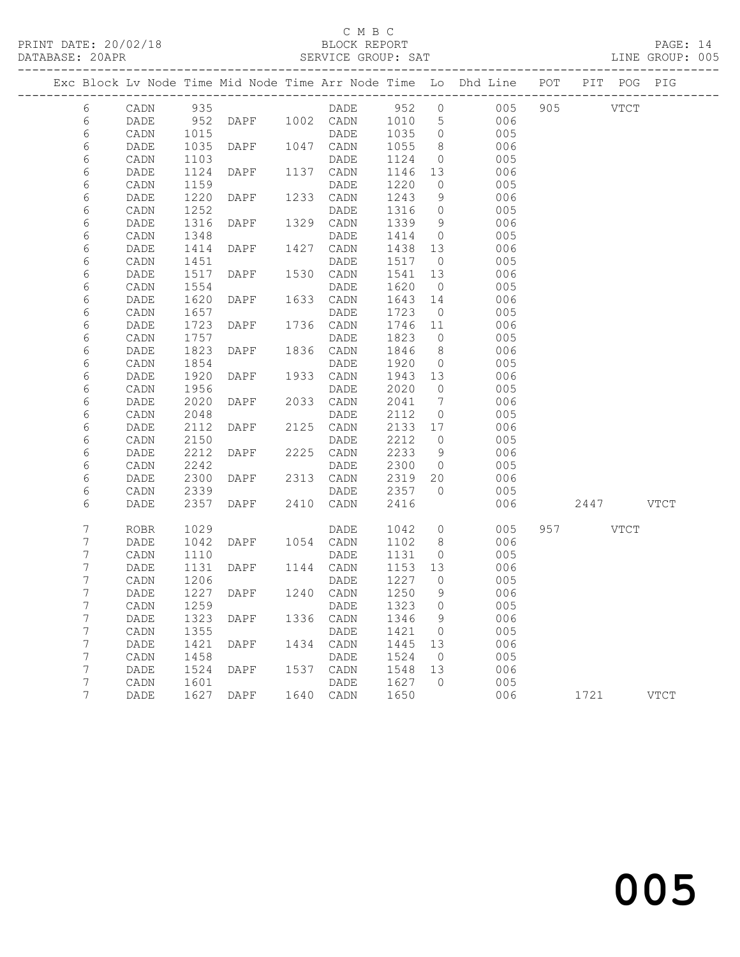PRINT DATE: 20/02/18 BLOCK REPORT BATABASE: 20APR BERVICE GROUP: SAT

#### C M B C<br>BLOCK REPORT

PAGE: 14<br>LINE GROUP: 005

|        |              |              |                  |      |                   |              |                                  | Exc Block Lv Node Time Mid Node Time Arr Node Time Lo Dhd Line POT |           | PIT POG PIG |             |
|--------|--------------|--------------|------------------|------|-------------------|--------------|----------------------------------|--------------------------------------------------------------------|-----------|-------------|-------------|
| 6      | CADN         | 935          |                  |      | DADE 952 0        |              |                                  | 005                                                                | 905 VTCT  |             |             |
| 6      | DADE         | 952          |                  |      | DAPF 1002 CADN    | 1010         | $5\overline{)}$                  | 006                                                                |           |             |             |
| 6      | CADN         | 1015         |                  |      | DADE              | 1035         | $\overline{0}$                   | 005                                                                |           |             |             |
| 6      | <b>DADE</b>  | 1035         | DAPF             |      | 1047 CADN         | 1055         | 8                                | 006                                                                |           |             |             |
| 6      | CADN         | 1103         |                  |      | DADE              | 1124         | $\overline{0}$                   | 005                                                                |           |             |             |
| 6      | DADE         | 1124         | DAPF             |      | 1137 CADN         | 1146         | 13                               | 006                                                                |           |             |             |
| 6      | CADN         | 1159         |                  |      | DADE              | 1220         | $\overline{0}$                   | 005                                                                |           |             |             |
| 6      | DADE         | 1220         | DAPF             | 1233 | CADN              | 1243         | 9                                | 006                                                                |           |             |             |
| 6      | CADN         | 1252         |                  |      | DADE              | 1316         | $\overline{0}$                   | 005                                                                |           |             |             |
| 6      | DADE         | 1316         | DAPF             |      | 1329 CADN         | 1339         | 9                                | 006                                                                |           |             |             |
| 6      | CADN         | 1348         |                  |      | DADE              | 1414         | $\overline{0}$                   | 005                                                                |           |             |             |
| 6      | DADE         | 1414         | DAPF             | 1427 | CADN              | 1438         | 13                               | 006                                                                |           |             |             |
| 6      | CADN         | 1451         |                  |      | DADE              | 1517         | $\overline{0}$                   | 005                                                                |           |             |             |
| 6      | DADE         | 1517         | DAPF             |      | 1530 CADN         | 1541         | 13                               | 006                                                                |           |             |             |
| 6      | CADN         | 1554         |                  |      | DADE              | 1620         | $\overline{0}$                   | 005                                                                |           |             |             |
| 6      | DADE         | 1620         | DAPF             | 1633 | CADN              | 1643         | 14                               | 006                                                                |           |             |             |
| 6      | CADN         | 1657         |                  |      | DADE              | 1723         | $\overline{0}$                   | 005                                                                |           |             |             |
| 6      | DADE         | 1723         | DAPF             |      | 1736 CADN         | 1746         | 11                               | 006                                                                |           |             |             |
| 6      | CADN         | 1757         |                  |      | DADE              | 1823         | $\overline{0}$                   | 005                                                                |           |             |             |
| 6      | DADE         | 1823         | DAPF             | 1836 | CADN              | 1846         | 8 <sup>8</sup>                   | 006                                                                |           |             |             |
| 6      | CADN         | 1854         |                  |      | DADE              | 1920         | $\overline{0}$                   | 005                                                                |           |             |             |
| 6      | DADE         | 1920         | DAPF             |      | 1933 CADN         | 1943         | 13                               | 006                                                                |           |             |             |
| 6      | CADN         | 1956<br>2020 | DAPF             | 2033 | DADE              | 2020<br>2041 | $\overline{0}$<br>$\overline{7}$ | 005<br>006                                                         |           |             |             |
| 6<br>6 | DADE<br>CADN | 2048         |                  |      | CADN<br>DADE      | 2112         | $\overline{0}$                   | 005                                                                |           |             |             |
| 6      | DADE         | 2112         | DAPF             |      | 2125 CADN         | 2133 17      |                                  | 006                                                                |           |             |             |
| 6      | CADN         | 2150         |                  |      | DADE              | 2212         | $\overline{0}$                   | 005                                                                |           |             |             |
| 6      | DADE         | 2212         | DAPF             | 2225 | CADN              | 2233         | 9                                | 006                                                                |           |             |             |
| 6      | CADN         | 2242         |                  |      | DADE              | 2300         | $\overline{0}$                   | 005                                                                |           |             |             |
| 6      | DADE         | 2300         | DAPF             |      | 2313 CADN         | 2319         | 20                               | 006                                                                |           |             |             |
| 6      | CADN         | 2339         |                  |      | DADE              | 2357         | $\overline{0}$                   | 005                                                                |           |             |             |
| 6      | DADE         | 2357         | DAPF             | 2410 | CADN              | 2416         |                                  | 006                                                                | 2447 VTCT |             |             |
|        |              |              |                  |      |                   |              |                                  |                                                                    |           |             |             |
| 7      | ROBR         | 1029         |                  |      | DADE              | 1042         | $\overline{0}$                   | 005                                                                | 957 VTCT  |             |             |
| 7      | DADE         | 1042         | DAPF             |      | 1054 CADN         | 1102         | 8 <sup>8</sup>                   | 006                                                                |           |             |             |
| 7      | CADN         | 1110         |                  |      | DADE              | 1131         | $\overline{0}$                   | 005                                                                |           |             |             |
| 7      | DADE         | 1131<br>1206 | DAPF             |      | 1144 CADN         | 1153<br>1227 | 13<br>$\overline{0}$             | 006<br>005                                                         |           |             |             |
| 7<br>7 | CADN<br>DADE | 1227         | DAPF             |      | DADE<br>1240 CADN | 1250         | 9                                | 006                                                                |           |             |             |
| 7      | CADN         |              | 1259 DADE 1323 0 |      |                   |              |                                  | 005                                                                |           |             |             |
| 7      | DADE         | 1323         | DAPF             | 1336 | CADN              | 1346         | 9                                | 006                                                                |           |             |             |
| 7      | CADN         | 1355         |                  |      | DADE              | 1421         | $\overline{0}$                   | 005                                                                |           |             |             |
| 7      | DADE         | 1421         | DAPF             | 1434 | CADN              | 1445         | 13                               | 006                                                                |           |             |             |
| 7      | CADN         | 1458         |                  |      | DADE              | 1524         | $\overline{0}$                   | 005                                                                |           |             |             |
| 7      | DADE         | 1524         | DAPF             | 1537 | CADN              | 1548         | 13                               | 006                                                                |           |             |             |
| 7      | CADN         | 1601         |                  |      | DADE              | 1627         | $\bigcirc$                       | 005                                                                |           |             |             |
| 7      | DADE         | 1627         | DAPF             |      | 1640 CADN         | 1650         |                                  | 006                                                                | 1721      |             | <b>VTCT</b> |
|        |              |              |                  |      |                   |              |                                  |                                                                    |           |             |             |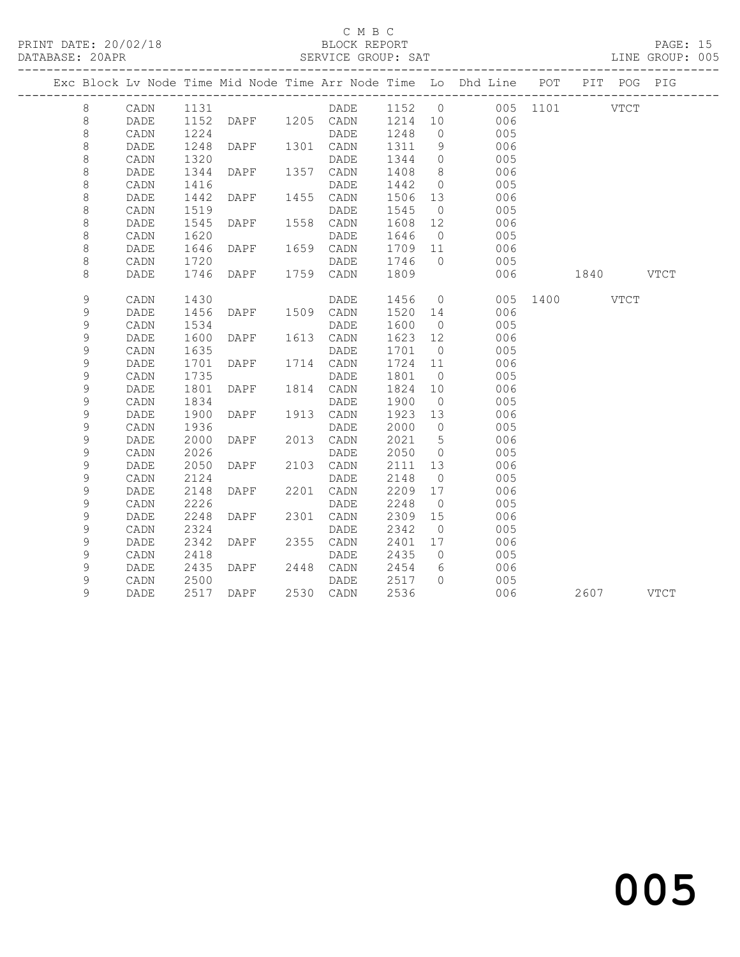PRINT DATE: 20/02/18 BLOCK REPORT BATABASE: 20APR BLOCK REPORT

### C M B C<br>BLOCK REPORT

### PAGE: 15<br>LINE GROUP: 005

|  |             |      |      |      |      |                        |         |                | Exc Block Lv Node Time Mid Node Time Arr Node Time Lo Dhd Line POT PIT POG PIG |               |           |  |
|--|-------------|------|------|------|------|------------------------|---------|----------------|--------------------------------------------------------------------------------|---------------|-----------|--|
|  | 8           | CADN | 1131 |      |      |                        |         |                | DADE 1152 0 005 1101 VTCT                                                      |               |           |  |
|  | 8           | DADE | 1152 |      |      | DAPF 1205 CADN 1214 10 |         |                | 006                                                                            |               |           |  |
|  | $\,8\,$     | CADN | 1224 |      |      | DADE                   | 1248    | $\overline{0}$ | 005                                                                            |               |           |  |
|  | 8           | DADE | 1248 | DAPF |      | 1301 CADN              | 1311    | 9              | 006                                                                            |               |           |  |
|  | $\,8\,$     | CADN | 1320 |      |      | DADE                   | 1344    | $\overline{0}$ | 005                                                                            |               |           |  |
|  | 8           | DADE | 1344 | DAPF |      | 1357 CADN              | 1408    | 8 <sup>8</sup> | 006                                                                            |               |           |  |
|  | $\,8\,$     | CADN | 1416 |      |      | DADE                   | 1442    | $\overline{0}$ | 005                                                                            |               |           |  |
|  | $\,8\,$     | DADE | 1442 | DAPF |      | 1455 CADN              | 1506    | 13             | 006                                                                            |               |           |  |
|  | $\,8\,$     | CADN | 1519 |      |      | DADE                   | 1545    | $\overline{0}$ | 005                                                                            |               |           |  |
|  | 8           | DADE | 1545 | DAPF | 1558 | CADN                   | 1608    | 12             | 006                                                                            |               |           |  |
|  | $\,8\,$     | CADN | 1620 |      |      | DADE                   | 1646    | $\overline{0}$ | 005                                                                            |               |           |  |
|  | $\,8\,$     | DADE | 1646 | DAPF |      | 1659 CADN              | 1709 11 |                | 006                                                                            |               |           |  |
|  | 8           | CADN | 1720 |      |      | DADE                   | 1746    | $\overline{0}$ | 005                                                                            |               |           |  |
|  | 8           | DADE | 1746 | DAPF |      | 1759 CADN              | 1809    |                | 006                                                                            | 1840 VTCT     |           |  |
|  | 9           | CADN | 1430 |      |      | DADE                   | 1456    | $\overline{0}$ |                                                                                | 005 1400 VTCT |           |  |
|  | 9           | DADE | 1456 | DAPF |      | 1509 CADN              | 1520    | 14             | 006                                                                            |               |           |  |
|  | 9           | CADN | 1534 |      |      | DADE                   | 1600    | $\overline{0}$ | 005                                                                            |               |           |  |
|  | $\mathsf 9$ | DADE | 1600 | DAPF |      | 1613 CADN              | 1623    | 12             | 006                                                                            |               |           |  |
|  | 9           | CADN | 1635 |      |      | DADE                   | 1701    | $\overline{0}$ | 005                                                                            |               |           |  |
|  | $\mathsf 9$ | DADE | 1701 | DAPF |      | 1714 CADN              | 1724    | 11             | 006                                                                            |               |           |  |
|  | 9           | CADN | 1735 |      |      | DADE                   | 1801    | $\overline{0}$ | 005                                                                            |               |           |  |
|  | 9           | DADE | 1801 | DAPF |      | 1814 CADN              | 1824    | 10             | 006                                                                            |               |           |  |
|  | 9           | CADN | 1834 |      |      | DADE                   | 1900    | $\overline{0}$ | 005                                                                            |               |           |  |
|  | $\mathsf 9$ | DADE | 1900 | DAPF |      | 1913 CADN              | 1923    | 13             | 006                                                                            |               |           |  |
|  | $\mathsf 9$ | CADN | 1936 |      |      | DADE                   | 2000    | $\overline{0}$ | 005                                                                            |               |           |  |
|  | 9           | DADE | 2000 | DAPF |      | 2013 CADN              | 2021    | $5^{\circ}$    | 006                                                                            |               |           |  |
|  | $\mathsf 9$ | CADN | 2026 |      |      | DADE                   | 2050    | $\overline{0}$ | 005                                                                            |               |           |  |
|  | 9           | DADE | 2050 | DAPF |      | 2103 CADN              | 2111    | 13             | 006                                                                            |               |           |  |
|  | $\mathsf 9$ | CADN | 2124 |      |      | DADE                   | 2148    | $\overline{0}$ | 005                                                                            |               |           |  |
|  | 9           | DADE | 2148 | DAPF | 2201 | CADN                   | 2209    | 17             | 006                                                                            |               |           |  |
|  | $\mathsf 9$ | CADN | 2226 |      |      | DADE                   | 2248    | $\overline{0}$ | 005                                                                            |               |           |  |
|  | 9           | DADE | 2248 | DAPF | 2301 | CADN                   | 2309    | 15             | 006                                                                            |               |           |  |
|  | $\mathsf 9$ | CADN | 2324 |      |      | DADE                   | 2342    | $\overline{0}$ | 005                                                                            |               |           |  |
|  | $\mathsf 9$ | DADE | 2342 | DAPF |      | 2355 CADN              | 2401    | 17             | 006                                                                            |               |           |  |
|  | 9           | CADN | 2418 |      |      | DADE                   | 2435    | $\overline{0}$ | 005                                                                            |               |           |  |
|  | 9           | DADE | 2435 | DAPF |      | 2448 CADN              | 2454    | 6              | 006                                                                            |               |           |  |
|  | $\mathsf 9$ | CADN | 2500 |      |      | DADE                   | 2517    | $\Omega$       | 005                                                                            |               |           |  |
|  | 9           | DADE | 2517 | DAPF |      | 2530 CADN              | 2536    |                | 006                                                                            |               | 2607 VTCT |  |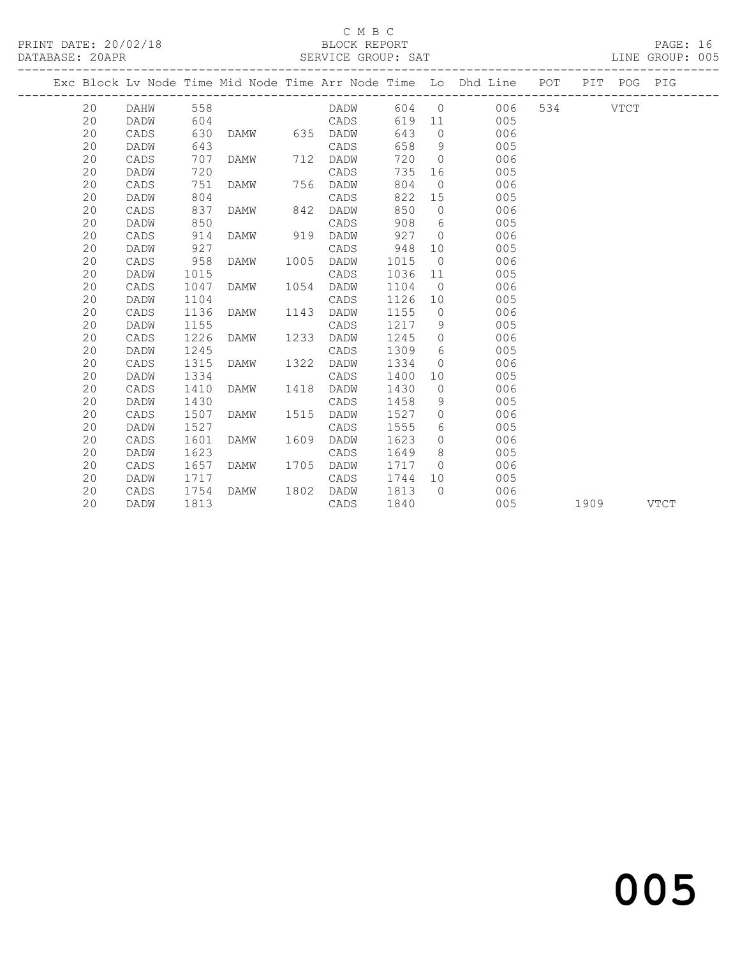#### C M B C<br>BLOCK REPORT

| DATABASE: 20APR |    |      |      |      |      | SERVICE GROUP: SAT |      |                 |                                                                                |     |      | LINE GROUP: 005 |  |
|-----------------|----|------|------|------|------|--------------------|------|-----------------|--------------------------------------------------------------------------------|-----|------|-----------------|--|
|                 |    |      |      |      |      |                    |      |                 | Exc Block Lv Node Time Mid Node Time Arr Node Time Lo Dhd Line POT PIT POG PIG |     |      |                 |  |
|                 | 20 | DAHW | 558  |      |      | DADW               |      |                 | 604 0<br>006                                                                   | 534 | VTCT |                 |  |
|                 | 20 | DADW | 604  |      |      | CADS               | 619  | 11              | 005                                                                            |     |      |                 |  |
|                 | 20 | CADS | 630  | DAMW |      | 635 DADW           | 643  | $\overline{0}$  | 006                                                                            |     |      |                 |  |
|                 | 20 | DADW | 643  |      |      | CADS               | 658  | 9               | 005                                                                            |     |      |                 |  |
|                 | 20 | CADS | 707  | DAMW | 712  | DADW               | 720  | $\overline{0}$  | 006                                                                            |     |      |                 |  |
|                 | 20 | DADW | 720  |      |      | CADS               | 735  | 16              | 005                                                                            |     |      |                 |  |
|                 | 20 | CADS | 751  | DAMW | 756  | DADW               | 804  | $\overline{0}$  | 006                                                                            |     |      |                 |  |
|                 | 20 | DADW | 804  |      |      | CADS               | 822  | 15              | 005                                                                            |     |      |                 |  |
|                 | 20 | CADS | 837  | DAMW | 842  | DADW               | 850  | $\circ$         | 006                                                                            |     |      |                 |  |
|                 | 20 | DADW | 850  |      |      | CADS               | 908  | 6               | 005                                                                            |     |      |                 |  |
|                 | 20 | CADS | 914  | DAMW | 919  | DADW               | 927  | $\bigcirc$      | 006                                                                            |     |      |                 |  |
|                 | 20 | DADW | 927  |      |      | CADS               | 948  | 10              | 005                                                                            |     |      |                 |  |
|                 | 20 | CADS | 958  | DAMW | 1005 | DADW               | 1015 | $\overline{0}$  | 006                                                                            |     |      |                 |  |
|                 | 20 | DADW | 1015 |      |      | CADS               | 1036 | 11              | 005                                                                            |     |      |                 |  |
|                 | 20 | CADS | 1047 | DAMW | 1054 | DADW               | 1104 | $\overline{0}$  | 006                                                                            |     |      |                 |  |
|                 | 20 | DADW | 1104 |      |      | CADS               | 1126 | 10              | 005                                                                            |     |      |                 |  |
|                 | 20 | CADS | 1136 | DAMW | 1143 | DADW               | 1155 | $\overline{0}$  | 006                                                                            |     |      |                 |  |
|                 | 20 | DADW | 1155 |      |      | CADS               | 1217 | 9               | 005                                                                            |     |      |                 |  |
|                 | 20 | CADS | 1226 | DAMW | 1233 | DADW               | 1245 | $\circ$         | 006                                                                            |     |      |                 |  |
|                 | 20 | DADW | 1245 |      |      | CADS               | 1309 | 6               | 005                                                                            |     |      |                 |  |
|                 | 20 | CADS | 1315 | DAMW | 1322 | DADW               | 1334 | $\overline{0}$  | 006                                                                            |     |      |                 |  |
|                 | 20 | DADW | 1334 |      |      | CADS               | 1400 | 10 <sup>°</sup> | 005                                                                            |     |      |                 |  |
|                 | 20 | CADS | 1410 | DAMW | 1418 | DADW               | 1430 | $\overline{0}$  | 006                                                                            |     |      |                 |  |
|                 | 20 | DADW | 1430 |      |      | CADS               | 1458 | 9               | 005                                                                            |     |      |                 |  |
|                 | 20 | CADS | 1507 | DAMW | 1515 | DADW               | 1527 | $\circ$         | 006                                                                            |     |      |                 |  |
|                 | 20 | DADW | 1527 |      |      | CADS               | 1555 | 6               | 005                                                                            |     |      |                 |  |
|                 | 20 | CADS | 1601 | DAMW | 1609 | DADW               | 1623 | $\circ$         | 006                                                                            |     |      |                 |  |
|                 | 20 | DADW | 1623 |      |      | CADS               | 1649 | 8               | 005                                                                            |     |      |                 |  |
|                 | 20 | CADS | 1657 | DAMW | 1705 | DADW               | 1717 | $\Omega$        | 006                                                                            |     |      |                 |  |
|                 | 20 | DADW | 1717 |      |      | CADS               | 1744 | 10              | 005                                                                            |     |      |                 |  |

20 CADS 1754 DAMW 1802 DADW 1813 0 006

20 DADW 1813 CADS 1840 005 1909 VTCT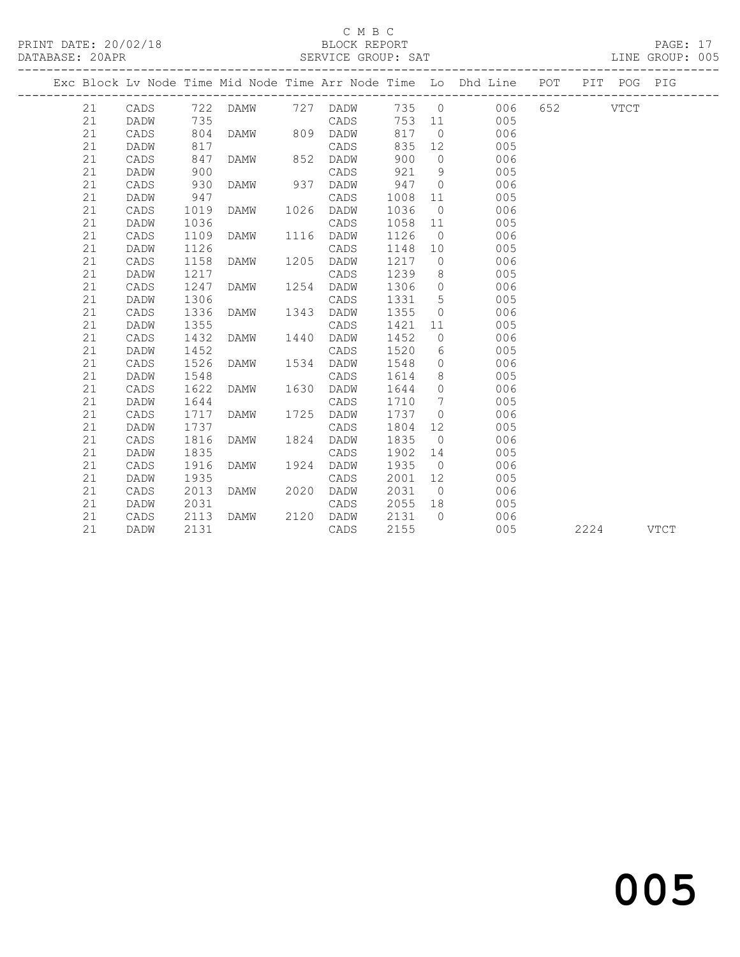### C M B C<br>BLOCK REPORT

|    |      |      |               |      | PRINT DATE: 20/02/18 BLOCK REPORT DATABASE: 20APR SERVICE GROUP: SAT |      |                 |                                                                                |              |  | PAGE: 17<br>LINE GROUP: 005 |  |
|----|------|------|---------------|------|----------------------------------------------------------------------|------|-----------------|--------------------------------------------------------------------------------|--------------|--|-----------------------------|--|
|    |      |      |               |      |                                                                      |      |                 | Exc Block Lv Node Time Mid Node Time Arr Node Time Lo Dhd Line POT PIT POG PIG |              |  |                             |  |
| 21 |      |      |               |      | CADS 722 DAMW 727 DADW 735 0                                         |      |                 |                                                                                | 006 652 VTCT |  |                             |  |
| 21 | DADW | 735  |               |      | CADS                                                                 |      |                 | 753 11<br>005                                                                  |              |  |                             |  |
| 21 | CADS | 804  | DAMW 809      |      | DADW                                                                 | 817  |                 | 006<br>$\Omega$                                                                |              |  |                             |  |
| 21 | DADW | 817  |               |      | CADS                                                                 | 835  | 12              | 005                                                                            |              |  |                             |  |
| 21 | CADS | 847  | DAMW 852      |      | DADW                                                                 | 900  | $\overline{0}$  | 006                                                                            |              |  |                             |  |
| 21 | DADW | 900  |               |      | CADS                                                                 | 921  |                 | 9<br>005                                                                       |              |  |                             |  |
| 21 | CADS | 930  | DAMW 937 DADW |      |                                                                      | 947  | $\overline{0}$  | 006                                                                            |              |  |                             |  |
| 21 | DADW | 947  |               |      | CADS                                                                 | 1008 | 11              | 005                                                                            |              |  |                             |  |
| 21 | CADS | 1019 | DAMW          | 1026 | DADW                                                                 | 1036 | $\bigcirc$      | 006                                                                            |              |  |                             |  |
| 21 | DADW | 1036 |               |      | CADS                                                                 | 1058 | 11              | 005                                                                            |              |  |                             |  |
| 21 | CADS | 1109 | DAMW          |      | 1116 DADW                                                            | 1126 |                 | $\overline{0}$<br>006                                                          |              |  |                             |  |
| 21 | DADW | 1126 |               |      | CADS                                                                 | 1148 | 10              | 005                                                                            |              |  |                             |  |
| 21 | CADS | 1158 | DAMW          | 1205 | DADW                                                                 | 1217 | $\Omega$        | 006                                                                            |              |  |                             |  |
| 21 | DADW | 1217 |               |      | CADS                                                                 | 1239 | 8               | 005                                                                            |              |  |                             |  |
| 21 | CADS | 1247 | DAMW          | 1254 | DADW                                                                 | 1306 | $\Omega$        | 006                                                                            |              |  |                             |  |
| 21 | DADW | 1306 |               |      | CADS                                                                 | 1331 |                 | $5^{\circ}$<br>005                                                             |              |  |                             |  |
| 21 | CADS | 1336 | DAMW          | 1343 | DADW                                                                 | 1355 | $\bigcirc$      | 006                                                                            |              |  |                             |  |
| 21 | DADW | 1355 |               |      | CADS                                                                 | 1421 | 11              | 005                                                                            |              |  |                             |  |
| 21 | CADS | 1432 | DAMW          | 1440 | DADW                                                                 | 1452 | $\Omega$        | 006                                                                            |              |  |                             |  |
| 21 | DADW | 1452 |               |      | CADS                                                                 | 1520 |                 | 005<br>6                                                                       |              |  |                             |  |
| 21 | CADS | 1526 | DAMW          | 1534 | DADW                                                                 | 1548 |                 | 006<br>$\Omega$                                                                |              |  |                             |  |
| 21 | DADW | 1548 |               |      | CADS                                                                 | 1614 | 8               | 005                                                                            |              |  |                             |  |
| 21 | CADS | 1622 | DAMW          | 1630 | DADW                                                                 | 1644 | $\Omega$        | 006                                                                            |              |  |                             |  |
| 21 | DADW | 1644 |               |      | CADS                                                                 | 1710 | $\overline{7}$  | 005                                                                            |              |  |                             |  |
| 21 | CADS | 1717 | DAMW          |      | 1725 DADW                                                            | 1737 | $\Omega$        | 006                                                                            |              |  |                             |  |
| 21 | DADW | 1737 |               |      | CADS                                                                 | 1804 | 12 <sup>°</sup> | 005                                                                            |              |  |                             |  |

21 CADS 1816 DAMW 1824 DADW 1835 0 006

21 CADS 2013 DAMW 2020 DADW 2031 0 006

21 CADS 2113 DAMW 2120 DADW 2131 0 006

21 DADW 2131 CADS 2155 005 2224 VTCT

 21 DADW 1835 CADS 1902 14 005 21 CADS 1916 DAMW 1924 DADW 1935 0 006 21 DADW 1935 CADS 2001 12 005

21 DADW 2031 CADS 2055 18 005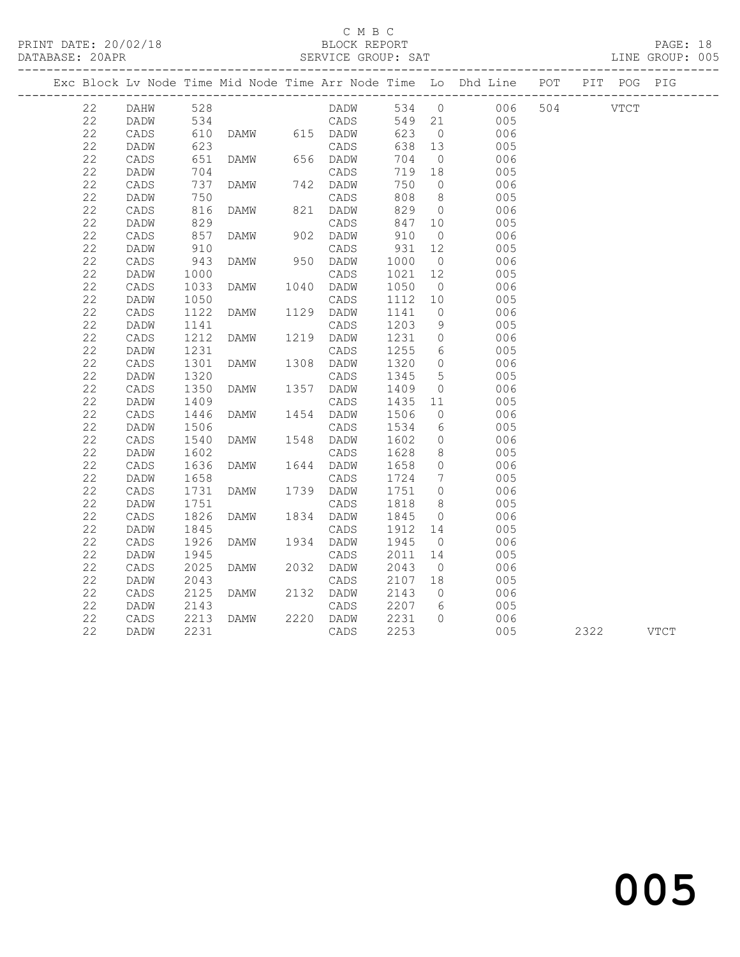#### C M B C<br>BLOCK REPORT

| DATABASE: 20APR |                 |                                 |               |      | SERVICE GROUP: SAT |      |                              |                                                                                |              |      | LINE GROUP: 005 |
|-----------------|-----------------|---------------------------------|---------------|------|--------------------|------|------------------------------|--------------------------------------------------------------------------------|--------------|------|-----------------|
|                 |                 |                                 |               |      |                    |      |                              | Exc Block Lv Node Time Mid Node Time Arr Node Time Lo Dhd Line POT PIT POG PIG |              |      |                 |
| 22              | DAHW            | 528                             |               |      |                    |      | 534 0                        |                                                                                | 006 504 VTCT |      |                 |
| 22              | DADW            | 534                             |               |      | LADN<br>CADS       |      | $549$ 21                     | 005                                                                            |              |      |                 |
| 22              | CADS            | 610<br>623<br>651<br>704<br>737 | DAMW 615 DADW |      |                    | 623  | $\overline{0}$               | 006                                                                            |              |      |                 |
| 22              | DADW            |                                 |               |      | CADS               | 638  | 13                           | 005                                                                            |              |      |                 |
| 22              | CADS            |                                 | DAMW 656 DADW |      |                    | 704  | $\overline{0}$               | 006                                                                            |              |      |                 |
| 22              | DADW            |                                 |               |      | CADS               | 719  | 18                           | 005                                                                            |              |      |                 |
| 22              | CADS            |                                 | DAMW          |      | 742 DADW           | 750  | $\overline{0}$               | 006                                                                            |              |      |                 |
| 22              | DADW            | 750                             |               |      | CADS               | 808  | 8 <sup>8</sup>               | 005                                                                            |              |      |                 |
| 22              | CADS            | 816<br>829                      | DAMW          |      | 821 DADW           | 829  | $\overline{0}$               | 006                                                                            |              |      |                 |
| 22              | DADW            |                                 |               |      | CADS               | 847  | 10                           | 005                                                                            |              |      |                 |
| 22              | CADS            | 857                             | DAMW          |      | 902 DADW           | 910  | $\overline{0}$               | 006                                                                            |              |      |                 |
| 22              | DADW            | 910<br>943                      |               |      | CADS               | 931  | 12                           | 005                                                                            |              |      |                 |
| 22              | CADS            |                                 | DAMW          |      | 950 DADW           | 1000 | $\overline{0}$               | 006                                                                            |              |      |                 |
| 22              | DADW            | 1000                            |               |      | CADS               | 1021 | 12 <sup>°</sup>              | 005                                                                            |              |      |                 |
| 22              | $\mathtt{CADS}$ | 1033                            | DAMW          |      | 1040 DADW          | 1050 | $\overline{0}$               | 006                                                                            |              |      |                 |
| 22              | DADW            | 1050                            |               |      | CADS               | 1112 | 10                           | 005                                                                            |              |      |                 |
| 22              | $\mathtt{CADS}$ | 1122                            | DAMW          |      | 1129 DADW          | 1141 | $\overline{0}$               | 006                                                                            |              |      |                 |
| 22              | DADW            | 1141                            |               |      | CADS               | 1203 | 9 <sup>°</sup>               | 005                                                                            |              |      |                 |
| 22              | CADS            | 1212                            | DAMW          |      | 1219 DADW          | 1231 | $\overline{0}$               | 006                                                                            |              |      |                 |
| 22              | DADW            | 1231                            |               |      | CADS               | 1255 | 6                            | 005                                                                            |              |      |                 |
| 22              | CADS            | 1301                            | DAMW          |      | 1308 DADW          | 1320 | $\overline{0}$               | 006                                                                            |              |      |                 |
| 22              | DADW            | 1320                            |               |      | CADS               | 1345 | 5                            | 005                                                                            |              |      |                 |
| 22              | CADS            | 1350                            | DAMW          |      | 1357 DADW          | 1409 | $\overline{0}$               | 006                                                                            |              |      |                 |
| 22              | DADW            | 1409                            |               |      | CADS               | 1435 | 11                           | 005                                                                            |              |      |                 |
| 22              | CADS            | 1446                            | DAMW          |      | 1454 DADW          | 1506 | $\overline{0}$               | 006                                                                            |              |      |                 |
| 22              | DADW            | 1506                            |               |      | CADS               | 1534 | 6                            | 005                                                                            |              |      |                 |
| 22              | $\mathtt{CADS}$ | 1540                            | <b>DAMW</b>   |      | 1548 DADW          | 1602 | $\overline{0}$               | 006                                                                            |              |      |                 |
| 22              | DADW            | 1602                            |               |      | CADS               | 1628 | 8 <sup>8</sup>               | 005                                                                            |              |      |                 |
| 22              | $\mathtt{CADS}$ | 1636                            | DAMW          |      | 1644 DADW          | 1658 | $\overline{0}$               | 006                                                                            |              |      |                 |
| 22              | DADW            | 1658                            |               |      | CADS               | 1724 | $7\phantom{.0}\phantom{.0}7$ | 005                                                                            |              |      |                 |
| 22              | CADS            | 1731                            | DAMW          |      | 1739 DADW          | 1751 | $\overline{0}$               | 006                                                                            |              |      |                 |
| 22              | DADW            | 1751                            |               |      | CADS               | 1818 | 8 <sup>1</sup>               | 005                                                                            |              |      |                 |
| 22              | CADS            | 1826                            | DAMW          | 1834 | DADW               | 1845 | $\overline{0}$               | 006                                                                            |              |      |                 |
| 22              | DADW            | 1845                            |               |      | CADS               | 1912 | 14                           | 005                                                                            |              |      |                 |
| 22              | CADS            | 1926                            | DAMW          | 1934 | DADW               | 1945 | $\overline{0}$               | 006                                                                            |              |      |                 |
| 22              | DADW            | 1945                            |               |      | CADS               | 2011 | 14                           | 005                                                                            |              |      |                 |
| 22              | CADS            | 2025                            | DAMW          |      | 2032 DADW          | 2043 | $\overline{0}$               | 006                                                                            |              |      |                 |
| 22              | DADW            | 2043                            |               |      | CADS               | 2107 | 18                           | 005                                                                            |              |      |                 |
| 22              | CADS            | 2125                            | DAMW          |      | 2132 DADW          | 2143 | $\overline{0}$               | 006                                                                            |              |      |                 |
| 22              | DADW            | 2143                            |               |      | CADS               | 2207 | $6\overline{6}$              | 005                                                                            |              |      |                 |
| 22              | CADS            | 2213                            | DAMW          |      | 2220 DADW          | 2231 | $\Omega$                     | 006                                                                            |              |      |                 |
| 22              | DADW            | 2231                            |               |      | CADS               | 2253 |                              | 005                                                                            |              | 2322 | VTCT            |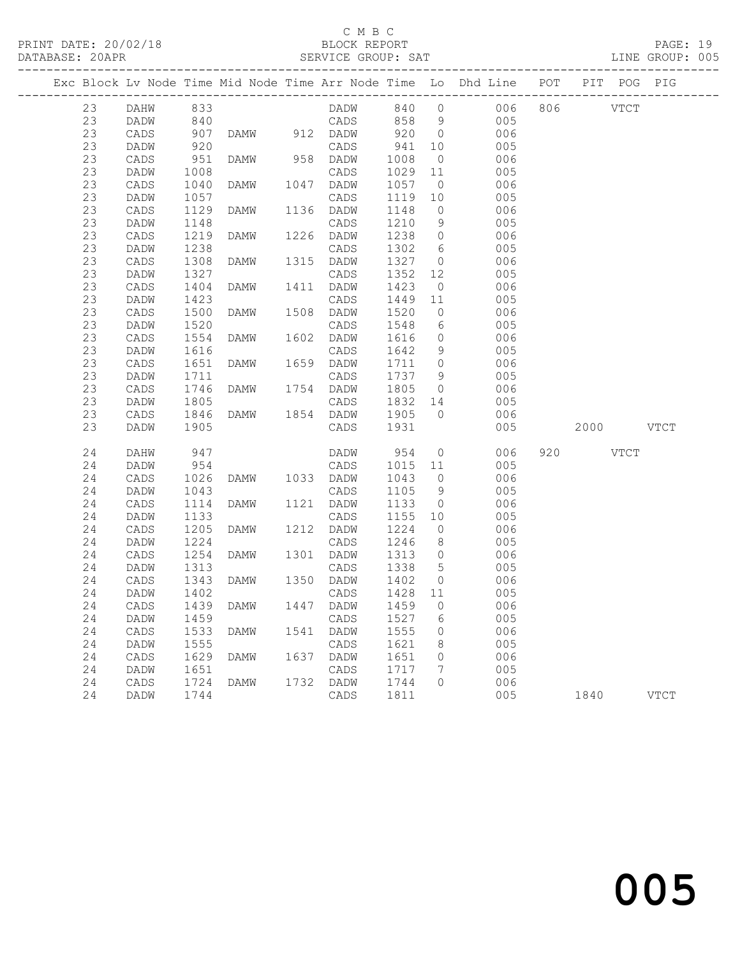### C M B C

|  | DATABASE: 20APR |          |                   | --------------------------- |      |           |         |                 | SERVICE GROUP: SAT                                                             |           | LINE GROUP: 005 |  |
|--|-----------------|----------|-------------------|-----------------------------|------|-----------|---------|-----------------|--------------------------------------------------------------------------------|-----------|-----------------|--|
|  |                 |          |                   |                             |      |           |         |                 | Exc Block Lv Node Time Mid Node Time Arr Node Time Lo Dhd Line POT PIT POG PIG |           |                 |  |
|  | 23              | DAHW 833 |                   |                             |      |           |         |                 | DADW 840 0 006 806 VTCT                                                        |           |                 |  |
|  | 23              | DADW     | 840               |                             |      |           |         |                 | CADS 858 9 005                                                                 |           |                 |  |
|  | 23              | CADS     | 907<br>920<br>951 |                             |      |           |         |                 | DAMW 912 DADW 920 0 006                                                        |           |                 |  |
|  | 23              | DADW     |                   |                             |      | CADS      | 941     | 10              | 005                                                                            |           |                 |  |
|  | 23              | CADS     |                   | DAMW 958 DADW               |      |           | 1008    |                 | $\overline{0}$<br>006                                                          |           |                 |  |
|  | 23              | DADW     | 1008              |                             |      | CADS      | 1029    |                 | 11<br>005                                                                      |           |                 |  |
|  | 23              | CADS     | 1040              | <b>DAMW</b>                 |      | 1047 DADW | 1057    | $\overline{0}$  | 006                                                                            |           |                 |  |
|  | 23              | DADW     | 1057              |                             |      | CADS      | 1119 10 |                 | 005                                                                            |           |                 |  |
|  | 23              | CADS     | 1129              | <b>DAMW</b>                 |      | 1136 DADW | 1148    | $\overline{0}$  | 006                                                                            |           |                 |  |
|  | 23              | DADW     | 1148              |                             |      | CADS      | 1210    | 9               | 005                                                                            |           |                 |  |
|  | 23              | CADS     | 1219              | <b>DAMW</b>                 |      | 1226 DADW | 1238    | $\overline{0}$  | 006                                                                            |           |                 |  |
|  | 23              | DADW     | 1238              |                             |      | CADS      | 1302    | $6\overline{6}$ | 005                                                                            |           |                 |  |
|  | 23              | CADS     | 1308              | DAMW                        |      | 1315 DADW | 1327    | $\overline{0}$  | 006                                                                            |           |                 |  |
|  | 23              | DADW     | 1327              |                             |      | CADS      | 1352    |                 | 12<br>005                                                                      |           |                 |  |
|  | 23              | CADS     | 1404              | DAMW                        |      | 1411 DADW | 1423    |                 | $\overline{0}$<br>006                                                          |           |                 |  |
|  | 23              | DADW     | 1423              |                             |      | CADS      | 1449    | 11              | 005                                                                            |           |                 |  |
|  | 23              | CADS     | 1500              | DAMW                        |      | 1508 DADW | 1520    | $\overline{0}$  | 006                                                                            |           |                 |  |
|  | 23              | DADW     | 1520              |                             |      | CADS      | 1548    | $6\overline{6}$ | 005                                                                            |           |                 |  |
|  | 23              | CADS     | 1554              | DAMW                        | 1602 | DADW      | 1616    |                 | $\overline{0}$<br>006                                                          |           |                 |  |
|  | 23              | DADW     | 1616              |                             |      | CADS      | 1642    | 9               | 005                                                                            |           |                 |  |
|  | 23              | CADS     | 1651              | <b>DAMW</b>                 |      | 1659 DADW | 1711 0  |                 | 006                                                                            |           |                 |  |
|  | 23              | DADW     | 1711              |                             |      | CADS      | 1737    | 9               | 005                                                                            |           |                 |  |
|  | 23              | CADS     | 1746              | DAMW 1754 DADW              |      |           | 1805    |                 | $\overline{0}$<br>006                                                          |           |                 |  |
|  | 23              | DADW     | 1805              |                             |      |           | 1832 14 |                 | 005                                                                            |           |                 |  |
|  | 23              | CADS     | 1846              |                             |      |           | 1905 0  |                 | 006                                                                            |           |                 |  |
|  | 23              | DADW     | 1905              |                             |      | CADS      | 1931    |                 | 005                                                                            | 2000 VTCT |                 |  |
|  | 24              | DAHW     | 947               |                             |      | DADW      | 954     | $\overline{O}$  | 006                                                                            | 920 VTCT  |                 |  |
|  | 24              | DADW     | 954               |                             |      | CADS      | 1015 11 |                 | 005                                                                            |           |                 |  |
|  | 24              | CADS     | 1026              | DAMW 1033 DADW              |      |           | 1043    | $\overline{0}$  | 006                                                                            |           |                 |  |
|  | 24              | DADW     | 1043              |                             |      | CADS      | 1105    |                 | 9<br>005                                                                       |           |                 |  |
|  | 24              | CADS     | 1114              | DAMW                        |      | 1121 DADW | 1133    | $\overline{0}$  | 006                                                                            |           |                 |  |
|  | 24              | DADW     | 1133              |                             |      | CADS      | 1155    | 10              | 005                                                                            |           |                 |  |
|  | 24              | CADS     | 1205              | DAMW                        |      | 1212 DADW | 1224    | $\overline{0}$  | 006                                                                            |           |                 |  |
|  | 24              | DADW     | 1224              |                             |      | CADS      | 1246    |                 | 8<br>005                                                                       |           |                 |  |
|  | 24              | CADS     | 1254              | <b>DAMW</b>                 |      | 1301 DADW | 1313    |                 | $\overline{O}$<br>006                                                          |           |                 |  |
|  | 24              | DADW     | 1313<br>1343      |                             |      | CADS      | 1338 5  |                 | 005                                                                            |           |                 |  |
|  | 24              | CADS     |                   | DAMW 1350 DADW              |      |           | 1402    | $\overline{0}$  | 006                                                                            |           |                 |  |
|  |                 |          |                   |                             |      |           |         |                 | 24 DADW 1402 CADS 1428 11 005                                                  |           |                 |  |
|  | 24              | CADS     | 1439              | DAMW                        | 1447 | DADW      | 1459    | $\mathbf{0}$    | 006                                                                            |           |                 |  |
|  | 24              | DADW     | 1459              |                             |      | CADS      | 1527    | 6               | 005                                                                            |           |                 |  |
|  | 24              | CADS     | 1533              | DAMW                        |      | 1541 DADW | 1555    | 0               | 006                                                                            |           |                 |  |
|  | 24              | DADW     | 1555              |                             |      | CADS      | 1621    | 8               | 005                                                                            |           |                 |  |
|  | 24              | CADS     | 1629              | <b>DAMW</b>                 | 1637 | DADW      | 1651    | 0               | 006                                                                            |           |                 |  |
|  | 24              | DADW     | 1651              |                             |      | CADS      | 1717    | 7               | 005                                                                            |           |                 |  |
|  | 24              | CADS     | 1724              | DAMW                        |      | 1732 DADW | 1744    | $\circ$         | 006                                                                            |           |                 |  |
|  | 24              | DADW     | 1744              |                             |      | CADS      | 1811    |                 | 005                                                                            | 1840      | <b>VTCT</b>     |  |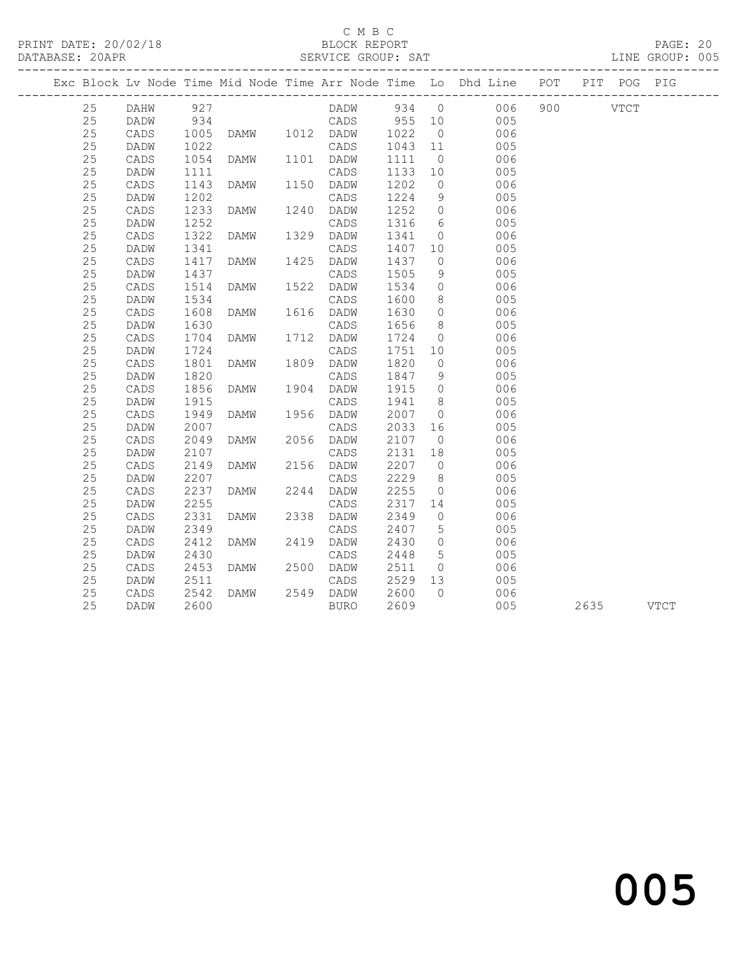#### C M B C<br>BLOCK REPORT

|    |      |      |                        |                   |                      |                 | Exc Block Lv Node Time Mid Node Time Arr Node Time Lo Dhd Line POT PIT POG PIG |               |          |  |
|----|------|------|------------------------|-------------------|----------------------|-----------------|--------------------------------------------------------------------------------|---------------|----------|--|
| 25 |      |      |                        | DADW 934 0        |                      |                 | 006                                                                            |               | 900 VTCT |  |
| 25 |      |      |                        |                   |                      |                 | 005<br>10 005<br>0 006                                                         |               |          |  |
| 25 |      |      |                        |                   |                      |                 |                                                                                |               |          |  |
| 25 | DADW |      |                        |                   | 1043<br>1111         |                 | 11 005                                                                         |               |          |  |
| 25 | CADS |      |                        |                   |                      | $\overline{0}$  | 006                                                                            |               |          |  |
| 25 | DADW | 1111 |                        | CADS              | 1133 10              |                 | 005                                                                            |               |          |  |
| 25 | CADS | 1143 | DAMW 1150 DADW         |                   | 1202                 | $\overline{0}$  | 006                                                                            |               |          |  |
| 25 | DADW | 1202 |                        | CADS              | 1224                 | 9               | 005                                                                            |               |          |  |
| 25 | CADS | 1233 | DAMW 1240 DADW         |                   | 1252                 | $\overline{0}$  | 006                                                                            |               |          |  |
| 25 | DADW | 1252 | CADS<br>DAMW 1329 DADW |                   | 1316                 |                 | $6 \t 005$                                                                     |               |          |  |
| 25 | CADS | 1322 |                        |                   | 1341                 | $\overline{0}$  | 006                                                                            |               |          |  |
| 25 | DADW | 1341 |                        | CADS              | 1407 10              |                 | 005                                                                            |               |          |  |
| 25 | CADS | 1417 | DAMW 1425 DADW         |                   | 1437                 | $\circ$         | 006                                                                            |               |          |  |
| 25 | DADW | 1437 |                        | CADS              | 1505                 | 9               | 005                                                                            |               |          |  |
| 25 | CADS | 1514 | DAMW 1522 DADW         |                   | 1534                 | $\overline{0}$  | 006                                                                            |               |          |  |
| 25 | DADW | 1534 |                        |                   | 1600                 |                 | $\begin{array}{c} 8 \\ 0 \end{array}$<br>005                                   |               |          |  |
| 25 | CADS | 1608 |                        |                   | 1630                 |                 | 006                                                                            |               |          |  |
| 25 | DADW | 1630 |                        | CADS              | 1656                 | 8 <sup>8</sup>  | 005                                                                            |               |          |  |
| 25 | CADS | 1704 | DAMW 1712 DADW         |                   | 1724                 |                 | 006<br>$\begin{array}{c} 0 \\ 10 \end{array}$                                  |               |          |  |
| 25 | DADW | 1724 |                        | CADS              | 1751 10              |                 | 005                                                                            |               |          |  |
| 25 | CADS | 1801 | DAMW                   | 1809 DADW         | 1820                 | $\overline{0}$  | 006                                                                            |               |          |  |
| 25 | DADW | 1820 |                        |                   | 1847<br>1915         | 9               | 005                                                                            |               |          |  |
| 25 | CADS | 1856 |                        |                   |                      | $\overline{0}$  | 006                                                                            |               |          |  |
| 25 | DADW | 1915 |                        | CADS              | 1941                 | 8 <sup>8</sup>  | 005                                                                            |               |          |  |
| 25 | CADS | 1949 | DAMW 1956 DADW         |                   | 2007<br>2033         | $\overline{0}$  | 006                                                                            |               |          |  |
| 25 | DADW | 2007 |                        | CADS              |                      | 16              | 005                                                                            |               |          |  |
| 25 | CADS | 2049 | DAMW                   | 2056 DADW         | 2107                 | $\overline{0}$  | 006                                                                            |               |          |  |
| 25 | DADW | 2107 | DAMW 2156 DADW         | CADS              | 2131<br>2131<br>2207 | 18              | 005<br>$\overline{0}$                                                          |               |          |  |
| 25 | CADS | 2149 |                        |                   |                      |                 | 006                                                                            |               |          |  |
| 25 | DADW | 2207 |                        | CADS              | 2229                 | 8 <sup>8</sup>  | 005                                                                            |               |          |  |
| 25 | CADS | 2237 | DAMW                   | 2244 DADW         | 2255<br>2317         | $\overline{0}$  | 006                                                                            |               |          |  |
| 25 | DADW | 2255 |                        | CADS              |                      | 14              | 005                                                                            |               |          |  |
| 25 | CADS | 2331 | DAMW                   | 2338 DADW         | 2349                 | $\circ$         | 006                                                                            |               |          |  |
| 25 | DADW | 2349 |                        | CADS<br>2419 DADW | 2407<br>2430         | 5 <sup>5</sup>  | 005                                                                            |               |          |  |
| 25 | CADS |      | 2412 DAMW              |                   |                      | $\overline{0}$  | 006                                                                            |               |          |  |
| 25 | DADW | 2430 |                        | CADS              | 2448                 | $5\overline{)}$ | 005                                                                            |               |          |  |
| 25 | CADS | 2453 | DAMW 2500 DADW<br>CADS |                   | 2511                 | $\overline{0}$  | 006                                                                            |               |          |  |
| 25 | DADW | 2511 |                        |                   | 2529 13              |                 | 005                                                                            |               |          |  |
| 25 | CADS | 2542 | DAMW                   | 2549 DADW         | 2600                 | $\bigcap$       | 006                                                                            |               |          |  |
| 25 | DADW | 2600 |                        | BURO              | 2609                 |                 |                                                                                | 005 2635 VTCT |          |  |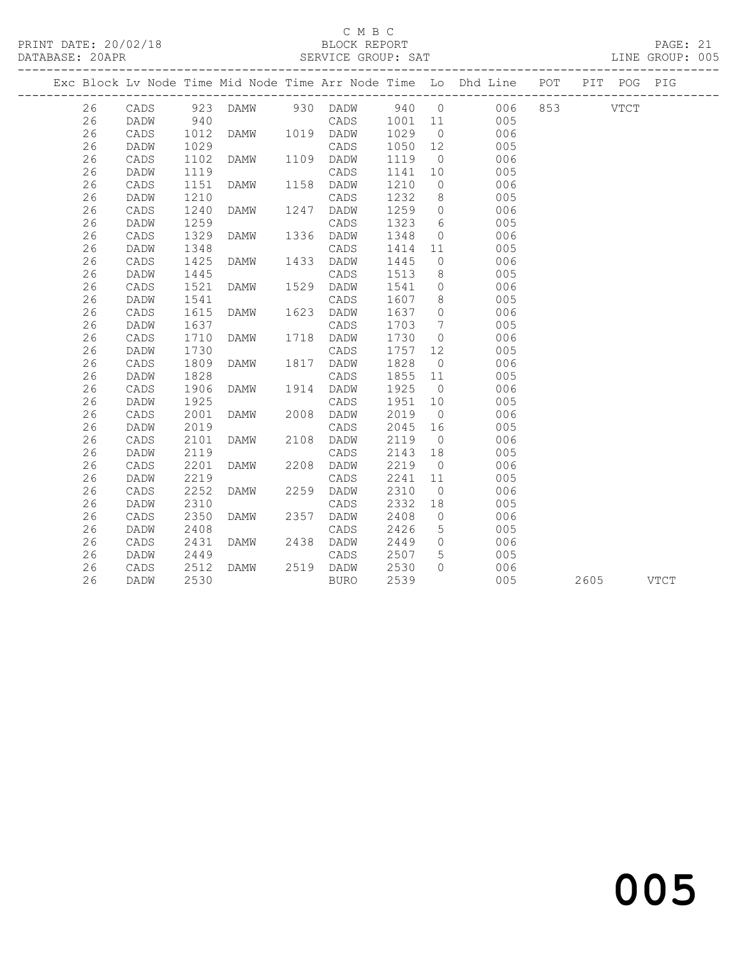#### C M B C<br>BLOCK REPORT

PRINT DATE: 20/02/18 BLOCK REPORT PAGE: 21 SERVICE GROUP: SAT ------------------------------------------------------------------------------------------------- Exc Block Lv Node Time Mid Node Time Arr Node Time Lo Dhd Line POT PIT POG PIG ------------------------------------------------------------------------------------------------- 26 DADW 940 CADS 1001 11 005

| 26 | CADS | 923  | <b>DAMW</b> | 930  | DADW        | 940  | $\circ$        | 006 | 853 | <b>VTCT</b> |             |  |
|----|------|------|-------------|------|-------------|------|----------------|-----|-----|-------------|-------------|--|
| 26 | DADW | 940  |             |      | CADS        | 1001 | 11             | 005 |     |             |             |  |
| 26 | CADS | 1012 | <b>DAMW</b> | 1019 | DADW        | 1029 | $\circledcirc$ | 006 |     |             |             |  |
| 26 | DADW | 1029 |             |      | CADS        | 1050 | 12             | 005 |     |             |             |  |
| 26 | CADS | 1102 | <b>DAMW</b> | 1109 | DADW        | 1119 | $\circ$        | 006 |     |             |             |  |
| 26 | DADW | 1119 |             |      | CADS        | 1141 | 10             | 005 |     |             |             |  |
| 26 | CADS | 1151 | <b>DAMW</b> | 1158 | DADW        | 1210 | 0              | 006 |     |             |             |  |
| 26 | DADW | 1210 |             |      | CADS        | 1232 | 8              | 005 |     |             |             |  |
| 26 | CADS | 1240 | <b>DAMW</b> | 1247 | DADW        | 1259 | $\circ$        | 006 |     |             |             |  |
| 26 | DADW | 1259 |             |      | CADS        | 1323 | 6              | 005 |     |             |             |  |
| 26 | CADS | 1329 | <b>DAMW</b> | 1336 | DADW        | 1348 | $\circ$        | 006 |     |             |             |  |
| 26 | DADW | 1348 |             |      | CADS        | 1414 | 11             | 005 |     |             |             |  |
| 26 | CADS | 1425 | <b>DAMW</b> | 1433 | DADW        | 1445 | $\circ$        | 006 |     |             |             |  |
| 26 | DADW | 1445 |             |      | CADS        | 1513 | 8              | 005 |     |             |             |  |
| 26 | CADS | 1521 | <b>DAMW</b> | 1529 | DADW        | 1541 | 0              | 006 |     |             |             |  |
| 26 | DADW | 1541 |             |      | CADS        | 1607 | 8              | 005 |     |             |             |  |
| 26 | CADS | 1615 | <b>DAMW</b> | 1623 | DADW        | 1637 | 0              | 006 |     |             |             |  |
| 26 | DADW | 1637 |             |      | CADS        | 1703 | 7              | 005 |     |             |             |  |
| 26 | CADS | 1710 | <b>DAMW</b> | 1718 | DADW        | 1730 | $\circ$        | 006 |     |             |             |  |
| 26 | DADW | 1730 |             |      | CADS        | 1757 | 12             | 005 |     |             |             |  |
| 26 | CADS | 1809 | <b>DAMW</b> | 1817 | DADW        | 1828 | $\circ$        | 006 |     |             |             |  |
| 26 | DADW | 1828 |             |      | CADS        | 1855 | 11             | 005 |     |             |             |  |
| 26 | CADS | 1906 | <b>DAMW</b> | 1914 | DADW        | 1925 | $\circ$        | 006 |     |             |             |  |
| 26 | DADW | 1925 |             |      | CADS        | 1951 | 10             | 005 |     |             |             |  |
| 26 | CADS | 2001 | <b>DAMW</b> | 2008 | DADW        | 2019 | $\circ$        | 006 |     |             |             |  |
| 26 | DADW | 2019 |             |      | CADS        | 2045 | 16             | 005 |     |             |             |  |
| 26 | CADS | 2101 | <b>DAMW</b> | 2108 | DADW        | 2119 | $\circ$        | 006 |     |             |             |  |
| 26 | DADW | 2119 |             |      | CADS        | 2143 | 18             | 005 |     |             |             |  |
| 26 | CADS | 2201 | <b>DAMW</b> | 2208 | DADW        | 2219 | $\circ$        | 006 |     |             |             |  |
| 26 | DADW | 2219 |             |      | CADS        | 2241 | 11             | 005 |     |             |             |  |
| 26 | CADS | 2252 | <b>DAMW</b> | 2259 | DADW        | 2310 | $\circ$        | 006 |     |             |             |  |
| 26 | DADW | 2310 |             |      | CADS        | 2332 | 18             | 005 |     |             |             |  |
| 26 | CADS | 2350 | <b>DAMW</b> | 2357 | DADW        | 2408 | 0              | 006 |     |             |             |  |
| 26 | DADW | 2408 |             |      | CADS        | 2426 | 5              | 005 |     |             |             |  |
| 26 | CADS | 2431 | <b>DAMW</b> | 2438 | DADW        | 2449 | $\circ$        | 006 |     |             |             |  |
| 26 | DADW | 2449 |             |      | CADS        | 2507 | 5              | 005 |     |             |             |  |
| 26 | CADS | 2512 | <b>DAMW</b> | 2519 | DADW        | 2530 | $\Omega$       | 006 |     |             |             |  |
| 26 | DADW | 2530 |             |      | <b>BURO</b> | 2539 |                | 005 |     | 2605        | <b>VTCT</b> |  |
|    |      |      |             |      |             |      |                |     |     |             |             |  |
|    |      |      |             |      |             |      |                |     |     |             |             |  |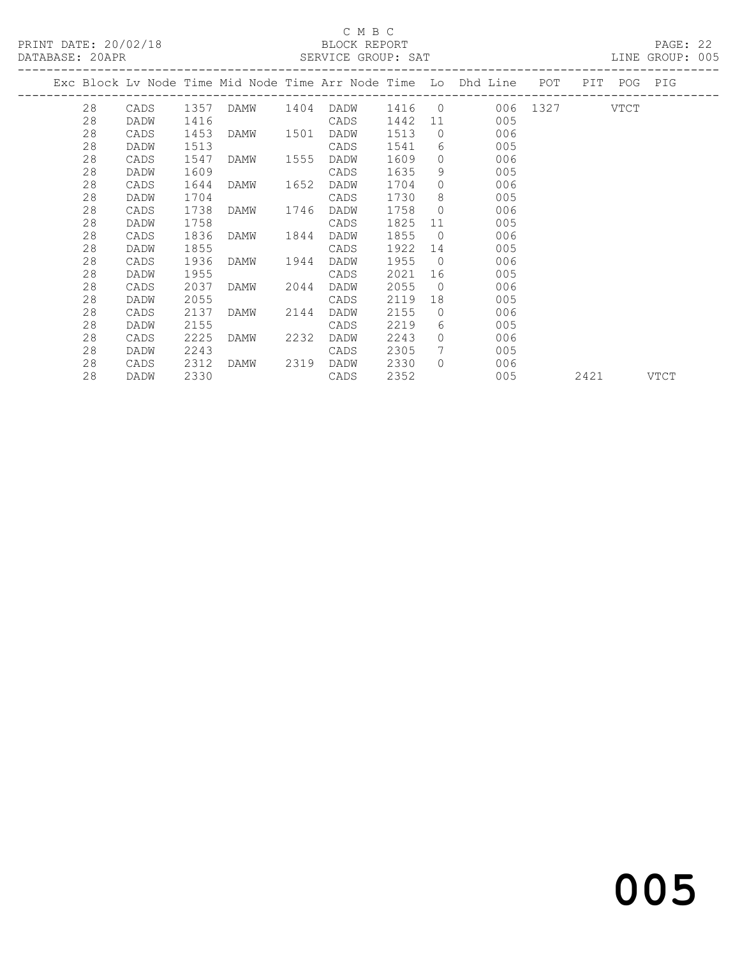### C M B C<br>BLOCK REPORT

PAGE: 22<br>LINE GROUP: 005

|  |    |      |      |           |      |      |      |                | Exc Block Lv Node Time Mid Node Time Arr Node Time Lo Dhd Line POT |      | PIT POG PIG |      |
|--|----|------|------|-----------|------|------|------|----------------|--------------------------------------------------------------------|------|-------------|------|
|  | 28 |      |      |           |      |      |      |                | CADS 1357 DAMW 1404 DADW 1416 0 006 1327 VTCT                      |      |             |      |
|  | 28 | DADW | 1416 |           |      | CADS | 1442 |                | 11 1<br>005                                                        |      |             |      |
|  | 28 | CADS | 1453 | DAMW 1501 |      | DADW | 1513 | $\overline{0}$ | 006                                                                |      |             |      |
|  | 28 | DADW | 1513 |           |      | CADS | 1541 |                | $6\degree$<br>005                                                  |      |             |      |
|  | 28 | CADS | 1547 | DAMW 1555 |      | DADW | 1609 | $\overline{0}$ | 006                                                                |      |             |      |
|  | 28 | DADW | 1609 |           |      | CADS | 1635 | 9              | 005                                                                |      |             |      |
|  | 28 | CADS | 1644 | DAMW      | 1652 | DADW | 1704 | $\overline{0}$ | 006                                                                |      |             |      |
|  | 28 | DADW | 1704 |           |      | CADS | 1730 | 8 <sup>8</sup> | 005                                                                |      |             |      |
|  | 28 | CADS | 1738 | DAMW 1746 |      | DADW | 1758 | $\overline{0}$ | 006                                                                |      |             |      |
|  | 28 | DADW | 1758 |           |      | CADS | 1825 | 11 —           | 005                                                                |      |             |      |
|  | 28 | CADS | 1836 | DAMW      | 1844 | DADW | 1855 | $\overline{0}$ | 006                                                                |      |             |      |
|  | 28 | DADW | 1855 |           |      | CADS | 1922 | 14             | 005                                                                |      |             |      |
|  | 28 | CADS | 1936 | DAMW      | 1944 | DADW | 1955 | $\overline{0}$ | 006                                                                |      |             |      |
|  | 28 | DADW | 1955 |           |      | CADS | 2021 | 16             | 005                                                                |      |             |      |
|  | 28 | CADS | 2037 | DAMW 2044 |      | DADW | 2055 | $\overline{0}$ | 006                                                                |      |             |      |
|  | 28 | DADW | 2055 |           |      | CADS | 2119 | 18             | 005                                                                |      |             |      |
|  | 28 | CADS | 2137 | DAMW      | 2144 | DADW | 2155 | $\circ$        | 006                                                                |      |             |      |
|  | 28 | DADW | 2155 |           |      | CADS | 2219 | 6              | 005                                                                |      |             |      |
|  | 28 | CADS | 2225 | DAMW      | 2232 | DADW | 2243 | $\Omega$       | 006                                                                |      |             |      |
|  | 28 | DADW | 2243 |           |      | CADS | 2305 | 7              | 005                                                                |      |             |      |
|  | 28 | CADS | 2312 | DAMW      | 2319 | DADW | 2330 | $\bigcap$      | 006                                                                |      |             |      |
|  | 28 | DADW | 2330 |           |      | CADS | 2352 |                | 005                                                                | 2421 |             | VTCT |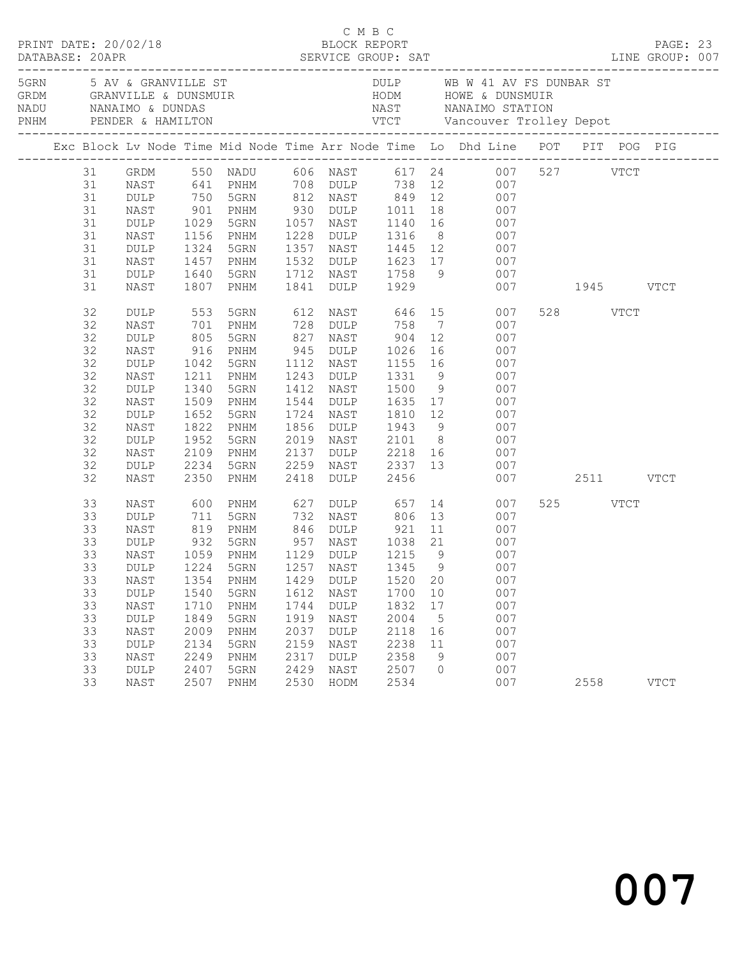|    |      |              |      |            |             |                 |                 | 5GRN 5 AV & GRANVILLE ST DULP WB W 41 AV FS DUNBAR ST<br>GRDM GRANVILLE & DUNSMUIR HODM HOWE & DUNSMUIR<br>NADU NANAIMO & DUNDAS NAST NANAIMO STATION<br>PNHM PENDER & HAMILTON VTCT Vancouver Trolley Depot |               |             |  |
|----|------|--------------|------|------------|-------------|-----------------|-----------------|--------------------------------------------------------------------------------------------------------------------------------------------------------------------------------------------------------------|---------------|-------------|--|
|    |      |              |      |            |             |                 |                 | Exc Block Lv Node Time Mid Node Time Arr Node Time Lo Dhd Line POT PIT POG PIG                                                                                                                               |               |             |  |
| 31 |      |              |      |            |             |                 |                 | GRDM 550 NADU 606 NAST 617 24 007 527 VTCT<br>NAST 641 PNHM 708 DULP 738 12 007<br>DULP 750 5GRN 812 NAST 849 12 007                                                                                         |               |             |  |
| 31 |      |              |      |            |             |                 |                 |                                                                                                                                                                                                              |               |             |  |
| 31 |      |              |      |            |             |                 |                 |                                                                                                                                                                                                              |               |             |  |
| 31 | NAST | 901          |      |            |             |                 |                 | PNHM 930 DULP 1011 18 007                                                                                                                                                                                    |               |             |  |
| 31 | DULP | 1029         | 5GRN |            |             |                 |                 | 1057 NAST 1140 16 007                                                                                                                                                                                        |               |             |  |
| 31 | NAST |              | PNHM |            |             |                 |                 |                                                                                                                                                                                                              |               |             |  |
| 31 | DULP | 1156<br>1324 | 5GRN |            |             |                 |                 | 1228 DULP 1316 8 007<br>1357 NAST 1445 12 007                                                                                                                                                                |               |             |  |
| 31 | NAST | 1457         | PNHM |            |             |                 |                 | 1532 DULP 1623 17 007                                                                                                                                                                                        |               |             |  |
| 31 | DULP | 1640         | 5GRN |            |             |                 |                 | 1712 NAST 1758 9 007                                                                                                                                                                                         |               |             |  |
| 31 | NAST | 1807         | PNHM |            | 1841 DULP   | 1929            |                 |                                                                                                                                                                                                              | 007 1945 VTCT |             |  |
| 32 | DULP | 553          | 5GRN |            |             | 612 NAST 646 15 |                 | 007                                                                                                                                                                                                          | 528 VTCT      |             |  |
| 32 | NAST | 701          | PNHM |            |             | 728 DULP 758    |                 | $7\overline{ }$<br>007                                                                                                                                                                                       |               |             |  |
| 32 | DULP | 805<br>916   | 5GRN | 827<br>945 |             |                 |                 | NAST 904 12 007<br>DULP 1026 16 007                                                                                                                                                                          |               |             |  |
| 32 | NAST |              | PNHM |            |             |                 |                 |                                                                                                                                                                                                              |               |             |  |
| 32 | DULP | 1042         | 5GRN | 1112       | NAST        |                 |                 | 1155 16 007                                                                                                                                                                                                  |               |             |  |
| 32 | NAST | 1211         | PNHM |            | 1243 DULP   | 1331            | 9               | 007                                                                                                                                                                                                          |               |             |  |
| 32 | DULP | 1340         | 5GRN |            | 1412 NAST   |                 |                 | 1500 9 007<br>1635 17 007                                                                                                                                                                                    |               |             |  |
| 32 | NAST | 1509         | PNHM |            | 1544 DULP   |                 |                 |                                                                                                                                                                                                              |               |             |  |
| 32 | DULP | 1652         | 5GRN | 1724       | NAST        |                 |                 | 1810 12 007                                                                                                                                                                                                  |               |             |  |
| 32 | NAST | 1822         | PNHM |            |             |                 |                 | 1856 DULP 1943 9 007                                                                                                                                                                                         |               |             |  |
| 32 | DULP | 1952         | 5GRN | 2019       |             |                 |                 | NAST 2101 8 007                                                                                                                                                                                              |               |             |  |
| 32 | NAST | 2109         | PNHM | 2137       | <b>DULP</b> |                 |                 | DULP 2218 16 007<br>NAST 2337 13 007                                                                                                                                                                         |               |             |  |
| 32 | DULP | 2234         | 5GRN | 2259       |             |                 |                 |                                                                                                                                                                                                              |               |             |  |
| 32 | NAST | 2350         | PNHM | 2418       | <b>DULP</b> | 2456            |                 |                                                                                                                                                                                                              | 007 2511 VTCT |             |  |
| 33 | NAST | 600<br>711   | PNHM |            |             |                 |                 | 007                                                                                                                                                                                                          | 525 VTCT      |             |  |
| 33 | DULP |              | 5GRN |            |             |                 |                 | 007                                                                                                                                                                                                          |               |             |  |
| 33 | NAST | 819          | PNHM |            |             | 846 DULP 921    |                 | 11 / 12<br>007                                                                                                                                                                                               |               |             |  |
| 33 | DULP | 932          | 5GRN | 957        |             |                 |                 | NAST 1038 21 007                                                                                                                                                                                             |               |             |  |
| 33 | NAST | 1059<br>1224 | PNHM |            |             |                 |                 | $\begin{array}{c} 007 \\ 007 \end{array}$                                                                                                                                                                    |               |             |  |
| 33 | DULP |              | 5GRN |            | $1257$ NAST |                 |                 |                                                                                                                                                                                                              |               |             |  |
|    |      |              |      |            |             |                 |                 | 33 NAST 1354 PNHM 1429 DULP 1520 20 007                                                                                                                                                                      |               |             |  |
| 33 | DULP | 1540         | 5GRN | 1612       | NAST        | 1700            | 10              | 007                                                                                                                                                                                                          |               |             |  |
| 33 | NAST | 1710         | PNHM | 1744       | DULP        | 1832            | 17              | 007                                                                                                                                                                                                          |               |             |  |
| 33 | DULP | 1849         | 5GRN | 1919       | NAST        | 2004            | $5\phantom{.0}$ | 007                                                                                                                                                                                                          |               |             |  |
| 33 | NAST | 2009         | PNHM | 2037       | DULP        | 2118            | 16              | 007                                                                                                                                                                                                          |               |             |  |
| 33 | DULP | 2134         | 5GRN | 2159       | NAST        | 2238            | 11              | 007                                                                                                                                                                                                          |               |             |  |
| 33 | NAST | 2249         | PNHM | 2317       | DULP        | 2358            | 9               | 007                                                                                                                                                                                                          |               |             |  |
| 33 | DULP | 2407         | 5GRN | 2429       | NAST        | 2507            | $\mathbf{0}$    | 007                                                                                                                                                                                                          |               |             |  |
| 33 | NAST | 2507         | PNHM | 2530       | HODM        | 2534            |                 | 007                                                                                                                                                                                                          | 2558          | <b>VTCT</b> |  |

C M B C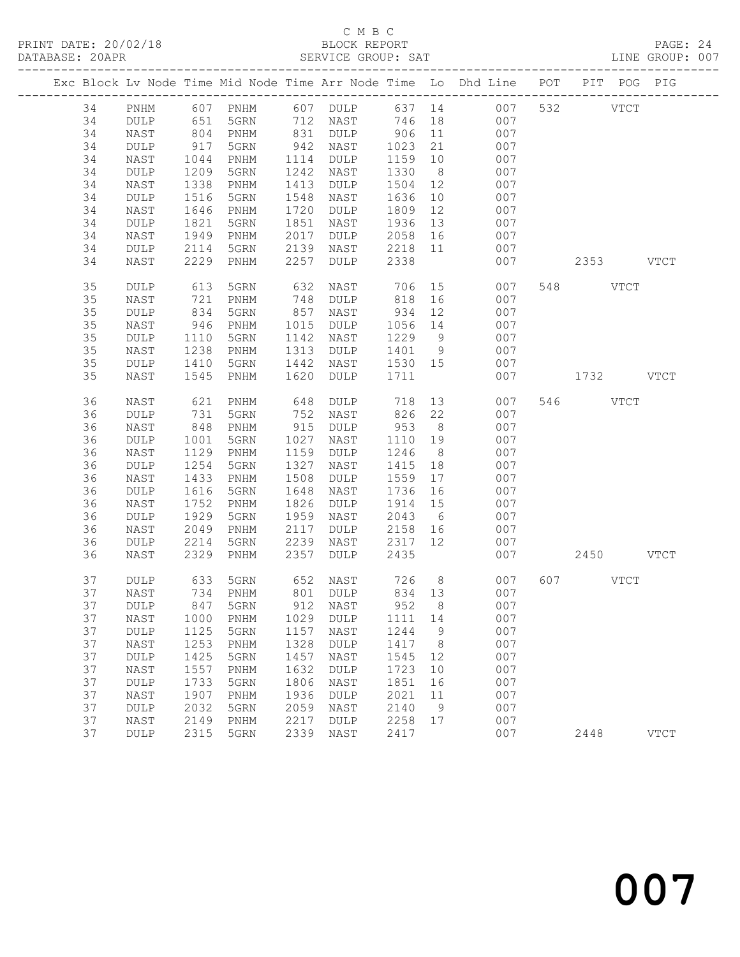#### C M B C<br>BLOCK REPORT SERVICE GROUP: SAT

|  |    |             |      |          |      |                              |         |                | Exc Block Lv Node Time Mid Node Time Arr Node Time Lo Dhd Line POT | PIT POG PIG |             |             |
|--|----|-------------|------|----------|------|------------------------------|---------|----------------|--------------------------------------------------------------------|-------------|-------------|-------------|
|  | 34 | PNHM        |      |          |      |                              |         |                | 007                                                                | 532         | <b>VTCT</b> |             |
|  | 34 | DULP        |      |          |      |                              |         |                | 007                                                                |             |             |             |
|  | 34 | NAST        | 804  | PNHM     | 831  | DULP                         | 906     | 11             | 007                                                                |             |             |             |
|  | 34 | <b>DULP</b> | 917  | 5GRN     | 942  | NAST                         | 1023    | 21             | 007                                                                |             |             |             |
|  | 34 | NAST        | 1044 | PNHM     | 1114 | DULP                         | 1159    | 10             | 007                                                                |             |             |             |
|  | 34 | DULP        | 1209 | 5GRN     | 1242 | NAST                         | 1330    | 8 <sup>8</sup> | 007                                                                |             |             |             |
|  | 34 | NAST        | 1338 | PNHM     | 1413 | DULP                         | 1504    | 12             | 007                                                                |             |             |             |
|  |    |             |      |          |      |                              |         |                |                                                                    |             |             |             |
|  | 34 | DULP        | 1516 | 5GRN     | 1548 | NAST                         | 1636    | 10             | 007                                                                |             |             |             |
|  | 34 | NAST        | 1646 | PNHM     | 1720 | DULP                         | 1809    | 12             | 007                                                                |             |             |             |
|  | 34 | DULP        | 1821 | 5GRN     | 1851 | NAST                         | 1936    | 13             | 007                                                                |             |             |             |
|  | 34 | NAST        | 1949 | PNHM     | 2017 | DULP                         | 2058    | 16             | 007                                                                |             |             |             |
|  | 34 | <b>DULP</b> | 2114 | 5GRN     | 2139 | NAST                         | 2218    | 11             | 007                                                                |             |             |             |
|  | 34 | NAST        | 2229 | PNHM     | 2257 | DULP                         | 2338    |                | 007                                                                | 2353 VTCT   |             |             |
|  | 35 | DULP        | 613  | 5GRN     | 632  | NAST                         | 706     |                | 15<br>007                                                          | 548 VTCT    |             |             |
|  | 35 | NAST        | 721  | PNHM     | 748  | DULP                         | 818     | 16             | 007                                                                |             |             |             |
|  | 35 | DULP        | 834  | 5GRN     | 857  | NAST                         | 934     | 12             | 007                                                                |             |             |             |
|  | 35 | NAST        | 946  | PNHM     | 1015 | DULP                         | 1056    | 14             | 007                                                                |             |             |             |
|  | 35 | DULP        | 1110 | 5GRN     | 1142 | NAST                         | 1229    | 9              | 007                                                                |             |             |             |
|  | 35 | NAST        | 1238 | PNHM     | 1313 | DULP                         | 1401    | 9              | 007                                                                |             |             |             |
|  | 35 | DULP        | 1410 | 5GRN     | 1442 | NAST                         | 1530 15 |                | 007                                                                |             |             |             |
|  | 35 | NAST        | 1545 | PNHM     | 1620 | DULP                         | 1711    |                | 007                                                                | 1732 VTCT   |             |             |
|  | 36 | NAST        | 621  | PNHM     | 648  | <b>DULP</b>                  | 718     |                | 13<br>007                                                          | 546 VTCT    |             |             |
|  | 36 | DULP        | 731  | 5GRN     | 752  | NAST                         | 826     | 22             | 007                                                                |             |             |             |
|  | 36 | NAST        | 848  | PNHM     | 915  | DULP                         | 953     | 8 <sup>8</sup> | 007                                                                |             |             |             |
|  | 36 | DULP        | 1001 | 5GRN     | 1027 | NAST                         | 1110    | 19             | 007                                                                |             |             |             |
|  | 36 | NAST        | 1129 | PNHM     | 1159 | DULP                         | 1246    | 8 <sup>8</sup> | 007                                                                |             |             |             |
|  | 36 | DULP        | 1254 | 5GRN     | 1327 | NAST                         | 1415    | 18             | 007                                                                |             |             |             |
|  | 36 | NAST        | 1433 | PNHM     | 1508 | DULP                         | 1559    | 17             | 007                                                                |             |             |             |
|  | 36 | DULP        | 1616 | 5GRN     | 1648 | NAST                         | 1736    | 16             | 007                                                                |             |             |             |
|  | 36 | NAST        | 1752 | PNHM     | 1826 | DULP                         | 1914    | 15             | 007                                                                |             |             |             |
|  | 36 |             | 1929 |          | 1959 |                              | 2043    | 6              | 007                                                                |             |             |             |
|  |    | DULP        |      | 5GRN     |      | NAST                         |         |                |                                                                    |             |             |             |
|  | 36 | NAST        | 2049 | PNHM     | 2117 | DULP                         | 2158    | 16             | 007                                                                |             |             |             |
|  | 36 | DULP        | 2214 | 5GRN     | 2239 | NAST                         | 2317    | 12             | 007                                                                |             |             |             |
|  | 36 | NAST        | 2329 | PNHM     | 2357 | DULP                         | 2435    |                | 007                                                                | 2450 VTCT   |             |             |
|  | 37 | DULP        | 633  | 5GRN     | 652  | NAST                         | 726     | 8 <sup>8</sup> | 007                                                                | 607 VTCT    |             |             |
|  | 37 | NAST        |      | 734 PNHM |      | 801 DULP                     | 834 13  |                | 007                                                                |             |             |             |
|  | 37 |             |      |          |      | DULP 847 5GRN 912 NAST 952 8 |         |                | 007                                                                |             |             |             |
|  | 37 | NAST        | 1000 | PNHM     | 1029 | DULP                         | 1111    | 14             | 007                                                                |             |             |             |
|  | 37 | <b>DULP</b> | 1125 | 5GRN     | 1157 | NAST                         | 1244    | 9              | 007                                                                |             |             |             |
|  | 37 | NAST        | 1253 | PNHM     | 1328 | DULP                         | 1417    | 8 <sup>8</sup> | 007                                                                |             |             |             |
|  | 37 | DULP        | 1425 | 5GRN     | 1457 | NAST                         | 1545    | 12             | 007                                                                |             |             |             |
|  | 37 | NAST        | 1557 | PNHM     | 1632 | DULP                         | 1723    | 10             | 007                                                                |             |             |             |
|  | 37 | DULP        | 1733 | 5GRN     | 1806 | NAST                         | 1851    | 16             | 007                                                                |             |             |             |
|  | 37 | NAST        | 1907 | PNHM     | 1936 | DULP                         | 2021    | 11             | 007                                                                |             |             |             |
|  | 37 | DULP        | 2032 | 5GRN     | 2059 | NAST                         | 2140    | 9              | 007                                                                |             |             |             |
|  | 37 | NAST        | 2149 | PNHM     | 2217 | DULP                         | 2258    | 17             | 007                                                                |             |             |             |
|  | 37 | DULP        | 2315 | 5GRN     | 2339 | NAST                         | 2417    |                | 007                                                                | 2448        |             | <b>VTCT</b> |
|  |    |             |      |          |      |                              |         |                |                                                                    |             |             |             |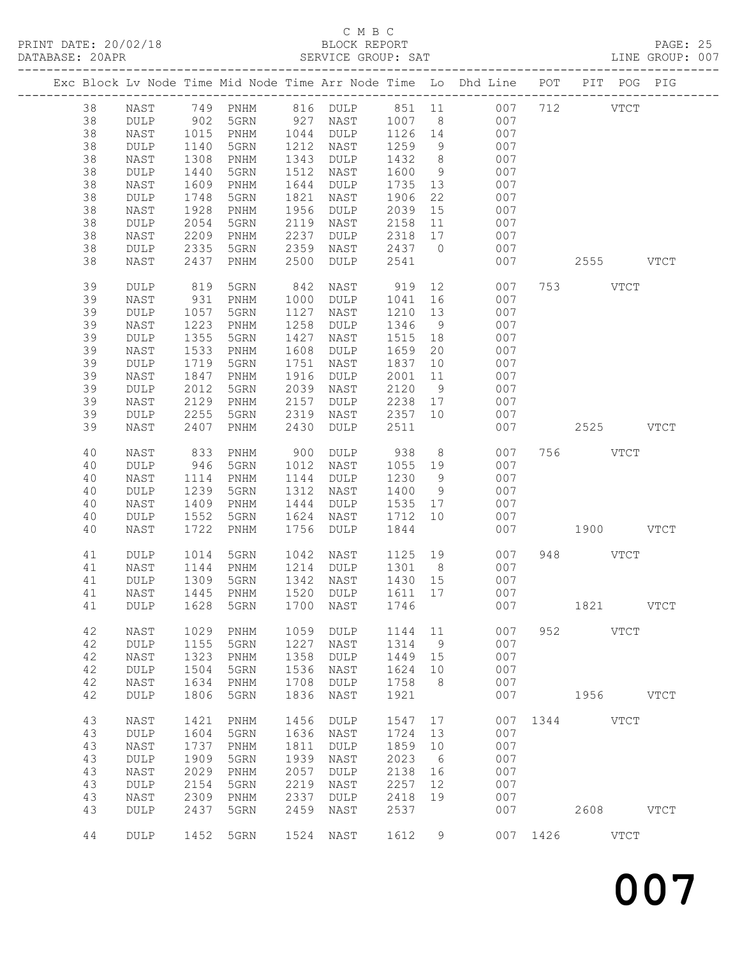## C M B C

| DATABASE: 20APR |          |                 |              | SERVICE GROUP: SAT |      |                      |           |                |                                                                                |               | LINE GROUP: 007 |
|-----------------|----------|-----------------|--------------|--------------------|------|----------------------|-----------|----------------|--------------------------------------------------------------------------------|---------------|-----------------|
|                 |          |                 |              |                    |      |                      |           |                | Exc Block Lv Node Time Mid Node Time Arr Node Time Lo Dhd Line POT PIT POG PIG |               |                 |
|                 | 38       |                 |              |                    |      |                      |           |                | NAST 749 PNHM 816 DULP 851 11 007 712 VTCT                                     |               |                 |
|                 | 38       | DULP            | 902          |                    |      | 5GRN 927 NAST 1007 8 |           |                | 007                                                                            |               |                 |
|                 | 38       | NAST            | 1015         | PNHM               |      | 1044 DULP 1126 14    |           |                | 007                                                                            |               |                 |
|                 | 38       | $\texttt{DULP}$ | 1140         | 5GRN               |      | 1212 NAST            | 1259      | 9              | 007                                                                            |               |                 |
|                 | 38       | NAST            | 1308         | PNHM               | 1343 | DULP                 | 1432      | 8 <sup>8</sup> | 007                                                                            |               |                 |
|                 | 38       |                 | 1440         | 5GRN               | 1512 |                      | 1600      | 9              | 007                                                                            |               |                 |
|                 |          | DULP            |              |                    |      | NAST                 |           |                |                                                                                |               |                 |
|                 | 38       | NAST            | 1609         | PNHM               | 1644 | DULP                 | 1735      | 13             | 007                                                                            |               |                 |
|                 | 38       | DULP            | 1748         | 5GRN               | 1821 | NAST                 | 1906      | 22             | 007                                                                            |               |                 |
|                 | 38       | NAST            | 1928         | PNHM               | 1956 | DULP                 | 2039      | 15             | 007                                                                            |               |                 |
|                 | 38       | DULP            | 2054         | 5GRN               | 2119 | NAST                 | 2158      | 11             | 007                                                                            |               |                 |
|                 | 38       | NAST            | 2209         | PNHM               | 2237 | DULP                 | 2318 17   |                | 007                                                                            |               |                 |
|                 | 38       | DULP            | 2335         | 5GRN               | 2359 | NAST                 | 2437 0    |                | 007                                                                            |               |                 |
|                 | 38       | NAST            | 2437         | PNHM               | 2500 | DULP                 | 2541      |                | 007                                                                            | 2555 VTCT     |                 |
|                 | 39       | DULP            | 819          | 5GRN               | 842  | NAST                 | 919       | 12             | 007                                                                            | 753 VTCT      |                 |
|                 | 39       | NAST            | 931          | PNHM               | 1000 | DULP                 | 1041      | 16             | 007                                                                            |               |                 |
|                 | 39       | DULP            | 1057         | 5GRN               | 1127 | NAST                 | 1210      | 13             | 007                                                                            |               |                 |
|                 | 39       | NAST            | 1223         | PNHM               | 1258 | DULP                 | 1346      | 9              | 007                                                                            |               |                 |
|                 | 39       | DULP            | 1355         | 5GRN               | 1427 | NAST                 | 1515      | 18             | 007                                                                            |               |                 |
|                 | 39       | NAST            | 1533         | PNHM               | 1608 | DULP                 | 1659      | 20             | 007                                                                            |               |                 |
|                 |          |                 |              |                    |      |                      |           |                |                                                                                |               |                 |
|                 | 39       | DULP            | 1719         | 5GRN               | 1751 | NAST                 | 1837      | 10             | 007                                                                            |               |                 |
|                 | 39       | NAST            | 1847         | PNHM               | 1916 | DULP                 | 2001      | 11             | 007                                                                            |               |                 |
|                 | 39       | $\texttt{DULP}$ | 2012         | 5GRN               | 2039 | NAST                 | 2120      | 9              | 007                                                                            |               |                 |
|                 | 39       | NAST            | 2129         | PNHM               | 2157 | DULP                 | 2238      | 17             | 007                                                                            |               |                 |
|                 | 39       | DULP            | 2255         | 5GRN               | 2319 | NAST                 | 2357 10   |                | 007                                                                            |               |                 |
|                 | 39       | NAST            | 2407         | PNHM               | 2430 | DULP                 | 2511      |                | 007                                                                            | 2525 VTCT     |                 |
|                 | 40       | NAST            | 833          | PNHM               |      | 900 DULP             | 938       | 8 <sup>8</sup> | 007                                                                            | 756 VTCT      |                 |
|                 | 40       | $\texttt{DULP}$ | 946          | 5GRN               |      | 1012 NAST            | 1055 19   |                | 007                                                                            |               |                 |
|                 | 40       | NAST            | 1114         | PNHM               |      | 1144 DULP            | 1230      | 9              | 007                                                                            |               |                 |
|                 | 40       | $\texttt{DULP}$ | 1239         | 5GRN               |      | 1312 NAST            | 1400      | 9              | 007                                                                            |               |                 |
|                 | 40       | NAST            | 1409         | PNHM               | 1444 | DULP                 | 1535      | 17             | 007                                                                            |               |                 |
|                 |          |                 |              |                    |      |                      |           |                |                                                                                |               |                 |
|                 | 40<br>40 | DULP            | 1552<br>1722 | 5GRN               | 1624 | NAST                 | 1712 10   |                | 007                                                                            |               |                 |
|                 |          | NAST            |              | PNHM               | 1756 | DULP                 | 1844      |                | 007                                                                            | 1900 VTCT     |                 |
|                 | 41       | DULP            | 1014         | 5GRN               | 1042 | NAST                 | 1125 19   |                | 007                                                                            | 948 VTCT      |                 |
|                 | 41       | NAST            | 1144         | PNHM               |      | 1214 DULP            | 1301      | 8              | 007                                                                            |               |                 |
|                 | 41       | DULP            | 1309         | 5GRN               |      | 1342 NAST            | $1430$ 15 |                | 007                                                                            |               |                 |
|                 |          |                 |              |                    |      |                      |           |                | 41 NAST 1445 PNHM 1520 DULP 1611 17 007                                        |               |                 |
|                 | 41       | DULP            | 1628         | 5GRN               | 1700 | NAST                 | 1746      |                | 007                                                                            | 1821 VTCT     |                 |
|                 | 42       | NAST            | 1029         | PNHM               | 1059 | DULP                 | 1144 11   |                | 007                                                                            | 952 VTCT      |                 |
|                 | 42       | DULP            | 1155         | 5GRN               | 1227 | NAST                 | 1314      | 9              | 007                                                                            |               |                 |
|                 | 42       | NAST            | 1323         | PNHM               | 1358 | DULP                 | 1449 15   |                | 007                                                                            |               |                 |
|                 | 42       | DULP            | 1504         | 5GRN               | 1536 | NAST                 | 1624      | 10             | 007                                                                            |               |                 |
|                 | 42       | NAST            | 1634         | PNHM               | 1708 | DULP                 | 1758      | 8 <sup>8</sup> | 007                                                                            |               |                 |
|                 | 42       | DULP            | 1806         | 5GRN               | 1836 | NAST                 | 1921      |                | 007                                                                            | 1956 VTCT     |                 |
|                 |          |                 |              |                    |      |                      |           |                |                                                                                |               |                 |
|                 | 43       | NAST            | 1421         | PNHM               | 1456 | DULP                 | 1547      | 17             |                                                                                | 007 1344 VTCT |                 |
|                 | 43       | DULP            | 1604         | 5GRN               | 1636 | NAST                 | 1724      | 13             | 007                                                                            |               |                 |
|                 | 43       | NAST            | 1737         | PNHM               | 1811 | DULP                 | 1859      | 10             | 007                                                                            |               |                 |
|                 | 43       | DULP            | 1909         | 5GRN               | 1939 | NAST                 | 2023      | 6              | 007                                                                            |               |                 |
|                 | 43       | NAST            | 2029         | PNHM               | 2057 | $\texttt{DULP}$      | 2138      | 16             | 007                                                                            |               |                 |
|                 | 43       | DULP            | 2154         | 5GRN               | 2219 | NAST                 | 2257      | 12             | 007                                                                            |               |                 |
|                 | 43       | NAST            | 2309         | PNHM               | 2337 | DULP                 | 2418      | 19             | 007                                                                            |               |                 |
|                 | 43       | DULP            | 2437         | 5GRN               | 2459 | NAST                 | 2537      |                | 007                                                                            | 2608 VTCT     |                 |
|                 |          |                 |              |                    |      |                      |           |                |                                                                                |               |                 |
|                 | 44       | DULP            |              | 1452 5GRN          |      | 1524 NAST            | 1612      | 9              |                                                                                | 007 1426 VTCT |                 |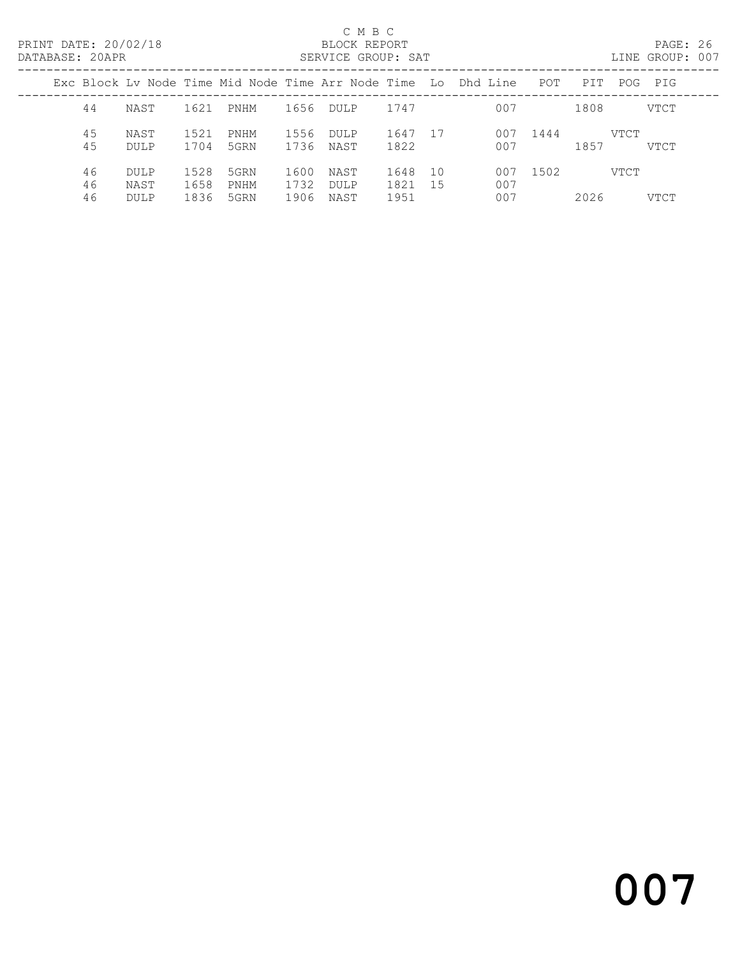#### C M B C<br>BLOCK REPORT SERVICE GROUP: SAT

|                |                             |                      |                      |                      |                             |                      |           | Exc Block Ly Node Time Mid Node Time Arr Node Time Lo Dhd Line | POT  | PTT  | POG  | PIG         |
|----------------|-----------------------------|----------------------|----------------------|----------------------|-----------------------------|----------------------|-----------|----------------------------------------------------------------|------|------|------|-------------|
| 44             | NAST                        | 1621                 | PNHM                 | 1656                 | <b>DULP</b>                 | 1747                 |           | 007                                                            |      | 1808 |      | VTCT        |
| 45<br>45       | NAST<br>DULP                | 1.521<br>1704        | PNHM<br>5GRN         | 1556<br>1736         | <b>DULP</b><br>NAST         | 1647<br>1822         | -17       | 007<br>007                                                     | 1444 | 1857 | VTCT | <b>VTCT</b> |
| 46<br>46<br>46 | DULP<br>NAST<br><b>DULP</b> | 1528<br>1658<br>1836 | 5GRN<br>PNHM<br>5GRN | 1600<br>1732<br>1906 | NAST<br><b>DULP</b><br>NAST | 1648<br>1821<br>1951 | 10<br>-15 | 007<br>007<br>007                                              | 1502 | 2026 | VTCT | VTCT        |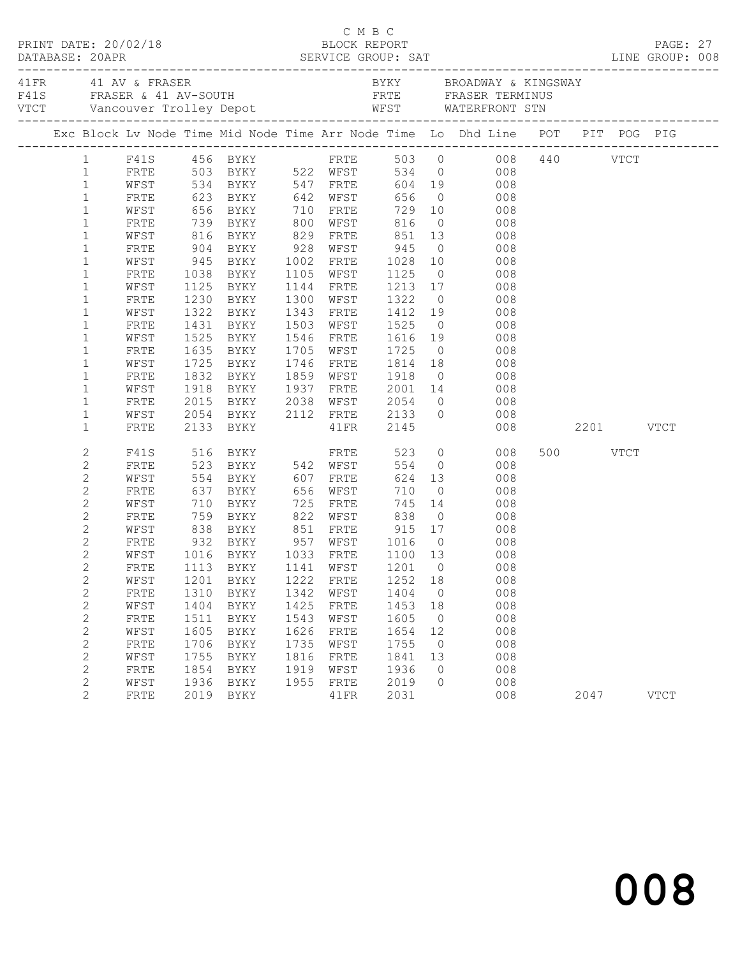| $\begin{array}{cccc}\n\texttt{CRINT} & \texttt{DATE:} & 20/02/18 & \texttt{C} & \texttt{M} & \texttt{B} & \texttt{C}\n\end{array}$<br>DATABASE: 20APR |              |              |                            |              |                   |                   |                      |                                                                                                                                                                                                        |               |          |             |  |
|-------------------------------------------------------------------------------------------------------------------------------------------------------|--------------|--------------|----------------------------|--------------|-------------------|-------------------|----------------------|--------------------------------------------------------------------------------------------------------------------------------------------------------------------------------------------------------|---------------|----------|-------------|--|
|                                                                                                                                                       |              |              |                            |              |                   |                   |                      |                                                                                                                                                                                                        |               |          |             |  |
|                                                                                                                                                       |              |              |                            |              |                   |                   |                      | Exc Block Lv Node Time Mid Node Time Arr Node Time Lo Dhd Line POT PIT POG PIG                                                                                                                         |               |          |             |  |
|                                                                                                                                                       |              |              |                            |              |                   |                   |                      | 1 F41S 456 BYKY FRTE 503 0 008 440 VTCT<br>1 FRTE 503 BYKY 522 WFST 534 0 008 440 VTCT<br>1 WFST 534 BYKY 547 FRTE 604 19 008                                                                          |               |          |             |  |
|                                                                                                                                                       |              |              |                            |              |                   |                   |                      |                                                                                                                                                                                                        |               |          |             |  |
|                                                                                                                                                       |              |              |                            |              |                   |                   |                      |                                                                                                                                                                                                        |               |          |             |  |
| $\mathbf{1}$                                                                                                                                          | FRTE         |              | 623 BYKY 642 WFST          |              |                   | 656               |                      | $\overline{0}$<br>008                                                                                                                                                                                  |               |          |             |  |
| $\mathbf{1}$                                                                                                                                          | WFST         |              |                            |              |                   |                   |                      | 656 BYKY       710   FRTE       729   10               008<br>739   BYKY        800   WFST        816     0                008<br>816   BYKY          829   FRTE          851    13                008 |               |          |             |  |
| $\mathbf{1}$                                                                                                                                          | FRTE         |              |                            |              |                   |                   |                      | 816 0 008<br>851 13 008                                                                                                                                                                                |               |          |             |  |
| $\mathbf{1}$                                                                                                                                          | WFST         |              | 904 BYKY 928 WFST 945      |              |                   |                   |                      | $\overline{O}$                                                                                                                                                                                         |               |          |             |  |
| $\mathbf{1}$                                                                                                                                          | FRTE         |              |                            |              |                   |                   |                      | 008                                                                                                                                                                                                    |               |          |             |  |
| $\mathbf{1}$                                                                                                                                          | WFST<br>FRTE |              | 945 BYKY 1002 FRTE         |              | 1105 WFST         | 1028              |                      | 10<br>008                                                                                                                                                                                              |               |          |             |  |
| $\mathbf 1$<br>$\mathbf 1$                                                                                                                            | WFST         |              | 1038 BYKY<br>1125 BYKY     |              | 1144 FRTE         | 1125 0<br>1213 17 |                      | 008<br>008                                                                                                                                                                                             |               |          |             |  |
| $\mathbf 1$                                                                                                                                           | FRTE         |              | 1230 BYKY                  |              | 1300 WFST         | 1322              |                      | $\overline{0}$<br>008                                                                                                                                                                                  |               |          |             |  |
| $\mathbf{1}$                                                                                                                                          | WFST         | 1322         | BYKY                       |              | 1343 FRTE         | 1412 19           |                      | 008                                                                                                                                                                                                    |               |          |             |  |
| $\mathbf{1}$                                                                                                                                          | FRTE         |              |                            |              | 1503 WFST         |                   |                      | 008                                                                                                                                                                                                    |               |          |             |  |
| $\mathbf{1}$                                                                                                                                          | WFST         |              | 1431 BYKY<br>1525 BYKY     |              | 1546 FRTE         | 1525 0<br>1616 19 |                      | 008                                                                                                                                                                                                    |               |          |             |  |
| $\mathbf{1}$                                                                                                                                          | FRTE         |              | 1635 BYKY                  |              | 1705 WFST         | 1725              |                      | $\overline{0}$<br>008                                                                                                                                                                                  |               |          |             |  |
| $\mathbf{1}$                                                                                                                                          | WFST         | 1725         | BYKY                       |              | 1746 FRTE 1814 18 |                   |                      | 008                                                                                                                                                                                                    |               |          |             |  |
| $\mathbf 1$                                                                                                                                           | FRTE         |              |                            |              | 1859 WFST         |                   |                      |                                                                                                                                                                                                        |               |          |             |  |
| $\mathbf 1$                                                                                                                                           | WFST         |              |                            |              |                   |                   |                      |                                                                                                                                                                                                        |               |          |             |  |
| $\mathbf 1$                                                                                                                                           | FRTE         |              |                            |              |                   |                   |                      | 1832 BYKY 1859 WFST 1918 0 008<br>1918 BYKY 1937 FRTE 2001 14 008<br>2015 BYKY 2038 WFST 2054 0 008                                                                                                    |               |          |             |  |
| $\mathbf{1}$                                                                                                                                          | WFST         |              | 2054 BYKY 2112 FRTE 2133 0 |              |                   |                   |                      | 008                                                                                                                                                                                                    |               |          |             |  |
| $\mathbf 1$                                                                                                                                           | FRTE         |              | 2133 BYKY                  |              | 41FR 2145         |                   |                      |                                                                                                                                                                                                        | 008 2201 VTCT |          |             |  |
| 2                                                                                                                                                     | F41S         |              | 516 BYKY                   |              | FRTE              | 523               |                      | $\overline{O}$<br>008                                                                                                                                                                                  |               | 500 VTCT |             |  |
| $\mathbf{2}$                                                                                                                                          | FRTE         |              | 523 BYKY 542 WFST          |              |                   | 554               |                      | $\overline{0}$<br>008                                                                                                                                                                                  |               |          |             |  |
| $\mathbf{2}$                                                                                                                                          | WFST         |              | 554 BYKY                   |              | 607 FRTE          | 624               |                      | 13<br>008                                                                                                                                                                                              |               |          |             |  |
| $\mathbf{2}$                                                                                                                                          | FRTE         |              | 637 BYKY<br>710 BYKY       |              | 656 WFST          | 710               | $\overline{0}$       | 008                                                                                                                                                                                                    |               |          |             |  |
| $\mathbf{2}$                                                                                                                                          | WFST         |              |                            | 725          | FRTE              |                   |                      | 745 14<br>008                                                                                                                                                                                          |               |          |             |  |
| $\mathbf{2}$                                                                                                                                          | FRTE         |              | 759 BYKY 822 WFST 838      |              |                   |                   |                      | $\overline{0}$<br>008                                                                                                                                                                                  |               |          |             |  |
| $\mathbf{2}$                                                                                                                                          | WFST         | 838          | BYKY 851 FRTE              |              |                   |                   |                      | 915 17 008                                                                                                                                                                                             |               |          |             |  |
| $\mathbf{2}$                                                                                                                                          | FRTE         |              |                            |              |                   | 1016 0<br>1100 13 | $\overline{0}$       | $\begin{array}{c} 008 \\ 008 \end{array}$                                                                                                                                                              |               |          |             |  |
| $\mathbf{2}$                                                                                                                                          | WFST         |              |                            |              |                   |                   |                      |                                                                                                                                                                                                        |               |          |             |  |
| $\mathbf{2}$                                                                                                                                          |              |              |                            |              |                   |                   |                      | FRTE 1113 BYKY 1141 WFST 1201 0 008                                                                                                                                                                    |               |          |             |  |
| 2                                                                                                                                                     | WFST         | 1201         | BYKY                       | 1222         | FRTE              | 1252              | 18                   | 008                                                                                                                                                                                                    |               |          |             |  |
| $\mathbf{2}$                                                                                                                                          | FRTE         | 1310         | BYKY                       | 1342<br>1425 | WFST              | 1404              | $\overline{0}$       | 008                                                                                                                                                                                                    |               |          |             |  |
| $\mathbf{2}$                                                                                                                                          | WFST         | 1404<br>1511 | BYKY                       |              | FRTE              | 1453<br>1605      | 18<br>$\overline{0}$ | 008<br>008                                                                                                                                                                                             |               |          |             |  |
| $\mathbf{2}$<br>$\mathbf{2}$                                                                                                                          | FRTE<br>WFST | 1605         | BYKY<br>BYKY               | 1543<br>1626 | WFST<br>FRTE      | 1654              | 12                   | 008                                                                                                                                                                                                    |               |          |             |  |
| $\mathbf{2}$                                                                                                                                          | FRTE         | 1706         | BYKY                       | 1735         | WFST              | 1755              | $\overline{0}$       | 008                                                                                                                                                                                                    |               |          |             |  |
| $\mathbf{2}$                                                                                                                                          | WFST         | 1755         | BYKY                       | 1816         | FRTE              | 1841              | 13                   | 008                                                                                                                                                                                                    |               |          |             |  |
| 2                                                                                                                                                     | FRTE         | 1854         | BYKY                       | 1919         | WFST              | 1936              | $\circ$              | 008                                                                                                                                                                                                    |               |          |             |  |
| $\mathbf{2}$                                                                                                                                          | WFST         | 1936         | BYKY                       | 1955         | FRTE              | 2019              | $\Omega$             | 008                                                                                                                                                                                                    |               |          |             |  |
| 2                                                                                                                                                     | FRTE         | 2019         | BYKY                       |              | 41FR              | 2031              |                      | 008                                                                                                                                                                                                    |               | 2047     | <b>VTCT</b> |  |
|                                                                                                                                                       |              |              |                            |              |                   |                   |                      |                                                                                                                                                                                                        |               |          |             |  |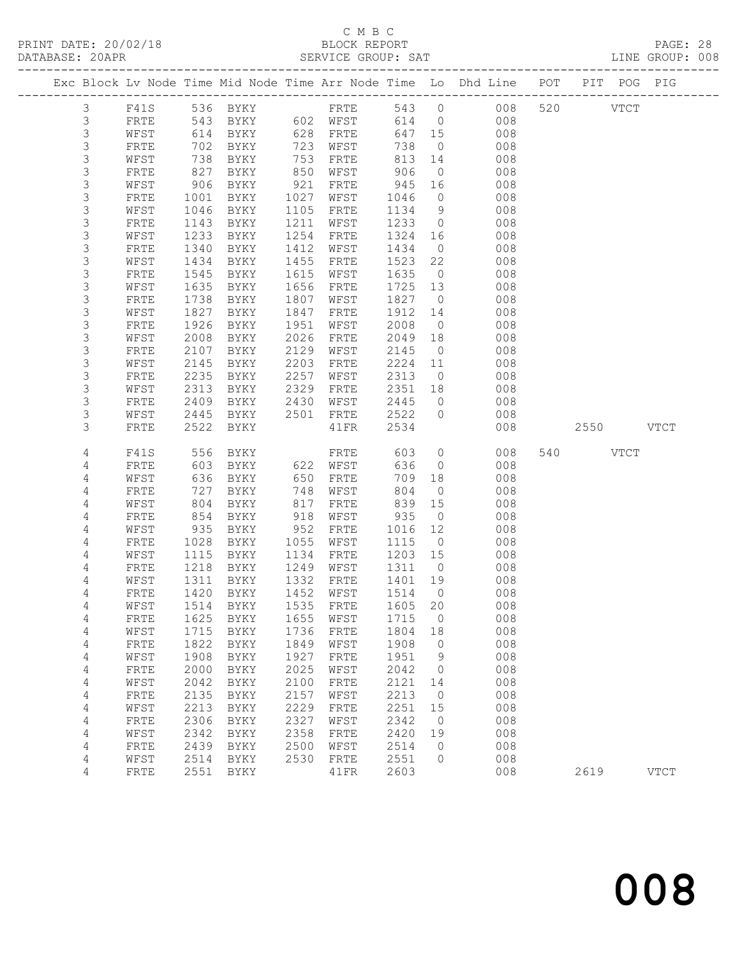PRINT DATE: 20/02/18 BLOCK REPORT PAGE: 28 DATABASE: 20APR

# C M B C

| DATABASE: ZUAPR |      |      |           |      | SEKVICE GKOUF: SAT |        |                |                                                                                |     |      |             | TIME GROOF: 000 |
|-----------------|------|------|-----------|------|--------------------|--------|----------------|--------------------------------------------------------------------------------|-----|------|-------------|-----------------|
|                 |      |      |           |      |                    |        |                | Exc Block Lv Node Time Mid Node Time Arr Node Time Lo Dhd Line POT PIT POG PIG |     |      |             |                 |
| 3               | F41S |      | 536 BYKY  |      | FRTE               | 543 0  |                | 008                                                                            | 520 |      | <b>VTCT</b> |                 |
| 3               | FRTE | 543  | BYKY      |      | 602 WFST           | 614 0  |                | 008                                                                            |     |      |             |                 |
| 3               | WFST | 614  | BYKY      | 628  | FRTE               | 647 15 |                | 008                                                                            |     |      |             |                 |
| 3               | FRTE | 702  | BYKY      | 723  | WFST               | 738    | $\overline{0}$ | 008                                                                            |     |      |             |                 |
| 3               | WFST | 738  | BYKY      | 753  | FRTE               | 813 14 |                | 008                                                                            |     |      |             |                 |
| 3               | FRTE | 827  | BYKY      | 850  | WFST               | 906    | $\overline{0}$ | 008                                                                            |     |      |             |                 |
| 3               | WFST | 906  | BYKY      | 921  | FRTE               | 945 16 |                | 008                                                                            |     |      |             |                 |
| 3               | FRTE | 1001 | BYKY      | 1027 | WFST               | 1046   | $\overline{0}$ | 008                                                                            |     |      |             |                 |
| 3               | WFST | 1046 | BYKY      | 1105 | FRTE               | 1134   | 9              | 008                                                                            |     |      |             |                 |
| 3               | FRTE | 1143 | BYKY      | 1211 | WFST               | 1233   | $\circ$        | 008                                                                            |     |      |             |                 |
| 3               | WFST | 1233 | BYKY      | 1254 | FRTE               | 1324   | 16             | 008                                                                            |     |      |             |                 |
| 3               | FRTE | 1340 | BYKY      | 1412 | WFST               | 1434   | $\overline{0}$ | 008                                                                            |     |      |             |                 |
| 3               | WFST | 1434 | BYKY      | 1455 | FRTE               | 1523   | 22             | 008                                                                            |     |      |             |                 |
| 3               | FRTE | 1545 | BYKY      | 1615 | WFST               | 1635   | $\overline{0}$ | 008                                                                            |     |      |             |                 |
| 3               | WFST | 1635 | BYKY      | 1656 | FRTE               | 1725   | 13             | 008                                                                            |     |      |             |                 |
| 3               | FRTE | 1738 | BYKY      | 1807 | WFST               | 1827   | $\overline{0}$ | 008                                                                            |     |      |             |                 |
| 3               | WFST | 1827 | BYKY      | 1847 | FRTE               | 1912   | 14             | 008                                                                            |     |      |             |                 |
| 3               | FRTE | 1926 | BYKY      | 1951 | WFST               | 2008   | $\overline{0}$ | 008                                                                            |     |      |             |                 |
| 3               | WFST | 2008 | BYKY      | 2026 | FRTE               | 2049   | 18             | 008                                                                            |     |      |             |                 |
| 3               | FRTE | 2107 | BYKY      | 2129 | WFST               | 2145   | $\overline{0}$ | 008                                                                            |     |      |             |                 |
| 3               | WFST | 2145 | BYKY      | 2203 | FRTE               | 2224   | 11             | 008                                                                            |     |      |             |                 |
| 3               | FRTE | 2235 | BYKY      | 2257 | WFST               | 2313   | $\overline{0}$ | 008                                                                            |     |      |             |                 |
| 3               | WFST | 2313 | BYKY      | 2329 | FRTE               | 2351   | 18             | 008                                                                            |     |      |             |                 |
| 3               | FRTE | 2409 | BYKY      | 2430 | WFST               | 2445   | $\overline{0}$ | 008                                                                            |     |      |             |                 |
| 3               | WFST | 2445 | BYKY      | 2501 | FRTE               | 2522   | $\circ$        | 008                                                                            |     |      |             |                 |
| 3               | FRTE |      | 2522 BYKY |      | 41FR               | 2534   |                | 008                                                                            |     | 2550 |             | VTCT            |
| 4               | F41S | 556  | BYKY      |      | FRTE               | 603    | $\circ$        | 008                                                                            | 540 |      | <b>VTCT</b> |                 |
| 4               | FRTE | 603  | BYKY      |      | 622 WFST           | 636    | $\overline{0}$ | 008                                                                            |     |      |             |                 |
| 4               | WFST | 636  | BYKY      | 650  | FRTE               | 709    | 18             | 008                                                                            |     |      |             |                 |
| 4               | FRTE | 727  | BYKY      | 748  | WFST               | 804    | $\overline{0}$ | 008                                                                            |     |      |             |                 |
| 4               | WFST | 804  | BYKY      | 817  | FRTE               | 839 15 |                | 008                                                                            |     |      |             |                 |
| 4               | FRTE | 854  | BYKY      | 918  | WFST               | 935    | $\overline{0}$ | 008                                                                            |     |      |             |                 |
| 4               | WFST | 935  | BYKY      | 952  | FRTE               | 1016   | 12             | 008                                                                            |     |      |             |                 |
| 4               | FRTE | 1028 | BYKY      | 1055 | WFST               | 1115   | $\overline{0}$ | 008                                                                            |     |      |             |                 |
| 4               | WFST | 1115 | BYKY      | 1134 | ${\tt FRTE}$       | 1203   | 15             | 008                                                                            |     |      |             |                 |
| 4               | FRTE | 1218 | BYKY      | 1249 | WFST               | 1311   | $\overline{0}$ | 008                                                                            |     |      |             |                 |
| 4               | WFST | 1311 | BYKY      | 1332 | FRTE               | 1401   | 19             | 008                                                                            |     |      |             |                 |
| 4               | FRTE |      | 1420 BYKY | 1452 | WFST               | 1514   | $\overline{0}$ | 008                                                                            |     |      |             |                 |
| 4               | WFST |      | 1514 BYKY | 1535 | FRTE               | 1605   | 20             | 008                                                                            |     |      |             |                 |

 4 FRTE 1625 BYKY 1655 WFST 1715 0 008 4 WFST 1715 BYKY 1736 FRTE 1804 18 008

4 WFST 1908 BYKY 1927 FRTE 1951 9 008

4 FRTE 1822 BYKY 1849 WFST 1908 0 008

 4 FRTE 2000 BYKY 2025 WFST 2042 0 008 4 WFST 2042 BYKY 2100 FRTE 2121 14 008 4 FRTE 2135 BYKY 2157 WFST 2213 0 008<br>4 WFST 2213 BYKY 2229 FRTE 2251 15 008 4 WFST 2213 BYKY 2229 FRTE 2251 15 008 4 FRTE 2306 BYKY 2327 WFST 2342 0 008 4 WFST 2342 BYKY 2358 FRTE 2420 19 008 4 FRTE 2439 BYKY 2500 WFST 2514 0 008 4 WFST 2514 BYKY 2530 FRTE 2551 0 008

2619 VTCT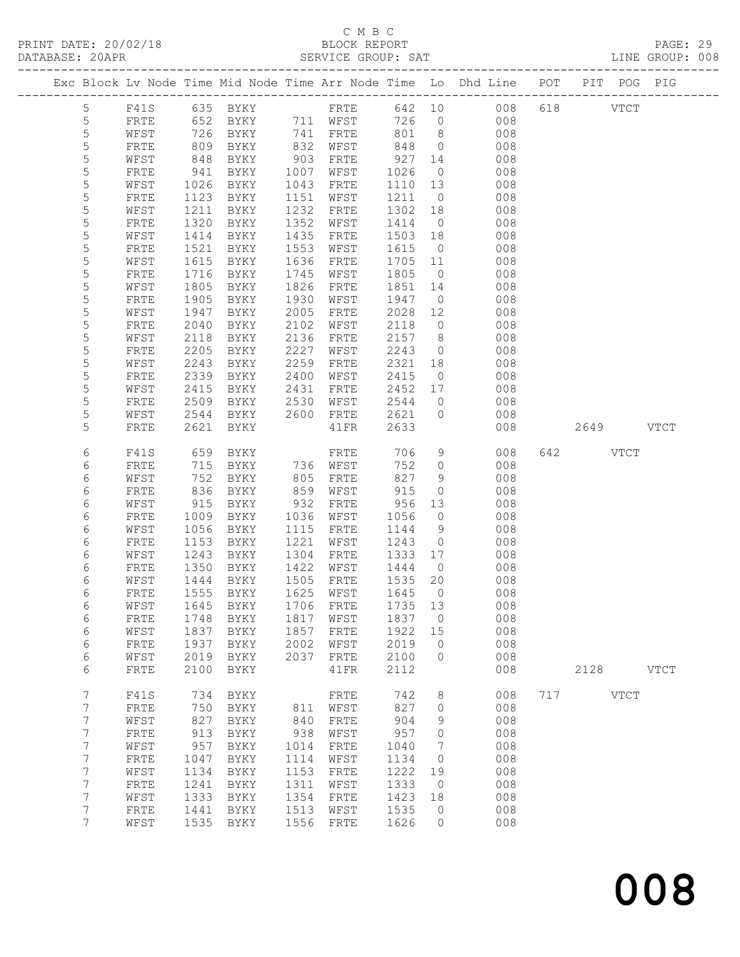PRINT DATE: 20/02/18 BLOCK REPORT PAGE: 29 DATABASE: 202

# C M B C<br>BLOCK REPORT

| DATABASE: ZUAPR |      |      |             |            | SERVICE GROUP: SAT |         |                |                                                                                |     |              |             | TIME GROOF: 008 |
|-----------------|------|------|-------------|------------|--------------------|---------|----------------|--------------------------------------------------------------------------------|-----|--------------|-------------|-----------------|
|                 |      |      |             |            |                    |         |                | Exc Block Lv Node Time Mid Node Time Arr Node Time Lo Dhd Line POT PIT POG PIG |     |              |             |                 |
| 5               | F41S |      |             |            |                    |         |                |                                                                                |     | 008 618 VTCT |             |                 |
| 5               | FRTE |      |             |            |                    | 726 0   |                | 008                                                                            |     |              |             |                 |
| $\mathsf S$     | WFST | 726  | BYKY        |            | 741 FRTE           | 801 8   |                | 008                                                                            |     |              |             |                 |
| $\mathsf S$     | FRTE | 809  | BYKY        | 832        | WFST               | 848     | $\overline{0}$ | 008                                                                            |     |              |             |                 |
| $\mathsf S$     | WFST | 848  | BYKY        | 903        | FRTE               | 927 14  |                | 008                                                                            |     |              |             |                 |
| $\mathsf S$     | FRTE | 941  | BYKY        |            | 1007 WFST          | 1026    | $\overline{0}$ | 008                                                                            |     |              |             |                 |
| 5               | WFST | 1026 | BYKY        | 1043       | FRTE               | 1110 13 |                | 008                                                                            |     |              |             |                 |
| 5               | FRTE | 1123 | BYKY        | 1151       | WFST               | 1211    | $\overline{0}$ | 008                                                                            |     |              |             |                 |
| $\mathsf S$     | WFST | 1211 | BYKY        | 1232       | FRTE               | 1302    | 18             | 008                                                                            |     |              |             |                 |
| $\mathsf S$     | FRTE | 1320 | BYKY        | 1352       | WFST               | 1414    | $\overline{0}$ | 008                                                                            |     |              |             |                 |
| 5               | WFST | 1414 | BYKY        | 1435       | FRTE               | 1503    | 18             | 008                                                                            |     |              |             |                 |
| $\mathsf S$     | FRTE | 1521 | BYKY        | 1553       | WFST               | 1615    | $\overline{0}$ | 008                                                                            |     |              |             |                 |
| 5               | WFST | 1615 | BYKY        | 1636       | FRTE               | 1705    | 11             | 008                                                                            |     |              |             |                 |
| $\mathsf S$     | FRTE | 1716 | BYKY        | 1745       | WFST               | 1805    | $\overline{0}$ | 008                                                                            |     |              |             |                 |
| $\mathsf S$     | WFST | 1805 | BYKY        | 1826       | FRTE               | 1851    | 14             | 008                                                                            |     |              |             |                 |
| $\mathsf S$     | FRTE | 1905 | BYKY        | 1930       | WFST               | 1947    | $\overline{0}$ | 008                                                                            |     |              |             |                 |
| 5               | WFST | 1947 | BYKY        | 2005       | FRTE               | 2028    | 12             | 008                                                                            |     |              |             |                 |
| $\mathsf S$     | FRTE | 2040 | BYKY        | 2102       | WFST               | 2118    | $\circ$        | 008                                                                            |     |              |             |                 |
| $\mathsf S$     | WFST | 2118 | BYKY        | 2136       | FRTE               | 2157    | 8              | 008                                                                            |     |              |             |                 |
| 5               | FRTE | 2205 | BYKY        | 2227       | WFST               | 2243    | $\circ$        | 008                                                                            |     |              |             |                 |
| 5               | WFST | 2243 | BYKY        | 2259       | FRTE               | 2321    | 18             | 008                                                                            |     |              |             |                 |
| $\mathsf S$     | FRTE | 2339 | BYKY        | 2400       | WFST               | 2415    | $\overline{0}$ | 008                                                                            |     |              |             |                 |
| $\mathsf S$     | WFST | 2415 | BYKY        | 2431       | FRTE               | 2452 17 |                | 008                                                                            |     |              |             |                 |
| 5               | FRTE | 2509 | BYKY        | 2530       | WFST               | 2544    | $\overline{0}$ | 008                                                                            |     |              |             |                 |
| 5               | WFST | 2544 | BYKY        | 2600       | FRTE               | 2621    | $\circ$        | 008                                                                            |     |              |             |                 |
| 5               | FRTE | 2621 | BYKY        |            | 41FR               | 2633    |                | 008                                                                            |     | 2649         |             | <b>VTCT</b>     |
| 6               | F41S | 659  | BYKY        |            | FRTE               | 706     | $\mathcal{G}$  | 008                                                                            | 642 |              | <b>VTCT</b> |                 |
| 6               | FRTE | 715  | BYKY        |            | 736 WFST           | 752     | $\circ$        | 008                                                                            |     |              |             |                 |
| 6               | WFST | 752  | BYKY        | 805<br>859 | FRTE               | 827     | $\mathcal{G}$  | 008                                                                            |     |              |             |                 |
| 6               | FRTE | 836  | BYKY        |            | WFST               | 915     | $\circ$        | 008                                                                            |     |              |             |                 |
| 6               | WFST | 915  | BYKY        | 932        | FRTE               | 956     | 13             | 008                                                                            |     |              |             |                 |
| 6               | FRTE | 1009 | BYKY        | 1036       | WFST               | 1056    | $\circ$        | 008                                                                            |     |              |             |                 |
| 6               | WFST | 1056 | BYKY        | 1115       | FRTE               | 1144    | $\mathcal{G}$  | 008                                                                            |     |              |             |                 |
| 6               | FRTE | 1153 | BYKY        | 1221       | WFST               | 1243    | $\circ$        | 008                                                                            |     |              |             |                 |
| 6               | WFST | 1243 | BYKY        | 1304       | FRTE               | 1333    | 17             | 008                                                                            |     |              |             |                 |
| 6               | FRTE | 1350 | BYKY        | 1422       | WFST               | 1444    | $\overline{0}$ | 008                                                                            |     |              |             |                 |
| 6               | WFST | 1444 | BYKY        | 1505       | FRTE               | 1535    | 20             | 008                                                                            |     |              |             |                 |
| 6               | FRTE |      | 1555 BYKY   | 1625       | WFST               | 1645    | $\Omega$       | 008                                                                            |     |              |             |                 |
| 6               | WFST | 1645 | BYKY        | 1706       | ${\tt FRTE}$       | 1735    | 13             | 008                                                                            |     |              |             |                 |
| 6               | FRTE | 1748 | <b>BYKY</b> | 1817       | WFST               | 1837    | $\mathbf{0}$   | 008                                                                            |     |              |             |                 |
| 6               | WFST | 1837 | <b>BYKY</b> | 1857       | FRTE               | 1922    | 15             | 008                                                                            |     |              |             |                 |
| $\epsilon$      | FRTE | 1937 | <b>BYKY</b> | 2002       | WFST               | 2019    | 0              | 008                                                                            |     |              |             |                 |
| 6               | WFST | 2019 | BYKY        | 2037       | FRTE               | 2100    | 0              | 008                                                                            |     |              |             |                 |
| 6               | FRTE | 2100 | <b>BYKY</b> |            | 41FR               | 2112    |                | 008                                                                            |     | 2128         |             | <b>VTCT</b>     |
| 7               | F41S | 734  | <b>BYKY</b> |            | FRTE               | 742     | 8              | 008                                                                            | 717 |              | <b>VTCT</b> |                 |
| $\overline{7}$  | FRTE | 750  | BYKY        | 811        | WFST               | 827     | 0              | 008                                                                            |     |              |             |                 |

 7 WFST 827 BYKY 840 FRTE 904 9 008 7 FRTE 913 BYKY 938 WFST 957 0 008 7 WFST 957 BYKY 1014 FRTE 1040 7 008 7 FRTE 1047 BYKY 1114 WFST 1134 0 008 7 WFST 1134 BYKY 1153 FRTE 1222 19 008 7 FRTE 1241 BYKY 1311 WFST 1333 0 008 7 WFST 1333 BYKY 1354 FRTE 1423 18 008 7 FRTE 1441 BYKY 1513 WFST 1535 0 008 7 WFST 1535 BYKY 1556 FRTE 1626 0 008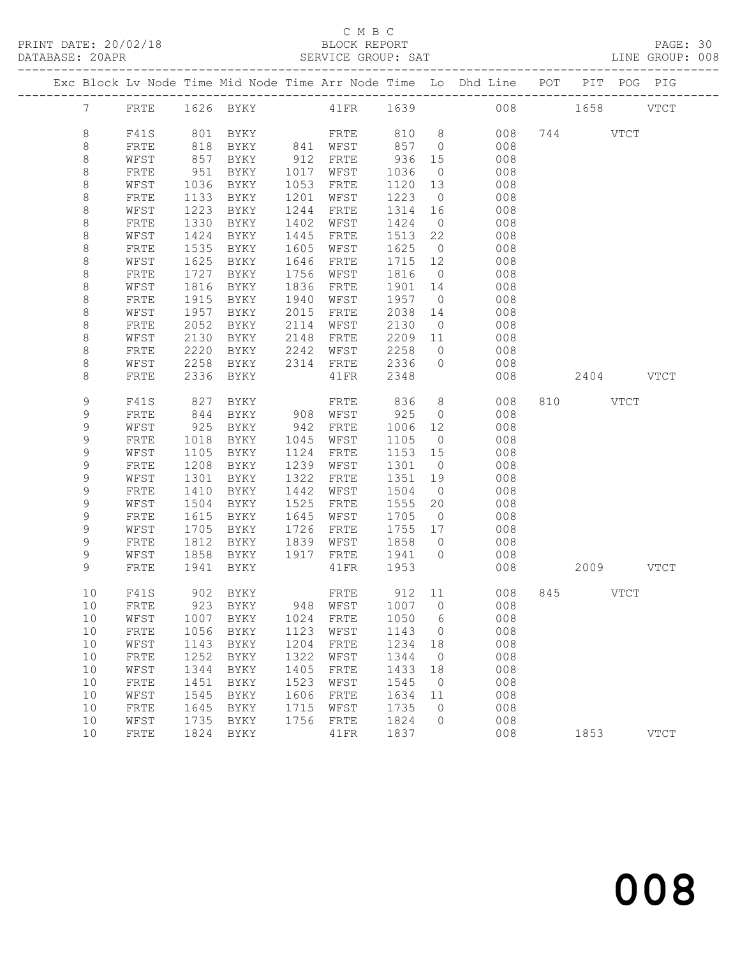### C M B C

| DATABASE: 20APR |             |    | PRINT DATE: 20/02/18 |      | U M B U<br>BLOCK REPORT |      | C M B C           |         |                | SERVICE GROUP: SAT                                                                     |     |           |               | PAGE: 30    |  |
|-----------------|-------------|----|----------------------|------|-------------------------|------|-------------------|---------|----------------|----------------------------------------------------------------------------------------|-----|-----------|---------------|-------------|--|
|                 |             |    |                      |      |                         |      |                   |         |                | Exc Block Lv Node Time Mid Node Time Arr Node Time Lo Dhd Line POT PIT POG PIG         |     |           |               |             |  |
|                 |             | 7  | FRTE                 |      |                         |      |                   |         |                |                                                                                        |     |           |               |             |  |
|                 | 8           |    | F41S                 |      |                         |      |                   |         |                |                                                                                        |     |           |               |             |  |
|                 | $\,8\,$     |    | FRTE                 | 818  |                         |      |                   |         |                | BYKY 841 WFST 857 0 008                                                                |     |           |               |             |  |
|                 | $\,8\,$     |    | WFST                 | 857  |                         |      |                   | 936     |                | 15 008                                                                                 |     |           |               |             |  |
|                 | $\,8\,$     |    | FRTE                 | 951  |                         |      |                   | 1036    | $\overline{0}$ | 008                                                                                    |     |           |               |             |  |
|                 | $\,8\,$     |    | WFST                 | 1036 | BYKY                    | 1053 | FRTE              | 1120    |                | 13 008                                                                                 |     |           |               |             |  |
|                 | $\,8\,$     |    | FRTE                 | 1133 | BYKY                    |      | 1201 WFST         | 1223    |                | $0$ 008                                                                                |     |           |               |             |  |
|                 | $\,8\,$     |    | WFST                 | 1223 | BYKY                    | 1244 | FRTE              | 1314    |                | 16 008                                                                                 |     |           |               |             |  |
|                 | $\,8\,$     |    | FRTE                 | 1330 | BYKY                    | 1402 | WFST              | 1424    | $\overline{0}$ |                                                                                        |     |           |               |             |  |
|                 | $\,8\,$     |    | WFST                 | 1424 | BYKY                    | 1445 | FRTE              | 1513    |                | $\begin{array}{ccc} 0 & \hspace{1.5cm} & 008 \\ 22 & \hspace{1.5cm} & 008 \end{array}$ |     |           |               |             |  |
|                 | $\,8\,$     |    | FRTE                 | 1535 | BYKY                    | 1605 | WFST              | 1625    |                | $0$ 008                                                                                |     |           |               |             |  |
|                 | $\,8\,$     |    | WFST                 | 1625 | BYKY                    | 1646 | FRTE              | 1715    |                | 12 008                                                                                 |     |           |               |             |  |
|                 | $\,8\,$     |    | FRTE                 | 1727 | BYKY                    |      | 1756 WFST         | 1816    | $\overline{0}$ |                                                                                        |     |           |               |             |  |
|                 | $\,8\,$     |    | WFST                 | 1816 | BYKY                    | 1836 | FRTE              | 1901    |                | $\begin{array}{ccc} 0 & \hspace{1.5cm} & 008 \\ 14 & \hspace{1.5cm} & 008 \end{array}$ |     |           |               |             |  |
|                 | $\,8\,$     |    | FRTE                 | 1915 | BYKY                    | 1940 | WFST              | 1957    |                | $0$ 008                                                                                |     |           |               |             |  |
|                 | $\,8\,$     |    | WFST                 | 1957 | BYKY                    | 2015 | FRTE              | 2038    |                |                                                                                        |     |           |               |             |  |
|                 | $\,8\,$     |    |                      | 2052 |                         |      |                   | 2130    |                | 14 008                                                                                 |     |           |               |             |  |
|                 |             |    | FRTE                 |      | BYKY                    |      | 2114 WFST         |         |                | $\begin{array}{ccc} 0 & \hspace{1.5cm} & 008 \\ 11 & \hspace{1.5cm} & 008 \end{array}$ |     |           |               |             |  |
|                 | $\,8\,$     |    | WFST                 | 2130 | BYKY                    | 2148 | FRTE<br>WFST 2258 | 2209    |                | $0 \qquad \qquad 008$                                                                  |     |           |               |             |  |
|                 | 8           |    | FRTE                 | 2220 | BYKY                    | 2242 |                   |         |                |                                                                                        |     |           |               |             |  |
|                 | $\,8\,$     |    | WFST                 | 2258 | BYKY                    |      |                   |         |                | 2314 FRTE 2336 0 008                                                                   |     |           |               |             |  |
|                 | 8           |    | FRTE                 | 2336 | BYKY                    |      | 41FR 2348         |         |                | 008                                                                                    |     | 2404 VTCT |               |             |  |
|                 |             |    |                      |      |                         |      |                   |         |                | $8 - 8$                                                                                |     |           |               |             |  |
|                 | 9           |    | F41S                 | 827  | BYKY                    |      | FRTE 836          |         |                | 008                                                                                    |     | 810 VTCT  |               |             |  |
|                 | 9           |    | FRTE                 | 844  | BYKY                    |      | 908 WFST          | 925     |                | $0$ 008                                                                                |     |           |               |             |  |
|                 | 9           |    | WFST                 | 925  | BYKY                    |      | 942 FRTE          | 1006    |                | 12 008                                                                                 |     |           |               |             |  |
|                 | $\mathsf 9$ |    | FRTE                 | 1018 | BYKY                    |      | 1045 WFST         | 1105    | $\overline{0}$ | 008<br>008                                                                             |     |           |               |             |  |
|                 | $\mathsf 9$ |    | WFST                 | 1105 | BYKY                    | 1124 | FRTE              | 1153 15 |                |                                                                                        |     |           |               |             |  |
|                 | $\mathsf 9$ |    | FRTE                 | 1208 | BYKY                    | 1239 | WFST              | 1301    |                | $0$ 008                                                                                |     |           |               |             |  |
|                 | 9           |    | WFST                 | 1301 | BYKY                    | 1322 | FRTE              | 1351    | 19             | 008                                                                                    |     |           |               |             |  |
|                 | $\mathsf 9$ |    | FRTE                 | 1410 | BYKY                    | 1442 | WFST              | 1504    | $\overline{0}$ | 008                                                                                    |     |           |               |             |  |
|                 | $\mathsf 9$ |    | WFST                 | 1504 | BYKY                    | 1525 | FRTE              | 1555    | 20             | 008                                                                                    |     |           |               |             |  |
|                 | 9           |    | FRTE                 | 1615 | BYKY                    | 1645 | WFST              | 1705    |                | $0$ 008                                                                                |     |           |               |             |  |
|                 | $\mathsf 9$ |    | WFST                 | 1705 | BYKY                    | 1726 | FRTE              | 1755    |                | 17 008                                                                                 |     |           |               |             |  |
|                 | $\mathsf 9$ |    | FRTE                 | 1812 | BYKY                    |      | 1839 WFST         | 1858 0  |                | $\begin{array}{c} 008 \\ 008 \end{array}$                                              |     |           |               |             |  |
|                 | 9           |    | WFST                 |      | 1858 BYKY               | 1917 | FRTE              | 1941 0  |                |                                                                                        |     |           |               |             |  |
|                 | 9           |    | FRTE                 | 1941 | BYKY                    |      | 41FR              | 1953    |                | 008                                                                                    |     | 2009      |               | <b>VTCT</b> |  |
|                 |             | 10 | F41S                 | 902  | BYKY                    |      | FRTE              | 912     | 11             | 008                                                                                    | 845 |           | $_{\rm VTCT}$ |             |  |
|                 |             | 10 | FRTE                 | 923  | BYKY                    | 948  | WFST              | 1007    | $\circ$        | 008                                                                                    |     |           |               |             |  |
|                 |             | 10 | WFST                 | 1007 | <b>BYKY</b>             | 1024 | FRTE              | 1050    | 6              | 008                                                                                    |     |           |               |             |  |
|                 |             | 10 | FRTE                 | 1056 | BYKY                    | 1123 | WFST              | 1143    | 0              | 008                                                                                    |     |           |               |             |  |
|                 |             | 10 | WFST                 | 1143 | <b>BYKY</b>             | 1204 | FRTE              | 1234    | 18             | 008                                                                                    |     |           |               |             |  |
|                 |             | 10 | FRTE                 | 1252 | BYKY                    | 1322 | WFST              | 1344    | $\circ$        | 008                                                                                    |     |           |               |             |  |
|                 |             | 10 | WFST                 | 1344 | BYKY                    | 1405 | FRTE              | 1433    | 18             | 008                                                                                    |     |           |               |             |  |
|                 |             | 10 | FRTE                 | 1451 | BYKY                    | 1523 | WFST              | 1545    | $\circ$        | 008                                                                                    |     |           |               |             |  |
|                 |             | 10 | WFST                 | 1545 | BYKY                    | 1606 | FRTE              | 1634    | 11             | 008                                                                                    |     |           |               |             |  |
|                 |             | 10 | FRTE                 | 1645 | <b>BYKY</b>             | 1715 | WFST              | 1735    | 0              | 008                                                                                    |     |           |               |             |  |
|                 |             | 10 | WFST                 | 1735 | BYKY                    | 1756 | FRTE              | 1824    | 0              | 008                                                                                    |     |           |               |             |  |
|                 |             |    |                      |      |                         |      |                   |         |                |                                                                                        |     |           |               |             |  |

10 FRTE 1824 BYKY 41FR 1837 008 1853 VTCT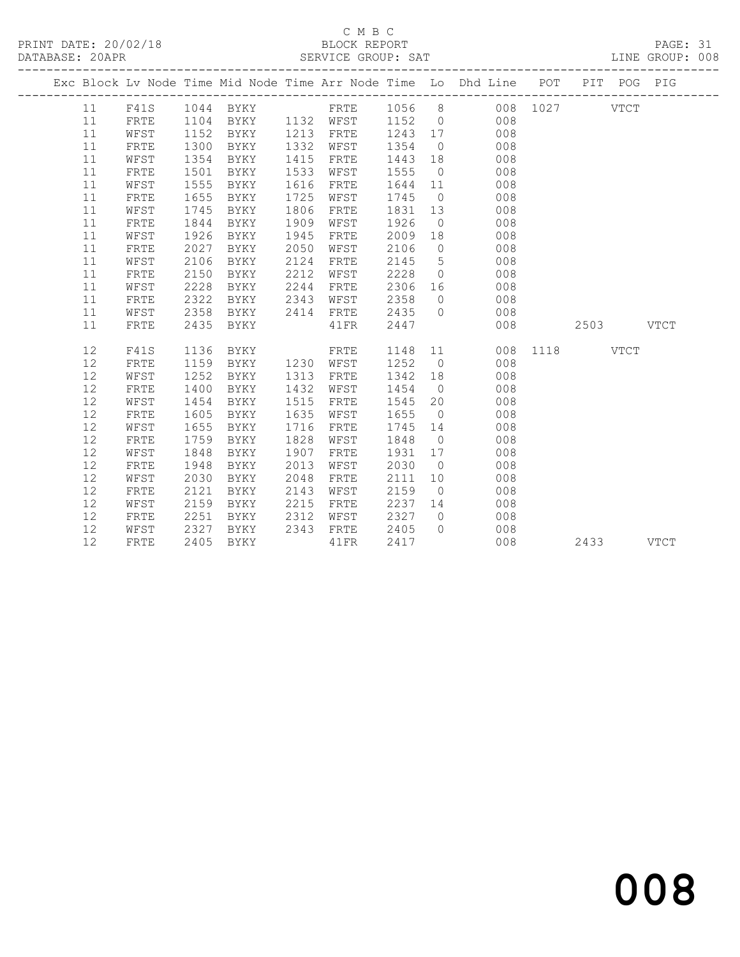PRINT DATE: 20/02/18 BLOCK REPORT BATABASE: 20APR BERVICE GROUP: SAT

## C M B C<br>BLOCK REPORT

PAGE: 31<br>LINE GROUP: 008

|      | Exc Block Lv Node Time Mid Node Time Arr Node Time Lo Dhd Line POT PIT POG PIG |      |             |      |           |        |                |     |      |           |      |             |
|------|--------------------------------------------------------------------------------|------|-------------|------|-----------|--------|----------------|-----|------|-----------|------|-------------|
| 11   | F41S                                                                           |      | 1044 BYKY   |      | FRTE      | 1056 8 |                | 008 |      | 1027 VTCT |      |             |
| 11   | FRTE                                                                           | 1104 | BYKY        |      | 1132 WFST | 1152   | $\overline{0}$ | 008 |      |           |      |             |
| 11   | WFST                                                                           | 1152 | BYKY        | 1213 | FRTE      | 1243   | 17             | 008 |      |           |      |             |
| 11   | FRTE                                                                           | 1300 | BYKY        | 1332 | WFST      | 1354   | $\overline{0}$ | 008 |      |           |      |             |
| 11   | WFST                                                                           | 1354 | BYKY        | 1415 | FRTE      | 1443   | 18             | 008 |      |           |      |             |
| 11   | FRTE                                                                           | 1501 | BYKY        | 1533 | WFST      | 1555   | $\overline{0}$ | 008 |      |           |      |             |
| 11   | WFST                                                                           | 1555 | BYKY        | 1616 | FRTE      | 1644   | 11             | 008 |      |           |      |             |
| 11   | FRTE                                                                           | 1655 | BYKY        | 1725 | WFST      | 1745   | $\overline{0}$ | 008 |      |           |      |             |
| 11   | WFST                                                                           | 1745 | BYKY        | 1806 | FRTE      | 1831   | 13             | 008 |      |           |      |             |
| 11   | FRTE                                                                           | 1844 | BYKY        | 1909 | WFST      | 1926   | $\overline{0}$ | 008 |      |           |      |             |
| 11   | WFST                                                                           | 1926 | BYKY        | 1945 | FRTE      | 2009   | 18             | 008 |      |           |      |             |
| 11   | FRTE                                                                           | 2027 | <b>BYKY</b> | 2050 | WFST      | 2106   | $\overline{0}$ | 008 |      |           |      |             |
| 11   | WFST                                                                           | 2106 | BYKY        | 2124 | FRTE      | 2145   | $5^{\circ}$    | 008 |      |           |      |             |
| 11   | FRTE                                                                           | 2150 | BYKY        | 2212 | WFST      | 2228   | $\overline{0}$ | 008 |      |           |      |             |
| $11$ | WFST                                                                           | 2228 | BYKY        | 2244 | FRTE      | 2306   | 16             | 008 |      |           |      |             |
| 11   | FRTE                                                                           | 2322 | BYKY        | 2343 | WFST      | 2358   | $\overline{0}$ | 008 |      |           |      |             |
| 11   | WFST                                                                           | 2358 | BYKY        | 2414 | FRTE      | 2435   | $\Omega$       | 008 |      |           |      |             |
| 11   | FRTE                                                                           | 2435 | BYKY        |      | 41FR      | 2447   |                | 008 |      | 2503      |      | <b>VTCT</b> |
|      |                                                                                |      |             |      |           |        |                |     |      |           |      |             |
| 12   | F41S                                                                           | 1136 | BYKY        |      | FRTE      | 1148   | 11             | 008 | 1118 |           | VTCT |             |
| 12   | FRTE                                                                           | 1159 | BYKY        | 1230 | WFST      | 1252   | $\overline{0}$ | 008 |      |           |      |             |
| 12   | WFST                                                                           | 1252 | BYKY        | 1313 | FRTE      | 1342   | 18             | 008 |      |           |      |             |
| 12   | FRTE                                                                           | 1400 | BYKY        | 1432 | WFST      | 1454   | $\overline{0}$ | 008 |      |           |      |             |
| 12   | WFST                                                                           | 1454 | BYKY        | 1515 | FRTE      | 1545   | 20             | 008 |      |           |      |             |
| 12   | FRTE                                                                           | 1605 | BYKY        | 1635 | WFST      | 1655   | $\overline{0}$ | 008 |      |           |      |             |
| 12   | WFST                                                                           | 1655 | BYKY        | 1716 | FRTE      | 1745   | 14             | 008 |      |           |      |             |
| 12   | FRTE                                                                           | 1759 | BYKY        | 1828 | WFST      | 1848   | $\overline{0}$ | 008 |      |           |      |             |
| 12   | WFST                                                                           | 1848 | BYKY        | 1907 | FRTE      | 1931   | 17             | 008 |      |           |      |             |
| 12   | FRTE                                                                           | 1948 | BYKY        | 2013 | WFST      | 2030   | $\overline{0}$ | 008 |      |           |      |             |
| 12   | WFST                                                                           | 2030 | BYKY        | 2048 | FRTE      | 2111   | 10             | 008 |      |           |      |             |
| 12   | FRTE                                                                           | 2121 | BYKY        | 2143 | WFST      | 2159   | $\overline{0}$ | 008 |      |           |      |             |
| 12   | WFST                                                                           | 2159 | BYKY        | 2215 | FRTE      | 2237   | 14             | 008 |      |           |      |             |
| 12   | FRTE                                                                           | 2251 | BYKY        | 2312 | WFST      | 2327   | $\bigcirc$     | 008 |      |           |      |             |
| 12   | WFST                                                                           | 2327 | BYKY        | 2343 | FRTE      | 2405   | $\bigcap$      | 008 |      |           |      |             |
| 12   | FRTE                                                                           | 2405 | BYKY        |      | 41FR      | 2417   |                | 008 |      | 2433      |      | <b>VTCT</b> |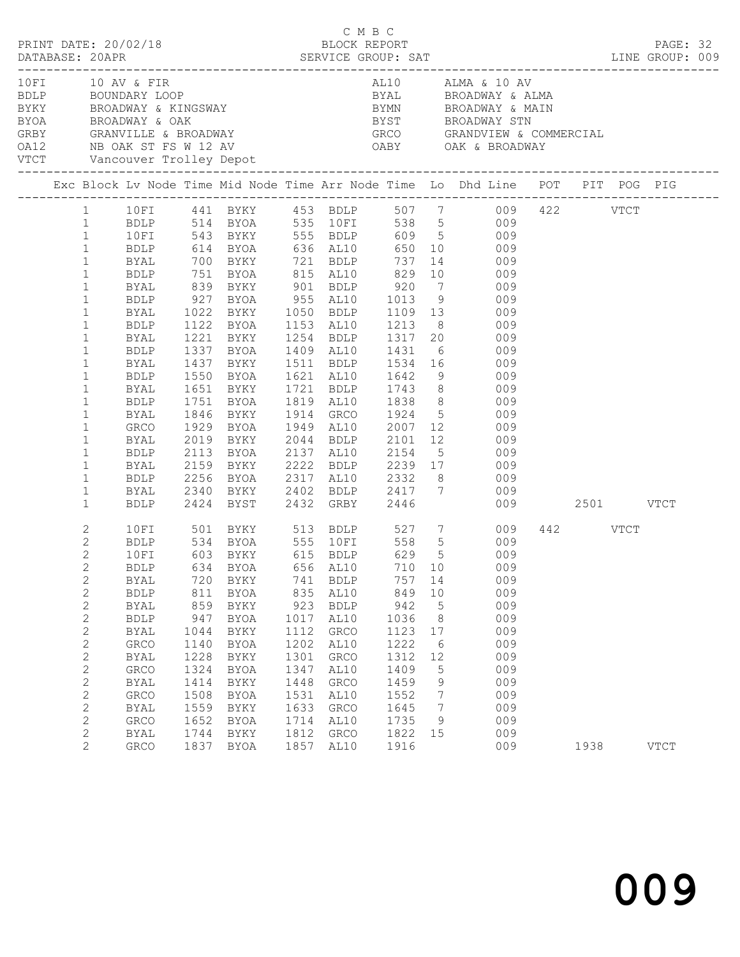|                   |                                                                                                                                                                                                                                                                                              |                                                                                                                                  |                                                                                                  |                                                                                                      |                                                                                                   | C M B C                                                                                                             |                                                                                                         |                                                                                                 | DATABASE: 20APR SERVICE GROUP: SAT LINE GROUP: 009                                                                                                                                                                                                                                                                                                                                                                                                                                                                                                                                                                                                                                                                                                                              |          | PAGE: 32    |  |
|-------------------|----------------------------------------------------------------------------------------------------------------------------------------------------------------------------------------------------------------------------------------------------------------------------------------------|----------------------------------------------------------------------------------------------------------------------------------|--------------------------------------------------------------------------------------------------|------------------------------------------------------------------------------------------------------|---------------------------------------------------------------------------------------------------|---------------------------------------------------------------------------------------------------------------------|---------------------------------------------------------------------------------------------------------|-------------------------------------------------------------------------------------------------|---------------------------------------------------------------------------------------------------------------------------------------------------------------------------------------------------------------------------------------------------------------------------------------------------------------------------------------------------------------------------------------------------------------------------------------------------------------------------------------------------------------------------------------------------------------------------------------------------------------------------------------------------------------------------------------------------------------------------------------------------------------------------------|----------|-------------|--|
|                   |                                                                                                                                                                                                                                                                                              | 10 FI 10 AV & FIR                                                                                                                |                                                                                                  |                                                                                                      |                                                                                                   |                                                                                                                     |                                                                                                         |                                                                                                 | AL10 ALMA & 10 AV<br>10 10 AV & FIR<br>BOUNDARY LOOP<br>BOUNDARY LOOP<br>BROADWAY & KINGSWAY<br>BROADWAY & CAK<br>BROADWAY & OAK<br>BROADWAY & OAK<br>SROADWAY & COMMERCIAL<br>GRBY<br>CARY<br>CARY<br>CARY<br>CARY<br>CARY<br>CARY<br>CARY<br>CARY<br>CARY<br>CARY<br>CARY<br>CARY<br>CARY<br>                                                                                                                                                                                                                                                                                                                                                                                                                                                                                 |          |             |  |
|                   |                                                                                                                                                                                                                                                                                              |                                                                                                                                  |                                                                                                  |                                                                                                      |                                                                                                   |                                                                                                                     |                                                                                                         |                                                                                                 | Exc Block Lv Node Time Mid Node Time Arr Node Time Lo Dhd Line POT PIT POG PIG                                                                                                                                                                                                                                                                                                                                                                                                                                                                                                                                                                                                                                                                                                  |          |             |  |
|                   | $\mathbf{1}$<br>$\mathbf{1}$<br>$\mathbf{1}$<br>$\mathbf{1}$<br>$\mathbf{1}$<br>$\mathbf{1}$<br>$\mathbf{1}$<br>$\mathbf{1}$<br>$\mathbf{1}$<br>$\mathbf{1}$<br>$\mathbf{1}$<br>$\mathbf{1}$<br>$\mathbf{1}$<br>$\mathbf{1}$<br>$\mathbf{1}$<br>$\mathbf{1}$<br>$\mathbf{1}$<br>$\mathbf{1}$ | 10FI<br>BYAL<br>BYAL<br>BDLP<br>BYAL<br>BDLP<br>BYAL<br>BDLP<br>BYAL<br>BDLP<br>BYAL<br>GRCO<br>BYAL<br>BDLP<br>BYAL             | 1751                                                                                             |                                                                                                      |                                                                                                   |                                                                                                                     |                                                                                                         |                                                                                                 | 1 10FI 441 BYKY 453 BDLP 507 7 009 422 VTCT<br>1 BDLP 514 BYOA 535 10FI 538 5 009<br>1 10FI 543 BYKY 555 BDLP 609 5 009<br>BDLP 614 BYOA 636 AL10 650 10 009<br>BYAL 700 BYKY 721 BDLP 737 14 009<br>BDLP 751 BYOA 815 AL10 829 10 009<br>BYAL 839 BYKY 901 BDLP 920 7 009<br>BDLP 927 BYOA 955 AL10 1013 9 009<br>1022 BYKY 1050 BDLP 1109 13 009<br>1122 BYOA 1153 AL10 1213 8 009<br>1221 BYKY 1254 BDLP 1317 20 009<br>1337 BYOA 1409 AL10 1431 6 009<br>1437 BYKY 1511 BDLP 1534 16 009<br>1550 BYOA 1621 AL10 1642 9 009<br>1651 BYKY 1721 BDLP 1743 8 009<br>1751 BYOA 1819 AL10 1838 8 009<br>1846 BYKY 1914 GRCO 1924 5 009<br>1929 BYOA 1949 AL10 2007 12 009<br>2019 BYKY 2044 BDLP 2101 12 009<br>2113 BYOA 2137 AL10 2154 5 009<br>2159 BYKY 2222 BDLP 2239 17 009 |          |             |  |
|                   | $\mathbf{1}$<br>$\mathbf{1}$                                                                                                                                                                                                                                                                 |                                                                                                                                  |                                                                                                  |                                                                                                      |                                                                                                   |                                                                                                                     |                                                                                                         |                                                                                                 | BDLP 2256 BYOA 2317 AL10 2332 8 009<br>BYAL 2340 BYKY 2402 BDLP 2417 7 009<br>BDLP 2424 BYST 2432 GRBY 2446 009 2501 VTCT                                                                                                                                                                                                                                                                                                                                                                                                                                                                                                                                                                                                                                                       |          |             |  |
| $\mathbf{2}$<br>2 | $\mathbf{1}$<br>$\mathbf{2}$<br>$\overline{c}$<br>$\mathbf{2}$<br>$\overline{2}$<br>$\mathbf{2}$<br>$\mathbf{2}$<br>$\mathbf{2}$<br>$\mathbf{2}$<br>$\sqrt{2}$<br>2<br>$\mathbf{2}$<br>$\mathbf{2}$<br>$\sqrt{2}$<br>$\mathbf{2}$<br>$\mathbf{2}$                                            | BYAL<br><b>BDLP</b><br><b>BYAL</b><br><b>BDLP</b><br><b>BYAL</b><br>GRCO<br>BYAL<br>GRCO<br>BYAL<br>GRCO<br>BYAL<br>GRCO<br>BYAL | 720<br>811<br>859<br>947<br>1044<br>1140<br>1228<br>1324<br>1414<br>1508<br>1559<br>1652<br>1744 | BYKY<br>BYOA<br>BYKY<br>BYOA<br>BYKY<br>BYOA<br>BYKY<br>BYOA<br>BYKY<br>BYOA<br>BYKY<br>BYOA<br>BYKY | 741<br>835<br>923<br>1017<br>1112<br>1202<br>1301<br>1347<br>1448<br>1531<br>1633<br>1714<br>1812 | BDLP<br>AL10<br><b>BDLP</b><br>AL10<br>GRCO<br>AL10<br>${\tt GRCO}$<br>AL10<br>GRCO<br>AL10<br>GRCO<br>AL10<br>GRCO | 757 14<br>849<br>942<br>1036<br>1123<br>1222<br>1312<br>1409<br>1459<br>1552<br>1645<br>1735<br>1822 15 | 10<br>$5\phantom{.0}$<br>8<br>17<br>$6\overline{6}$<br>12<br>5<br>9<br>7<br>$\overline{7}$<br>9 | 10FI 501 BYKY 513 BDLP 527 7 009<br>BDLP 534 BYOA 555 10FI 558 5 009<br>10FI 603 BYKY 615 BDLP 629 5 009<br>BDLP 634 BYOA 656 AL10 710 10 009<br>009<br>009<br>009<br>009<br>009<br>009<br>009<br>009<br>009<br>009<br>009<br>009<br>009                                                                                                                                                                                                                                                                                                                                                                                                                                                                                                                                        | 442 VTCT |             |  |
|                   | $\overline{2}$                                                                                                                                                                                                                                                                               | GRCO                                                                                                                             | 1837                                                                                             | BYOA                                                                                                 | 1857                                                                                              | AL10                                                                                                                | 1916                                                                                                    |                                                                                                 | 009                                                                                                                                                                                                                                                                                                                                                                                                                                                                                                                                                                                                                                                                                                                                                                             | 1938     | <b>VTCT</b> |  |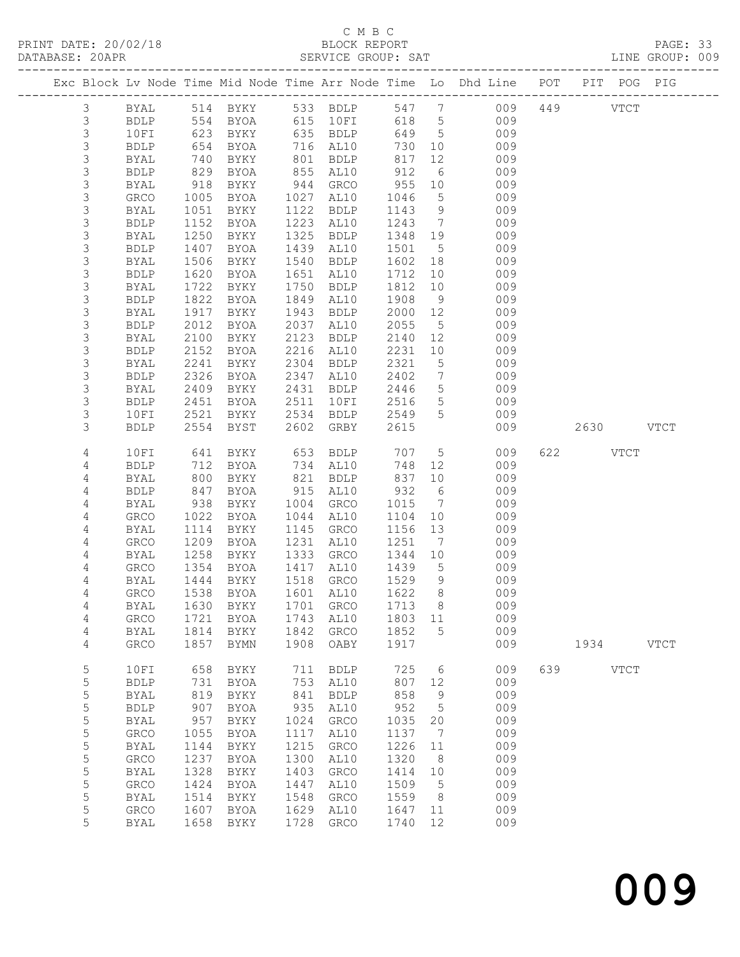PRINT DATE:  $20/02/18$ 

# C M B C<br>BLOCK REPORT<br>CERVICE CROUP: SAT

|                |                     |                   |                                                            |      |                                              |              |                |                                                                                |     |           |             | PAGE: 33<br>LINE GROUP: 009 |  |
|----------------|---------------------|-------------------|------------------------------------------------------------|------|----------------------------------------------|--------------|----------------|--------------------------------------------------------------------------------|-----|-----------|-------------|-----------------------------|--|
|                |                     |                   |                                                            |      |                                              |              |                | Exc Block Lv Node Time Mid Node Time Arr Node Time Lo Dhd Line POT PIT POG PIG |     |           |             |                             |  |
| $\mathcal{S}$  |                     |                   |                                                            |      |                                              |              |                | BYAL 514 BYKY 533 BDLP 547 7 009 449 VTCT                                      |     |           |             |                             |  |
| $\mathfrak{Z}$ | <b>BDLP</b>         |                   |                                                            |      |                                              |              |                | 554 BYOA 615 10FI 618 5 009                                                    |     |           |             |                             |  |
| $\mathsf 3$    | 10FI                |                   |                                                            |      |                                              |              |                | 623 BYKY 635 BDLP 649 5 009                                                    |     |           |             |                             |  |
| $\mathfrak{Z}$ | BDLP                | 654<br>740<br>829 | BYOA                                                       |      | 716 AL10                                     |              |                | 730 10 009<br>817 12 009                                                       |     |           |             |                             |  |
| $\mathsf 3$    | BYAL                |                   | BYKY                                                       |      | 801 BDLP                                     |              |                |                                                                                |     |           |             |                             |  |
| $\mathsf 3$    | BDLP                |                   | BYOA                                                       |      | 855 AL10                                     | 912          |                | 6 009                                                                          |     |           |             |                             |  |
| 3              | BYAL                | 918               | BYKY 944 GRCO                                              |      |                                              | 955          |                | 10 009                                                                         |     |           |             |                             |  |
| $\mathsf 3$    | GRCO                | 1005              | BYOA                                                       |      | 1027 AL10                                    | 1046         |                | 5 009<br>9 009                                                                 |     |           |             |                             |  |
| $\mathsf 3$    | BYAL                | 1051              | BYKY                                                       |      | 1122 BDLP                                    | 1143 9       |                |                                                                                |     |           |             |                             |  |
| 3              | <b>BDLP</b>         | 1152              | BYOA                                                       |      | 1223 AL10                                    |              |                | $1243 \quad 7 \quad 009$                                                       |     |           |             |                             |  |
| 3              | BYAL                | 1250              | BYKY                                                       | 1325 | BDLP                                         |              |                | 1348 19 009                                                                    |     |           |             |                             |  |
| 3              | <b>BDLP</b>         | 1407              | BYOA                                                       |      | 1439 AL10                                    | 1501         | 5 <sub>5</sub> | 009                                                                            |     |           |             |                             |  |
| $\mathsf 3$    | BYAL                | 1506              | BYKY                                                       |      | 1540 BDLP                                    | 1602         | 18             | 009<br>$\frac{1}{10}$ 009                                                      |     |           |             |                             |  |
| 3              | BDLP                | 1620              | BYOA                                                       |      | 1651 AL10                                    | 1712         |                |                                                                                |     |           |             |                             |  |
| $\mathsf 3$    | BYAL                | 1722              | BYKY                                                       |      | 1750 BDLP                                    |              |                | 1812 10 009                                                                    |     |           |             |                             |  |
| 3              | BDLP                | 1822              | BYOA                                                       | 1849 | AL10                                         | 1908         |                | 9 009                                                                          |     |           |             |                             |  |
| $\mathsf 3$    | BYAL                | 1917<br>2012      | BYKY                                                       | 1943 | BDLP                                         | 2000 12      |                | 009<br>009                                                                     |     |           |             |                             |  |
| $\mathfrak{Z}$ | BDLP                |                   | BYOA                                                       | 2037 | AL10                                         | 2055         | 5 <sup>5</sup> | 2140 12 009                                                                    |     |           |             |                             |  |
| 3<br>3         | BYAL                | 2100              | BYKY                                                       | 2123 | BDLP                                         |              |                |                                                                                |     |           |             |                             |  |
| $\mathsf 3$    | <b>BDLP</b>         | 2152              | BYOA                                                       |      | 2216 AL10                                    | 2231<br>2321 |                | 10 009                                                                         |     |           |             |                             |  |
| 3              | BYAL                | 2241<br>2326      | BYKY                                                       |      | 2304 BDLP<br>2347 AL10                       | 2402         |                | 5 009<br>7 009                                                                 |     |           |             |                             |  |
| $\mathsf 3$    | BDLP                | 2409              | BYOA<br><b>BYKY</b>                                        |      | 2431 BDLP                                    |              |                | 2446 5 009                                                                     |     |           |             |                             |  |
| 3              | BYAL<br><b>BDLP</b> | 2451              |                                                            |      |                                              |              |                | 2516 5 009                                                                     |     |           |             |                             |  |
| 3              | 10FI                |                   | BYOA 2511 10FI                                             |      |                                              |              |                |                                                                                |     |           |             |                             |  |
| 3              | <b>BDLP</b>         |                   | 2521 BYKY<br>2554 BYST<br>BYKY 2534 BDLP<br>BYST 2602 GRBY |      |                                              | 2615         |                | 2549 5 009<br>009                                                              |     | 2630 VTCT |             |                             |  |
|                |                     |                   |                                                            |      |                                              |              |                |                                                                                |     |           |             |                             |  |
| 4              | 10FI                |                   |                                                            |      | 641 BYKY 653 BDLP 707                        |              |                | 5 009                                                                          |     | 622 VTCT  |             |                             |  |
| 4              | <b>BDLP</b>         | 712<br>800        | BYOA                                                       |      | 734 AL10                                     | 748<br>837   | 12             | 009                                                                            |     |           |             |                             |  |
| 4              | BYAL                |                   | BYKY                                                       |      | 821 BDLP                                     |              | 10             | 009                                                                            |     |           |             |                             |  |
| 4              | BDLP                | 847               | BYOA                                                       |      | 915 AL10                                     | 932          |                | 6 009                                                                          |     |           |             |                             |  |
| 4              | BYAL                | 938               | BYKY                                                       |      | 1004 GRCO                                    | 1015         |                | 7 009                                                                          |     |           |             |                             |  |
| 4              | GRCO                | 1022              | BYOA                                                       |      | 1044 AL10                                    |              |                | 1104 10 009                                                                    |     |           |             |                             |  |
| 4              | <b>BYAL</b>         | 1114              | BYKY                                                       |      | 1145 GRCO                                    | 1156         | 13             | 009<br>$1251 \t 7 \t 009$                                                      |     |           |             |                             |  |
| 4              | GRCO                |                   | 1209 BYOA 1231 AL10                                        |      |                                              |              |                |                                                                                |     |           |             |                             |  |
| 4              | <b>BYAL</b>         | 1258              | BYKY 1333 GRCO                                             |      |                                              | 1344 10      | $5^{\circ}$    | 009                                                                            |     |           |             |                             |  |
| 4              | <b>GRCO</b>         |                   | 1354 BYOA                                                  |      | 1417 AL10<br>BYAL 1444 BYKY 1518 GRCO 1529 9 | 1439         |                | 009<br>009                                                                     |     |           |             |                             |  |
| 4<br>4         | GRCO                | 1538              | <b>BYOA</b>                                                | 1601 | AL10                                         | 1622         | 8              | 009                                                                            |     |           |             |                             |  |
| 4              | <b>BYAL</b>         | 1630              | BYKY                                                       | 1701 | GRCO                                         | 1713         | 8              | 009                                                                            |     |           |             |                             |  |
| 4              | GRCO                | 1721              | <b>BYOA</b>                                                | 1743 | AL10                                         | 1803         | 11             | 009                                                                            |     |           |             |                             |  |
| 4              | <b>BYAL</b>         | 1814              | BYKY                                                       | 1842 | GRCO                                         | 1852         | 5              | 009                                                                            |     |           |             |                             |  |
| 4              | GRCO                | 1857              | <b>BYMN</b>                                                | 1908 | OABY                                         | 1917         |                | 009                                                                            |     | 1934      |             | <b>VTCT</b>                 |  |
|                |                     |                   |                                                            |      |                                              |              |                |                                                                                |     |           |             |                             |  |
| 5              | 10FI                | 658               | BYKY                                                       | 711  | <b>BDLP</b>                                  | 725          | 6              | 009                                                                            | 639 |           | <b>VTCT</b> |                             |  |
| 5              | <b>BDLP</b>         | 731               | <b>BYOA</b>                                                | 753  | AL10                                         | 807          | 12             | 009                                                                            |     |           |             |                             |  |
| 5              | <b>BYAL</b>         | 819               | BYKY                                                       | 841  | <b>BDLP</b>                                  | 858          | 9              | 009                                                                            |     |           |             |                             |  |
| 5              | <b>BDLP</b>         | 907               | <b>BYOA</b>                                                | 935  | AL10                                         | 952          | 5              | 009                                                                            |     |           |             |                             |  |
| 5              | <b>BYAL</b>         | 957               | BYKY                                                       | 1024 | GRCO                                         | 1035         | 20             | 009                                                                            |     |           |             |                             |  |
| 5              | GRCO                | 1055              | <b>BYOA</b>                                                | 1117 | AL10                                         | 1137         | 7              | 009                                                                            |     |           |             |                             |  |
| 5              | <b>BYAL</b>         | 1144              | BYKY                                                       | 1215 | GRCO                                         | 1226         | 11             | 009                                                                            |     |           |             |                             |  |
| 5              | ${\tt GRCO}$        | 1237              | <b>BYOA</b>                                                | 1300 | AL10                                         | 1320         | 8              | 009                                                                            |     |           |             |                             |  |
| 5              | <b>BYAL</b>         | 1328              | BYKY                                                       | 1403 | GRCO                                         | 1414         | 10             | 009                                                                            |     |           |             |                             |  |
| 5              | ${\tt GRCO}$        | 1424              | <b>BYOA</b>                                                | 1447 | AL10                                         | 1509         | 5              | 009                                                                            |     |           |             |                             |  |
| 5              | <b>BYAL</b>         | 1514              | BYKY                                                       | 1548 | GRCO                                         | 1559         | 8              | 009                                                                            |     |           |             |                             |  |
| 5<br>5         | GRCO                | 1607              | <b>BYOA</b>                                                | 1629 | AL10                                         | 1647         | 11             | 009                                                                            |     |           |             |                             |  |
|                | <b>BYAL</b>         | 1658              | BYKY                                                       | 1728 | GRCO                                         | 1740         | 12             | 009                                                                            |     |           |             |                             |  |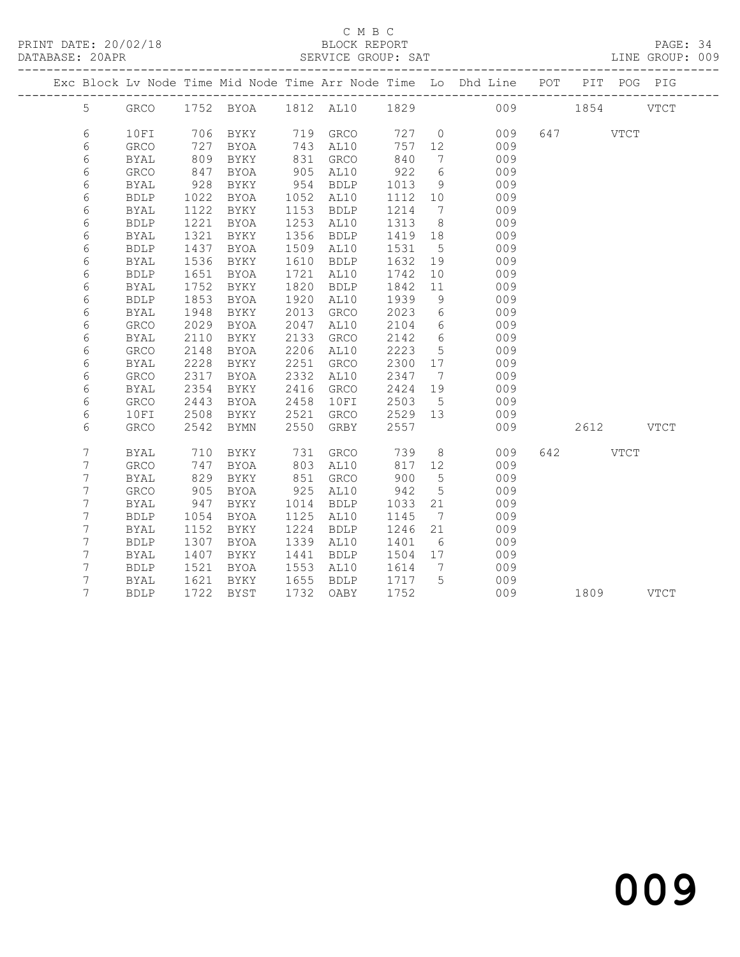### C M B C

| DATABASE: 20APR |      |      |             |      | SERVICE GROUP: SAT |         |    | LINE GROUP: 009                                                                |          |  |  |
|-----------------|------|------|-------------|------|--------------------|---------|----|--------------------------------------------------------------------------------|----------|--|--|
|                 |      |      |             |      |                    |         |    | Exc Block Lv Node Time Mid Node Time Arr Node Time Lo Dhd Line POT PIT POG PIG |          |  |  |
| 5 <sup>1</sup>  |      |      |             |      |                    |         |    | GRCO 1752 BYOA 1812 AL10 1829 009 1854 VTCT                                    |          |  |  |
| 6               | 10FI |      | 706 BYKY    |      |                    |         |    | 719 GRCO 727 0 009                                                             | 647 VTCT |  |  |
| 6               | GRCO | 727  | BYOA        | 743  | AL10               | 757     |    | 009                                                                            |          |  |  |
| 6               | BYAL | 809  | BYKY        | 831  | GRCO               | 840     |    | 7<br>009                                                                       |          |  |  |
| 6               | GRCO | 847  | BYOA        | 905  | AL10               | 922     | 6  | 009                                                                            |          |  |  |
| 6               | BYAL | 928  | BYKY        | 954  | BDLP               | 1013    |    | $9 \quad \bullet$<br>009                                                       |          |  |  |
| 6               | BDLP | 1022 | BYOA        | 1052 | AL10               | 1112    | 10 | 009                                                                            |          |  |  |
| 6               | BYAL | 1122 | BYKY        | 1153 | BDLP               | 1214    | 7  | 009                                                                            |          |  |  |
| 6               | BDLP | 1221 | BYOA        | 1253 | AL10               | 1313    | 8  | 009                                                                            |          |  |  |
| 6               | BYAL | 1321 | BYKY        | 1356 | BDLP               | 1419 18 |    | 009                                                                            |          |  |  |
| 6               | BDLP | 1437 | BYOA        | 1509 | AL10               | 1531    | 5  | 009                                                                            |          |  |  |
| 6               | BYAL | 1536 | BYKY        | 1610 | BDLP               | 1632    |    | 009<br>19                                                                      |          |  |  |
| 6               | BDLP | 1651 | BYOA        | 1721 | AL10               | 1742    | 10 | 009                                                                            |          |  |  |
| 6               | BYAL | 1752 | BYKY        | 1820 | BDLP               | 1842    | 11 | 009                                                                            |          |  |  |
| 6               | BDLP | 1853 | BYOA        | 1920 | AL10               | 1939    | 9  | 009                                                                            |          |  |  |
| 6               | BYAL | 1948 | BYKY        | 2013 | GRCO               | 2023    |    | $6\overline{}$<br>009                                                          |          |  |  |
| 6               | GRCO | 2029 | <b>BYOA</b> | 2047 | AL10               | 2104    | 6  | 009                                                                            |          |  |  |
| 6               | BYAL | 2110 | BYKY        | 2133 | GRCO               | 2142    |    | $6\degree$<br>009                                                              |          |  |  |
| 6               | GRCO | 2148 | BYOA        | 2206 | AL10               | 2223    |    | $5 \quad \bullet$<br>009                                                       |          |  |  |
| 6               | BYAL |      | 2228 BYKY   | 2251 | GRCO               | 2300    |    | 17<br>009                                                                      |          |  |  |

|   | _____       |      |             |      | ----        |      |    | - - - |     |      |             |
|---|-------------|------|-------------|------|-------------|------|----|-------|-----|------|-------------|
| 6 | GRCO        | 2317 | <b>BYOA</b> | 2332 | AL10        | 2347 |    | 009   |     |      |             |
| 6 | BYAL        | 2354 | BYKY        | 2416 | <b>GRCO</b> | 2424 | 19 | 009   |     |      |             |
| 6 | <b>GRCO</b> | 2443 | <b>BYOA</b> | 2458 | 10FI        | 2503 | 5  | 009   |     |      |             |
| 6 | 10FI        | 2508 | BYKY        | 2521 | <b>GRCO</b> | 2529 | 13 | 009   |     |      |             |
| 6 | <b>GRCO</b> | 2542 | <b>BYMN</b> | 2550 | GRBY        | 2557 |    | 009   |     | 2612 | VTCT        |
| 7 | BYAL        | 710  | BYKY        | 731  | GRCO        | 739  | 8  | 009   | 642 |      | <b>VTCT</b> |
|   | <b>GRCO</b> | 747  | <b>BYOA</b> | 803  | AL10        | 817  | 12 | 009   |     |      |             |
|   | BYAL        | 829  | BYKY        | 851  | <b>GRCO</b> | 900  | 5  | 009   |     |      |             |
|   | <b>GRCO</b> | 905  | <b>BYOA</b> | 925  | AL10        | 942  | 5  | 009   |     |      |             |
|   | BYAL        | 947  | BYKY        | 1014 | <b>BDLP</b> | 1033 | 21 | 009   |     |      |             |
|   | <b>BDLP</b> | 1054 | <b>BYOA</b> | 1125 | AL10        | 1145 |    | 009   |     |      |             |
|   |             | 1152 |             | 1224 | <b>BDLP</b> | 1246 | 21 | 009   |     |      |             |
|   | BYAL        |      | BYKY        |      |             |      |    |       |     |      |             |
|   | <b>BDLP</b> | 1307 | <b>BYOA</b> | 1339 | AL10        | 1401 | 6  | 009   |     |      |             |
|   | BYAL        | 1407 | BYKY        | 1441 | <b>BDLP</b> | 1504 | 17 | 009   |     |      |             |
|   | <b>BDLP</b> | 1521 | <b>BYOA</b> | 1553 | AL10        | 1614 |    | 009   |     |      |             |
|   | BYAL        | 1621 | BYKY        | 1655 | <b>BDLP</b> | 1717 | 5  | 009   |     |      |             |
|   | <b>BDLP</b> | 1722 | BYST        | 1732 | OABY        | 1752 |    | 009   |     | 1809 | VTCT        |
|   |             |      |             |      |             |      |    |       |     |      |             |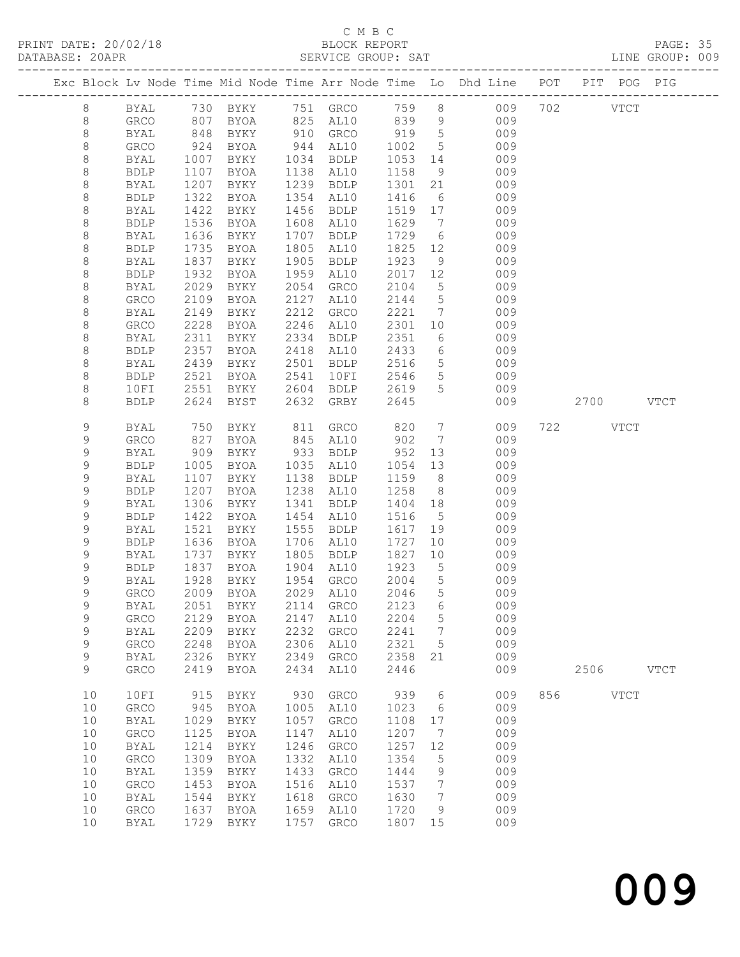PRINT DATE: 20/02/18<br>DATABASE: 20APR

# C M B C<br>BLOCK REPORT<br>SERVICE GROUP: SAT

|             |                     |               |                                 |              |              |              |                      |                                                                                |     |           |             | PAGE: 35<br>LINE GROUP: 009 |  |
|-------------|---------------------|---------------|---------------------------------|--------------|--------------|--------------|----------------------|--------------------------------------------------------------------------------|-----|-----------|-------------|-----------------------------|--|
|             |                     |               |                                 |              |              |              |                      | Exc Block Lv Node Time Mid Node Time Arr Node Time Lo Dhd Line POT PIT POG PIG |     |           |             |                             |  |
| 8           |                     |               |                                 |              |              |              |                      | BYAL 730 BYKY 751 GRCO 759 8 009 702 VTCT                                      |     |           |             |                             |  |
| 8           | GRCO                |               |                                 |              |              |              |                      | 807 BYOA 825 AL10 839 9 009                                                    |     |           |             |                             |  |
| 8           | BYAL                | 848           | BYKY 910 GRCO                   |              |              |              |                      | 919 5 009                                                                      |     |           |             |                             |  |
| $\,8\,$     | GRCO                | $924$<br>1007 | BYOA                            |              | 944 AL10     | 1002 5       |                      | 009                                                                            |     |           |             |                             |  |
| $\,8\,$     | BYAL                |               | BYKY                            |              | 1034 BDLP    | 1053         | 14                   | 009                                                                            |     |           |             |                             |  |
| 8           | BDLP                | 1107          | BYOA                            |              | 1138 AL10    | 1158         |                      | 9 009                                                                          |     |           |             |                             |  |
| 8           | BYAL                | 1207          | BYKY                            |              | 1239 BDLP    | 1301         |                      | 21 009                                                                         |     |           |             |                             |  |
| 8           | BDLP                | 1322          | BYOA                            |              | 1354 AL10    | 1416         |                      | 6 009                                                                          |     |           |             |                             |  |
| $\,8\,$     | BYAL                | 1422          | BYKY                            | 1456         | BDLP         | 1519 17      |                      | 009                                                                            |     |           |             |                             |  |
| 8           | <b>BDLP</b>         | 1536          | BYOA                            | 1608         | AL10         | 1629 7       |                      | 009                                                                            |     |           |             |                             |  |
| 8           | BYAL                | 1636          | BYKY                            | 1707         | BDLP         |              |                      | 1729 6 009                                                                     |     |           |             |                             |  |
| 8           | <b>BDLP</b>         | 1735          | BYOA                            | 1805         | AL10         | 1825         |                      | 12 009                                                                         |     |           |             |                             |  |
| 8           | BYAL                | 1837<br>1932  | BYKY                            | 1905         | BDLP         | 1923         | 9                    | 009<br>12 009                                                                  |     |           |             |                             |  |
| 8           | <b>BDLP</b>         |               | BYOA                            | 1959         | AL10         | 2017         |                      | 5 009                                                                          |     |           |             |                             |  |
| 8<br>8      | BYAL                | 2029          | BYKY                            | 2054<br>2127 | GRCO         | 2104<br>2144 |                      | 5 009                                                                          |     |           |             |                             |  |
| 8           | GRCO<br>BYAL        | 2109<br>2149  | BYOA<br>BYKY                    | 2212         | AL10<br>GRCO | 2221         | $7\overline{ }$      | 009                                                                            |     |           |             |                             |  |
| 8           | GRCO                | 2228          | BYOA                            | 2246         | AL10         |              |                      | $2301$ 10 009                                                                  |     |           |             |                             |  |
| 8           | BYAL                | 2311          | BYKY                            | 2334         | BDLP         | 2351         |                      | 6 009                                                                          |     |           |             |                             |  |
| 8           | BDLP                | 2357          | BYOA                            | 2418         | AL10         | 2433         |                      | 6 009                                                                          |     |           |             |                             |  |
| $\,8\,$     | BYAL                |               | BYKY                            |              | 2501 BDLP    | 2516         |                      |                                                                                |     |           |             |                             |  |
| 8           | BDLP                | 2439<br>2521  | BYOA                            |              | 2541 10FI    | 2546         |                      | 5 009<br>5 009                                                                 |     |           |             |                             |  |
| 8           | 10FI                | 2551          | <b>BYKY</b>                     |              | 2604 BDLP    |              |                      | 2619 5 009                                                                     |     |           |             |                             |  |
| 8           | <b>BDLP</b>         | 2624          | BYST                            |              | 2632 GRBY    | 2645         |                      | 009                                                                            |     | 2700 VTCT |             |                             |  |
| 9           | BYAL                | 750           | BYKY 811 GRCO                   |              |              | 820          |                      | 7 009                                                                          |     | 722 VTCT  |             |                             |  |
| 9           | GRCO                | 827           | BYOA                            |              | 845 AL10     | 902          |                      | $7\overline{ }$<br>009                                                         |     |           |             |                             |  |
| 9           | <b>BYAL</b>         | 909           | BYKY                            |              | 933 BDLP     | 952          |                      | 13<br>009                                                                      |     |           |             |                             |  |
| 9           | <b>BDLP</b>         | 1005          | BYOA                            |              | 1035 AL10    | 1054         |                      | 13<br>009                                                                      |     |           |             |                             |  |
| 9           | BYAL                | 1107          | BYKY                            |              | 1138 BDLP    | 1159         | 8 <sup>8</sup>       | 009                                                                            |     |           |             |                             |  |
| 9           | <b>BDLP</b>         | 1207          | BYOA                            |              | 1238 AL10    | 1258         |                      | 8 009                                                                          |     |           |             |                             |  |
| 9           | BYAL                | 1306          | BYKY                            |              | 1341 BDLP    |              |                      | 1404 18 009                                                                    |     |           |             |                             |  |
| 9           | <b>BDLP</b>         | 1422          | BYOA                            |              | 1454 AL10    | 1516         |                      | 5 009                                                                          |     |           |             |                             |  |
| 9           | BYAL                | 1521          | BYKY                            |              | 1555 BDLP    | 1617         | 19                   | 009                                                                            |     |           |             |                             |  |
| 9           | BDLP                | 1636          | BYOA                            |              | 1706 AL10    |              |                      | $1727$ 10 009                                                                  |     |           |             |                             |  |
| 9           | <b>BYAL</b>         | 1737          | BYKY                            |              | 1805 BDLP    | 1827 10      |                      | 009                                                                            |     |           |             |                             |  |
| 9           | <b>BDLP</b>         | 1837          | BYOA                            |              | 1904 AL10    | 1923         | $5^{\circ}$          | 009                                                                            |     |           |             |                             |  |
| 9           |                     |               | BYAL 1928 BYKY 1954 GRCO 2004 5 |              |              |              |                      | 009                                                                            |     |           |             |                             |  |
| 9           | GRCO                | 2009          | <b>BYOA</b>                     | 2029         | AL10         | 2046         | 5                    | 009                                                                            |     |           |             |                             |  |
| 9           | <b>BYAL</b>         | 2051<br>2129  | BYKY                            | 2114         | GRCO         | 2123<br>2204 | 6                    | 009<br>009                                                                     |     |           |             |                             |  |
| 9<br>9      | GRCO<br><b>BYAL</b> | 2209          | <b>BYOA</b><br>BYKY             | 2147<br>2232 | AL10<br>GRCO | 2241         | 5<br>$7\phantom{.0}$ | 009                                                                            |     |           |             |                             |  |
| $\mathsf 9$ | ${\tt GRCO}$        | 2248          | <b>BYOA</b>                     | 2306         | AL10         | 2321         | $\mathsf S$          | 009                                                                            |     |           |             |                             |  |
| 9           | <b>BYAL</b>         | 2326          | BYKY                            | 2349         | GRCO         | 2358         | 21                   | 009                                                                            |     |           |             |                             |  |
| 9           | GRCO                | 2419          | <b>BYOA</b>                     | 2434         | AL10         | 2446         |                      | 009                                                                            |     | 2506      |             | $_{\rm VTCT}$               |  |
| 10          | 10FI                | 915           | BYKY                            | 930          | GRCO         | 939          | 6                    | 009                                                                            | 856 |           | <b>VTCT</b> |                             |  |
| 10          | ${\tt GRCO}$        | 945           | <b>BYOA</b>                     | 1005         | AL10         | 1023         | 6                    | 009                                                                            |     |           |             |                             |  |
| 10          | <b>BYAL</b>         | 1029          | BYKY                            | 1057         | GRCO         | 1108         | 17                   | 009                                                                            |     |           |             |                             |  |
| 10          | ${\tt GRCO}$        | 1125          | <b>BYOA</b>                     | 1147         | AL10         | 1207         | $7\phantom{.0}$      | 009                                                                            |     |           |             |                             |  |
| 10          | <b>BYAL</b>         | 1214          | BYKY                            | 1246         | GRCO         | 1257         | 12                   | 009                                                                            |     |           |             |                             |  |
| 10          | ${\tt GRCO}$        | 1309          | <b>BYOA</b>                     | 1332         | AL10         | 1354         | 5                    | 009                                                                            |     |           |             |                             |  |
| $10$        | <b>BYAL</b>         | 1359          | BYKY                            | 1433         | GRCO         | 1444         | 9                    | 009                                                                            |     |           |             |                             |  |
| 10          | ${\tt GRCO}$        | 1453          | <b>BYOA</b>                     | 1516         | AL10         | 1537         | 7                    | 009                                                                            |     |           |             |                             |  |
| 10          | <b>BYAL</b>         | 1544          | BYKY                            | 1618         | GRCO         | 1630         | $7\phantom{.0}$      | 009                                                                            |     |           |             |                             |  |
| 10          | ${\tt GRCO}$        | 1637          | <b>BYOA</b>                     | 1659         | AL10         | 1720         | $\,9$                | 009                                                                            |     |           |             |                             |  |
| 10          | <b>BYAL</b>         | 1729          | BYKY                            | 1757         | ${\tt GRCO}$ | 1807         | 15                   | 009                                                                            |     |           |             |                             |  |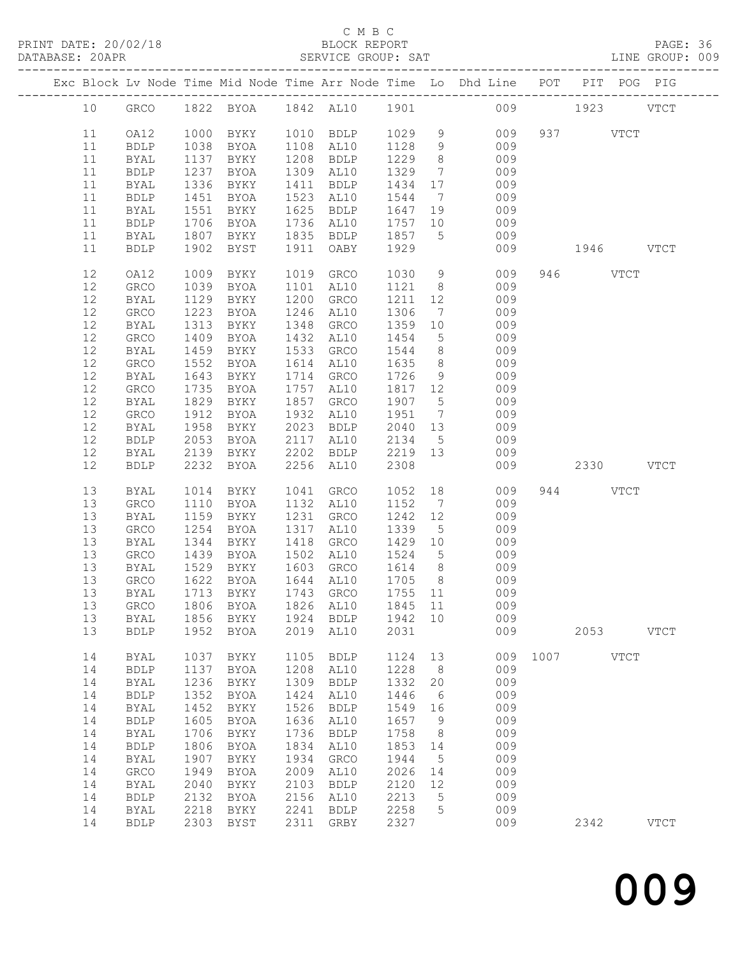PRINT DATE: 20/02/18 BLOCK REPORT BATABASE: 20APR BLOCK REPORT

### C M B C<br>BLOCK REPORT

PAGE: 36<br>LINE GROUP: 009

|  |          |                     |                |                                     |              |                        |                   |                 | Exc Block Lv Node Time Mid Node Time Arr Node Time Lo Dhd Line POT PIT POG PIG |              |           |             |
|--|----------|---------------------|----------------|-------------------------------------|--------------|------------------------|-------------------|-----------------|--------------------------------------------------------------------------------|--------------|-----------|-------------|
|  | 10       |                     |                |                                     |              |                        |                   |                 | GRCO 1822 BYOA 1842 AL10 1901 009 1923 VTCT                                    |              |           |             |
|  | 11       | OA12                |                | 1000 BYKY                           |              | 1010 BDLP 1029 9       |                   |                 |                                                                                | 009 937 VTCT |           |             |
|  | 11       | <b>BDLP</b>         | 1038           | BYOA                                |              | 1108 AL10              |                   |                 | 1128 9 009                                                                     |              |           |             |
|  | 11       | BYAL                | 1137           | BYKY                                |              | 1208 BDLP              | 1229              | 8 <sup>8</sup>  | 009                                                                            |              |           |             |
|  | 11       | <b>BDLP</b>         | 1237           | BYOA                                |              | 1309 AL10              | 1329              | $7\overline{ }$ | 009                                                                            |              |           |             |
|  | 11       | <b>BYAL</b>         | $1237$<br>1336 | BYKY                                |              | 1411 BDLP              | 1434 17           |                 | 009                                                                            |              |           |             |
|  | 11       | ${\tt BDLP}$        | 1451           | BYOA                                |              | 1523 AL10              | 1544              | $7\overline{ }$ | 009                                                                            |              |           |             |
|  | 11       | BYAL                | 1551           | BYKY                                |              | 1625 BDLP              | 1647 19           |                 | 009                                                                            |              |           |             |
|  | 11       | <b>BDLP</b>         | 1706           | BYOA                                |              | 1736 AL10              | 1757 10           |                 | 009                                                                            |              |           |             |
|  | 11       | BYAL                | 1807           | BYKY                                |              | 1835 BDLP              | 1857 5            |                 | 009<br>009                                                                     |              | 1946 VTCT |             |
|  | 11       | <b>BDLP</b>         | 1902           | BYST                                | 1911         | OABY                   | 1929              |                 |                                                                                |              |           |             |
|  | 12       | OA12                | 1009           | BYKY                                |              | 1019 GRCO              | 1030              | 9               | 009                                                                            |              | 946 VTCT  |             |
|  | 12       | ${\tt GRCO}$        | 1039           | BYOA                                |              | 1101 AL10              | 1121 8            |                 | 009                                                                            |              |           |             |
|  | 12       | BYAL                | 1129           | BYKY                                | 1200         | GRCO                   | 1211              |                 | 12<br>009                                                                      |              |           |             |
|  | 12<br>12 | GRCO                | 1223<br>1313   | BYOA                                |              | 1246 AL10<br>1348 GRCO | 1306<br>1359      | 10              | 009<br>$7\overline{ }$                                                         |              |           |             |
|  | 12       | BYAL<br>GRCO        | 1409           | BYKY<br>BYOA                        |              | 1432 AL10              | 1454              | $5\overline{)}$ | 009<br>009                                                                     |              |           |             |
|  | 12       | BYAL                | 1459           | BYKY                                |              | 1533 GRCO              | 1544              | 8 <sup>8</sup>  | 009                                                                            |              |           |             |
|  | 12       | GRCO                | 1552           | BYOA                                |              | 1614 AL10              | 1635              | 8 <sup>8</sup>  | 009                                                                            |              |           |             |
|  | 12       | BYAL                | 1643           | BYKY                                |              | 1714 GRCO              | 1726              | 9               | 009                                                                            |              |           |             |
|  | 12       | GRCO                | 1735           | BYOA                                |              | 1757 AL10              | 1817 12           |                 | 009                                                                            |              |           |             |
|  | 12       | <b>BYAL</b>         | 1829           | BYKY                                |              | 1857 GRCO              | 1907 5            |                 | 009                                                                            |              |           |             |
|  | 12       | GRCO                | 1912           | BYOA                                |              | 1932 AL10              | 1951              |                 | $7\overline{ }$<br>009                                                         |              |           |             |
|  | 12       | BYAL                | 1958           | BYKY                                |              | 2023 BDLP              |                   |                 | 2040 13 009                                                                    |              |           |             |
|  | 12       | <b>BDLP</b>         | 2053           | BYOA                                |              | 2117 AL10              | 2134 5            |                 | 009                                                                            |              |           |             |
|  | 12       | BYAL                |                | 2139 BYKY                           |              | 2202 BDLP              | 2219 13           |                 | 009                                                                            |              |           |             |
|  | 12       | <b>BDLP</b>         | 2232           | BYOA                                |              | 2256 AL10              | 2308              |                 | 009                                                                            |              | 2330 VTCT |             |
|  | 13       | BYAL                | 1014           | BYKY                                |              | 1041 GRCO              | 1052 18           |                 | 009                                                                            |              | 944 VTCT  |             |
|  | 13       | GRCO                | 1110           | BYOA                                |              | 1132 AL10              | 1152 7            |                 | 009                                                                            |              |           |             |
|  | 13       | BYAL                | 1159           | BYKY                                |              | 1231 GRCO              | 1242 12           |                 | 009                                                                            |              |           |             |
|  | 13       | GRCO                | 1254           | BYOA                                | 1317         | AL10                   | 1339 5            |                 | 009                                                                            |              |           |             |
|  | 13       | BYAL                | 1344           | BYKY                                |              | 1418 GRCO              | 1429 10           |                 | 009                                                                            |              |           |             |
|  | 13       | GRCO                | 1439           | BYOA                                |              | 1502 AL10              | 1524 5            |                 | 009                                                                            |              |           |             |
|  | 13       | BYAL                |                | 1529 BYKY                           |              | 1603 GRCO              |                   |                 | 1614 8 009                                                                     |              |           |             |
|  | 13<br>13 | GRCO                | 1622           | <b>BYOA</b><br>1713 BYKY            |              | 1644 AL10<br>1743 GRCO | 1705 8<br>1755 11 |                 | 009<br>009                                                                     |              |           |             |
|  |          | BYAL                |                | 13 GRCO 1806 BYOA 1826 AL10 1845 11 |              |                        |                   |                 | 009                                                                            |              |           |             |
|  | 13       | BYAL                | 1856           | BYKY                                | 1924         | <b>BDLP</b>            | 1942              | 10              | 009                                                                            |              |           |             |
|  | 13       | <b>BDLP</b>         | 1952           | <b>BYOA</b>                         | 2019         | AL10                   | 2031              |                 | 009                                                                            |              | 2053      | <b>VTCT</b> |
|  | 14       | <b>BYAL</b>         | 1037           | BYKY                                | 1105         | <b>BDLP</b>            | 1124              | 13              | 009                                                                            | 1007         | VTCT      |             |
|  | 14       | ${\tt BDLP}$        | 1137           | <b>BYOA</b>                         | 1208         | AL10                   | 1228              | 8               | 009                                                                            |              |           |             |
|  | 14       | <b>BYAL</b>         | 1236           | BYKY                                | 1309         | <b>BDLP</b>            | 1332              | 20              | 009                                                                            |              |           |             |
|  | 14       | <b>BDLP</b>         | 1352           | BYOA                                | 1424         | AL10                   | 1446              | 6               | 009                                                                            |              |           |             |
|  | 14       | BYAL                | 1452           | BYKY                                | 1526         | <b>BDLP</b>            | 1549              | 16              | 009                                                                            |              |           |             |
|  | 14       | <b>BDLP</b>         | 1605           | <b>BYOA</b>                         | 1636         | AL10                   | 1657              | 9               | 009                                                                            |              |           |             |
|  | 14       | BYAL                | 1706           | BYKY                                | 1736         | <b>BDLP</b>            | 1758              | 8               | 009                                                                            |              |           |             |
|  | 14       | <b>BDLP</b>         | 1806           | BYOA                                | 1834         | AL10                   | 1853              | 14              | 009                                                                            |              |           |             |
|  | 14       | <b>BYAL</b>         | 1907           | BYKY                                | 1934         | GRCO                   | 1944              | 5               | 009                                                                            |              |           |             |
|  | 14<br>14 | GRCO<br><b>BYAL</b> | 1949<br>2040   | <b>BYOA</b><br>BYKY                 | 2009<br>2103 | AL10<br><b>BDLP</b>    | 2026<br>2120      | 14<br>12        | 009<br>009                                                                     |              |           |             |
|  | 14       | ${\tt BDLP}$        | 2132           | <b>BYOA</b>                         | 2156         | AL10                   | 2213              | 5               | 009                                                                            |              |           |             |
|  | 14       | <b>BYAL</b>         | 2218           | BYKY                                | 2241         | <b>BDLP</b>            | 2258              | 5               | 009                                                                            |              |           |             |
|  | 14       | <b>BDLP</b>         | 2303           | BYST                                | 2311         | GRBY                   | 2327              |                 | 009                                                                            |              | 2342      | <b>VTCT</b> |
|  |          |                     |                |                                     |              |                        |                   |                 |                                                                                |              |           |             |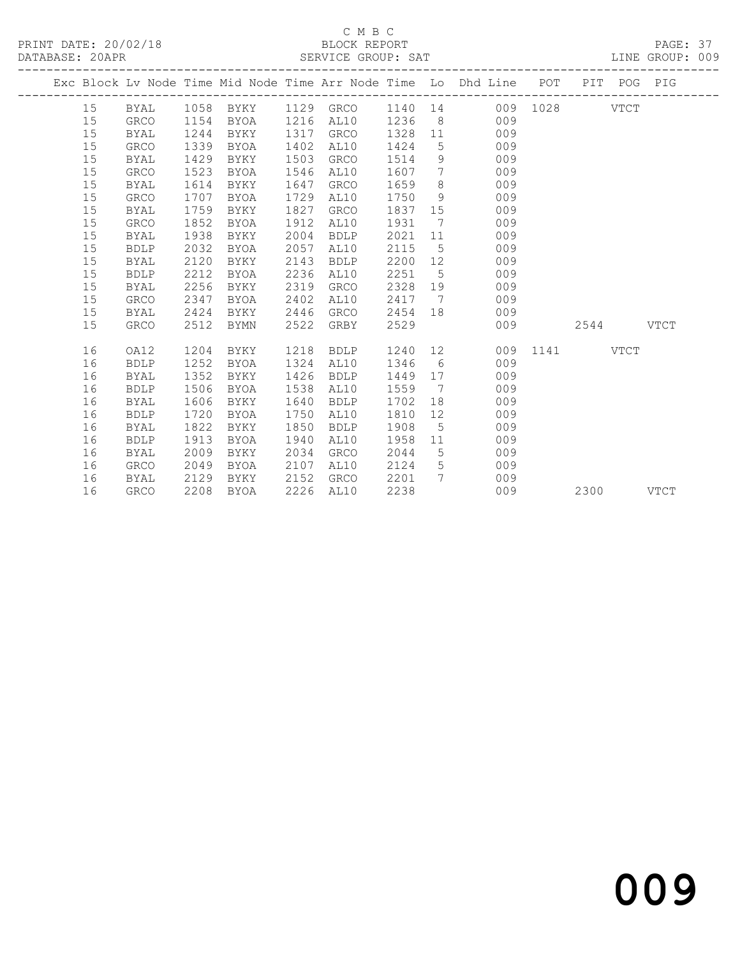## C M B C<br>BLOCK REPORT

| DATABASE: 20APR |    |              |      |             |      | SERVICE GROUP: SAT |         |                 |                                                                    |          |      |             | LINE GROUP: 009 |  |
|-----------------|----|--------------|------|-------------|------|--------------------|---------|-----------------|--------------------------------------------------------------------|----------|------|-------------|-----------------|--|
|                 |    |              |      |             |      |                    |         |                 | Exc Block Lv Node Time Mid Node Time Arr Node Time Lo Dhd Line POT |          |      | PIT POG PIG |                 |  |
|                 | 15 | BYAL         | 1058 | BYKY        | 1129 | GRCO               | 1140 14 |                 |                                                                    | 009 1028 |      | <b>VTCT</b> |                 |  |
|                 | 15 | ${\tt GRCO}$ | 1154 | BYOA        | 1216 | AL10               | 1236    | 8               | 009                                                                |          |      |             |                 |  |
|                 | 15 | BYAL         | 1244 | BYKY        | 1317 | GRCO               | 1328    | 11              | 009                                                                |          |      |             |                 |  |
|                 | 15 | <b>GRCO</b>  | 1339 | <b>BYOA</b> | 1402 | AL10               | 1424    | 5               | 009                                                                |          |      |             |                 |  |
|                 | 15 | <b>BYAL</b>  | 1429 | BYKY        | 1503 | GRCO               | 1514    | 9               | 009                                                                |          |      |             |                 |  |
|                 | 15 | <b>GRCO</b>  | 1523 | <b>BYOA</b> | 1546 | AL10               | 1607    | 7               | 009                                                                |          |      |             |                 |  |
|                 | 15 | <b>BYAL</b>  | 1614 | BYKY        | 1647 | GRCO               | 1659    | 8               | 009                                                                |          |      |             |                 |  |
|                 | 15 | GRCO         | 1707 | BYOA        | 1729 | AL10               | 1750    | 9               | 009                                                                |          |      |             |                 |  |
|                 | 15 | <b>BYAL</b>  | 1759 | BYKY        | 1827 | <b>GRCO</b>        | 1837    | 15              | 009                                                                |          |      |             |                 |  |
|                 | 15 | <b>GRCO</b>  | 1852 | <b>BYOA</b> | 1912 | AL10               | 1931    | 7               | 009                                                                |          |      |             |                 |  |
|                 | 15 | <b>BYAL</b>  | 1938 | BYKY        | 2004 | <b>BDLP</b>        | 2021    | 11              | 009                                                                |          |      |             |                 |  |
|                 | 15 | <b>BDLP</b>  | 2032 | <b>BYOA</b> | 2057 | AL10               | 2115    | $5\overline{)}$ | 009                                                                |          |      |             |                 |  |
|                 | 15 | BYAL         | 2120 | BYKY        | 2143 | <b>BDLP</b>        | 2200    | 12              | 009                                                                |          |      |             |                 |  |
|                 | 15 | <b>BDLP</b>  | 2212 | <b>BYOA</b> | 2236 | AL10               | 2251    | 5               | 009                                                                |          |      |             |                 |  |
|                 | 15 | <b>BYAL</b>  | 2256 | BYKY        | 2319 | <b>GRCO</b>        | 2328    | 19              | 009                                                                |          |      |             |                 |  |
|                 | 15 | <b>GRCO</b>  | 2347 | <b>BYOA</b> | 2402 | AL10               | 2417    | 7               | 009                                                                |          |      |             |                 |  |
|                 | 15 | <b>BYAL</b>  | 2424 | BYKY        | 2446 | <b>GRCO</b>        | 2454    | 18              | 009                                                                |          |      |             |                 |  |
|                 | 15 | <b>GRCO</b>  | 2512 | <b>BYMN</b> | 2522 | GRBY               | 2529    |                 | 009                                                                |          | 2544 |             | <b>VTCT</b>     |  |
|                 | 16 | OA12         | 1204 | BYKY        | 1218 | <b>BDLP</b>        | 1240    | 12              | 009                                                                | 1141     |      | <b>VTCT</b> |                 |  |
|                 | 16 | <b>BDLP</b>  | 1252 | <b>BYOA</b> | 1324 | AL10               | 1346    | 6               | 009                                                                |          |      |             |                 |  |
|                 | 16 | <b>BYAL</b>  | 1352 | BYKY        | 1426 | <b>BDLP</b>        | 1449    | 17              | 009                                                                |          |      |             |                 |  |
|                 | 16 | <b>BDLP</b>  | 1506 | <b>BYOA</b> | 1538 | AL10               | 1559    | 7               | 009                                                                |          |      |             |                 |  |
|                 | 16 | <b>BYAL</b>  | 1606 | BYKY        | 1640 | <b>BDLP</b>        | 1702    | 18              | 009                                                                |          |      |             |                 |  |
|                 | 16 | <b>BDLP</b>  | 1720 | BYOA        | 1750 | AL10               | 1810    | 12              | 009                                                                |          |      |             |                 |  |
|                 | 16 | BYAL         | 1822 | BYKY        | 1850 | <b>BDLP</b>        | 1908    | 5               | 009                                                                |          |      |             |                 |  |
|                 | 16 | <b>BDLP</b>  | 1913 | <b>BYOA</b> | 1940 | AL10               | 1958    | 11              | 009                                                                |          |      |             |                 |  |
|                 | 16 | <b>BYAL</b>  | 2009 | BYKY        | 2034 | <b>GRCO</b>        | 2044    | 5               | 009                                                                |          |      |             |                 |  |
|                 | 16 | GRCO         | 2049 | BYOA        | 2107 | AL10               | 2124    | 5               | 009                                                                |          |      |             |                 |  |
|                 | 16 | <b>BYAL</b>  | 2129 | BYKY        | 2152 | <b>GRCO</b>        | 2201    | 7               | 009                                                                |          |      |             |                 |  |
|                 | 16 | <b>GRCO</b>  | 2208 | <b>BYOA</b> | 2226 | AL10               | 2238    |                 | 009                                                                |          | 2300 |             | <b>VTCT</b>     |  |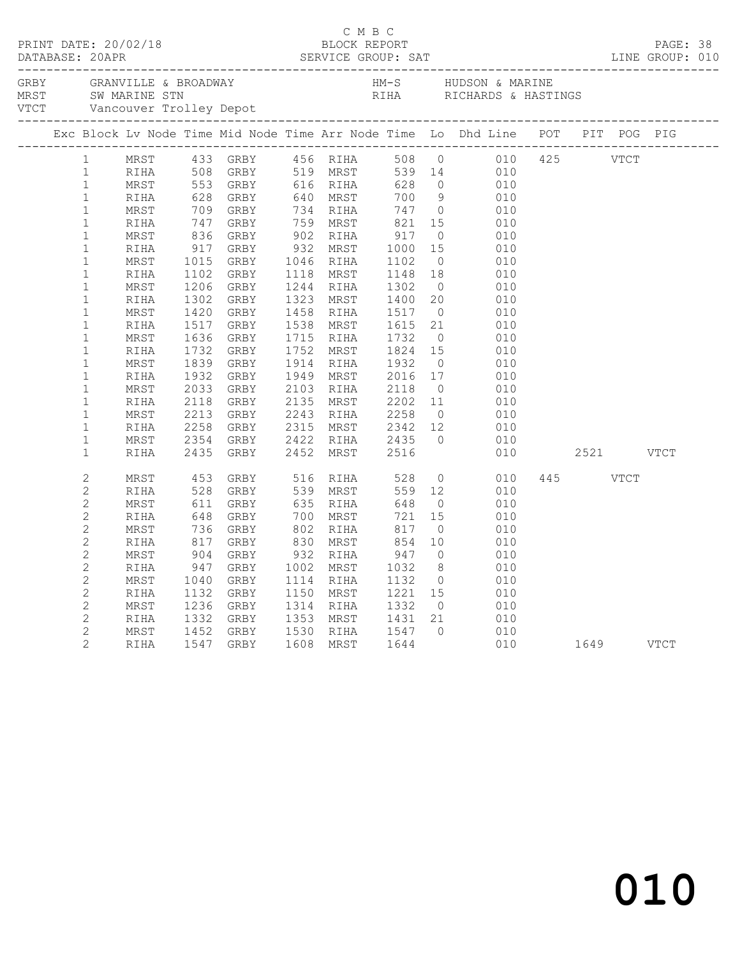|  |                              |      |      |                                                                                                           |           |                                       |                | Exc Block Lv Node Time Mid Node Time Arr Node Time Lo Dhd Line POT PIT POG PIG                                                                                                                                                               |           |          |           |  |
|--|------------------------------|------|------|-----------------------------------------------------------------------------------------------------------|-----------|---------------------------------------|----------------|----------------------------------------------------------------------------------------------------------------------------------------------------------------------------------------------------------------------------------------------|-----------|----------|-----------|--|
|  | 1                            |      |      |                                                                                                           |           |                                       |                | MRST 433 GRBY 456 RIHA 508 0<br>RIHA 508 GRBY 519 MRST 539 14 010<br>MRST 553 GRBY 616 RIHA 628 0 010<br>RIHA 628 GRBY 640 MRST 700 9 010<br>RIHA 628 GRBY 640 MRST 700 9 010                                                                |           |          |           |  |
|  | 1                            |      |      |                                                                                                           |           |                                       |                |                                                                                                                                                                                                                                              |           |          |           |  |
|  | $\mathbf{1}$                 |      |      |                                                                                                           |           |                                       |                |                                                                                                                                                                                                                                              |           |          |           |  |
|  | $\mathbf{1}$                 |      |      |                                                                                                           |           |                                       |                |                                                                                                                                                                                                                                              |           |          |           |  |
|  | $\mathbf{1}$                 | MRST |      |                                                                                                           |           |                                       |                | 928 GRBI 940 MRST 700 9 010<br>709 GRBY 734 RIHA 747 0 010<br>747 GRBY 759 MRST 821 15 010<br>836 GRBY 902 RIHA 917 0 010<br>917 GRBY 932 MRST 1000 15 010<br>1015 GRBY 1046 RIHA 1102 0 010<br>1102 GRBY 1118 MRST 1148 18 010<br>1102 GRBY |           |          |           |  |
|  | $\mathbf 1$                  | RIHA |      |                                                                                                           |           |                                       |                |                                                                                                                                                                                                                                              |           |          |           |  |
|  | $\mathbf{1}$                 | MRST |      |                                                                                                           |           |                                       |                |                                                                                                                                                                                                                                              |           |          |           |  |
|  | $\mathbf{1}$                 | RIHA |      |                                                                                                           |           |                                       |                | $\begin{array}{ccc} 15 & & & \\ 0 & & & \\ 15 & & & 010 \\ 16 & & & & \\ 010 & & & \\ \end{array}$                                                                                                                                           |           |          |           |  |
|  | $\mathbf{1}$                 | MRST |      |                                                                                                           |           |                                       |                |                                                                                                                                                                                                                                              |           |          |           |  |
|  | $\mathbf{1}$                 | RIHA |      |                                                                                                           |           |                                       |                |                                                                                                                                                                                                                                              |           |          |           |  |
|  | $\mathbf{1}$                 | MRST | 1206 | GRBY                                                                                                      |           | 1244 RIHA 1302<br>1323 MRST 1400      |                | $\begin{bmatrix} 0 & 010 \\ 20 & 010 \\ 0 & 010 \\ 21 & 010 \end{bmatrix}$                                                                                                                                                                   |           |          |           |  |
|  | $\mathbf{1}$                 | RIHA | 1302 | GRBY                                                                                                      |           |                                       |                |                                                                                                                                                                                                                                              |           |          |           |  |
|  | $\mathbf{1}$                 | MRST | 1420 | GRBY                                                                                                      |           | 1458 RIHA 1517<br>1538 MRST 1615      |                |                                                                                                                                                                                                                                              |           |          |           |  |
|  | $\mathbf{1}$                 | RIHA | 1517 | GRBY                                                                                                      |           |                                       |                |                                                                                                                                                                                                                                              |           |          |           |  |
|  | $\mathbf{1}$                 | MRST | 1636 | GRBY                                                                                                      | 1715 RIHA | 1715 RIHA 1732 0<br>1752 MRST 1824 15 |                | $\begin{array}{ccc} 0 & \hspace{1.5cm} & 010 \\ 15 & \hspace{1.5cm} & 010 \end{array}$                                                                                                                                                       |           |          |           |  |
|  | $\mathbf{1}$                 | RIHA | 1732 | GRBY                                                                                                      |           |                                       |                |                                                                                                                                                                                                                                              |           |          |           |  |
|  | $\mathbf{1}$                 | MRST | 1839 | GRBY                                                                                                      |           | 1914 RIHA 1932 0<br>1949 MRST 2016 17 |                | $010$<br>$010$                                                                                                                                                                                                                               |           |          |           |  |
|  | $\mathbf{1}$                 | RIHA |      | 1932 GRBY                                                                                                 |           |                                       |                |                                                                                                                                                                                                                                              |           |          |           |  |
|  | $\mathbf{1}$                 | MRST | 2033 | GRBY                                                                                                      |           | 2103 RIHA 2118 0<br>2135 MRST 2202 11 |                | $010$<br>$010$                                                                                                                                                                                                                               |           |          |           |  |
|  | $\mathbf{1}$                 | RIHA | 2118 | GRBY                                                                                                      |           |                                       |                |                                                                                                                                                                                                                                              |           |          |           |  |
|  | $\mathbf{1}$<br>$\mathbf{1}$ | MRST | 2213 | GRBY                                                                                                      |           |                                       |                | 2243 RIHA 2258 0 010<br>2315 MRST 2342 12 010<br>2422 RIHA 2435 0 010                                                                                                                                                                        |           |          |           |  |
|  | $\mathbf{1}$                 | RIHA | 2258 | GRBY                                                                                                      |           |                                       |                |                                                                                                                                                                                                                                              |           |          |           |  |
|  | $\mathbf{1}$                 | MRST | 2354 | GRBY<br>2435 GRBY                                                                                         |           | 2422 RIHA 2435<br>2452 MRST 2516      |                |                                                                                                                                                                                                                                              | 010       |          | 2521 VTCT |  |
|  |                              | RIHA |      |                                                                                                           |           |                                       |                |                                                                                                                                                                                                                                              |           |          |           |  |
|  | $\overline{c}$               | MRST | 453  | GRBY 516 RIHA 528                                                                                         |           |                                       |                | $\overline{0}$<br>010                                                                                                                                                                                                                        |           | 445 VTCT |           |  |
|  | $\overline{2}$               | RIHA |      | 453 GRBY<br>528 GRBY<br>611 GRBY<br>648 GRBY<br>736 GRBY<br>736 GRBY<br>917 GRBY<br>947 GRBY<br>1040 GRBY |           | 559 12                                |                | 010                                                                                                                                                                                                                                          |           |          |           |  |
|  | $\overline{c}$               | MRST |      |                                                                                                           |           | 648                                   | $\overline{O}$ | 010                                                                                                                                                                                                                                          |           |          |           |  |
|  | $\overline{c}$               | RIHA |      | GRBY 700 MRST 721<br>GRBY 802 RIHA 817<br>GRBY 830 MRST 854                                               |           |                                       | 15             | 010                                                                                                                                                                                                                                          |           |          |           |  |
|  | $\overline{2}$               | MRST |      |                                                                                                           |           |                                       | $\overline{0}$ | 010                                                                                                                                                                                                                                          |           |          |           |  |
|  | $\overline{2}$               | RIHA |      |                                                                                                           |           |                                       | 10             | 010                                                                                                                                                                                                                                          |           |          |           |  |
|  | $\overline{c}$               | MRST |      |                                                                                                           | 932 RIHA  | 947                                   | $\overline{0}$ | 010                                                                                                                                                                                                                                          |           |          |           |  |
|  | $\overline{c}$               | RIHA |      |                                                                                                           | 1002 MRST | 1032                                  | 8 <sup>8</sup> | $\frac{010}{010}$                                                                                                                                                                                                                            |           |          |           |  |
|  | $\overline{2}$               | MRST | 1040 | GRBY                                                                                                      | 1114 RIHA | 1132                                  | $\overline{0}$ | 010                                                                                                                                                                                                                                          |           |          |           |  |
|  | $\overline{c}$               | RIHA |      | 1132 GRBY                                                                                                 | 1150 MRST |                                       |                | $1221$ $15$ $010$                                                                                                                                                                                                                            |           |          |           |  |
|  | $\overline{c}$               | MRST | 1236 | GRBY                                                                                                      | 1314 RIHA | 1332                                  | $\overline{0}$ | 010                                                                                                                                                                                                                                          |           |          |           |  |
|  | $\mathbf{2}$                 | RIHA |      | 1332 GRBY                                                                                                 |           | 1353 MRST 1431 21                     |                | $\frac{1}{010}$                                                                                                                                                                                                                              |           |          |           |  |
|  | $\mathbf{2}$                 | MRST |      | 1452 GRBY<br>1547 GRBY                                                                                    |           | 1530 RIHA 1547 0                      |                | $\begin{matrix} 0 && 010 \\ 010 && \end{matrix}$                                                                                                                                                                                             |           |          |           |  |
|  | $\overline{2}$               | RIHA |      |                                                                                                           |           | 1608 MRST 1644                        |                |                                                                                                                                                                                                                                              | 1649 VTCT |          |           |  |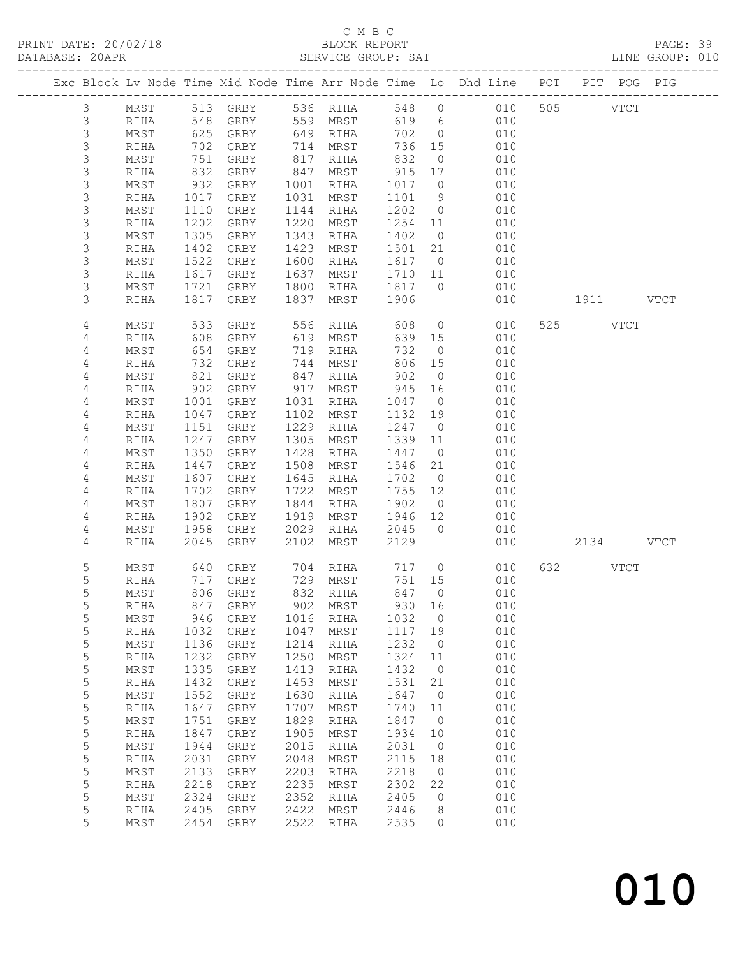# C M B C<br>BLOCK REPORT<br>SERVICE GROUP: SAT

| DATABASE: 20APR |                |            |                  |                        |      | SERVICE GROUP: SAT          |         |                | LINE GROUP: 010                                                                |           |  |  |
|-----------------|----------------|------------|------------------|------------------------|------|-----------------------------|---------|----------------|--------------------------------------------------------------------------------|-----------|--|--|
|                 |                |            |                  |                        |      |                             |         |                | Exc Block Lv Node Time Mid Node Time Arr Node Time Lo Dhd Line POT PIT POG PIG |           |  |  |
|                 | 3              |            |                  | MRST 513 GRBY 536 RIHA |      |                             |         |                | 548 0 010 505 VTCT                                                             |           |  |  |
|                 | $\mathfrak{Z}$ | RIHA       | 548              |                        |      | GRBY 559 MRST               |         |                | 619 6<br>010                                                                   |           |  |  |
|                 | 3              | MRST       | 625              |                        |      | GRBY 649 RIHA               | 702 0   |                | 010                                                                            |           |  |  |
|                 | $\mathsf S$    | RIHA       | 702              | GRBY                   |      |                             | 736 15  |                | 010                                                                            |           |  |  |
|                 | $\mathsf S$    | MRST       | 751              | GRBY                   |      | 714 MRST<br>817 RIHA        | 832     | $\overline{0}$ | 010                                                                            |           |  |  |
|                 | $\mathsf S$    | RIHA       | 832              | GRBY                   |      | 847 MRST                    | 915     | 17             | 010                                                                            |           |  |  |
|                 | 3              | MRST       | 932              | GRBY                   |      | 1001 RIHA                   | 1017    | $\overline{0}$ | 010                                                                            |           |  |  |
|                 | $\mathsf S$    | RIHA       | 1017             | GRBY                   |      | 1031 MRST                   | 1101 9  |                | 010                                                                            |           |  |  |
|                 | $\mathsf S$    | MRST       | 1110             | GRBY                   |      | 1144 RIHA                   | 1202 0  |                | 010                                                                            |           |  |  |
|                 | 3              | RIHA       | 1202             | GRBY                   | 1220 | MRST                        | 1254 11 |                | 010                                                                            |           |  |  |
|                 | $\mathsf S$    | MRST       | 1305             | GRBY                   | 1343 | RIHA                        | 1402    | $\overline{0}$ | 010                                                                            |           |  |  |
|                 | $\mathsf S$    | RIHA       | 1402             | GRBY                   |      | 1423 MRST                   | 1501 21 |                | 010                                                                            |           |  |  |
|                 | $\mathsf S$    | MRST       | $\frac{1}{1522}$ | GRBY                   |      | 1600 RIHA                   | 1617 0  |                | 010                                                                            |           |  |  |
|                 | 3              | RIHA       | 1617             | GRBY                   | 1637 | MRST                        | 1710 11 |                | 010                                                                            |           |  |  |
|                 | 3              | MRST       | 1721             | GRBY                   | 1800 | RIHA                        | 1817 0  |                | 010                                                                            |           |  |  |
|                 | 3              | RIHA       | 1817             | GRBY                   | 1837 | MRST                        | 1906    |                | 010                                                                            | 1911 VTCT |  |  |
|                 |                |            |                  |                        |      |                             |         |                |                                                                                |           |  |  |
|                 | 4              | MRST       | 533              |                        |      | GRBY 556 RIHA               | 608     |                | $\overline{0}$<br>010                                                          | 525 VTCT  |  |  |
|                 | 4              | RIHA       | 608              | GRBY                   |      | 619 MRST                    | 639 15  |                | 010                                                                            |           |  |  |
|                 | 4              | MRST       | 654              | GRBY                   |      | TIKST<br>719 RIHA<br>744 ME | 732     | $\overline{0}$ | 010                                                                            |           |  |  |
|                 | 4              | RIHA       | 732              | GRBY                   |      | 744 MRST                    | 806     | 15             | 010                                                                            |           |  |  |
|                 | 4              | MRST       | 821              | GRBY                   |      | 847 RIHA                    | 902     | $\overline{0}$ | 010                                                                            |           |  |  |
|                 | 4              | RIHA       | 902              | GRBY                   |      | 917 MRST                    | 945     | 16             | 010                                                                            |           |  |  |
|                 | 4              | MRST       | 1001             | GRBY                   | 1031 | RIHA                        | 1047 0  |                | 010                                                                            |           |  |  |
|                 | 4              | RIHA       | 1047             | GRBY                   |      | 1102 MRST                   | 1132 19 |                | 010                                                                            |           |  |  |
|                 | 4              | MRST       | 1151             | GRBY                   | 1229 | RIHA                        | 1247 0  |                | 010                                                                            |           |  |  |
|                 | 4              | RIHA       | 1247             | GRBY                   | 1305 | MRST                        | 1339 11 |                | 010                                                                            |           |  |  |
|                 | 4              | MRST       | 1350             | GRBY                   | 1428 | RIHA                        | 1447    | $\overline{0}$ | 010                                                                            |           |  |  |
|                 | 4              | RIHA       | 1447             | GRBY                   |      | 1508 MRST                   | 1546 21 |                | 010                                                                            |           |  |  |
|                 | 4              | MRST       | 1607             | GRBY                   |      | 1645 RIHA                   | 1702    | $\overline{0}$ | 010                                                                            |           |  |  |
|                 | 4              | RIHA       | 1702             | GRBY                   |      | 1722 MRST                   | 1755 12 |                | 010                                                                            |           |  |  |
|                 | 4              | MRST       | 1807             | GRBY                   | 1844 | RIHA                        | 1902    | $\overline{0}$ | 010                                                                            |           |  |  |
|                 | 4              | RIHA       | 1902             | GRBY                   |      | 1919 MRST                   | 1946 12 |                | 010                                                                            |           |  |  |
|                 | 4              | MRST       | 1958             | GRBY                   |      | 2029 RIHA                   | 2045 0  |                | 010                                                                            |           |  |  |
|                 | 4              | RIHA       | 2045             | GRBY                   | 2102 | MRST                        | 2129    |                | 010                                                                            | 2134 VTCT |  |  |
|                 | 5              | MRST       |                  |                        |      |                             |         |                | 010                                                                            | 632 VTCT  |  |  |
|                 | 5              | RIHA       |                  | 640 GRBY<br>717 GRBY   |      |                             |         |                | 010                                                                            |           |  |  |
|                 | 5              |            |                  |                        |      |                             |         |                | MRST 806 GRBY 832 RIHA 847 0 010                                               |           |  |  |
|                 | 5              | RIHA       | 847              | GRBY                   | 902  | MRST                        | 930     | 16             | 010                                                                            |           |  |  |
|                 | 5              | $\tt MRST$ | 946              | GRBY                   | 1016 | RIHA                        | 1032    | $\overline{0}$ | 010                                                                            |           |  |  |
|                 | 5              | RIHA       | 1032             | GRBY                   | 1047 | MRST                        | 1117    | 19             | 010                                                                            |           |  |  |
|                 | 5              | MRST       | 1136             | GRBY                   | 1214 | RIHA                        | 1232    | $\overline{0}$ | 010                                                                            |           |  |  |
|                 | 5              | RIHA       | 1232             | GRBY                   | 1250 | MRST                        | 1324    | 11             | 010                                                                            |           |  |  |
|                 | 5              | MRST       | 1335             | GRBY                   | 1413 | RIHA                        | 1432    | $\overline{0}$ | 010                                                                            |           |  |  |
|                 | 5              | RIHA       | 1432             | GRBY                   | 1453 | MRST                        | 1531    | 21             | 010                                                                            |           |  |  |
|                 | 5              | $\tt MRST$ | 1552             | GRBY                   | 1630 | RIHA                        | 1647    | $\overline{0}$ | 010                                                                            |           |  |  |
|                 | 5              | RIHA       | 1647             | GRBY                   | 1707 | MRST                        | 1740    | 11             | 010                                                                            |           |  |  |
|                 | 5              | MRST       | 1751             | GRBY                   | 1829 | RIHA                        | 1847    | $\overline{0}$ | 010                                                                            |           |  |  |
|                 | 5              | RIHA       | 1847             | GRBY                   | 1905 | MRST                        | 1934    | 10             | 010                                                                            |           |  |  |
|                 | 5              | $\tt MRST$ | 1944             | GRBY                   | 2015 | RIHA                        | 2031    | $\overline{0}$ | 010                                                                            |           |  |  |
|                 | 5              | RIHA       | 2031             | GRBY                   | 2048 | MRST                        | 2115    | 18             | 010                                                                            |           |  |  |
|                 | 5              | MRST       | 2133             | GRBY                   | 2203 |                             | 2218    | $\overline{0}$ | 010                                                                            |           |  |  |
|                 | 5              | RIHA       | 2218             | GRBY                   | 2235 | RIHA<br>MRST                | 2302    | 22             | 010                                                                            |           |  |  |
|                 | 5              | $\tt MRST$ | 2324             | GRBY                   | 2352 | RIHA                        | 2405    | $\overline{0}$ | 010                                                                            |           |  |  |
|                 | 5              | RIHA       | 2405             | GRBY                   | 2422 | MRST                        | 2446    | 8              | 010                                                                            |           |  |  |
|                 | 5              |            |                  |                        | 2522 |                             | 2535    | $\circ$        |                                                                                |           |  |  |
|                 |                | MRST       | 2454             | GRBY                   |      | RIHA                        |         |                | 010                                                                            |           |  |  |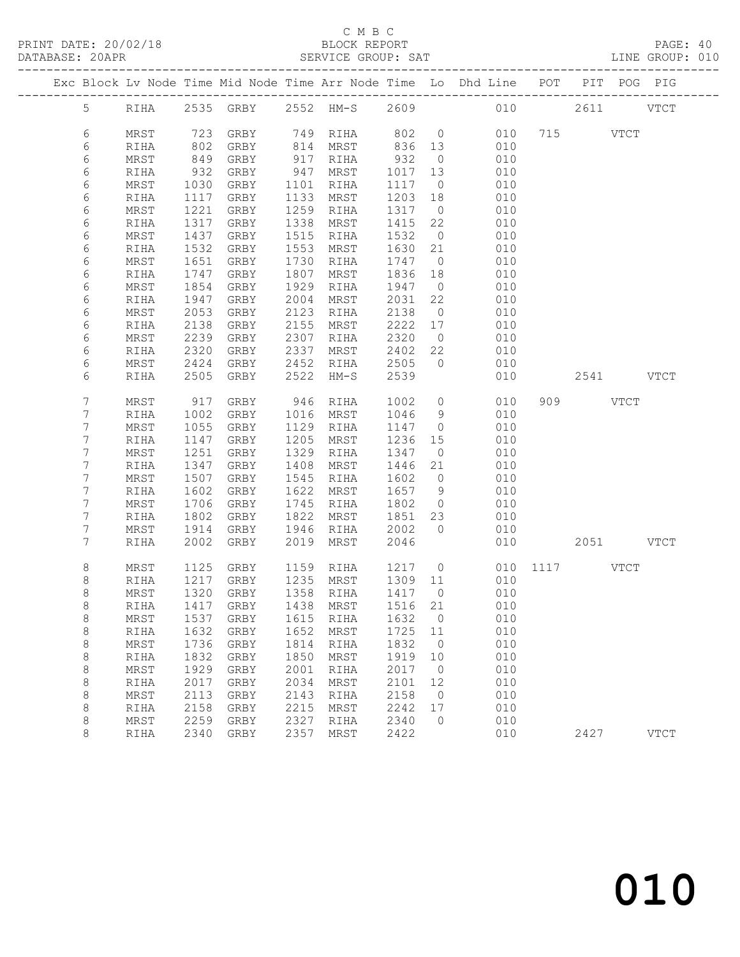#### C M B C<br>BLOCK REPORT

DATABASE: 20APR SERVICE GROUP: SAT LINE GROUP: 010 ------------------------------------------------------------------------------------------------- Exc Block Lv Node Time Mid Node Time Arr Node Time Lo Dhd Line POT PIT POG PIG ------------------------------------------------------------------------------------------------- 5 RIHA 2535 GRBY 2552 HM-S 2609 010 2611 VTCT 6 MRST 723 GRBY 749 RIHA 802 0 010 715 VTCT 6 RIHA 802 GRBY 814 MRST 836 13 010 6 MRST 849 GRBY 917 RIHA 932 0 010 6 RIHA 932 GRBY 947 MRST 1017 13 010 6 MRST 1030 GRBY 1101 RIHA 1117 0 010 6 RIHA 1117 GRBY 1133 MRST 1203 18 010 6 MRST 1221 GRBY 1259 RIHA 1317 0 010 6 RIHA 1317 GRBY 1338 MRST 1415 22 010 6 MRST 1437 GRBY 1515 RIHA 1532 0 010 6 RIHA 1532 GRBY 1553 MRST 1630 21 010 6 MRST 1651 GRBY 1730 RIHA 1747 0 010 6 RIHA 1747 GRBY 1807 MRST 1836 18 010 6 MRST 1854 GRBY 1929 RIHA 1947 0 010 6 RIHA 1947 GRBY 2004 MRST 2031 22 010 6 MRST 2053 GRBY 2123 RIHA 2138 0 010 6 RIHA 2138 GRBY 2155 MRST 2222 17 010 6 MRST 2239 GRBY 2307 RIHA 2320 0 010 6 RIHA 2320 GRBY 2337 MRST 2402 22 010 6 MRST 2424 GRBY 2452 RIHA 2505 0 010 6 RIHA 2505 GRBY 2522 HM-S 2539 010 2541 VTCT 7 MRST 917 GRBY 946 RIHA 1002 0 010 909 VTCT 7 RIHA 1002 GRBY 1016 MRST 1046 9 010 7 MRST 1055 GRBY 1129 RIHA 1147 0 010 7 RIHA 1147 GRBY 1205 MRST 1236 15 010 7 MRST 1251 GRBY 1329 RIHA 1347 0 010 7 RIHA 1347 GRBY 1408 MRST 1446 21 010 7 MRST 1507 GRBY 1545 RIHA 1602 0 010 7 RIHA 1602 GRBY 1622 MRST 1657 9 010 7 MRST 1706 GRBY 1745 RIHA 1802 0 010 7 RIHA 1802 GRBY 1822 MRST 1851 23 010 7 MRST 1914 GRBY 1946 RIHA 2002 0 010 7 RIHA 2002 GRBY 2019 MRST 2046 010 2051 VTCT 8 MRST 1125 GRBY 1159 RIHA 1217 0 010 1117 VTCT 8 RIHA 1217 GRBY 1235 MRST 1309 11 010 8 MRST 1320 GRBY 1358 RIHA 1417 0 010 8 RIHA 1417 GRBY 1438 MRST 1516 21 010 8 MRST 1537 GRBY 1615 RIHA 1632 0 010 8 RIHA 1632 GRBY 1652 MRST 1725 11 010 8 MRST 1736 GRBY 1814 RIHA 1832 0 010 8 RIHA 1832 GRBY 1850 MRST 1919 10 010 8 MRST 1929 GRBY 2001 RIHA 2017 0 010 8 RIHA 2017 GRBY 2034 MRST 2101 12 010 8 MRST 2113 GRBY 2143 RIHA 2158 0 010 8 RIHA 2158 GRBY 2215 MRST 2242 17 010 8 MRST 2259 GRBY 2327 RIHA 2340 0 010 8 RIHA 2340 GRBY 2357 MRST 2422 010 2427 VTCT

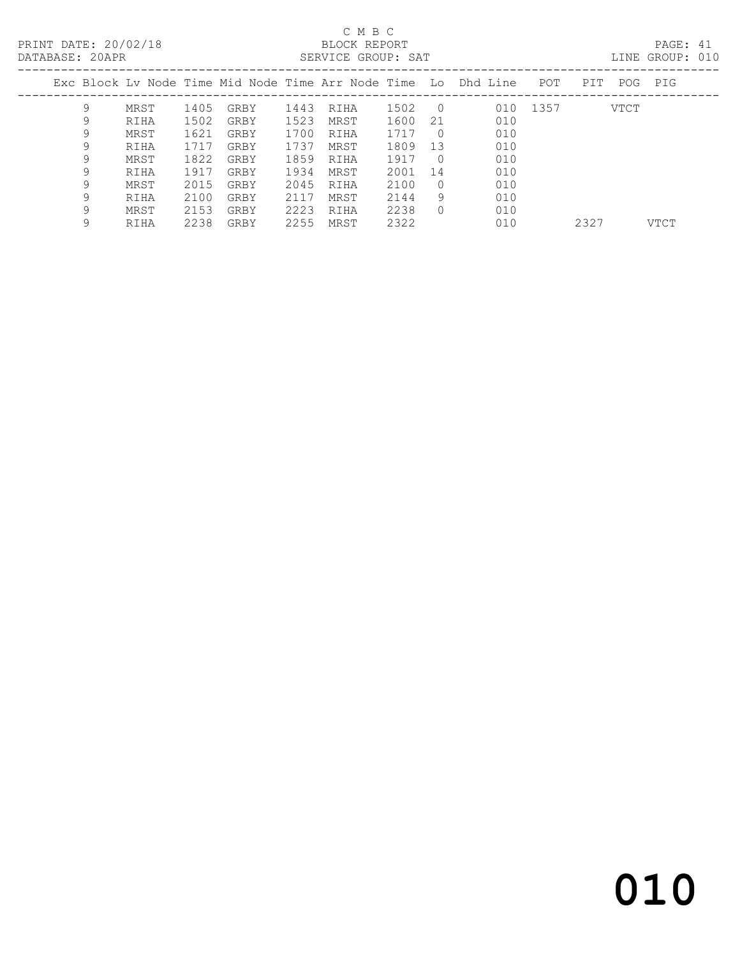PRINT DATE: 20/02/18 BLOCK REPORT<br>
DATABASE: 20APR<br>
SERVICE GROUP: SAT

### C M B C<br>BLOCK REPORT

PAGE: 41<br>LINE GROUP: 010

| DAIADAOL. ZUAIR |   |      |      |      |      | DERVICE GRUUF. DAI |         |            |                                                                |          |     |         | DIND GROUP. UIU |
|-----------------|---|------|------|------|------|--------------------|---------|------------|----------------------------------------------------------------|----------|-----|---------|-----------------|
|                 |   |      |      |      |      |                    |         |            | Exc Block Ly Node Time Mid Node Time Arr Node Time Lo Dhd Line | POT      | PIT | POG PIG |                 |
|                 | 9 | MRST | 1405 | GRBY | 1443 | RIHA               | 1502    | $\bigcirc$ |                                                                | 010 1357 |     | VTCT    |                 |
|                 | 9 | RIHA | 1502 | GRBY | 1523 | MRST               | 1600    | 21         | 010                                                            |          |     |         |                 |
|                 | 9 | MRST | 1621 | GRBY | 1700 | RIHA               | 1717    | $\bigcirc$ | 010                                                            |          |     |         |                 |
|                 | 9 | RIHA | 1717 | GRBY | 1737 | MRST               | 1809    | - 13       | 010                                                            |          |     |         |                 |
|                 | 9 | MRST | 1822 | GRBY | 1859 | RIHA               | 1917    | $\bigcirc$ | 010                                                            |          |     |         |                 |
|                 | 9 | RIHA | 1917 | GRBY | 1934 | MRST               | 2001 14 |            | 010                                                            |          |     |         |                 |
|                 | 9 | MRST | 2015 | GRBY | 2045 | RIHA               | 2100    | $\cup$ 0   | 010                                                            |          |     |         |                 |
|                 | 9 | RIHA | 2100 | GRBY | 2117 | MRST               | 2144    | 9          | 010                                                            |          |     |         |                 |
|                 |   | MRST | 2153 | GRBY | 2223 | RIHA               | 2238    |            | 010                                                            |          |     |         |                 |

9 RIHA 2238 GRBY 2255 MRST 2322 010 2327 VTCT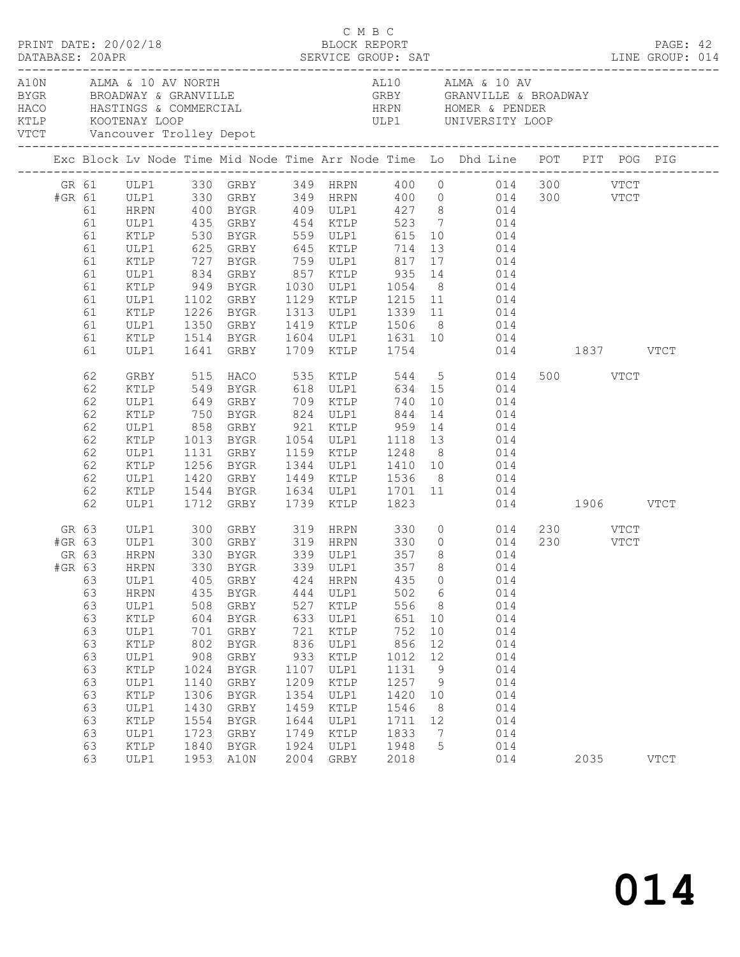| PRINT DATE: 20/02/18<br>DATABASE: 20APR SERVICE GROUP: SAT LINE GROUP: 014<br>DATABASE: 20APR<br>A10N ALMA & 10 AV NORTH |  |                                                                                                                                                       |                                                                                                              |                                                                                                                                                |                                                                                                               | C M B C                                                                                                                       | BLOCK REPORT                                                                                                   |                                                                                                             |                                                                                                                                                                                                                                                                                                                                                                  |                              | PAGE: 42    |  |
|--------------------------------------------------------------------------------------------------------------------------|--|-------------------------------------------------------------------------------------------------------------------------------------------------------|--------------------------------------------------------------------------------------------------------------|------------------------------------------------------------------------------------------------------------------------------------------------|---------------------------------------------------------------------------------------------------------------|-------------------------------------------------------------------------------------------------------------------------------|----------------------------------------------------------------------------------------------------------------|-------------------------------------------------------------------------------------------------------------|------------------------------------------------------------------------------------------------------------------------------------------------------------------------------------------------------------------------------------------------------------------------------------------------------------------------------------------------------------------|------------------------------|-------------|--|
|                                                                                                                          |  |                                                                                                                                                       |                                                                                                              |                                                                                                                                                |                                                                                                               |                                                                                                                               |                                                                                                                |                                                                                                             | AL10 ALMA & 10 AV<br>HACO HASTINGS & COMMERCIAL HRPN HOMER & PENDER<br>KTLP KOOTENAY LOOP ULP1 UNIVERSITY LOOP<br>VTCT Vancouver Trolley Depot                                                                                                                                                                                                                   |                              |             |  |
|                                                                                                                          |  |                                                                                                                                                       |                                                                                                              |                                                                                                                                                |                                                                                                               |                                                                                                                               |                                                                                                                |                                                                                                             | Exc Block Lv Node Time Mid Node Time Arr Node Time Lo Dhd Line POT PIT POG PIG                                                                                                                                                                                                                                                                                   |                              |             |  |
| 61<br>61<br>61<br>61<br>61<br>61<br>61<br>61<br>61<br>61                                                                 |  | <b>HRPN</b><br>ULP1<br>KTLP<br>ULP1<br>KTLP<br>ULP1<br>KTLP<br>ULP1<br>KTLP<br>ULP1                                                                   |                                                                                                              | 625 GRBY 645 KTLP 714<br>727 BYGR 759 ULP1 817<br>1350 GRBY<br>1514 BYGR<br>GRBY                                                               |                                                                                                               |                                                                                                                               |                                                                                                                |                                                                                                             | GR 61 ULP1 330 GRBY 349 HRPN 400 0 014 300 VTCT<br>#GR 61 ULP1 330 GRBY 349 HRPN 400 0 014 300 VTCT<br>400 BYGR  409 ULP1  427  8  014<br>435 GRBY  454 KTLP  523  7  014<br>530 BYGR  559 ULP1  615  10  014<br>13 014<br>17 014<br>1102 GRBY 1129 KTLP 1215 11 014<br>1226 BYGR 1313 ULP1 1339 11 014                                                          |                              |             |  |
| 61<br>61                                                                                                                 |  | KTLP<br>ULP1                                                                                                                                          |                                                                                                              | 1641 GRBY                                                                                                                                      |                                                                                                               |                                                                                                                               | 1709 KTLP 1754                                                                                                 |                                                                                                             | 1419 KTLP 1506 8 014<br>1604 ULP1 1631 10 014<br>1709 KTLP 1754 014 1837 VTCT                                                                                                                                                                                                                                                                                    |                              |             |  |
| 62<br>62<br>62<br>62<br>62<br>62<br>62<br>62<br>62<br>62<br>62                                                           |  | GRBY<br>KTLP<br>ULP1<br>KTLP<br>ULP1<br>KTLP<br>ULP1<br>KTLP<br>ULP1<br>KTLP<br>ULP1                                                                  | 750<br>858                                                                                                   | BYGR 824 ULP1 844<br>1256 BYGR<br>1420 GRBY                                                                                                    |                                                                                                               |                                                                                                                               |                                                                                                                |                                                                                                             | 515 HACO 535 KTLP 544 5 014<br>549 BYGR 618 ULP1 634 15 014<br>649 GRBY 709 KTLP 740 10 014<br>14 014<br>858 GRBY 921 KTLP 959 14 014<br>1013 BYGR 1054 ULP1 1118 13 014<br>1131 GRBY 1159 KTLP 1248 8 014<br>1344 ULP1 1410 10 014<br>1420 GRBY 1449 KTLP 1536 8 014<br>1544 BYGR 1634 ULP1 1701 11 014<br>1712 GRBY 1739 KTLP 1823 014<br>014<br>014 1906 VTCT | 500 VTCT                     |             |  |
| GR 63<br>#GR 63<br>GR 63<br>63<br>63<br>63<br>63<br>63<br>63<br>63<br>63<br>63<br>63<br>63<br>63<br>63<br>63<br>63       |  | ULP1<br>ULP1<br>HRPN<br>ULP1<br>HRPN<br>ULP1<br>KTLP<br>ULP1<br>KTLP<br>ULP1<br>KTLP<br>ULP1<br>KTLP<br>ULP1<br>$\verb KTLP $<br>ULP1<br>KTLP<br>ULP1 | 300<br>405<br>435<br>508<br>604<br>701<br>802<br>908<br>1024<br>1140<br>1306<br>1430<br>1554<br>1723<br>1840 | GRBY 319 HRPN 330<br>GRBY<br>BYGR<br>GRBY<br>BYGR<br>GRBY<br>BYGR<br>GRBY<br>BYGR<br>GRBY<br>BYGR<br>GRBY<br>BYGR<br>GRBY<br>BYGR<br>1953 A10N | 424<br>444<br>527<br>633<br>721<br>836<br>933<br>1107<br>1209<br>1354<br>1459<br>1644<br>1749<br>1924<br>2004 | HRPN<br>ULP1<br>KTLP<br>ULP1<br>$\verb KTLP $<br>ULP1<br>KTLP<br>ULP1<br>KTLP<br>ULP1<br>KTLP<br>ULP1<br>KTLP<br>ULP1<br>GRBY | 435<br>502<br>556<br>651<br>752<br>856<br>1012<br>1131<br>1257<br>1420<br>1546<br>1711<br>1833<br>1948<br>2018 | $\circ$<br>$6\overline{6}$<br>8<br>10<br>10<br>12<br>12<br>9<br>- 9<br>10<br>8<br>12<br>$\overline{7}$<br>5 | $\begin{array}{ccc} 0 & & 014 \ 0 & & 014 \ 8 & & 014 \end{array}$<br>#GR 63 HRPN 330 BYGR 339 ULP1 357 8 014<br>014<br>014<br>014<br>014<br>014<br>014<br>014<br>014<br>014<br>014<br>014<br>014<br>014<br>014<br>014                                                                                                                                           | 230 VTCT<br>230 VTCT<br>2035 | <b>VTCT</b> |  |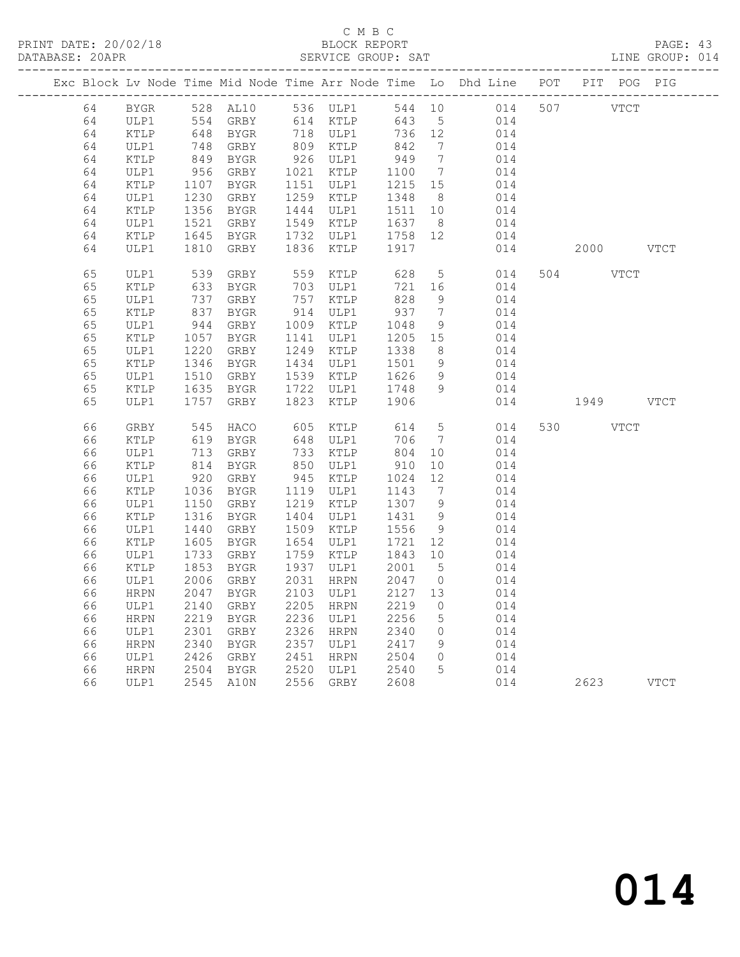#### C M B C<br>BLOCK REPORT SERVICE GROUP: SAT

|  |          |             |                        |                   |      |                             |              |                                   | Exc Block Lv Node Time Mid Node Time Arr Node Time Lo Dhd Line POT |           | PIT POG PIG |  |
|--|----------|-------------|------------------------|-------------------|------|-----------------------------|--------------|-----------------------------------|--------------------------------------------------------------------|-----------|-------------|--|
|  | 64       | BYGR        |                        | 528 AL10 536 ULP1 |      |                             |              |                                   | 544 10 014 507                                                     | VTCT      |             |  |
|  | 64       | ULP1        |                        | 554 GRBY 614 KTLP |      |                             | 643 5        |                                   | 014                                                                |           |             |  |
|  | 64       | KTLP        | 648                    | BYGR              |      | 718 ULP1                    | 736 12       |                                   | 014                                                                |           |             |  |
|  | 64       | ULP1        | 748                    | GRBY              |      | 809 KTLP                    | 842          | $\overline{7}$                    | 014                                                                |           |             |  |
|  | 64       | KTLP        | 849                    | BYGR              |      | 926 ULP1                    | 949          | $7\phantom{.0}\phantom{.0}7$      | 014                                                                |           |             |  |
|  | 64       | ULP1        | 956                    | GRBY              |      | 1021 KTLP                   | 1100         | $7\overline{ }$                   | 014                                                                |           |             |  |
|  | 64       | KTLP        | 1107                   | BYGR              |      | 1151 ULP1                   | 1215 15      |                                   | 014                                                                |           |             |  |
|  | 64       | ULP1        | 1230<br>1356           | GRBY              |      | 1259 KTLP                   | 1348         | 8 <sup>8</sup>                    | 014                                                                |           |             |  |
|  | 64       | KTLP        |                        | BYGR              |      | 1444 ULP1                   | 1511 10      |                                   | 014                                                                |           |             |  |
|  | 64       | ULP1        | 1521                   | GRBY              |      | 1549 KTLP                   | 1637         | 8 <sup>8</sup>                    | 014                                                                |           |             |  |
|  | 64       | KTLP        | 1045                   | BYGR              |      | 1732 ULP1                   | 1758 12      |                                   | 014                                                                |           |             |  |
|  | 64       | ULP1        | 1810                   | GRBY              | 1836 | KTLP                        | 1917         |                                   | 014                                                                | 2000 VTCT |             |  |
|  | 65       | ULP1        | 539<br>633             | GRBY              |      | 559 KTLP                    | 628          | 5 <sup>5</sup>                    | 014                                                                | 504 VTCT  |             |  |
|  | 65       | KTLP        |                        | BYGR              | 703  | ULP1                        | 721          | 16                                | 014                                                                |           |             |  |
|  | 65       | ULP1        | 737<br>$\frac{1}{837}$ | GRBY              |      | $757 \text{ m}$<br>914 ULP1 | 828          | 9                                 | 014                                                                |           |             |  |
|  | 65       | KTLP        |                        | BYGR              |      |                             | 937          | $\overline{7}$                    | 014                                                                |           |             |  |
|  | 65       | ULP1        | 944<br>1057            | GRBY              |      | 1009 KTLP                   | 1048         | 9                                 | 014                                                                |           |             |  |
|  | 65       | KTLP        |                        | BYGR              |      | 1141 ULP1                   | 1205 15      |                                   | 014                                                                |           |             |  |
|  | 65       | ULP1        | 1220<br>1346           | GRBY              |      | 1249 KTLP                   | 1338         | 8 <sup>8</sup>                    | 014                                                                |           |             |  |
|  | 65       | KTLP        |                        | BYGR              |      | 1434 ULP1                   | 1501 9       |                                   | 014                                                                |           |             |  |
|  | 65       | ULP1        | 1510<br>1635           | GRBY              |      | 1539 KTLP                   | 1626         | 9                                 | 014                                                                |           |             |  |
|  | 65       | KTLP        |                        | BYGR              | 1722 | ULP1                        | 1748         | 9                                 | 014                                                                |           |             |  |
|  | 65       | ULP1        | 1757                   | GRBY              | 1823 | KTLP                        | 1906         |                                   | 014                                                                | 1949 VTCT |             |  |
|  | 66       | GRBY        | 545                    | HACO              |      | 605 KTLP                    | 614          | $5\overline{)}$                   | 014                                                                | 530 VTCT  |             |  |
|  | 66       | KTLP        | 619                    | BYGR              |      | 648 ULP1                    | 706          | $7\overline{ }$                   | 014                                                                |           |             |  |
|  | 66       | ULP1        | 713                    | GRBY              |      | 733 KTLP                    | 804          | 10                                | 014                                                                |           |             |  |
|  | 66       | KTLP        | 814                    | BYGR              |      | 850 ULP1                    | 910          | 10                                | 014                                                                |           |             |  |
|  | 66       | ULP1        | 920                    | GRBY              |      | 945 KTLP                    | 1024         | 12                                | 014                                                                |           |             |  |
|  | 66       | KTLP        | 1036                   | BYGR              |      | 1119 ULP1                   | 1143         | $\overline{7}$                    | 014                                                                |           |             |  |
|  | 66       | ULP1        | 1150                   | GRBY              |      | 1219 KTLP                   | 1307 9       |                                   | 014                                                                |           |             |  |
|  | 66       | KTLP        | 1316                   | BYGR              |      | 1404 ULP1                   | 1431         | 9                                 | 014                                                                |           |             |  |
|  | 66       | ULP1        | 1440                   | GRBY              |      | 1509 KTLP                   | 1556         | 9                                 | 014                                                                |           |             |  |
|  | 66       | KTLP        | 1605                   | <b>BYGR</b>       | 1654 | ULP1                        | 1721         | 12                                | 014                                                                |           |             |  |
|  | 66       | ULP1        | 1733                   | GRBY              |      | 1759 KTLP                   | 1843 10      |                                   | 014                                                                |           |             |  |
|  | 66       | KTLP        | 1853                   | BYGR              | 1937 | ULP1                        | 2001         | $5\overline{)}$                   | 014                                                                |           |             |  |
|  | 66       | ULP1        | 2006                   | GRBY              | 2031 | HRPN                        | 2047         | $\overline{0}$                    | 014                                                                |           |             |  |
|  | 66       | <b>HRPN</b> | 2047                   | <b>BYGR</b>       | 2103 | ULP1                        | 2127         | 13                                | 014                                                                |           |             |  |
|  | 66       | ULP1        | 2140                   | GRBY              | 2205 | HRPN                        | 2219         | $\overline{0}$                    | 014                                                                |           |             |  |
|  | 66       | HRPN        | 2219                   | BYGR              |      | 2236 ULP1                   | 2256         | $5\overline{)}$                   | 014                                                                |           |             |  |
|  | 66       | ULP1        | 2301                   | GRBY              | 2357 | 2326 HRPN                   | 2340<br>2417 | $\overline{0}$                    | 014                                                                |           |             |  |
|  | 66<br>66 | HRPN        | 2340<br>2426           | BYGR              |      | ULP1                        |              | 9                                 | 014                                                                |           |             |  |
|  |          | ULP1        |                        | GRBY              |      | 2451 HRPN<br>2520 ULP1      | 2504         | $\overline{0}$<br>$5\overline{)}$ | 014                                                                |           |             |  |
|  | 66       | HRPN        | 2504                   | BYGR              |      |                             | 2540         |                                   | 014                                                                |           |             |  |
|  | 66       | ULP1        |                        | 2545 A10N         |      | 2556 GRBY                   | 2608         |                                   | 014                                                                | 2623 VTCT |             |  |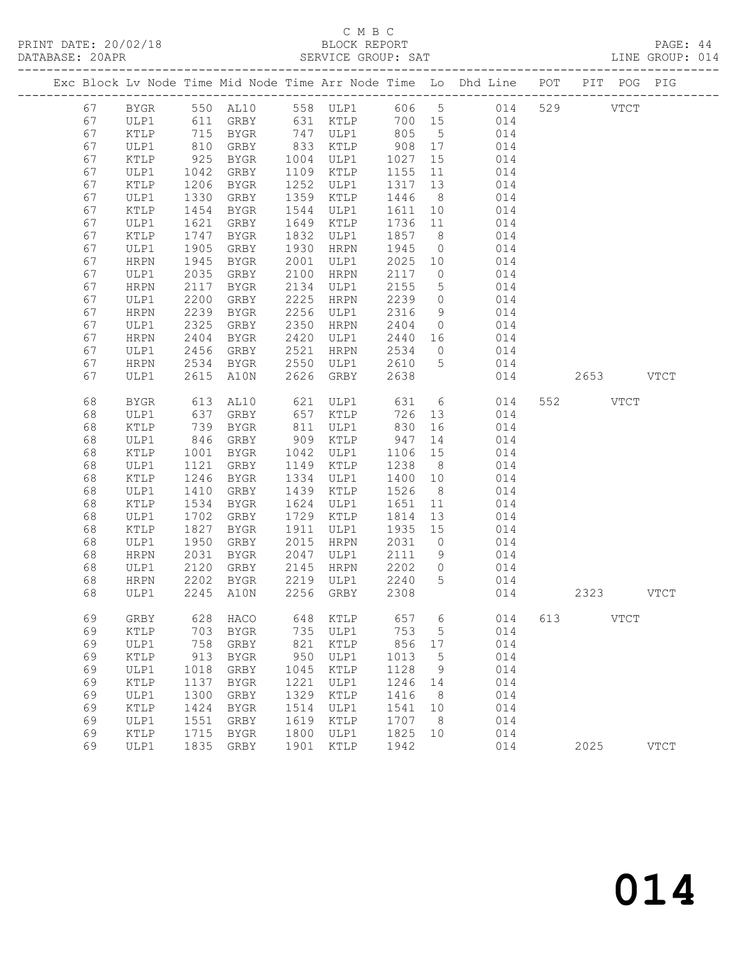PRINT DATE: 20/02/18

# C M B C<br>BLOCK REPORT<br>SERVICE GROUP: SAT

|    |             |              |                |      |                                    |         |                |                                                                                        |     |           |             | LINE GROUP: 014 |  |
|----|-------------|--------------|----------------|------|------------------------------------|---------|----------------|----------------------------------------------------------------------------------------|-----|-----------|-------------|-----------------|--|
|    |             |              |                |      |                                    |         |                | Exc Block Lv Node Time Mid Node Time Arr Node Time Lo Dhd Line POT PIT POG PIG         |     |           |             |                 |  |
|    |             |              |                |      |                                    |         |                | 67 BYGR 550 AL10 558 ULP1 606 5 014 529 VTCT                                           |     |           |             |                 |  |
| 67 |             |              |                |      |                                    |         |                | ULP1 611 GRBY 631 KTLP 700 15 014                                                      |     |           |             |                 |  |
| 67 | KTLP        |              |                |      |                                    |         |                | 715 BYGR 747 ULP1 805 5 014                                                            |     |           |             |                 |  |
| 67 | ULP1        | 810<br>925   |                |      |                                    |         |                | GRBY 833 KTLP 908 17 014<br>BYGR 1004 ULP1 1027 15 014                                 |     |           |             |                 |  |
| 67 | KTLP        |              |                |      |                                    |         |                |                                                                                        |     |           |             |                 |  |
| 67 | ULP1        | 1042         | GRBY           |      | 1109 KTLP                          |         |                | $1155$ $11$ $014$                                                                      |     |           |             |                 |  |
| 67 | KTLP        | 1206         | <b>BYGR</b>    |      | 1252 ULP1                          |         |                | 1317 13 014                                                                            |     |           |             |                 |  |
| 67 | ULP1        | 1330         | GRBY           |      | 1359 KTLP                          |         |                | $\begin{array}{cccc} 1446 & 8 & 014 \\ 1611 & 10 & 014 \\ 1736 & 11 & 014 \end{array}$ |     |           |             |                 |  |
| 67 | KTLP        | 1454         | BYGR           |      | 1544 ULP1                          |         |                |                                                                                        |     |           |             |                 |  |
| 67 | ULP1        | 1621         | GRBY           |      | 1649 KTLP                          |         |                |                                                                                        |     |           |             |                 |  |
| 67 | KTLP        | 1747         | BYGR           |      | 1832 ULP1                          |         |                | 1857 8 014                                                                             |     |           |             |                 |  |
| 67 | ULP1        | 1905         | GRBY           | 1930 | HRPN                               | 1945    |                | $0$ $014$                                                                              |     |           |             |                 |  |
| 67 | HRPN        | 1945         | BYGR           | 2001 | ULP1                               |         |                | $\begin{array}{cccc} 2025 & 10 & & 014 \\ 2117 & 0 & & 014 \end{array}$                |     |           |             |                 |  |
| 67 | ULP1        | 2035         | GRBY           |      | 2100 HRPN                          |         |                |                                                                                        |     |           |             |                 |  |
| 67 | <b>HRPN</b> | 2117         | BYGR           |      | 2134 ULP1                          |         |                | 2155 5 014                                                                             |     |           |             |                 |  |
| 67 | ULP1        | 2200         | GRBY           |      | 2225 HRPN                          |         |                | $\begin{array}{cccc} 2239 & 0 & 014 \\ 2316 & 9 & 014 \\ 2404 & 0 & 014 \end{array}$   |     |           |             |                 |  |
| 67 | HRPN        | 2239<br>2325 | BYGR           |      | 2256 ULP1                          |         |                |                                                                                        |     |           |             |                 |  |
| 67 | ULP1        |              | GRBY           |      | 2350 HRPN                          |         |                | 2440 16 014                                                                            |     |           |             |                 |  |
| 67 | HRPN        | 2404         | BYGR           |      | 2420 ULP1                          |         |                |                                                                                        |     |           |             |                 |  |
| 67 | ULP1        | 2456         | GRBY           | 2521 | HRPN                               | 2534    |                | $0$ $014$                                                                              |     |           |             |                 |  |
| 67 | HRPN        | 2534<br>2615 | BYGR           |      | 2550 ULP1                          |         |                | 2610 5 014                                                                             |     | 2653 VTCT |             |                 |  |
| 67 | ULP1        | 2615         | A10N           |      | 2626 GRBY                          | 2638    |                | 014                                                                                    |     |           |             |                 |  |
| 68 | BYGR        | 613          | AL10           |      |                                    |         |                | 621 ULP1 631 6 014                                                                     |     | 552 VTCT  |             |                 |  |
| 68 | ULP1        | 637<br>739   |                |      |                                    |         |                | 726 13 014<br>830 16 014                                                               |     |           |             |                 |  |
| 68 | KTLP        |              |                |      |                                    |         |                |                                                                                        |     |           |             |                 |  |
| 68 | ULP1        | 846          | GRBY 909 KTLP  |      |                                    |         |                | 947 14 014                                                                             |     |           |             |                 |  |
| 68 | KTLP        | 1001         |                |      | BYGR 1042 ULP1                     |         |                | 1106 15 014                                                                            |     |           |             |                 |  |
| 68 | ULP1        | 1121         | GRBY           |      | 1149 KTLP                          | 1238    |                | $\begin{array}{ccc} 8 & 014 \\ 10 & 014 \end{array}$                                   |     |           |             |                 |  |
| 68 | KTLP        | 1246         | BYGR           |      | 1334 ULP1                          | 1400 10 |                |                                                                                        |     |           |             |                 |  |
| 68 | ULP1        | 1410         | GRBY           |      | 1439 KTLP                          | 1526    |                | $\begin{array}{ccc} -5 & 014 \\ 8 & 014 \end{array}$                                   |     |           |             |                 |  |
| 68 | KTLP        | 1534         | BYGR           |      | 1624 ULP1                          |         |                | 1651 11 014                                                                            |     |           |             |                 |  |
| 68 | ULP1        | 1702         | GRBY           |      | 1729 KTLP                          |         |                | 1814 13 014                                                                            |     |           |             |                 |  |
| 68 | KTLP        | 1827         | BYGR           |      | 1911 ULP1                          |         |                | 1935 15 014<br>2031 0 014                                                              |     |           |             |                 |  |
| 68 | ULP1        | 1950         | GRBY           |      | 2015 HRPN                          |         |                |                                                                                        |     |           |             |                 |  |
| 68 | HRPN        | 2031         | BYGR 2047 ULP1 |      |                                    |         |                | 2111 9 014                                                                             |     |           |             |                 |  |
| 68 | ULP1        | 2120         | GRBY           |      | 2145 HRPN                          | 2202    | $\overline{0}$ | 014                                                                                    |     |           |             |                 |  |
|    |             |              |                |      | 68 HRPN 2202 BYGR 2219 ULP1 2240 5 |         |                | 014                                                                                    |     |           |             |                 |  |
| 68 | ULP1        | 2245         | A10N           | 2256 | GRBY                               | 2308    |                | 014                                                                                    |     | 2323      |             | $_{\rm VTCT}$   |  |
| 69 | GRBY        | 628          | HACO           | 648  | KTLP                               | 657     | 6              | 014                                                                                    | 613 |           | <b>VTCT</b> |                 |  |
| 69 | KTLP        | 703          | BYGR           | 735  | ULP1                               | 753     | 5              | 014                                                                                    |     |           |             |                 |  |
| 69 | ULP1        | 758          | GRBY           | 821  | KTLP                               | 856     | 17             | 014                                                                                    |     |           |             |                 |  |
| 69 | KTLP        | 913          | BYGR           | 950  | ULP1                               | 1013    | 5              | 014                                                                                    |     |           |             |                 |  |
| 69 | ULP1        | 1018         | GRBY           | 1045 | KTLP                               | 1128    | 9              | 014                                                                                    |     |           |             |                 |  |
| 69 | KTLP        | 1137         | <b>BYGR</b>    | 1221 | ULP1                               | 1246    | 14             | 014                                                                                    |     |           |             |                 |  |
| 69 | ULP1        | 1300         | GRBY           | 1329 | KTLP                               | 1416    | 8              | 014                                                                                    |     |           |             |                 |  |
| 69 | KTLP        | 1424         | <b>BYGR</b>    | 1514 | ULP1                               | 1541    | 10             | 014                                                                                    |     |           |             |                 |  |
| 69 | ULP1        | 1551         | GRBY           | 1619 | KTLP                               | 1707    | 8              | 014                                                                                    |     |           |             |                 |  |
| 69 | KTLP        | 1715         | <b>BYGR</b>    | 1800 | ULP1                               | 1825    | 10             | 014                                                                                    |     |           |             |                 |  |
| 69 | ULP1        | 1835         | GRBY           | 1901 | KTLP                               | 1942    |                | 014                                                                                    |     | 2025      |             | $_{\rm VTCT}$   |  |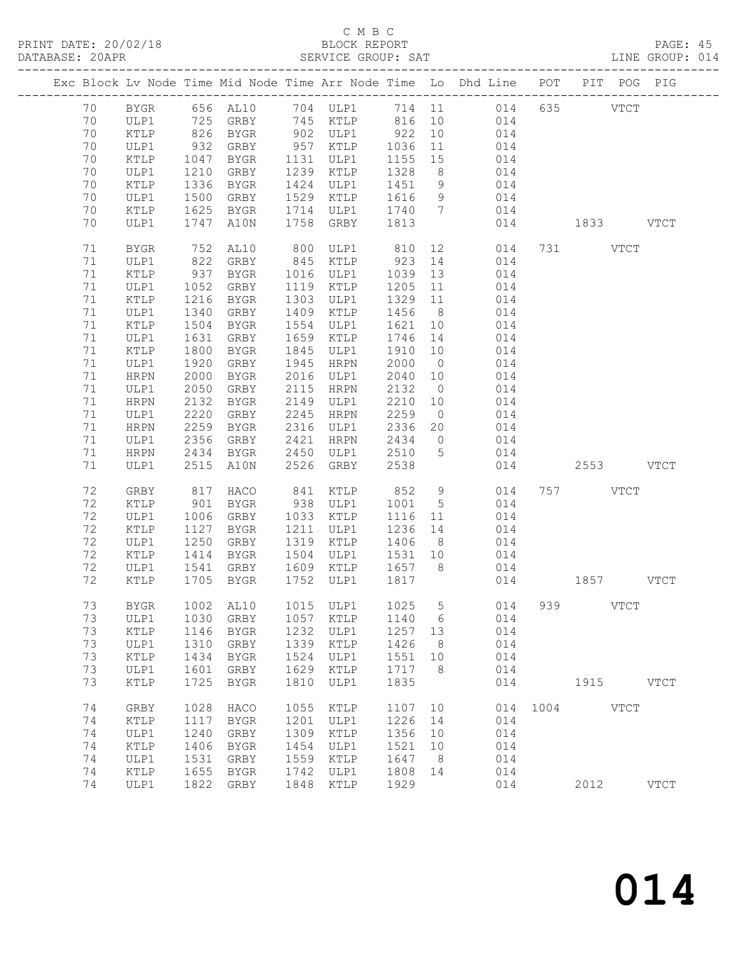PRINT DATE: 20/02/18<br>DATABASE: 20APR

## C M B C<br>BLOCK REPORT<br>SERVICE GROUP: SAT

PAGE: 45<br>LINE GROUP: 014

|  | DAIADAOL. ZUAEN |                 |              | ---------------------- |              | ODNATOD QUOQI. QUI |         |                              |                                                                    |      |      |             |             |
|--|-----------------|-----------------|--------------|------------------------|--------------|--------------------|---------|------------------------------|--------------------------------------------------------------------|------|------|-------------|-------------|
|  |                 |                 |              |                        |              |                    |         |                              | Exc Block Lv Node Time Mid Node Time Arr Node Time Lo Dhd Line POT |      |      | PIT POG PIG |             |
|  | 70              | BYGR            |              | 656 AL10               |              | 704 ULP1           | 714 11  |                              | 014                                                                | 635  |      | <b>VTCT</b> |             |
|  | 70              | ULP1            |              | 725 GRBY               |              | 745 KTLP           | 816     | 10                           | 014                                                                |      |      |             |             |
|  | 70              | KTLP            | 826          | BYGR                   |              | 902 ULP1           | 922     | 10                           | 014                                                                |      |      |             |             |
|  | 70              | ULP1            | $-20$<br>932 | GRBY                   |              | 957 KTLP           | 1036    | 11                           | 014                                                                |      |      |             |             |
|  | 70              | KTLP            | 1047         | BYGR                   |              | 1131 ULP1          | 1155    | 15                           | 014                                                                |      |      |             |             |
|  | 70              | ULP1            | 1210         | GRBY                   | 1239         | KTLP               | 1328    | 8 <sup>8</sup>               | 014                                                                |      |      |             |             |
|  | 70              | KTLP            | 1336         | BYGR                   | 1424         | ULP1               | 1451    | 9                            | 014                                                                |      |      |             |             |
|  | 70              | ULP1            | 1500         | GRBY                   | 1529         | KTLP               | 1616    | 9                            | 014                                                                |      |      |             |             |
|  | 70              | $\texttt{KTLP}$ | 1625         | BYGR                   | 1714         | ULP1               | 1740    | $7\phantom{.0}\phantom{.0}7$ | 014                                                                |      |      |             |             |
|  | 70              | ULP1            | 1747         | A10N                   | 1758         | GRBY               | 1813    |                              | 014                                                                |      | 1833 |             | <b>VTCT</b> |
|  | 71              | <b>BYGR</b>     | 752          | AL10                   | 800          | ULP1               | 810     | 12                           | 014                                                                | 731  |      | <b>VTCT</b> |             |
|  | 71              | ULP1            | 822          | GRBY                   | 845          | KTLP               | 923     | 14                           | 014                                                                |      |      |             |             |
|  | 71              | KTLP            | 937          | BYGR                   | 1016         | ULP1               | 1039    | 13                           | 014                                                                |      |      |             |             |
|  | 71              | ULP1            | 1052         | GRBY                   | 1119         | KTLP               | 1205    | 11                           | 014                                                                |      |      |             |             |
|  | 71              | KTLP            | 1216         | BYGR                   | 1303         | ULP1               | 1329    | 11                           | 014                                                                |      |      |             |             |
|  | 71              | ULP1            | 1340         | GRBY                   | 1409         | KTLP               | 1456    | 8 <sup>8</sup>               | 014                                                                |      |      |             |             |
|  | 71              | KTLP            | 1504         | BYGR                   | 1554         | ULP1               | 1621    | 10                           | 014                                                                |      |      |             |             |
|  | 71              | ULP1            | 1631         | GRBY                   | 1659         | KTLP               | 1746    | 14                           | 014                                                                |      |      |             |             |
|  | 71              | KTLP            | 1800         | BYGR                   | 1845         | ULP1               | 1910    | 10                           | 014                                                                |      |      |             |             |
|  | 71              | ULP1            |              |                        | 1945         | <b>HRPN</b>        | 2000    | $\overline{0}$               |                                                                    |      |      |             |             |
|  | 71              |                 | 1920<br>2000 | GRBY                   | 2016         |                    | 2040    |                              | 014                                                                |      |      |             |             |
|  | 71              | HRPN            |              | BYGR                   | 2115         | ULP1               | 2132    | 10                           | 014                                                                |      |      |             |             |
|  | 71              | ULP1            | 2050         | GRBY                   | 2149         | HRPN               | 2210    | $\overline{0}$               | 014<br>014                                                         |      |      |             |             |
|  | 71              | HRPN            | 2132         | BYGR                   |              | ULP1               | 2259    | 10                           |                                                                    |      |      |             |             |
|  | 71              | ULP1            | 2220<br>2259 | GRBY                   | 2245<br>2316 | HRPN               | 2336    | $\overline{0}$               | 014                                                                |      |      |             |             |
|  | 71              | HRPN            | 2356         | BYGR<br>GRBY           | 2421         | ULP1               | 2434    | 20                           | 014<br>014                                                         |      |      |             |             |
|  | 71              | ULP1            | 2434         | BYGR                   | 2450         | HRPN<br>ULP1       | 2510    | $\overline{0}$<br>5          | 014                                                                |      |      |             |             |
|  | 71              | HRPN<br>ULP1    | 2515         | A10N                   | 2526         | GRBY               | 2538    |                              | 014                                                                |      | 2553 |             | <b>VTCT</b> |
|  |                 |                 |              |                        |              |                    |         |                              |                                                                    |      |      |             |             |
|  | 72              | ${\tt GRBY}$    | 817          | HACO                   | 841          | KTLP               | 852     | 9                            | 014                                                                | 757  |      | VTCT        |             |
|  | 72              | KTLP            | 901          | BYGR                   | 938          | ULP1               | 1001    | $5\phantom{.0}$              | 014                                                                |      |      |             |             |
|  | 72              | ULP1            | 1006         | GRBY                   | 1033         | KTLP               | 1116    | 11                           | 014                                                                |      |      |             |             |
|  | 72              | KTLP            | 1127         | BYGR                   | 1211         | ULP1               | 1236    | 14                           | 014                                                                |      |      |             |             |
|  | 72              | ULP1            | 1250         | GRBY                   | 1319         | KTLP               | 1406    | 8 <sup>8</sup>               | 014                                                                |      |      |             |             |
|  | 72              | KTLP            | 1414         | BYGR                   | 1504         | ULP1               | 1531 10 |                              | 014                                                                |      |      |             |             |
|  | 72              | ULP1            | 1541         | GRBY                   | 1609         | KTLP               | 1657    | 8 <sup>8</sup>               | 014                                                                |      |      |             |             |
|  | 72              | KTLP            | 1705         | BYGR                   | 1752         | ULP1               | 1817    |                              | 014                                                                |      | 1857 |             | <b>VTCT</b> |
|  | 73              | <b>BYGR</b>     | 1002         | AL10                   | 1015         | ULP1               | 1025    | 5                            | 014                                                                | 939  |      | <b>VTCT</b> |             |
|  | 73              | ULP1            | 1030         | GRBY                   | 1057         | KTLP               | 1140    | 6                            | 014                                                                |      |      |             |             |
|  | 73              | KTLP            | 1146         | <b>BYGR</b>            | 1232         | ULP1               | 1257    | 13                           | 014                                                                |      |      |             |             |
|  | 73              | ULP1            | 1310         | GRBY                   | 1339         | KTLP               | 1426    | 8                            | 014                                                                |      |      |             |             |
|  | 73              | KTLP            | 1434         | <b>BYGR</b>            | 1524         | ULP1               | 1551    | 10                           | 014                                                                |      |      |             |             |
|  | 73              | ULP1            | 1601         | GRBY                   | 1629         | KTLP               | 1717    | 8                            | 014                                                                |      |      |             |             |
|  | 73              | KTLP            | 1725         | <b>BYGR</b>            | 1810         | ULP1               | 1835    |                              | 014                                                                |      | 1915 |             | <b>VTCT</b> |
|  | 74              | GRBY            | 1028         | HACO                   | 1055         | KTLP               | 1107    | 10                           | 014                                                                | 1004 |      | <b>VTCT</b> |             |
|  | 74              | KTLP            | 1117         | BYGR                   | 1201         | ULP1               | 1226    | 14                           | 014                                                                |      |      |             |             |
|  | 74              | ULP1            | 1240         | GRBY                   | 1309         | KTLP               | 1356    | 10                           | 014                                                                |      |      |             |             |
|  | 74              | KTLP            | 1406         | <b>BYGR</b>            | 1454         | ULP1               | 1521    | 10                           | 014                                                                |      |      |             |             |
|  | 74              | ULP1            | 1531         | GRBY                   | 1559         | KTLP               | 1647    | 8                            | 014                                                                |      |      |             |             |
|  | 74              | KTLP            | 1655         | <b>BYGR</b>            | 1742         | ULP1               | 1808    | 14                           | 014                                                                |      |      |             |             |
|  | 74              | ULP1            | 1822         | GRBY                   | 1848         | KTLP               | 1929    |                              | 014                                                                |      | 2012 |             | <b>VTCT</b> |
|  |                 |                 |              |                        |              |                    |         |                              |                                                                    |      |      |             |             |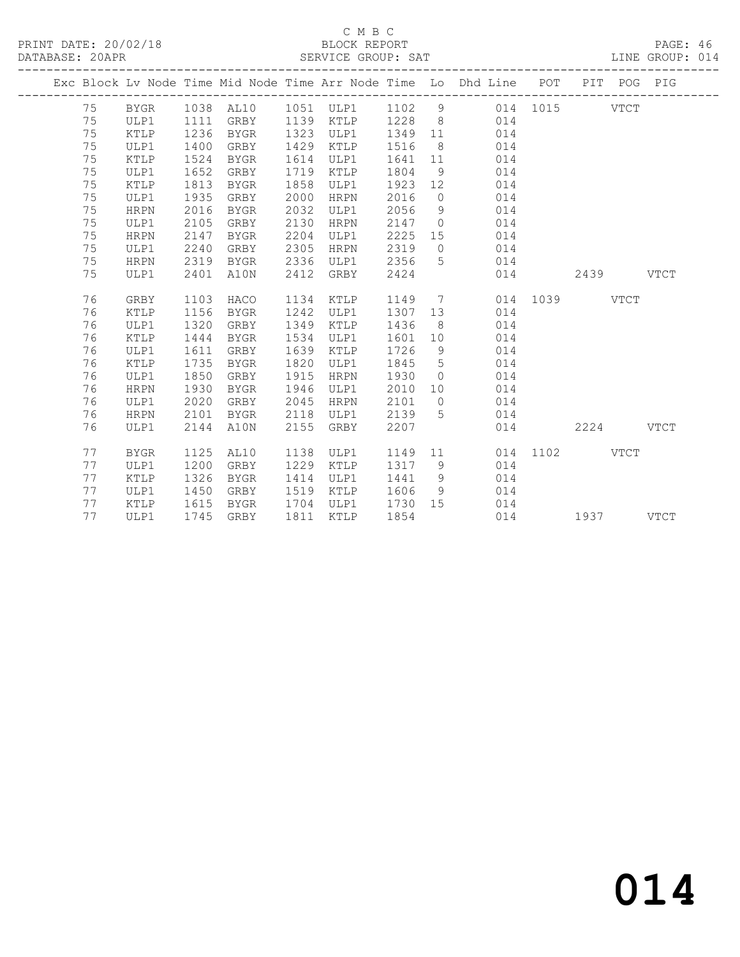PRINT DATE: 20/02/18 BLOCK REPORT BATABASE: 20APR BLOCK REPORT

## C M B C<br>BLOCK REPORT

PAGE: 46<br>LINE GROUP: 014

|  |    |                |      |           |      |                  |         |                 | Exc Block Lv Node Time Mid Node Time Arr Node Time Lo Dhd Line POT PIT POG PIG |               |      |             |             |
|--|----|----------------|------|-----------|------|------------------|---------|-----------------|--------------------------------------------------------------------------------|---------------|------|-------------|-------------|
|  | 75 | BYGR 1038 AL10 |      |           |      | 1051 ULP1 1102 9 |         |                 |                                                                                | 014 1015 VTCT |      |             |             |
|  | 75 | ULP1           | 1111 | GRBY      |      | 1139 KTLP 1228 8 |         |                 | 014                                                                            |               |      |             |             |
|  | 75 | KTLP           | 1236 | BYGR      |      | 1323 ULP1        | 1349 11 |                 | 014                                                                            |               |      |             |             |
|  | 75 | ULP1           | 1400 | GRBY      |      | 1429 KTLP        | 1516    | 8 <sup>8</sup>  | 014                                                                            |               |      |             |             |
|  | 75 | KTLP           | 1524 | BYGR      |      | 1614 ULP1        | 1641    | 11              | 014                                                                            |               |      |             |             |
|  | 75 | ULP1           | 1652 | GRBY      |      | 1719 KTLP        | 1804    | 9               | 014                                                                            |               |      |             |             |
|  | 75 | KTLP           | 1813 | BYGR      | 1858 | ULP1             | 1923 12 |                 | 014                                                                            |               |      |             |             |
|  | 75 | ULP1           | 1935 | GRBY      | 2000 | HRPN             | 2016    | $\overline{0}$  | 014                                                                            |               |      |             |             |
|  | 75 | <b>HRPN</b>    | 2016 | BYGR      | 2032 | ULP1             | 2056    | 9               | 014                                                                            |               |      |             |             |
|  | 75 | ULP1           | 2105 | GRBY      | 2130 | HRPN             | 2147    | $\overline{0}$  | 014                                                                            |               |      |             |             |
|  | 75 | <b>HRPN</b>    | 2147 | BYGR      | 2204 | ULP1             | 2225    |                 | 15<br>014                                                                      |               |      |             |             |
|  | 75 | ULP1           | 2240 | GRBY      | 2305 | HRPN             | 2319    |                 | $\overline{0}$<br>014                                                          |               |      |             |             |
|  | 75 | <b>HRPN</b>    | 2319 | BYGR      | 2336 | ULP1             | 2356    | 5               | 014                                                                            |               |      |             |             |
|  | 75 | ULP1           | 2401 | A10N      | 2412 | GRBY             | 2424    |                 | 014                                                                            |               | 2439 |             | <b>VTCT</b> |
|  |    |                |      |           |      |                  |         |                 |                                                                                |               |      |             |             |
|  | 76 | GRBY           | 1103 | HACO      | 1134 | KTLP             | 1149    |                 | $7\overline{ }$                                                                | 014 1039      |      | <b>VTCT</b> |             |
|  | 76 | KTLP           | 1156 | BYGR      | 1242 | ULP1             | 1307    | 13              | 014                                                                            |               |      |             |             |
|  | 76 | ULP1           | 1320 | GRBY      | 1349 | KTLP             | 1436    | 8 <sup>8</sup>  | 014                                                                            |               |      |             |             |
|  | 76 | KTLP           | 1444 | BYGR      | 1534 | ULP1             | 1601    | 10              | 014                                                                            |               |      |             |             |
|  | 76 | ULP1           | 1611 | GRBY      | 1639 | KTLP             | 1726    | 9               | 014                                                                            |               |      |             |             |
|  | 76 | KTLP           | 1735 | BYGR      | 1820 | ULP1             | 1845    | $5\overline{)}$ | 014                                                                            |               |      |             |             |
|  | 76 | ULP1           | 1850 | GRBY      | 1915 | HRPN             | 1930    | $\overline{0}$  | 014                                                                            |               |      |             |             |
|  | 76 | <b>HRPN</b>    | 1930 | BYGR      | 1946 | ULP1             | 2010    | 10              | 014                                                                            |               |      |             |             |
|  | 76 | ULP1           | 2020 | GRBY      | 2045 | HRPN             | 2101    | $\overline{0}$  | 014                                                                            |               |      |             |             |
|  | 76 | <b>HRPN</b>    | 2101 | BYGR      | 2118 | ULP1             | 2139    | 5               | 014                                                                            |               |      |             |             |
|  | 76 | ULP1           | 2144 | A10N      | 2155 | GRBY             | 2207    |                 | 014                                                                            |               | 2224 |             | <b>VTCT</b> |
|  |    |                |      |           |      |                  |         |                 |                                                                                |               |      |             |             |
|  | 77 | <b>BYGR</b>    | 1125 | AL10      | 1138 | ULP1             | 1149    |                 | 11                                                                             | 014 1102 VTCT |      |             |             |
|  | 77 | ULP1           | 1200 | GRBY      | 1229 | KTLP             | 1317    |                 | 9<br>014                                                                       |               |      |             |             |
|  | 77 | KTLP           | 1326 | BYGR      | 1414 | ULP1             | 1441    | 9               | 014                                                                            |               |      |             |             |
|  | 77 | ULP1           | 1450 | GRBY      | 1519 | KTLP             | 1606    | 9 <sup>°</sup>  | 014                                                                            |               |      |             |             |
|  | 77 | KTLP           | 1615 | BYGR      | 1704 | ULP1             | 1730 15 |                 | 014                                                                            |               |      |             |             |
|  | 77 | ULP1           |      | 1745 GRBY | 1811 | KTLP             | 1854    |                 | 014                                                                            |               | 1937 |             | <b>VTCT</b> |
|  |    |                |      |           |      |                  |         |                 |                                                                                |               |      |             |             |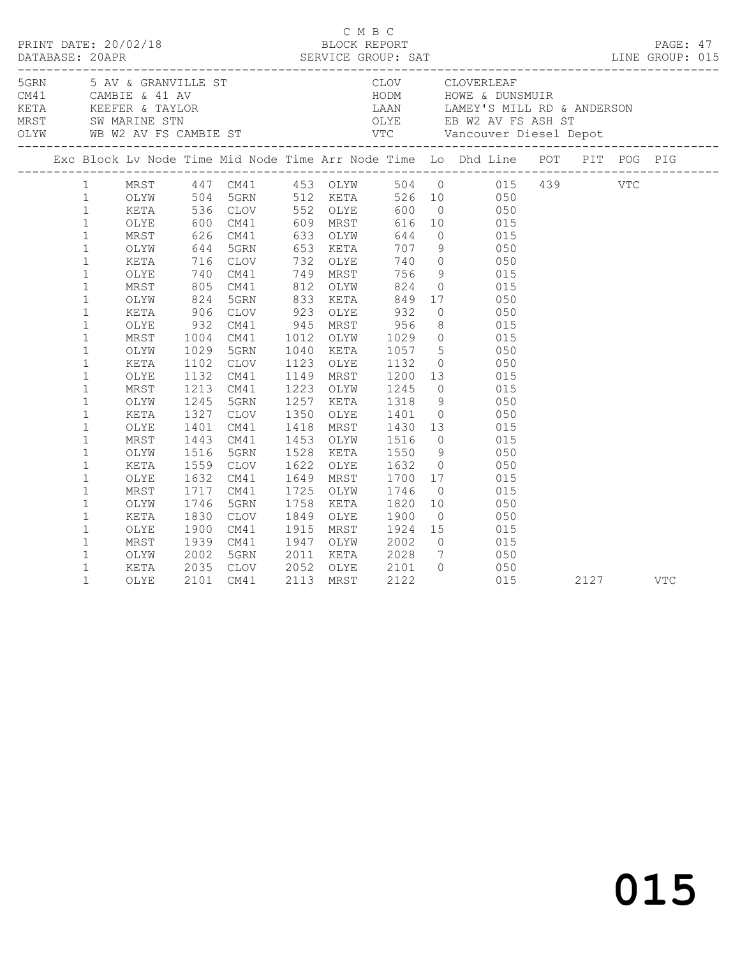|  |                                                                                                                                                                                                                                                                                                                                                                                                                                                             |                                                                                                                                                                      |                      |                                                                                                                                                                                                            |                        |                                                                                                                                                    |                 | C M B C<br>PRINT DATE: 20/02/18 BLOCK REPORT PAGE: 47<br>DATABASE: 20APR SERVICE GROUP: SAT LINE GROUP: 015                                                                                                                                                                                                                                                                                                                                                                                                                                                                                                                                                                                                                                                                                                                                                                                                                                                                                                                                                                                                                                                                                                    |      |     |  |
|--|-------------------------------------------------------------------------------------------------------------------------------------------------------------------------------------------------------------------------------------------------------------------------------------------------------------------------------------------------------------------------------------------------------------------------------------------------------------|----------------------------------------------------------------------------------------------------------------------------------------------------------------------|----------------------|------------------------------------------------------------------------------------------------------------------------------------------------------------------------------------------------------------|------------------------|----------------------------------------------------------------------------------------------------------------------------------------------------|-----------------|----------------------------------------------------------------------------------------------------------------------------------------------------------------------------------------------------------------------------------------------------------------------------------------------------------------------------------------------------------------------------------------------------------------------------------------------------------------------------------------------------------------------------------------------------------------------------------------------------------------------------------------------------------------------------------------------------------------------------------------------------------------------------------------------------------------------------------------------------------------------------------------------------------------------------------------------------------------------------------------------------------------------------------------------------------------------------------------------------------------------------------------------------------------------------------------------------------------|------|-----|--|
|  |                                                                                                                                                                                                                                                                                                                                                                                                                                                             |                                                                                                                                                                      |                      |                                                                                                                                                                                                            |                        |                                                                                                                                                    |                 |                                                                                                                                                                                                                                                                                                                                                                                                                                                                                                                                                                                                                                                                                                                                                                                                                                                                                                                                                                                                                                                                                                                                                                                                                |      |     |  |
|  |                                                                                                                                                                                                                                                                                                                                                                                                                                                             |                                                                                                                                                                      |                      |                                                                                                                                                                                                            |                        |                                                                                                                                                    |                 |                                                                                                                                                                                                                                                                                                                                                                                                                                                                                                                                                                                                                                                                                                                                                                                                                                                                                                                                                                                                                                                                                                                                                                                                                |      |     |  |
|  | 1<br>1<br>$\mathbf{1}$<br>$\mathbf{1}$<br>$\mathbf{1}$<br>$\mathbf{1}$<br>$\mathbf{1}$<br>$\mathbf{1}$<br>$1\,$<br>$\mathbf{1}$<br>$\mathbf{1}$<br>$\mathbf 1$<br>$\mathbf{1}$<br>$\mathbf{1}$<br>$\mathbf{1}$<br>$\mathbf{1}$<br>$\mathbf 1$<br>$\mathbf{1}$<br>$\mathbf{1}$<br>$\mathbf{1}$<br>$\mathbf{1}$<br>$\mathbf 1$<br>$\mathbf{1}$<br>$\mathbf 1$<br>$\mathbf{1}$<br>$\mathbf{1}$<br>$\mathbf{1}$<br>$\mathbf{1}$<br>$\mathbf{1}$<br>$\mathbf{1}$ | KETA<br>OLYE<br>MRST<br>OLYW<br>OLYW<br>KETA<br>OLYE<br>MRST<br>OLYW<br>KETA<br>OLYE<br>MRST<br>OLYW<br>KETA<br>OLYE<br>MRST<br>OLYW<br>KETA<br>OLYE<br>MRST<br>OLYW | 1029<br>1443<br>1830 | 5GRN<br>1102 CLOV<br>1132 CM41<br>1213 CM41<br>1245 5GRN<br>1327 CLOV<br>1401 CM41<br>CM41<br>1516 5GRN<br>1559 CLOV<br>1632 CM41<br>1717 CM41<br>1746 5GRN<br>CLOV<br>1900 CM41<br>1939 CM41<br>2002 5GRN | 1453 OLYW<br>1758 KETA | 1223 OLYW 1245<br>1257 KETA 1318<br>1350 OLYE 1401<br>1453 OLYW 1516 0<br>1528 KETA 1550 9<br>1622 OLYE 1632 0<br>1849 OLYE 1900<br>2011 KETA 2028 | $7\overline{ }$ | MRST 447 CM41 453 OLYW 504 0 015 439 VTC<br>OLYW 504 5GRN 512 KETA 526 10 050<br>KETA 536 CLOV 552 OLYE 600 0 050<br>0LYE 600 CM41 609 MRST 616 10 015<br>MRST 626 CM41 633 OLYW 644 0 015<br>OLYW 644 5GRN 653 KETA 707 9 050<br>044 JUNN 033 NEIA 707 9<br>716 CLOV 732 OLYE 740 0 050<br>740 CM41 749 MRST 756 9 015<br>805 CM41 812 OLYW 824 0 015<br>824 5GRN 833 KETA 849 17 050<br>XETA 906 CLOV 923 OLYE 932 0 050<br>OLYE 932 CM41 945 MRST 956 8 015<br>MRST 1004 CM41 1012 OLYW 1029 0 015<br>1040 KETA 1057 5 050<br>1123 OLYE 1132 0 050<br>1149 MRST 1200 13 015<br>$0\qquad \qquad 015$<br>9 050<br>0 050<br>1418 MRST 1430 13 015<br>$\begin{matrix} 0 & 0 & 0 & 0 \\ 0 & 0 & 0 & 0 \\ 0 & 0 & 0 & 0 \\ 0 & 0 & 0 & 0 \\ 0 & 0 & 0 & 0 \\ 0 & 0 & 0 & 0 \\ 0 & 0 & 0 & 0 \\ 0 & 0 & 0 & 0 \\ 0 & 0 & 0 & 0 \\ 0 & 0 & 0 & 0 \\ 0 & 0 & 0 & 0 \\ 0 & 0 & 0 & 0 & 0 \\ 0 & 0 & 0 & 0 & 0 \\ 0 & 0 & 0 & 0 & 0 \\ 0 & 0 & 0 & 0 & 0 & 0 \\ 0 & 0 & 0 & 0 & 0 & 0 \\ 0$<br>050<br>$\begin{array}{ccc} 0 & 0.50 \\ 0 & 0.50 \end{array}$<br>1649 MRST 1700 17 015<br>1725 OLYW 1746 0 015<br>1758 KETA 1820 10 050<br>$0 \qquad \qquad 050$<br>1915 MRST 1924 15 015<br>1947 OLYW 2002 0 015<br>050 |      |     |  |
|  | $\mathbf{1}$<br>$\mathbf{1}$                                                                                                                                                                                                                                                                                                                                                                                                                                | KETA<br>OLYE                                                                                                                                                         |                      | 2035 CLOV<br>2101 CM41                                                                                                                                                                                     |                        |                                                                                                                                                    |                 | 2052 OLYE 2101 0 050<br>2113 MRST 2122 015<br>015                                                                                                                                                                                                                                                                                                                                                                                                                                                                                                                                                                                                                                                                                                                                                                                                                                                                                                                                                                                                                                                                                                                                                              | 2127 | VTC |  |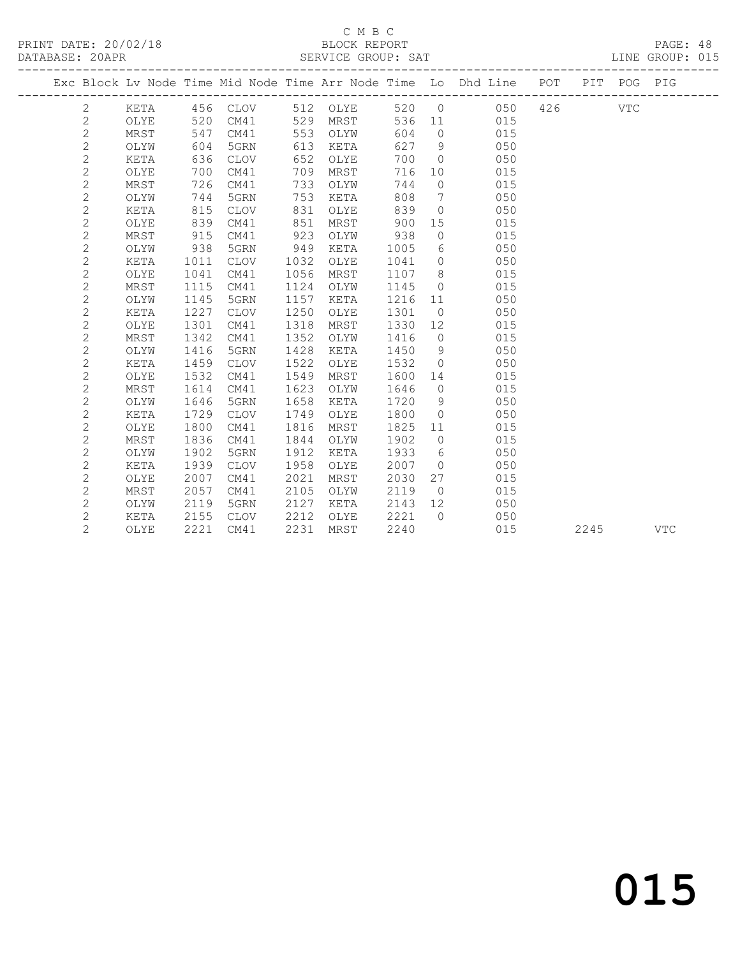PRINT DATE: 20/02/18 BLOCK REPORT BATABASE: 20APR BLOCK REPORT

#### C M B C<br>BLOCK REPORT

PAGE: 48<br>LINE GROUP: 015

|  |                |             |      |                 |      |          |      |                | Exc Block Lv Node Time Mid Node Time Arr Node Time Lo Dhd Line POT |     |      | PIT POG PIG |            |
|--|----------------|-------------|------|-----------------|------|----------|------|----------------|--------------------------------------------------------------------|-----|------|-------------|------------|
|  | 2              | KETA        |      | 456 CLOV        |      | 512 OLYE | 520  | $\overline{0}$ | 050                                                                | 426 |      | VTC         |            |
|  | $\mathbf{2}$   | OLYE        | 520  | CM41            | 529  | MRST     | 536  | 11             | 015                                                                |     |      |             |            |
|  | $\overline{c}$ | MRST        | 547  | CM41            | 553  | OLYW     | 604  | $\overline{0}$ | 015                                                                |     |      |             |            |
|  | $\mathbf{2}$   | OLYW        | 604  | 5GRN            | 613  | KETA     | 627  | - 9            | 050                                                                |     |      |             |            |
|  | $\mathbf{2}$   | KETA        | 636  | CLOV            | 652  | OLYE     | 700  | $\overline{0}$ | 050                                                                |     |      |             |            |
|  | $\mathbf{2}$   | OLYE        | 700  | CM41            | 709  | MRST     | 716  | 10             | 015                                                                |     |      |             |            |
|  | $\sqrt{2}$     | MRST        | 726  | CM41            | 733  | OLYW     | 744  | $\circ$        | 015                                                                |     |      |             |            |
|  | $\mathbf{2}$   | OLYW        | 744  | 5GRN            | 753  | KETA     | 808  | $\overline{7}$ | 050                                                                |     |      |             |            |
|  | $\mathbf{2}$   | KETA        | 815  | <b>CLOV</b>     | 831  | OLYE     | 839  | $\overline{0}$ | 050                                                                |     |      |             |            |
|  | 2              | OLYE        | 839  | CM41            | 851  | MRST     | 900  | 15             | 015                                                                |     |      |             |            |
|  | $\mathbf{2}$   | MRST        | 915  | CM41            | 923  | OLYW     | 938  | $\circ$        | 015                                                                |     |      |             |            |
|  | 2              | OLYW        | 938  | 5GRN            | 949  | KETA     | 1005 | 6              | 050                                                                |     |      |             |            |
|  | $\sqrt{2}$     | KETA        | 1011 | CLOV            | 1032 | OLYE     | 1041 | $\overline{0}$ | 050                                                                |     |      |             |            |
|  | 2              | OLYE        | 1041 | CM41            | 1056 | MRST     | 1107 | 8 <sup>8</sup> | 015                                                                |     |      |             |            |
|  | $\overline{c}$ | MRST        | 1115 | CM41            | 1124 | OLYW     | 1145 | $\overline{0}$ | 015                                                                |     |      |             |            |
|  | 2              | OLYW        | 1145 | 5GRN            | 1157 | KETA     | 1216 | 11             | 050                                                                |     |      |             |            |
|  | $\overline{c}$ | KETA        | 1227 | CLOV            | 1250 | OLYE     | 1301 | $\overline{0}$ | 050                                                                |     |      |             |            |
|  | 2              | OLYE        | 1301 | CM41            | 1318 | MRST     | 1330 | 12             | 015                                                                |     |      |             |            |
|  | 2              | MRST        | 1342 | CM41            | 1352 | OLYW     | 1416 | $\overline{0}$ | 015                                                                |     |      |             |            |
|  | $\mathbf{2}$   | OLYW        | 1416 | 5GRN            | 1428 | KETA     | 1450 | 9              | 050                                                                |     |      |             |            |
|  | $\mathbf{2}$   | KETA        | 1459 | CLOV            | 1522 | OLYE     | 1532 | $\overline{0}$ | 050                                                                |     |      |             |            |
|  | $\mathbf{2}$   | OLYE        | 1532 | CM41            | 1549 | MRST     | 1600 | 14             | 015                                                                |     |      |             |            |
|  | $\mathbf{2}$   | MRST        | 1614 | CM41            | 1623 | OLYW     | 1646 | $\overline{0}$ | 015                                                                |     |      |             |            |
|  | $\mathbf{2}$   | OLYW        | 1646 | 5GRN            | 1658 | KETA     | 1720 | 9              | 050                                                                |     |      |             |            |
|  | $\mathbf{2}$   | KETA        | 1729 | $\mathtt{CLOV}$ | 1749 | OLYE     | 1800 | $\overline{0}$ | 050                                                                |     |      |             |            |
|  | $\mathbf{2}$   | OLYE        | 1800 | CM41            | 1816 | MRST     | 1825 | 11             | 015                                                                |     |      |             |            |
|  | $\mathbf{2}$   | MRST        | 1836 | CM41            | 1844 | OLYW     | 1902 | $\overline{0}$ | 015                                                                |     |      |             |            |
|  | $\sqrt{2}$     | OLYW        | 1902 | 5GRN            | 1912 | KETA     | 1933 | 6              | 050                                                                |     |      |             |            |
|  | $\mathbf{2}$   | <b>KETA</b> | 1939 | <b>CLOV</b>     | 1958 | OLYE     | 2007 | $\overline{0}$ | 050                                                                |     |      |             |            |
|  | $\mathbf{2}$   | OLYE        | 2007 | CM41            | 2021 | MRST     | 2030 | 27             | 015                                                                |     |      |             |            |
|  | $\mathbf{2}$   | MRST        | 2057 | CM41            | 2105 | OLYW     | 2119 | $\overline{0}$ | 015                                                                |     |      |             |            |
|  | $\mathbf{2}$   | OLYW        | 2119 | 5GRN            | 2127 | KETA     | 2143 | 12             | 050                                                                |     |      |             |            |
|  | $\mathbf{2}$   | KETA        | 2155 | CLOV            | 2212 | OLYE     | 2221 | $\overline{0}$ | 050                                                                |     |      |             |            |
|  | $\overline{2}$ | OLYE        | 2221 | CM41            | 2231 | MRST     | 2240 |                | 015                                                                |     | 2245 |             | <b>VTC</b> |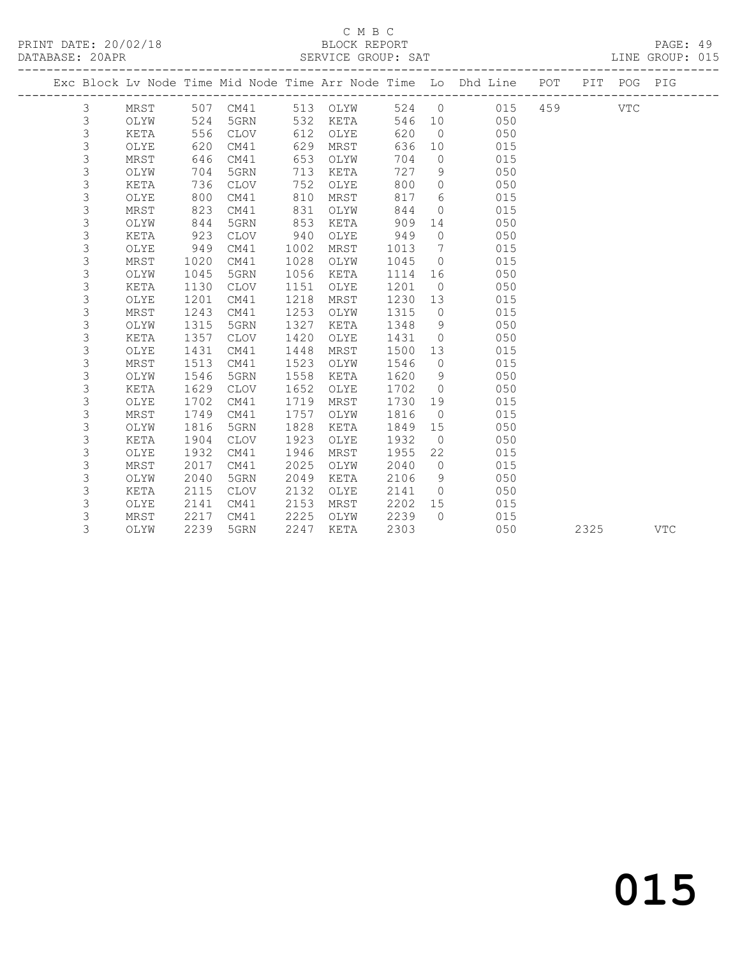#### C M B C

| PRINT DATE: 20/02/18<br>DATABASE: 20APR |                           |      |      |             |      |                |         |                | 18<br>BLOCK REPORT<br>SERVICE GROUP: SAT                                       |         |            | PAGE: 49<br>LINE GROUP: 015 |  |
|-----------------------------------------|---------------------------|------|------|-------------|------|----------------|---------|----------------|--------------------------------------------------------------------------------|---------|------------|-----------------------------|--|
|                                         |                           |      |      |             |      |                |         |                | Exc Block Lv Node Time Mid Node Time Arr Node Time Lo Dhd Line POT PIT POG PIG |         |            |                             |  |
|                                         | 3                         | MRST |      | 507 CM41    |      | 513 OLYW 524 0 |         |                |                                                                                | 015 459 | <b>VTC</b> |                             |  |
|                                         | 3                         | OLYW |      | 524 5GRN    |      | 532 KETA       |         | 546 10         | 050                                                                            |         |            |                             |  |
|                                         | $\mathsf 3$               | KETA |      | 556 CLOV    |      | 612 OLYE       | 620     | $\overline{0}$ | 050                                                                            |         |            |                             |  |
|                                         | $\mathsf 3$               | OLYE |      | 620 CM41    | 629  | MRST           | 636     | 10             | 015                                                                            |         |            |                             |  |
|                                         | $\mathsf 3$               | MRST | 646  | CM41        | 653  | OLYW           | 704     | $\overline{0}$ | 015                                                                            |         |            |                             |  |
|                                         | $\mathsf 3$               | OLYW | 704  | 5GRN        | 713  | KETA           | 727     | - 9            | 050                                                                            |         |            |                             |  |
|                                         | $\mathsf 3$               | KETA | 736  | CLOV        | 752  | OLYE           | 800     | $\circ$        | 050                                                                            |         |            |                             |  |
|                                         | $\mathsf 3$               | OLYE | 800  | CM41        | 810  | MRST           | 817     |                | $6\overline{6}$<br>015                                                         |         |            |                             |  |
|                                         | $\mathsf 3$               | MRST | 823  | CM41        | 831  | OLYW           | 844     | $\circ$        | 015                                                                            |         |            |                             |  |
|                                         | $\mathsf 3$               | OLYW | 844  | 5GRN        | 853  | KETA           | 909     | 14             | 050                                                                            |         |            |                             |  |
|                                         | $\mathsf 3$               | KETA | 923  | CLOV        | 940  | OLYE           | 949     | $\overline{0}$ | 050                                                                            |         |            |                             |  |
|                                         | $\mathsf 3$               | OLYE | 949  | CM41        | 1002 | MRST           | 1013    | $7\phantom{0}$ | 015                                                                            |         |            |                             |  |
|                                         | $\mathsf 3$               | MRST | 1020 | CM41        | 1028 | OLYW           | 1045    | $\overline{0}$ | 015                                                                            |         |            |                             |  |
|                                         | $\mathsf 3$               | OLYW | 1045 | 5GRN        | 1056 | KETA           | 1114    |                | 16 16<br>050                                                                   |         |            |                             |  |
|                                         | $\mathsf 3$               | KETA | 1130 | <b>CLOV</b> | 1151 | OLYE           | 1201    | $\bigcirc$     | 050                                                                            |         |            |                             |  |
|                                         | 3                         | OLYE | 1201 | CM41        | 1218 | MRST           | 1230    | 13             | 015                                                                            |         |            |                             |  |
|                                         | 3                         | MRST | 1243 | CM41        | 1253 | OLYW           | 1315    | $\overline{0}$ | 015                                                                            |         |            |                             |  |
|                                         | 3                         | OLYW | 1315 | 5GRN        | 1327 | KETA           | 1348    | 9              | 050                                                                            |         |            |                             |  |
|                                         | 3                         | KETA | 1357 | <b>CLOV</b> | 1420 | OLYE           | 1431    | $\overline{0}$ | 050                                                                            |         |            |                             |  |
|                                         | 3                         | OLYE | 1431 | CM41        | 1448 | MRST           | 1500    | 13             | 015                                                                            |         |            |                             |  |
|                                         | $\mathsf 3$               | MRST | 1513 | CM41        | 1523 | OLYW           | 1546    | $\overline{0}$ | 015                                                                            |         |            |                             |  |
|                                         | $\mathsf 3$               | OLYW | 1546 | 5GRN        | 1558 | KETA           | 1620    | 9              | 050                                                                            |         |            |                             |  |
|                                         | $\mathsf 3$               | KETA | 1629 | <b>CLOV</b> | 1652 | OLYE           | 1702    | $\bigcirc$     | 050                                                                            |         |            |                             |  |
|                                         | $\mathsf 3$               | OLYE | 1702 | CM41        | 1719 | MRST           | 1730    | 19             | 015                                                                            |         |            |                             |  |
|                                         | $\mathsf 3$               | MRST | 1749 | CM41        | 1757 | OLYW           | 1816    | $\overline{0}$ | 015                                                                            |         |            |                             |  |
|                                         | $\mathsf 3$               | OLYW | 1816 | 5GRN        | 1828 | KETA           | 1849    | 15             | 050                                                                            |         |            |                             |  |
|                                         | $\ensuremath{\mathsf{3}}$ | KETA | 1904 | CLOV        | 1923 | OLYE           | 1932    | $\overline{0}$ | 050                                                                            |         |            |                             |  |
|                                         | 3                         | OLYE | 1932 | CM41        | 1946 | MRST           | 1955    | 22             | 015                                                                            |         |            |                             |  |
|                                         | $\ensuremath{\mathsf{3}}$ | MRST | 2017 | CM41        | 2025 | OLYW           | 2040    | $\overline{0}$ | 015                                                                            |         |            |                             |  |
|                                         | $\mathsf 3$               | OLYW | 2040 | 5GRN        | 2049 | KETA           | 2106    | 9              | 050                                                                            |         |            |                             |  |
|                                         | 3                         | KETA | 2115 | CLOV        |      | 2132 OLYE      | 2141    | $\overline{0}$ | 050                                                                            |         |            |                             |  |
|                                         | 3                         | OLYE | 2141 | CM41        |      | 2153 MRST      | 2202 15 |                | 015                                                                            |         |            |                             |  |

3 MRST 2217 CM41 2225 OLYW 2239 0 015

3 OLYW 2239 5GRN 2247 KETA 2303 050 2325 VTC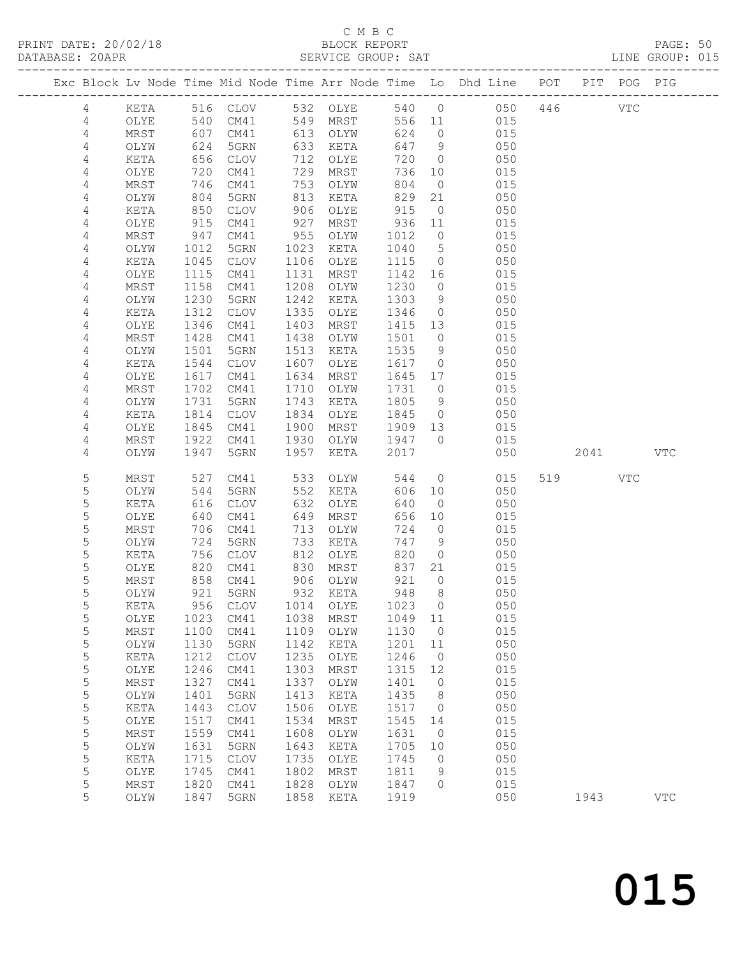### C M B C

|                |      |      |                   |      | C M B C  |         |                 |                                                                                |         |      |            | PAGE: 50<br>LINE GROUP: 015 |  |
|----------------|------|------|-------------------|------|----------|---------|-----------------|--------------------------------------------------------------------------------|---------|------|------------|-----------------------------|--|
|                |      |      |                   |      |          |         |                 | Exc Block Lv Node Time Mid Node Time Arr Node Time Lo Dhd Line POT PIT POG PIG |         |      |            |                             |  |
| 4              | KETA |      | 516 CLOV          |      | 532 OLYE |         | 540 0           |                                                                                | 050 446 |      | <b>VTC</b> |                             |  |
| $\overline{4}$ | OLYE | 540  | CM41              |      | 549 MRST |         | 556 11          | 015                                                                            |         |      |            |                             |  |
| 4              | MRST | 607  | CM41              |      | 613 OLYW | 624     |                 | $\overline{0}$<br>015                                                          |         |      |            |                             |  |
| 4              | OLYW | 624  | 5GRN              | 633  | KETA     | 647     |                 | 9<br>050                                                                       |         |      |            |                             |  |
| $\sqrt{4}$     | KETA | 656  | CLOV              | 712  | OLYE     | 720     | $\overline{0}$  | 050                                                                            |         |      |            |                             |  |
| 4              | OLYE | 720  | CM41              | 729  | MRST     | 736     | 10              | 015                                                                            |         |      |            |                             |  |
| 4              | MRST | 746  | CM41              | 753  | OLYW     | 804     | $\overline{0}$  | 015                                                                            |         |      |            |                             |  |
| 4              | OLYW | 804  | 5GRN              | 813  | KETA     | 829     | 21              | 050                                                                            |         |      |            |                             |  |
| $\sqrt{4}$     | KETA | 850  | CLOV              | 906  | OLYE     | 915     | $\overline{0}$  | 050                                                                            |         |      |            |                             |  |
| 4              | OLYE | 915  | CM41              | 927  | MRST     | 936     | 11              | 015                                                                            |         |      |            |                             |  |
| 4              | MRST | 947  | CM41              | 955  | OLYW     | 1012    | $\overline{0}$  | 015                                                                            |         |      |            |                             |  |
| 4              | OLYW | 1012 | 5GRN              | 1023 | KETA     | 1040    | $5\overline{)}$ | 050                                                                            |         |      |            |                             |  |
| 4              | KETA | 1045 | CLOV              | 1106 | OLYE     | 1115    | $\overline{0}$  | 050                                                                            |         |      |            |                             |  |
| 4              | OLYE | 1115 | CM41              | 1131 | MRST     | 1142    | 16              | 015                                                                            |         |      |            |                             |  |
| 4              | MRST | 1158 | CM41              | 1208 | OLYW     | 1230    | $\overline{0}$  | 015                                                                            |         |      |            |                             |  |
| 4              | OLYW | 1230 | 5GRN              | 1242 | KETA     | 1303    | 9               | 050                                                                            |         |      |            |                             |  |
| 4              | KETA | 1312 | CLOV              | 1335 | OLYE     | 1346    | $\overline{0}$  | 050                                                                            |         |      |            |                             |  |
| 4              | OLYE | 1346 | CM41              | 1403 | MRST     | 1415    | 13              | 015                                                                            |         |      |            |                             |  |
| $\sqrt{4}$     | MRST | 1428 | CM41              | 1438 | OLYW     | 1501    | $\overline{0}$  | 015                                                                            |         |      |            |                             |  |
| 4              | OLYW | 1501 | 5GRN              | 1513 | KETA     | 1535    | 9               | 050                                                                            |         |      |            |                             |  |
| 4              | KETA | 1544 | <b>CLOV</b>       | 1607 | OLYE     | 1617    | $\circ$         | 050                                                                            |         |      |            |                             |  |
| 4              | OLYE | 1617 | CM41              | 1634 | MRST     | 1645    | 17              | 015                                                                            |         |      |            |                             |  |
| 4              | MRST | 1702 | CM41              | 1710 | OLYW     | 1731    | $\overline{0}$  | 015                                                                            |         |      |            |                             |  |
| 4              | OLYW | 1731 | 5GRN              | 1743 | KETA     | 1805    | 9               | 050                                                                            |         |      |            |                             |  |
| 4              | KETA | 1814 | CLOV              | 1834 | OLYE     | 1845    | $\overline{0}$  | 050                                                                            |         |      |            |                             |  |
| 4              | OLYE | 1845 | CM41              | 1900 | MRST     | 1909 13 |                 | 015                                                                            |         |      |            |                             |  |
| 4              | MRST | 1922 | CM41              | 1930 | OLYW     | 1947    | $\bigcirc$      | 015                                                                            |         |      |            |                             |  |
| 4              | OLYW | 1947 | 5GRN              | 1957 | KETA     | 2017    |                 | 050                                                                            |         |      | 2041       | <b>VTC</b>                  |  |
| 5              | MRST | 527  | CM41              | 533  | OLYW     | 544     | $\overline{0}$  | 015                                                                            | 519     |      | VTC        |                             |  |
| 5              | OLYW | 544  | 5GRN              | 552  | KETA     | 606     | 10              | 050                                                                            |         |      |            |                             |  |
| 5              | KETA | 616  | CLOV              | 632  | OLYE     | 640     | $\overline{0}$  | 050                                                                            |         |      |            |                             |  |
| 5              | OLYE | 640  | CM41              | 649  | MRST     | 656     | 10              | 015                                                                            |         |      |            |                             |  |
| 5              | MRST | 706  | CM41              | 713  | OLYW     | 724     | $\overline{0}$  | 015                                                                            |         |      |            |                             |  |
| 5              | OLYW | 724  | 5GRN              | 733  | KETA     | 747     | 9               | 050                                                                            |         |      |            |                             |  |
| $\sqrt{2}$     | KETA |      | 756 CLOV 812 OLYE |      |          |         | 820 0           | 050                                                                            |         |      |            |                             |  |
| 5              | OLYE | 820  | CM41              | 830  | MRST     | 837     | 21              | 015                                                                            |         |      |            |                             |  |
| 5              | MRST | 858  | CM41              | 906  | OLYW     | 921     | $\overline{0}$  | 015                                                                            |         |      |            |                             |  |
| 5              | OLYW | 921  | 5GRN              | 932  | KETA     | 948     | 8               | 050                                                                            |         |      |            |                             |  |
| 5              | KETA | 956  | CLOV              | 1014 | OLYE     | 1023    | $\overline{0}$  | 050                                                                            |         |      |            |                             |  |
| $\mathsf S$    | OLYE | 1023 | CM41              | 1038 | MRST     | 1049    | 11              | 015                                                                            |         |      |            |                             |  |
| 5              | MRST | 1100 | CM41              | 1109 | OLYW     | 1130    | $\overline{0}$  | 015                                                                            |         |      |            |                             |  |
| $\mathsf S$    | OLYW | 1130 | 5GRN              | 1142 | KETA     | 1201    | 11              | 050                                                                            |         |      |            |                             |  |
| 5              | KETA | 1212 | CLOV              | 1235 | OLYE     | 1246    | $\overline{0}$  | 050                                                                            |         |      |            |                             |  |
| $\mathsf S$    | OLYE | 1246 | CM41              | 1303 | MRST     | 1315    | 12              | 015                                                                            |         |      |            |                             |  |
| $\mathsf S$    | MRST | 1327 | CM41              | 1337 | OLYW     | 1401    | $\circ$         | 015                                                                            |         |      |            |                             |  |
| $\mathsf S$    | OLYW | 1401 | 5GRN              | 1413 | KETA     | 1435    | 8               | 050                                                                            |         |      |            |                             |  |
| 5              | KETA | 1443 | CLOV              | 1506 | OLYE     | 1517    | $\overline{0}$  | 050                                                                            |         |      |            |                             |  |
| 5              | OLYE | 1517 | CM41              | 1534 | MRST     | 1545    | 14              | 015                                                                            |         |      |            |                             |  |
| $\mathsf S$    | MRST | 1559 | CM41              | 1608 | OLYW     | 1631    | $\overline{0}$  | 015                                                                            |         |      |            |                             |  |
| $\mathsf S$    | OLYW | 1631 | 5GRN              | 1643 | KETA     | 1705    | 10              | 050                                                                            |         |      |            |                             |  |
| 5              | KETA | 1715 | CLOV              | 1735 | OLYE     | 1745    | $\circ$         | 050                                                                            |         |      |            |                             |  |
| 5              | OLYE | 1745 | CM41              | 1802 | MRST     | 1811    | 9               | 015                                                                            |         |      |            |                             |  |
| 5              | MRST | 1820 | CM41              | 1828 | OLYW     | 1847    | $\Omega$        | 015                                                                            |         |      |            |                             |  |
| 5              | OLYW | 1847 | 5GRN              | 1858 | KETA     | 1919    |                 | 050                                                                            |         | 1943 |            | <b>VTC</b>                  |  |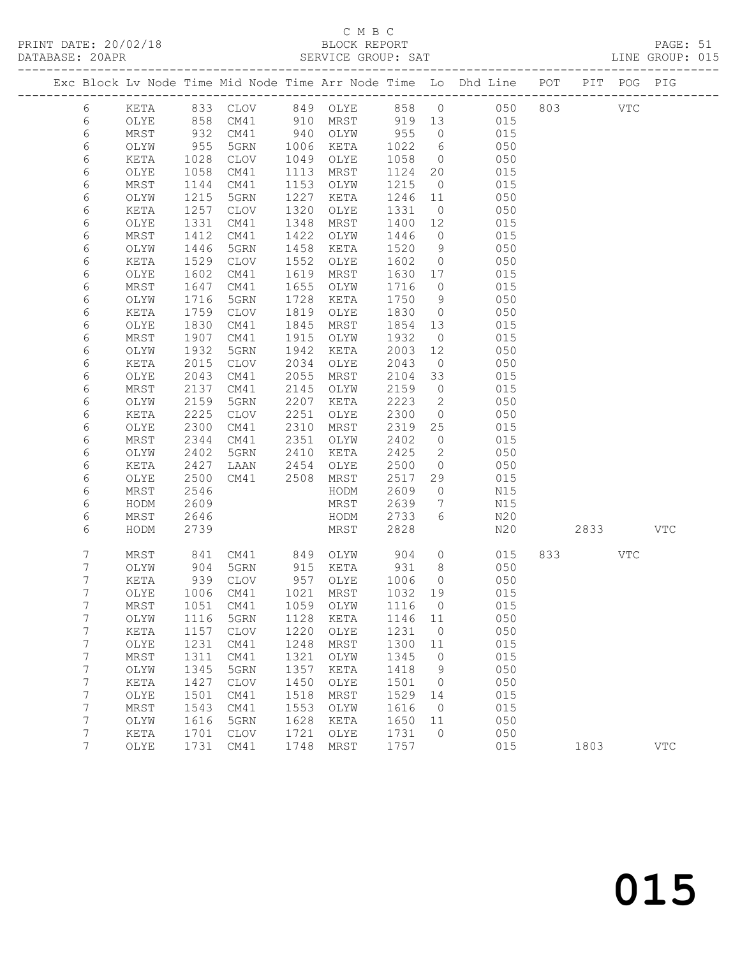#### C M B C<br>
C M B C<br>
BLOCK REPOR

|  | PRINT DATE: 20/02/18<br>DATABASE: 20APR |      |     |      |      | BLOCK REPORT<br>SERVICE GROUP: SAT |             |                                                                |     |     |      | PAGE: 51<br>LINE GROUP: 015 |  |
|--|-----------------------------------------|------|-----|------|------|------------------------------------|-------------|----------------------------------------------------------------|-----|-----|------|-----------------------------|--|
|  |                                         |      |     |      |      |                                    |             | Exc Block Ly Node Time Mid Node Time Arr Node Time Lo Dhd Line | POT | PTT |      | POG PIG                     |  |
|  | 6                                       | KETA | 833 | CLOV | 849  | OLYE.                              | 858 0       | 050                                                            | 803 |     | VTC. |                             |  |
|  | 6                                       | OLYE | 858 | CM41 | 910  | MRST                               | 919 13      | 015                                                            |     |     |      |                             |  |
|  | 6                                       | MRST | 932 | CM41 | 940  | OLYW<br>KETA                       | 955<br>1022 | 015                                                            |     |     |      |                             |  |
|  |                                         | OLYW | 955 | 5GRN | 1006 |                                    |             | 050                                                            |     |     |      |                             |  |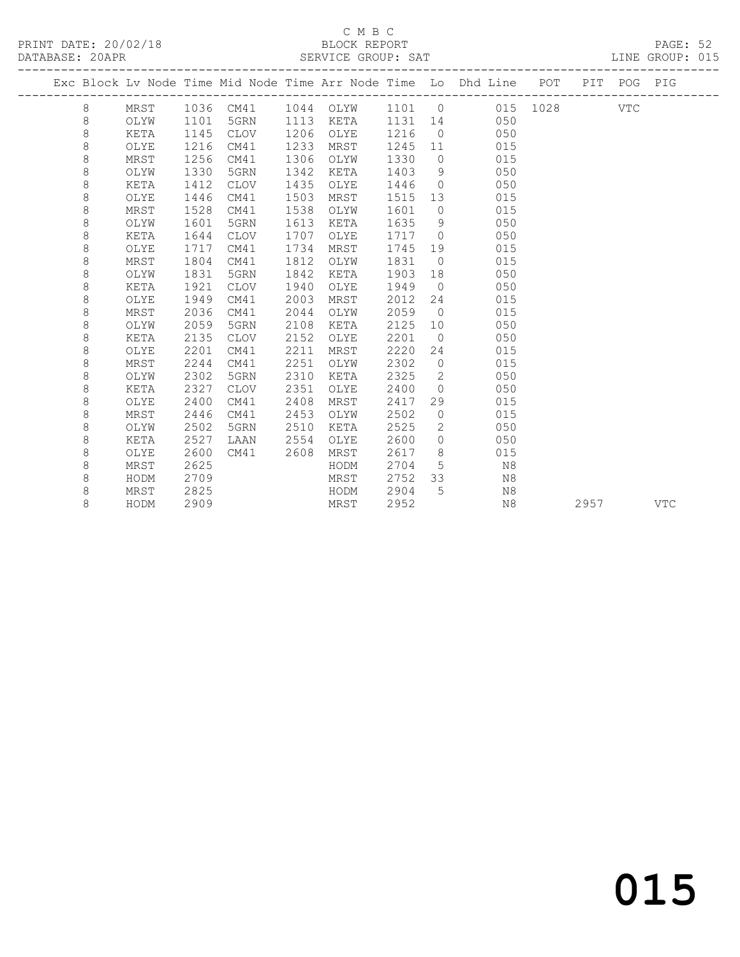#### C M B C<br>BLOCK REPORT SERVICE GROUP: SAT

|  |         |      |      |             |      |      |        |                | Exc Block Lv Node Time Mid Node Time Arr Node Time Lo Dhd Line POT |          |      | PIT POG PIG |            |
|--|---------|------|------|-------------|------|------|--------|----------------|--------------------------------------------------------------------|----------|------|-------------|------------|
|  | 8       | MRST | 1036 | CM41        | 1044 | OLYW | 1101 0 |                |                                                                    | 015 1028 |      | <b>VTC</b>  |            |
|  | 8       | OLYW | 1101 | 5GRN        | 1113 | KETA | 1131   | 14             | 050                                                                |          |      |             |            |
|  | $\,8\,$ | KETA | 1145 | CLOV        | 1206 | OLYE | 1216   | $\overline{0}$ | 050                                                                |          |      |             |            |
|  | $\,8\,$ | OLYE | 1216 | CM41        | 1233 | MRST | 1245   | 11             | 015                                                                |          |      |             |            |
|  | $\,8\,$ | MRST | 1256 | CM41        | 1306 | OLYW | 1330   | $\circ$        | 015                                                                |          |      |             |            |
|  | 8       | OLYW | 1330 | 5GRN        | 1342 | KETA | 1403   | 9              | 050                                                                |          |      |             |            |
|  | 8       | KETA | 1412 | <b>CLOV</b> | 1435 | OLYE | 1446   | $\overline{0}$ | 050                                                                |          |      |             |            |
|  | 8       | OLYE | 1446 | CM41        | 1503 | MRST | 1515   | 13             | 015                                                                |          |      |             |            |
|  | 8       | MRST | 1528 | CM41        | 1538 | OLYW | 1601   | $\circ$        | 015                                                                |          |      |             |            |
|  | 8       | OLYW | 1601 | 5GRN        | 1613 | KETA | 1635   | 9              | 050                                                                |          |      |             |            |
|  | 8       | KETA | 1644 | <b>CLOV</b> | 1707 | OLYE | 1717   | $\overline{0}$ | 050                                                                |          |      |             |            |
|  | 8       | OLYE | 1717 | CM41        | 1734 | MRST | 1745   | 19             | 015                                                                |          |      |             |            |
|  | 8       | MRST | 1804 | CM41        | 1812 | OLYW | 1831   | $\overline{0}$ | 015                                                                |          |      |             |            |
|  | 8       | OLYW | 1831 | 5GRN        | 1842 | KETA | 1903   | 18             | 050                                                                |          |      |             |            |
|  | 8       | KETA | 1921 | <b>CLOV</b> | 1940 | OLYE | 1949   | $\overline{0}$ | 050                                                                |          |      |             |            |
|  | 8       | OLYE | 1949 | CM41        | 2003 | MRST | 2012   | 24             | 015                                                                |          |      |             |            |
|  | 8       | MRST | 2036 | CM41        | 2044 | OLYW | 2059   | $\overline{0}$ | 015                                                                |          |      |             |            |
|  | 8       | OLYW | 2059 | 5GRN        | 2108 | KETA | 2125   | 10             | 050                                                                |          |      |             |            |
|  | 8       | KETA | 2135 | <b>CLOV</b> | 2152 | OLYE | 2201   | $\overline{0}$ | 050                                                                |          |      |             |            |
|  | 8       | OLYE | 2201 | CM41        | 2211 | MRST | 2220   | 24             | 015                                                                |          |      |             |            |
|  | 8       | MRST | 2244 | CM41        | 2251 | OLYW | 2302   | $\overline{0}$ | 015                                                                |          |      |             |            |
|  | 8       | OLYW | 2302 | 5GRN        | 2310 | KETA | 2325   | 2              | 050                                                                |          |      |             |            |
|  | 8       | KETA | 2327 | <b>CLOV</b> | 2351 | OLYE | 2400   | $\overline{0}$ | 050                                                                |          |      |             |            |
|  | 8       | OLYE | 2400 | CM41        | 2408 | MRST | 2417   | 29             | 015                                                                |          |      |             |            |
|  | 8       | MRST | 2446 | CM41        | 2453 | OLYW | 2502   | $\circ$        | 015                                                                |          |      |             |            |
|  | 8       | OLYW | 2502 | 5GRN        | 2510 | KETA | 2525   | 2              | 050                                                                |          |      |             |            |
|  | 8       | KETA | 2527 | LAAN        | 2554 | OLYE | 2600   | $\circ$        | 050                                                                |          |      |             |            |
|  | 8       | OLYE | 2600 | CM41        | 2608 | MRST | 2617   | 8              | 015                                                                |          |      |             |            |
|  | 8       | MRST | 2625 |             |      | HODM | 2704   | 5              | N8                                                                 |          |      |             |            |
|  | 8       | HODM | 2709 |             |      | MRST | 2752   | 33             | N8                                                                 |          |      |             |            |
|  | 8       | MRST | 2825 |             |      | HODM | 2904   | 5              | N8                                                                 |          |      |             |            |
|  | 8       | HODM | 2909 |             |      | MRST | 2952   |                | N <sub>8</sub>                                                     |          | 2957 |             | <b>VTC</b> |
|  |         |      |      |             |      |      |        |                |                                                                    |          |      |             |            |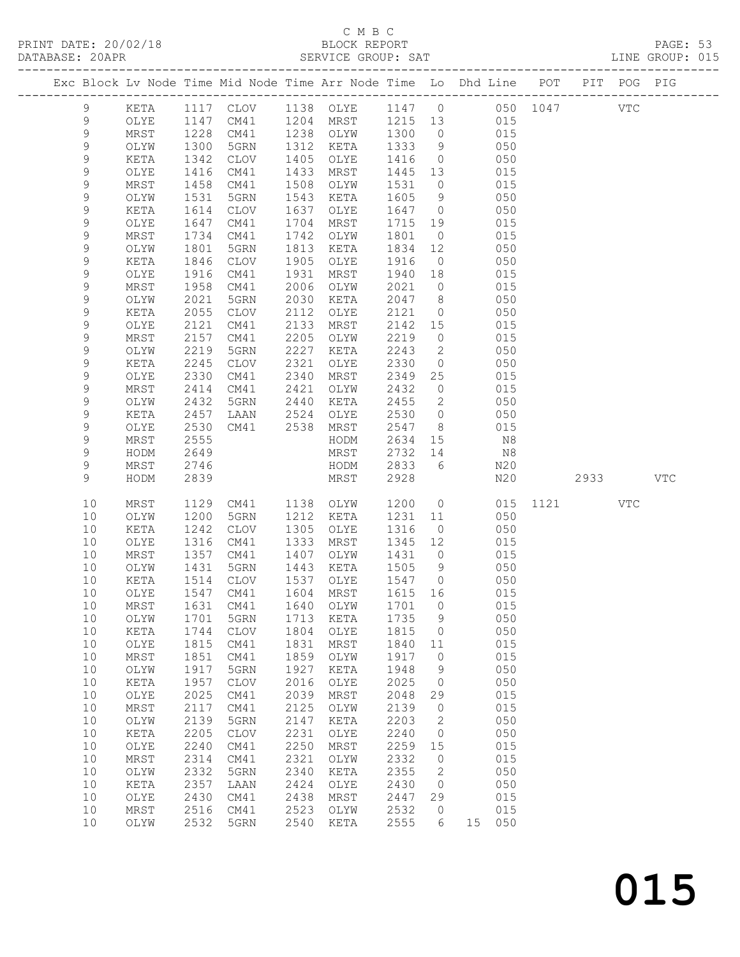#### C M B C

| DATABASE: 20APR |             |                 |                      |                 |      | SERVICE GROUP: SAT |          |                            |                                                                                |      |     | LINE GROUP: 015 |  |
|-----------------|-------------|-----------------|----------------------|-----------------|------|--------------------|----------|----------------------------|--------------------------------------------------------------------------------|------|-----|-----------------|--|
|                 |             |                 |                      |                 |      |                    |          |                            | Exc Block Lv Node Time Mid Node Time Arr Node Time Lo Dhd Line POT PIT POG PIG |      |     |                 |  |
|                 | 9           |                 |                      |                 |      |                    |          |                            | KETA 1117 CLOV 1138 OLYE 1147 0 050 1047 VTC                                   |      |     |                 |  |
|                 | 9           | OLYE            | 1147                 |                 |      |                    |          |                            | CM41 1204 MRST 1215 13 015                                                     |      |     |                 |  |
|                 | $\mathsf 9$ | MRST            | 1228<br>1300<br>1342 | CM41            |      | 1238 OLYW 1300 0   |          |                            | 015                                                                            |      |     |                 |  |
|                 | $\mathsf 9$ | OLYW            |                      | 5GRN            |      | 1312 KETA          | 1333     | 9                          | 050                                                                            |      |     |                 |  |
|                 | 9           | KETA            |                      | CLOV            | 1405 | OLYE               | 1416     |                            | $\overline{O}$<br>050                                                          |      |     |                 |  |
|                 | 9           | OLYE            | 1416                 | CM41            |      | 1433 MRST          | 1445 13  |                            | 015                                                                            |      |     |                 |  |
|                 | 9           | MRST            | 1458                 | CM41            | 1508 | OLYW               | 1531     | $\overline{0}$             | 015                                                                            |      |     |                 |  |
|                 | 9           | OLYW            | 1531                 | 5GRN            | 1543 | KETA               | 1605     | 9                          | 050                                                                            |      |     |                 |  |
|                 | $\mathsf 9$ | KETA            | 1614                 | CLOV            | 1637 | OLYE               | 1647 0   |                            | 050                                                                            |      |     |                 |  |
|                 | 9           | OLYE            | 1647                 | CM41            | 1704 | MRST               | 1715 19  |                            | 015                                                                            |      |     |                 |  |
|                 | $\mathsf 9$ | MRST            | 1734                 | CM41            | 1742 | OLYW               | 1801     | $\overline{0}$             | 015                                                                            |      |     |                 |  |
|                 | 9           | OLYW            | 1801                 |                 | 1813 | KETA               |          | 12                         | 050                                                                            |      |     |                 |  |
|                 |             |                 |                      | 5GRN            |      |                    | 1834     |                            |                                                                                |      |     |                 |  |
|                 | $\mathsf 9$ | KETA            | 1846                 | CLOV            | 1905 | OLYE               | 1916     | $\overline{0}$             | 050                                                                            |      |     |                 |  |
|                 | $\mathsf 9$ | OLYE            | 1916                 | CM41            | 1931 | MRST               | 1940     | 18                         | 015                                                                            |      |     |                 |  |
|                 | 9           | MRST            | 1958                 | CM41            | 2006 | OLYW               | 2021     | $\overline{0}$             | 015                                                                            |      |     |                 |  |
|                 | 9           | OLYW            | 2021                 | 5GRN            | 2030 | KETA               | 2047     | 8 <sup>8</sup>             | 050                                                                            |      |     |                 |  |
|                 | $\mathsf 9$ | KETA            | 2055                 | CLOV            | 2112 | OLYE               | 2121     | $\overline{0}$             | 050                                                                            |      |     |                 |  |
|                 | 9           | OLYE            | 2121                 | CM41            | 2133 | MRST               | 2142 15  |                            | 015                                                                            |      |     |                 |  |
|                 | 9           | MRST            | 2157                 | CM41            | 2205 | OLYW               | 2219     | $\overline{0}$             | 015                                                                            |      |     |                 |  |
|                 | 9           | OLYW            | 2219                 | 5GRN            | 2227 | KETA               | 2243     | $\overline{2}$             | 050                                                                            |      |     |                 |  |
|                 | $\mathsf 9$ | KETA            | 2245                 | CLOV            | 2321 | OLYE               | 2330     | $\overline{0}$             | 050                                                                            |      |     |                 |  |
|                 | $\mathsf 9$ | OLYE            | 2330                 | CM41            | 2340 | MRST               | 2349     | 25                         | 015                                                                            |      |     |                 |  |
|                 | $\mathsf 9$ | MRST            | 2414                 | CM41            | 2421 | OLYW               | 2432     | $\overline{0}$             | 015                                                                            |      |     |                 |  |
|                 | 9           | OLYW            | 2432                 | 5GRN            | 2440 | KETA               | 2455     | $\overline{2}$             | 050                                                                            |      |     |                 |  |
|                 | $\mathsf 9$ | KETA            | 2457                 | LAAN            | 2524 | OLYE               | 2530 0   |                            | 050                                                                            |      |     |                 |  |
|                 | $\mathsf 9$ | OLYE            | 2530                 | CM41 2538       |      | MRST               | 2547     | 8 <sup>8</sup>             | 015                                                                            |      |     |                 |  |
|                 | 9           | MRST            | 2555                 |                 |      | HODM               |          |                            | 2634 15 N8                                                                     |      |     |                 |  |
|                 | 9           | HODM            | 2649                 |                 |      | MRST               | 2732     | 14                         | N8                                                                             |      |     |                 |  |
|                 | 9           | MRST            | 2746                 |                 |      | HODM               | 2833     | 6                          | N20                                                                            |      |     |                 |  |
|                 | 9           | HODM            | 2839                 |                 |      | MRST               | 2928     |                            | N20                                                                            | 2933 |     | <b>VTC</b>      |  |
|                 |             |                 |                      |                 |      |                    |          |                            |                                                                                |      |     |                 |  |
|                 | 10          | MRST            | 1129                 | CM41            |      | 1138 OLYW          | 1200     | $\overline{0}$             | 015                                                                            | 1121 | VTC |                 |  |
|                 | 10          | OLYW            | 1200                 | 5GRN            |      | 1212 KETA          | 1231 11  |                            | 050                                                                            |      |     |                 |  |
|                 | 10          | KETA            | 1242                 | <b>CLOV</b>     | 1305 | OLYE               | 1316     | $\overline{0}$             | 050                                                                            |      |     |                 |  |
|                 | 10          | OLYE            | 1316                 | CM41            | 1333 | MRST               | 1345 12  |                            | 015                                                                            |      |     |                 |  |
|                 | 10          | MRST            | 1357                 | CM41            | 1407 | OLYW               | 1431     | $\overline{0}$             | 015                                                                            |      |     |                 |  |
|                 | 10          | OLYW            |                      | 5GRN            |      | 1443 KETA          | 1505     | 9                          | 050                                                                            |      |     |                 |  |
|                 | 10          | KETA            | 1431<br>1514         | CLOV            |      | 1537 OLYE          | $1547$ 0 |                            | 050                                                                            |      |     |                 |  |
|                 |             |                 |                      |                 |      |                    |          |                            | 10 OLYE 1547 CM41 1604 MRST 1615 16 015                                        |      |     |                 |  |
|                 | 10          | MRST            | 1631                 | CM41            | 1640 | OLYW               | 1701     | $\overline{0}$             | 015                                                                            |      |     |                 |  |
|                 | 10          | OLYW            | 1701                 | 5GRN            | 1713 | KETA               | 1735     | 9                          | 050                                                                            |      |     |                 |  |
|                 | 10          | KETA            | 1744                 | <b>CLOV</b>     | 1804 | OLYE               | 1815     | $\overline{0}$             | 050                                                                            |      |     |                 |  |
|                 | 10          | OLYE            | 1815                 | CM41            | 1831 | MRST               | 1840     | 11                         | 015                                                                            |      |     |                 |  |
|                 | 10          | $\tt MRST$      | 1851                 | CM41            | 1859 | OLYW               | 1917     | $\overline{0}$             | 015                                                                            |      |     |                 |  |
|                 | 10          | OLYW            | 1917                 | 5GRN            | 1927 | KETA               | 1948     | 9                          | 050                                                                            |      |     |                 |  |
|                 | 10          | KETA            | 1957                 | $\mathtt{CLOV}$ | 2016 | OLYE               | 2025     | $\overline{0}$             | 050                                                                            |      |     |                 |  |
|                 |             |                 |                      |                 | 2039 |                    |          |                            | 015                                                                            |      |     |                 |  |
|                 | 10          | $\mathtt{OLYE}$ | 2025                 | CM41            |      | MRST               | 2048     | 29                         |                                                                                |      |     |                 |  |
|                 | 10          | MRST            | 2117                 | CM41            | 2125 | OLYW               | 2139     | $\overline{0}$             | 015                                                                            |      |     |                 |  |
|                 | 10          | OLYW            | 2139                 | 5GRN            | 2147 | KETA               | 2203     | $\overline{\phantom{0}}^2$ | 050                                                                            |      |     |                 |  |
|                 | 10          | KETA            | 2205                 | <b>CLOV</b>     | 2231 | OLYE               | 2240     | $\overline{0}$             | 050                                                                            |      |     |                 |  |
|                 | 10          | $\mathtt{OLYE}$ | 2240                 | CM41            | 2250 | MRST               | 2259     | 15                         | 015                                                                            |      |     |                 |  |
|                 | 10          | MRST            | 2314                 | CM41            | 2321 | OLYW               | 2332     | $\overline{0}$             | 015                                                                            |      |     |                 |  |
|                 | 10          | OLYW            | 2332                 | 5GRN            | 2340 | KETA               | 2355     | 2                          | 050                                                                            |      |     |                 |  |
|                 | 10          | KETA            | 2357                 | LAAN            | 2424 | OLYE               | 2430     | $\overline{0}$             | 050                                                                            |      |     |                 |  |
|                 | 10          | OLYE            | 2430                 | CM41            | 2438 | MRST               | 2447     | 29                         | 015                                                                            |      |     |                 |  |
|                 | 10          | MRST            | 2516                 | CM41            | 2523 | OLYW               | 2532     | $\overline{0}$             | 015                                                                            |      |     |                 |  |
|                 | 10          | OLYW            | 2532                 | 5GRN            | 2540 | KETA               | 2555     | 6                          | 15 050                                                                         |      |     |                 |  |
|                 |             |                 |                      |                 |      |                    |          |                            |                                                                                |      |     |                 |  |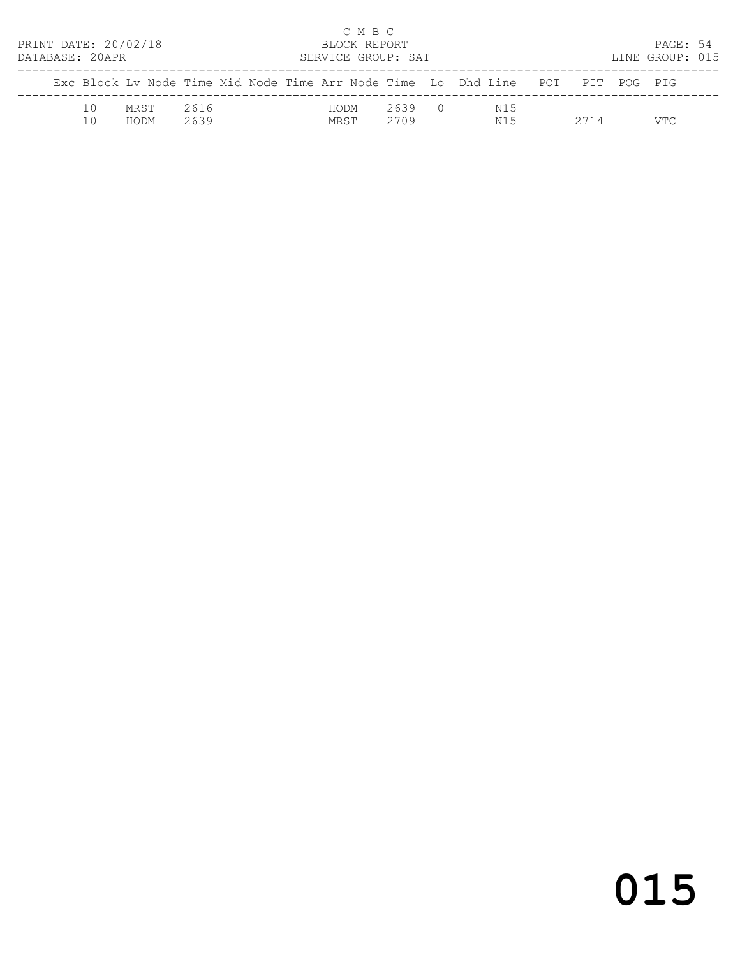| PRINT DATE: 20/02/18<br>DATABASE: 20APR |                 |                                                                                |              |  |              | C M B C | BLOCK REPORT<br>SERVICE GROUP: SAT |  |            |      | PAGE: 54<br>LINE GROUP: 015 |  |
|-----------------------------------------|-----------------|--------------------------------------------------------------------------------|--------------|--|--------------|---------|------------------------------------|--|------------|------|-----------------------------|--|
|                                         |                 | Exc Block Ly Node Time Mid Node Time Arr Node Time Lo Dhd Line POT PIT POG PIG |              |  |              |         |                                    |  |            |      |                             |  |
|                                         | $10^{-}$<br>1 N | MRST<br>HODM                                                                   | 2616<br>2639 |  | HODM<br>MRST |         | 2639 0<br>2709                     |  | N15<br>N15 | 2714 | VTC                         |  |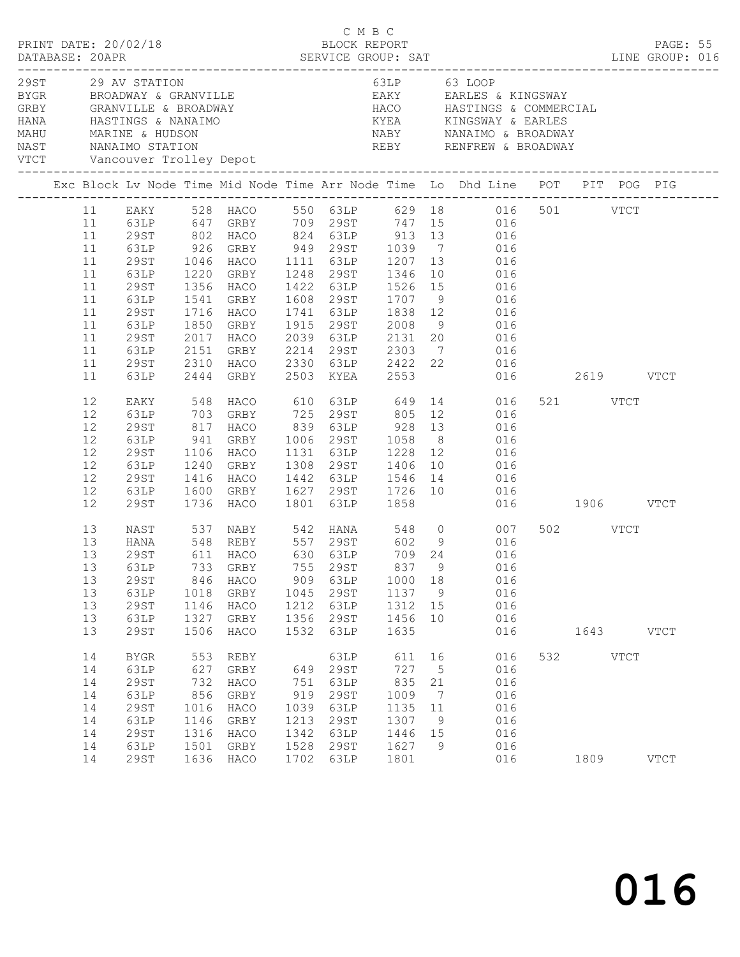|  |                                                                            | 29ST 29 AV STATION                                                                               |                                                          |                                                                           |                                                           |                                                                      |                                                                      |                                                                 | 63LP 63 LOOP                                                                                                                                                                                                                                                                                                                                                                                                            |                  |           |             |  |
|--|----------------------------------------------------------------------------|--------------------------------------------------------------------------------------------------|----------------------------------------------------------|---------------------------------------------------------------------------|-----------------------------------------------------------|----------------------------------------------------------------------|----------------------------------------------------------------------|-----------------------------------------------------------------|-------------------------------------------------------------------------------------------------------------------------------------------------------------------------------------------------------------------------------------------------------------------------------------------------------------------------------------------------------------------------------------------------------------------------|------------------|-----------|-------------|--|
|  |                                                                            |                                                                                                  |                                                          |                                                                           |                                                           |                                                                      |                                                                      |                                                                 | Exc Block Lv Node Time Mid Node Time Arr Node Time Lo Dhd Line POT PIT POG PIG                                                                                                                                                                                                                                                                                                                                          |                  |           |             |  |
|  | 11<br>11<br>11<br>11<br>11<br>11<br>11<br>11<br>11<br>11<br>11<br>11<br>11 | 29ST<br>63LP<br>29ST<br>63LP<br>29ST<br>63LP<br>29ST<br>63LP<br>29ST<br>63LP                     | 1716<br>1850<br>2017<br>2151<br>2310<br>2444             | 1541 GRBY<br>HACO<br>GRBY<br>2017 HACO<br>GRBY<br>HACO<br>GRBY            |                                                           | 2503 KYEA                                                            | 1741 63LP 1838 12<br>2553                                            |                                                                 | 11 EAKY 528 HACO 550 63LP 629 18 016 501 VTCT<br>63LP 647 GRBY 709 29ST 747 15 016<br>29ST 802 HACO 824 63LP 913 13 016<br>63LP 926 GRBY 949 29ST 1039 7 016<br>1046 HACO 1111 63LP 1207 13 016<br>1220 GRBY 1248 29ST 1346 10 016<br>1356 HACO 1422 63LP 1526 15 016<br>1608 29ST 1707 9 016<br>016<br>1915 29ST 2008 9 016<br>2039 63LP 2131 20 016<br>2214 29ST 2303 7 016<br>2330 63LP 2422 22 016<br>016 2619 VTCT |                  |           |             |  |
|  | 12<br>12<br>12<br>12<br>12<br>12<br>12<br>12<br>12                         | EAKY<br>63LP<br>29ST<br>63LP<br>29ST<br>63LP<br>29ST<br>63LP<br>29ST                             | 817<br>941<br>1106<br>1416                               | 1240 GRBY<br>HACO<br>1600 GRBY<br>1736 HACO                               |                                                           |                                                                      |                                                                      |                                                                 | 548 HACO 610 63LP 649 14 016<br>703 GRBY 725 29ST 805 12 016<br>HACO 839 63LP 928 13 016<br>GRBY 1006 29ST 1058 8 016<br>HACO 1131 63LP 1228 12 016<br>1308 29ST 1406 10 016<br>1442 63LP 1546 14 016<br>1627 29ST 1726 10 016<br>1801 63LP 1858 016<br>016<br>016 1906 VTCT                                                                                                                                            | 521 VTCT         |           |             |  |
|  | 13<br>13<br>13<br>13<br>13<br>13<br>13<br>13                               | NAST<br>HANA<br>29ST<br>29ST<br>63LP<br>29ST<br>63LP<br><b>29ST</b>                              | 846<br>1018<br>1146<br>1327<br>1506                      | HACO<br>GRBY<br>HACO<br>GRBY<br>HACO                                      | 909<br>1045<br>1212<br>1356<br>1532                       | 63LP<br>29ST<br>63LP<br>29ST<br>63LP                                 | 1000<br>1137 9<br>1312<br>1456<br>1635                               | 18<br>15<br>10                                                  | 537 NABY 542 HANA 548 0 007<br>13 63LP 733 GRBY 755 29ST 837 9 016<br>016<br>016<br>016<br>016<br>016                                                                                                                                                                                                                                                                                                                   | 502 VTCT         | 1643 VTCT |             |  |
|  | 14<br>14<br>14<br>14<br>14<br>14<br>14<br>14<br>14                         | <b>BYGR</b><br>63LP<br>29ST<br>63LP<br><b>29ST</b><br>63LP<br><b>29ST</b><br>63LP<br><b>29ST</b> | 553<br>627<br>732<br>856<br>1016<br>1146<br>1316<br>1501 | REBY<br>GRBY<br>HACO<br>GRBY<br>HACO<br>GRBY<br>HACO<br>GRBY<br>1636 HACO | 649<br>751<br>919<br>1039<br>1213<br>1342<br>1528<br>1702 | 63LP<br>29ST<br>63LP<br>29ST<br>63LP<br>29ST<br>63LP<br>29ST<br>63LP | 611 16<br>727<br>835<br>1009<br>1135<br>1307<br>1446<br>1627<br>1801 | $5\overline{)}$<br>21<br>$\overline{7}$<br>11<br>9<br>15<br>- 9 | 016<br>016<br>016<br>016<br>016<br>016<br>016<br>016<br>016                                                                                                                                                                                                                                                                                                                                                             | 532 VTCT<br>1809 |           | <b>VTCT</b> |  |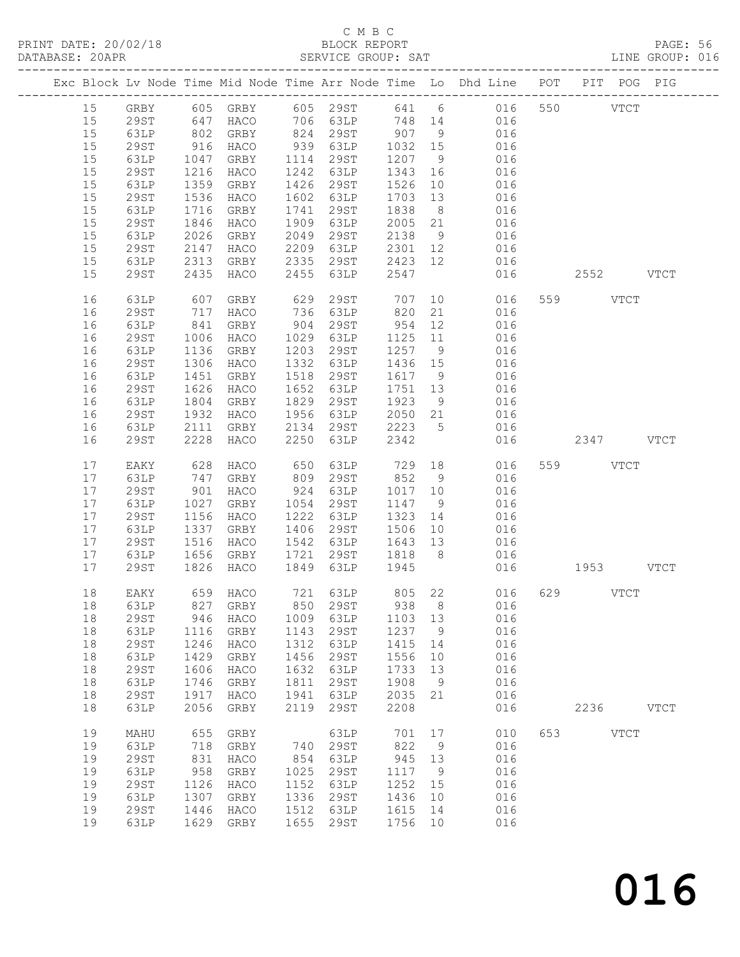### C M B C<br>BLOCK REPORT

| DATABASE: 20APR |    |             |            |           |      | SERVICE GROUP: SAT        |         |                |                                                                                                      |               | LINE GROUP: 016 |
|-----------------|----|-------------|------------|-----------|------|---------------------------|---------|----------------|------------------------------------------------------------------------------------------------------|---------------|-----------------|
|                 |    |             |            |           |      |                           |         |                | Exc Block Lv Node Time Mid Node Time Arr Node Time Lo Dhd Line POT PIT POG PIG                       |               |                 |
|                 |    |             |            |           |      |                           |         |                | 15 GRBY 605 GRBY 605 29ST 641 6 016 550 VTCT                                                         |               |                 |
|                 | 15 | 29ST        | 647        |           |      |                           |         |                | HACO 706 63LP 748 14 016                                                                             |               |                 |
|                 | 15 | 63LP        |            |           |      |                           |         |                |                                                                                                      |               |                 |
|                 | 15 | 29ST        | 802<br>916 |           |      |                           |         |                | GRBY 824 29ST 907 9 016<br>HACO 939 63LP 1032 15 016<br>GRBY 1114 29ST 1207 9 016                    |               |                 |
|                 |    |             |            |           |      |                           |         |                |                                                                                                      |               |                 |
|                 | 15 | 63LP        | 1047       |           |      |                           |         |                |                                                                                                      |               |                 |
|                 | 15 | 29ST        | 1216       | HACO      |      | 1242 63LP                 | 1343 16 |                | 016                                                                                                  |               |                 |
|                 | 15 | 63LP        | 1359       | GRBY      |      | 1426 29ST                 | 1526    | 10             | 016                                                                                                  |               |                 |
|                 | 15 | 29ST        | 1536       | HACO      |      | 1602 63LP                 | 1703 13 |                | 016                                                                                                  |               |                 |
|                 | 15 | 63LP        | 1716       | GRBY      |      | 1741 29ST                 | 1838    | 8 <sup>8</sup> | 016                                                                                                  |               |                 |
|                 | 15 | 29ST        | 1846       | HACO      | 1909 | 63LP                      | 2005 21 |                | 016                                                                                                  |               |                 |
|                 | 15 | 63LP        | 2026       | GRBY      | 2049 | 29ST                      | 2138    | 9              | 016                                                                                                  |               |                 |
|                 | 15 | 29ST        | 2147       | HACO      |      | 2209 63LP                 |         |                |                                                                                                      |               |                 |
|                 | 15 | 63LP        | 2313       | GRBY      |      | $2335$ $29ST$ $2423$ $12$ |         |                | 2301 12 016<br>2423 12 016<br>016                                                                    |               |                 |
|                 | 15 | 29ST        | 2435       | HACO      |      | 2455 63LP                 | 2547    |                | 016                                                                                                  | 2552 VTCT     |                 |
|                 |    |             |            |           |      |                           |         |                |                                                                                                      |               |                 |
|                 | 16 | 63LP        | 607<br>717 | GRBY      |      |                           |         |                | 629    29ST           707    10              016<br>736    63LP          820    21               016 | 559 VTCT      |                 |
|                 | 16 | 29ST        |            | HACO      |      |                           |         |                |                                                                                                      |               |                 |
|                 | 16 | 63LP        | 841        | GRBY      |      | 904 29ST                  | 954 12  |                | 016                                                                                                  |               |                 |
|                 | 16 | 29ST        | 1006       | HACO      |      | 1029 63LP                 |         |                | 1125 11 016                                                                                          |               |                 |
|                 | 16 | 63LP        | 1136       | GRBY      |      | 1203 29ST                 | 1257 9  |                | 016                                                                                                  |               |                 |
|                 | 16 | 29ST        | 1306       | HACO      |      | 1332 63LP                 | 1436 15 |                | 016                                                                                                  |               |                 |
|                 | 16 | 63LP        | 1451       | GRBY      |      | 1518 29ST                 | 1617 9  |                | 016                                                                                                  |               |                 |
|                 | 16 | 29ST        | 1626       | HACO      |      | 1652 63LP                 | 1751 13 |                | 016                                                                                                  |               |                 |
|                 | 16 | 63LP        | 1804       | GRBY      |      | 1829 29ST                 | 1923 9  |                |                                                                                                      |               |                 |
|                 | 16 | 29ST        | 1932       | HACO      |      | 1956 63LP                 | 2050 21 |                | 016<br>016                                                                                           |               |                 |
|                 |    |             | 2111       |           |      |                           |         |                | 2134 29ST 2223 5 016                                                                                 |               |                 |
|                 | 16 | 63LP        |            | GRBY      |      |                           |         |                |                                                                                                      |               |                 |
|                 | 16 | 29ST        | 2228       | HACO      | 2250 | 63LP                      | 2342    |                |                                                                                                      | 016 2347 VTCT |                 |
|                 | 17 | EAKY        | 628        | HACO      |      |                           |         |                |                                                                                                      | 559 VTCT      |                 |
|                 | 17 | 63LP        | 747        | GRBY      |      | 809 29ST                  |         |                |                                                                                                      |               |                 |
|                 | 17 | 29ST        | 901        | HACO      |      | 924 63LP                  | 1017 10 |                | 016                                                                                                  |               |                 |
|                 | 17 | 63LP        | 1027       | GRBY      |      | 1054 29ST                 | 1147 9  |                | 016                                                                                                  |               |                 |
|                 | 17 | 29ST        | 1156       | HACO      |      | 1222 63LP                 | 1323 14 |                | 016                                                                                                  |               |                 |
|                 | 17 | 63LP        | 1337       | GRBY      |      | 1406 29ST                 |         |                | $1506$ 10 016                                                                                        |               |                 |
|                 | 17 | 29ST        | 1516       | HACO      |      | 1542 63LP 1643 13         |         |                | 016                                                                                                  |               |                 |
|                 | 17 | 63LP        | 1656       | GRBY      |      | 1721 29ST 1818 8          |         |                | 016                                                                                                  |               |                 |
|                 | 17 | 29ST        | 1826       | HACO      |      | 1849 63LP 1945            |         |                | 016                                                                                                  | 1953 VTCT     |                 |
|                 |    |             |            |           |      |                           |         |                |                                                                                                      |               |                 |
|                 | 18 |             |            |           |      |                           |         |                | EAKY 659 HACO 721 63LP 805 22 016 629 VTCT                                                           |               |                 |
|                 | 18 | 63LP        | 827        | GRBY      | 850  | 29ST                      | 938     | 8 <sup>8</sup> | 016                                                                                                  |               |                 |
|                 | 18 | 29ST        | 946        | HACO      | 1009 | 63LP                      | 1103 13 |                | 016                                                                                                  |               |                 |
|                 | 18 | 63LP        | 1116       | GRBY      | 1143 | 29ST                      | 1237    | $\overline{9}$ | 016                                                                                                  |               |                 |
|                 | 18 | <b>29ST</b> | 1246       | HACO      | 1312 | 63LP                      | 1415    | 14             | 016                                                                                                  |               |                 |
|                 | 18 | 63LP        | 1429       | GRBY      | 1456 | 29ST                      | 1556    | 10             | 016                                                                                                  |               |                 |
|                 | 18 | 29ST        | 1606       | HACO      | 1632 | 63LP                      | 1733    | 13             | 016                                                                                                  |               |                 |
|                 | 18 | 63LP        | 1746       | GRBY      | 1811 | 29ST                      | 1908    | 9              | 016                                                                                                  |               |                 |
|                 | 18 | <b>29ST</b> | 1917       | HACO      | 1941 | 63LP                      | 2035    | 21             | 016                                                                                                  |               |                 |
|                 | 18 | 63LP        | 2056       | GRBY      | 2119 | 29ST                      | 2208    |                | 016                                                                                                  | 2236 VTCT     |                 |
|                 |    |             |            |           |      |                           |         |                |                                                                                                      |               |                 |
|                 | 19 | MAHU        | 655        | GRBY      |      | 63LP                      | 701     | 17             | 010                                                                                                  | 653 VTCT      |                 |
|                 | 19 | 63LP        | 718        | GRBY      | 740  | 29ST                      | 822     | 9              | 016                                                                                                  |               |                 |
|                 | 19 | 29ST        | 831        | HACO      | 854  | 63LP                      | 945     | 13             | 016                                                                                                  |               |                 |
|                 | 19 | 63LP        | 958        | GRBY      | 1025 | 29ST                      | 1117    | 9              | 016                                                                                                  |               |                 |
|                 | 19 | <b>29ST</b> | 1126       | HACO      | 1152 | 63LP                      | 1252    | 15             | 016                                                                                                  |               |                 |
|                 | 19 | 63LP        | 1307       | GRBY      | 1336 | 29ST                      | 1436    | 10             | 016                                                                                                  |               |                 |
|                 | 19 | 29ST        | 1446       | HACO      | 1512 | 63LP                      | 1615    | 14             | 016                                                                                                  |               |                 |
|                 | 19 |             |            |           |      |                           |         |                |                                                                                                      |               |                 |
|                 |    | 63LP        |            | 1629 GRBY | 1655 | 29ST                      | 1756 10 |                | 016                                                                                                  |               |                 |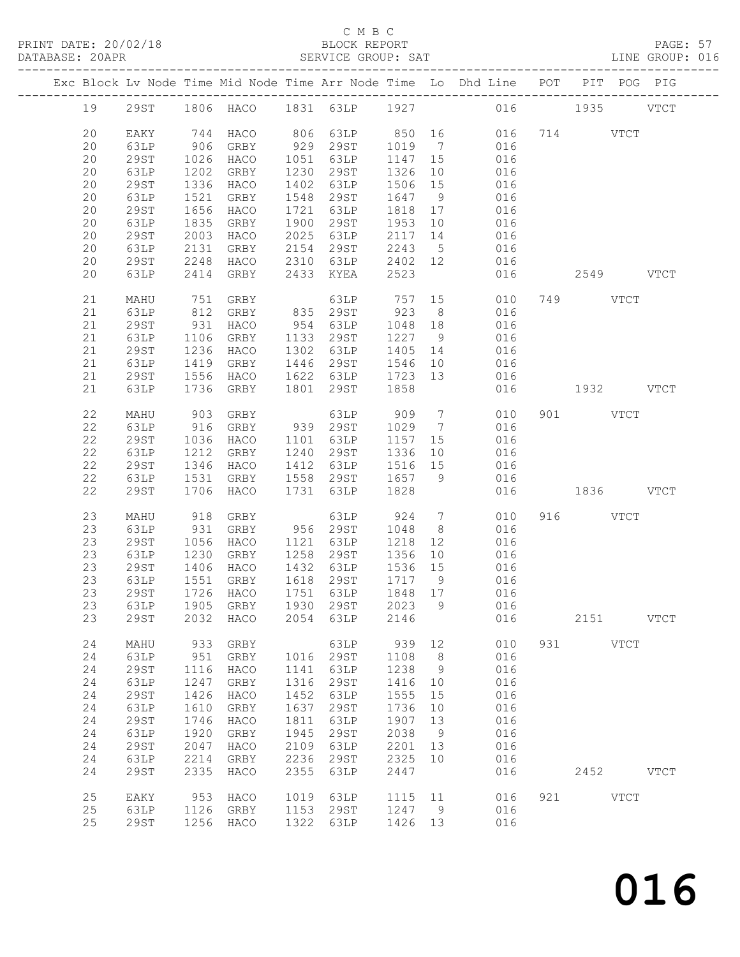PRINT DATE: 20/02/18 BLOCK REPORT BATABASE: 20APR BERVICE GROUP: SAT

#### C M B C<br>BLOCK REPORT

PAGE: 57<br>LINE GROUP: 016

|  |    |             |      |                                    |      |           |         |                              | Exc Block Lv Node Time Mid Node Time Arr Node Time Lo Dhd Line POT PIT POG PIG |     |           |             |             |
|--|----|-------------|------|------------------------------------|------|-----------|---------|------------------------------|--------------------------------------------------------------------------------|-----|-----------|-------------|-------------|
|  | 19 | 29ST        |      |                                    |      |           |         |                              | 1806 HACO 1831 63LP 1927 016 1935                                              |     |           |             | <b>VTCT</b> |
|  | 20 | EAKY        |      | 744 HACO                           |      | 806 63LP  | 850 16  |                              | 016                                                                            |     | 714 VTCT  |             |             |
|  | 20 |             | 906  | GRBY                               | 929  | 29ST      | 1019    | $7\overline{ }$              | 016                                                                            |     |           |             |             |
|  |    | 63LP        |      |                                    |      |           |         |                              |                                                                                |     |           |             |             |
|  | 20 | <b>29ST</b> | 1026 | HACO                               | 1051 | 63LP      | 1147 15 |                              | 016                                                                            |     |           |             |             |
|  | 20 | 63LP        | 1202 | GRBY                               | 1230 | 29ST      | 1326    | 10                           | 016                                                                            |     |           |             |             |
|  | 20 | <b>29ST</b> | 1336 | HACO                               | 1402 | 63LP      | 1506    | 15                           | 016                                                                            |     |           |             |             |
|  | 20 | 63LP        | 1521 | GRBY                               | 1548 | 29ST      | 1647    | 9                            | 016                                                                            |     |           |             |             |
|  | 20 | <b>29ST</b> | 1656 | HACO                               | 1721 | 63LP      | 1818    | 17                           | 016                                                                            |     |           |             |             |
|  | 20 | 63LP        | 1835 | GRBY                               | 1900 | 29ST      | 1953    | 10                           | 016                                                                            |     |           |             |             |
|  | 20 | <b>29ST</b> | 2003 | HACO                               | 2025 | 63LP      | 2117    | 14                           | 016                                                                            |     |           |             |             |
|  | 20 | 63LP        | 2131 | GRBY                               | 2154 | 29ST      | 2243    | $5\overline{)}$              | 016                                                                            |     |           |             |             |
|  | 20 | 29ST        | 2248 | HACO                               | 2310 | 63LP      | 2402 12 |                              | 016                                                                            |     |           |             |             |
|  | 20 | 63LP        | 2414 | GRBY                               | 2433 | KYEA      | 2523    |                              | 016                                                                            |     | 2549 VTCT |             |             |
|  |    |             |      |                                    |      |           |         |                              |                                                                                |     |           |             |             |
|  |    |             |      |                                    |      |           |         |                              |                                                                                |     |           |             |             |
|  | 21 | MAHU        | 751  | GRBY                               |      | 63LP      | 757     | 15                           | 010                                                                            |     | 749 VTCT  |             |             |
|  | 21 | 63LP        | 812  | GRBY                               |      | 835 29ST  | 923     | 8 <sup>8</sup>               | 016                                                                            |     |           |             |             |
|  | 21 | <b>29ST</b> | 931  | HACO                               | 954  | 63LP      | 1048    | 18                           | 016                                                                            |     |           |             |             |
|  | 21 | 63LP        | 1106 | GRBY                               | 1133 | 29ST      | 1227    | 9                            | 016                                                                            |     |           |             |             |
|  | 21 | 29ST        | 1236 | HACO                               | 1302 | 63LP      | 1405    | 14                           | 016                                                                            |     |           |             |             |
|  | 21 | 63LP        | 1419 | GRBY                               | 1446 | 29ST      | 1546    | 10                           | 016                                                                            |     |           |             |             |
|  | 21 | <b>29ST</b> | 1556 | HACO                               | 1622 | 63LP      | 1723    | 13                           | 016                                                                            |     |           |             |             |
|  | 21 | 63LP        | 1736 | GRBY                               | 1801 | 29ST      | 1858    |                              | 016                                                                            |     | 1932 VTCT |             |             |
|  |    |             |      |                                    |      |           |         |                              |                                                                                |     |           |             |             |
|  | 22 | MAHU        | 903  | GRBY                               |      | 63LP      | 909     | $\overline{7}$               | 010                                                                            |     | 901 VTCT  |             |             |
|  | 22 | 63LP        | 916  | GRBY                               |      | 939 29ST  | 1029    | $\overline{7}$               | 016                                                                            |     |           |             |             |
|  | 22 | <b>29ST</b> | 1036 | HACO                               | 1101 | 63LP      | 1157    | 15                           | 016                                                                            |     |           |             |             |
|  | 22 | 63LP        | 1212 | GRBY                               | 1240 | 29ST      | 1336    | 10                           | 016                                                                            |     |           |             |             |
|  | 22 | <b>29ST</b> | 1346 | HACO                               | 1412 | 63LP      | 1516 15 |                              | 016                                                                            |     |           |             |             |
|  | 22 |             |      |                                    |      |           |         |                              |                                                                                |     |           |             |             |
|  |    | 63LP        | 1531 | GRBY                               | 1558 | 29ST      | 1657    | 9                            | 016                                                                            |     |           |             |             |
|  | 22 | 29ST        | 1706 | HACO                               | 1731 | 63LP      | 1828    |                              | 016                                                                            |     | 1836 VTCT |             |             |
|  | 23 |             |      |                                    |      |           |         | $7\phantom{.0}\phantom{.0}7$ | 010                                                                            |     | 916 VTCT  |             |             |
|  |    | MAHU        | 918  | GRBY                               |      | 63LP      | 924     |                              |                                                                                |     |           |             |             |
|  | 23 | 63LP        | 931  | GRBY                               |      | 956 29ST  | 1048    | 8 <sup>8</sup>               | 016                                                                            |     |           |             |             |
|  | 23 | <b>29ST</b> | 1056 | HACO                               | 1121 | 63LP      | 1218    | 12                           | 016                                                                            |     |           |             |             |
|  | 23 | 63LP        | 1230 | GRBY                               | 1258 | 29ST      | 1356    | 10                           | 016                                                                            |     |           |             |             |
|  | 23 | <b>29ST</b> | 1406 | HACO                               |      | 1432 63LP | 1536 15 |                              | 016                                                                            |     |           |             |             |
|  | 23 | 63LP        | 1551 | GRBY                               |      | 1618 29ST | 1717 9  |                              | 016                                                                            |     |           |             |             |
|  | 23 | 29ST        |      | 1726 HACO                          |      | 1751 63LP | 1848 17 |                              | 016                                                                            |     |           |             |             |
|  |    |             |      | 23 63LP 1905 GRBY 1930 29ST 2023 9 |      |           |         |                              | 016                                                                            |     |           |             |             |
|  | 23 | 29ST        | 2032 | HACO                               | 2054 | 63LP      | 2146    |                              | 016                                                                            |     | 2151      |             | <b>VTCT</b> |
|  |    |             |      |                                    |      |           |         |                              |                                                                                |     |           |             |             |
|  | 24 | MAHU        | 933  | GRBY                               |      | 63LP      | 939     | 12                           | 010                                                                            | 931 |           | <b>VTCT</b> |             |
|  | 24 | 63LP        | 951  | GRBY                               | 1016 | 29ST      | 1108    | 8                            | 016                                                                            |     |           |             |             |
|  | 24 | <b>29ST</b> | 1116 | HACO                               | 1141 | 63LP      | 1238    | 9                            | 016                                                                            |     |           |             |             |
|  | 24 | 63LP        | 1247 | GRBY                               | 1316 | 29ST      | 1416    | 10                           | 016                                                                            |     |           |             |             |
|  | 24 | <b>29ST</b> | 1426 | HACO                               | 1452 | 63LP      | 1555    | 15                           | 016                                                                            |     |           |             |             |
|  | 24 | 63LP        | 1610 | GRBY                               | 1637 | 29ST      | 1736    | 10                           | 016                                                                            |     |           |             |             |
|  | 24 | <b>29ST</b> | 1746 | HACO                               | 1811 | 63LP      | 1907    | 13                           | 016                                                                            |     |           |             |             |
|  | 24 | 63LP        | 1920 | GRBY                               | 1945 | 29ST      | 2038    | 9                            | 016                                                                            |     |           |             |             |
|  |    |             |      |                                    |      |           |         |                              |                                                                                |     |           |             |             |
|  | 24 | <b>29ST</b> | 2047 | HACO                               | 2109 | 63LP      | 2201    | 13                           | 016                                                                            |     |           |             |             |
|  | 24 | 63LP        | 2214 | GRBY                               | 2236 | 29ST      | 2325    | 10                           | 016                                                                            |     |           |             |             |
|  | 24 | <b>29ST</b> | 2335 | HACO                               | 2355 | 63LP      | 2447    |                              | 016                                                                            |     | 2452      |             | <b>VTCT</b> |
|  |    |             |      |                                    |      |           |         |                              |                                                                                |     |           |             |             |
|  | 25 | EAKY        | 953  | HACO                               | 1019 | 63LP      | 1115    | 11                           | 016                                                                            | 921 |           | <b>VTCT</b> |             |
|  | 25 | 63LP        | 1126 | GRBY                               | 1153 | 29ST      | 1247    | 9                            | 016                                                                            |     |           |             |             |
|  | 25 | <b>29ST</b> | 1256 | HACO                               | 1322 | 63LP      | 1426    | 13                           | 016                                                                            |     |           |             |             |
|  |    |             |      |                                    |      |           |         |                              |                                                                                |     |           |             |             |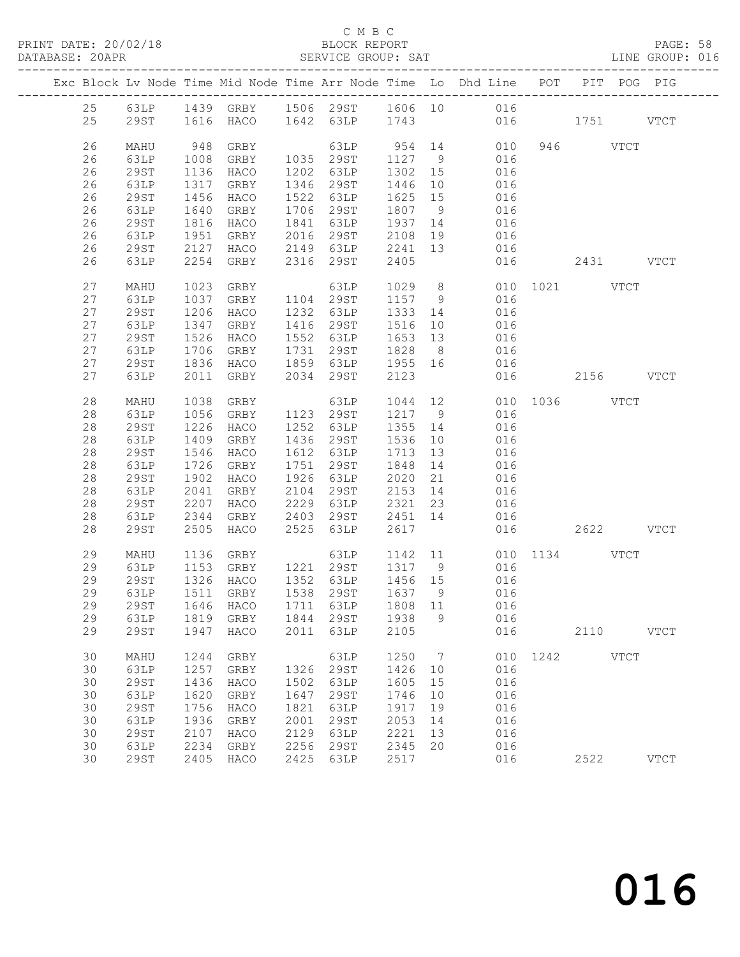#### C M B C<br>BLOCK REPORT

| DATABASE: 20APR |              |              |              |      | SERVICE GROUP: SAT                                          |                 |                | LINE GROUP: 016                                                                |               |          |           |             |  |
|-----------------|--------------|--------------|--------------|------|-------------------------------------------------------------|-----------------|----------------|--------------------------------------------------------------------------------|---------------|----------|-----------|-------------|--|
|                 |              |              |              |      |                                                             |                 |                | Exc Block Lv Node Time Mid Node Time Arr Node Time Lo Dhd Line POT PIT POG PIG |               |          |           |             |  |
|                 |              |              |              |      |                                                             |                 |                | 25 63LP 1439 GRBY 1506 29ST 1606 10 016                                        |               |          |           |             |  |
| 25              |              |              |              |      |                                                             |                 |                | 29ST 1616 HACO 1642 63LP 1743 016 1751 VTCT                                    |               |          |           |             |  |
| 26              | MAHU         | 948          | GRBY         |      |                                                             |                 |                | 63LP 954 14 010                                                                |               | 946 VTCT |           |             |  |
| 26              | 63LP         | 1008         | GRBY         |      |                                                             |                 |                | $1035$ $295T$ $1127$ $9$ 016                                                   |               |          |           |             |  |
| 26              | 29ST         | 1136         | HACO         |      | 1202 63LP                                                   |                 |                | 1302 15 016                                                                    |               |          |           |             |  |
| 26              | 63LP         | 1317         | GRBY         |      | 1346 29ST                                                   | 1446            | 10             | 016                                                                            |               |          |           |             |  |
| 26              | 29ST         | 1456         | HACO         |      | 1522 63LP                                                   | 1625 15         |                | 016                                                                            |               |          |           |             |  |
| 26              | 63LP         | 1640         | GRBY         |      | 1706 29ST                                                   | 1807 9          |                | $016$                                                                          |               |          |           |             |  |
| 26              | 29ST         | 1816         | HACO         |      | 1841 63LP 1937 14                                           |                 |                | 016                                                                            |               |          |           |             |  |
| 26              | 63LP         | 1951         |              |      | 2016 29ST                                                   |                 |                |                                                                                |               |          |           |             |  |
|                 |              |              | GRBY         |      |                                                             | 2108 19         |                | 016                                                                            |               |          |           |             |  |
| 26              | 29ST         | 2127         |              |      | HACO 2149 63LP<br>GRBY 2316 29ST                            | 2241 13         |                | 016                                                                            |               |          |           |             |  |
| 26              | 63LP         |              | 2254 GRBY    |      |                                                             | 2405            |                |                                                                                | 016           |          | 2431 VTCT |             |  |
| 27              | MAHU         | 1023         | GRBY         |      | 63LP                                                        |                 |                | 1029 8 010 1021 VTCT                                                           |               |          |           |             |  |
| 27              | 63LP         | 1037         | GRBY         |      | 1104 29ST                                                   | 1157 9          |                | 016                                                                            |               |          |           |             |  |
| 27              | 29ST         | 1206         | HACO         |      | $1232$ $63LP$                                               | 1333 14         |                | 016                                                                            |               |          |           |             |  |
| 27              | 63LP         | 1347         | GRBY         |      | 1416 29ST 1516 10                                           |                 |                | 016                                                                            |               |          |           |             |  |
| 27              | 29ST         | 1526         | HACO         |      | 1552 63LP                                                   | 1653 13         |                | 016                                                                            |               |          |           |             |  |
| 27              | 63LP         | 1706         | GRBY         |      | 1731 29ST                                                   | 1828 8          |                | 016                                                                            |               |          |           |             |  |
| 27              | 29ST         | 1836         | HACO         |      | 1859 63LP                                                   | 1955 16         |                | 016                                                                            |               |          |           |             |  |
| 27              | 63LP         |              | 2011 GRBY    |      | 2034 29ST                                                   | 2123            |                |                                                                                | 016           |          | 2156 VTCT |             |  |
| 28              | MAHU         | 1038         | GRBY         |      | 63LP                                                        |                 |                |                                                                                |               |          |           |             |  |
| 28              | 63LP         | 1056         | GRBY         |      | 1123 29ST                                                   | 1217 9          |                | 1044 12 010 1036 VTCT<br>016                                                   |               |          |           |             |  |
| 28              | 29ST         | 1226         | HACO         |      | 1252 63LP                                                   | 1355 14         |                | 016                                                                            |               |          |           |             |  |
| 28              | 63LP         | 1409         | GRBY         |      | 1436 29ST                                                   | 1536 10         |                | 016                                                                            |               |          |           |             |  |
| 28              | 29ST         | 1546         | HACO         |      | 1612 63LP                                                   | 1713            | 13             |                                                                                |               |          |           |             |  |
| 28              |              |              |              |      |                                                             |                 |                | 016                                                                            |               |          |           |             |  |
| 28              | 63LP<br>29ST | 1726<br>1902 | GRBY<br>HACO |      | 1751 29ST<br>1926 63LP                                      | 1848 14<br>2020 |                | $\begin{array}{cc} 14 & \qquad & 016 \\ 21 & \qquad & 016 \end{array}$         |               |          |           |             |  |
|                 |              |              |              |      |                                                             |                 |                | 2153 14 016                                                                    |               |          |           |             |  |
| 28              | 63LP         | 2041         | GRBY         |      | 2104 29ST                                                   |                 |                |                                                                                |               |          |           |             |  |
| 28              | 29ST         | 2207         | HACO         |      | 2229 63LP                                                   | 2321 23         |                | 016                                                                            |               |          |           |             |  |
| 28              | 63LP         | 2344         | GRBY         |      | 2403    29ST         2451    14<br>2525    63LP        2617 |                 |                | 016                                                                            |               |          |           |             |  |
| 28              | 29ST         | 2505         | HACO         |      |                                                             |                 |                |                                                                                | 016           |          | 2622 VTCT |             |  |
| 29              | MAHU         | 1136         | GRBY         |      |                                                             |                 |                | 63LP 1142 11 010 1134 VTCT                                                     |               |          |           |             |  |
| 29              | 63LP         |              |              |      | 1153 GRBY 1221 29ST 1317 9<br>1326 HACO 1352 63LP 1456 15   |                 |                | 016<br>016                                                                     |               |          |           |             |  |
| 29              | 29ST         |              |              |      |                                                             |                 |                |                                                                                |               |          |           |             |  |
|                 |              |              |              |      |                                                             |                 |                | 29 63LP 1511 GRBY 1538 29ST 1637 9 016                                         |               |          |           |             |  |
| 29              | 29ST         | 1646         | HACO         |      | 1711 63LP                                                   | 1808 11         |                | 016                                                                            |               |          |           |             |  |
| 29              | 63LP         | 1819         | GRBY         |      | 1844 29ST                                                   | 1938            | 9              | 016                                                                            |               |          |           |             |  |
| 29              | <b>29ST</b>  | 1947         | HACO         |      | 2011 63LP                                                   | 2105            |                | 016                                                                            |               |          | 2110 VTCT |             |  |
| 30              | MAHU         | 1244         | GRBY         |      | 63LP                                                        | 1250            | $\overline{7}$ |                                                                                | 010 1242 VTCT |          |           |             |  |
|                 |              | 1257         |              | 1326 | 29ST                                                        | 1426            |                | 016                                                                            |               |          |           |             |  |
| 30              | 63LP         |              | GRBY         |      |                                                             |                 | 10             |                                                                                |               |          |           |             |  |
| 30              | <b>29ST</b>  | 1436         | HACO         | 1502 | 63LP                                                        | 1605            | 15             | 016                                                                            |               |          |           |             |  |
| 30              | 63LP         | 1620         | GRBY         | 1647 | 29ST                                                        | 1746            | 10             | 016                                                                            |               |          |           |             |  |
| 30              | <b>29ST</b>  | 1756         | HACO         | 1821 | 63LP                                                        | 1917            | 19             | 016                                                                            |               |          |           |             |  |
| 30              | 63LP         | 1936         | GRBY         | 2001 | 29ST                                                        | 2053            | 14             | 016                                                                            |               |          |           |             |  |
| 30              | <b>29ST</b>  | 2107         | HACO         | 2129 | 63LP                                                        | 2221            | 13             | 016                                                                            |               |          |           |             |  |
| 30              | 63LP         | 2234         | GRBY         | 2256 | 29ST                                                        | 2345            | 20             | 016                                                                            |               |          |           |             |  |
| 30              | 29ST         | 2405         | HACO         | 2425 | 63LP                                                        | 2517            |                | 016                                                                            |               |          | 2522      | <b>VTCT</b> |  |
|                 |              |              |              |      |                                                             |                 |                |                                                                                |               |          |           |             |  |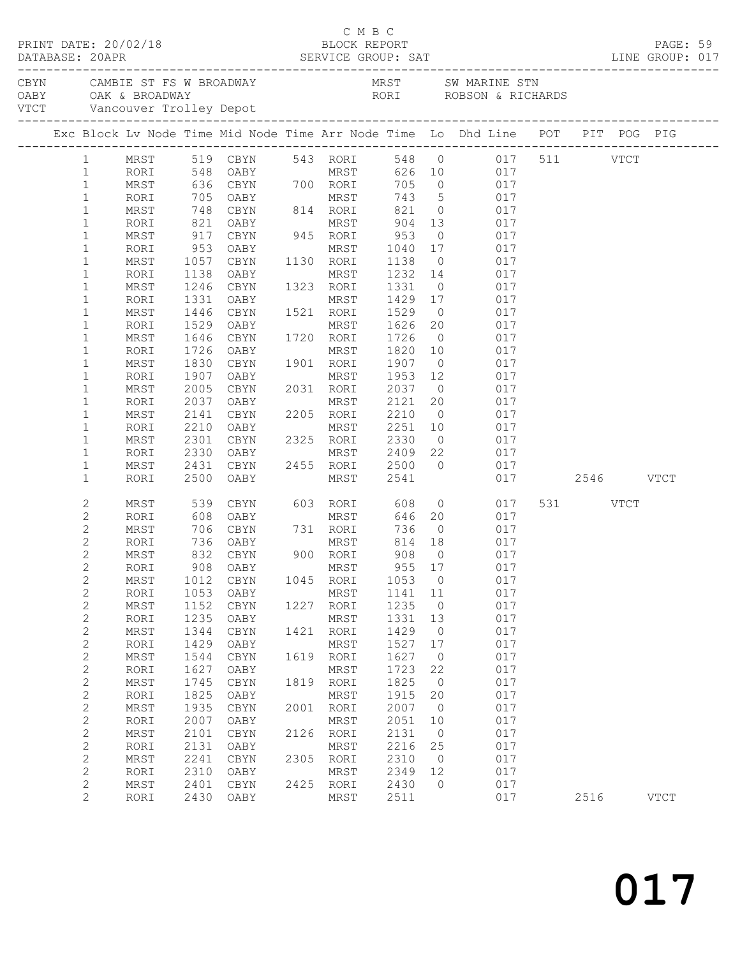|                              |                    |              |                                                                          |      | C M B C           |              |                      |                                                                                                                                  |           |             |  |
|------------------------------|--------------------|--------------|--------------------------------------------------------------------------|------|-------------------|--------------|----------------------|----------------------------------------------------------------------------------------------------------------------------------|-----------|-------------|--|
|                              |                    |              |                                                                          |      |                   |              |                      | CAMBIE ST FS W BROADWAY MRST SW MARINE STN OABY OAK & BROADWAY MRST SW MARINE STN ROBSON & RICHARDS VTCT Vancouver Trolley Depot |           |             |  |
|                              |                    |              |                                                                          |      |                   |              |                      | Exc Block Lv Node Time Mid Node Time Arr Node Time Lo Dhd Line POT PIT POG PIG                                                   |           |             |  |
| $1 \quad$                    |                    |              |                                                                          |      |                   |              |                      | MRST 519 CBYN 543 RORI 548 0 017 511 VTCT                                                                                        |           |             |  |
| $\mathbf{1}$                 | RORI               |              | 548 OABY MRST                                                            |      |                   |              |                      | 626 10 017                                                                                                                       |           |             |  |
| $\mathbf{1}$                 | MRST               |              | 636 CBYN 700 RORI                                                        |      |                   |              |                      | 705 0 017                                                                                                                        |           |             |  |
| $\mathbf{1}$                 | RORI               |              |                                                                          |      |                   |              |                      | 705 OABY MRST 743 5 017<br>748 CBYN 814 RORI 821 0 017<br>821 OABY MRST 904 13 017                                               |           |             |  |
| $\mathbf{1}$                 | MRST               |              |                                                                          |      |                   |              |                      |                                                                                                                                  |           |             |  |
| $\mathbf{1}$                 | RORI               |              |                                                                          |      |                   |              |                      |                                                                                                                                  |           |             |  |
| $\mathbf{1}$                 | MRST               | 917          | CBYN                                                                     |      | 945 RORI          | 953          | $\overline{0}$       | 017                                                                                                                              |           |             |  |
| $\mathbf 1$                  | RORI               | 953          | OABY                                                                     |      | MRST              | 1040<br>1138 | 17                   | 017<br>017                                                                                                                       |           |             |  |
| $\mathbf{1}$                 | MRST               | 1057         | CBYN                                                                     |      | 1130 RORI         |              | $\overline{0}$       |                                                                                                                                  |           |             |  |
| 1                            | RORI               | 1138         | OABY                                                                     |      | MRST              | 1232 14      |                      | 017                                                                                                                              |           |             |  |
| $\mathbf{1}$                 | MRST               | 1246         | CBYN                                                                     |      | 1323 RORI         | 1331         | $\overline{0}$       | 017                                                                                                                              |           |             |  |
| $\mathbf 1$                  | RORI               | 1331         | OABY                                                                     | 1521 | MRST              | 1429         | 17                   | 017                                                                                                                              |           |             |  |
| $\mathbf{1}$                 | MRST               | 1446         | CBYN                                                                     |      | 1521 RORI         | 1529         | $\overline{0}$       | 017                                                                                                                              |           |             |  |
| $\mathbf 1$                  | RORI               | 1529         | OABY                                                                     |      | MRST 1626         |              | 20                   | 017                                                                                                                              |           |             |  |
| $\mathbf 1$                  | MRST               | 1646         | CBYN                                                                     |      | 1720 RORI         | 1726         | $\overline{0}$       | 017                                                                                                                              |           |             |  |
| $\mathbf 1$                  | RORI               | 1726         | OABY                                                                     |      | MRST              | 1820         | 10                   | 017                                                                                                                              |           |             |  |
| $\mathbf 1$<br>$\mathbf{1}$  | MRST               | 1830         | CBYN                                                                     |      | 1901 RORI<br>MRST | 1907<br>1953 | $\overline{0}$<br>12 | 017<br>017                                                                                                                       |           |             |  |
| $\mathbf 1$                  | RORI<br>MRST       | 1907<br>2005 | OABY<br>CBYN                                                             |      | 2031 RORI         | 2037         | $\overline{0}$       | 017                                                                                                                              |           |             |  |
| $\mathbf 1$                  | RORI               | 2037         | OABY                                                                     |      | MRST              | 2121         | 20                   | 017                                                                                                                              |           |             |  |
| $\mathbf{1}$                 | MRST               | 2141         | CBYN                                                                     |      | 2205 RORI         | 2210         | $\overline{0}$       | 017                                                                                                                              |           |             |  |
| $\mathbf{1}$                 | RORI               | 2210         | OABY                                                                     | 2205 | MRST 2251         |              | 10                   | 017                                                                                                                              |           |             |  |
| 1                            | MRST               | 2301         | CBYN                                                                     |      | 2325 RORI 2330    |              | $\overline{0}$       | 017                                                                                                                              |           |             |  |
| $\mathbf 1$                  | RORI               | 2330         | OABY                                                                     |      | MRST 2409         |              | 22                   | 017                                                                                                                              |           |             |  |
| 1                            | MRST               | 2431         | CBYN                                                                     |      | 2455 RORI         | 2500         | $\bigcirc$           | 017                                                                                                                              |           |             |  |
| $\mathbf 1$                  | RORI               | 2500         | OABY                                                                     |      | MRST              | 2541         |                      | 017                                                                                                                              | 2546 VTCT |             |  |
|                              |                    |              |                                                                          |      |                   |              |                      |                                                                                                                                  |           |             |  |
| 2                            | MRST               | 539          | CBYN                                                                     |      | 603 RORI          | 608          |                      | $\overline{O}$<br>017                                                                                                            | 531 VTCT  |             |  |
| $\mathbf{2}$                 | RORI               |              |                                                                          |      |                   | 646          | 20                   | 017                                                                                                                              |           |             |  |
| $\mathbf{2}$                 | MRST               |              | 608 OABY MRST<br>706 CBYN 731 RORI<br>736 OABY MRST<br>832 CBYN 900 RORI |      |                   | 736          | $\overline{0}$       | 017                                                                                                                              |           |             |  |
| 2                            | RORI               |              |                                                                          |      |                   | 814 18       |                      | 017                                                                                                                              |           |             |  |
| 2                            | MRST               |              |                                                                          |      |                   | 908          | $\bigcirc$           | 017                                                                                                                              |           |             |  |
| $\overline{c}$               | RORI               |              | 908 OABY                                                                 |      | MRST 955 17       |              |                      | 017                                                                                                                              |           |             |  |
| $\mathbf{2}$<br>$\mathbf{2}$ | $\tt MRST$<br>RORI | 1012<br>1053 | CBYN<br>OABY                                                             | 1045 | RORI<br>MRST      | 1053<br>1141 | $\circ$<br>11        | 017<br>017                                                                                                                       |           |             |  |
| $\mathbf{2}$                 | MRST               | 1152         | CBYN                                                                     | 1227 | RORI              | 1235         | 0                    | 017                                                                                                                              |           |             |  |
| $\mathbf{2}$                 | RORI               | 1235         | OABY                                                                     |      | MRST              | 1331         | 13                   | 017                                                                                                                              |           |             |  |
| $\mathbf{2}$                 | MRST               | 1344         | CBYN                                                                     | 1421 | RORI              | 1429         | $\circ$              | 017                                                                                                                              |           |             |  |
| $\mathbf{2}$                 | RORI               | 1429         | OABY                                                                     |      | MRST              | 1527         | 17                   | 017                                                                                                                              |           |             |  |
| $\mathbf{2}$                 | MRST               | 1544         | CBYN                                                                     | 1619 | RORI              | 1627         | $\circ$              | 017                                                                                                                              |           |             |  |
| $\mathbf{2}$                 | RORI               | 1627         | OABY                                                                     |      | MRST              | 1723         | 22                   | 017                                                                                                                              |           |             |  |
| $\overline{c}$               | MRST               | 1745         | CBYN                                                                     | 1819 | RORI              | 1825         | $\circ$              | 017                                                                                                                              |           |             |  |
| $\mathbf 2$                  | RORI               | 1825         | OABY                                                                     |      | MRST              | 1915         | 20                   | 017                                                                                                                              |           |             |  |
| $\mathbf 2$                  | MRST               | 1935         | CBYN                                                                     | 2001 | RORI              | 2007         | $\circ$              | 017                                                                                                                              |           |             |  |
| $\mathbf{2}$                 | RORI               | 2007         | OABY                                                                     |      | MRST              | 2051         | 10                   | 017                                                                                                                              |           |             |  |
| $\overline{c}$               | MRST               | 2101         | CBYN                                                                     | 2126 | RORI              | 2131         | $\circ$              | 017                                                                                                                              |           |             |  |
| $\mathbf{2}$                 | RORI               | 2131         | OABY                                                                     |      | MRST              | 2216         | 25                   | 017                                                                                                                              |           |             |  |
| $\mathbf 2$                  | MRST               | 2241         | <b>CBYN</b>                                                              | 2305 | RORI              | 2310         | $\circ$              | 017                                                                                                                              |           |             |  |
| $\mathbf 2$                  | RORI               | 2310         | OABY                                                                     |      | MRST              | 2349         | 12                   | 017                                                                                                                              |           |             |  |
| $\overline{c}$               | MRST               | 2401         | CBYN                                                                     | 2425 | RORI              | 2430         | $\circ$              | 017                                                                                                                              |           |             |  |
| $\overline{c}$               | RORI               | 2430         | OABY                                                                     |      | MRST              | 2511         |                      | 017                                                                                                                              | 2516      | <b>VTCT</b> |  |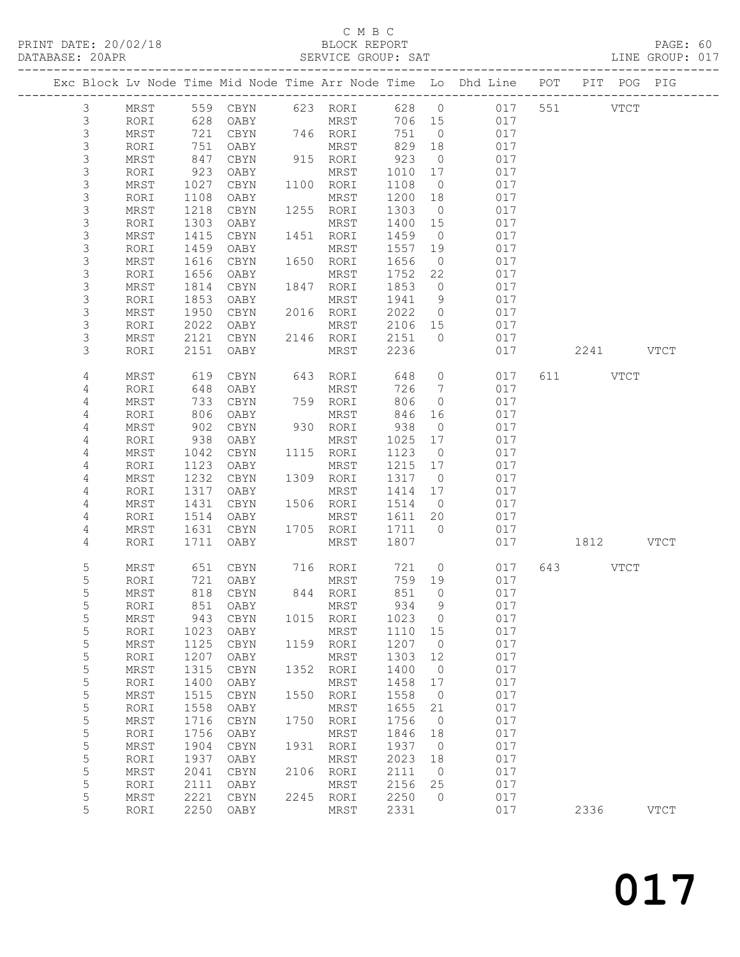#### C M B C<br>BLOCK REPORT SERVICE GROUP: SAT

|                  |              |              |                     |      |                   |              |                      | Exc Block Lv Node Time Mid Node Time Arr Node Time Lo Dhd Line POT |           | PIT POG PIG |             |
|------------------|--------------|--------------|---------------------|------|-------------------|--------------|----------------------|--------------------------------------------------------------------|-----------|-------------|-------------|
| $\mathfrak{Z}$   | MRST         |              | 559 CBYN            |      | 623 RORI          | 628 0        |                      | 017                                                                | 551 35    | <b>VTCT</b> |             |
| $\mathsf 3$      | RORI         | 628          | OABY                |      | MRST              | 706 15       |                      | 017                                                                |           |             |             |
| $\mathsf S$      | MRST         | 721          | CBYN                |      | 746 RORI          | 751          | $\overline{0}$       | 017                                                                |           |             |             |
| $\mathsf S$      | RORI         | 751          | OABY                |      | MRST              | 829          | 18                   | 017                                                                |           |             |             |
| 3                | MRST         | 847          | CBYN                |      | 915 RORI          | 923          | $\overline{0}$       | 017                                                                |           |             |             |
| $\mathsf S$      | RORI         | 923          | OABY                |      | MRST              | 1010         | 17                   | 017                                                                |           |             |             |
| $\mathsf 3$      | MRST         | 1027         | CBYN                |      | 1100 RORI         | 1108         | $\overline{0}$       | 017                                                                |           |             |             |
| $\mathsf S$      | RORI         | 1108         | OABY                |      | MRST              | 1200         | 18                   | 017                                                                |           |             |             |
| $\mathsf S$      | MRST         | 1218         | CBYN                |      | 1255 RORI         | 1303         | $\overline{0}$       | 017                                                                |           |             |             |
| $\mathsf S$      | RORI         | 1303         | OABY                |      | MRST              | 1400         | 15                   | 017                                                                |           |             |             |
| $\mathsf 3$      | MRST         | 1415         | CBYN                |      | 1451 RORI         | 1459         | $\overline{0}$       | 017                                                                |           |             |             |
| $\mathsf 3$      | RORI         | 1459         | OABY                |      | MRST              | 1557         | 19                   | 017                                                                |           |             |             |
| $\mathsf S$      | MRST         | 1616         | CBYN                |      | 1650 RORI         | 1656         | $\overline{0}$       | 017                                                                |           |             |             |
| $\mathsf S$      | RORI         | 1656         | OABY                |      | MRST              | 1752         | 22                   | 017                                                                |           |             |             |
| 3                | MRST         | 1814         | CBYN                |      | 1847 RORI         | 1853         | $\overline{0}$       | 017                                                                |           |             |             |
| $\mathsf 3$      | RORI         | 1853         | OABY                |      | MRST              | 1941         | 9                    | 017                                                                |           |             |             |
| $\mathsf S$      | MRST         | 1950         | CBYN                |      | 2016 RORI         | 2022         | $\overline{0}$       | 017                                                                |           |             |             |
| $\mathsf S$      | RORI         | 2022         | OABY                |      | MRST              | 2106         | 15                   | 017                                                                |           |             |             |
| 3                | MRST         | 2121         | CBYN                |      | 2146 RORI         | 2151         | $\overline{0}$       | 017                                                                |           |             |             |
| 3                | RORI         | 2151         | OABY                |      | MRST              | 2236         |                      | 017                                                                | 2241 VTCT |             |             |
| 4                | MRST         | 619          | CBYN                |      | 643 RORI          | 648          | $\overline{0}$       | 017                                                                | 611 VTCT  |             |             |
| 4                | RORI         | 648          | OABY                |      | MRST              | 726          | $\overline{7}$       | 017                                                                |           |             |             |
| $\overline{4}$   | MRST         | 733          | CBYN                |      | 759 RORI          | 806          | $\circ$              | 017                                                                |           |             |             |
| 4                | RORI         | 806          | OABY                |      | MRST              | 846          | 16                   | 017                                                                |           |             |             |
| 4                | MRST         | 902          | CBYN                |      | 930 RORI          | 938          | $\overline{0}$       | 017                                                                |           |             |             |
| $\overline{4}$   | RORI         | 938          | OABY                |      | MRST              | 1025         | 17                   | 017                                                                |           |             |             |
| 4                | MRST         | 1042         | CBYN                |      | 1115 RORI         | 1123         | $\overline{0}$       | 017                                                                |           |             |             |
| 4                | RORI         | 1123         | OABY                |      | MRST              | 1215<br>1317 | 17                   | 017<br>017                                                         |           |             |             |
| 4<br>4           | MRST<br>RORI | 1232<br>1317 | CBYN<br>OABY        |      | 1309 RORI<br>MRST | 1414         | $\overline{0}$<br>17 | 017                                                                |           |             |             |
| 4                | MRST         | 1431         | CBYN                |      | 1506 RORI         | 1514         | $\overline{0}$       | 017                                                                |           |             |             |
| 4                | RORI         | 1514         | OABY                |      | MRST              | 1611 20      |                      | 017                                                                |           |             |             |
| 4                | MRST         | 1631         | CBYN                |      | 1705 RORI         | 1711         | $\overline{0}$       | 017                                                                |           |             |             |
| 4                | RORI         | 1711         | OABY                |      | MRST              | 1807         |                      | 017                                                                | 1812 VTCT |             |             |
| 5                | MRST         | 651          | CBYN                |      | 716 RORI          | 721          | $\overline{0}$       | 017                                                                | 643 VTCT  |             |             |
| 5                | RORI         | 721          | OABY                |      | MRST              | 759 19       |                      | 017                                                                |           |             |             |
| 5                | MRST         |              | 818 CBYN            |      | 844 RORI          | 851          | $\overline{0}$       | 017                                                                |           |             |             |
| 5                | RORI         |              | 851 OABY MRST 934 9 |      |                   |              |                      | 017                                                                |           |             |             |
| 5                | MRST         | 943          | CBYN                | 1015 | RORI              | 1023         | $\overline{0}$       | 017                                                                |           |             |             |
| 5                | RORI         | 1023         | OABY                |      | MRST              | 1110         | 15                   | 017                                                                |           |             |             |
| 5                | $\tt MRST$   | 1125         | CBYN                | 1159 | RORI              | 1207         | $\overline{0}$       | 017                                                                |           |             |             |
| 5                | RORI         | 1207         | OABY                |      | MRST              | 1303         | 12                   | 017                                                                |           |             |             |
| 5                | $\tt MRST$   | 1315         | CBYN                | 1352 | RORI              | 1400         | $\overline{0}$       | 017                                                                |           |             |             |
| $\mathsf S$      | RORI         | 1400         | OABY                |      | MRST              | 1458         | 17                   | 017                                                                |           |             |             |
| 5                | $\tt MRST$   | 1515         | CBYN                | 1550 | RORI              | 1558         | $\overline{0}$       | 017                                                                |           |             |             |
| $\mathsf S$      | RORI         | 1558         | OABY                |      | MRST              | 1655         | 21                   | 017                                                                |           |             |             |
| $\mathsf S$      | $\tt MRST$   | 1716         | $\tt CBYN$          | 1750 | RORI              | 1756         | $\overline{0}$       | 017                                                                |           |             |             |
| 5                | RORI         | 1756         | OABY                |      | MRST              | 1846         | 18                   | 017                                                                |           |             |             |
| 5                | $\tt MRST$   | 1904         | $\tt CBYN$          | 1931 | RORI              | 1937         | $\overline{0}$       | 017                                                                |           |             |             |
| $\mathsf S$<br>5 | RORI<br>MRST | 1937<br>2041 | OABY<br>CBYN        | 2106 | MRST<br>RORI      | 2023<br>2111 | 18<br>$\overline{0}$ | 017<br>017                                                         |           |             |             |
| 5                | RORI         | 2111         | OABY                |      | MRST              | 2156         | 25                   | 017                                                                |           |             |             |
| 5                | MRST         | 2221         | CBYN                | 2245 | RORI              | 2250         | $\overline{0}$       | 017                                                                |           |             |             |
| 5                | RORI         | 2250         | OABY                |      | MRST              | 2331         |                      | 017                                                                | 2336      |             | <b>VTCT</b> |
|                  |              |              |                     |      |                   |              |                      |                                                                    |           |             |             |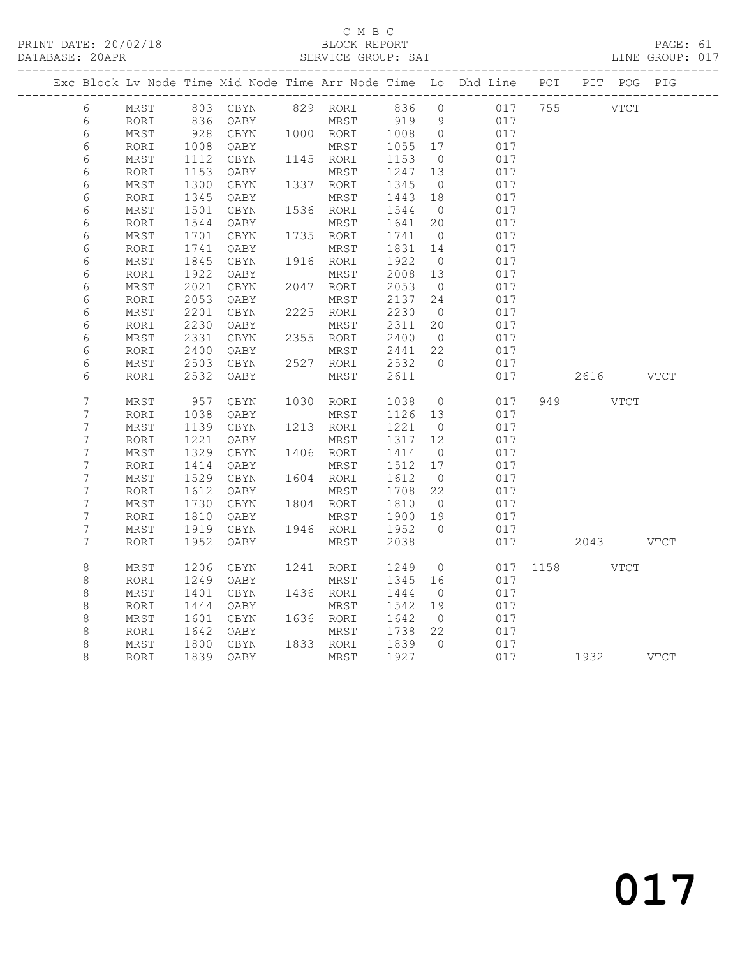PRINT DATE: 20/02/18 BLOCK REPORT BATABASE: 20APR BLOCK REPORT

#### C M B C<br>BLOCK REPORT

PAGE: 61<br>LINE GROUP: 017

|                |            |      |            |      |           |              |                | Exc Block Lv Node Time Mid Node Time Arr Node Time Lo Dhd Line POT |      |           |      | PIT POG PIG |
|----------------|------------|------|------------|------|-----------|--------------|----------------|--------------------------------------------------------------------|------|-----------|------|-------------|
| 6              | MRST       |      | 803 CBYN   |      |           | 829 RORI 836 | $\overline{0}$ | 017                                                                | 755  | VTCT      |      |             |
| 6              | RORI       | 836  | OABY       |      | MRST      | 919          | 9              | 017                                                                |      |           |      |             |
| 6              | MRST       | 928  | CBYN       |      | 1000 RORI | 1008         | $\overline{0}$ | 017                                                                |      |           |      |             |
| 6              | RORI       | 1008 | OABY       |      | MRST      | 1055         | 17             | 017                                                                |      |           |      |             |
| 6              | MRST       | 1112 | CBYN       |      | 1145 RORI | 1153         | $\overline{0}$ | 017                                                                |      |           |      |             |
| $\epsilon$     | RORI       | 1153 | OABY       |      | MRST      | 1247         | 13             | 017                                                                |      |           |      |             |
| 6              | MRST       | 1300 | CBYN       | 1337 | RORI      | 1345         | $\overline{0}$ | 017                                                                |      |           |      |             |
| $\epsilon$     | RORI       | 1345 | OABY       |      | MRST      | 1443         | 18             | 017                                                                |      |           |      |             |
| 6              | MRST       | 1501 | $\tt CBYN$ | 1536 | RORI      | 1544         | $\overline{0}$ | 017                                                                |      |           |      |             |
| $\epsilon$     | RORI       | 1544 | OABY       |      | MRST      | 1641         | 20             | 017                                                                |      |           |      |             |
| 6              | MRST       | 1701 | CBYN       |      | 1735 RORI | 1741         | $\overline{0}$ | 017                                                                |      |           |      |             |
| $\epsilon$     | RORI       | 1741 | OABY       |      | MRST      | 1831         | 14             | 017                                                                |      |           |      |             |
| 6              | MRST       | 1845 | CBYN       |      | 1916 RORI | 1922         | $\overline{0}$ | 017                                                                |      |           |      |             |
| 6              | RORI       | 1922 | OABY       |      | MRST      | 2008         | 13             | 017                                                                |      |           |      |             |
| $\sqrt{6}$     | MRST       | 2021 | $\tt CBYN$ |      | 2047 RORI | 2053         | $\overline{0}$ | 017                                                                |      |           |      |             |
| $\epsilon$     | RORI       | 2053 | OABY       |      | MRST      | 2137         | 24             | 017                                                                |      |           |      |             |
| $\sqrt{6}$     | MRST       | 2201 | $\tt CBYN$ |      | 2225 RORI | 2230         | $\overline{0}$ | 017                                                                |      |           |      |             |
| $\epsilon$     | RORI       | 2230 | OABY       |      | MRST      | 2311         | 20             | 017                                                                |      |           |      |             |
| $\epsilon$     | MRST       | 2331 | CBYN       | 2355 | RORI      | 2400         | $\overline{0}$ | 017                                                                |      |           |      |             |
| $\epsilon$     | RORI       | 2400 | OABY       |      | MRST      | 2441         | 22             | 017                                                                |      |           |      |             |
| 6              | MRST       | 2503 | $\tt CBYN$ | 2527 | RORI      | 2532         | $\bigcirc$     | 017                                                                |      |           |      |             |
| 6              | RORI       | 2532 | OABY       |      | MRST      | 2611         |                | 017                                                                |      | 2616      |      | VTCT        |
| 7              | MRST       | 957  | CBYN       | 1030 | RORI      | 1038         | $\overline{0}$ | 017                                                                |      | 949 VTCT  |      |             |
| 7              | RORI       | 1038 | OABY       |      | MRST      | 1126         | 13             | 017                                                                |      |           |      |             |
| 7              | MRST       | 1139 | CBYN       |      | 1213 RORI | 1221         | $\overline{0}$ | 017                                                                |      |           |      |             |
| $\overline{7}$ | RORI       | 1221 | OABY       |      | MRST      | 1317         | 12             | 017                                                                |      |           |      |             |
| 7              | MRST       | 1329 | $\tt CBYN$ | 1406 | RORI      | 1414         | $\overline{0}$ | 017                                                                |      |           |      |             |
| 7              | RORI       | 1414 | OABY       |      | MRST      | 1512         | 17             | 017                                                                |      |           |      |             |
| 7              | MRST       | 1529 | CBYN       | 1604 | RORI      | 1612         | $\overline{0}$ | 017                                                                |      |           |      |             |
| 7              | RORI       | 1612 | OABY       |      | MRST      | 1708         | 22             | 017                                                                |      |           |      |             |
| 7              | $\tt MRST$ | 1730 | CBYN       |      | 1804 RORI | 1810         | $\overline{0}$ | 017                                                                |      |           |      |             |
| 7              | RORI       | 1810 | OABY       |      | MRST      | 1900         | 19             | 017                                                                |      |           |      |             |
| 7              | MRST       | 1919 | $\tt CBYN$ |      | 1946 RORI | 1952         | $\bigcirc$     | 017                                                                |      |           |      |             |
| 7              | RORI       | 1952 | OABY       |      | MRST      | 2038         |                | 017                                                                |      | 2043 VTCT |      |             |
| $\,8\,$        | MRST       | 1206 | CBYN       | 1241 | RORI      | 1249         | $\circ$        | 017                                                                | 1158 |           | VTCT |             |
| $\,8\,$        | RORI       | 1249 | OABY       |      | MRST      | 1345         | 16             | 017                                                                |      |           |      |             |
| $\,8\,$        | MRST       | 1401 | CBYN       |      | 1436 RORI | 1444         | $\overline{0}$ | 017                                                                |      |           |      |             |
| $\,8\,$        | RORI       | 1444 | OABY       |      | MRST      | 1542         | 19             | 017                                                                |      |           |      |             |
| $\,8\,$        | $\tt MRST$ | 1601 | $\tt CBYN$ |      | 1636 RORI | 1642         | $\overline{0}$ | 017                                                                |      |           |      |             |
| $\,8\,$        | RORI       | 1642 | OABY       |      | MRST      | 1738         | 22             | 017                                                                |      |           |      |             |
| $\,8\,$        | MRST       | 1800 | CBYN       |      | 1833 RORI | 1839         | $\bigcirc$     | 017                                                                |      |           |      |             |
| 8              | RORI       | 1839 | OABY       |      | MRST      | 1927         |                | 017                                                                |      | 1932 VTCT |      |             |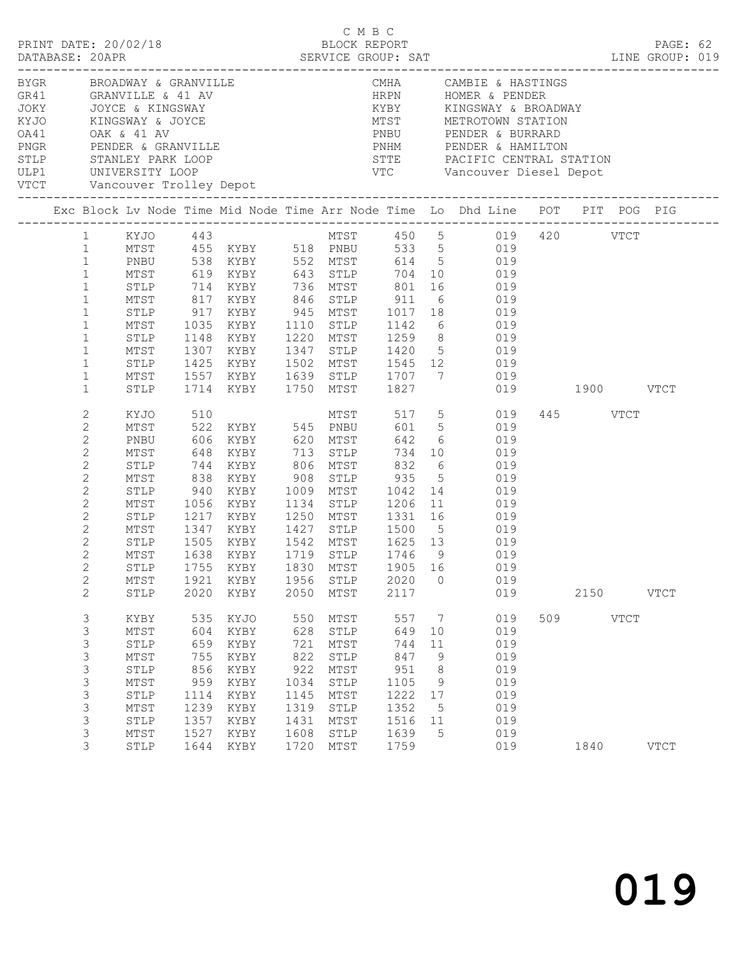|  |                                                                                                                                                                                                     |                                                                                                                      |                                                                                |                                                                                                                                                                                                        |                                                                                 | C M B C                                                                                                 |                                                                                 |                                                    | LINE GROUP: 019                                                                                                                                                                                                                                                                                                                                                                                                  |     |                  |             | PAGE: 62    |  |
|--|-----------------------------------------------------------------------------------------------------------------------------------------------------------------------------------------------------|----------------------------------------------------------------------------------------------------------------------|--------------------------------------------------------------------------------|--------------------------------------------------------------------------------------------------------------------------------------------------------------------------------------------------------|---------------------------------------------------------------------------------|---------------------------------------------------------------------------------------------------------|---------------------------------------------------------------------------------|----------------------------------------------------|------------------------------------------------------------------------------------------------------------------------------------------------------------------------------------------------------------------------------------------------------------------------------------------------------------------------------------------------------------------------------------------------------------------|-----|------------------|-------------|-------------|--|
|  |                                                                                                                                                                                                     |                                                                                                                      |                                                                                | BYGR BROADWAY & GRANVILLE<br>GR41 GRANVILLE & 41 AV<br>JOKY JOYCE & KINGSWAY<br>KYJO KINGSWAY & JOYCE<br>OA41 OAK & 41 AV<br>PNGR PENDER & GRANVILLE<br>STLP STANLEY PARK LOOP<br>ULP1 UNIVERSITY LOOP |                                                                                 |                                                                                                         |                                                                                 |                                                    | CMHA CAMBIE & HASTINGS<br>VTC Vancouver Diesel Depot                                                                                                                                                                                                                                                                                                                                                             |     |                  |             |             |  |
|  |                                                                                                                                                                                                     |                                                                                                                      |                                                                                |                                                                                                                                                                                                        |                                                                                 |                                                                                                         |                                                                                 |                                                    | Exc Block Lv Node Time Mid Node Time Arr Node Time Lo Dhd Line POT PIT POG PIG                                                                                                                                                                                                                                                                                                                                   |     |                  |             |             |  |
|  | $1 \quad$<br>1<br>$\mathbf{1}$<br>$\mathbf{1}$<br>$\mathbf{1}$<br>$\mathbf{1}$<br>$\mathbf{1}$<br>$\mathbf{1}$<br>$\mathbf{1}$<br>$\mathbf{1}$<br>$\mathbf{1}$<br>$\mathbf{1}$<br>$\mathbf{1}$      | MTST<br>MTST<br>STLP<br>MTST<br>STLP<br>MTST<br>STLP                                                                 |                                                                                | STLP 714 KYBY 736 MTST 801<br>1714 KYBY 1750 MTST 1827                                                                                                                                                 |                                                                                 |                                                                                                         |                                                                                 |                                                    | XYJO 443<br>MTST 455<br>KYBY 518 PNBU 533 5 019 420 VTCT<br>PNBU 538<br>KYBY 552<br>MTST 619<br>KYBY 643<br>STLP 704 10 019<br>16 019<br>MTST 817 KYBY 846 STLP 911 6 019<br>STLP 917 KYBY 945 MTST 1017 18 019<br>MTST 1035 KYBY 1110 STLP 1142 6 019<br>1148 KYBY 1220 MTST 1259 8 019<br>1307 KYBY 1347 STLP 1420 5 019<br>1425 KYBY 1502 MTST 1545 12 019<br>1557 KYBY 1639 STLP 1707 7 019<br>019 1900 VTCT |     |                  |             |             |  |
|  | $\mathbf{2}$<br>2<br>$\mathbf{2}$<br>2<br>$\mathbf{2}$<br>$\mathbf{2}$<br>$\mathbf{2}$<br>2<br>$\mathbf{2}$<br>$\mathbf{2}$<br>$\overline{c}$<br>$\overline{2}$<br>$2^{\circ}$<br>$\mathbf{2}$<br>2 | KYJO<br>MTST<br>PNBU<br>MTST<br>STLP<br>MTST<br>STLP<br>MTST<br>STLP<br>MTST<br>STLP<br>MTST<br>STLP<br>MTST<br>STLP | 648<br>1056<br>1921<br>2020                                                    | 606 KYBY 620 MTST 642<br>KYBY 713 STLP<br>940 KYBY 1009 MTST 1042<br>KYBY<br>1638 KYBY 1719 STLP 1746 9<br>1755 KYBY 1830 MTST 1905 16<br>KYBY<br>KYBY                                                 | 1956<br>2050                                                                    | 1134 STLP 1206<br>STLP<br>MTST                                                                          | 734<br>2020<br>2117                                                             | 0                                                  | 6 019<br>10 019<br>6 019<br>5 019<br>14 019<br>11 019<br>1217 KYBY 1250 MTST 1331 16 019<br>1347 KYBY 1427 STLP 1500 5 019<br>1505 KYBY 1542 MTST 1625 13 019<br>019<br>019<br>019<br>019                                                                                                                                                                                                                        |     | 445 VTCT<br>2150 |             | <b>VTCT</b> |  |
|  | 3<br>3<br>3<br>3<br>3<br>3<br>3<br>3<br>3<br>3<br>3                                                                                                                                                 | KYBY<br>$\mathtt{MTST}$<br>${\tt STLP}$<br>MTST<br>STLP<br>MTST<br>STLP<br>MTST<br>STLP<br>MTST<br>STLP              | 535<br>604<br>659<br>755<br>856<br>959<br>1114<br>1239<br>1357<br>1527<br>1644 | KYJO<br>KYBY<br>KYBY<br>KYBY<br>KYBY<br>KYBY<br>KYBY<br>KYBY<br>KYBY<br>KYBY<br>KYBY                                                                                                                   | 550<br>628<br>721<br>822<br>922<br>1034<br>1145<br>1319<br>1431<br>1608<br>1720 | MTST<br>${\tt STLP}$<br>MTST<br>STLP<br>$\mathtt{MTST}$<br>STLP<br>MTST<br>STLP<br>MTST<br>STLP<br>MTST | 557<br>649<br>744<br>847<br>951<br>1105<br>1222<br>1352<br>1516<br>1639<br>1759 | 7<br>10<br>11<br>9<br>8<br>9<br>17<br>5<br>11<br>5 | 019<br>019<br>019<br>019<br>019<br>019<br>019<br>019<br>019<br>019<br>019                                                                                                                                                                                                                                                                                                                                        | 509 | 1840             | <b>VTCT</b> | <b>VTCT</b> |  |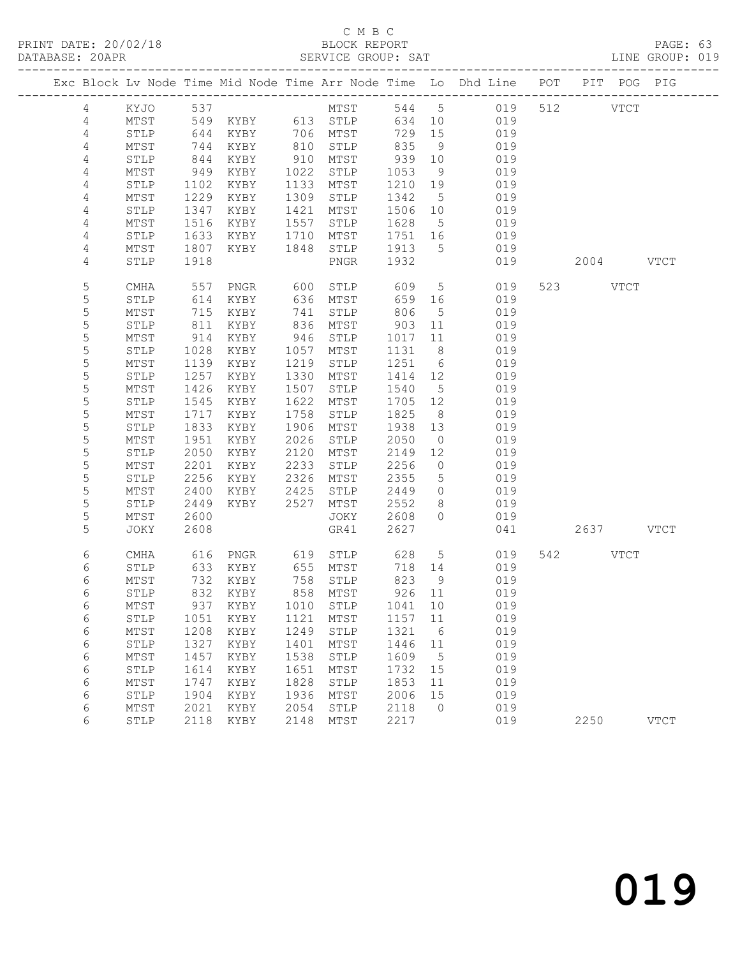PRINT DATE: 20/02/18 BLOCK REPORT BATABASE: 20APR

### C M B C<br>BLOCK REPORT

PAGE: 63<br>LINE GROUP: 019

|  |                |              |              |                   |              |                            |              |                      | Exc Block Lv Node Time Mid Node Time Arr Node Time Lo Dhd Line POT PIT POG PIG |           |             |             |
|--|----------------|--------------|--------------|-------------------|--------------|----------------------------|--------------|----------------------|--------------------------------------------------------------------------------|-----------|-------------|-------------|
|  | 4              | KYJO         | 537          |                   |              | MTST                       |              |                      | 544 5 019                                                                      | 512 VTCT  |             |             |
|  | 4              | MTST         |              | 549 KYBY 613 STLP |              |                            | 634          | 10                   | 019                                                                            |           |             |             |
|  | $\sqrt{4}$     | STLP         | 644          | KYBY              |              | 706 MTST                   | 729          | 15                   | 019                                                                            |           |             |             |
|  | $\overline{4}$ | MTST         | 744          | KYBY              | 810          | STLP                       | 835          | - 9                  | 019                                                                            |           |             |             |
|  | 4              | STLP         | 844          | KYBY              | 910          | MTST                       | 939          | 10                   | 019                                                                            |           |             |             |
|  | $\overline{4}$ | MTST         | 949          | KYBY              | 1022         | STLP                       | 1053         | 9                    | 019                                                                            |           |             |             |
|  | $\overline{4}$ | STLP         | 1102         | KYBY              | 1133         | MTST                       | 1210         | 19                   | 019                                                                            |           |             |             |
|  | $\overline{4}$ | MTST         | 1229         | KYBY              | 1309         | STLP                       | 1342         | $5^{\circ}$          | 019                                                                            |           |             |             |
|  | 4              | STLP         | 1347         | KYBY              | 1421         | MTST                       | 1506         | 10                   | 019                                                                            |           |             |             |
|  | 4              | MTST         | 1516         | KYBY              | 1557         | STLP                       | 1628         | $5\overline{)}$      | 019                                                                            |           |             |             |
|  | 4              | STLP         | 1633         | KYBY              | 1710         | MTST                       | 1751         | 16<br>$5^{\circ}$    | 019<br>019                                                                     |           |             |             |
|  | 4<br>4         | MTST<br>STLP | 1807<br>1918 | KYBY              | 1848         | STLP<br>PNGR               | 1913<br>1932 |                      | 019                                                                            | 2004 VTCT |             |             |
|  |                |              |              |                   |              |                            |              |                      |                                                                                |           |             |             |
|  | 5              | CMHA         | 557          | PNGR              | 600          | STLP                       | 609          | $5\overline{)}$      | 019                                                                            | 523 VTCT  |             |             |
|  | 5              | STLP         | 614          | KYBY              | 636          | MTST                       | 659          | 16                   | 019                                                                            |           |             |             |
|  | 5              | MTST         | 715          | KYBY              | 741          | STLP                       | 806          | $5\overline{)}$      | 019                                                                            |           |             |             |
|  | 5              | STLP         | 811          | KYBY              | 836          | MTST                       | 903          | 11                   | 019                                                                            |           |             |             |
|  | 5              | MTST         | 914          | KYBY              | 946          | STLP                       | 1017         | 11                   | 019                                                                            |           |             |             |
|  | $\mathsf S$    | STLP         | 1028         | KYBY              | 1057         | MTST                       | 1131         | 8 <sup>8</sup>       | 019                                                                            |           |             |             |
|  | 5              | MTST         | 1139         | KYBY              | 1219         | STLP                       | 1251         | $6\overline{6}$      | 019                                                                            |           |             |             |
|  | 5              | STLP         | 1257         | KYBY              | 1330         | MTST                       | 1414         | 12                   | 019                                                                            |           |             |             |
|  | $\mathsf S$    | MTST         | 1426         | KYBY              | 1507         | STLP                       | 1540         | $5\overline{)}$      | 019                                                                            |           |             |             |
|  | 5<br>5         | STLP<br>MTST | 1545         | KYBY              | 1622<br>1758 | MTST                       | 1705<br>1825 | 12<br>8 <sup>8</sup> | 019<br>019                                                                     |           |             |             |
|  | 5              | STLP         | 1717<br>1833 | KYBY<br>KYBY      | 1906         | STLP<br>MTST               | 1938         | 13                   | 019                                                                            |           |             |             |
|  | 5              | MTST         | 1951         | KYBY              | 2026         | STLP                       | 2050         | $\overline{0}$       | 019                                                                            |           |             |             |
|  | 5              | STLP         | 2050         | KYBY              | 2120         | MTST                       | 2149         | 12                   | 019                                                                            |           |             |             |
|  | 5              | MTST         | 2201         | KYBY              | 2233         | STLP                       | 2256         | $\overline{0}$       | 019                                                                            |           |             |             |
|  | 5              | STLP         | 2256         | KYBY              | 2326         | MTST                       | 2355         | 5                    | 019                                                                            |           |             |             |
|  | 5              | MTST         | 2400         | KYBY              | 2425         | STLP                       | 2449         | $\circ$              | 019                                                                            |           |             |             |
|  | 5              | STLP         | 2449         | KYBY              | 2527         | MTST                       | 2552         | 8                    | 019                                                                            |           |             |             |
|  | 5              | MTST         | 2600         |                   |              | JOKY                       | 2608         | $\circ$              | 019                                                                            |           |             |             |
|  | 5              | JOKY         | 2608         |                   |              | GR41                       | 2627         |                      | 041                                                                            | 2637 VTCT |             |             |
|  | 6              | CMHA         | 616          | PNGR              | 619          | STLP                       | 628          | $5\phantom{.0}$      | 019                                                                            | 542       | <b>VTCT</b> |             |
|  | 6              | STLP         | 633          | KYBY              |              | 655 MTST                   | 718          | 14                   | 019                                                                            |           |             |             |
|  | 6              | MTST         | 732          | KYBY              | 758          | STLP                       | 823          | 9                    | 019                                                                            |           |             |             |
|  | 6              | STLP         | 832          | KYBY              |              | 858 MTST                   | 926 11       |                      | 019                                                                            |           |             |             |
|  | 6              | MTST         |              |                   |              | 937 KYBY 1010 STLP 1041 10 |              |                      | 019                                                                            |           |             |             |
|  | 6              | STLP         | 1051         | KYBY              | 1121         | MTST                       | 1157         | 11                   | 019                                                                            |           |             |             |
|  | 6              | MTST         | 1208         | KYBY              | 1249         | STLP                       | 1321         | 6                    | 019                                                                            |           |             |             |
|  | 6              | STLP         | 1327         | KYBY              | 1401         | MTST                       | 1446         | 11                   | 019                                                                            |           |             |             |
|  | 6              | MTST         | 1457         | KYBY              | 1538         | STLP                       | 1609         | 5                    | 019                                                                            |           |             |             |
|  | 6              | STLP         | 1614         | KYBY              | 1651         | MTST                       | 1732         | 15                   | 019                                                                            |           |             |             |
|  | 6              | MTST         | 1747         | KYBY              | 1828         | STLP                       | 1853         | 11                   | 019                                                                            |           |             |             |
|  | 6<br>6         | STLP<br>MTST | 1904<br>2021 | KYBY<br>KYBY      | 1936<br>2054 | MTST<br>STLP               | 2006<br>2118 | 15<br>$\circ$        | 019<br>019                                                                     |           |             |             |
|  | 6              | STLP         | 2118         | KYBY              | 2148         | MTST                       | 2217         |                      | 019                                                                            | 2250      |             | <b>VTCT</b> |
|  |                |              |              |                   |              |                            |              |                      |                                                                                |           |             |             |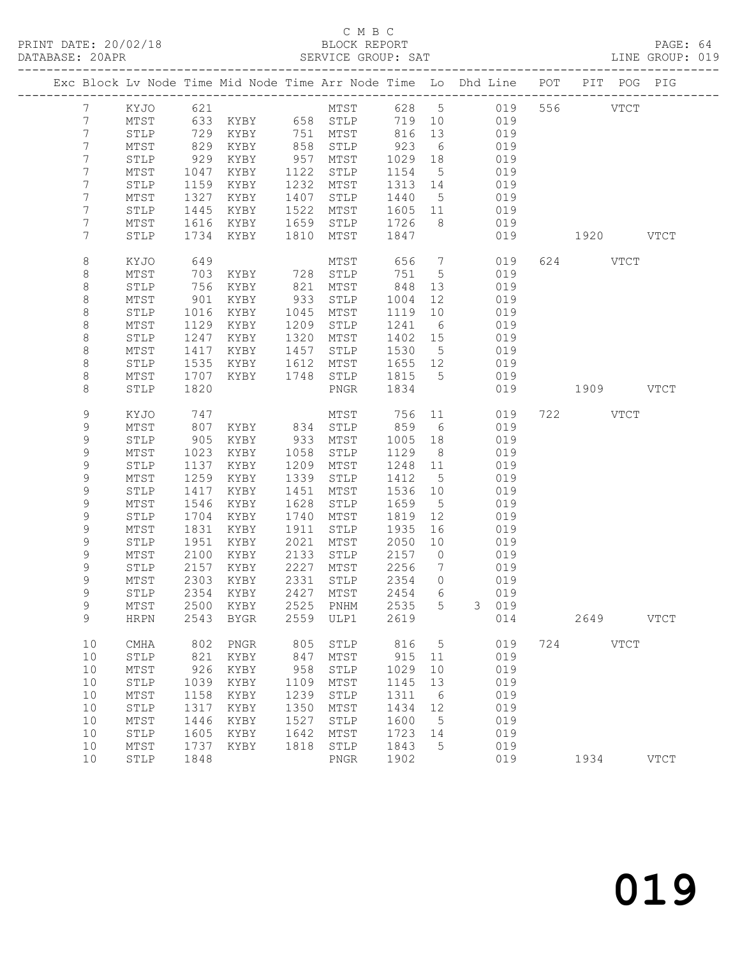### C M B C<br>BLOCK REPORT

| DATABASE: 20APR |                 |      |               |      | SERVICE GROUP: SAT         |         |                 | LINE GROUP: 019                                                                |           |          |           |               |  |
|-----------------|-----------------|------|---------------|------|----------------------------|---------|-----------------|--------------------------------------------------------------------------------|-----------|----------|-----------|---------------|--|
|                 |                 |      |               |      |                            |         |                 | Exc Block Lv Node Time Mid Node Time Arr Node Time Lo Dhd Line POT PIT POG PIG |           |          |           |               |  |
| $7\phantom{0}$  | KYJO 621        |      |               |      |                            |         |                 | MTST 628 5 019 556 VTCT                                                        |           |          |           |               |  |
| 7               | MTST            |      |               |      | 633 KYBY 658 STLP          |         |                 | 719 10 019                                                                     |           |          |           |               |  |
| 7               | STLP            | 729  |               |      | KYBY 751 MTST 816          |         | 13              | 019                                                                            |           |          |           |               |  |
| $\overline{7}$  | MTST            | 829  | KYBY          |      |                            | 923     | $6\overline{6}$ | 019                                                                            |           |          |           |               |  |
| 7               | STLP            | 929  | KYBY          |      | 858 STLP<br>957 MTST       | 1029    | 18              | 019                                                                            |           |          |           |               |  |
| 7               | MTST            | 1047 | KYBY          | 1122 | STLP                       | 1154    | $5\overline{)}$ | 019                                                                            |           |          |           |               |  |
| 7               | STLP            | 1159 | KYBY          |      | 1232 MTST                  | 1313 14 |                 | 019                                                                            |           |          |           |               |  |
| 7               | MTST            | 1327 | KYBY          | 1407 | STLP                       | 1440 5  |                 | 019                                                                            |           |          |           |               |  |
| 7               | STLP            | 1445 | KYBY          | 1522 | MTST                       | 1605 11 |                 | 019                                                                            |           |          |           |               |  |
| 7               | MTST            | 1616 | KYBY          | 1659 | STLP                       | 1726    | 8 <sup>8</sup>  | 019                                                                            |           |          |           |               |  |
| 7               | STLP            | 1734 | KYBY          | 1810 | MTST                       | 1847    |                 | 019                                                                            | 1920 VTCT |          |           |               |  |
| 8               | KYJO            | 649  |               |      | MTST                       | 656     | $7\overline{ }$ | 019                                                                            |           | 624 VTCT |           |               |  |
| 8               | MTST            | 703  | KYBY 728      |      | STLP                       | 751     | $5^{\circ}$     | 019                                                                            |           |          |           |               |  |
| $\,8\,$         | STLP            | 756  | KYBY          | 821  | MTST                       | 848     | 13              | 019                                                                            |           |          |           |               |  |
| $\,8\,$         | MTST            | 901  | KYBY          | 933  | STLP                       | 1004    | 12              | 019                                                                            |           |          |           |               |  |
| $\,8\,$         | STLP            | 1016 | KYBY          | 1045 | MTST                       | 1119    | 10              | 019                                                                            |           |          |           |               |  |
| 8               | MTST            | 1129 | KYBY          | 1209 | STLP                       | 1241    | 6               | 019                                                                            |           |          |           |               |  |
| 8               | STLP            | 1247 | KYBY          | 1320 | MTST                       | 1402 15 |                 | 019                                                                            |           |          |           |               |  |
| 8               | MTST            | 1417 | KYBY          | 1457 | STLP                       | 1530    | $5\overline{)}$ | 019                                                                            |           |          |           |               |  |
| $\,8\,$         | ${\tt STLP}$    | 1535 | KYBY          | 1612 | MTST                       | 1655 12 |                 | 019                                                                            |           |          |           |               |  |
| 8               | MTST            | 1707 | KYBY          | 1748 | STLP                       | 1815 5  |                 | 019                                                                            |           |          |           |               |  |
| 8               | STLP            | 1820 |               |      | PNGR                       | 1834    |                 | 019                                                                            | 1909 VTCT |          |           |               |  |
| 9               | KYJO            | 747  |               |      | MTST                       | 756 11  |                 | 019                                                                            |           | 722 VTCT |           |               |  |
| 9               | MTST            | 807  | KYBY 834 STLP |      |                            | 859     | 6               | 019                                                                            |           |          |           |               |  |
| 9               | STLP            | 905  | KYBY 933      |      | MTST                       | 1005    | 18              | 019                                                                            |           |          |           |               |  |
| 9               | MTST            | 1023 | KYBY          | 1058 | STLP                       | 1129    | 8 <sup>8</sup>  | 019                                                                            |           |          |           |               |  |
| 9               | STLP            | 1137 | KYBY          |      | 1209 MTST                  | 1248 11 |                 | 019                                                                            |           |          |           |               |  |
| 9               | MTST            | 1259 | KYBY          | 1339 | STLP                       | 1412    | $5^{\circ}$     | 019                                                                            |           |          |           |               |  |
| 9               | STLP            | 1417 | KYBY          | 1451 | MTST                       | 1536 10 |                 | 019                                                                            |           |          |           |               |  |
| 9               | MTST            | 1546 | KYBY          | 1628 | STLP                       | 1659    | $5\overline{)}$ | 019                                                                            |           |          |           |               |  |
| 9               | STLP            | 1704 | KYBY          | 1740 | MTST                       | 1819    | 12              | 019                                                                            |           |          |           |               |  |
| $\mathsf 9$     | MTST            | 1831 | KYBY          | 1911 | STLP                       | 1935    | 16              | 019                                                                            |           |          |           |               |  |
| 9               | STLP            | 1951 | KYBY          | 2021 | MTST                       | 2050    | 10              | 019                                                                            |           |          |           |               |  |
| 9               | MTST            | 2100 | KYBY          | 2133 | STLP                       | 2157    | $\overline{0}$  | 019                                                                            |           |          |           |               |  |
| 9               | STLP            | 2157 | KYBY          | 2227 | MTST                       | 2256    | $\overline{7}$  | 019                                                                            |           |          |           |               |  |
| $\mathsf 9$     | MTST            | 2303 | KYBY          |      | 2331 STLP                  | 2354    | $\overline{0}$  | 019                                                                            |           |          |           |               |  |
| $\mathsf{Q}$    | STLP            |      |               |      | 2354 KYBY 2427 MTST 2454 6 |         |                 | 019                                                                            |           |          |           |               |  |
| 9               | MTST            | 2500 | KYBY          | 2525 | PNHM                       | 2535    | 5               | 3 019                                                                          |           |          |           |               |  |
| 9               | <b>HRPN</b>     |      | 2543 BYGR     | 2559 | ULP1                       | 2619    |                 | 014                                                                            |           |          | 2649 VTCT |               |  |
| 10              | CMHA            | 802  | PNGR          | 805  | STLP                       | 816     | $5\overline{)}$ | 019                                                                            |           | 724 VTCT |           |               |  |
| 10              | STLP            | 821  | KYBY          | 847  | MTST                       | 915     | 11              | 019                                                                            |           |          |           |               |  |
| 10              | $\mathtt{MTST}$ | 926  | KYBY          | 958  | ${\tt STLP}$               | 1029    | 10              | 019                                                                            |           |          |           |               |  |
| 10              | STLP            | 1039 | KYBY          | 1109 | MTST                       | 1145    | 13              | 019                                                                            |           |          |           |               |  |
| 10              | $\mathtt{MTST}$ | 1158 | KYBY          | 1239 | STLP                       | 1311    | $6\overline{6}$ | 019                                                                            |           |          |           |               |  |
| 10              | STLP            | 1317 | KYBY          | 1350 | MTST                       | 1434    | 12              | 019                                                                            |           |          |           |               |  |
| 10              | $\mathtt{MTST}$ | 1446 | KYBY          | 1527 | STLP                       | 1600    | $5^{\circ}$     | 019                                                                            |           |          |           |               |  |
| 10              | STLP            | 1605 | KYBY          | 1642 | MTST                       | 1723    | 14              | 019                                                                            |           |          |           |               |  |
| 10              | $\mathtt{MTST}$ | 1737 | KYBY          | 1818 | STLP                       | 1843    | $5^{\circ}$     | 019                                                                            |           |          |           |               |  |
| 10              | STLP            | 1848 |               |      | PNGR                       | 1902    |                 | 019                                                                            |           | 1934     |           | $_{\rm VTCT}$ |  |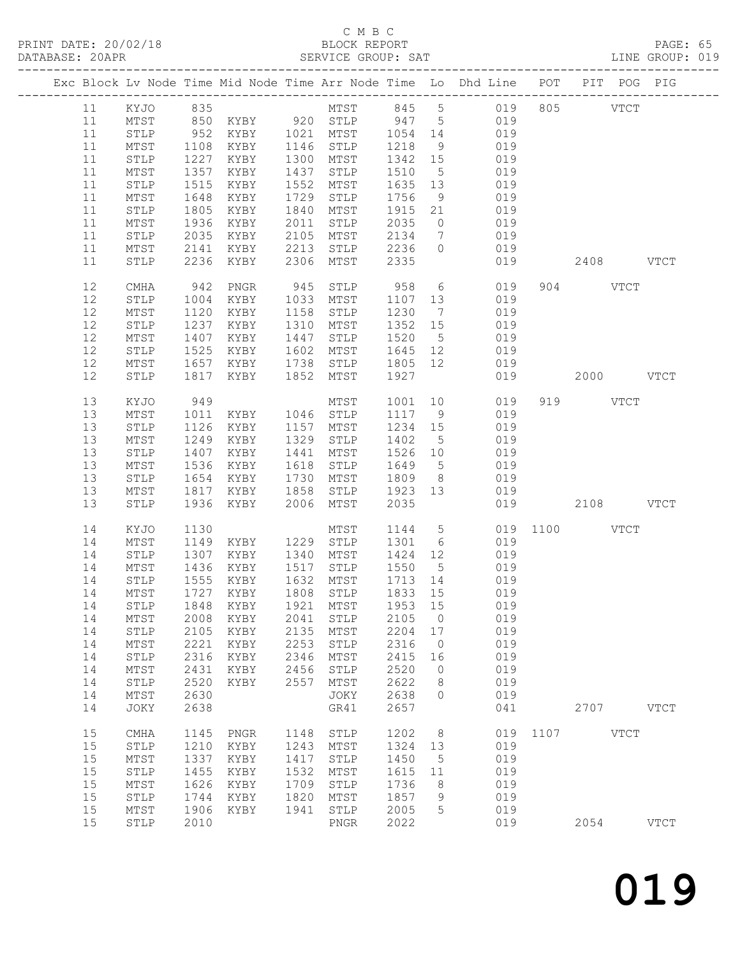#### C M B C

|      |                 |                |                     |      |                                  |                  |                | PRINT DATE: 20/02/18 BLOCK REPORT BLOCK REPORT PAGE: 65<br>DATABASE: 20APR SERVICE GROUP: SAT LINE GROUP: 019        |                 |          |             |             |  |
|------|-----------------|----------------|---------------------|------|----------------------------------|------------------|----------------|----------------------------------------------------------------------------------------------------------------------|-----------------|----------|-------------|-------------|--|
|      |                 |                |                     |      |                                  |                  |                | Exc Block Lv Node Time Mid Node Time Arr Node Time Lo Dhd Line POT PIT POG PIG                                       |                 |          |             |             |  |
|      |                 |                |                     |      |                                  |                  |                | 11 KYJO 835 MTST 845 5 019 805 VTCT<br>11 MTST 850 KYBY 920 STLP 947 5 019<br>11 STLP 952 KYBY 1021 MTST 1054 14 019 |                 |          |             |             |  |
|      |                 |                |                     |      |                                  |                  |                |                                                                                                                      |                 |          |             |             |  |
|      |                 |                |                     |      |                                  |                  |                |                                                                                                                      |                 |          |             |             |  |
| 11   | MTST            |                |                     |      | 1108 KYBY 1146 STLP 1218         |                  |                | 9 019                                                                                                                |                 |          |             |             |  |
| 11   | STLP            | 1227           | KYBY                |      | 1300 MTST                        |                  |                | 1342 15 019                                                                                                          |                 |          |             |             |  |
| 11   | ${\tt MTST}$    | $1357$<br>1515 | KYBY                |      | 1437 STLP                        |                  |                |                                                                                                                      |                 |          |             |             |  |
| 11   | STLP            | 1515           | KYBY                |      | 1552 MTST                        |                  |                | 1510 5 019<br>1635 13 019                                                                                            |                 |          |             |             |  |
| 11   | MTST            | 1648           | KYBY                | 1729 | STLP 1756                        |                  |                | 9 019                                                                                                                |                 |          |             |             |  |
| 11   | STLP            | 1805           | KYBY                |      | 1840 MTST                        | 1915             |                | 21 019                                                                                                               |                 |          |             |             |  |
| 11   | MTST            |                | 1936 KYBY           |      |                                  |                  |                |                                                                                                                      |                 |          |             |             |  |
| 11   | STLP            |                | 2035 KYBY           |      | 2011 STLP 2035<br>2105 MTST 2134 |                  |                | $\begin{array}{ccc} 0 & \quad & 019 \\ 7 & \quad & 019 \end{array}$                                                  |                 |          |             |             |  |
| 11   | MTST            |                | 2141 KYBY           |      | 2213 STLP 2236                   |                  | $\overline{0}$ | 019                                                                                                                  |                 |          |             |             |  |
| 11   | STLP            |                | 2236 KYBY           |      | 2306 MTST 2335                   |                  |                |                                                                                                                      | 019             |          | 2408 VTCT   |             |  |
| 12   | CMHA            | 942            | PNGR                |      | 945 STLP 958                     |                  |                | $6\overline{6}$<br>019                                                                                               |                 | 904 VTCT |             |             |  |
| 12   | STLP            | 1004           | KYBY 1033 MTST      |      |                                  |                  |                | 1107 13<br>019                                                                                                       |                 |          |             |             |  |
| 12   | MTST            | 1120           | KYBY                |      | 1158 STLP                        | 1230             |                | 7 019                                                                                                                |                 |          |             |             |  |
| 12   | STLP            | 1237           | KYBY                |      | 1310 MTST                        |                  |                |                                                                                                                      |                 |          |             |             |  |
| 12   | MTST            |                | 1407 KYBY           | 1447 | STLP                             | $1352$<br>$1520$ | 5 <sup>5</sup> | $1352$ $15$ 019<br>019                                                                                               |                 |          |             |             |  |
| 12   | STLP            |                | 1525 KYBY           |      | 1602 MTST                        |                  |                | $1645$ $12$ $019$                                                                                                    |                 |          |             |             |  |
| 12   | MTST            |                | 1657 KYBY           | 1738 |                                  |                  |                | STLP 1805 12 019                                                                                                     |                 |          |             |             |  |
| 12   | STLP            | 1817           | KYBY                | 1852 | MTST                             | 1927             |                |                                                                                                                      | 019  2000  VTCT |          |             |             |  |
| 13   | KYJO            | 949            |                     |      | MTST                             | 1001             |                | 10<br>019                                                                                                            |                 | 919 VTCT |             |             |  |
| 13   | MTST            |                | 1011 KYBY 1046 STLP |      |                                  | 1117             |                | 9 019                                                                                                                |                 |          |             |             |  |
| 13   | STLP            | 1126           | KYBY                |      | 1157 MTST                        |                  |                | 1234 15 019                                                                                                          |                 |          |             |             |  |
| 13   | MTST            | 1249           | KYBY                |      | 1329 STLP                        | 1402 5           |                | 019                                                                                                                  |                 |          |             |             |  |
| 13   | ${\tt STLP}$    |                | 1407 KYBY           | 1441 | MTST                             |                  |                | 1402 5 019<br>1526 10 019                                                                                            |                 |          |             |             |  |
| 13   | MTST            | 1536           | KYBY                | 1618 | STLP                             | 1649             |                | 5 019                                                                                                                |                 |          |             |             |  |
| 13   | STLP            | 1654           | KYBY                | 1730 | MTST                             | 1809             |                | 8 019                                                                                                                |                 |          |             |             |  |
| 13   | MTST            | 1817           | KYBY                | 1858 | STLP                             | 1923 13          |                | 019                                                                                                                  |                 |          |             |             |  |
| 13   | STLP            |                | 1936 KYBY           |      | 2006 MTST                        | 2035             |                | 019                                                                                                                  | 2108 VTCT       |          |             |             |  |
| 14   | KYJO            | 1130           |                     |      | MTST                             | 1144             |                | 5 019 1100 VTCT                                                                                                      |                 |          |             |             |  |
| 14   | MTST            |                |                     |      |                                  |                  |                |                                                                                                                      |                 |          |             |             |  |
| 14   | STLP            |                |                     |      |                                  |                  |                | 1149 KYBY 1229 STLP 1301 6 019<br>1307 KYBY 1340 MTST 1424 12 019                                                    |                 |          |             |             |  |
| 14   | MTST            |                | 1436 KYBY           |      | 1517 STLP                        | 1550             |                | $\overline{5}$ 019                                                                                                   |                 |          |             |             |  |
| 14   | STLP            | 1555           | KYBY                | 1632 | MTST                             | 1713             | 14             | 019                                                                                                                  |                 |          |             |             |  |
| 14   | $\mathtt{MTST}$ | 1727           | KYBY                | 1808 | ${\tt STLP}$                     | 1833             | 15             | 019                                                                                                                  |                 |          |             |             |  |
| 14   | STLP            | 1848           | KYBY                | 1921 | MTST                             | 1953             | 15             | 019                                                                                                                  |                 |          |             |             |  |
| 14   | MTST            | 2008           | KYBY                | 2041 | STLP                             | 2105             | 0              | 019                                                                                                                  |                 |          |             |             |  |
| 14   | STLP            | 2105           | KYBY                | 2135 | MTST                             | 2204             | 17             | 019                                                                                                                  |                 |          |             |             |  |
| 14   | $\mathtt{MTST}$ | 2221           | KYBY                | 2253 | STLP                             | 2316             | 0              | 019                                                                                                                  |                 |          |             |             |  |
| 14   | STLP            | 2316           | KYBY                | 2346 | MTST                             | 2415             | 16             | 019                                                                                                                  |                 |          |             |             |  |
| 14   | $\mathtt{MTST}$ | 2431           | KYBY                | 2456 | STLP                             | 2520             | 0              | 019                                                                                                                  |                 |          |             |             |  |
| 14   | STLP            | 2520           | KYBY                | 2557 | MTST                             | 2622             | 8              | 019                                                                                                                  |                 |          |             |             |  |
| 14   | MTST            | 2630           |                     |      | JOKY                             | 2638             | $\circ$        | 019                                                                                                                  |                 |          |             |             |  |
| 14   | JOKY            | 2638           |                     |      | GR41                             | 2657             |                | 041                                                                                                                  |                 | 2707     |             | <b>VTCT</b> |  |
|      |                 |                |                     |      |                                  |                  |                |                                                                                                                      |                 |          |             |             |  |
| 15   | <b>CMHA</b>     | 1145           | ${\tt PNGR}$        | 1148 | STLP                             | 1202             | 8              | 019                                                                                                                  | 1107            |          | <b>VTCT</b> |             |  |
| 15   | STLP            | 1210           | KYBY                | 1243 | MTST                             | 1324             | 13             | 019                                                                                                                  |                 |          |             |             |  |
| 15   | MTST            | 1337           | KYBY                | 1417 | STLP                             | 1450             | 5              | 019                                                                                                                  |                 |          |             |             |  |
| $15$ | STLP            | 1455           | KYBY                | 1532 | MTST                             | 1615             | 11             | 019                                                                                                                  |                 |          |             |             |  |
| 15   | MTST            | 1626           | KYBY                | 1709 | STLP                             | 1736             | 8              | 019                                                                                                                  |                 |          |             |             |  |
| 15   | STLP            | 1744           | KYBY                | 1820 | MTST                             | 1857             | 9              | 019                                                                                                                  |                 |          |             |             |  |
| 15   | $\mathtt{MTST}$ | 1906           | KYBY                | 1941 | STLP                             | 2005             | 5              | 019                                                                                                                  |                 |          |             |             |  |
| 15   | STLP            | 2010           |                     |      | ${\tt PNGR}$                     | 2022             |                | 019                                                                                                                  |                 | 2054     |             | <b>VTCT</b> |  |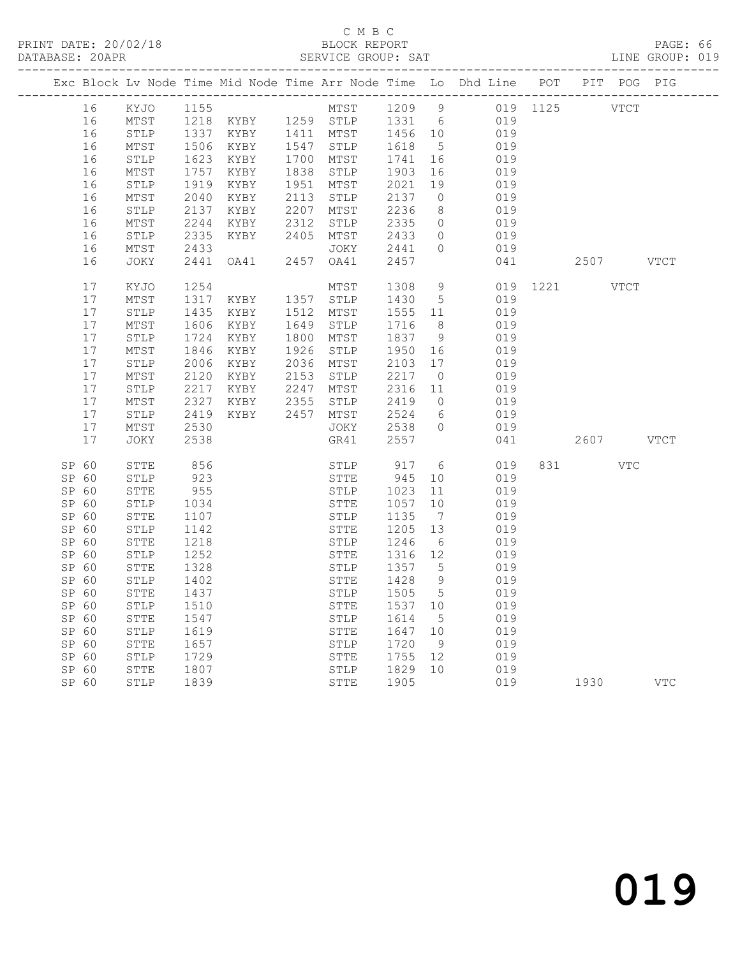#### C M B C<br>BLOCK REPORT

|                |                 |              |                           |      |                      |              |                      | PRINT DATE: 20/02/18 BLOCK REPORT<br>DATABASE: 20APR SERVICE GROUP: SAT        |               |         | PAGE: 66<br>LINE GROUP: 019 |  |
|----------------|-----------------|--------------|---------------------------|------|----------------------|--------------|----------------------|--------------------------------------------------------------------------------|---------------|---------|-----------------------------|--|
|                |                 |              |                           |      |                      |              |                      | Exc Block Lv Node Time Mid Node Time Arr Node Time Lo Dhd Line POT PIT POG PIG |               |         |                             |  |
|                |                 |              |                           |      |                      |              |                      | 16 KYJO 1155 MTST 1209 9 019 1125 VTCT                                         |               |         |                             |  |
| 16             |                 |              |                           |      |                      |              |                      | MTST 1218 KYBY 1259 STLP 1331 6 019                                            |               |         |                             |  |
| 16             | STLP            |              |                           |      |                      |              |                      | 1337 KYBY 1411 MTST 1456 10 019                                                |               |         |                             |  |
| 16             | MTST            |              | $1506$ $1623$ $878$       |      | 1547 STLP            | 1618         | 5 <sup>5</sup>       | 019                                                                            |               |         |                             |  |
| 16             | STLP            |              | 1623 KYBY                 |      | 1700 MTST            | 1741         | 16                   | 019                                                                            |               |         |                             |  |
| 16             | MTST            |              | 1757 KYBY                 |      | 1838 STLP            | 1903         | 16                   | 019                                                                            |               |         |                             |  |
| 16             | STLP            | 1919         | KYBY                      |      | 1951 MTST            | 2021         | 19                   | 019                                                                            |               |         |                             |  |
| 16             | MTST            | 2040         | KYBY                      |      | 2113 STLP            |              | $\overline{0}$       | 019                                                                            |               |         |                             |  |
| 16             | STLP            |              | 2137 KYBY                 |      | 2207 MTST            | 213/2236     | 8 <sup>8</sup>       | 019                                                                            |               |         |                             |  |
| 16             | MTST            | 2244         | KYBY                      |      | 2312 STLP            | 2335         | $\overline{0}$       | 019                                                                            |               |         |                             |  |
| 16             | STLP            | 2335         | KYBY                      |      | 2405 MTST            | 2433         | $\circ$              | 019                                                                            |               |         |                             |  |
| 16             | MTST            | 2433         |                           |      | JOKY                 | 2441<br>2457 | $\circ$              | 019                                                                            |               |         |                             |  |
| 16             | JOKY            |              | 2441   0A41   2457   0A41 |      |                      | 2457         |                      |                                                                                | 041 2507 VTCT |         |                             |  |
| 17             | KYJO            | 1254         |                           |      | MTST                 | 1308         |                      | 9                                                                              | 019 1221 VTCT |         |                             |  |
| 17             | MTST            |              | 1317 KYBY                 |      | 1357 STLP            | 1430         | $5\overline{)}$      | 019                                                                            |               |         |                             |  |
| 17             | ${\tt STLP}$    | 1435         | KYBY                      |      | 1512 MTST            | 1555         | 11                   | 019                                                                            |               |         |                             |  |
| 17             | MTST            |              | 1606 KYBY                 | 1649 | STLP                 | 1716         | 8 <sup>8</sup>       | 019                                                                            |               |         |                             |  |
| 17             | STLP            | 1724         | KYBY                      |      | 1800 MTST            | 1837         | 9                    | 019                                                                            |               |         |                             |  |
| 17             | MTST            | 1846         | KYBY                      | 1926 | STLP                 | 1950         | 16                   | 019                                                                            |               |         |                             |  |
| 17             | STLP            | 2006         | KYBY                      |      | 2036 MTST            | 2103         | 17                   | 019                                                                            |               |         |                             |  |
| 17             | MTST            | 2120         | KYBY                      |      | 2153 STLP            | 2217         | $\overline{0}$       | 019                                                                            |               |         |                             |  |
| 17             | STLP            | 2217         | KYBY                      |      | 2247 MTST            | 2316         | 11                   | 019                                                                            |               |         |                             |  |
| 17             | MTST            | 2327         | KYBY                      |      | 2355 STLP            | 2419         | $\overline{0}$       | 019                                                                            |               |         |                             |  |
| 17             | STLP            | 2419         | KYBY 2457 MTST            |      |                      | 2524<br>2538 | 6                    | 019                                                                            |               |         |                             |  |
| 17             | MTST            | 2530         |                           |      | JOKY                 |              | $\overline{0}$       | 019                                                                            |               |         |                             |  |
| 17             | JOKY            | 2538         |                           |      | GR41 2557            |              |                      |                                                                                | 041 2607 VTCT |         |                             |  |
| SP 60          | STTE            | 856          |                           |      | STLP 917<br>STTE 945 |              | $6\overline{6}$      | 019                                                                            |               | 831 VTC |                             |  |
| SP 60          | ${\tt STLP}$    | 923          |                           |      |                      |              | 10                   | 019                                                                            |               |         |                             |  |
| SP 60          | STTE            | 955          |                           |      | STLP                 | 1023         | 11                   | 019                                                                            |               |         |                             |  |
| SP 60          | STLP            | 1034         |                           |      | STTE                 | 1057         | 10                   | 019                                                                            |               |         |                             |  |
| SP 60          | STTE            | 1107         |                           |      | STLP                 | 1135         | $\overline{7}$       | 019                                                                            |               |         |                             |  |
| SP 60          | ${\tt STLP}$    | 1142         |                           |      | STTE                 | 1205         | 13                   | 019                                                                            |               |         |                             |  |
| SP 60          | STTE            | 1218         |                           |      | STLP                 | 1246         | 6                    | 019                                                                            |               |         |                             |  |
| SP 60          | STLP            | 1252         | <b>STTE</b>               |      |                      | 1316 12      |                      | 019                                                                            |               |         |                             |  |
| SP 60          | ${\tt STTE}$    | 1328         |                           |      | STLP                 | 1357         | $5^{\circ}$          | 019                                                                            |               |         |                             |  |
|                | SP 60 STLP 1402 |              |                           |      |                      |              |                      | STTE 1428 9 019                                                                |               |         |                             |  |
| SP 60          | STTE            | 1437         |                           |      | STLP                 | 1505         | 5                    | 019                                                                            |               |         |                             |  |
| SP 60          | STLP            | 1510         |                           |      | <b>STTE</b>          | 1537         | 10                   | 019                                                                            |               |         |                             |  |
| SP 60          | STTE            | 1547         |                           |      | STLP                 | 1614         | 5                    | 019                                                                            |               |         |                             |  |
| SP 60          | STLP            | 1619<br>1657 |                           |      | STTE                 | 1647<br>1720 | 10<br>$\overline{9}$ | 019<br>019                                                                     |               |         |                             |  |
| SP 60<br>SP 60 | STTE<br>STLP    | 1729         |                           |      | STLP<br><b>STTE</b>  | 1755         | 12                   | 019                                                                            |               |         |                             |  |
| SP 60          | STTE            | 1807         |                           |      | STLP                 | 1829         | 10                   | 019                                                                            |               |         |                             |  |
| SP 60          | STLP            | 1839         |                           |      | <b>STTE</b>          | 1905         |                      | 019                                                                            |               | 1930    | <b>VTC</b>                  |  |
|                |                 |              |                           |      |                      |              |                      |                                                                                |               |         |                             |  |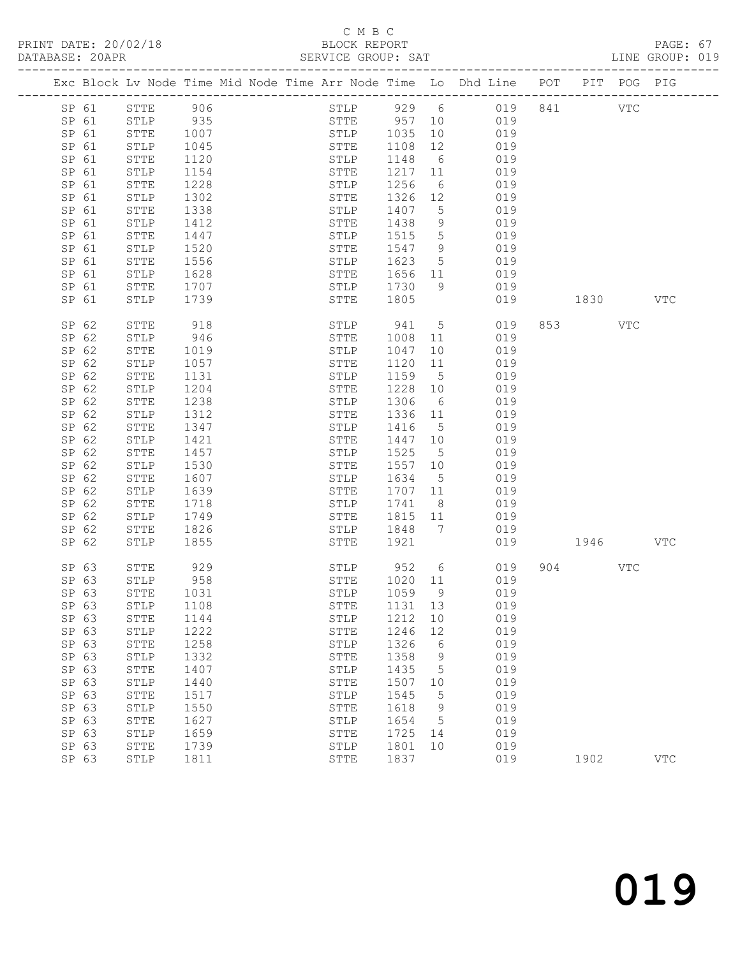#### C M B C<br>BLOCK REPORT

| DATABASE: 20APR |                |              |              | SERVICE GROUP: SAT     |         |                      |                                                                                |              |            |     | LINE GROUP: 019 |  |
|-----------------|----------------|--------------|--------------|------------------------|---------|----------------------|--------------------------------------------------------------------------------|--------------|------------|-----|-----------------|--|
|                 |                |              |              |                        |         |                      | Exc Block Lv Node Time Mid Node Time Arr Node Time Lo Dhd Line POT PIT POG PIG |              |            |     |                 |  |
|                 | SP 61          | STTE 906     |              |                        |         |                      | STLP 929 6 019 841                                                             |              | <b>VTC</b> |     |                 |  |
|                 | SP 61          | STLP 935     |              | STTE 957 10            |         |                      | 019                                                                            |              |            |     |                 |  |
|                 | SP 61          | STTE         | 1007         | STLP 1035<br>STTE 1108 |         | 10                   | 019                                                                            |              |            |     |                 |  |
| SP 61           |                | STLP         | 1045<br>1120 |                        |         | 12                   | 019                                                                            |              |            |     |                 |  |
|                 | SP 61          | STTE         | 1120         | STLP                   | 1148    | $6\overline{6}$      | 019                                                                            |              |            |     |                 |  |
| SP 61           |                | STLP         | 1154         | STTE                   | 1217 11 |                      | 019                                                                            |              |            |     |                 |  |
| SP 61           |                | STTE         | 1228         | STLP                   | 1256    | 6                    | 019                                                                            |              |            |     |                 |  |
|                 | SP 61          | STLP         | 1302         | STTE                   | 1326    | 12                   | 019                                                                            |              |            |     |                 |  |
|                 | SP 61          | STTE         | 1338         | STLP                   | 1407    | $5^{\circ}$          | 019                                                                            |              |            |     |                 |  |
| SP 61           |                | STLP         | 1412         | STTE                   | 1438    | 9                    | 019                                                                            |              |            |     |                 |  |
| SP 61           |                | STTE         | 1447         | STLP                   | 1515    | $5\overline{)}$      | 019                                                                            |              |            |     |                 |  |
|                 | SP 61          | STLP         | 1520         | STTE                   | 1547    | 9                    | 019                                                                            |              |            |     |                 |  |
|                 | SP 61          | STTE         | 1556         | STLP                   | 1623    | $5^{\circ}$          | 019                                                                            |              |            |     |                 |  |
|                 | SP 61          | STLP         | 1628         | STTE                   | 1656 11 |                      | 019                                                                            |              |            |     |                 |  |
|                 | SP 61          | STTE         | 1707         | STLP                   | 1730    | 9                    | 019                                                                            |              |            |     |                 |  |
| SP 61           |                | STLP         | 1739         | STTE                   | 1805    |                      |                                                                                | 019 1830     |            |     | VTC             |  |
|                 | SP 62          | STTE         | 918          | STLP 941               |         |                      | 5 <sub>1</sub><br>019                                                          |              | 853 VTC    |     |                 |  |
|                 | SP 62          | STLP         | 946          | STTE                   | 1008    | 11                   | 019                                                                            |              |            |     |                 |  |
|                 | SP 62          | STTE         | 1019         | STLP                   | 1047    | 10                   | 019                                                                            |              |            |     |                 |  |
|                 | SP 62          | STLP         | 1057         | STTE                   | 1120    | 11                   | 019                                                                            |              |            |     |                 |  |
|                 | SP 62          | STTE         | 1131         | STLP                   | 1159    | $5\overline{)}$      | 019                                                                            |              |            |     |                 |  |
| SP 62           |                | STLP         | 1204         | STTE                   | 1228    | 10                   | 019                                                                            |              |            |     |                 |  |
|                 | SP 62          | STTE         | 1238         | STLP                   | 1306    | 6                    | 019                                                                            |              |            |     |                 |  |
|                 | SP 62          | STLP         | 1312         | STTE                   | 1336 11 |                      | 019                                                                            |              |            |     |                 |  |
|                 | SP 62          | STTE         | 1347         | STLP                   | 1416    | 5 <sup>5</sup>       | 019                                                                            |              |            |     |                 |  |
|                 | SP 62          | STLP         | 1421         | STTE                   | 1447 10 |                      | 019                                                                            |              |            |     |                 |  |
|                 | SP 62          | STTE         | 1457         | STLP                   | 1525    | $5^{\circ}$          | 019                                                                            |              |            |     |                 |  |
|                 | SP 62          | STLP         | 1530         | STTE                   | 1557 10 |                      | 019                                                                            |              |            |     |                 |  |
|                 | SP 62          | STTE         | 1607         | STLP                   | 1634    | $5\overline{)}$      | 019                                                                            |              |            |     |                 |  |
|                 | SP 62          | STLP         | 1639         | STTE                   | 1707 11 |                      | 019                                                                            |              |            |     |                 |  |
|                 | SP 62<br>SP 62 | STTE         | 1718         | STLP                   | 1741    | 8 <sup>8</sup><br>11 | 019<br>019                                                                     |              |            |     |                 |  |
|                 |                | STLP         | 1749         | STTE                   | 1815    | $7\phantom{0}$       |                                                                                |              |            |     |                 |  |
|                 | SP 62<br>SP 62 | STTE<br>STLP | 1826         | STLP 1848<br>STTE      | 1921    |                      | 019                                                                            | 019 1946 VTC |            |     |                 |  |
|                 |                |              | 1855         |                        |         |                      |                                                                                |              |            |     |                 |  |
|                 | SP 63          | STTE         | 929          | STLP                   | 952     | $6\overline{6}$      | 019                                                                            |              | 904 — 100  | VTC |                 |  |
|                 | SP 63          | STLP         | 958          | STTE                   | 1020 11 |                      | 019                                                                            |              |            |     |                 |  |
|                 | SP 63          | STTE 1031    |              | STLP                   |         |                      | 1059 9 019                                                                     |              |            |     |                 |  |
| SP 63           |                | STLP         | 1108         | STTE                   | 1131 13 |                      | 019                                                                            |              |            |     |                 |  |
|                 | SP 63          | STTE         | 1144         | STLP                   | 1212    | 10                   | 019                                                                            |              |            |     |                 |  |
| SP 63           |                | STLP         | 1222         | STTE                   | 1246    | 12                   | 019                                                                            |              |            |     |                 |  |
| SP 63           |                | STTE         | 1258         | STLP                   | 1326    | $6\overline{6}$      | 019                                                                            |              |            |     |                 |  |
| SP 63           |                | STLP         | 1332         | STTE                   | 1358    | 9                    | 019                                                                            |              |            |     |                 |  |
| SP 63           |                | STTE         | 1407         | STLP                   | 1435    | $5^{\circ}$          | 019                                                                            |              |            |     |                 |  |
| SP 63           |                | STLP         | 1440         | STTE                   | 1507    | 10                   | 019                                                                            |              |            |     |                 |  |
| SP 63           |                | ${\tt STTE}$ | 1517         | STLP                   | 1545    | $5\phantom{0}$       | 019                                                                            |              |            |     |                 |  |
| SP 63           |                | STLP         | 1550         | STTE                   | 1618    | 9                    | 019                                                                            |              |            |     |                 |  |
| SP 63           |                | STTE         | 1627         | STLP                   | 1654    | $5^{\circ}$          | 019                                                                            |              |            |     |                 |  |
| SP 63           |                | STLP         | 1659         | STTE                   | 1725    | 14                   | 019                                                                            |              |            |     |                 |  |
| SP 63           |                | STTE         | 1739         | STLP                   | 1801    | 10                   | 019                                                                            |              |            |     |                 |  |
| SP 63           |                | STLP         | 1811         | STTE                   | 1837    |                      | 019                                                                            |              | 1902       |     | <b>VTC</b>      |  |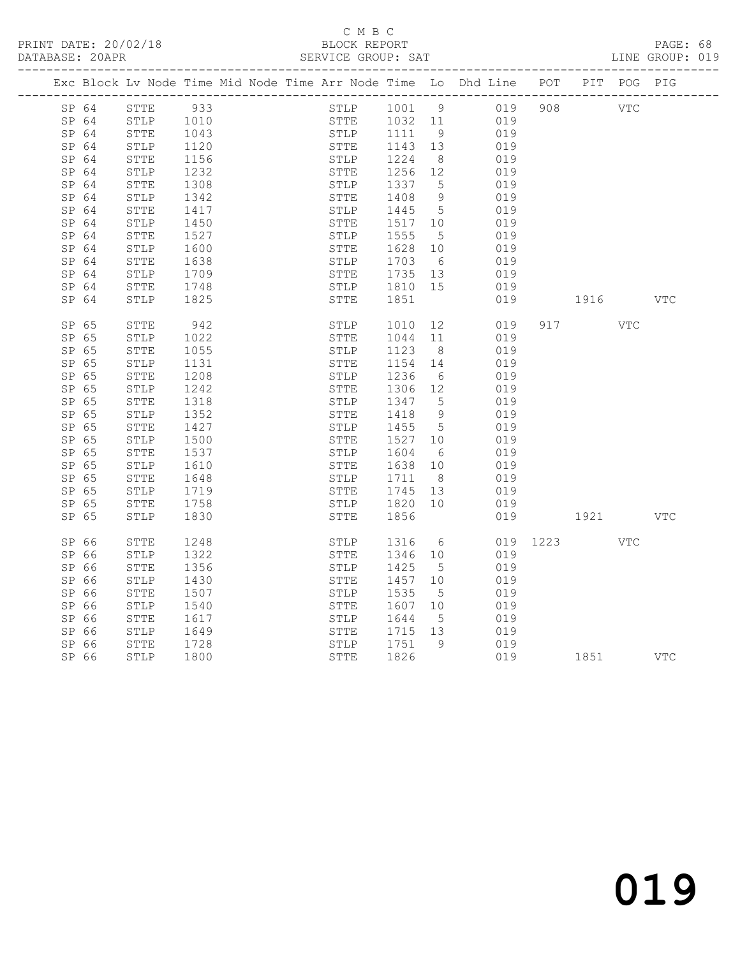PRINT DATE: 20/02/18 BLOCK REPORT BATABASE: 20APR BERVICE GROUP: SAT

#### C M B C<br>BLOCK REPORT

PAGE: 68<br>LINE GROUP: 019

|       | Exc Block Lv Node Time Mid Node Time Arr Node Time Lo Dhd Line POT |      |  |             |                                   |                |     |          |                                                                                                                                                                                                                                 | PIT POG PIG |     |
|-------|--------------------------------------------------------------------|------|--|-------------|-----------------------------------|----------------|-----|----------|---------------------------------------------------------------------------------------------------------------------------------------------------------------------------------------------------------------------------------|-------------|-----|
| SP 64 | STTE                                                               | 933  |  |             | STLP 1001 9                       |                | 019 | 908      | <b>VTC</b>                                                                                                                                                                                                                      |             |     |
| SP 64 | STLP                                                               | 1010 |  |             | STTE 1032<br>STLP 1111<br>1032 11 |                | 019 |          |                                                                                                                                                                                                                                 |             |     |
| SP 64 | STTE                                                               | 1043 |  |             |                                   | 9              | 019 |          |                                                                                                                                                                                                                                 |             |     |
| SP 64 | STLP                                                               | 1120 |  | STTE        | 1143 13                           |                | 019 |          |                                                                                                                                                                                                                                 |             |     |
| SP 64 | STTE                                                               | 1156 |  | STLP        | 1224                              | 8 <sup>8</sup> | 019 |          |                                                                                                                                                                                                                                 |             |     |
| SP 64 | STLP                                                               | 1232 |  | STTE        | 1256 12                           |                | 019 |          |                                                                                                                                                                                                                                 |             |     |
| SP 64 | STTE                                                               | 1308 |  | STLP        | 1337                              | 5              | 019 |          |                                                                                                                                                                                                                                 |             |     |
| SP 64 | STLP                                                               | 1342 |  | STTE        | 1408                              | 9              | 019 |          |                                                                                                                                                                                                                                 |             |     |
| SP 64 | STTE                                                               | 1417 |  | STLP        | 1445                              | $5^{\circ}$    | 019 |          |                                                                                                                                                                                                                                 |             |     |
| SP 64 | STLP                                                               | 1450 |  | STTE        | 1517                              | 10             | 019 |          |                                                                                                                                                                                                                                 |             |     |
| SP 64 | STTE                                                               | 1527 |  | STLP        | 1555                              | $5^{\circ}$    | 019 |          |                                                                                                                                                                                                                                 |             |     |
| SP 64 | STLP                                                               | 1600 |  | STTE        | 1628                              | 10             | 019 |          |                                                                                                                                                                                                                                 |             |     |
| SP 64 | STTE                                                               | 1638 |  | STLP        | 1703                              | 6              | 019 |          |                                                                                                                                                                                                                                 |             |     |
| SP 64 | STLP                                                               | 1709 |  | STTE        | 1735                              | 13             | 019 |          |                                                                                                                                                                                                                                 |             |     |
| SP 64 | STTE                                                               | 1748 |  | STLP        | 1810 15                           |                | 019 |          |                                                                                                                                                                                                                                 |             |     |
| SP 64 | STLP                                                               | 1825 |  | STTE        | 1851                              |                | 019 |          | 1916 VTC                                                                                                                                                                                                                        |             |     |
| SP 65 | STTE                                                               | 942  |  | STLP        | 1010                              | 12             | 019 |          | 917 — 100                                                                                                                                                                                                                       | VTC         |     |
| SP 65 | STLP                                                               | 1022 |  | STTE        | 1044                              | 11             | 019 |          |                                                                                                                                                                                                                                 |             |     |
| SP 65 | STTE                                                               | 1055 |  | STLP        | 1123                              | 8 <sup>8</sup> | 019 |          |                                                                                                                                                                                                                                 |             |     |
| SP 65 | STLP                                                               | 1131 |  | <b>STTE</b> | 1154                              | 14             | 019 |          |                                                                                                                                                                                                                                 |             |     |
| SP 65 | STTE                                                               | 1208 |  | STLP        | 1236                              | 6              | 019 |          |                                                                                                                                                                                                                                 |             |     |
| SP 65 | STLP                                                               | 1242 |  | STTE        | 1306                              | 12             | 019 |          |                                                                                                                                                                                                                                 |             |     |
| SP 65 | STTE                                                               | 1318 |  | STLP        | 1347                              | $5^{\circ}$    | 019 |          |                                                                                                                                                                                                                                 |             |     |
| SP 65 | STLP                                                               | 1352 |  | STTE        | 1418                              | $\overline{9}$ | 019 |          |                                                                                                                                                                                                                                 |             |     |
| SP 65 | STTE                                                               | 1427 |  | STLP        | 1455                              | $5\phantom{0}$ | 019 |          |                                                                                                                                                                                                                                 |             |     |
| SP 65 | STLP                                                               | 1500 |  | STTE        | 1527                              | 10             | 019 |          |                                                                                                                                                                                                                                 |             |     |
| SP 65 | STTE                                                               | 1537 |  | STLP        | 1604                              | 6              | 019 |          |                                                                                                                                                                                                                                 |             |     |
| SP 65 | STLP                                                               | 1610 |  | STTE        | 1638                              | 10             | 019 |          |                                                                                                                                                                                                                                 |             |     |
| SP 65 | STTE                                                               | 1648 |  | STLP        | 1711                              | 8 <sup>8</sup> | 019 |          |                                                                                                                                                                                                                                 |             |     |
| SP 65 | STLP                                                               | 1719 |  | STTE        | 1745 13                           |                | 019 |          |                                                                                                                                                                                                                                 |             |     |
| SP 65 | STTE                                                               | 1758 |  | STLP        | 1820                              | 10             | 019 |          |                                                                                                                                                                                                                                 |             |     |
| SP 65 | STLP                                                               | 1830 |  | STTE        | 1856                              |                |     | 019      | 1921 — 1921 — 1921 — 1922 — 1923 — 1923 — 1924 — 1925 — 1925 — 1925 — 1927 — 1928 — 1928 — 1928 — 1928 — 1928 — 1928 — 1928 — 1928 — 1928 — 1928 — 1928 — 1928 — 1928 — 1928 — 1928 — 1928 — 1928 — 1928 — 1928 — 1928 — 1928 — |             | VTC |
| SP 66 | STTE                                                               | 1248 |  | STLP        | 1316                              | 6              |     | 019 1223 |                                                                                                                                                                                                                                 | VTC         |     |
| SP 66 | STLP                                                               | 1322 |  | STTE        | 1346                              | 10             | 019 |          |                                                                                                                                                                                                                                 |             |     |
| SP 66 | STTE                                                               | 1356 |  | STLP        | 1425                              | $5^{\circ}$    | 019 |          |                                                                                                                                                                                                                                 |             |     |
| SP 66 | STLP                                                               | 1430 |  | STTE        | 1457                              | 10             | 019 |          |                                                                                                                                                                                                                                 |             |     |
| SP 66 | <b>STTE</b>                                                        | 1507 |  | STLP        | 1535                              | $5^{\circ}$    | 019 |          |                                                                                                                                                                                                                                 |             |     |
| SP 66 | STLP                                                               | 1540 |  | STTE        | 1607                              | 10             | 019 |          |                                                                                                                                                                                                                                 |             |     |
| SP 66 | STTE                                                               | 1617 |  | STLP        | 1644                              | $5^{\circ}$    | 019 |          |                                                                                                                                                                                                                                 |             |     |
| SP 66 | STLP                                                               | 1649 |  | STTE        | 1715 13                           |                | 019 |          |                                                                                                                                                                                                                                 |             |     |
| SP 66 | STTE                                                               | 1728 |  | STLP        | 1751                              | 9              | 019 |          |                                                                                                                                                                                                                                 |             |     |
| SP 66 | STLP                                                               | 1800 |  | STTE        | 1826                              |                |     | 019      | 1851 VTC                                                                                                                                                                                                                        |             |     |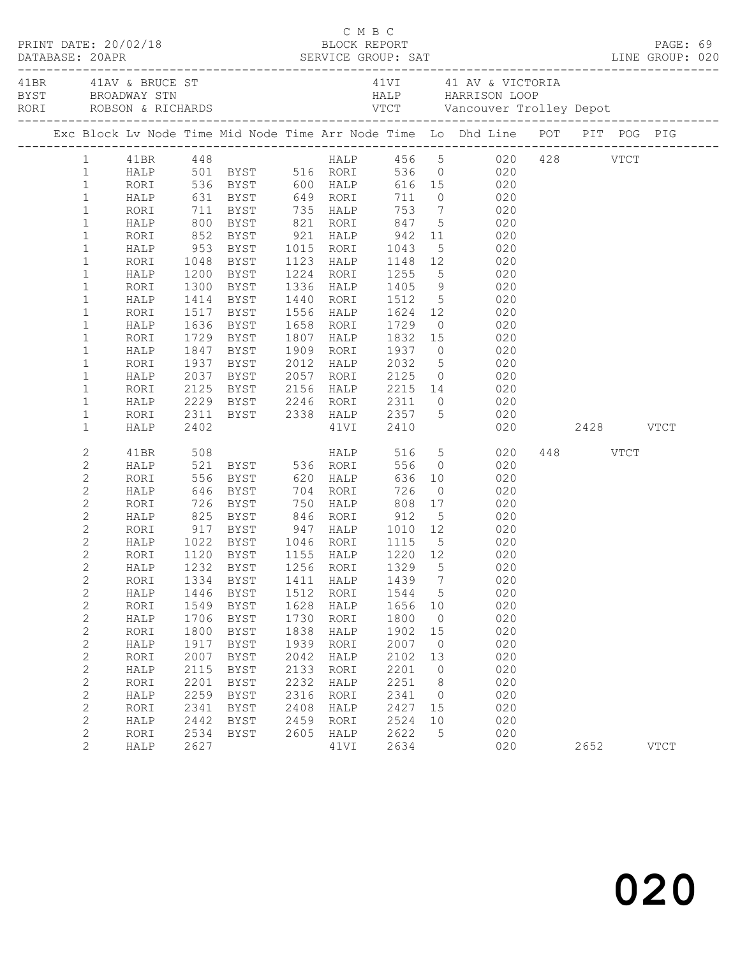| $\begin{array}{cccc}\n\texttt{CRINT} & \texttt{DATE:} & 20/02/18 & \texttt{C} & \texttt{M} & \texttt{B} & \texttt{C}\n\end{array}$<br>DATABASE: 20APR |              |              |                                                   |              |                   |                   |                      |                                                                                                                 |          |             |  |
|-------------------------------------------------------------------------------------------------------------------------------------------------------|--------------|--------------|---------------------------------------------------|--------------|-------------------|-------------------|----------------------|-----------------------------------------------------------------------------------------------------------------|----------|-------------|--|
|                                                                                                                                                       |              |              |                                                   |              |                   |                   |                      |                                                                                                                 |          |             |  |
|                                                                                                                                                       |              |              |                                                   |              |                   |                   |                      | Exc Block Lv Node Time Mid Node Time Arr Node Time Lo Dhd Line POT PIT POG PIG                                  |          |             |  |
|                                                                                                                                                       |              |              |                                                   |              |                   |                   |                      | 1 41BR 448 HALP 456 5 020 428 VTCT<br>1 HALP 501 BYST 516 RORI 536 0 020<br>1 RORI 536 BYST 600 HALP 616 15 020 |          |             |  |
|                                                                                                                                                       |              |              |                                                   |              |                   |                   |                      |                                                                                                                 |          |             |  |
|                                                                                                                                                       |              |              |                                                   |              |                   |                   |                      |                                                                                                                 |          |             |  |
| $\mathbf{1}$                                                                                                                                          |              |              |                                                   |              |                   |                   |                      | HALP 631 BYST 649 RORI 711 0 020                                                                                |          |             |  |
| $\mathbf{1}$                                                                                                                                          | RORI         |              |                                                   |              |                   |                   |                      |                                                                                                                 |          |             |  |
| $\mathbf{1}$                                                                                                                                          | HALP         |              |                                                   |              |                   |                   |                      | 11 BYST 135 HALP 153 7 020<br>1900 BYST 1621 RORI 1647 5 020<br>1952 BYST 1621 HALP 1642 11 020                 |          |             |  |
| $\mathbf{1}$                                                                                                                                          | RORI         |              | 953 BYST 1015 RORI                                |              |                   | 1043              |                      | 5 020                                                                                                           |          |             |  |
| $\mathbf{1}$<br>$\mathbf{1}$                                                                                                                          | HALP<br>RORI |              | 1048 BYST                                         |              | 1123 HALP         |                   |                      | 1148 12 020                                                                                                     |          |             |  |
| $\mathbf{1}$                                                                                                                                          | HALP         |              |                                                   |              | 1224 RORI         |                   |                      |                                                                                                                 |          |             |  |
| $\mathbf{1}$                                                                                                                                          | RORI         |              | 1200 BYST<br>1300 BYST                            |              | 1336 HALP         | 1255<br>1405      |                      | 5 020<br>9 020                                                                                                  |          |             |  |
| $\mathbf{1}$                                                                                                                                          | HALP         |              | 1414 BYST                                         |              | 1440 RORI 1512    |                   |                      | 5 020                                                                                                           |          |             |  |
| $\mathbf{1}$                                                                                                                                          | RORI         |              | 1517 BYST                                         |              | 1556 HALP 1624 12 |                   |                      | 020                                                                                                             |          |             |  |
| $\mathbf{1}$                                                                                                                                          | HALP         |              |                                                   |              | 1658 RORI         |                   |                      |                                                                                                                 |          |             |  |
| $\mathbf{1}$                                                                                                                                          | RORI         |              | 1636 BYST<br>1729 BYST                            |              | 1807 HALP         |                   |                      |                                                                                                                 |          |             |  |
| $\mathbf{1}$                                                                                                                                          | HALP         |              | 1847 BYST                                         |              | 1909 RORI         | 1937              |                      | $0$ 020                                                                                                         |          |             |  |
| $\mathbf{1}$                                                                                                                                          | RORI         |              | 1937 BYST                                         |              | 2012 HALP 2032    |                   |                      | 5 020                                                                                                           |          |             |  |
| $\mathbf{1}$                                                                                                                                          | HALP         |              | 2037 BYST<br>2125 BYST                            |              | 2057 RORI         |                   |                      | BYST 2057 RORI 2125 0 020<br>BYST 2156 HALP 2215 14 020                                                         |          |             |  |
| $\mathbf{1}$                                                                                                                                          | RORI         |              |                                                   |              |                   |                   |                      |                                                                                                                 |          |             |  |
| $\mathbf{1}$                                                                                                                                          | HALP         |              |                                                   |              |                   |                   |                      | 2229 BYST 2246 RORI 2311 0 020                                                                                  |          |             |  |
| $\mathbf{1}$                                                                                                                                          | RORI         |              |                                                   |              |                   |                   |                      | 2311 BYST 2338 HALP 2357 5 020                                                                                  |          |             |  |
| $\mathbf{1}$                                                                                                                                          | HALP         | 2402         |                                                   |              | 41VI 2410         |                   |                      | 020 2428 VTCT                                                                                                   |          |             |  |
| 2                                                                                                                                                     | 41BR         | 508          |                                                   |              | <b>HALP</b>       |                   |                      | 516 5 020                                                                                                       | 448 VTCT |             |  |
| $\mathbf{2}$                                                                                                                                          | HALP         |              | 521 BYST 536 RORI                                 |              |                   | 556               |                      | $0$ 020                                                                                                         |          |             |  |
| $\mathbf{2}$                                                                                                                                          | RORI         |              |                                                   |              |                   |                   |                      |                                                                                                                 |          |             |  |
| $\mathbf{2}$                                                                                                                                          | HALP         |              |                                                   |              |                   |                   |                      |                                                                                                                 |          |             |  |
| $\mathbf{2}$                                                                                                                                          | RORI         |              |                                                   |              |                   |                   |                      |                                                                                                                 |          |             |  |
| $\mathbf{2}$                                                                                                                                          | HALP         |              | 825 BYST 846 RORI 912                             |              |                   |                   |                      | 5 020                                                                                                           |          |             |  |
| $\mathbf{2}$                                                                                                                                          | RORI         |              | 917 BYST 947 HALP 1010 12                         |              |                   |                   |                      | 020                                                                                                             |          |             |  |
| $\overline{c}$                                                                                                                                        | HALP         |              | 1022 BYST   1046  RORI<br>1120  BYST   1155  HALP |              |                   | 1115 5<br>1220 12 | $5\overline{)}$      | $\begin{array}{c} 020 \\ 020 \end{array}$                                                                       |          |             |  |
| $\overline{c}$                                                                                                                                        | RORI         |              |                                                   |              |                   |                   |                      |                                                                                                                 |          |             |  |
| $\overline{c}$                                                                                                                                        |              |              |                                                   |              |                   |                   |                      | HALP 1232 BYST 1256 RORI 1329 5 020                                                                             |          |             |  |
| $\sqrt{2}$                                                                                                                                            | RORI         | 1334         | BYST                                              | 1411         | HALP              | 1439              | $\overline{7}$       | 020                                                                                                             |          |             |  |
| $\mathbf{2}$                                                                                                                                          | HALP         | 1446         | BYST                                              | 1512         | RORI              | 1544              | $5\phantom{0}$       | 020                                                                                                             |          |             |  |
| $\sqrt{2}$                                                                                                                                            | RORI         | 1549<br>1706 | BYST                                              | 1628<br>1730 | HALP              | 1656<br>1800      | 10<br>$\overline{0}$ | 020<br>020                                                                                                      |          |             |  |
| $\mathbf{2}$<br>$\mathbf{2}$                                                                                                                          | HALP<br>RORI | 1800         | BYST<br>BYST                                      | 1838         | RORI<br>HALP      | 1902              | 15                   | 020                                                                                                             |          |             |  |
| $\mathbf{2}$                                                                                                                                          | HALP         | 1917         | <b>BYST</b>                                       | 1939         | RORI              | 2007              | $\overline{0}$       | 020                                                                                                             |          |             |  |
| $\sqrt{2}$                                                                                                                                            | RORI         | 2007         | <b>BYST</b>                                       | 2042         | HALP              | 2102              | 13                   | 020                                                                                                             |          |             |  |
| $\mathbf{2}$                                                                                                                                          | HALP         | 2115         | <b>BYST</b>                                       | 2133         | RORI              | 2201              | $\circ$              | 020                                                                                                             |          |             |  |
| $\sqrt{2}$                                                                                                                                            | RORI         | 2201         | BYST                                              | 2232         | HALP              | 2251              | 8                    | 020                                                                                                             |          |             |  |
| $\mathbf{2}$                                                                                                                                          | HALP         | 2259         | <b>BYST</b>                                       | 2316         | RORI              | 2341              | $\overline{0}$       | 020                                                                                                             |          |             |  |
| $\overline{c}$                                                                                                                                        | RORI         | 2341         | <b>BYST</b>                                       | 2408         | HALP              | 2427              | 15                   | 020                                                                                                             |          |             |  |
| $\mathbf{2}$                                                                                                                                          | HALP         | 2442         | BYST                                              | 2459         | RORI              | 2524              | 10                   | 020                                                                                                             |          |             |  |
| $\mathbf{2}$                                                                                                                                          | RORI         | 2534         | BYST                                              | 2605         | HALP              | 2622              | 5                    | 020                                                                                                             |          |             |  |
| $\overline{2}$                                                                                                                                        | HALP         | 2627         |                                                   |              | 41VI              | 2634              |                      | 020                                                                                                             | 2652     | <b>VTCT</b> |  |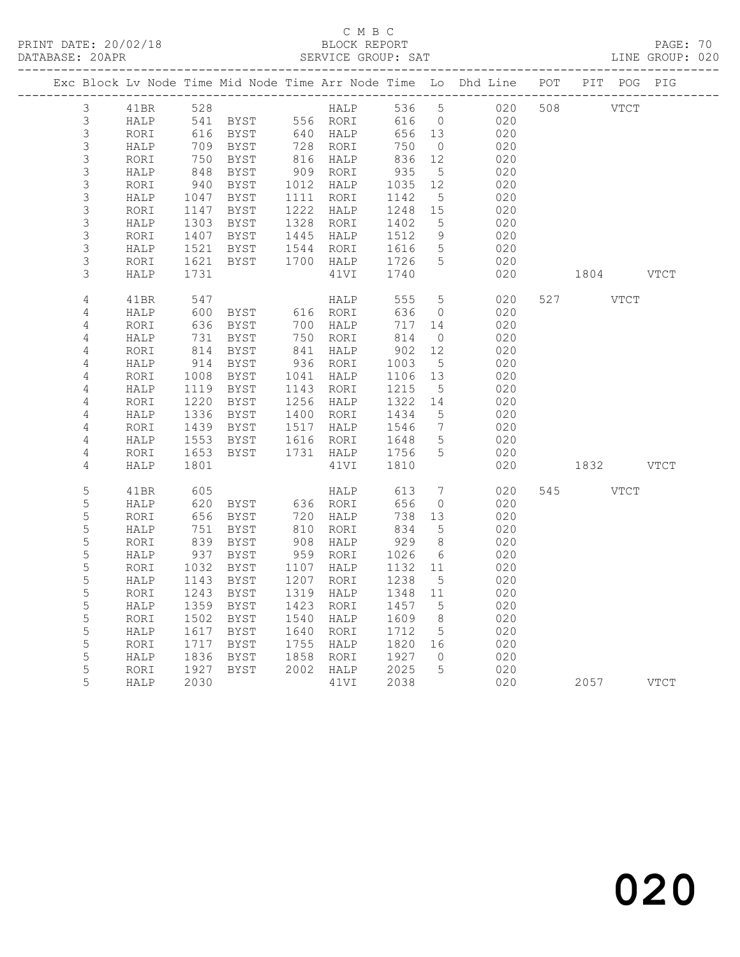### C M B C

DATABASE: 20APR SERVICE GROUP: SAT LINE GROUP: 020

|                |      |                 |                                                           |                          |                          |                              | Exc Block Lv Node Time Mid Node Time Arr Node Time Lo Dhd Line POT PIT POG PIG |           |           |      |
|----------------|------|-----------------|-----------------------------------------------------------|--------------------------|--------------------------|------------------------------|--------------------------------------------------------------------------------|-----------|-----------|------|
| 3              | 41BR | 528             |                                                           | HALP 536 5<br>RORI 616 0 |                          |                              | 020 508 VTCT                                                                   |           |           |      |
| 3              | HALP |                 |                                                           |                          | 616 0                    |                              | 020                                                                            |           |           |      |
| $\mathfrak{S}$ | RORI | 616             |                                                           |                          | 656 13                   |                              | 020                                                                            |           |           |      |
| 3              | HALP | 709             |                                                           |                          | 750                      | $\overline{0}$               | 020                                                                            |           |           |      |
| 3              | RORI | $\frac{1}{848}$ | BYST                                                      | 816 HALP<br>909 RORI     | 836                      | 12                           | 020                                                                            |           |           |      |
| $\mathsf S$    | HALP |                 |                                                           |                          | 935                      | $5\overline{)}$              | 020                                                                            |           |           |      |
| $\mathsf 3$    | RORI | 940<br>1047     |                                                           |                          | 1035                     | 12                           | 020                                                                            |           |           |      |
| $\mathsf 3$    | HALP |                 | DUS RORI<br>BYST 1012 HALP<br>BYST 1111 -                 |                          | 1142                     | $5\overline{)}$              | 020                                                                            |           |           |      |
| $\mathsf S$    | RORI | 1147<br>1303    | BYST                                                      | 1222 HALP                | 1248 15                  |                              | 020                                                                            |           |           |      |
| $\mathsf 3$    | HALP |                 | BYST 1328 RORI                                            |                          | 1402                     | $5\overline{)}$              | 020                                                                            |           |           |      |
| $\mathfrak{Z}$ | RORI | 1407            | BYST 1445 HALP<br>BYST 1445 HALP<br>BYST 1544 RORT        |                          | 1512                     | 9                            | 020                                                                            |           |           |      |
| $\mathfrak{Z}$ | HALP | 1521            |                                                           |                          | 1616                     | $5\overline{)}$              | 020                                                                            |           |           |      |
| 3              | RORI | 1621            | BYST                                                      | 1700 HALP                | 1726 5                   |                              | 020                                                                            |           |           |      |
| 3              | HALP | 1731            |                                                           | 41VI                     | 1740                     |                              | 020                                                                            | 1804      |           | VTCT |
| 4              | 41BR | 547             |                                                           | HALP                     | 555                      | $5^{\circ}$                  | 020                                                                            | 527       | VTCT      |      |
| 4              | HALP | 600             | BYST 616 RORI                                             |                          | 636                      | $\overline{0}$               | 020                                                                            |           |           |      |
| $\sqrt{4}$     | RORI | 636             | BYST                                                      | 700 HALP                 | 717 14                   |                              | 020                                                                            |           |           |      |
| 4              | HALP | 731             | BYST                                                      | 750 RORI                 | 814                      | $\overline{0}$               | 020                                                                            |           |           |      |
| $\sqrt{4}$     | RORI | 814             | BYST                                                      | 841 HALP<br>936 RORI     | $902$<br>$1003$          | 12                           | 020                                                                            |           |           |      |
| 4              | HALP | 914             | BYST                                                      |                          |                          | $5^{\circ}$                  | 020                                                                            |           |           |      |
| $\sqrt{4}$     | RORI | 1008            | BYST                                                      | 1041 HALP<br>1143 RORI   | 1106                     | 13                           | 020                                                                            |           |           |      |
| $\sqrt{4}$     | HALP | 1119            | BYST                                                      |                          | 1215                     | $5\overline{)}$              | 020                                                                            |           |           |      |
| $\sqrt{4}$     | RORI | 1220            | BYST 1256 HALP<br>BYST 1400 RORI                          |                          | $1322$ 14                |                              | 020                                                                            |           |           |      |
| $\overline{4}$ | HALP | 1336            | BYST                                                      | 1400 RORI                | 1434                     | $5^{\circ}$                  | 020                                                                            |           |           |      |
| 4              | RORI | 1439            | BYST                                                      | 1517 HALP                | 1546<br>1648             | $\overline{7}$               | 020                                                                            |           |           |      |
| $\overline{4}$ | HALP | 1553            | BYST                                                      | 1616 RORI                |                          | $5^{\circ}$                  | 020                                                                            |           |           |      |
| 4              | RORI | 1653            | BYST                                                      | 1731 HALP 1756           |                          | 5                            | 020                                                                            |           |           |      |
| 4              | HALP | 1801            |                                                           | 41VI                     | 1810                     |                              | 020                                                                            | 1832 VTCT |           |      |
| 5              | 41BR | 605             |                                                           | HALP                     | 613                      | $7\phantom{.0}\phantom{.0}7$ | 020                                                                            | 545       | VTCT      |      |
| $\mathsf S$    | HALP |                 | 620 BYST       636   RORI<br>656   BYST        720   HALP |                          | 656                      | $\overline{0}$               | 020                                                                            |           |           |      |
| 5              | RORI |                 |                                                           |                          | 738 13                   |                              | 020                                                                            |           |           |      |
| $\mathsf S$    | HALP | 751             | BYST                                                      | 810 RORI                 | 834                      | 5                            | 020                                                                            |           |           |      |
| 5              | RORI | 839             | BYST                                                      | 908 HALP                 | 929                      | 8 <sup>8</sup>               | 020                                                                            |           |           |      |
| 5              | HALP | 937             | BYST                                                      | 959 RORI                 | 1026                     | 6                            | 020                                                                            |           |           |      |
| 5              | RORI | 1032            | BYST                                                      | 1107 HALP                | 1132 11                  |                              | 020                                                                            |           |           |      |
| 5              | HALP | 1143            | BYST                                                      | 1207 RORI                | 1238                     | $5^{\circ}$                  | 020                                                                            |           |           |      |
| 5              | RORI | 1243            | BYST                                                      | 1319 HALP                | 1348 11                  |                              | 020                                                                            |           |           |      |
| 5              | HALP | 1359            | BYST                                                      | 1423 RORI                | 1457                     | $5^{\circ}$                  | 020                                                                            |           |           |      |
| 5              | RORI | 1502            | BYST                                                      | 1540 HALP                | 1609                     | 8 <sup>8</sup>               | 020                                                                            |           |           |      |
| 5              | HALP | 1617            | BYST                                                      | 1640 RORI                | 1712                     | $5\overline{)}$              | 020                                                                            |           |           |      |
| 5              | RORI | 1717            | BYST                                                      | 1755 HALP                | 1820 16<br>$102$<br>1927 |                              | 020                                                                            |           |           |      |
| 5              | HALP | 1836            | BYST                                                      | 1858 RORI                |                          | $\overline{0}$               | 020                                                                            |           |           |      |
| 5              | RORI | 1927            | BYST                                                      | 2002 HALP                | 2025                     | $5\overline{)}$              | 020                                                                            |           |           |      |
| 5              | HALP | 2030            |                                                           | 41VI                     | 2038                     |                              | 020                                                                            |           | 2057 VTCT |      |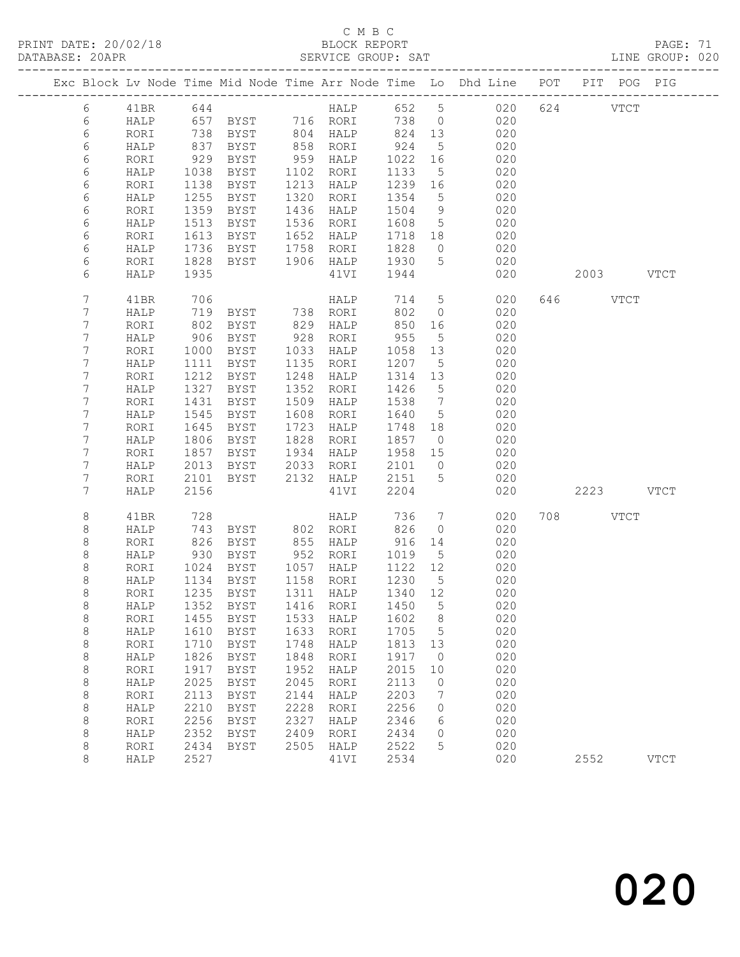PRINT DATE: 20/02/18 BLOCK REPORT<br>DATABASE: 20APR PAGE: 70APR

### C M B C<br>BLOCK REPORT

PAGE: 71<br>LINE GROUP: 020

|            |      |      | Exc Block Lv Node Time Mid Node Time Arr Node Time Lo Dhd Line POT PIT POG PIG |           |           |                  |                 |                |          |           |             |
|------------|------|------|--------------------------------------------------------------------------------|-----------|-----------|------------------|-----------------|----------------|----------|-----------|-------------|
| 6          | 41BR | 644  |                                                                                |           |           |                  |                 | HALP 652 5 020 | 624 VTCT |           |             |
| 6          | HALP |      | 657 BYST 716 RORI                                                              |           |           | 738              | $\overline{0}$  | 020            |          |           |             |
| $\epsilon$ | RORI |      |                                                                                |           | 804 HALP  | 824 13           |                 | 020            |          |           |             |
| 6          | HALP |      | 738 BYST<br>837 BYST                                                           |           | 858 RORI  | 924              | $5\overline{)}$ | 020            |          |           |             |
| 6          | RORI | 929  | BYST                                                                           |           | 959 HALP  | 1022             | 16              | 020            |          |           |             |
| 6          | HALP | 1038 | BYST                                                                           | 1102      | RORI      | 1133             | 5               | 020            |          |           |             |
| 6          | RORI | 1138 | BYST                                                                           |           | 1213 HALP | 1239             | 16              | 020            |          |           |             |
| 6          | HALP | 1255 | BYST                                                                           | 1320      | RORI      | 1354             | $5\overline{)}$ | 020            |          |           |             |
| 6          | RORI | 1359 | BYST                                                                           | 1436      | HALP      | 1504             | 9               | 020            |          |           |             |
| 6          | HALP | 1513 | BYST                                                                           | 1536      | RORI      | 1608             | $5\overline{)}$ | 020            |          |           |             |
| 6          | RORI | 1613 | BYST                                                                           | 1652      | HALP      | 1718 18          |                 | 020            |          |           |             |
| 6          | HALP | 1736 | BYST                                                                           |           | 1758 RORI | 1828             | $\overline{0}$  | 020            |          |           |             |
| 6          | RORI | 1828 | BYST                                                                           | 1906 HALP |           | 1930             | $5^{\circ}$     | 020            |          |           |             |
| 6          | HALP | 1935 |                                                                                |           | 41VI      | 1944             |                 | 020            |          | 2003 VTCT |             |
|            |      |      |                                                                                |           |           |                  |                 |                |          |           |             |
| 7          | 41BR | 706  |                                                                                |           | HALP      | 714              | 5 <sup>5</sup>  | 020            | 646 VTCT |           |             |
| 7          | HALP | 719  | BYST                                                                           |           | 738 RORI  | 802              | $\overline{0}$  | 020            |          |           |             |
| 7          | RORI | 802  | BYST                                                                           | 829       | HALP      | 850              | 16              | 020            |          |           |             |
| 7          | HALP | 906  | BYST                                                                           | 928       | RORI      | 955              | $5^{\circ}$     | 020            |          |           |             |
| 7          | RORI | 1000 | BYST                                                                           | 1033      | HALP      | 1058             | 13              | 020            |          |           |             |
| 7          | HALP | 1111 | BYST                                                                           | 1135      | RORI      | 1207             | $5\phantom{.0}$ | 020            |          |           |             |
| 7          | RORI | 1212 | BYST                                                                           | 1248      | HALP      | 1314 13          |                 | 020            |          |           |             |
| 7          | HALP | 1327 | BYST                                                                           | 1352      | RORI      | 1426             | 5               | 020            |          |           |             |
| 7          | RORI | 1431 | <b>BYST</b>                                                                    | 1509      | HALP      | 1538             | $\overline{7}$  | 020            |          |           |             |
| 7          | HALP | 1545 | BYST                                                                           | 1608      | RORI      | 1640             | $5\overline{)}$ | 020            |          |           |             |
| 7          | RORI | 1645 | BYST                                                                           | 1723      | HALP      | 1748             | 18              | 020            |          |           |             |
| 7          | HALP | 1806 | BYST                                                                           | 1828      | RORI      | 1857             | $\overline{0}$  | 020            |          |           |             |
| 7          | RORI | 1857 | BYST                                                                           | 1934      | HALP      | 1958             | 15              | 020            |          |           |             |
| 7          | HALP | 2013 | BYST                                                                           | 2033      | RORI      | 2101             | $\overline{0}$  | 020            |          |           |             |
| 7          | RORI | 2101 | BYST                                                                           |           | 2132 HALP | 2151             | $5^{\circ}$     | 020            |          |           |             |
| 7          | HALP | 2156 |                                                                                |           | 41VI      | 2204             |                 | 020            |          | 2223 VTCT |             |
| 8          | 41BR | 728  |                                                                                |           | HALP      | 736              | $\overline{7}$  | 020            | 708 VTCT |           |             |
| 8          | HALP | 743  | BYST                                                                           |           | 802 RORI  | 826              | $\circ$         | 020            |          |           |             |
| 8          | RORI | 826  | BYST                                                                           |           | 855 HALP  | 916              | 14              | 020            |          |           |             |
| 8          | HALP | 930  | BYST                                                                           |           | 952 RORI  | 1019             | $5^{\circ}$     | 020            |          |           |             |
| 8          | RORI | 1024 | BYST                                                                           |           | 1057 HALP | 1122 12          |                 | 020            |          |           |             |
| 8          | HALP | 1134 | BYST                                                                           | 1158 RORI |           | 1230             | $5\overline{)}$ | 020            |          |           |             |
| 8          | RORI | 1235 | BYST                                                                           |           | 1311 HALP | 1340 12          |                 | 020            |          |           |             |
| 8          | HALP |      | 1352 BYST                                                                      |           |           | 1416 RORI 1450 5 |                 | 020            |          |           |             |
| 8          | RORI | 1455 | <b>BYST</b>                                                                    | 1533      | HALP      | 1602             | 8               | 020            |          |           |             |
| 8          | HALP | 1610 | <b>BYST</b>                                                                    | 1633      | RORI      | 1705             | 5               | 020            |          |           |             |
| $\,8\,$    | RORI | 1710 | <b>BYST</b>                                                                    | 1748      | HALP      | 1813             | 13              | 020            |          |           |             |
| $\,8\,$    | HALP | 1826 | <b>BYST</b>                                                                    | 1848      | RORI      | 1917             | $\circ$         | 020            |          |           |             |
| $\,8\,$    | RORI | 1917 | <b>BYST</b>                                                                    | 1952      | HALP      | 2015             | 10              | 020            |          |           |             |
| $\,8\,$    | HALP | 2025 | <b>BYST</b>                                                                    | 2045      | RORI      | 2113             | 0               | 020            |          |           |             |
| 8          | RORI | 2113 | <b>BYST</b>                                                                    | 2144      | HALP      | 2203             | 7               | 020            |          |           |             |
| 8          | HALP | 2210 | <b>BYST</b>                                                                    | 2228      | RORI      | 2256             | 0               | 020            |          |           |             |
| $\,8\,$    | RORI | 2256 | <b>BYST</b>                                                                    | 2327      | HALP      | 2346             | 6               | 020            |          |           |             |
| 8          | HALP | 2352 | <b>BYST</b>                                                                    | 2409      | RORI      | 2434             | 0               | 020            |          |           |             |
| 8          | RORI | 2434 | <b>BYST</b>                                                                    | 2505      | HALP      | 2522             | 5               | 020            |          |           |             |
| 8          | HALP | 2527 |                                                                                |           | 41VI      | 2534             |                 | 020            | 2552     |           | <b>VTCT</b> |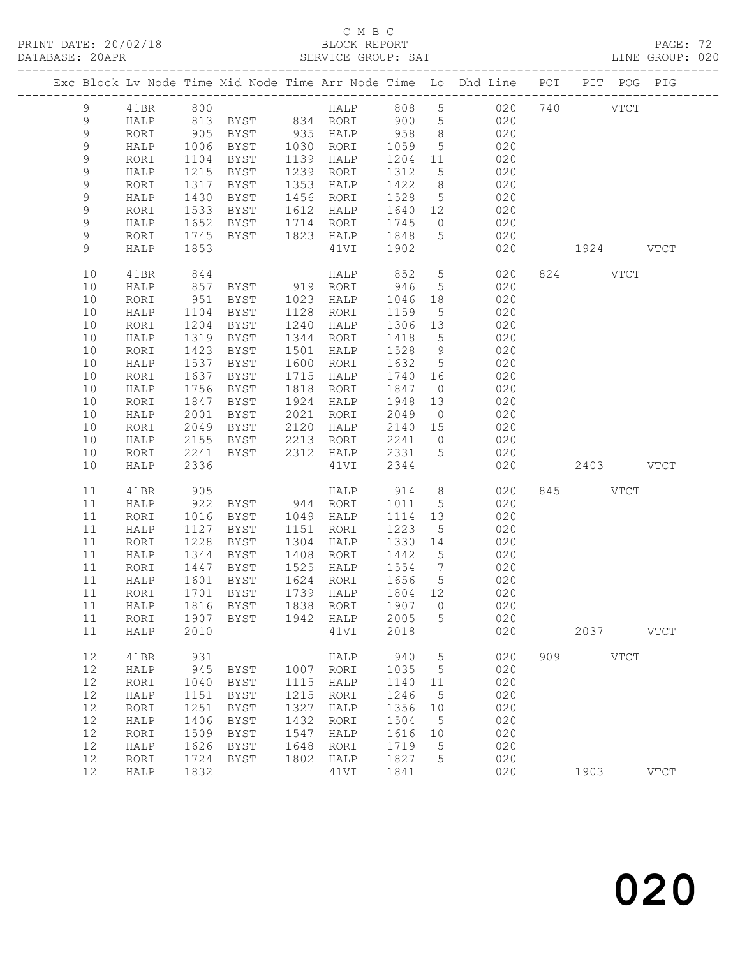PRINT DATE: 20/02/18 BLOCK REPORT BATABASE: 20APR BLOCK REPORT

### C M B C<br>BLOCK REPORT

PAGE: 72<br>LINE GROUP: 020

|             |      |      |                                    |      |                   |         |                 | Exc Block Lv Node Time Mid Node Time Arr Node Time Lo Dhd Line POT PIT POG PIG |     |             |             |             |
|-------------|------|------|------------------------------------|------|-------------------|---------|-----------------|--------------------------------------------------------------------------------|-----|-------------|-------------|-------------|
| 9           | 41BR | 800  |                                    |      |                   |         |                 | HALP 808 5 020                                                                 |     | 740         | <b>VTCT</b> |             |
| 9           | HALP |      |                                    |      |                   |         |                 | 020                                                                            |     |             |             |             |
| $\mathsf 9$ | RORI |      |                                    |      |                   |         |                 | 020                                                                            |     |             |             |             |
| 9           | HALP | 1006 | BYST 1030 RORI                     |      |                   | 1059    | $5\overline{)}$ | 020                                                                            |     |             |             |             |
| 9           | RORI | 1104 | BYST                               |      | 1139 HALP 1204 11 |         |                 | 020                                                                            |     |             |             |             |
| 9           | HALP | 1215 | BYST                               |      | 1239 RORI         | 1312    | 5 <sup>5</sup>  | 020                                                                            |     |             |             |             |
| $\mathsf 9$ | RORI | 1317 | BYST                               |      | 1353 HALP         | 1422    | 8 <sup>8</sup>  | 020                                                                            |     |             |             |             |
| 9           | HALP | 1430 | BYST                               |      | 1456 RORI         | 1528    | $5\overline{)}$ | 020                                                                            |     |             |             |             |
| $\mathsf 9$ | RORI | 1533 | BYST                               |      | 1612 HALP         |         |                 | 1640 12 020                                                                    |     |             |             |             |
| 9           | HALP | 1652 | BYST                               |      | 1714 RORI         | 1745    | $\overline{0}$  | 020                                                                            |     |             |             |             |
| $\mathsf 9$ | RORI | 1745 | BYST 1823 HALP                     |      |                   | 1848    | 5 <sup>5</sup>  | 020                                                                            |     |             |             |             |
| 9           | HALP | 1853 |                                    |      | 41VI              | 1902    |                 | 020                                                                            |     | 1924 VTCT   |             |             |
| 10          | 41BR | 844  |                                    |      | HALP              | 852     | $5\overline{)}$ | 020                                                                            |     | 824 VTCT    |             |             |
| 10          | HALP | 857  | BYST 919 RORI                      |      |                   | 946     | 5 <sup>5</sup>  | 020                                                                            |     |             |             |             |
| 10          | RORI | 951  | BYST                               |      | 1023 HALP         | 1046    | 18              | 020                                                                            |     |             |             |             |
| 10          | HALP | 1104 | BYST                               |      | 1128 RORI         | 1159    | $5\overline{)}$ | 020                                                                            |     |             |             |             |
| 10          | RORI | 1204 | BYST                               | 1240 | HALP              | 1306 13 |                 | 020                                                                            |     |             |             |             |
| 10          | HALP | 1319 | BYST                               |      | 1344 RORI         | 1418    | $5\overline{)}$ | 020                                                                            |     |             |             |             |
| 10          | RORI | 1423 | BYST                               | 1501 | HALP              | 1528    | 9               | 020                                                                            |     |             |             |             |
| 10          | HALP | 1537 | BYST                               |      | 1600 RORI         | 1632 5  |                 | 020                                                                            |     |             |             |             |
| 10          | RORI | 1637 | BYST                               | 1715 | HALP              | 1740    | 16              | 020                                                                            |     |             |             |             |
| 10          | HALP | 1756 | BYST                               |      | 1818 RORI         | 1847    | $\overline{0}$  | 020                                                                            |     |             |             |             |
| 10          | RORI | 1847 | BYST                               |      | 1924 HALP         | 1948    | 13              | 020                                                                            |     |             |             |             |
| 10          | HALP | 2001 | BYST                               |      | 2021 RORI         | 2049    | $\overline{0}$  | 020                                                                            |     |             |             |             |
| 10          | RORI | 2049 | BYST                               |      | 2120 HALP         | 2140 15 |                 | 020                                                                            |     |             |             |             |
| 10          | HALP | 2155 | BYST                               |      |                   | 2241 0  |                 | 020                                                                            |     |             |             |             |
| 10          | RORI | 2241 | BYST                               |      |                   |         |                 | 020                                                                            |     |             |             |             |
| 10          | HALP | 2336 |                                    |      | 41VI              | 2344    |                 | 020                                                                            |     | 2403 VTCT   |             |             |
| 11          | 41BR | 905  |                                    |      | HALP              | 914     | 8 <sup>8</sup>  | 020                                                                            |     | 845 VTCT    |             |             |
| 11          | HALP | 922  | BYST 944 RORI                      |      |                   | 1011    | $5\overline{)}$ | 020                                                                            |     |             |             |             |
| 11          | RORI | 1016 | BYST                               |      | 1049 HALP         | 1114 13 |                 | 020                                                                            |     |             |             |             |
| 11          | HALP | 1127 | BYST                               |      | 1151 RORI         | 1223    | $5^{\circ}$     | 020                                                                            |     |             |             |             |
| 11          | RORI | 1228 | BYST                               |      | 1304 HALP         | 1330 14 |                 | 020                                                                            |     |             |             |             |
| 11          | HALP | 1344 | BYST                               |      | 1408 RORI         | 1442 5  |                 | 020                                                                            |     |             |             |             |
| 11          | RORI | 1447 | BYST                               |      | 1525 HALP 1554 7  |         |                 | 020                                                                            |     |             |             |             |
| 11          | HALP |      | 1601 BYST                          |      | 1624 RORI         | 1656 5  |                 | 020                                                                            |     |             |             |             |
| 11          | RORI |      | 1701 BYST                          |      | 1739 HALP         | 1804 12 |                 | 020                                                                            |     |             |             |             |
|             |      |      | 11 HALP 1816 BYST 1838 RORI 1907 0 |      |                   |         |                 | 020                                                                            |     |             |             |             |
| 11          | RORI | 1907 | BYST                               | 1942 | HALP              | 2005    | 5               | 020                                                                            |     |             |             |             |
| 11          | HALP | 2010 |                                    |      | 41VI              | 2018    |                 | 020                                                                            |     | 2037        |             | VTCT        |
| 12          |      | 931  |                                    |      | HALP              |         | $\overline{5}$  | 020                                                                            | 909 | <b>VTCT</b> |             |             |
| 12          | 41BR | 945  |                                    | 1007 |                   | 940     |                 | 020                                                                            |     |             |             |             |
| 12          | HALP |      | <b>BYST</b>                        |      | RORI              | 1035    | 5               | 020                                                                            |     |             |             |             |
|             | RORI | 1040 | BYST                               | 1115 | HALP              | 1140    | 11              |                                                                                |     |             |             |             |
| 12<br>12    | HALP | 1151 | BYST                               | 1215 | RORI              | 1246    | 5               | 020                                                                            |     |             |             |             |
|             | RORI | 1251 | BYST                               | 1327 | HALP              | 1356    | 10              | 020                                                                            |     |             |             |             |
| 12          | HALP | 1406 | BYST                               | 1432 | RORI              | 1504    | 5               | 020                                                                            |     |             |             |             |
| 12          | RORI | 1509 | BYST                               | 1547 | HALP              | 1616    | 10              | 020                                                                            |     |             |             |             |
| 12          | HALP | 1626 | BYST                               | 1648 | RORI              | 1719    | 5               | 020                                                                            |     |             |             |             |
| 12          | RORI | 1724 | BYST                               | 1802 | HALP              | 1827    | 5               | 020                                                                            |     |             |             |             |
| 12          | HALP | 1832 |                                    |      | 41VI              | 1841    |                 | 020                                                                            |     | 1903        |             | <b>VTCT</b> |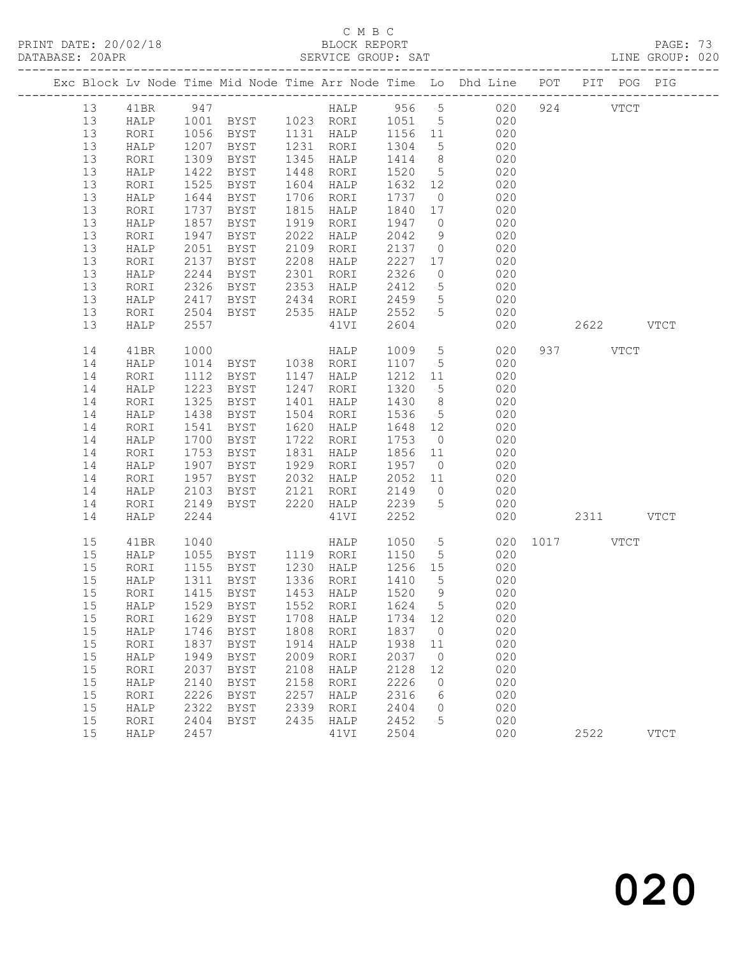PRINT DATE: 20/02/18 BLOCK REPORT<br>
DATABASE: 20APR<br>
SERVICE GROUP: SAT

### C M B C<br>BLOCK REPORT

PAGE: 73<br>LINE GROUP: 020

|  |    |      |              |             |      |           |               |                 | Exc Block Lv Node Time Mid Node Time Arr Node Time Lo Dhd Line POT PIT POG PIG |      |           |             |             |
|--|----|------|--------------|-------------|------|-----------|---------------|-----------------|--------------------------------------------------------------------------------|------|-----------|-------------|-------------|
|  | 13 | 41BR | 947          |             |      |           |               |                 | HALP 956 5 020                                                                 |      | 924 VTCT  |             |             |
|  | 13 | HALP |              |             |      |           |               |                 | 1001 BYST 1023 RORI 1051 5 020                                                 |      |           |             |             |
|  | 13 | RORI |              | BYST        |      | 1131 HALP | 1156 11       |                 | 020                                                                            |      |           |             |             |
|  | 13 | HALP | 1056<br>1207 | BYST        |      | 1231 RORI | $112$<br>1304 | $5\overline{)}$ | 020                                                                            |      |           |             |             |
|  | 13 | RORI | 1309         | BYST        | 1345 | HALP      | 1414          | 8 <sup>8</sup>  | 020                                                                            |      |           |             |             |
|  | 13 | HALP | 1422         | BYST        | 1448 | RORI      | 1520          | $5\overline{)}$ | 020                                                                            |      |           |             |             |
|  | 13 | RORI | 1525         | BYST        | 1604 | HALP      | 1632 12       |                 | 020                                                                            |      |           |             |             |
|  | 13 | HALP | 1644         | BYST        |      | 1706 RORI | 1737          | $\overline{0}$  | 020                                                                            |      |           |             |             |
|  | 13 | RORI | 1737         | BYST        | 1815 | HALP      | 1840          | 17              | 020                                                                            |      |           |             |             |
|  | 13 | HALP | 1857         | <b>BYST</b> | 1919 | RORI      | 1947          | $\overline{0}$  | 020                                                                            |      |           |             |             |
|  | 13 | RORI | 1947         | BYST        | 2022 | HALP      | 2042          | 9               | 020                                                                            |      |           |             |             |
|  | 13 | HALP | 2051         | BYST        | 2109 | RORI      | 2137          | $\overline{0}$  | 020                                                                            |      |           |             |             |
|  | 13 | RORI | 2137         | BYST        | 2208 | HALP      | 2227          | 17              | 020                                                                            |      |           |             |             |
|  | 13 | HALP | 2244         | BYST        | 2301 | RORI      | 2326          | $\overline{0}$  | 020                                                                            |      |           |             |             |
|  | 13 | RORI | 2326         | BYST        | 2353 | HALP      | 2412          | $5\overline{)}$ | 020                                                                            |      |           |             |             |
|  | 13 | HALP | 2417         | BYST        | 2434 | RORI      | 2459          | $5\overline{)}$ | 020                                                                            |      |           |             |             |
|  | 13 | RORI | 2504         | BYST        |      | 2535 HALP | 2552          | $5\overline{)}$ | 020                                                                            |      |           |             |             |
|  | 13 | HALP | 2557         |             |      | 41VI      | 2604          |                 | 020                                                                            |      | 2622 VTCT |             |             |
|  | 14 | 41BR | 1000         |             |      | HALP      | 1009 5        |                 | 020                                                                            |      | 937 VTCT  |             |             |
|  | 14 | HALP | 1014         | BYST<br>F   |      | 1038 RORI | 1107          | $5\overline{)}$ | 020                                                                            |      |           |             |             |
|  | 14 | RORI | 1112         | BYST        |      | 1147 HALP | 1212 11       |                 | 020                                                                            |      |           |             |             |
|  | 14 | HALP | 1223         | BYST        | 1247 | RORI      | 1320          | 5 <sup>5</sup>  | 020                                                                            |      |           |             |             |
|  | 14 | RORI | 1325         | <b>BYST</b> | 1401 | HALP      | 1430          | 8 <sup>8</sup>  | 020                                                                            |      |           |             |             |
|  | 14 | HALP | 1438         | BYST        | 1504 | RORI      | 1536          | $5\overline{)}$ | 020                                                                            |      |           |             |             |
|  | 14 | RORI | 1541         | BYST        | 1620 | HALP      | 1648          | 12              | 020                                                                            |      |           |             |             |
|  | 14 | HALP | 1700         | BYST        | 1722 | RORI      | 1753          | $\overline{0}$  | 020                                                                            |      |           |             |             |
|  | 14 | RORI | 1753         | BYST        | 1831 | HALP      | 1856          | 11              | 020                                                                            |      |           |             |             |
|  | 14 | HALP | 1907         | BYST        |      | 1929 RORI | 1957 0        |                 | 020                                                                            |      |           |             |             |
|  | 14 | RORI | 1957         | BYST        | 2032 | HALP      | 2052          | 11              | 020                                                                            |      |           |             |             |
|  | 14 | HALP | 2103         | BYST        | 2121 | RORI      | 2149          | $\overline{0}$  | 020                                                                            |      |           |             |             |
|  | 14 | RORI | 2149         | BYST        | 2220 | HALP      | 2239          | $5^{\circ}$     | 020                                                                            |      |           |             |             |
|  | 14 | HALP | 2244         |             |      | 41VI      | 2252          |                 | 020                                                                            |      | 2311 VTCT |             |             |
|  | 15 | 41BR | 1040         |             |      | HALP      | 1050          | 5 <sup>5</sup>  | 020                                                                            | 1017 |           | <b>VTCT</b> |             |
|  | 15 | HALP | 1055         | BYST        |      | 1119 RORI | 1150          | $5\overline{)}$ | 020                                                                            |      |           |             |             |
|  | 15 | RORI | 1155         | BYST        |      | 1230 HALP | 1256 15       |                 | 020                                                                            |      |           |             |             |
|  | 15 | HALP | 1311         | BYST        |      | 1336 RORI | 1410          | $5\overline{)}$ | 020                                                                            |      |           |             |             |
|  | 15 | RORI |              | 1415 BYST   |      | 1453 HALP | 1520 9        |                 | 020                                                                            |      |           |             |             |
|  | 15 | HALP | 1529         | BYST        | 1552 | RORI      | 1624 5        |                 | 020                                                                            |      |           |             |             |
|  | 15 | RORI | 1629         | <b>BYST</b> | 1708 | HALP      | 1734          | 12              | 020                                                                            |      |           |             |             |
|  | 15 | HALP | 1746         | <b>BYST</b> | 1808 | RORI      | 1837          | $\mathbf{0}$    | 020                                                                            |      |           |             |             |
|  | 15 | RORI | 1837         | <b>BYST</b> | 1914 | HALP      | 1938          | 11              | 020                                                                            |      |           |             |             |
|  | 15 | HALP | 1949         | <b>BYST</b> | 2009 | RORI      | 2037          | $\circ$         | 020                                                                            |      |           |             |             |
|  | 15 | RORI | 2037         | <b>BYST</b> | 2108 | HALP      | 2128          | 12              | 020                                                                            |      |           |             |             |
|  | 15 | HALP | 2140         | <b>BYST</b> | 2158 | RORI      | 2226          | $\circ$         | 020                                                                            |      |           |             |             |
|  | 15 | RORI | 2226         | <b>BYST</b> | 2257 | HALP      | 2316          | 6               | 020                                                                            |      |           |             |             |
|  | 15 | HALP | 2322         | <b>BYST</b> | 2339 | RORI      | 2404          | 0               | 020                                                                            |      |           |             |             |
|  | 15 | RORI | 2404         | <b>BYST</b> | 2435 | HALP      | 2452          | 5               | 020                                                                            |      |           |             |             |
|  | 15 | HALP | 2457         |             |      | 41VI      | 2504          |                 | 020                                                                            |      | 2522      |             | <b>VTCT</b> |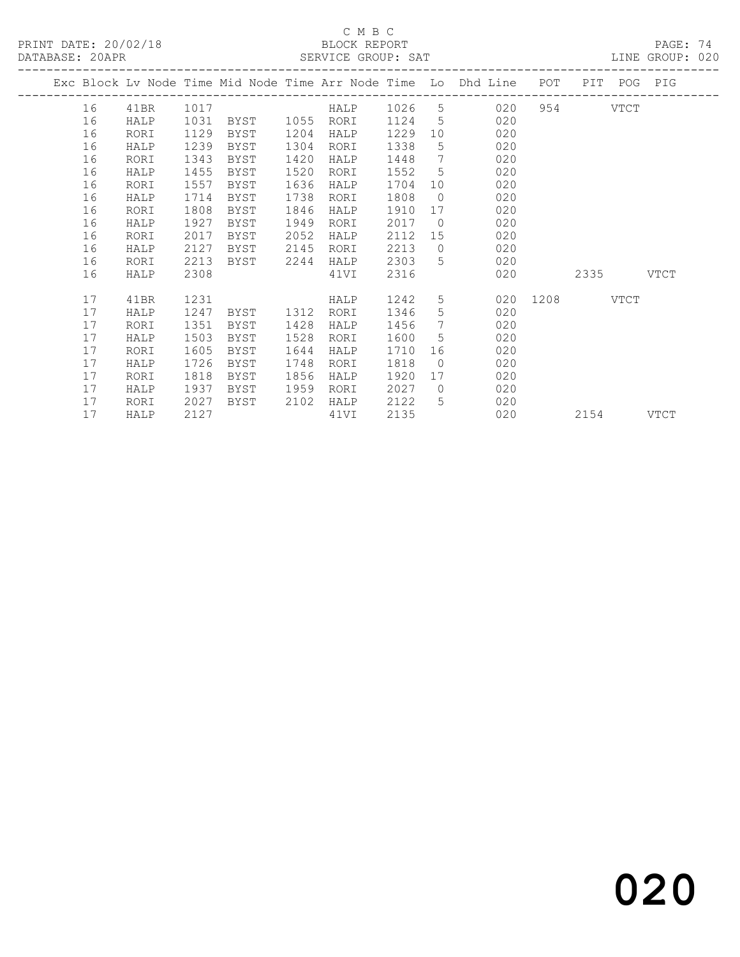PRINT DATE: 20/02/18 BLOCK REPORT BATABASE: 20APR

### C M B C<br>BLOCK REPORT

PAGE: 74<br>LINE GROUP: 020

| 16 | 41BR     | 1017 |                                      |      |              |              |                              |                                                   |            |                                                                       |                  |                                              |
|----|----------|------|--------------------------------------|------|--------------|--------------|------------------------------|---------------------------------------------------|------------|-----------------------------------------------------------------------|------------------|----------------------------------------------|
| 16 | HALP     | 1031 | BYST                                 |      | RORI         | 1124         |                              | 020                                               |            |                                                                       |                  |                                              |
| 16 | RORI     | 1129 | BYST                                 |      | HALP         | 1229         | 10                           | 020                                               |            |                                                                       |                  |                                              |
| 16 | HALP     | 1239 | BYST                                 | 1304 | RORI         | 1338         | 5                            | 020                                               |            |                                                                       |                  |                                              |
| 16 | RORI     | 1343 | BYST                                 | 1420 | HALP         | 1448         | $7\overline{ }$              | 020                                               |            |                                                                       |                  |                                              |
| 16 | HALP     | 1455 | BYST                                 | 1520 | RORI         | 1552         | $5^{\circ}$                  | 020                                               |            |                                                                       |                  |                                              |
| 16 | RORI     |      | BYST                                 |      | HALP         | 1704         | 10                           | 020                                               |            |                                                                       |                  |                                              |
| 16 | HALP     | 1714 | BYST                                 | 1738 | RORI         | 1808         | $\circ$                      | 020                                               |            |                                                                       |                  |                                              |
|    | RORI     |      | BYST                                 | 1846 | HALP         | 1910         | 17                           | 020                                               |            |                                                                       |                  |                                              |
| 16 | HALP     | 1927 | BYST                                 | 1949 | RORI         | 2017         | $\overline{0}$               | 020                                               |            |                                                                       |                  |                                              |
|    | RORI     |      | BYST                                 |      | HALP         |              | 15                           |                                                   |            |                                                                       |                  |                                              |
| 16 | HALP     |      | BYST                                 | 2145 | RORI         |              | $\overline{0}$               | 020                                               |            |                                                                       |                  |                                              |
| 16 | RORI     | 2213 | BYST                                 | 2244 | HALP         | 2303         | 5                            | 020                                               |            |                                                                       |                  |                                              |
| 16 | HALP     | 2308 |                                      |      | 41VI         | 2316         |                              | 020                                               |            |                                                                       |                  | <b>VTCT</b>                                  |
| 17 | 41BR     | 1231 |                                      |      | HALP         | 1242         | 5                            |                                                   |            |                                                                       |                  |                                              |
| 17 | HALP     | 1247 | BYST                                 | 1312 | RORI         | 1346         | 5                            | 020                                               |            |                                                                       |                  |                                              |
| 17 | RORI     | 1351 | BYST                                 | 1428 | HALP         | 1456         |                              | 020                                               |            |                                                                       |                  |                                              |
| 17 | HALP     | 1503 | BYST                                 | 1528 | RORI         | 1600         | 5                            | 020                                               |            |                                                                       |                  |                                              |
| 17 | RORI     | 1605 | BYST                                 | 1644 | HALP         | 1710         | 16                           | 020                                               |            |                                                                       |                  |                                              |
| 17 | HALP     |      | BYST                                 | 1748 | RORI         |              | $\overline{0}$               |                                                   |            |                                                                       |                  |                                              |
| 17 | RORI     | 1818 | BYST                                 | 1856 | HALP         | 1920         | 17                           | 020                                               |            |                                                                       |                  |                                              |
| 17 | HALP     | 1937 | BYST                                 | 1959 | RORI         |              | $\circ$                      | 020                                               |            |                                                                       |                  |                                              |
| 17 | RORI     | 2027 | BYST                                 | 2102 | HALP         | 2122         | 5                            | 020                                               |            |                                                                       |                  |                                              |
| 17 | HALP     | 2127 |                                      |      | 41VI         | 2135         |                              | 020                                               |            | 2154                                                                  |                  | VTCT                                         |
|    | 16<br>16 |      | 1557<br>1808<br>2017<br>2127<br>1726 |      | 1636<br>2052 | 1055<br>1204 | 2112<br>2213<br>1818<br>2027 | HALP 1026 5<br>$5\overline{)}$<br>$7\phantom{.0}$ | 020<br>020 | Exc Block Lv Node Time Mid Node Time Arr Node Time Lo Dhd Line<br>020 | POT<br>954 — 100 | PIT POG PIG<br>VTCT<br>2335<br>020 1208 VTCT |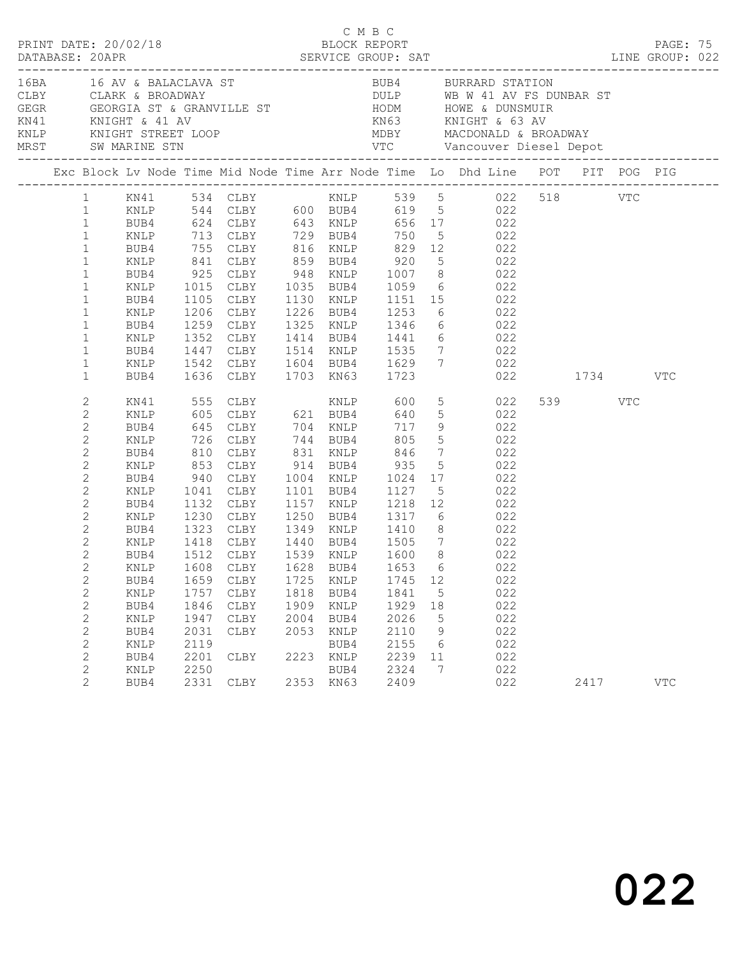| MRST SW MARINE STN<br>Exc Block Lv Node Time Mid Node Time Arr Node Time Lo Dhd Line POT PIT POG PIG<br>1 ENLP 544 CLBY 600 BUB4 619 5 022<br>1 BUB4 624 CLBY 643 KNLP 656 17 022<br>1 ENLP 713 CLBY 729 BUB4 750 5 022<br>1 BUB4 755 CLBY 816 KNLP 829 12 022<br>RNLP 841 CLBY 859 BUB4 920 5 022<br>BUB4 925 CLBY 948 KNLP 1007 8 022<br>RNLP 1015 CLBY 1035 BUB4 1059 6 022<br>$\mathbf{1}$<br>$\mathbf{1}$<br>$\mathbf{1}$<br>1105 CLBY 1130 KNLP 1151 15 022<br>$\mathbf{1}$<br>BUB4<br>1206 CLBY 1226 BUB4 1253<br>$\mathbf{1}$<br>6 022<br>KNLP<br>1259 CLBY 1325 KNLP 1346 6 022<br>1352 CLBY 1414 BUB4 1441 6 022<br>1447 CLBY 1514 KNLP 1535 7 022<br>$\mathbf{1}$<br>BUB4<br>$\mathbf{1}$<br>KNLP<br>$\mathbf{1}$<br>BUB4<br>KNLP 1542 CLBY 1604 BUB4 1629 7 022<br>$\mathbf{1}$<br>1636 CLBY 1703 KN63 1723<br>022 1734<br>$\mathbf{1}$<br>BUB4<br>VTC<br>2<br>539 VTC<br>KN41<br>605 CLBY 621 BUB4 640<br>5 022<br>$\overline{c}$<br>KNLP<br>645 CLBY 704 KNLP 717<br>726 CLBY 744 BUB4 805<br>810 CLBY 831 KNLP 846<br>$\begin{array}{ccc} 9 & & 022 \\ 5 & & 022 \\ 7 & & 022 \end{array}$<br>2<br>BUB4<br>$\mathbf{2}$<br>KNLP<br>2<br>BUB4<br>853 CLBY 914 BUB4 935<br>5 022<br>$\mathbf{2}$<br>KNLP<br>2<br>940 CLBY 1004 KNLP 1024 17 022<br>1041 CLBY 1101 BUB4 1127 5 022<br>1132 CLBY 1157 KNLP 1218 12 022<br>BUB4<br>$\mathbf{2}$<br>KNLP<br>$\mathbf{2}$<br>BUB4<br>1230 CLBY 1250 BUB4 1317 6 022<br>$\mathbf{2}$<br>KNLP<br>1323 CLBY 1349 KNLP 1410 8 022<br>2<br>BUB4<br>$\mathbf{2}$<br>1418 CLBY 1440 BUB4 1505 7 022<br>1512 CLBY 1539 KNLP 1600 8 022<br>KNLP<br>$\overline{c}$<br>BUB4<br>$\overline{2}$<br>KNLP 1608 CLBY 1628 BUB4 1653 6 022<br>2<br>1725 KNLP<br>1745 12<br>022<br>BUB4<br>1659 CLBY<br>$\overline{c}$<br>1818 BUB4<br>$5\overline{)}$<br>022<br>1757<br>1841<br>KNLP<br>CLBY<br>$\mathbf{2}$<br>1909<br>022<br>1846<br>1929<br>BUB4<br>CLBY<br>KNLP<br>18<br>022<br>$\mathbf{2}$<br>2004<br>2026<br>KNLP<br>1947<br>CLBY<br>BUB4<br>$5^{\circ}$<br>2<br>022<br>BUB4<br>2031<br>CLBY<br>2053<br>2110<br>9<br>KNLP<br>$\sqrt{2}$<br>2119<br>022<br>2155<br>$6\overline{6}$<br>KNLP<br>BUB4<br>$\mathbf{2}$<br>2223 KNLP<br>2239<br>022<br>BUB4<br>2201<br>CLBY<br>11 |  | PRINT DATE: 20/02/18 |  | C M B C<br>BLOCK REPORT |  |  |  | PAGE: 75 |  |
|---------------------------------------------------------------------------------------------------------------------------------------------------------------------------------------------------------------------------------------------------------------------------------------------------------------------------------------------------------------------------------------------------------------------------------------------------------------------------------------------------------------------------------------------------------------------------------------------------------------------------------------------------------------------------------------------------------------------------------------------------------------------------------------------------------------------------------------------------------------------------------------------------------------------------------------------------------------------------------------------------------------------------------------------------------------------------------------------------------------------------------------------------------------------------------------------------------------------------------------------------------------------------------------------------------------------------------------------------------------------------------------------------------------------------------------------------------------------------------------------------------------------------------------------------------------------------------------------------------------------------------------------------------------------------------------------------------------------------------------------------------------------------------------------------------------------------------------------------------------------------------------------------------------------------------------------------------------------------------------------------------------------------------------------------------------------------------------------------------------------------------------------------------------------------------------------------------------------------|--|----------------------|--|-------------------------|--|--|--|----------|--|
|                                                                                                                                                                                                                                                                                                                                                                                                                                                                                                                                                                                                                                                                                                                                                                                                                                                                                                                                                                                                                                                                                                                                                                                                                                                                                                                                                                                                                                                                                                                                                                                                                                                                                                                                                                                                                                                                                                                                                                                                                                                                                                                                                                                                                           |  |                      |  |                         |  |  |  |          |  |
|                                                                                                                                                                                                                                                                                                                                                                                                                                                                                                                                                                                                                                                                                                                                                                                                                                                                                                                                                                                                                                                                                                                                                                                                                                                                                                                                                                                                                                                                                                                                                                                                                                                                                                                                                                                                                                                                                                                                                                                                                                                                                                                                                                                                                           |  |                      |  |                         |  |  |  |          |  |
|                                                                                                                                                                                                                                                                                                                                                                                                                                                                                                                                                                                                                                                                                                                                                                                                                                                                                                                                                                                                                                                                                                                                                                                                                                                                                                                                                                                                                                                                                                                                                                                                                                                                                                                                                                                                                                                                                                                                                                                                                                                                                                                                                                                                                           |  |                      |  |                         |  |  |  |          |  |
|                                                                                                                                                                                                                                                                                                                                                                                                                                                                                                                                                                                                                                                                                                                                                                                                                                                                                                                                                                                                                                                                                                                                                                                                                                                                                                                                                                                                                                                                                                                                                                                                                                                                                                                                                                                                                                                                                                                                                                                                                                                                                                                                                                                                                           |  |                      |  |                         |  |  |  |          |  |
| 2<br>022<br>2250<br>BUB4<br>2324<br>7<br>KNLP<br>$\overline{2}$<br>2331 CLBY<br>2353 KN63<br>2409<br>022<br>$_{\rm VTC}$<br>BUB4<br>2417                                                                                                                                                                                                                                                                                                                                                                                                                                                                                                                                                                                                                                                                                                                                                                                                                                                                                                                                                                                                                                                                                                                                                                                                                                                                                                                                                                                                                                                                                                                                                                                                                                                                                                                                                                                                                                                                                                                                                                                                                                                                                  |  |                      |  |                         |  |  |  |          |  |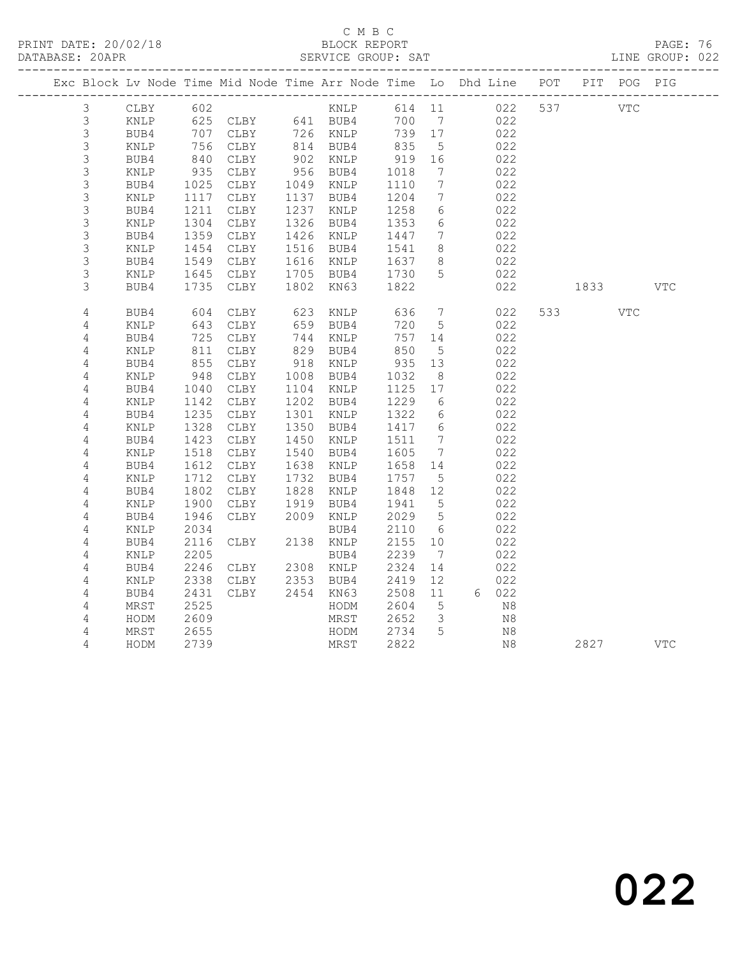### C M B C

DATABASE: 20APR SERVICE GROUP: SAT LINE GROUP: 022

|                            | Exc Block Lv Node Time Mid Node Time Arr Node Time Lo Dhd Line POT PIT POG PIG |                 |                                        |      |                        |              |                              |              |            |                                                                                                       |            |            |  |
|----------------------------|--------------------------------------------------------------------------------|-----------------|----------------------------------------|------|------------------------|--------------|------------------------------|--------------|------------|-------------------------------------------------------------------------------------------------------|------------|------------|--|
|                            |                                                                                |                 |                                        |      |                        |              |                              |              |            |                                                                                                       |            |            |  |
| 3                          | CLBY                                                                           | 602             |                                        |      | KNLP                   | 614 11       |                              |              | 537<br>022 | VTC                                                                                                   |            |            |  |
| $\mathfrak{Z}$             | KNLP                                                                           |                 | 625 CLBY 641 BUB4<br>707 CLBY 726 KNLP |      |                        | 700          | $\overline{7}$               | 022          |            |                                                                                                       |            |            |  |
| 3                          | BUB4                                                                           |                 |                                        |      |                        | 739 17       |                              | 022          |            |                                                                                                       |            |            |  |
| $\mathsf 3$                | KNLP                                                                           |                 | CLBY                                   |      | 814 BUB4               | 835          | 5                            | 022          |            |                                                                                                       |            |            |  |
| $\mathsf 3$                | BUB4                                                                           | $\frac{1}{840}$ | CLBY                                   |      | 902 KNLP               | 919          | 16                           | 022          |            |                                                                                                       |            |            |  |
| 3                          | KNLP                                                                           | 935             | CLBY                                   |      | 956 BUB4               | 1018         | $\overline{7}$               | 022          |            |                                                                                                       |            |            |  |
| $\mathsf S$                | BUB4                                                                           | 1025            | CLBY                                   |      | 1049 KNLP              | 1110         | $7\phantom{.0}\phantom{.0}7$ | 022          |            |                                                                                                       |            |            |  |
| 3                          | $\texttt{KNLP}$                                                                | 1117            | CLBY                                   |      | 1137 BUB4              | 1204         | $7\overline{ }$              | 022          |            |                                                                                                       |            |            |  |
| $\mathsf S$                | BUB4                                                                           | 1211            | CLBY                                   |      | 1237 KNLP              | 1258         | 6                            | 022          |            |                                                                                                       |            |            |  |
| $\mathsf 3$                | $\texttt{KNLP}$                                                                | 1304            | CLBY                                   |      | 1326 BUB4              | 1353         | $6\phantom{.}6$              | 022          |            |                                                                                                       |            |            |  |
| 3                          | BUB4                                                                           | 1359            | CLBY                                   |      | 1426 KNLP              | 1447         | 7                            | 022          |            |                                                                                                       |            |            |  |
| $\mathsf S$<br>$\mathsf S$ | KNLP                                                                           | 1454<br>1549    | CLBY                                   |      | 1516 BUB4<br>1616 KNLP | 1541         | 8                            | 022<br>022   |            |                                                                                                       |            |            |  |
| 3                          | BUB4                                                                           |                 | CLBY<br>CLBY                           |      | 1705 BUB4              | 1637<br>1730 | 8 <sup>8</sup><br>5          | 022          |            |                                                                                                       |            |            |  |
| 3                          | KNLP<br>BUB4                                                                   | 1645<br>1735    | CLBY                                   |      | 1802 KN63              | 1822         |                              | 022          |            |                                                                                                       |            | <b>VTC</b> |  |
|                            |                                                                                |                 |                                        |      |                        |              |                              |              |            | 1833 — 1833 — 1849 — 1849 — 1849 — 1859 — 1859 — 1859 — 1859 — 1859 — 1859 — 1859 — 1859 — 1859 — 185 |            |            |  |
| $\overline{4}$             | BUB4                                                                           | 604             | CLBY                                   | 623  | KNLP                   | 636          | $7\phantom{.0}$              | 022          |            | 533 7                                                                                                 | <b>VTC</b> |            |  |
| $\overline{4}$             | $\texttt{KNLP}$                                                                | 643             | CLBY                                   | 659  | BUB4                   | 720          | 5                            | 022          |            |                                                                                                       |            |            |  |
| 4                          | BUB4                                                                           | 725             | CLBY                                   |      | 744 KNLP               | 757          | 14                           | 022          |            |                                                                                                       |            |            |  |
| $\sqrt{4}$                 | KNLP                                                                           | 811             | CLBY                                   |      | 829 BUB4               | 850          | $-5$                         | 022          |            |                                                                                                       |            |            |  |
| 4                          | BUB4                                                                           | 855             | CLBY                                   |      | 918 KNLP               | 935          | 13                           | 022          |            |                                                                                                       |            |            |  |
| 4                          | KNLP                                                                           | 948             | CLBY                                   | 1008 | BUB4                   | 1032         | 8 <sup>8</sup>               | 022          |            |                                                                                                       |            |            |  |
| $\overline{4}$             | BUB4                                                                           | 1040            | CLBY                                   |      | 1104 KNLP              | 1125         | 17                           | 022          |            |                                                                                                       |            |            |  |
| 4                          | KNLP                                                                           | 1142            | CLBY                                   |      | 1202 BUB4              | 1229         | - 6                          | 022          |            |                                                                                                       |            |            |  |
| 4                          | BUB4                                                                           | 1235            | CLBY                                   | 1301 | KNLP                   | 1322         | 6                            | 022          |            |                                                                                                       |            |            |  |
| $\sqrt{4}$                 | $\texttt{KNLP}$                                                                | 1328            | CLBY                                   | 1350 | BUB4                   | 1417         | 6                            | 022          |            |                                                                                                       |            |            |  |
| 4                          | BUB4                                                                           | 1423            | CLBY                                   | 1450 | $\texttt{KNLP}$        | 1511         | 7                            | 022          |            |                                                                                                       |            |            |  |
| $\sqrt{4}$                 | $\texttt{KNLP}$                                                                | 1518            | CLBY                                   | 1540 | BUB4                   | 1605         | $7\phantom{.0}\phantom{.0}7$ | 022          |            |                                                                                                       |            |            |  |
| 4                          | BUB4                                                                           | 1612            | CLBY                                   |      | 1638 KNLP              | 1658         | 14                           | 022          |            |                                                                                                       |            |            |  |
| 4                          | $\texttt{KNLP}$                                                                | 1712            | CLBY                                   |      | 1732 BUB4              | 1757         | $5^{\circ}$                  | 022          |            |                                                                                                       |            |            |  |
| $\sqrt{4}$                 | BUB4                                                                           | 1802            | CLBY                                   | 1828 | KNLP                   | 1848         | 12                           | 022          |            |                                                                                                       |            |            |  |
| 4                          | KNLP                                                                           | 1900            | CLBY                                   | 1919 | BUB4                   | 1941         | 5                            | 022          |            |                                                                                                       |            |            |  |
| $\sqrt{4}$                 | BUB4                                                                           | 1946            | CLBY                                   |      | 2009 KNLP              | 2029         | $5\overline{)}$              | 022          |            |                                                                                                       |            |            |  |
| 4                          | KNLP                                                                           | 2034            |                                        |      | BUB4                   | 2110         | 6                            | 022          |            |                                                                                                       |            |            |  |
| 4                          | BUB4                                                                           | 2116            | CLBY                                   |      | 2138 KNLP              | 2155         | 10                           | 022          |            |                                                                                                       |            |            |  |
| $\sqrt{4}$                 | KNLP                                                                           | 2205            |                                        |      | BUB4                   | 2239         | $\overline{7}$               | 022          |            |                                                                                                       |            |            |  |
| 4                          | BUB4                                                                           | 2246            | CLBY                                   |      | 2308 KNLP              | 2324         | 14                           | 022          |            |                                                                                                       |            |            |  |
| 4<br>$\overline{4}$        | KNLP<br>BUB4                                                                   | 2338<br>2431    | CLBY<br>CLBY                           |      | 2353 BUB4<br>2454 KN63 | 2419<br>2508 | 12<br>11                     | 022<br>6 022 |            |                                                                                                       |            |            |  |
|                            |                                                                                | 2525            |                                        |      |                        |              | 5                            | N8           |            |                                                                                                       |            |            |  |
| 4<br>$\overline{4}$        | MRST<br>HODM                                                                   | 2609            |                                        |      | HODM<br>MRST           | 2604<br>2652 | $\overline{\mathbf{3}}$      | N8           |            |                                                                                                       |            |            |  |
| 4                          | MRST                                                                           | 2655            |                                        |      | HODM                   | 2734         | $5\overline{5}$              | N8           |            |                                                                                                       |            |            |  |
| 4                          | HODM                                                                           | 2739            |                                        |      | MRST                   | 2822         |                              | N8           |            | 2827                                                                                                  |            | VTC        |  |
|                            |                                                                                |                 |                                        |      |                        |              |                              |              |            |                                                                                                       |            |            |  |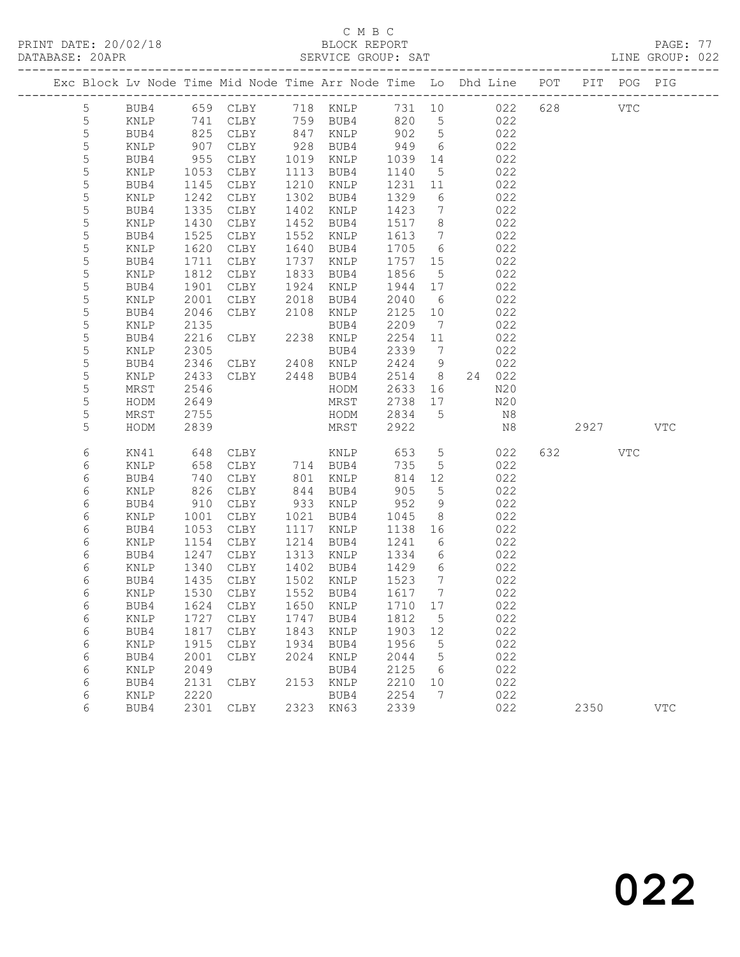## C M B C

|  | DATABASE: 20APR |              |              |                                  |              | SERVICE GROUP: SAT                                                             |                   |                              |       |            |          | LINE GROUP: 022           |  |
|--|-----------------|--------------|--------------|----------------------------------|--------------|--------------------------------------------------------------------------------|-------------------|------------------------------|-------|------------|----------|---------------------------|--|
|  |                 |              |              |                                  |              | Exc Block Lv Node Time Mid Node Time Arr Node Time Lo Dhd Line POT PIT POG PIG |                   |                              |       |            |          |                           |  |
|  | 5               |              |              |                                  |              | BUB4 659 CLBY 718 KNLP 731 10 022 628 VTC                                      |                   |                              |       |            |          |                           |  |
|  | $\overline{5}$  | KNLP         | 741          |                                  |              | CLBY 759 BUB4 820 5 022                                                        |                   |                              |       |            |          |                           |  |
|  | 5               | BUB4         | 825          |                                  |              | CLBY 847 KNLP 902 5                                                            |                   |                              |       | 022        |          |                           |  |
|  | 5               | KNLP         | 907          | CLBY 928 BUB4                    |              | 528 BUB4 949<br>1019 KNLP 1039                                                 |                   | 6                            |       | 022        |          |                           |  |
|  | 5               | BUB4         | 955          | CLBY                             |              |                                                                                |                   | 14                           |       | 022        |          |                           |  |
|  | 5               | KNLP         | 1053         | CLBY                             |              | 1113 BUB4                                                                      | 1140              | $5\overline{)}$              | 022   |            |          |                           |  |
|  | 5               | BUB4         | 1145         | CLBY                             |              | 1210 KNLP                                                                      | 1231              | 11                           |       | 022        |          |                           |  |
|  | $\mathsf S$     | KNLP         | 1242         | CLBY                             |              | 1302 BUB4                                                                      | 1329 6            |                              |       | 022        |          |                           |  |
|  | 5               | BUB4         | 1335         | CLBY                             |              | 1402 KNLP                                                                      | 1423              | $7\overline{ }$              |       | 022        |          |                           |  |
|  | 5               | KNLP         | 1430         | CLBY                             |              | 1452 BUB4                                                                      | 1517 8            | $7\overline{)}$              |       | 022        |          |                           |  |
|  | 5<br>5          | BUB4<br>KNLP | 1525<br>1620 | CLBY<br>CLBY                     |              | 1552 KNLP<br>1640 BUB4                                                         | 1613<br>1705 6    |                              |       | 022<br>022 |          |                           |  |
|  | 5               | BUB4         | 1711         | CLBY                             |              | 1737 KNLP                                                                      | 1757 15           |                              |       | 022        |          |                           |  |
|  | 5               | KNLP         | 1812         | CLBY                             |              | 1833 BUB4                                                                      | 1856              | $5\overline{)}$              |       | 022        |          |                           |  |
|  | 5               | BUB4         | 1901         | CLBY                             |              | 1924 KNLP                                                                      | 1944              | 17                           |       | 022        |          |                           |  |
|  | 5               | KNLP         | 2001         |                                  |              |                                                                                | 2040 6            |                              |       | 022        |          |                           |  |
|  | 5               | BUB4         | 2046         | CLBY 2018 BUB4<br>CLBY 2108 KNLP |              |                                                                                | 2125 10           |                              |       | 022        |          |                           |  |
|  | $\mathsf S$     | KNLP         | 2135         |                                  |              |                                                                                | 2209              | $\overline{7}$               |       | 022        |          |                           |  |
|  | 5               | BUB4         | 2216         | BUB4<br>CLBY 2238 KNLP           |              |                                                                                | 2254 11           |                              |       | 022        |          |                           |  |
|  | 5               | KNLP         | 2305         |                                  |              | BUB4                                                                           | 2339              | $\overline{7}$               |       | 022        |          |                           |  |
|  | 5               | BUB4         | 2346         | CLBY 2408 KNLP                   |              |                                                                                | 2424 9            |                              |       | 022        |          |                           |  |
|  | 5               | KNLP         | 2433         | CLBY 2448 BUB4                   |              |                                                                                | 2514 8            |                              |       | 24 022     |          |                           |  |
|  | 5               | MRST         | 2546         |                                  |              | HODM                                                                           | 2633              |                              | 16 16 | N20        |          |                           |  |
|  | 5               | HODM         | 2649         |                                  |              | MRST                                                                           | 2738 17           |                              | N20   |            |          |                           |  |
|  | 5               | MRST         | 2755         |                                  |              | HODM                                                                           | 2834 5            |                              |       | N8         |          |                           |  |
|  | 5               | HODM         | 2839         |                                  |              | MRST                                                                           | 2922              |                              |       | N8         | 2927 VTC |                           |  |
|  | 6               | KN41         | 648          | CLBY                             |              | KNLP 653                                                                       |                   | $5\overline{)}$              |       | 022        | 632 VTC  |                           |  |
|  | 6               | KNLP         | 658          | CLBY 714 BUB4<br>CLBY 801 KNLP   |              |                                                                                | 735               | 5 <sup>5</sup>               |       | 022        |          |                           |  |
|  | 6               | BUB4         | 740          |                                  |              |                                                                                | 814               | 12                           |       | 022        |          |                           |  |
|  | 6               | KNLP         | 826          | CLBY                             |              | 844 BUB4                                                                       | 905               | $5\phantom{.0}$              |       | 022        |          |                           |  |
|  | 6               | BUB4         | 910          | CLBY                             |              | 933 KNLP                                                                       | 952               | 9                            |       | 022        |          |                           |  |
|  | 6               | KNLP         | 1001         | CLBY                             |              | 1021 BUB4                                                                      | 1045              | 8 <sup>8</sup>               |       | 022        |          |                           |  |
|  | 6               | BUB4         | 1053         | CLBY                             |              | 1117 KNLP                                                                      | 1138 16           |                              |       | 022        |          |                           |  |
|  | 6               | KNLP         | 1154         | CLBY                             |              | 1214 BUB4                                                                      | 1241              | 6                            |       | 022        |          |                           |  |
|  | 6               | BUB4         | 1247         | CLBY                             |              | 1313 KNLP                                                                      | 1334              | 6                            |       | 022        |          |                           |  |
|  | 6               | KNLP         |              | 1340 CLBY<br>1435 CLBY<br>CLBY   |              | 1402 BUB4                                                                      | 1429<br>-<br>1523 | $6\overline{6}$              |       | 022        |          |                           |  |
|  | 6               | BUB4         |              |                                  |              | 1502 KNLP                                                                      |                   | $7\phantom{0}$               |       | 022        |          |                           |  |
|  | 6               |              |              |                                  |              | KNLP 1530 CLBY 1552 BUB4 1617 7                                                |                   |                              |       | 022        |          |                           |  |
|  | 6               | BUB4         |              | 1624 CLBY                        | 1650         | KNLP                                                                           | 1710 17           |                              |       | 022        |          |                           |  |
|  | 6<br>6          | KNLP<br>BUB4 | 1727<br>1817 | CLBY<br>CLBY                     | 1747<br>1843 | BUB4<br>KNLP                                                                   | 1812<br>1903      | $5\overline{)}$<br>12        |       | 022<br>022 |          |                           |  |
|  | 6               | KNLP         | 1915         | CLBY                             | 1934         | BUB4                                                                           | 1956              | $-5$                         |       | 022        |          |                           |  |
|  | 6               | BUB4         | 2001         | CLBY                             | 2024         | KNLP                                                                           | 2044              | $5^{\circ}$                  |       | 022        |          |                           |  |
|  | 6               | KNLP         | 2049         |                                  |              | BUB4                                                                           | 2125              | $6\overline{6}$              |       | 022        |          |                           |  |
|  | 6               | BUB4         | 2131         | CLBY                             |              | 2153 KNLP                                                                      | 2210              | 10                           |       | 022        |          |                           |  |
|  | 6               | KNLP         | 2220         |                                  |              | BUB4                                                                           | 2254              | $7\phantom{.0}\phantom{.0}7$ |       | 022        |          |                           |  |
|  | 6               | BUB4         |              | 2301 CLBY                        |              | 2323 KN63                                                                      | 2339              |                              |       | 022        | 2350     | $\ensuremath{\text{VTC}}$ |  |
|  |                 |              |              |                                  |              |                                                                                |                   |                              |       |            |          |                           |  |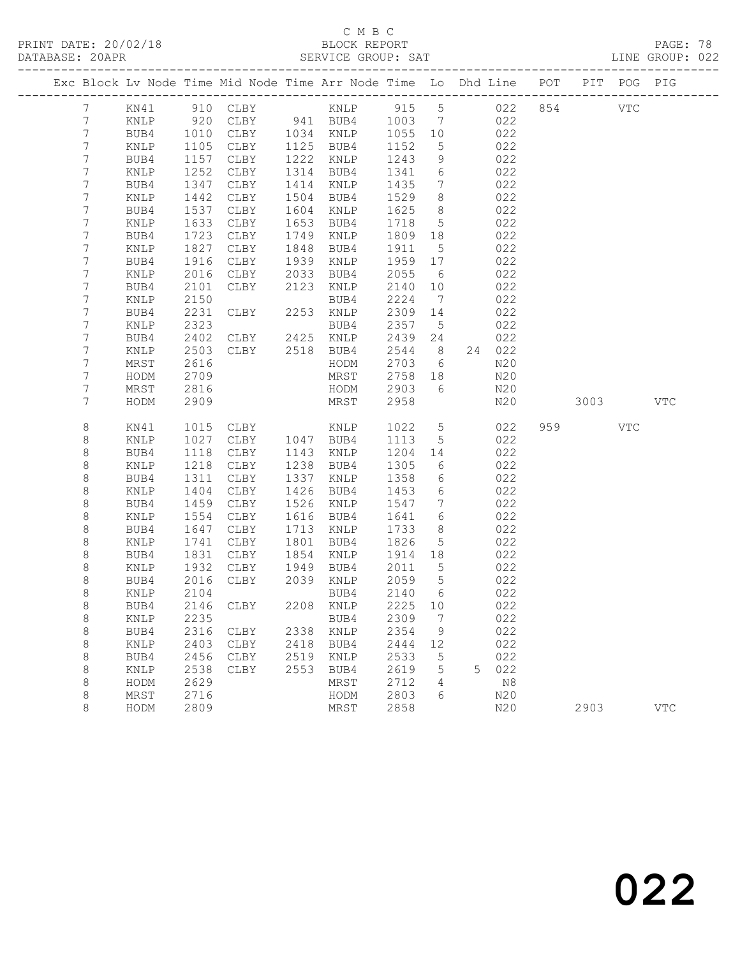### C M B C<br>BLOCK REPORT

PAGE: 78<br>LINE GROUP: 022

| Exc Block Lv Node Time Mid Node Time Arr Node Time Lo Dhd Line POT |                |              |                    |              |                      |              |                                   |   |            | PIT POG PIG |     |              |
|--------------------------------------------------------------------|----------------|--------------|--------------------|--------------|----------------------|--------------|-----------------------------------|---|------------|-------------|-----|--------------|
| $7\phantom{.}$                                                     | KN41           |              |                    |              |                      |              |                                   |   | 022        | 854 VTC     |     |              |
| 7                                                                  | KNLP           | 920          |                    |              | CLBY 941 BUB4 1003 7 |              |                                   |   | 022        |             |     |              |
| 7                                                                  | BUB4           | 1010         | CLBY 1034 KNLP     |              |                      | 1055 10      |                                   |   | 022        |             |     |              |
| 7                                                                  | KNLP           | 1105         | CLBY               |              | 1125 BUB4            | 1152         | 5                                 |   | 022        |             |     |              |
| 7                                                                  | BUB4           | 1157         | CLBY               |              | 1222 KNLP            | 1243         | 9                                 |   | 022        |             |     |              |
| 7                                                                  | KNLP           | 1252         | CLBY               | 1314         | BUB4                 | 1341         | $6\overline{6}$                   |   | 022        |             |     |              |
| 7                                                                  | BUB4           | 1347         | CLBY               |              | 1414 KNLP            | 1435         | $7\phantom{.0}\phantom{.0}7$      |   | 022        |             |     |              |
| 7                                                                  | KNLP           | 1442         | CLBY               | 1504         | BUB4                 | 1529         | 8 <sup>8</sup><br>8 <sup>8</sup>  |   | 022        |             |     |              |
| 7<br>7                                                             | BUB4<br>KNLP   | 1537<br>1633 | CLBY<br>CLBY       | 1604<br>1653 | KNLP<br>BUB4         | 1625<br>1718 | $5\overline{)}$                   |   | 022<br>022 |             |     |              |
| 7                                                                  | BUB4           | 1723         | CLBY               | 1749         | KNLP                 | 1809 18      |                                   |   | 022        |             |     |              |
| 7                                                                  | KNLP           | 1827         | CLBY               | 1848         | BUB4                 | 1911         | $5^{\circ}$                       |   | 022        |             |     |              |
| 7                                                                  | BUB4           | 1916         | CLBY               | 1939         | KNLP                 | 1959 17      |                                   |   | 022        |             |     |              |
| 7                                                                  | KNLP           | 2016         | CLBY               | 2033         | BUB4                 | 2055         | $6\overline{6}$                   |   | 022        |             |     |              |
| 7                                                                  | BUB4           | 2101         | CLBY               | 2123         | KNLP                 | 2140         | 10                                |   | 022        |             |     |              |
| 7                                                                  | KNLP           | 2150         |                    |              | BUB4                 | 2224         | $\overline{7}$                    |   | 022        |             |     |              |
| 7                                                                  | BUB4           | 2231         | CLBY               |              | 2253 KNLP            | 2309 14      |                                   |   | 022        |             |     |              |
| $\overline{7}$                                                     | KNLP           | 2323         |                    |              | BUB4                 | 2357 5       |                                   |   | 022        |             |     |              |
| 7                                                                  | BUB4           | 2402         | $CLBY$ 2425 $KNLP$ |              |                      | 2439         | 24                                |   | 022        |             |     |              |
| 7                                                                  | KNLP           | 2503         | CLBY 2518 BUB4     |              |                      | 2544         | 8 <sup>8</sup>                    |   | 24 022     |             |     |              |
| 7                                                                  | MRST           | 2616         |                    |              | HODM                 | 2703         | 6                                 |   | N20        |             |     |              |
| 7                                                                  | HODM           | 2709         |                    |              | MRST                 | 2758 18      |                                   |   | N20        |             |     |              |
| 7                                                                  | MRST           | 2816         |                    |              | HODM                 | 2903         | 6                                 |   | N20        |             |     |              |
| 7                                                                  | HODM           | 2909         |                    |              | MRST                 | 2958         |                                   |   | N20        | 3003        |     | $_{\rm VTC}$ |
| 8                                                                  | KN41           | 1015         | <b>CLBY</b>        |              | KNLP                 | 1022 5       |                                   |   | 022        | 959 — 100   | VTC |              |
| 8                                                                  | KNLP           | 1027         | CLBY 1047 BUB4     |              |                      | 1113         | $5\overline{)}$                   |   | 022        |             |     |              |
| 8                                                                  | BUB4           | 1118         | CLBY               |              | 1143 KNLP            | 1204 14      |                                   |   | 022        |             |     |              |
| 8                                                                  | KNLP           | 1218         | CLBY               | 1238         | BUB4                 | 1305         | 6                                 |   | 022        |             |     |              |
| $\,8\,$                                                            | BUB4           | 1311         | CLBY               |              | 1337 KNLP            | 1358         | 6                                 |   | 022        |             |     |              |
| 8                                                                  | KNLP           | 1404         | CLBY               | 1426         | BUB4                 | 1453         | $6\overline{6}$                   |   | 022        |             |     |              |
| 8                                                                  | BUB4           | 1459         | CLBY               | 1526         | KNLP                 | 1547         | $7\phantom{.0}\phantom{.0}7$      |   | 022        |             |     |              |
| 8                                                                  | KNLP           | 1554         | CLBY               | 1616         | BUB4                 | 1641         | 6                                 |   | 022        |             |     |              |
| $\,8\,$                                                            | BUB4           | 1647<br>1741 | CLBY               | 1713<br>1801 | KNLP                 | 1733<br>1826 | 8 <sup>8</sup><br>$5\overline{)}$ |   | 022<br>022 |             |     |              |
| $\,8\,$<br>8                                                       | KNLP<br>BUB4   | 1831         | CLBY<br>CLBY       | 1854         | BUB4<br>KNLP         | 1914 18      |                                   |   | 022        |             |     |              |
| 8                                                                  | KNLP           | 1932         | CLBY               | 1949         | BUB4                 | 2011         | $5\overline{)}$                   |   | 022        |             |     |              |
| $\,8\,$                                                            | BUB4           | 2016         | CLBY               |              | 2039 KNLP            | 2059         | $5\overline{)}$                   |   | 022        |             |     |              |
| 8                                                                  | KNLP           | 2104         |                    |              | BUB4                 | 2140         | 6                                 |   | 022        |             |     |              |
| 8                                                                  | BUB4 2146 CLBY |              |                    |              | 2208 KNLP            | 2225 10      |                                   |   | 022        |             |     |              |
| 8                                                                  | KNLP           | 2235         |                    |              | BUB4                 | 2309         | $\overline{7}$                    |   | 022        |             |     |              |
| 8                                                                  | BUB4           | 2316         | CLBY               |              | 2338 KNLP            | 2354         | 9                                 |   | 022        |             |     |              |
| $\,8\,$                                                            | KNLP           | 2403         | CLBY               | 2418         | BUB4                 | 2444         | 12                                |   | 022        |             |     |              |
| 8                                                                  | BUB4           | 2456         | CLBY               | 2519         | KNLP                 | 2533         | 5                                 |   | 022        |             |     |              |
| 8                                                                  | KNLP           | 2538         | CLBY               | 2553         | BUB4                 | 2619         | 5                                 | 5 | 022        |             |     |              |
| 8                                                                  | HODM           | 2629         |                    |              | MRST                 | 2712         | 4                                 |   | N8         |             |     |              |
| 8                                                                  | MRST           | 2716         |                    |              | HODM                 | 2803         | 6                                 |   | N20        |             |     |              |
| 8                                                                  | HODM           | 2809         |                    |              | MRST                 | 2858         |                                   |   | N20        | 2903        |     | <b>VTC</b>   |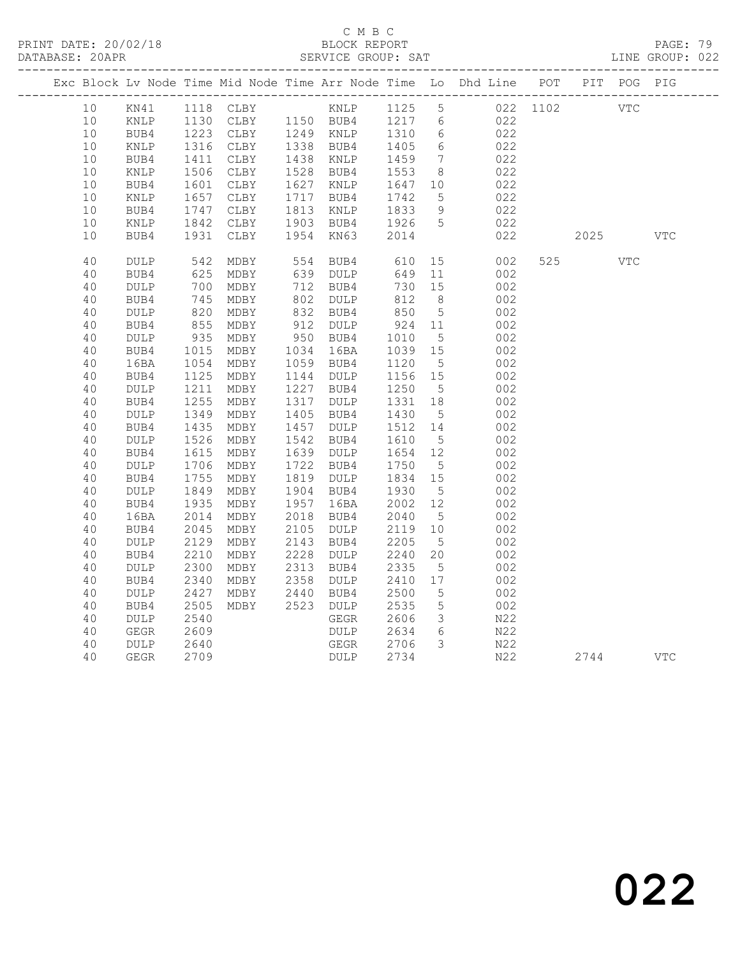### C M B C<br>BLOCK REPORT

PAGE: 79<br>LINE GROUP: 022

|  | 10 <sup>°</sup> | KN41            |                 | 1118 CLBY KNLP 1125 5                                    |                   |              |      |                 |                 | 022 1102 |            | <b>VTC</b> |            |            |
|--|-----------------|-----------------|-----------------|----------------------------------------------------------|-------------------|--------------|------|-----------------|-----------------|----------|------------|------------|------------|------------|
|  | 10              | $\texttt{KNLP}$ |                 | 1130 CLBY 1150 BUB4 1217 6<br>1223 CLBY 1249 KNLP 1310 6 |                   |              |      |                 |                 |          | 022<br>022 |            |            |            |
|  | $10$            | BUB4            |                 |                                                          |                   |              |      |                 |                 |          |            |            |            |            |
|  | 10              | KNLP            |                 | 1316 CLBY                                                | 1338 BUB4         |              |      | 1405            | 6               |          | 022        |            |            |            |
|  | 10              | BUB4            | 1411            | CLBY                                                     | 1438 KNLP         |              |      | 1459            | $\overline{7}$  |          | 022        |            |            |            |
|  | 10              | KNLP            | 1506            | CLBY                                                     | 1528 BUB4         |              |      | 1553            | 8 <sup>8</sup>  |          | 022        |            |            |            |
|  | 10              | BUB4            | 1601            | CLBY                                                     | 1627              | KNLP         |      | 1647 10         |                 |          | 022        |            |            |            |
|  | 10              | KNLP            | 1657            | CLBY                                                     | 1717              | BUB4         |      | 1742            | 5               |          | 022        |            |            |            |
|  | 10              | BUB4            | 1747            | CLBY                                                     | 1813              | KNLP         |      | 1833            | 9               |          | 022        |            |            |            |
|  | 10              | KNLP            | 1842            | CLBY                                                     | 1903              | BUB4         |      | 1926            | $5^{\circ}$     |          | 022        |            |            |            |
|  | 10              | BUB4            |                 | 1931 CLBY                                                | 1954              | KN63         |      | 2014            |                 |          | 022        | 2025       |            | <b>VTC</b> |
|  | 40              | <b>DULP</b>     | 542             | MDBY                                                     | 554 BUB4          |              |      | 610             | 15              |          | 002        | 525        | <b>VTC</b> |            |
|  | 40              | BUB4            | 625             | MDBY                                                     | 639 DULP          |              |      | 649             | 11              |          | 002        |            |            |            |
|  | 40              | $\texttt{DULP}$ | 700             | MDBY                                                     | 712 BUB4          |              |      | 730             | 15              |          | 002        |            |            |            |
|  | 40              | BUB4            |                 | MDBY                                                     | 802               | DULP         |      | 812<br>850      | 8 <sup>8</sup>  |          | 002        |            |            |            |
|  | 40              | DULP            | $\frac{1}{820}$ | MDBY                                                     | 832 BUB4          |              |      |                 | $5\overline{)}$ |          | 002        |            |            |            |
|  | 40              | BUB4            | 855             | MDBY                                                     | 912 DULP          |              |      | 924             | 11              |          | 002        |            |            |            |
|  | 40              | $\texttt{DULP}$ | 935             | MDBY                                                     | 950 BUB4          |              |      | 1010            | $5^{\circ}$     |          | 002        |            |            |            |
|  | 40              | BUB4            | 1015            | MDBY                                                     | 1034 16BA         |              |      | 1039 15         |                 |          | 002        |            |            |            |
|  | 40              | 16BA            | 1054            | MDBY                                                     | 1059 BUB4         |              |      | 1120            | $5^{\circ}$     |          | 002        |            |            |            |
|  | 40              | BUB4            | 1125            | MDBY                                                     | 1144 DULP         |              |      | 1156 15         |                 |          | 002        |            |            |            |
|  | 40              | DULP            | 1211            | MDBY                                                     | 1227 BUB4         |              |      | 1250            | $5^{\circ}$     |          | 002        |            |            |            |
|  | 40              | BUB4            | 1255            | MDBY                                                     | 1317 DULP         |              |      | 1331 18         |                 |          | 002        |            |            |            |
|  | 40<br>40        | DULP<br>BUB4    | 1349<br>1435    | MDBY<br>MDBY                                             | 1405 BUB4<br>1457 | DULP         |      | 1430<br>1512 14 | $5^{\circ}$     |          | 002<br>002 |            |            |            |
|  | 40              | <b>DULP</b>     | 1526            | MDBY                                                     | 1542              | BUB4         |      | 1610            | $5\overline{)}$ |          | 002        |            |            |            |
|  | 40              | BUB4            | 1615            | MDBY                                                     | 1639              | DULP         |      | 1654            | 12              |          | 002        |            |            |            |
|  | 40              | DULP            | 1706            | MDBY                                                     | 1722              | BUB4         |      | 1750            | $5\overline{)}$ |          | 002        |            |            |            |
|  | 40              | BUB4            | 1755            | MDBY                                                     | 1819 DULP         |              |      | 1834            | 15              |          | 002        |            |            |            |
|  | 40              | DULP            | 1849            | MDBY                                                     | 1904 BUB4         |              |      | 1930            | $5\overline{)}$ |          | 002        |            |            |            |
|  | 40              | BUB4            | 1935            | MDBY                                                     | 1957 16BA         |              |      | 2002            | 12              |          | 002        |            |            |            |
|  | 40              | 16BA            | 2014            | MDBY                                                     | 2018              | BUB4         |      | 2040            | $5^{\circ}$     |          | 002        |            |            |            |
|  | 40              | BUB4            | 2045            | MDBY                                                     | 2105              | DULP         |      | 2119            | 10              |          | 002        |            |            |            |
|  | 40              | <b>DULP</b>     | 2129            | MDBY                                                     | 2143              | BUB4         |      | 2205            | $5^{\circ}$     |          | 002        |            |            |            |
|  | 40              | BUB4            | 2210            | MDBY                                                     | 2228              | DULP         |      | 2240            | 20              |          | 002        |            |            |            |
|  | 40              | DULP            | 2300            | MDBY                                                     | 2313              | BUB4         |      | 2335            | $5^{\circ}$     |          | 002        |            |            |            |
|  | 40              | BUB4            | 2340            | MDBY                                                     | 2358              | DULP         |      | 2410            | 17              |          | 002        |            |            |            |
|  | 40              | DULP            | 2427            | MDBY                                                     | 2440              | BUB4         |      | 2500            | $5^{\circ}$     |          | 002        |            |            |            |
|  | 40              | BUB4            | 2505            | MDBY                                                     | 2523              | DULP         |      | 2535            | $5\overline{)}$ |          | 002        |            |            |            |
|  | 40              | <b>DULP</b>     | 2540            |                                                          |                   | GEGR         |      | 2606            | $\mathcal{S}$   |          | N22        |            |            |            |
|  | 40              | <b>GEGR</b>     | 2609            |                                                          |                   | <b>DULP</b>  |      | 2634            | 6               |          | N22        |            |            |            |
|  | 40              | DULP            | 2640            |                                                          |                   | ${\tt GEGR}$ |      | 2706            | $\mathcal{S}$   |          | N22        |            |            |            |
|  | 40              | GEGR            | 2709            |                                                          |                   |              | DULP | 2734            |                 |          | N22        | 2744       |            | <b>VTC</b> |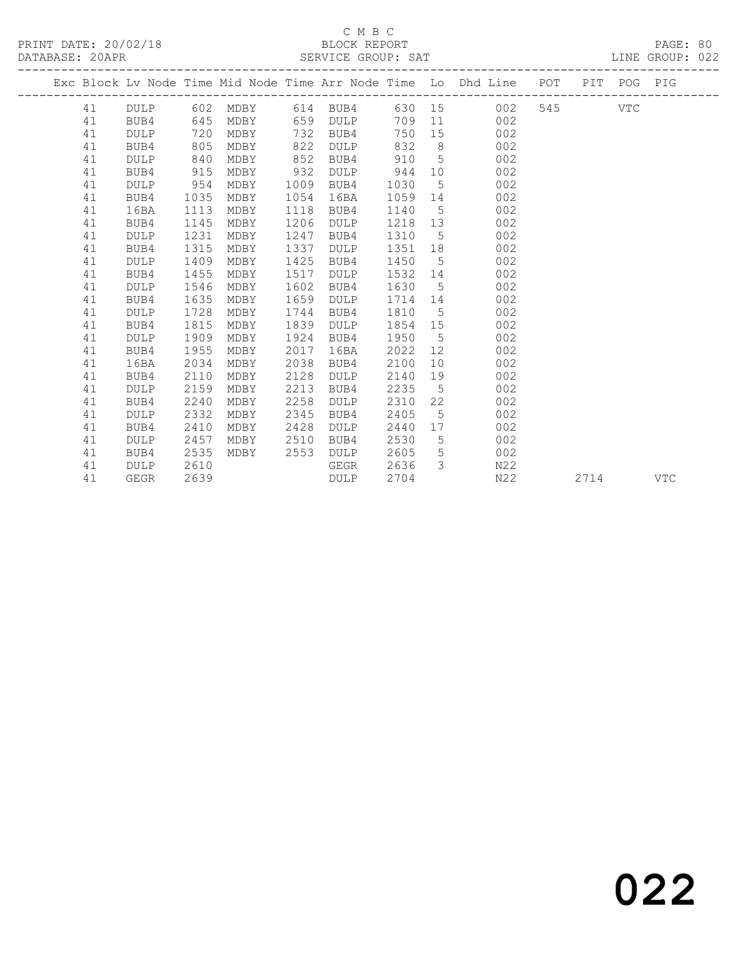#### C M B C<br>BLOCK REPORT SERVICE GROUP: SAT

|    |             |      |                   |      |          |         |                 | Exc Block Lv Node Time Mid Node Time Arr Node Time Lo Dhd Line POT PIT POG PIG |     |      |            |     |
|----|-------------|------|-------------------|------|----------|---------|-----------------|--------------------------------------------------------------------------------|-----|------|------------|-----|
| 41 | DULP        |      | 602 MDBY 614 BUB4 |      |          |         |                 | 002<br>630 15                                                                  | 545 |      | <b>VTC</b> |     |
| 41 | BUB4        | 645  | MDBY              |      | 659 DULP |         |                 | 709 11<br>002                                                                  |     |      |            |     |
| 41 | <b>DULP</b> | 720  | MDBY              | 732  | BUB4     | 750     | 15              | 002                                                                            |     |      |            |     |
| 41 | BUB4        | 805  | MDBY              | 822  | DULP     | 832     | 8 <sup>8</sup>  | 002                                                                            |     |      |            |     |
| 41 | <b>DULP</b> | 840  | MDBY              | 852  | BUB4     | 910     | 5 <sup>5</sup>  | 002                                                                            |     |      |            |     |
| 41 | BUB4        | 915  | MDBY              | 932  | DULP     | 944     |                 | 10<br>002                                                                      |     |      |            |     |
| 41 | DULP        | 954  | MDBY              | 1009 | BUB4     | 1030    |                 | $5\overline{}$<br>002                                                          |     |      |            |     |
| 41 | BUB4        | 1035 | MDBY              | 1054 | 16BA     | 1059 14 |                 | 002                                                                            |     |      |            |     |
| 41 | 16BA        | 1113 | MDBY              | 1118 | BUB4     | 1140    | 5 <sup>5</sup>  | 002                                                                            |     |      |            |     |
| 41 | BUB4        | 1145 | MDBY              | 1206 | DULP     | 1218    |                 | 002<br>13                                                                      |     |      |            |     |
| 41 | <b>DULP</b> | 1231 | MDBY              | 1247 | BUB4     | 1310    | $5\overline{)}$ | 002                                                                            |     |      |            |     |
| 41 | BUB4        | 1315 | MDBY              | 1337 | DULP     | 1351    | 18              | 002                                                                            |     |      |            |     |
| 41 | <b>DULP</b> | 1409 | MDBY              | 1425 | BUB4     | 1450    | 5 <sup>5</sup>  | 002                                                                            |     |      |            |     |
| 41 | BUB4        | 1455 | MDBY              | 1517 | DULP     | 1532 14 |                 | 002                                                                            |     |      |            |     |
| 41 | <b>DULP</b> | 1546 | MDBY              | 1602 | BUB4     | 1630 5  |                 | 002                                                                            |     |      |            |     |
| 41 | BUB4        | 1635 | MDBY              | 1659 | DULP     | 1714 14 |                 | 002                                                                            |     |      |            |     |
| 41 | <b>DULP</b> | 1728 | MDBY              | 1744 | BUB4     | 1810    |                 | $5\overline{}$<br>002                                                          |     |      |            |     |
| 41 | BUB4        | 1815 | MDBY              | 1839 | DULP     | 1854 15 |                 | 002                                                                            |     |      |            |     |
| 41 | DULP        | 1909 | MDBY              | 1924 | BUB4     | 1950    | $5\overline{)}$ | 002                                                                            |     |      |            |     |
| 41 | BUB4        | 1955 | MDBY              | 2017 | 16BA     | 2022    | 12              | 002                                                                            |     |      |            |     |
| 41 | 16BA        | 2034 | MDBY              | 2038 | BUB4     | 2100    |                 | 10<br>002                                                                      |     |      |            |     |
| 41 | BUB4        | 2110 | MDBY              | 2128 | DULP     | 2140    |                 | 002<br>19                                                                      |     |      |            |     |
| 41 | <b>DULP</b> | 2159 | MDBY              | 2213 | BUB4     | 2235    | 5 <sup>5</sup>  | 002                                                                            |     |      |            |     |
| 41 | BUB4        | 2240 | MDBY              | 2258 | DULP     | 2310    | 22              | 002                                                                            |     |      |            |     |
| 41 | <b>DULP</b> | 2332 | MDBY              | 2345 | BUB4     | 2405    | 5               | 002                                                                            |     |      |            |     |
| 41 | BUB4        | 2410 | MDBY              | 2428 | DULP     | 2440    |                 | 002                                                                            |     |      |            |     |
| 41 | <b>DULP</b> | 2457 | MDBY              | 2510 | BUB4     | 2530    | 5 <sup>5</sup>  | 002                                                                            |     |      |            |     |
| 41 | BUB4        | 2535 | MDBY              | 2553 | DULP     | 2605    | $5\overline{)}$ | 002                                                                            |     |      |            |     |
| 41 | <b>DULP</b> | 2610 |                   |      | GEGR     | 2636    |                 | $3 \left( \frac{1}{2} \right)$<br>N22                                          |     |      |            |     |
| 41 | GEGR        | 2639 |                   |      | DULP     | 2704    |                 | N22                                                                            |     | 2714 |            | VTC |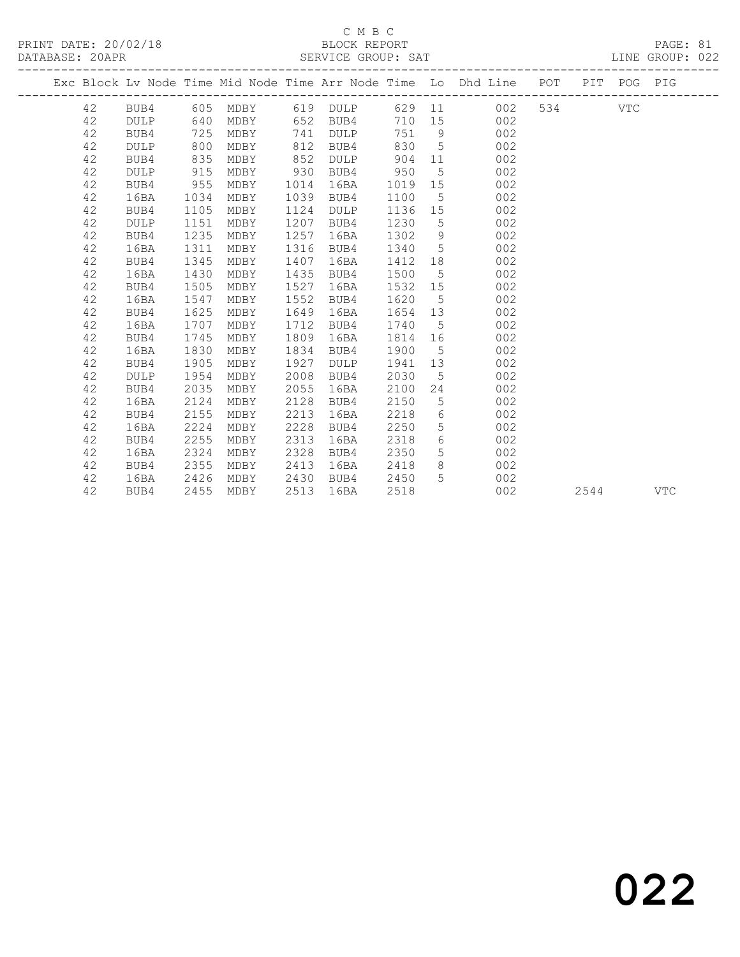## C M B C<br>BLOCK REPORT

| PRINT DATE: 20/02/18<br>DATABASE: 20APR |  |  | BLOCK REPORT<br>SERVICE GROUP: SAT |  |                                                                                |  |                      | PAGE: 81<br>LINE GROUP: 022 |  |
|-----------------------------------------|--|--|------------------------------------|--|--------------------------------------------------------------------------------|--|----------------------|-----------------------------|--|
|                                         |  |  |                                    |  | Exc Block Lv Node Time Mid Node Time Arr Node Time Lo Dhd Line POT PIT POG PIG |  |                      |                             |  |
|                                         |  |  |                                    |  |                                                                                |  | $\tau \tau$ m $\sim$ |                             |  |

 42 BUB4 605 MDBY 619 DULP 629 11 002 534 VTC 42 DULP 640 MDBY 652 BUB4 710 15 002 42 BUB4 725 MDBY 741 DULP 751 9 002 42 DULP 800 MDBY 812 BUB4 830 5 002 42 BUB4 835 MDBY 852 DULP 904 11 002 42 DULP 915 MDBY 930 BUB4 950 5 002 42 BUB4 955 MDBY 1014 16BA 1019 15 002 42 16BA 1034 MDBY 1039 BUB4 1100 5 002 42 BUB4 1105 MDBY 1124 DULP 1136 15 002 42 DULP 1151 MDBY 1207 BUB4 1230 5 002 42 BUB4 1235 MDBY 1257 16BA 1302 9 002 42 16BA 1311 MDBY 1316 BUB4 1340 5 002 42 BUB4 1345 MDBY 1407 16BA 1412 18 002 42 16BA 1430 MDBY 1435 BUB4 1500 5 002 42 BUB4 1505 MDBY 1527 16BA 1532 15 002 42 16BA 1547 MDBY 1552 BUB4 1620 5 002 42 BUB4 1625 MDBY 1649 16BA 1654 13 002 42 16BA 1707 MDBY 1712 BUB4 1740 5 002 42 BUB4 1745 MDBY 1809 16BA 1814 16 002 42 16BA 1830 MDBY 1834 BUB4 1900 5 002 42 BUB4 1905 MDBY 1927 DULP 1941 13 002 42 DULP 1954 MDBY 2008 BUB4 2030 5 002 42 BUB4 2035 MDBY 2055 16BA 2100 24 002 42 16BA 2124 MDBY 2128 BUB4 2150 5 002 42 BUB4 2155 MDBY 2213 16BA 2218 6 002 42 16BA 2224 MDBY 2228 BUB4 2250 5 002 42 BUB4 2255 MDBY 2313 16BA 2318 6 002 42 16BA 2324 MDBY 2328 BUB4 2350 5 002 42 BUB4 2355 MDBY 2413 16BA 2418 8 002 42 16BA 2426 MDBY 2430 BUB4 2450 5 002 42 BUB4 2455 MDBY 2513 16BA 2518 002 2544 VTC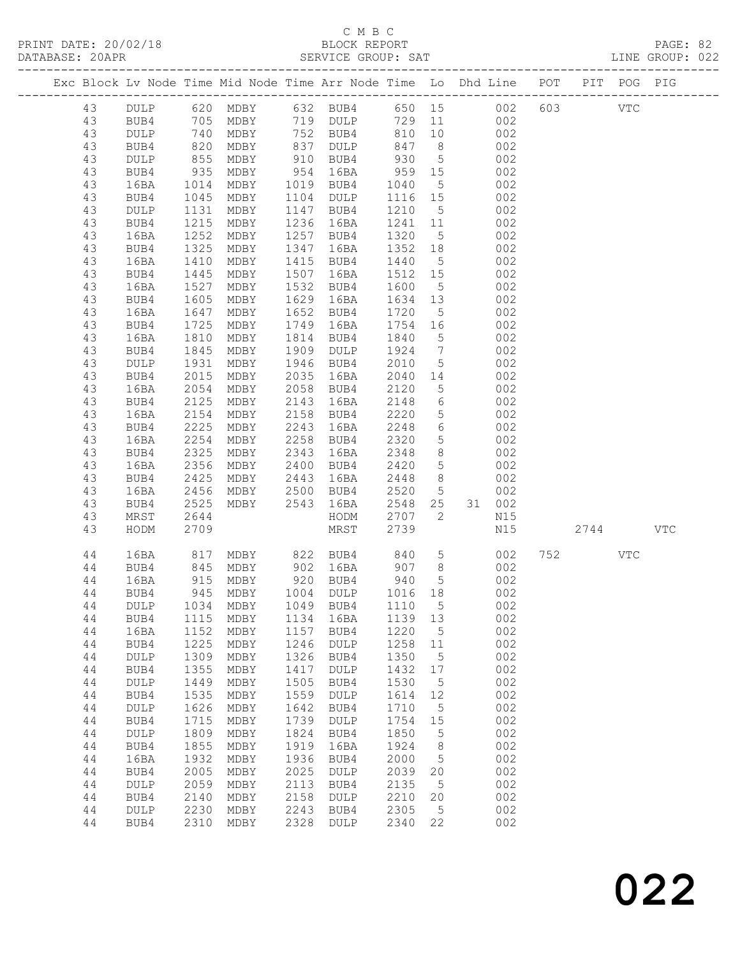### C M B C<br>BLOCK REPORT

| DATABASE: 20APR |          |                 |                      |                      |              |                                            |              |                                  |                                                                                |      |     |     |  |
|-----------------|----------|-----------------|----------------------|----------------------|--------------|--------------------------------------------|--------------|----------------------------------|--------------------------------------------------------------------------------|------|-----|-----|--|
|                 |          |                 |                      |                      |              |                                            |              |                                  | Exc Block Lv Node Time Mid Node Time Arr Node Time Lo Dhd Line POT PIT POG PIG |      |     |     |  |
|                 | 43       |                 |                      |                      |              |                                            |              |                                  | DULP 620 MDBY 632 BUB4 650 15 002 603 VTC                                      |      |     |     |  |
|                 | 43       | BUB4            |                      |                      |              |                                            |              |                                  | 705 MDBY 719 DULP 729 11 002                                                   |      |     |     |  |
|                 | 43       | DULP            | 740<br>820<br>855    |                      |              |                                            |              |                                  | MDBY 752 BUB4 810 10 002<br>MDBY 837 DULP 847 8 002<br>MDBY 910 BUB4 930 5 002 |      |     |     |  |
|                 | 43       | BUB4            |                      |                      |              |                                            |              |                                  |                                                                                |      |     |     |  |
|                 | 43       | DULP            |                      |                      |              |                                            |              |                                  |                                                                                |      |     |     |  |
|                 | 43       | BUB4            | 935                  |                      |              | MDBY 954 16BA 959 15                       |              |                                  | 002                                                                            |      |     |     |  |
|                 | 43       | 16BA            | 1014                 | MDBY                 |              | 1019 BUB4 1040                             |              | 5 <sup>5</sup>                   | 002                                                                            |      |     |     |  |
|                 | 43       | BUB4            |                      | MDBY                 |              | 1104 DULP                                  | 1116 15      |                                  | 002                                                                            |      |     |     |  |
|                 | 43       | DULP            | 1045<br>1131         | MDBY                 |              | 1147 BUB4                                  | 1210 5       |                                  | 002                                                                            |      |     |     |  |
|                 | 43       | BUB4            | 1215                 | MDBY                 |              | 1236 16BA                                  | 1241 11      |                                  | 002                                                                            |      |     |     |  |
|                 | 43       | 16BA            | 1252                 | MDBY                 |              | 1257 BUB4                                  | 1320         | 5 <sup>5</sup>                   | 002                                                                            |      |     |     |  |
|                 | 43       | BUB4            | 1325<br>1410         | MDBY                 |              | 1347 16BA                                  | 1352 18      |                                  | 002                                                                            |      |     |     |  |
|                 | 43       | 16BA            |                      | MDBY                 |              | 1415 BUB4                                  | 1440         | 5 <sup>5</sup>                   | 002                                                                            |      |     |     |  |
|                 | 43       | BUB4            | 1445                 | MDBY                 |              | 1507 16BA                                  | 1512 15      |                                  | 002                                                                            |      |     |     |  |
|                 | 43       | 16BA            | 1527                 | MDBY                 |              | 1532 BUB4                                  | 1600         | 5 <sup>5</sup>                   | 002                                                                            |      |     |     |  |
|                 | 43       | BUB4            | 1605<br>1605<br>1647 | MDBY                 |              | 1629 16BA                                  | 1634 13      |                                  | 002                                                                            |      |     |     |  |
|                 | 43       | 16BA            |                      | MDBY                 |              | 1652 BUB4                                  | 1720 5       |                                  | 002                                                                            |      |     |     |  |
|                 | 43       | BUB4            | 1725                 | MDBY                 |              | 1749 16BA                                  | 1754 16      |                                  | 002                                                                            |      |     |     |  |
|                 | 43       | 16BA            | 1810                 | MDBY                 |              | 1814 BUB4                                  | 1840         | $5\overline{)}$                  | 002                                                                            |      |     |     |  |
|                 | 43       | BUB4            | 1845<br>1931         | MDBY                 |              | 1909 DULP                                  | 1924 7       |                                  | 002                                                                            |      |     |     |  |
|                 | 43       | $\texttt{DULP}$ |                      | MDBY                 |              | 1946 BUB4                                  | 2010         | 5 <sup>5</sup>                   | 002                                                                            |      |     |     |  |
|                 | 43       | BUB4            | 2015                 | MDBY                 |              | 2035 16BA                                  | 2040         |                                  | 14 002                                                                         |      |     |     |  |
|                 | 43       | 16BA            | 2054                 |                      |              | MDBY 2058 BUB4                             | 2120         | 5 <sup>5</sup>                   | 002                                                                            |      |     |     |  |
|                 | 43       | BUB4            | 2125                 | MDBY                 |              | 2143 16BA                                  | 2148         | $6\overline{6}$                  | 002                                                                            |      |     |     |  |
|                 | 43       | 16BA            | 2154                 | MDBY                 |              | 2158 BUB4                                  | 2220         | $5\overline{)}$                  | 002<br>002                                                                     |      |     |     |  |
|                 | 43       | BUB4            | 2225                 | MDBY                 | 2243         | 16BA                                       | 2248         | $6\overline{6}$                  |                                                                                |      |     |     |  |
|                 | 43       | 16BA            | 2254                 |                      |              | MDBY 2258 BUB4                             | 2320         | 5 <sup>5</sup>                   | 002                                                                            |      |     |     |  |
|                 | 43       | BUB4            | 2325                 | MDBY                 |              | 2343 16BA                                  | 2348         | 8 <sup>8</sup><br>5 <sup>5</sup> | 002                                                                            |      |     |     |  |
|                 | 43<br>43 | 16BA<br>BUB4    | 2356<br>2425         | MDBY<br>MDBY         |              | 2400 BUB4<br>2443 16BA                     | 2420<br>2448 |                                  | 002<br>8 <sup>1</sup><br>002                                                   |      |     |     |  |
|                 | 43       | 16BA            | 2456                 |                      |              | MDBY 2500 BUB4                             | 2520         |                                  | $5\overline{)}$<br>002                                                         |      |     |     |  |
|                 | 43       | BUB4            | 2525                 | MDBY 2543 16BA       |              |                                            | 2548 25      |                                  | 31 002                                                                         |      |     |     |  |
|                 | 43       | MRST            | 2644                 |                      |              | HODM                                       | 2707 2       |                                  | N15                                                                            |      |     |     |  |
|                 | 43       | HODM            | 2709                 |                      |              | MRST                                       | 2739         |                                  | N15                                                                            | 2744 |     | VTC |  |
|                 |          |                 |                      |                      |              |                                            |              |                                  |                                                                                |      |     |     |  |
|                 | 44       | 16BA            | 817                  |                      |              | MDBY 822 BUB4 840                          |              |                                  | 5 <sub>1</sub><br>002                                                          | 752  | VTC |     |  |
|                 | 44       | BUB4            |                      | 845 MDBY<br>915 MDBY |              | MDBY 902 16BA 907 8<br>MDBY 920 BUB4 940 5 |              |                                  | $\begin{array}{c} 002 \\ 002 \end{array}$                                      |      |     |     |  |
|                 | 44       | 16BA            |                      |                      |              |                                            |              |                                  |                                                                                |      |     |     |  |
|                 | 44       |                 |                      |                      |              |                                            |              |                                  | BUB4 945 MDBY 1004 DULP 1016 18 002                                            |      |     |     |  |
|                 | 44       | DULP            | 1034                 | MDBY                 | 1049         | BUB4                                       | 1110         | $5^{\circ}$                      | 002                                                                            |      |     |     |  |
|                 | 44       | BUB4            | 1115                 | MDBY                 | 1134         | 16BA                                       | 1139 13      |                                  | 002                                                                            |      |     |     |  |
|                 | 44       | 16BA            | 1152                 | MDBY                 | 1157         | BUB4                                       | 1220         | $5^{\circ}$                      | 002                                                                            |      |     |     |  |
|                 | 44       | BUB4            | 1225<br>1309         | MDBY                 | 1246<br>1326 | DULP                                       | 1258<br>1350 | 11                               | 002<br>002                                                                     |      |     |     |  |
|                 | 44<br>44 | DULP<br>BUB4    | 1355                 | MDBY<br>MDBY         | 1417         | BUB4<br>$\texttt{DULP}$                    | 1432         | 5<br>17                          | 002                                                                            |      |     |     |  |
|                 | 44       | DULP            | 1449                 | MDBY                 | 1505         | BUB4                                       | 1530         | $5^{\circ}$                      | 002                                                                            |      |     |     |  |
|                 | 44       | BUB4            | 1535                 | MDBY                 | 1559         | DULP                                       | 1614         | 12                               | 002                                                                            |      |     |     |  |
|                 | 44       | DULP            | 1626                 | MDBY                 | 1642         | BUB4                                       | 1710         | $5^{\circ}$                      | 002                                                                            |      |     |     |  |
|                 | 44       | BUB4            | 1715                 | MDBY                 | 1739         | DULP                                       | 1754         | 15                               | 002                                                                            |      |     |     |  |
|                 | 44       | DULP            | 1809                 | MDBY                 | 1824         | BUB4                                       | 1850         | $5\phantom{.0}$                  | 002                                                                            |      |     |     |  |
|                 | 44       | BUB4            | 1855                 | MDBY                 | 1919         | 16BA                                       | 1924         | 8                                | 002                                                                            |      |     |     |  |
|                 | 44       | 16BA            | 1932                 | MDBY                 | 1936         | BUB4                                       | 2000         | $5^{\circ}$                      | 002                                                                            |      |     |     |  |
|                 | 44       | BUB4            | 2005                 | MDBY                 | 2025         | DULP                                       | 2039         | 20                               | 002                                                                            |      |     |     |  |
|                 | 44       | DULP            | 2059                 | MDBY                 | 2113         | BUB4                                       | 2135         | $5^{\circ}$                      | 002                                                                            |      |     |     |  |
|                 | 44       | BUB4            | 2140                 | MDBY                 | 2158         | DULP                                       | 2210         | 20                               | 002                                                                            |      |     |     |  |
|                 | 44       | <b>DULP</b>     | 2230                 | MDBY                 | 2243         | BUB4                                       | 2305         | $5^{\circ}$                      | 002                                                                            |      |     |     |  |
|                 | 44       | BUB4            | 2310                 | MDBY                 | 2328         | DULP                                       | 2340         | 22                               | 002                                                                            |      |     |     |  |
|                 |          |                 |                      |                      |              |                                            |              |                                  |                                                                                |      |     |     |  |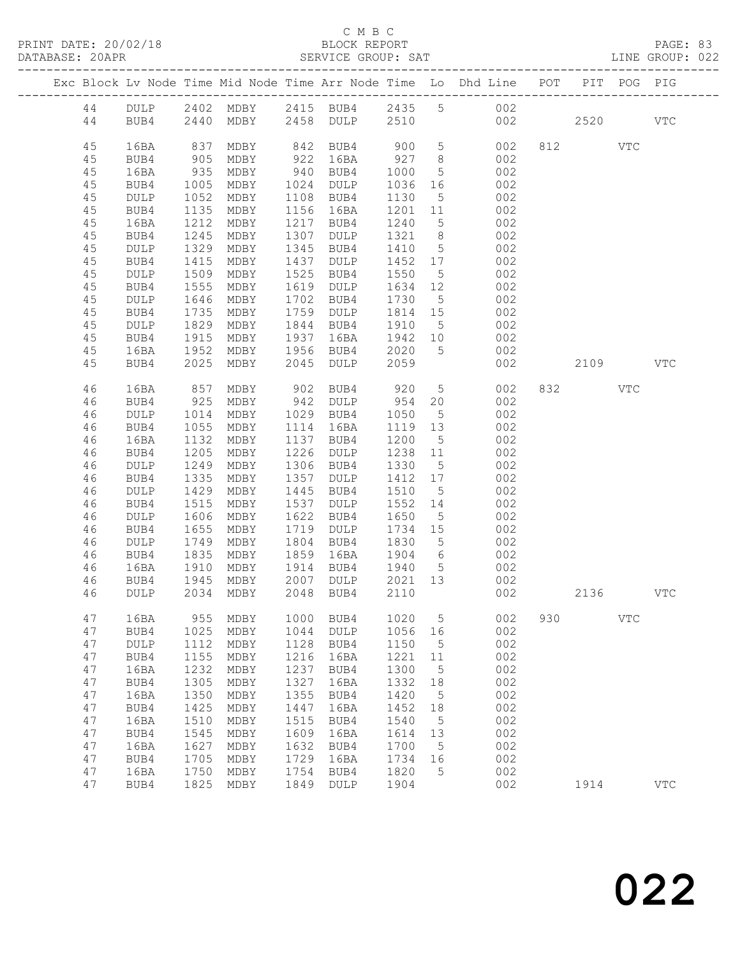### C M B C<br>BLOCK REPORT

LINE GROUP: 022

|  |          |                 |              |              |              |                 |              |                      | Exc Block Lv Node Time Mid Node Time Arr Node Time Lo Dhd Line POT |     |      | PIT POG PIG |              |
|--|----------|-----------------|--------------|--------------|--------------|-----------------|--------------|----------------------|--------------------------------------------------------------------|-----|------|-------------|--------------|
|  | 44       | DULP            | 2402         | MDBY         |              | 2415 BUB4       | 2435         | 5 <sup>5</sup>       | 002                                                                |     |      |             |              |
|  | 44       | BUB4            | 2440         | MDBY         | 2458         | DULP            | 2510         |                      | 002                                                                |     | 2520 |             | $_{\rm VTC}$ |
|  |          |                 |              |              |              |                 |              |                      |                                                                    |     |      |             |              |
|  | 45       | 16BA            | 837          | MDBY         | 842          | BUB4            | 900          | $5\overline{)}$      | 002                                                                | 812 |      | VTC         |              |
|  | 45       | BUB4            | 905          | MDBY         | 922          | 16BA            | 927          | 8 <sup>8</sup>       | 002                                                                |     |      |             |              |
|  | 45       | 16BA            | 935          | MDBY         | 940          | BUB4            | 1000         | $5\phantom{.0}$      | 002                                                                |     |      |             |              |
|  | 45       | BUB4            | 1005         | MDBY         | 1024         | DULP            | 1036         | 16                   | 002                                                                |     |      |             |              |
|  | 45       | $\texttt{DULP}$ | 1052         | MDBY         | 1108         | BUB4            | 1130         | $5\overline{)}$      | 002                                                                |     |      |             |              |
|  | 45       | BUB4            | 1135         | MDBY         | 1156         | 16BA            | 1201         | 11                   | 002                                                                |     |      |             |              |
|  | 45       | 16BA            | 1212         | MDBY         | 1217         | BUB4            | 1240         | 5                    | 002                                                                |     |      |             |              |
|  | 45       | BUB4            | 1245         | MDBY         | 1307         | DULP            | 1321         | 8                    | 002                                                                |     |      |             |              |
|  | 45       | DULP            | 1329         | MDBY         | 1345         | BUB4            | 1410         | 5                    | 002                                                                |     |      |             |              |
|  | 45       | BUB4            | 1415         | MDBY         | 1437         | DULP            | 1452         | 17                   | 002                                                                |     |      |             |              |
|  | 45       | DULP            | 1509         | MDBY         | 1525         | BUB4            | 1550         | 5                    | 002                                                                |     |      |             |              |
|  | 45       | BUB4            | 1555         | MDBY         | 1619         | DULP            | 1634         | 12                   | 002                                                                |     |      |             |              |
|  | 45       | DULP            | 1646         | MDBY         | 1702         | BUB4            | 1730         | 5                    | 002                                                                |     |      |             |              |
|  | 45       | BUB4            | 1735         | MDBY         | 1759         | DULP            | 1814         | 15                   | 002                                                                |     |      |             |              |
|  | 45       | DULP            | 1829         | MDBY         | 1844         | BUB4            | 1910         | $5^{\circ}$          | 002                                                                |     |      |             |              |
|  | 45       | BUB4            | 1915         | MDBY         | 1937         | 16BA            | 1942         | 10                   | 002                                                                |     |      |             |              |
|  | 45       | 16BA            | 1952         | MDBY         | 1956         | BUB4            | 2020         | $5\overline{)}$      | 002                                                                |     |      |             |              |
|  | 45       | BUB4            | 2025         | MDBY         | 2045         | <b>DULP</b>     | 2059         |                      | 002                                                                |     | 2109 |             | <b>VTC</b>   |
|  | 46       | 16BA            | 857          | MDBY         | 902          | BUB4            | 920          | $5\overline{)}$      | 002                                                                | 832 |      | <b>VTC</b>  |              |
|  | 46       | BUB4            | 925          | MDBY         | 942          | DULP            | 954          | 20                   | 002                                                                |     |      |             |              |
|  | 46       | DULP            | 1014         | MDBY         | 1029         | BUB4            | 1050         | $5\overline{)}$      | 002                                                                |     |      |             |              |
|  | 46       | BUB4            | 1055         | MDBY         | 1114         | 16BA            | 1119         | 13                   | 002                                                                |     |      |             |              |
|  | 46       | 16BA            | 1132         | MDBY         | 1137         | BUB4            | 1200         | $5^{\circ}$          | 002                                                                |     |      |             |              |
|  | 46       | BUB4            | 1205         | MDBY         | 1226         | DULP            | 1238         | 11                   | 002                                                                |     |      |             |              |
|  | 46       | DULP            | 1249         | MDBY         | 1306         | BUB4            | 1330         | $5\overline{)}$      | 002                                                                |     |      |             |              |
|  | 46       | BUB4            | 1335         | MDBY         | 1357         | DULP            | 1412         | 17                   | 002                                                                |     |      |             |              |
|  | 46       | DULP            | 1429         | MDBY         | 1445         | BUB4            | 1510         | 5                    | 002                                                                |     |      |             |              |
|  | 46       | BUB4            | 1515         | MDBY         | 1537         | DULP            | 1552         | 14                   | 002                                                                |     |      |             |              |
|  | 46       | DULP            | 1606         | MDBY         | 1622         | BUB4            | 1650         | $5\overline{)}$      | 002                                                                |     |      |             |              |
|  | 46       | BUB4            | 1655         | MDBY         | 1719         | DULP            | 1734         | 15                   | 002                                                                |     |      |             |              |
|  | 46       | DULP            | 1749         | MDBY         | 1804         | BUB4            | 1830         | 5                    | 002                                                                |     |      |             |              |
|  | 46       | BUB4            | 1835<br>1910 | MDBY<br>MDBY | 1859         | 16BA            | 1904         | $6\overline{6}$<br>5 | 002                                                                |     |      |             |              |
|  | 46<br>46 | 16BA<br>BUB4    | 1945         | MDBY         | 1914<br>2007 | BUB4<br>DULP    | 1940<br>2021 | 13                   | 002<br>002                                                         |     |      |             |              |
|  | 46       | <b>DULP</b>     | 2034         | MDBY         | 2048         | BUB4            | 2110         |                      | 002                                                                |     | 2136 |             | <b>VTC</b>   |
|  |          |                 |              |              |              |                 |              |                      |                                                                    |     |      |             |              |
|  | 47       | 16BA            | 955          | MDBY         | 1000         | BUB4            | 1020         | 5                    | 002                                                                | 930 |      | <b>VTC</b>  |              |
|  | 47       | BUB4            | 1025         | MDBY         | 1044         | $\texttt{DULP}$ | 1056         | 16                   | 002                                                                |     |      |             |              |
|  | 47       | DULP            | 1112         | MDBY         | 1128         | BUB4            | 1150         | 5                    | 002                                                                |     |      |             |              |
|  | 47       | BUB4            | 1155         | MDBY         | 1216         | 16BA            | 1221         | 11                   | 002                                                                |     |      |             |              |
|  | 47       | 16BA            | 1232         | MDBY         | 1237         | BUB4            | 1300         | $\mathsf S$          | 002                                                                |     |      |             |              |
|  | 47       | BUB4            | 1305         | MDBY         | 1327         | 16BA            | 1332         | 18                   | 002                                                                |     |      |             |              |
|  | 47       | 16BA            | 1350         | MDBY         | 1355         | BUB4            | 1420         | 5                    | 002                                                                |     |      |             |              |
|  | 47       | BUB4            | 1425         | MDBY         | 1447         | 16BA            | 1452         | 18                   | 002                                                                |     |      |             |              |
|  | 47       | 16BA            | 1510         | MDBY         | 1515         | BUB4            | 1540         | 5                    | 002                                                                |     |      |             |              |
|  | 47       | BUB4            | 1545         | MDBY         | 1609         | 16BA            | 1614         | 13                   | 002                                                                |     |      |             |              |
|  | 47       | 16BA            | 1627         | MDBY         | 1632         | BUB4            | 1700         | 5                    | 002                                                                |     |      |             |              |
|  | 47       | BUB4            | 1705         | MDBY         | 1729         | 16BA            | 1734         | 16                   | 002                                                                |     |      |             |              |
|  | 47       | 16BA            | 1750         | MDBY         | 1754         | BUB4            | 1820         | 5                    | 002                                                                |     |      |             |              |
|  | 47       | BUB4            | 1825         | MDBY         | 1849         | DULP            | 1904         |                      | 002                                                                |     | 1914 |             | $_{\rm VTC}$ |
|  |          |                 |              |              |              |                 |              |                      |                                                                    |     |      |             |              |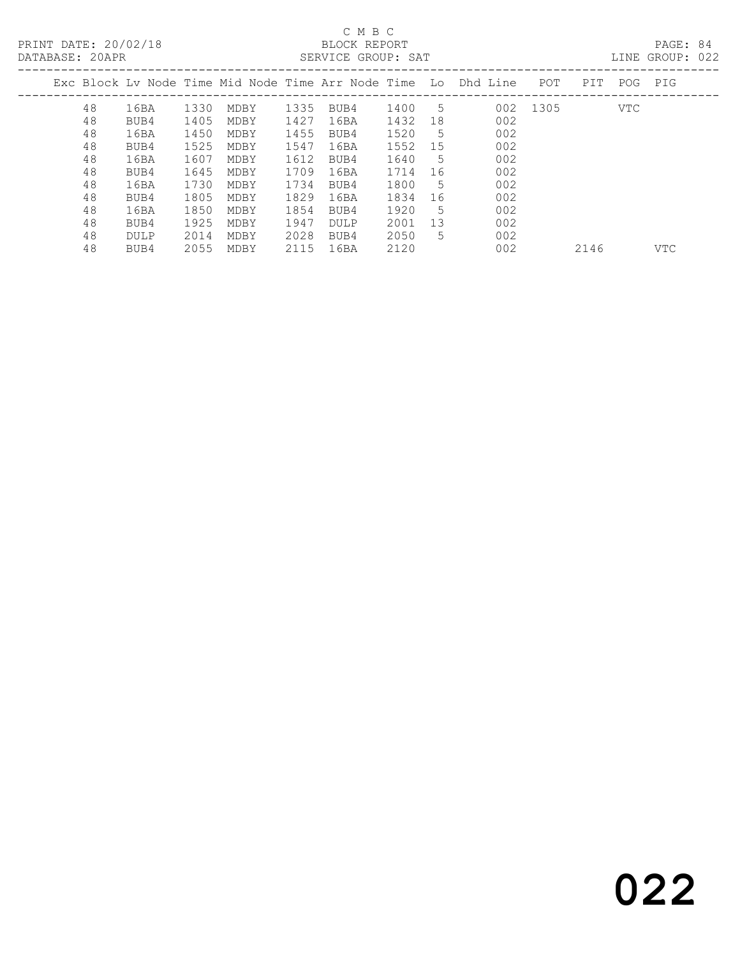#### C M B C<br>BLOCK REPORT SERVICE GROUP: SAT

|    |      |      |      |      |             |      |    | Exc Block Lv Node Time Mid Node Time Arr Node Time Lo Dhd Line | POT  | PIT  | POG | PIG |
|----|------|------|------|------|-------------|------|----|----------------------------------------------------------------|------|------|-----|-----|
| 48 | 16BA | 1330 | MDBY | 1335 | BUB4        | 1400 | -5 | 002                                                            | 1305 |      | VTC |     |
| 48 | BUB4 | 1405 | MDBY | 1427 | 16BA        | 1432 | 18 | 002                                                            |      |      |     |     |
| 48 | 16BA | 1450 | MDBY | 1455 | BUB4        | 1520 | -5 | 002                                                            |      |      |     |     |
| 48 | BUB4 | 1525 | MDBY | 1547 | 16BA        | 1552 | 15 | 002                                                            |      |      |     |     |
| 48 | 16BA | 1607 | MDBY | 1612 | BUB4        | 1640 | -5 | 002                                                            |      |      |     |     |
| 48 | BUB4 | 1645 | MDBY | 1709 | 16BA        | 1714 | 16 | 002                                                            |      |      |     |     |
| 48 | 16BA | 1730 | MDBY | 1734 | BUB4        | 1800 | -5 | 002                                                            |      |      |     |     |
| 48 | BUB4 | 1805 | MDBY | 1829 | 16BA        | 1834 | 16 | 002                                                            |      |      |     |     |
| 48 | 16BA | 1850 | MDBY | 1854 | BUB4        | 1920 | 5  | 002                                                            |      |      |     |     |
| 48 | BUB4 | 1925 | MDBY | 1947 | <b>DULP</b> | 2001 | 13 | 002                                                            |      |      |     |     |
| 48 | DULP | 2014 | MDBY | 2028 | BUB4        | 2050 | 5  | 002                                                            |      |      |     |     |
| 48 | BUB4 | 2055 | MDBY | 2115 | 16BA        | 2120 |    | 002                                                            |      | 2146 |     | VTC |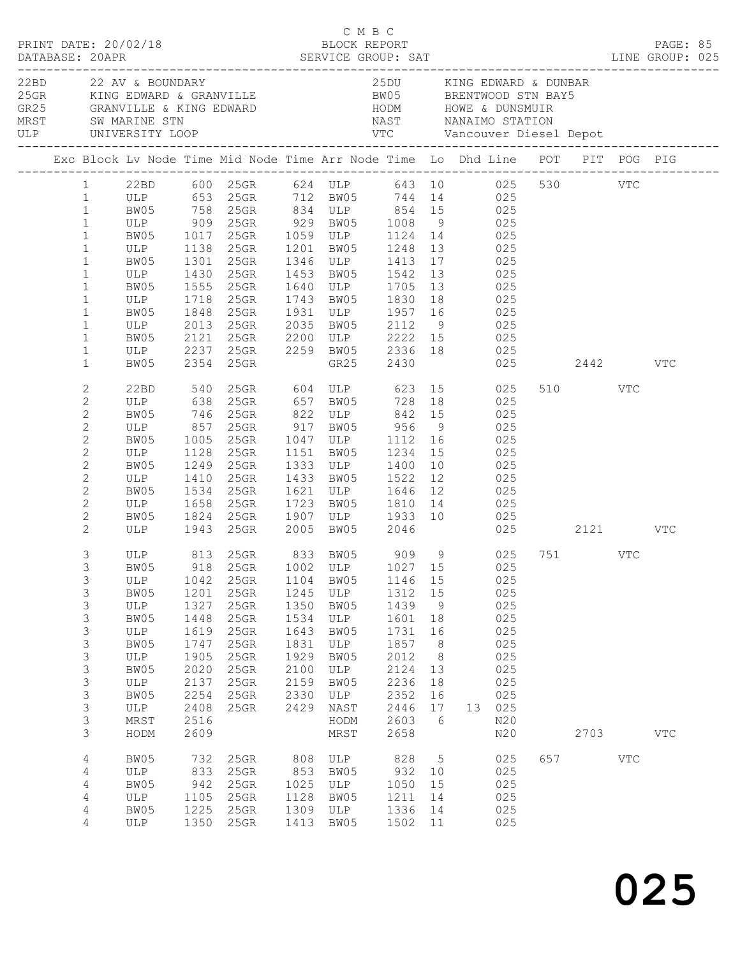| PRINT DATE: 20/02/18                                                                                                                                                                               |                                                                                                |                                                                                                      |                                                                                                                                                                                                                                                                                                                                                                                                                          | C M B C                                                                              | BLOCK REPORT                                                                                    |                                                                                                         |                                                                                      |            |                                                                                            | PAGE: 85                |              |  |
|----------------------------------------------------------------------------------------------------------------------------------------------------------------------------------------------------|------------------------------------------------------------------------------------------------|------------------------------------------------------------------------------------------------------|--------------------------------------------------------------------------------------------------------------------------------------------------------------------------------------------------------------------------------------------------------------------------------------------------------------------------------------------------------------------------------------------------------------------------|--------------------------------------------------------------------------------------|-------------------------------------------------------------------------------------------------|---------------------------------------------------------------------------------------------------------|--------------------------------------------------------------------------------------|------------|--------------------------------------------------------------------------------------------|-------------------------|--------------|--|
| 22BD 22 AV & BOUNDARY                                                                                                                                                                              |                                                                                                |                                                                                                      | XXXV VOORGEN VIC CONSULTER AND A VIRGUES OF THE SERVE TO THE SERVE OF THE SERVE OF THE SERVE OF THE SERVE OF THE SERVE OF THE SERVE OF THE SERVE OF THE SERVE OF THE SERVE OF THE SERVE OF THE SERVE OF THE SERVE OF THE SERVE                                                                                                                                                                                           |                                                                                      |                                                                                                 | 25DU KING EDWARD & DUNBAR                                                                               |                                                                                      |            |                                                                                            |                         |              |  |
|                                                                                                                                                                                                    |                                                                                                |                                                                                                      | Exc Block Lv Node Time Mid Node Time Arr Node Time Lo Dhd Line POT PIT POG PIG                                                                                                                                                                                                                                                                                                                                           |                                                                                      |                                                                                                 |                                                                                                         |                                                                                      |            |                                                                                            |                         |              |  |
| $\mathbf{1}$<br>$\mathbf{1}$<br>$\mathbf{1}$<br>$\mathbf{1}$<br>$\mathbf{1}$<br>$\mathbf{1}$<br>$\mathbf{1}$<br>$\mathbf{1}$<br>$\mathbf{1}$                                                       | ULP 1718 25GR                                                                                  |                                                                                                      | 1 22BD 600 25GR 624 ULP 643 10 025 530 VTC<br>1 ULP 653 25GR 712 BW05 744 14 025<br>99 5 758 758 758 834 ULP 854 15<br>ULP 909 25GR 929 BW05 1008 9 025<br>25GR 1059 ULP 1124 14 025<br>ULP 1138 25GR 1201 BW05 1248 13 025<br>BW05 1301 25GR 1346 ULP 1413 17 025<br>ULP 1430 25GR 1453 BW05 1542 13 025<br>BW05 1555 25GR 1640 ULP 1705 13 025                                                                         |                                                                                      |                                                                                                 | 1743 BW05 1830 18                                                                                       |                                                                                      | 025        |                                                                                            |                         |              |  |
| $\mathbf{1}$<br>$1\,$<br>$\mathbf{1}$<br>$\mathbf{1}$                                                                                                                                              | BW05                                                                                           |                                                                                                      | BW05 1848 25GR 1931 ULP 1957 16 025<br>ULP 2013 25GR 2035 BW05 2112 9 025<br>BW05 2121 25GR 2200 ULP 2222 15 025<br>ULP 2237 25GR 2259 BW05 2336 18 025<br>2354 25GR                                                                                                                                                                                                                                                     |                                                                                      |                                                                                                 | GR25 2430                                                                                               |                                                                                      |            |                                                                                            | 025 2442 VTC            |              |  |
| $\overline{c}$<br>$\mathbf{2}$<br>$\overline{c}$<br>$\mathbf{2}$<br>$\mathbf{2}$<br>$\mathbf{2}$<br>$\mathbf{2}$<br>$\mathbf{2}$<br>$\mathbf{2}$<br>$\mathbf{2}$<br>$\mathbf{2}$<br>$\overline{2}$ | BW05<br>ULP<br>BW05 1534 25GR<br>ULP 1658 25GR                                                 | 1410                                                                                                 | 22BD 540 25GR 604 ULP 623 15 025<br>ULP 638 25GR 657 BW05 728 18 025<br>BW05 746 25GR 822 ULP 842 15<br>ULP 857 25GR 917 BW05 956 9 025<br>BW05 1005 25GR 1047 ULP 1112 16 025<br>ULP 1128 25GR 1151 BW05 1234 15 025<br>1249  25GR  1333  ULP  1400  10<br>25GR 1433 BW05 1522 12 025<br>25GR 1621 ULP 1646 12 025<br>25GR 1723 BW05 1810 14 025<br>BW05 1824 25GR 1907 ULP 1933 10 025<br>ULP 1943 25GR 2005 BW05 2046 |                                                                                      |                                                                                                 |                                                                                                         |                                                                                      | 025<br>025 |                                                                                            | 510 VTC<br>025 2121 VTC |              |  |
| 3<br>3<br>3<br>3<br>3<br>3<br>3<br>3<br>3<br>3<br>3<br>3<br>3<br>3<br>3                                                                                                                            | ULP<br>BW05<br>ULP<br>BW05<br>ULP<br>BW05<br>ULP<br>BW05<br>ULP<br>BW05<br>ULP<br>MRST<br>HODM | 1042<br>1201<br>1327<br>1448<br>1619<br>1747<br>1905<br>2020<br>2137<br>2254<br>2408<br>2516<br>2609 | ULP 813 25GR 833 BW05 909 9 025 751 VTC<br>BW05 918 25GR 1002 ULP 1027 15 025<br>25GR<br>25GR<br>25GR<br>25GR<br>25GR<br>25GR<br>$25$ GR<br>25GR<br>25GR<br>25GR<br>25GR                                                                                                                                                                                                                                                 | 1104<br>1245<br>1350<br>1534<br>1643<br>1831<br>1929<br>2100<br>2159<br>2330<br>2429 | BW05<br>ULP<br>BW05<br>ULP<br>BW05<br>ULP<br>BW05<br>ULP<br>BW05<br>ULP<br>NAST<br>HODM<br>MRST | 1146 15<br>1312<br>1439<br>1601<br>1731<br>1857<br>2012<br>2124<br>2236<br>2352<br>2446<br>2603<br>2658 | 15<br>9<br>18<br>16<br>8 <sup>8</sup><br>8 <sup>8</sup><br>13<br>18<br>16<br>17<br>6 |            | 025<br>025<br>025<br>025<br>025<br>025<br>025<br>025<br>025<br>025<br>13 025<br>N20<br>N20 | 2703                    | $_{\rm VTC}$ |  |
| $\overline{4}$<br>4<br>4<br>4<br>4<br>4                                                                                                                                                            | BW05<br>ULP<br>BW05<br>ULP<br>BW05<br>ULP                                                      | 732<br>833<br>942<br>1105<br>1225                                                                    | 25GR<br>25GR<br>25GR<br>25GR<br>25GR<br>1350 25GR                                                                                                                                                                                                                                                                                                                                                                        | 808<br>853<br>1025<br>1128<br>1309<br>1413                                           | ULP<br>BW05<br>ULP<br>BW05<br>ULP<br>BW05                                                       | 828<br>932<br>1050<br>1211<br>1336<br>1502 11                                                           | $5\overline{)}$<br>10<br>15<br>14<br>14                                              |            | 025<br>025<br>025<br>025<br>025<br>025                                                     | 657 VTC                 |              |  |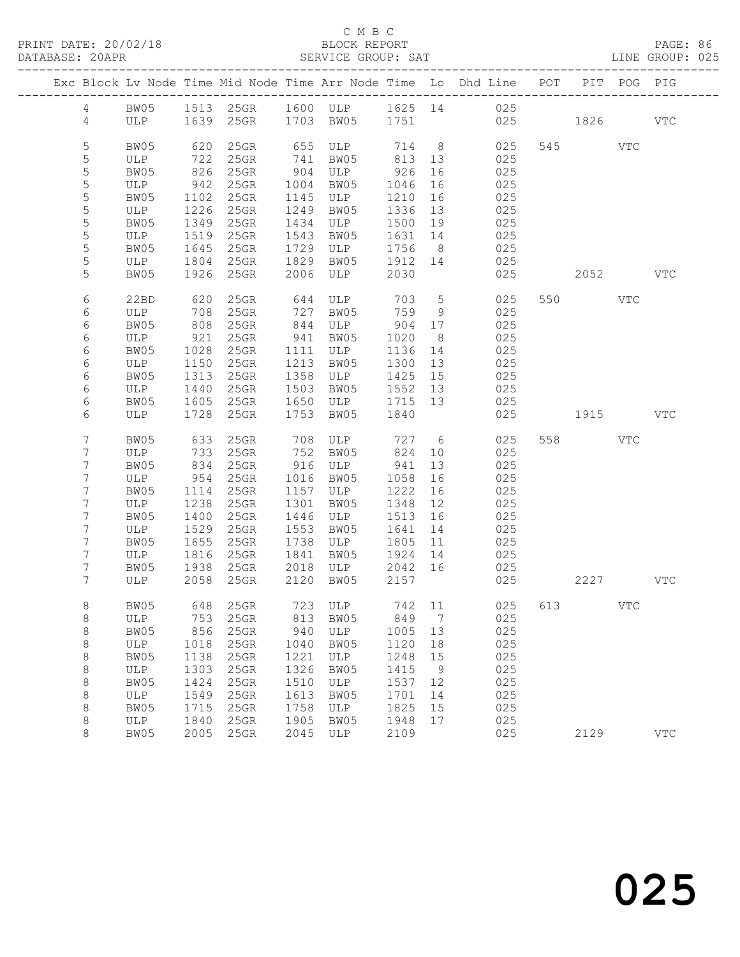#### C M B C<br>BLOCK REPORT SERVICE GROUP: SAT

|                 |             |                                                    |                 |      |                              |                    |                 | Exc Block Lv Node Time Mid Node Time Arr Node Time Lo Dhd Line POT |         | PIT POG PIG |            |
|-----------------|-------------|----------------------------------------------------|-----------------|------|------------------------------|--------------------|-----------------|--------------------------------------------------------------------|---------|-------------|------------|
| $\overline{4}$  |             |                                                    |                 |      |                              |                    |                 | BW05 1513 25GR 1600 ULP 1625 14 025                                |         |             |            |
| $\overline{4}$  |             |                                                    |                 |      | ULP 1639 25GR 1703 BW05 1751 |                    |                 | 025 1826                                                           |         |             | VTC        |
| 5               | BW05        | 620                                                | $25$ GR         |      | 655 ULP 714 8                |                    |                 | 025                                                                | 545 VTC |             |            |
| 5               | ULP         | 722                                                | $25$ GR         |      | 741 BW05                     | 813 13             |                 | 025                                                                |         |             |            |
| 5               | BW05        | 826                                                | 25GR            | 904  | ULP 926                      |                    | 16              | 025                                                                |         |             |            |
| 5               | ULP         | 942                                                | 25GR            |      | 1004 BW05                    | 1046               | 16              | 025                                                                |         |             |            |
| 5               | BW05        | 1102                                               | 25GR            |      | 1145 ULP                     | 1210               | 16              | 025                                                                |         |             |            |
| $\mathsf S$     | ULP         | 1226                                               | 25GR            | 1249 | BW05                         | 1336 13            |                 | 025                                                                |         |             |            |
| $\mathsf S$     | BW05        | 1349                                               | 25GR            | 1434 | ULP                          | 1500 19            |                 | 025                                                                |         |             |            |
| 5               | ULP         | 1519                                               | 25GR            | 1543 | BW05                         | 1631 14            |                 | 025                                                                |         |             |            |
| 5               | BW05        | 1645                                               | $25$ GR         | 1729 | ULP                          | 1756               | 8 <sup>8</sup>  | 025                                                                |         |             |            |
| 5               | ULP         | 1804                                               | 25GR            | 1829 | BW05                         | 1912 14            |                 | 025                                                                |         |             |            |
| 5               | BW05        |                                                    | $1926$ 25GR     |      | $2006$ $ULP$                 | 2030               |                 | 025                                                                | 2052    |             | <b>VTC</b> |
| 6               | 22BD        | 620                                                | $25$ GR         | 644  | ULP 703                      |                    | $5\overline{)}$ | 025                                                                | 550 VTC |             |            |
| 6               | ULP         | 708                                                | 25GR            |      | 727 BW05<br>844 ULP          | 759                | 9               | 025                                                                |         |             |            |
| 6               | BW05        | $\begin{array}{c}\n 0.000 \\  0.000\n \end{array}$ | 25GR            |      | ULP                          | 904 17             |                 | 025                                                                |         |             |            |
| 6               | ULP         | 921                                                | 25GR            | 941  | BW05                         | 1020               | 8 <sup>8</sup>  | 025                                                                |         |             |            |
| 6               | BW05        | 1028                                               | 25GR            |      | 1111 ULP                     | 1136 14            |                 | 025                                                                |         |             |            |
| 6               | ULP         | 1150<br>1313                                       | $25$ GR         | 1213 | BW05                         | 1300 13            |                 | 025                                                                |         |             |            |
| 6               | BW05        | 1440                                               | 25GR<br>25GR    | 1358 | ULP<br>1503 BW05             | 1425 15<br>1552 13 |                 | 025<br>025                                                         |         |             |            |
| 6<br>6          | ULP<br>BW05 | 1605                                               | 25GR            |      | 1650 ULP                     | 1715 13            |                 | 025                                                                |         |             |            |
| 6               | ULP         | 1728                                               | $25$ GR         | 1753 | BW05                         | 1840               |                 | 025                                                                | 1915    |             | <b>VTC</b> |
|                 |             |                                                    |                 |      |                              |                    |                 |                                                                    |         |             |            |
| 7               | BW05        | 633                                                | $25$ GR         |      | 708 ULP                      |                    |                 | 727 6<br>025                                                       | 558 VTC |             |            |
| 7               | ULP         | 733                                                | 25GR            |      | 752 BW05                     | 824                | 10              | 025                                                                |         |             |            |
| 7               | BW05        | 834                                                | $25$ GR         |      | 916 ULP                      | 941                | 13              | 025                                                                |         |             |            |
| 7               | ULP         | 954                                                | $25$ GR         |      | 1016 BW05                    | 1058               | 16              | 025                                                                |         |             |            |
| 7               | BW05        | 1114                                               | 25GR            |      | 1157 ULP                     | 1222               | 16              | 025                                                                |         |             |            |
| 7               | ULP         | 1238                                               | 25GR            |      | 1301 BW05                    | 1348               | 12              | 025                                                                |         |             |            |
| 7<br>7          | BW05<br>ULP | 1400<br>1529                                       | 25GR<br>$25$ GR | 1553 | 1446 ULP<br>BW05             | 1513<br>1641       | 16<br>14        | 025<br>025                                                         |         |             |            |
| 7               | BW05        | 1655                                               | 25GR            | 1738 | ULP                          | 1805               | 11              | 025                                                                |         |             |            |
| 7               | ULP         | 1816                                               | 25GR            | 1841 | BW05                         | 1924 14            |                 | 025                                                                |         |             |            |
| 7               | BW05        | 1938                                               | $25$ GR         |      | 2018 ULP                     | 2042 16            |                 | 025                                                                |         |             |            |
| $7\overline{ }$ | ULP         | 2058                                               | $25$ GR         |      | 2120 BW05                    | 2157               |                 | 025                                                                | 2227    |             | <b>VTC</b> |
| 8               |             |                                                    |                 |      |                              |                    |                 | BW05 648 25GR 723 ULP 742 11 025 613                               |         | VTC         |            |
| 8               | ULP         | 753                                                | 25GR            | 813  | BW05                         | 849                | $\overline{7}$  | 025                                                                |         |             |            |
| 8               | BW05        | 856                                                | 25GR            | 940  | ULP                          | 1005 13            |                 | 025                                                                |         |             |            |
| $\,8\,$         | ULP         | 1018                                               | 25GR            | 1040 | BW05                         | 1120               | 18              | 025                                                                |         |             |            |
| 8               | BW05        | 1138                                               | 25GR            | 1221 | ULP                          | 1248               | 15              | 025                                                                |         |             |            |
| 8               | ULP         | 1303                                               | 25GR            | 1326 | BW05                         | 1415               | $\overline{9}$  | 025                                                                |         |             |            |
| 8               | BW05        | 1424                                               | 25GR            | 1510 | ULP                          | 1537               | 12              | 025                                                                |         |             |            |
| 8               | ULP         | 1549                                               | 25GR            | 1613 | BW05                         | 1701               | 14              | 025                                                                |         |             |            |
| 8               | BW05        | 1715                                               | 25GR            | 1758 | ULP                          | 1825               | 15              | 025                                                                |         |             |            |
| 8               | ULP         | 1840                                               | 25GR            | 1905 | BW05                         | 1948               | 17              | 025                                                                |         |             |            |
| 8               | BW05        | 2005                                               | 25GR            | 2045 | ULP                          | 2109               |                 | 025                                                                | 2129    |             | <b>VTC</b> |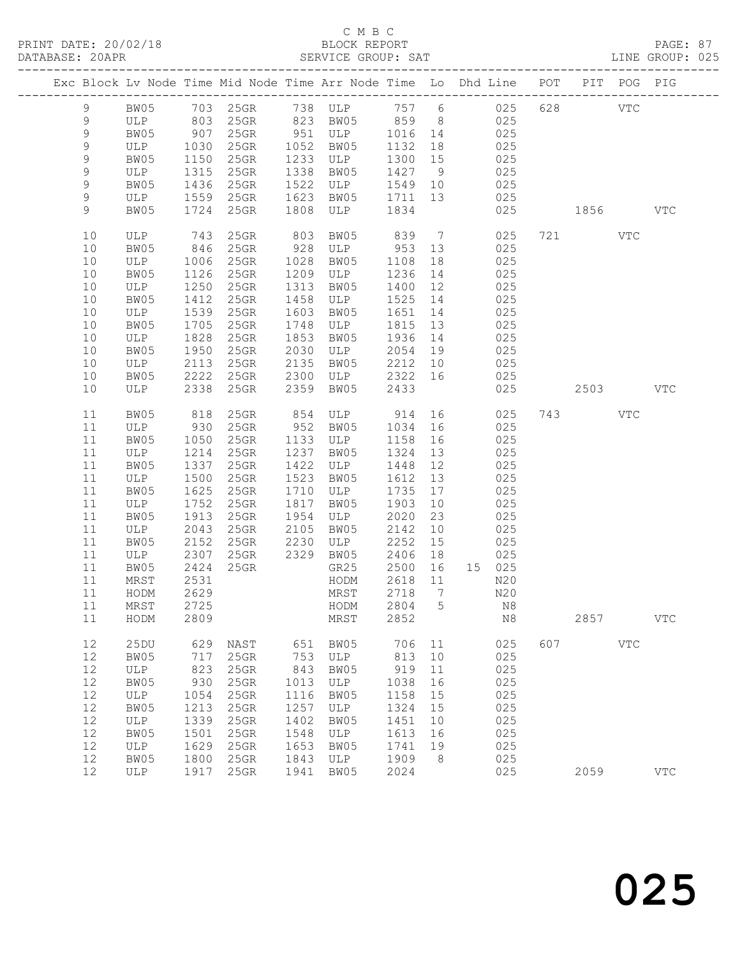#### C M B C<br>BLOCK REPORT SERVICE GROUP: SAT

|            |             |              |                 |              |             |              |                 | Exc Block Lv Node Time Mid Node Time Arr Node Time Lo Dhd Line POT                                      |     |         | PIT POG PIG  |              |
|------------|-------------|--------------|-----------------|--------------|-------------|--------------|-----------------|---------------------------------------------------------------------------------------------------------|-----|---------|--------------|--------------|
| 9          |             |              |                 |              |             |              |                 | BW05 703 25GR 738 ULP 757 6 025<br>ULP 803 25GR 823 BW05 859 8 025<br>BW05 907 25GR 951 ULP 1016 14 025 |     | 628 VTC |              |              |
| 9          |             |              |                 |              |             |              |                 |                                                                                                         |     |         |              |              |
| 9          |             |              | 907 25GR        | 951          |             |              |                 |                                                                                                         |     |         |              |              |
| 9          | ULP         | 1030         | 25GR            | 1052         | BW05        | 1132         | 18              | 025                                                                                                     |     |         |              |              |
| 9          | BW05        | 1150         | $25$ GR         | 1233         | ULP         | 1300         | 15              | 025                                                                                                     |     |         |              |              |
| 9          | ULP         | 1315         | 25GR            | 1338         | BW05        | 1427         | 9               | 025                                                                                                     |     |         |              |              |
| 9          | BW05        | 1436         | 25GR            | 1522         | ULP         | 1549         | 10              | 025                                                                                                     |     |         |              |              |
| 9          | ULP         | 1559         | $25$ GR         | 1623         | BW05        | 1711         | 13              | 025                                                                                                     |     |         |              |              |
| 9          | BW05        | 1724         | $25$ GR         | 1808         | ULP         | 1834         |                 | 025                                                                                                     |     | 1856 70 |              | $_{\rm VTC}$ |
| 10         | ULP         | 743          | $25$ GR         | 803          | BW05        | 839          | $7\overline{)}$ | 025                                                                                                     |     | 721 VTC |              |              |
| 10         | BW05        | 846          | 25GR            | 928          | ULP         | 953          | 13              | 025                                                                                                     |     |         |              |              |
| 10         | ULP         | 1006         | 25GR            | 1028         | BW05        | 1108         | 18              | 025                                                                                                     |     |         |              |              |
| $10$       | BW05        | 1126         | 25GR            | 1209         | ULP         | 1236         | 14              | 025                                                                                                     |     |         |              |              |
| 10         | ULP         | 1250         | 25GR            | 1313         | BW05        | 1400         | 12              | 025                                                                                                     |     |         |              |              |
| 10         | BW05        | 1412         | $25$ GR         | 1458         | ULP         | 1525         | 14              | 025                                                                                                     |     |         |              |              |
| 10         | ULP         | 1539         | 25GR            | 1603         | BW05        | 1651         | 14              | 025                                                                                                     |     |         |              |              |
| 10         | BW05        | 1705         | 25GR            | 1748         | ULP         | 1815         | 13              | 025                                                                                                     |     |         |              |              |
| 10<br>10   | ULP<br>BW05 | 1828<br>1950 | $25$ GR<br>25GR | 1853<br>2030 | BW05<br>ULP | 1936<br>2054 | 14<br>19        | 025<br>025                                                                                              |     |         |              |              |
| $10$       | ULP         | 2113         | 25GR            | 2135         | BW05        | 2212         | 10              | 025                                                                                                     |     |         |              |              |
| 10         | BW05        | 2222         | 25GR            | 2300         | ULP         | 2322         | 16              | 025                                                                                                     |     |         |              |              |
| 10         | ULP         | 2338         | 25GR            | 2359         | BW05        | 2433         |                 | 025                                                                                                     |     | 2503    |              | <b>VTC</b>   |
|            |             |              |                 |              |             |              |                 |                                                                                                         |     |         |              |              |
| 11         | BW05        | 818          | 25GR            | 854          | ULP 914     |              | 16              | 025                                                                                                     |     | 743     | VTC          |              |
| 11         | ULP         | 930          | $25$ GR         | 952          | BW05        | 1034         | 16              | 025                                                                                                     |     |         |              |              |
| 11         | BW05        | 1050         | $25$ GR         | 1133         | ULP         | 1158         | 16              | 025                                                                                                     |     |         |              |              |
| 11         | ULP         | 1214         | 25GR            | 1237         | BW05        | 1324         | 13              | 025                                                                                                     |     |         |              |              |
| 11         | BW05        | 1337         | 25GR            | 1422<br>1523 | ULP         | 1448         | 12              | 025                                                                                                     |     |         |              |              |
| 11<br>$11$ | ULP<br>BW05 | 1500<br>1625 | 25GR<br>25GR    | 1710         | BW05<br>ULP | 1612<br>1735 | 13<br>17        | 025<br>025                                                                                              |     |         |              |              |
| 11         | ULP         | 1752         | 25GR            | 1817         | BW05        | 1903         | 10              | 025                                                                                                     |     |         |              |              |
| 11         | BW05        | 1913         | 25GR            | 1954         | ULP         | 2020         | 23              | 025                                                                                                     |     |         |              |              |
| 11         | ULP         | 2043         | 25GR            | 2105         | BW05        | 2142         | 10              | 025                                                                                                     |     |         |              |              |
| $11$       | BW05        | 2152         | $25$ GR         | 2230         | ULP         | 2252         | 15              | 025                                                                                                     |     |         |              |              |
| 11         | ULP         | 2307         | $25$ GR         | 2329         | BW05        | 2406         | 18              | 025                                                                                                     |     |         |              |              |
| 11         | BW05        | 2424         | $25$ GR         |              | GR25        | 2500         | 16              | 15 025                                                                                                  |     |         |              |              |
| 11         | MRST        | 2531         |                 |              | HODM        | 2618         | 11              | N20                                                                                                     |     |         |              |              |
| 11         | HODM        | 2629         |                 |              | MRST        | 2718         | $\overline{7}$  | N20                                                                                                     |     |         |              |              |
| 11 MRST    |             | 2725         |                 |              |             |              |                 | HODM 2804 5 N8                                                                                          |     |         |              |              |
| 11         | HODM        | 2809         |                 |              | MRST        | 2852         |                 | N8                                                                                                      |     | 2857    |              | $_{\rm VTC}$ |
| 12         | 25DU        | 629          | NAST            | 651          | BW05        | 706          | 11              | 025                                                                                                     | 607 |         | $_{\rm VTC}$ |              |
| 12         | BW05        | 717          | 25GR            | 753          | ULP         | 813          | 10              | 025                                                                                                     |     |         |              |              |
| 12         | ULP         | 823          | 25GR            | 843          | BW05        | 919          | 11              | 025                                                                                                     |     |         |              |              |
| $12$       | BW05        | 930          | 25GR            | 1013         | ULP         | 1038         | 16              | 025                                                                                                     |     |         |              |              |
| 12         | ULP         | 1054         | 25GR            | 1116         | BW05        | 1158         | 15              | 025                                                                                                     |     |         |              |              |
| 12         | BW05        | 1213         | 25GR            | 1257         | ULP         | 1324         | 15              | 025                                                                                                     |     |         |              |              |
| 12         | ULP         | 1339         | 25GR            | 1402         | BW05        | 1451         | 10              | 025                                                                                                     |     |         |              |              |
| $12$       | BW05        | 1501         | 25GR            | 1548         | ULP         | 1613         | 16              | 025                                                                                                     |     |         |              |              |
| 12         | ULP         | 1629         | 25GR            | 1653         | BW05        | 1741         | 19              | 025                                                                                                     |     |         |              |              |
| 12         | BW05        | 1800         | 25GR            | 1843         | ULP         | 1909         | 8               | 025                                                                                                     |     |         |              |              |
| 12         | ULP         | 1917         | 25GR            | 1941         | BW05        | 2024         |                 | 025                                                                                                     |     | 2059    |              | $_{\rm VTC}$ |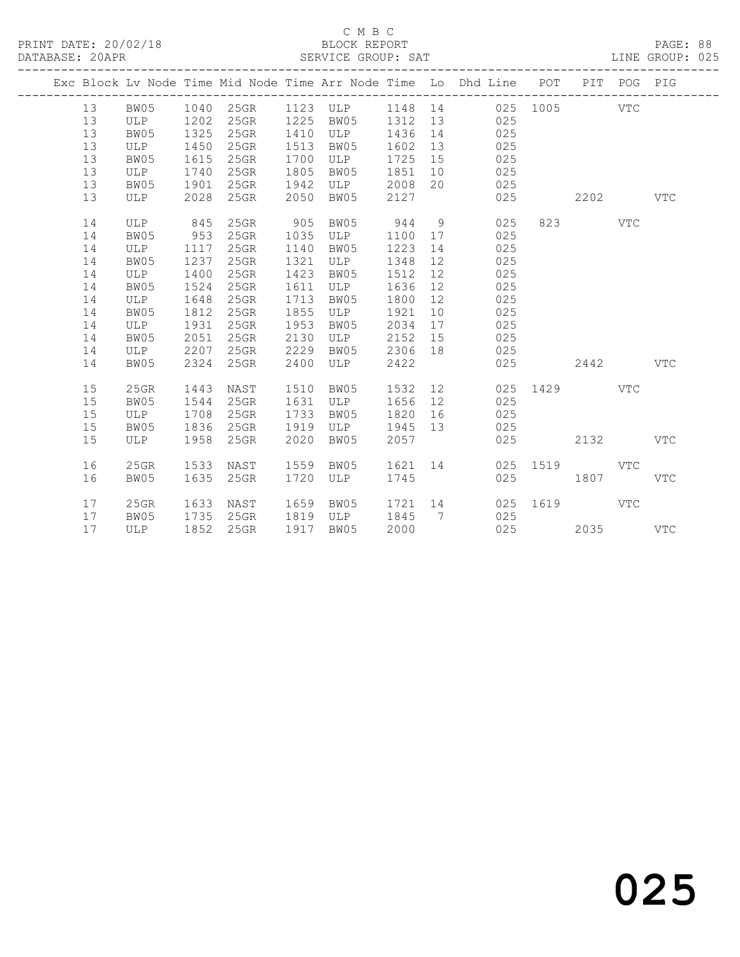#### C M B C<br>BLOCK REPORT SERVICE GROUP: SAT

|  |    |         |      |           |      |            |         |                | Exc Block Lv Node Time Mid Node Time Arr Node Time Lo Dhd Line POT PIT POG PIG<br>______________________________________ |          |         |            |              |
|--|----|---------|------|-----------|------|------------|---------|----------------|--------------------------------------------------------------------------------------------------------------------------|----------|---------|------------|--------------|
|  | 13 | BW05    |      | 1040 25GR |      | 1123 ULP   |         |                | 1148 14 025 1005 VTC                                                                                                     |          |         |            |              |
|  | 13 | ULP     | 1202 | 25GR      | 1225 | BW05       | 1312    | 13             | 025                                                                                                                      |          |         |            |              |
|  | 13 | BW05    | 1325 | 25GR      | 1410 | ULP        | 1436    | 14             | 025                                                                                                                      |          |         |            |              |
|  | 13 | ULP     | 1450 | 25GR      | 1513 | BW05       | 1602    | 13             | 025                                                                                                                      |          |         |            |              |
|  | 13 | BW05    | 1615 | 25GR      | 1700 | ULP        | 1725    | 15             | 025                                                                                                                      |          |         |            |              |
|  | 13 | ULP     | 1740 | 25GR      | 1805 | BW05       | 1851    | 10             | 025                                                                                                                      |          |         |            |              |
|  | 13 | BW05    | 1901 | 25GR      | 1942 | ULP        | 2008    | 20             | 025                                                                                                                      |          |         |            |              |
|  | 13 | ULP     | 2028 | 25GR      | 2050 | BW05       | 2127    |                | 025                                                                                                                      |          | 2202    |            | <b>VTC</b>   |
|  | 14 | ULP     | 845  | 25GR      | 905  | BW05       | 944     | 9              | 025                                                                                                                      |          | 823 VTC |            |              |
|  | 14 | BW05    | 953  | 25GR      | 1035 | ULP        | 1100    | 17             | 025                                                                                                                      |          |         |            |              |
|  | 14 | ULP     | 1117 | 25GR      | 1140 | BW05       | 1223    | 14             | 025                                                                                                                      |          |         |            |              |
|  | 14 | BW05    | 1237 | 25GR      | 1321 | ULP        | 1348    | 12             | 025                                                                                                                      |          |         |            |              |
|  | 14 | ULP     | 1400 | 25GR      | 1423 | BW05       | 1512    | 12             | 025                                                                                                                      |          |         |            |              |
|  | 14 | BW05    | 1524 | 25GR      | 1611 | ULP        | 1636    | 12             | 025                                                                                                                      |          |         |            |              |
|  | 14 | ULP     | 1648 | 25GR      | 1713 | BW05       | 1800    | 12             | 025                                                                                                                      |          |         |            |              |
|  | 14 | BW05    | 1812 | 25GR      | 1855 | ULP        | 1921    | 10             | 025                                                                                                                      |          |         |            |              |
|  | 14 | ULP     | 1931 | 25GR      | 1953 | BW05       | 2034    | 17             | 025                                                                                                                      |          |         |            |              |
|  | 14 | BW05    | 2051 | 25GR      | 2130 | ULP        | 2152    | 15             | 025                                                                                                                      |          |         |            |              |
|  | 14 | ULP     | 2207 | 25GR      | 2229 | BW05       | 2306    | 18             | 025                                                                                                                      |          |         |            |              |
|  | 14 | BW05    | 2324 | 25GR      | 2400 | <b>ULP</b> | 2422    |                | 025                                                                                                                      |          | 2442    |            | <b>VTC</b>   |
|  | 15 | 25GR    | 1443 | NAST      | 1510 | BW05       | 1532    | 12             |                                                                                                                          | 025 1429 | VTC     |            |              |
|  | 15 | BW05    | 1544 | 25GR      | 1631 | ULP        | 1656    | 12             | 025                                                                                                                      |          |         |            |              |
|  | 15 | ULP     | 1708 | 25GR      | 1733 | BW05       | 1820    | 16             | 025                                                                                                                      |          |         |            |              |
|  | 15 | BW05    | 1836 | 25GR      | 1919 | ULP        | 1945    | 13             | 025                                                                                                                      |          |         |            |              |
|  | 15 | ULP     | 1958 | 25GR      | 2020 | BW05       | 2057    |                | 025                                                                                                                      |          | 2132    |            | <b>VTC</b>   |
|  |    |         |      |           |      |            |         |                |                                                                                                                          |          |         |            |              |
|  | 16 | 25GR    | 1533 | NAST      | 1559 | BW05       | 1621 14 |                |                                                                                                                          | 025 1519 |         | <b>VTC</b> |              |
|  | 16 | BW05    | 1635 | 25GR      | 1720 | ULP        | 1745    |                | 025                                                                                                                      |          | 1807    |            | $_{\rm VTC}$ |
|  | 17 | $25$ GR | 1633 | NAST      | 1659 | BW05       | 1721 14 |                | 025                                                                                                                      | 1619     |         | <b>VTC</b> |              |
|  |    |         |      |           |      |            |         |                |                                                                                                                          |          |         |            |              |
|  | 17 | BW05    | 1735 | 25GR      | 1819 | ULP        | 1845    | $\overline{7}$ | 025                                                                                                                      |          |         |            |              |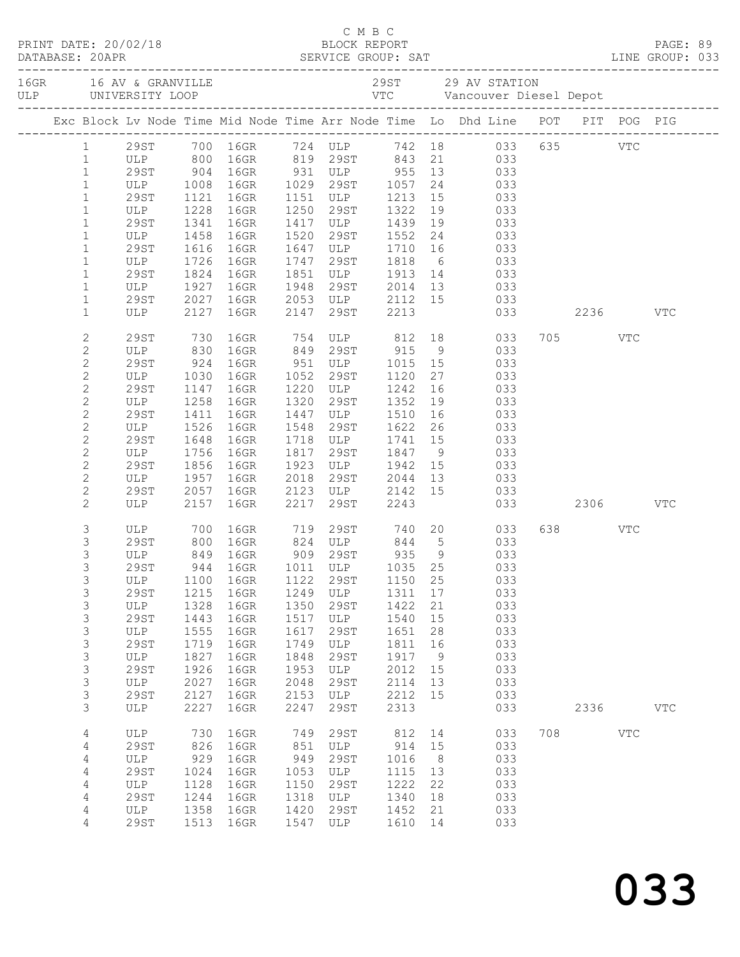|  | DATABASE: 20APR              | PRINT DATE: 20/02/18 |              |                                                                                                             |              |                                            |                                     |                 |   |                                                                                     |              |              |              |  |
|--|------------------------------|----------------------|--------------|-------------------------------------------------------------------------------------------------------------|--------------|--------------------------------------------|-------------------------------------|-----------------|---|-------------------------------------------------------------------------------------|--------------|--------------|--------------|--|
|  |                              |                      |              |                                                                                                             |              |                                            |                                     |                 |   |                                                                                     |              |              |              |  |
|  |                              |                      |              | Exc Block Lv Node Time Mid Node Time Arr Node Time Lo Dhd Line POT PIT POG PIG                              |              |                                            |                                     |                 |   |                                                                                     |              |              |              |  |
|  |                              |                      |              | 1 29ST 700 16GR 724 ULP 742 18 033 635 VTC                                                                  |              |                                            |                                     |                 |   |                                                                                     |              |              |              |  |
|  | $\mathbf{1}$                 |                      |              |                                                                                                             |              |                                            |                                     |                 |   |                                                                                     |              |              |              |  |
|  | $\mathbf{1}$                 |                      |              | ULP 800 16GR 819 29ST 843 21 033<br>29ST 904 16GR 931 ULP 955 13 033<br>ULP 1008 16GR 1029 29ST 1057 24 033 |              |                                            |                                     |                 |   |                                                                                     |              |              |              |  |
|  | $\mathbf{1}$                 |                      |              |                                                                                                             |              |                                            |                                     |                 |   |                                                                                     |              |              |              |  |
|  | $\mathbf{1}$                 | 29ST                 | 1121         | 16GR                                                                                                        | 1151         |                                            | ULP 1213                            | 15              |   | 033                                                                                 |              |              |              |  |
|  | $\mathbf{1}$                 | ULP                  | 1228         | 16GR                                                                                                        | 1250         | 29ST                                       | 1322                                | 19              |   | 033                                                                                 |              |              |              |  |
|  | $\mathbf{1}$                 | 29ST<br>ULP          | 1341         | 16GR                                                                                                        |              | 1417 ULP                                   | 1439                                | 19              |   | $\begin{array}{ccc} 19 & \hspace{1.5cm} 033 \\ 24 & \hspace{1.5cm} 033 \end{array}$ |              |              |              |  |
|  | $\mathbf{1}$<br>$\mathbf{1}$ | 29ST                 | 1458<br>1616 | 16GR<br>16GR                                                                                                | 1520<br>1647 | 29ST                                       | 1552<br>ULP 1710                    | 16              |   | 033                                                                                 |              |              |              |  |
|  | $\mathbf{1}$                 | ULP                  | 1726         | 16GR                                                                                                        | 1747         | 29ST                                       | 1818                                | $6\overline{6}$ |   | 033                                                                                 |              |              |              |  |
|  | $\mathbf{1}$                 | 29ST                 | 1824         | 16GR                                                                                                        | 1851         |                                            |                                     |                 |   |                                                                                     |              |              |              |  |
|  | $\mathbf{1}$                 | ULP                  | 1927         | 16GR                                                                                                        | 1948         |                                            | ULP 1913 14 033<br>29ST 2014 13 033 |                 |   |                                                                                     |              |              |              |  |
|  | $\mathbf{1}$                 | 29ST                 | 2027         | 16GR                                                                                                        |              | 2053 ULP 2112 15 033                       |                                     |                 |   |                                                                                     |              |              |              |  |
|  | $\mathbf{1}$                 | ULP                  | 2127         | 16GR                                                                                                        | 2147         | 29ST                                       | 2213                                |                 |   |                                                                                     | 033 2236 VTC |              |              |  |
|  | $\mathbf{2}$                 | 29ST                 | 730          | 16GR 754 ULP 812 18 033                                                                                     |              |                                            |                                     |                 |   |                                                                                     | 705 VTC      |              |              |  |
|  | $\mathbf{2}$                 | ULP                  | 830          | 16GR 849 29ST 915                                                                                           |              |                                            |                                     |                 | 9 | 033                                                                                 |              |              |              |  |
|  | $\mathbf{2}$                 | 29ST                 | 924          | 16GR 951 ULP 1015 15                                                                                        |              |                                            |                                     |                 |   | 033                                                                                 |              |              |              |  |
|  | $\mathbf{2}$                 | ULP                  | 1030         | 16GR                                                                                                        | 1052         | 29ST                                       | 1120                                | 27              |   | 033                                                                                 |              |              |              |  |
|  | $\overline{c}$               | 29ST                 | 1147         | 16GR                                                                                                        | 1220         | ULP                                        | 1242                                | 16              |   | 033                                                                                 |              |              |              |  |
|  | $\sqrt{2}$                   | ULP                  | 1258         | 16GR                                                                                                        | 1320         | 29ST                                       | 1352                                | 19              |   | 033                                                                                 |              |              |              |  |
|  | $\mathbf{2}$                 | 29ST                 | 1411         | 16GR                                                                                                        | 1447         | ULP                                        | 1510                                | 16              |   | 033                                                                                 |              |              |              |  |
|  | $\mathbf{2}$                 | ULP                  | 1526         | 16GR                                                                                                        | 1548         | 29ST                                       | 1622                                | 26              |   | 033                                                                                 |              |              |              |  |
|  | $\overline{c}$               | 29ST                 | 1648         | 16GR                                                                                                        |              | 1718 ULP                                   | 1741 15                             |                 |   | 033<br>$\frac{15}{9}$ 033                                                           |              |              |              |  |
|  | $\mathbf{2}$                 | ULP                  | 1756         | 16GR                                                                                                        | 1817         | 29ST                                       | 1847                                |                 |   |                                                                                     |              |              |              |  |
|  | $\mathbf{2}$                 | 29ST                 | 1856         | 16GR                                                                                                        | 1923         |                                            | ULP 1942 15                         |                 |   | 033                                                                                 |              |              |              |  |
|  | $\mathbf{2}$                 | ULP                  | 1957         | 16GR                                                                                                        | 2018         |                                            | 29ST 2044                           | 13              |   | 033                                                                                 |              |              |              |  |
|  | $\mathbf{2}$<br>$\mathbf{2}$ | 29ST<br>ULP          | 2057         | 16GR<br>2157 16GR                                                                                           | 2217         | 2123 ULP 2142 15<br>2217 29ST 2243<br>29ST | 2243                                |                 |   | 033<br>033 2306 VTC                                                                 |              |              |              |  |
|  | 3                            | ULP                  | 700          | 16GR 719                                                                                                    |              |                                            |                                     |                 |   | 29ST 740 20 033                                                                     | 638 VTC      |              |              |  |
|  | $\mathsf S$                  |                      |              |                                                                                                             |              |                                            |                                     |                 |   |                                                                                     |              |              |              |  |
|  | 3                            | 29ST 800<br>ULP 849  |              | 16GR 824 ULP 844 5<br>16GR 909 29ST 935 9                                                                   |              |                                            |                                     |                 |   | $\begin{array}{ccc} 5 & 033 \\ 9 & 033 \end{array}$                                 |              |              |              |  |
|  | 3                            | 29ST                 |              | 944 16GR 1011 ULP 1035 25 033                                                                               |              |                                            |                                     |                 |   |                                                                                     |              |              |              |  |
|  | 3                            | ULP                  | 1100         | 16GR                                                                                                        | 1122         | 29ST                                       | 1150                                | 25              |   | 033                                                                                 |              |              |              |  |
|  | 3                            | <b>29ST</b>          | 1215         | 16GR                                                                                                        | 1249         | ULP                                        | 1311                                | 17              |   | 033                                                                                 |              |              |              |  |
|  | $\mathsf S$                  | ULP                  | 1328         | 16GR                                                                                                        | 1350         | 29ST                                       | 1422                                | 21              |   | 033                                                                                 |              |              |              |  |
|  | $\mathsf S$                  | 29ST                 | 1443         | 16GR                                                                                                        | 1517         | ULP                                        | 1540                                | 15              |   | 033                                                                                 |              |              |              |  |
|  | 3                            | ULP                  | 1555         | 16GR                                                                                                        | 1617         | 29ST                                       | 1651                                | 28              |   | 033                                                                                 |              |              |              |  |
|  | $\mathsf S$                  | <b>29ST</b>          | 1719         | 16GR                                                                                                        | 1749         | ULP                                        | 1811                                | 16              |   | 033                                                                                 |              |              |              |  |
|  | $\mathsf S$                  | ULP                  | 1827         | 16GR                                                                                                        | 1848         | 29ST                                       | 1917                                | 9               |   | 033                                                                                 |              |              |              |  |
|  | $\mathsf S$                  | 29ST                 | 1926         | 16GR                                                                                                        | 1953         | ULP                                        | 2012                                | 15              |   | 033                                                                                 |              |              |              |  |
|  | 3                            | ULP                  | 2027         | 16GR                                                                                                        | 2048         | 29ST                                       | 2114                                | 13              |   | 033                                                                                 |              |              |              |  |
|  | $\mathfrak{S}$<br>3          | <b>29ST</b><br>ULP   | 2127<br>2227 | 16GR<br>16GR                                                                                                | 2153<br>2247 | ULP<br>29ST                                | 2212<br>2313                        | 15              |   | 033<br>033                                                                          | 2336         |              | $_{\rm VTC}$ |  |
|  |                              |                      |              |                                                                                                             |              |                                            |                                     |                 |   |                                                                                     |              |              |              |  |
|  | 4<br>4                       | ULP<br><b>29ST</b>   | 730<br>826   | 16GR<br>16GR                                                                                                | 749<br>851   | 29ST<br>ULP                                | 812<br>914                          | 14<br>15        |   | 033<br>033                                                                          | 708          | $_{\rm VTC}$ |              |  |
|  | $\sqrt{4}$                   | ULP                  | 929          | 16GR                                                                                                        | 949          | 29ST                                       | 1016                                | 8               |   | 033                                                                                 |              |              |              |  |
|  | 4                            | 29ST                 | 1024         | 16GR                                                                                                        | 1053         | ULP                                        | 1115                                | 13              |   | 033                                                                                 |              |              |              |  |
|  | 4                            | ULP                  | 1128         | 16GR                                                                                                        | 1150         | 29ST                                       | 1222                                | 22              |   | 033                                                                                 |              |              |              |  |
|  | 4                            | <b>29ST</b>          | 1244         | 16GR                                                                                                        | 1318         | ULP                                        | 1340                                | 18              |   | 033                                                                                 |              |              |              |  |
|  | 4                            | ULP                  | 1358         | 16GR                                                                                                        | 1420         | 29ST                                       | 1452                                | 21              |   | 033                                                                                 |              |              |              |  |
|  | 4                            | 29ST                 | 1513         | 16GR                                                                                                        | 1547         | ULP                                        | 1610                                | 14              |   | 033                                                                                 |              |              |              |  |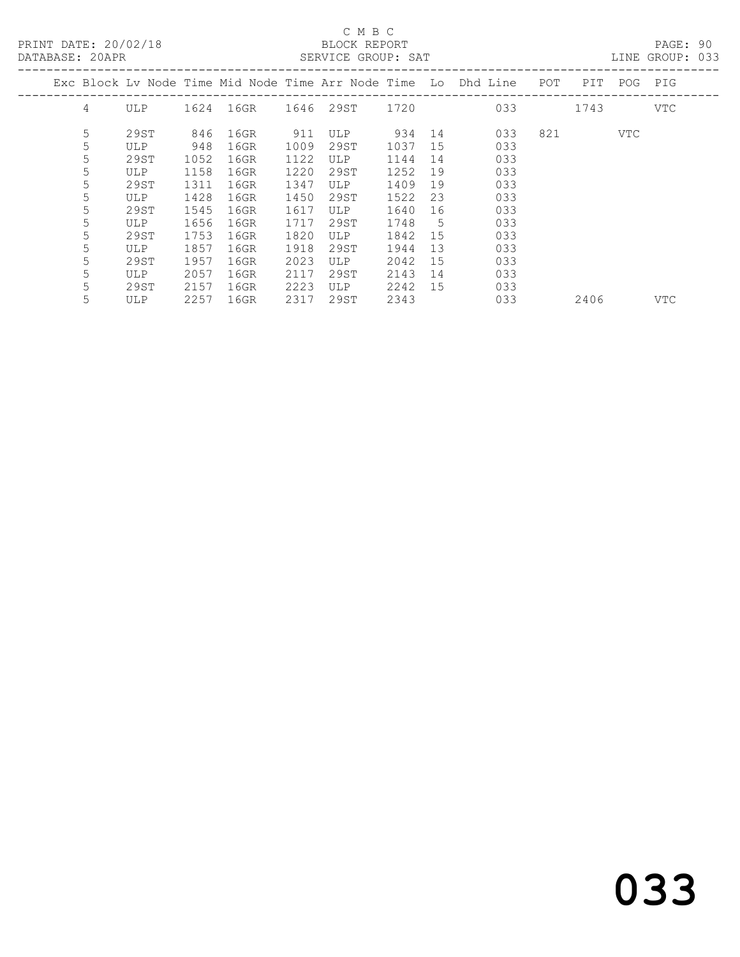PRINT DATE: 20/02/18 BLOCK REPORT<br>
DATABASE: 20APR<br>
SERVICE GROUP: SAT

### C M B C<br>BLOCK REPORT

PAGE: 90<br>LINE GROUP: 033

| <i>PHILIPHOL.</i> 20111. |   |      |      |      |      | AUITATO AITO T. AIII |      |    |                                                                    |     |      |     |     |
|--------------------------|---|------|------|------|------|----------------------|------|----|--------------------------------------------------------------------|-----|------|-----|-----|
|                          |   |      |      |      |      |                      |      |    | Exc Block Lv Node Time Mid Node Time Arr Node Time Lo Dhd Line POT |     | PIT  | POG | PIG |
|                          | 4 | ULP  | 1624 | 16GR |      | 1646 29ST 1720       |      |    | 033                                                                |     | 1743 |     | VTC |
|                          | 5 | 29ST | 846  | 16GR | 911  | <b>ULP</b>           | 934  | 14 | 033                                                                | 821 |      | VTC |     |
|                          | 5 | ULP  | 948  | 16GR | 1009 | 29ST                 | 1037 | 15 | 033                                                                |     |      |     |     |
|                          | 5 | 29ST | 1052 | 16GR | 1122 | ULP                  | 1144 | 14 | 033                                                                |     |      |     |     |
|                          | 5 | ULP  | 1158 | 16GR | 1220 | 29ST                 | 1252 | 19 | 033                                                                |     |      |     |     |
|                          | 5 | 29ST | 1311 | 16GR | 1347 | ULP                  | 1409 | 19 | 033                                                                |     |      |     |     |
|                          | 5 | ULP  | 1428 | 16GR | 1450 | 29ST                 | 1522 | 23 | 033                                                                |     |      |     |     |
|                          | 5 | 29ST | 1545 | 16GR | 1617 | ULP                  | 1640 | 16 | 033                                                                |     |      |     |     |
|                          | 5 | ULP  | 1656 | 16GR | 1717 | 29ST                 | 1748 | 5  | 033                                                                |     |      |     |     |
|                          | 5 | 29ST | 1753 | 16GR | 1820 | ULP                  | 1842 | 15 | 033                                                                |     |      |     |     |
|                          | 5 | ULP  | 1857 | 16GR | 1918 | 29ST                 | 1944 | 13 | 033                                                                |     |      |     |     |
|                          | 5 | 29ST | 1957 | 16GR | 2023 | ULP                  | 2042 | 15 | 033                                                                |     |      |     |     |
|                          | 5 | ULP  | 2057 | 16GR | 2117 | 29ST                 | 2143 | 14 | 033                                                                |     |      |     |     |
|                          | 5 | 29ST | 2157 | 16GR | 2223 | ULP                  | 2242 | 15 | 033                                                                |     |      |     |     |
|                          | 5 | ULP  | 2257 | 16GR | 2317 | 29ST                 | 2343 |    | 033                                                                |     | 2406 |     | VTC |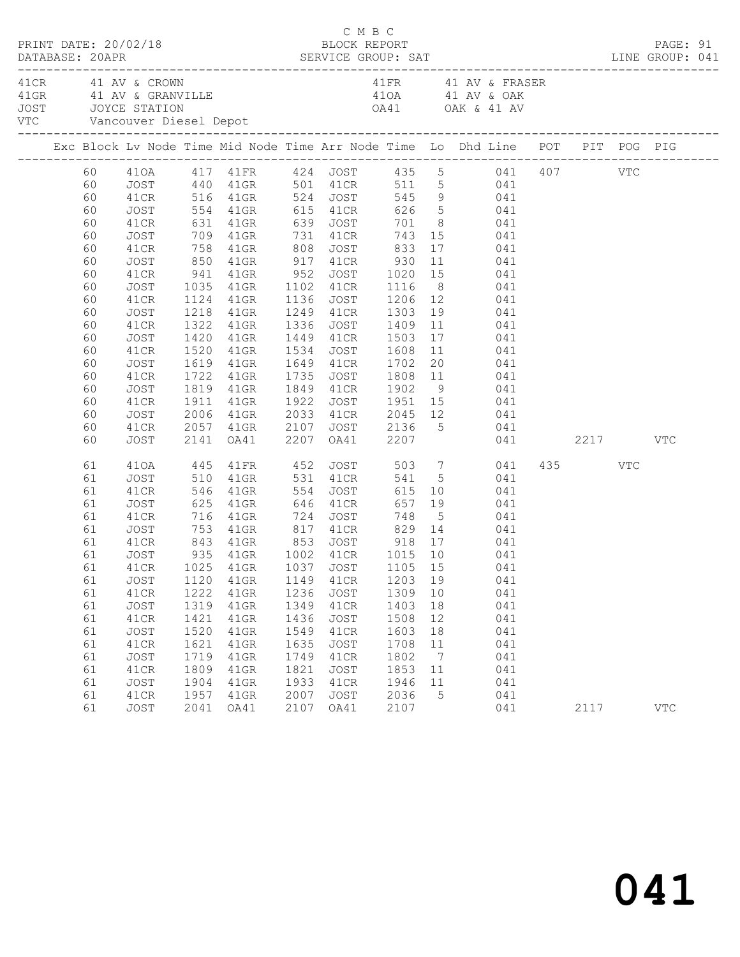|                                                                                                                                  | PRINT DATE: 20/02/18                                                                                                                                 |                                                                                                    |                                                                                                                                                                    |                                                                                                    | C M B C<br>BLOCK REPORT                                                                                  |                                                                                         |                                                               | DATABASE: 20APR SERVICE GROUP: SAT LINE GROUP: 041                                                                                                                                                                                                                                                                                                                                                                                                                                                                                                                                                                             |                 | PAGE: 91   |  |
|----------------------------------------------------------------------------------------------------------------------------------|------------------------------------------------------------------------------------------------------------------------------------------------------|----------------------------------------------------------------------------------------------------|--------------------------------------------------------------------------------------------------------------------------------------------------------------------|----------------------------------------------------------------------------------------------------|----------------------------------------------------------------------------------------------------------|-----------------------------------------------------------------------------------------|---------------------------------------------------------------|--------------------------------------------------------------------------------------------------------------------------------------------------------------------------------------------------------------------------------------------------------------------------------------------------------------------------------------------------------------------------------------------------------------------------------------------------------------------------------------------------------------------------------------------------------------------------------------------------------------------------------|-----------------|------------|--|
|                                                                                                                                  | 41 CR 41 AV & CROWN<br>JOST JOYCE STATION<br>VTC        Vancouver Diesel Depot                                                                       |                                                                                                    |                                                                                                                                                                    |                                                                                                    |                                                                                                          |                                                                                         |                                                               | 41 FR 41 AV & FRASER                                                                                                                                                                                                                                                                                                                                                                                                                                                                                                                                                                                                           |                 |            |  |
|                                                                                                                                  |                                                                                                                                                      |                                                                                                    |                                                                                                                                                                    |                                                                                                    |                                                                                                          |                                                                                         |                                                               | Exc Block Lv Node Time Mid Node Time Arr Node Time Lo Dhd Line POT PIT POG PIG                                                                                                                                                                                                                                                                                                                                                                                                                                                                                                                                                 |                 |            |  |
| 60<br>60<br>60<br>60<br>60<br>60<br>60<br>60<br>60<br>60<br>60<br>60<br>60<br>60<br>60<br>60<br>60<br>60<br>60<br>60<br>60<br>60 | JOST<br>41CR<br>JOST<br>41CR<br>JOST<br>41CR<br>JOST<br>41CR<br>JOST<br>41CR<br>JOST<br>41CR<br>JOST<br>41CR<br>JOST<br>41CR<br>JOST<br>41CR<br>JOST | 850<br>1218<br>1322<br>1420                                                                        | 41GR 917 41CR<br>$41$ GR<br>41GR<br>41GR<br>1520 41GR<br>1619 41GR<br>1722 41GR<br>1819 41GR<br>1911 41GR<br>1819 41GR<br>2006 41GR                                | 2107                                                                                               | 1336 JOST<br>1449 41CR<br>1735 JOST                                                                      | 930<br>1534 JOST 1608<br>1649 41CR 1702                                                 |                                                               | 410A 417 41FR 424 JOST 435 5 041 407 VTC<br>JOST 440 41GR 501 41CR 511 5 041<br>41CR 516 41GR 524 JOST 545 9 041<br>554 41GR 615 41CR 626 5 041<br>631 41GR 639 JOST 701 8 041<br>709 41GR 731 41CR 743 15 041<br>758 41GR 808 JOST 833 17 041<br>11 041<br>941 41GR 952 JOST 1020 15 041<br>1035 41GR 1102 41CR 1116 8 041<br>1124 41GR 1136 JOST 1206 12 041<br>1249 41CR 1303 19 041<br>1409  11  041<br>1503  17  041<br>11 041<br>20 041<br>1735 JOST 1808 11 041<br>1849 41CR 1902 9 041<br>1922 JOST 1951 15 041<br>2033 41CR 2045 12 041<br>2057 41GR 2107 JOST 2136 5 041<br>2141 0A41 2207 0A41 2207 041<br>041 2217 |                 | VTC        |  |
| 61<br>61<br>61<br>61<br>61<br>61<br>61<br>61<br>61<br>61<br>61<br>61<br>61<br>61<br>61<br>61<br>61<br>61<br>61                   | 410A<br>JOST<br>41CR<br>JOST<br>41CR<br>JOST<br>41CR<br>JOST<br>JOST<br>41CR<br>JOST<br>41CR<br>JOST<br>41CR<br>JOST<br>41CR<br>JOST<br>41CR<br>JOST | 445<br>510<br>1120<br>1222<br>1319<br>1421<br>1520<br>1621<br>1719<br>1809<br>1904<br>1957<br>2041 | 41FR 452<br>41GR<br>546 41GR<br>625 41GR<br>716 41GR 724<br>41GR<br>41GR<br>41GR<br>$41$ GR<br>$41$ GR<br>$41$ GR<br>$41$ GR<br>$41$ GR<br>$41$ GR<br>41GR<br>OA41 | 554<br>646<br>1149<br>1236<br>1349<br>1436<br>1549<br>1635<br>1749<br>1821<br>1933<br>2007<br>2107 | 531 41CR<br>JOST<br>41CR<br>JOST<br>41CR<br>JOST<br>41CR<br>JOST<br>41CR<br>JOST<br>41CR<br>JOST<br>OA41 | 1203 19<br>1309<br>1403<br>1508<br>1603<br>1708<br>1802<br>1853<br>1946<br>2036<br>2107 | 10<br>18<br>12<br>18<br>11<br>$\overline{7}$<br>11<br>11<br>5 | JOST 503 7 041<br>541 5 041<br>JOST 615 10 041<br>41CR 657 19 041<br>748 5 041<br>753 41GR 817 41CR 829 14 041<br>843 41GR 853 JOST 918 17 041<br>935 41GR 1002 41CR 1015 10 041<br>041<br>041<br>041<br>041<br>041<br>041<br>041<br>041<br>041<br>041<br>041                                                                                                                                                                                                                                                                                                                                                                  | 435 VTC<br>2117 | <b>VTC</b> |  |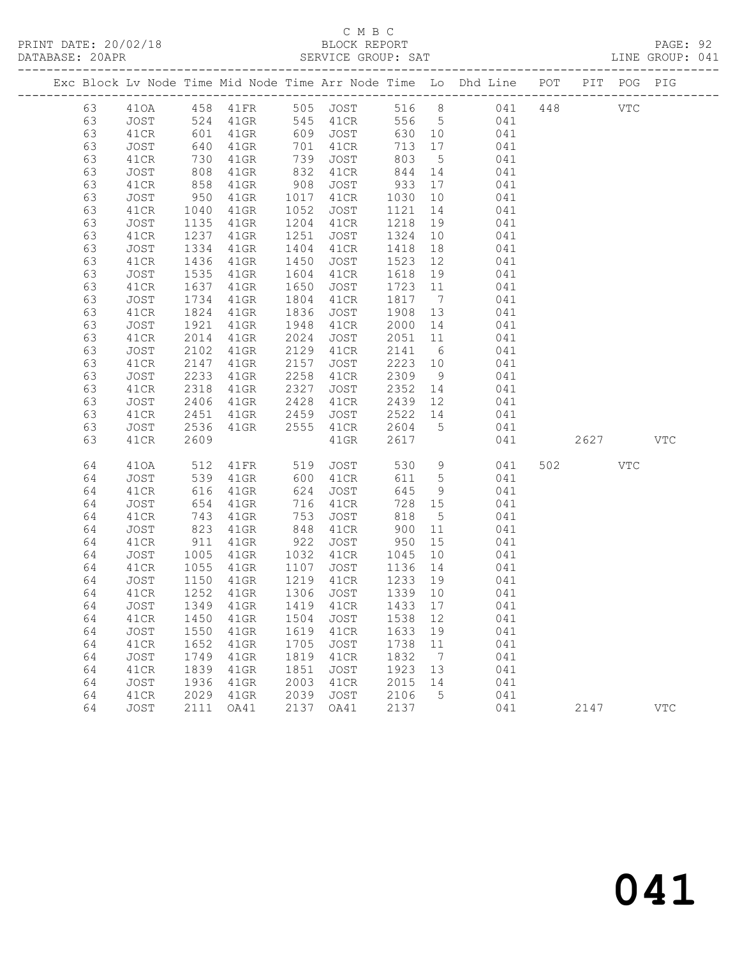# C M B C<br>BLOCK REPORT

PAGE: 92<br>LINE GROUP: 041

|  |          |              |                 |                    |              |                                  |              |                 | Exc Block Lv Node Time Mid Node Time Arr Node Time Lo Dhd Line POT       |            | PIT POG PIG |            |
|--|----------|--------------|-----------------|--------------------|--------------|----------------------------------|--------------|-----------------|--------------------------------------------------------------------------|------------|-------------|------------|
|  | 63       |              |                 |                    |              |                                  |              |                 |                                                                          | <b>VTC</b> |             |            |
|  | 63       |              |                 |                    |              |                                  |              |                 |                                                                          |            |             |            |
|  | 63       | 41CR         | 601             | 41GR               |              | 609 JOST                         | 630 10       |                 | 041                                                                      |            |             |            |
|  | 63       | JOST         | 640             | 41GR               | 701          | 41CR                             | 713          | 17              | 041                                                                      |            |             |            |
|  | 63       | 41CR         |                 | $41$ GR            | 739<br>832   | JOST                             | 803          | 5 <sup>5</sup>  | 041                                                                      |            |             |            |
|  | 63       | JOST         | $\frac{1}{808}$ | $41$ GR            |              | 41CR                             | 844          | 14              | 041                                                                      |            |             |            |
|  | 63       | 41CR         | 858             | $41$ GR            | 908          | JOST                             | 933          |                 | 17 041                                                                   |            |             |            |
|  | 63       | JOST         | 950             | 41GR               | 1017         | 41CR                             | 1030         | 10              | 041                                                                      |            |             |            |
|  | 63       | 41CR         | 1040            | 41GR               | 1052         | JOST                             | 1121         |                 | 14 041                                                                   |            |             |            |
|  | 63       | JOST         | 1135            | 41GR               | 1204         | 41CR                             | 1218         | 19              | 041<br>$\begin{array}{ccc}\n1 & 0 & 0 & 0 \\ 0 & 0 & 0 & 0\n\end{array}$ |            |             |            |
|  | 63       | 41CR         | 1237            | $41$ GR            | 1251         | JOST                             | 1324         |                 |                                                                          |            |             |            |
|  | 63       | JOST         | 1334            | $41$ GR            | 1404         | 41CR                             | 1418         |                 | 18 041                                                                   |            |             |            |
|  | 63<br>63 | 41CR         | 1436<br>1535    | $41$ GR            | 1450<br>1604 | JOST                             | 1523<br>1618 |                 | $12$ 041<br>041                                                          |            |             |            |
|  | 63       | JOST         | 1637            | 41GR               | 1650         | 41CR                             |              | 19              | 1723 11 041                                                              |            |             |            |
|  | 63       | 41CR<br>JOST | 1734            | $41$ GR<br>$41$ GR | 1804         | JOST<br>41CR                     | 1817         | $\overline{7}$  | 041                                                                      |            |             |            |
|  | 63       | 41CR         | 1824            | $41$ GR            | 1836         | JOST                             | 1908         | 13              |                                                                          |            |             |            |
|  | 63       | JOST         | 1921            | $41$ GR            | 1948         | 41CR                             | 2000 14      |                 | 041<br>041                                                               |            |             |            |
|  | 63       | 41CR         | 2014            | $41$ GR            | 2024         | JOST                             | 2051         |                 | $\begin{array}{ccc} 14 & 041 \\ 11 & 041 \end{array}$                    |            |             |            |
|  | 63       | JOST         | 2102            | $41$ GR            | 2129         | 41CR                             | 2141         |                 | 6 041                                                                    |            |             |            |
|  | 63       | 41CR         | 2147            | $41$ GR            | 2157         | JOST                             | 2223         |                 | 10 041                                                                   |            |             |            |
|  | 63       | JOST         | 2233            | 41GR               | 2258         | 41CR                             | 2309         | 9               | 041                                                                      |            |             |            |
|  | 63       | 41CR         | 2318            | $41$ GR            | 2327         | JOST                             | 2352         | 14              | 041                                                                      |            |             |            |
|  | 63       | JOST         | 2406            | 41GR               | 2428         | 41CR                             |              |                 | 2439 12 041                                                              |            |             |            |
|  | 63       | 41CR         | 2451            | 41GR               | 2459         | JOST                             | 2522         |                 | 14 041                                                                   |            |             |            |
|  | 63       | JOST         | 2536            | 41GR               | 2555         | 41CR                             | 2604 5       |                 | 041                                                                      |            |             |            |
|  | 63       | 41CR         | 2609            |                    |              | $41$ GR                          | 2617         |                 | 041                                                                      | 2627       |             | VTC        |
|  |          |              |                 |                    |              |                                  |              |                 |                                                                          |            |             |            |
|  | 64       | 410A         | 512             | 41FR 519           |              | JOST                             | 530          |                 | 9 041                                                                    | 502 VTC    |             |            |
|  | 64       | JOST         | 539             | 41GR               | 600<br>624   | 41CR                             | 611 5        |                 | 041                                                                      |            |             |            |
|  | 64       | 41CR         | 616             | 41GR               | 624          | JOST                             | 645          | 9               | 041                                                                      |            |             |            |
|  | 64       | JOST         | 654             | $41$ GR            | 716          | 41CR                             | 728 15       |                 | 041                                                                      |            |             |            |
|  | 64       | 41CR         | 743             | 41GR               | 753          | JOST                             | 818          | $5\overline{)}$ | 041                                                                      |            |             |            |
|  | 64       | JOST         | 823<br>911      | 41GR               | 848          | 41CR                             | 900          | 11              | 041                                                                      |            |             |            |
|  | 64       | 41CR         |                 | 41GR               | 922          | JOST                             | 950          | 15              | 041                                                                      |            |             |            |
|  | 64       | JOST         | 1005            | $41$ GR            | 1032         | 41CR                             | 1045         |                 | $\begin{array}{ccc}\n10 & 041\n\end{array}$                              |            |             |            |
|  | 64       | 41CR         | 1055            | $41$ GR            | 1107         | JOST 1136                        |              | 14              | 041                                                                      |            |             |            |
|  | 64       | JOST         | 1150<br>1252    | $41$ GR            | 1219         | 41CR                             | 1233 19      |                 | 041                                                                      |            |             |            |
|  | 64       | 41CR         |                 | 41GR               | 1306         | JOST                             | 1339 10      |                 | 041                                                                      |            |             |            |
|  | 64       |              |                 |                    |              | JOST 1349 41GR 1419 41CR 1433 17 |              |                 | 041                                                                      |            |             |            |
|  | 64       | 41CR         | 1450            | 41GR               | 1504         | JOST                             | 1538         | 12              | 041                                                                      |            |             |            |
|  | 64<br>64 | JOST<br>41CR | 1550<br>1652    | 41GR<br>41GR       | 1619<br>1705 | 41CR<br>JOST                     | 1633<br>1738 | 19<br>11        | 041<br>041                                                               |            |             |            |
|  | 64       | JOST         | 1749            | 41GR               | 1819         | 41CR                             | 1832         | $\overline{7}$  | 041                                                                      |            |             |            |
|  | 64       | 41CR         | 1839            | 41GR               | 1851         | JOST                             | 1923         | 13              | 041                                                                      |            |             |            |
|  | 64       | JOST         | 1936            | 41GR               | 2003         | 41CR                             | 2015         | 14              | 041                                                                      |            |             |            |
|  | 64       | 41CR         | 2029            | 41GR               | 2039         | <b>JOST</b>                      | 2106         | 5               | 041                                                                      |            |             |            |
|  | 64       | JOST         | 2111            | OA41               | 2137         | OA41                             | 2137         |                 | 041                                                                      | 2147       |             | <b>VTC</b> |
|  |          |              |                 |                    |              |                                  |              |                 |                                                                          |            |             |            |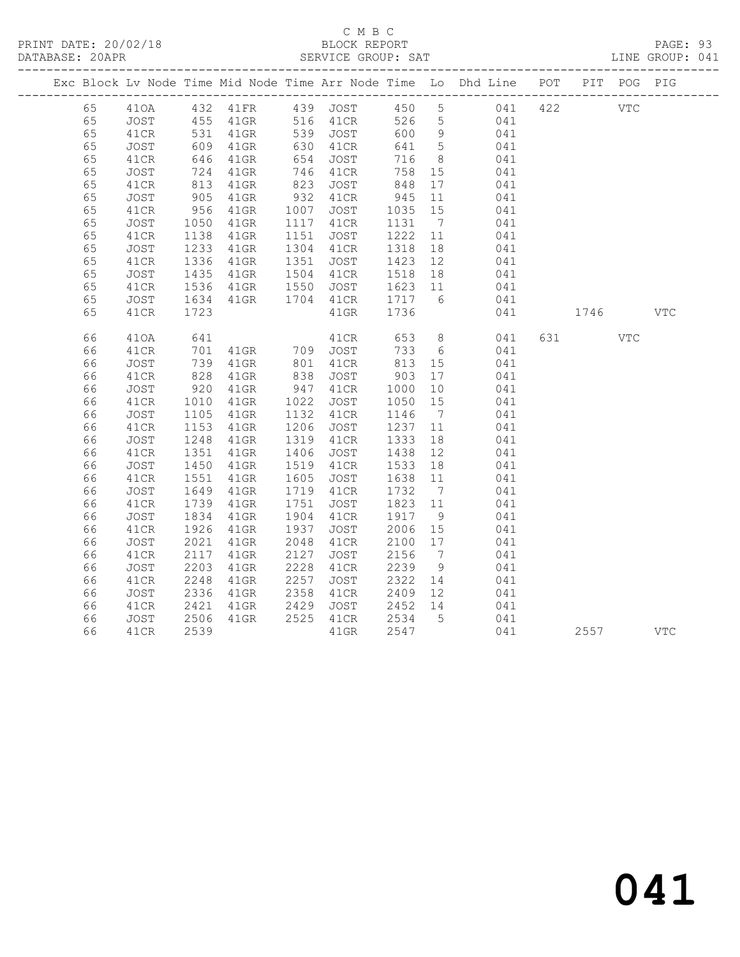# C M B C<br>BLOCK REPORT

PAGE: 93<br>LINE GROUP: 041

|    |             |                   |                                                             |      |                      |                        |                 | Exc Block Lv Node Time Mid Node Time Arr Node Time Lo Dhd Line POT PIT POG PIG |     |            |            |            |
|----|-------------|-------------------|-------------------------------------------------------------|------|----------------------|------------------------|-----------------|--------------------------------------------------------------------------------|-----|------------|------------|------------|
| 65 |             |                   |                                                             |      |                      |                        |                 | 410A 432 41FR 439 JOST 450 5 041 422                                           |     | <b>VTC</b> |            |            |
| 65 | <b>JOST</b> |                   | 455 41GR 516 41CR<br>531 41GR 539 JOST<br>609 41GR 630 41CR |      |                      | 526                    | $5\overline{)}$ | 041                                                                            |     |            |            |            |
| 65 | 41CR        |                   |                                                             |      |                      | 600                    | 9               | 041                                                                            |     |            |            |            |
| 65 | JOST        |                   |                                                             |      | 630 41CR             | 641                    | $5\overline{)}$ | 041                                                                            |     |            |            |            |
| 65 | 41CR        |                   | 646 41GR<br>724 41GR<br>813 41GR                            |      | 654 JOST<br>746 41CR | 716                    | 8 <sup>8</sup>  | 041                                                                            |     |            |            |            |
| 65 | JOST        |                   |                                                             |      |                      | 758                    | 15              | 041                                                                            |     |            |            |            |
| 65 | 41CR        |                   |                                                             | 823  | JOST                 | 848                    | 17              | 041                                                                            |     |            |            |            |
| 65 | JOST        | 905               | $41$ GR                                                     | 932  | 41CR                 | 945                    | 11              | 041                                                                            |     |            |            |            |
| 65 | 41CR        | 956               | $41$ GR                                                     | 1007 | JOST                 | 1035 15                |                 | 041                                                                            |     |            |            |            |
| 65 | JOST        | 1050              | 41GR                                                        |      | 1117 41CR            | 1131                   | $\overline{7}$  | 041                                                                            |     |            |            |            |
| 65 | 41CR        | 1138              | $41$ GR                                                     |      | 1151 JOST            | 1222   11<br>1318   18 |                 | 041                                                                            |     |            |            |            |
| 65 | JOST        | 1233              | 41GR                                                        |      | 1304 41CR            |                        |                 | 041                                                                            |     |            |            |            |
| 65 | 41CR        | 1336              | $41$ GR                                                     | 1351 | JOST                 | 1423 12                |                 | 041                                                                            |     |            |            |            |
| 65 | JOST        | 1435              | $41$ GR                                                     |      | 1504 41CR            | 1518  18<br>1623  11   |                 | 041                                                                            |     |            |            |            |
| 65 | 41CR        | 1536              | $41$ GR                                                     |      | 1550 JOST            |                        |                 | 041                                                                            |     |            |            |            |
| 65 | JOST        | 1634              | $41$ GR                                                     |      | 1704 41CR 1717       |                        | $6\overline{6}$ | 041                                                                            |     |            |            |            |
| 65 | 41CR        | 1723              |                                                             |      | $41$ GR              | 1736                   |                 | 041                                                                            |     | 1746       |            | <b>VTC</b> |
| 66 | 410A        | 641               |                                                             |      | 41CR                 | 653                    | 8 <sup>8</sup>  | 041                                                                            | 631 |            | <b>VTC</b> |            |
| 66 | 41CR        |                   |                                                             |      |                      | 733                    | $6\overline{6}$ | 041                                                                            |     |            |            |            |
| 66 | JOST        |                   | 41GR 709 JOST<br>41GR 801 41CR<br>701 41GR<br>739 41GR      |      |                      | 813                    | 15              | 041                                                                            |     |            |            |            |
| 66 | 41CR        | 828               | $41$ GR                                                     | 838  | JOST                 | 903                    | 17              | 041                                                                            |     |            |            |            |
| 66 | JOST        | $\frac{520}{920}$ | $41$ GR                                                     |      | 947 41CR             |                        | 10              | 041                                                                            |     |            |            |            |
| 66 | 41CR        | 1010              | 41GR                                                        | 1022 | JOST                 | 1000<br>1050           | 15              | $041$                                                                          |     |            |            |            |
| 66 | JOST        | 1105              | $41$ GR                                                     | 1132 | 41CR                 | 1146                   | $7\overline{ }$ | 041                                                                            |     |            |            |            |
| 66 | 41CR        | 1153              | $41$ GR                                                     | 1206 | JOST                 | 1237 11                |                 | 041                                                                            |     |            |            |            |
| 66 | JOST        | 1248              | $41$ GR                                                     |      | 1319 41CR            | 1333                   | 18              | 041                                                                            |     |            |            |            |
| 66 | 41CR        | 1351              | $41$ GR                                                     | 1406 | JOST                 |                        |                 | 041                                                                            |     |            |            |            |
| 66 | JOST        | 1450              | $41$ GR                                                     |      | 1519 41CR            |                        |                 | 041                                                                            |     |            |            |            |
| 66 | 41CR        | 1551              | 41GR                                                        | 1605 | JOST                 |                        |                 | 041                                                                            |     |            |            |            |
| 66 | <b>JOST</b> | 1649              | $41$ GR                                                     | 1719 | 41CR                 | 1732                   | $\overline{7}$  | 041                                                                            |     |            |            |            |
| 66 | 41CR        | 1739              | $41$ GR                                                     | 1751 | JOST                 | 1823 11                |                 | 041                                                                            |     |            |            |            |
| 66 | JOST        | 1834              | 41GR                                                        | 1904 | 41CR                 | 1917                   | 9               | 041                                                                            |     |            |            |            |
| 66 | 41CR        | 1926              | $41$ GR                                                     | 1937 | JOST                 | 2006 15<br>2100 17     |                 | 041                                                                            |     |            |            |            |
| 66 | JOST        | 2021              | $41$ GR                                                     | 2048 | 41CR                 |                        |                 | 041                                                                            |     |            |            |            |
| 66 | 41CR        | 2117              | 41GR                                                        | 2127 | JOST                 | 2156                   | $\overline{7}$  | 041                                                                            |     |            |            |            |
| 66 | JOST        | 2203              | $41$ GR                                                     | 2228 | 41CR                 | 2239<br>2322           | 9               | 041                                                                            |     |            |            |            |
| 66 | 41CR        | 2248              | $41$ GR                                                     | 2257 | JOST                 |                        | 14              | 041                                                                            |     |            |            |            |
| 66 | JOST        | 2336              | 41GR                                                        | 2358 | 41CR                 | 2409 12                |                 | 041                                                                            |     |            |            |            |
| 66 | 41CR        | 2421              | $41$ GR                                                     | 2429 | JOST                 | 2452 14<br>2534 5      |                 | 041                                                                            |     |            |            |            |
| 66 | JOST        | 2506              | $41$ GR                                                     |      | 2525 41CR            |                        |                 | 041                                                                            |     |            |            |            |
| 66 | 41CR        | 2539              |                                                             |      | $41$ GR              | 2547                   |                 | 041                                                                            |     | 2557       |            | VTC        |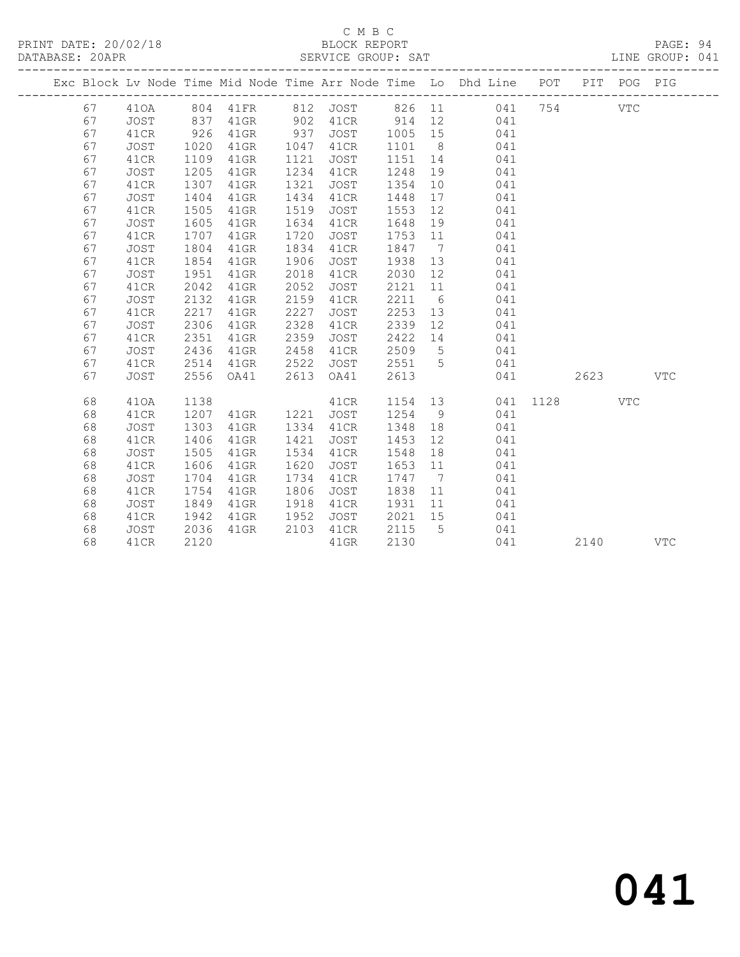### C M B C<br>BLOCK REPORT

PAGE: 94<br>LINE GROUP: 041

|  |    |             |      |         |      |          |        |                | Exc Block Lv Node Time Mid Node Time Arr Node Time Lo Dhd Line POT |      |      | PIT POG PIG |              |
|--|----|-------------|------|---------|------|----------|--------|----------------|--------------------------------------------------------------------|------|------|-------------|--------------|
|  | 67 | 410A        | 804  | 41FR    |      | 812 JOST | 826 11 |                | 041                                                                | 754  |      | VTC         |              |
|  | 67 | <b>JOST</b> | 837  | $41$ GR | 902  | 41CR     | 914    | 12             | 041                                                                |      |      |             |              |
|  | 67 | 41CR        | 926  | $41$ GR | 937  | JOST     | 1005   | 15             | 041                                                                |      |      |             |              |
|  | 67 | JOST        | 1020 | 41GR    | 1047 | 41CR     | 1101   | 8              | 041                                                                |      |      |             |              |
|  | 67 | 41CR        | 1109 | 41GR    | 1121 | JOST     | 1151   | 14             | 041                                                                |      |      |             |              |
|  | 67 | <b>JOST</b> | 1205 | 41GR    | 1234 | 41CR     | 1248   | 19             | 041                                                                |      |      |             |              |
|  | 67 | 41CR        | 1307 | 41GR    | 1321 | JOST     | 1354   | 10             | 041                                                                |      |      |             |              |
|  | 67 | JOST        | 1404 | $41$ GR | 1434 | 41CR     | 1448   | 17             | 041                                                                |      |      |             |              |
|  | 67 | 41CR        | 1505 | $41$ GR | 1519 | JOST     | 1553   | 12             | 041                                                                |      |      |             |              |
|  | 67 | JOST        | 1605 | 41GR    | 1634 | 41CR     | 1648   | 19             | 041                                                                |      |      |             |              |
|  | 67 | 41CR        | 1707 | $41$ GR | 1720 | JOST     | 1753   | 11             | 041                                                                |      |      |             |              |
|  | 67 | <b>JOST</b> | 1804 | 41GR    | 1834 | 41CR     | 1847   | $\overline{7}$ | 041                                                                |      |      |             |              |
|  | 67 | 41CR        | 1854 | $41$ GR | 1906 | JOST     | 1938   | 13             | 041                                                                |      |      |             |              |
|  | 67 | JOST        | 1951 | $41$ GR | 2018 | 41CR     | 2030   | 12             | 041                                                                |      |      |             |              |
|  | 67 | 41CR        | 2042 | $41$ GR | 2052 | JOST     | 2121   | 11             | 041                                                                |      |      |             |              |
|  | 67 | <b>JOST</b> | 2132 | $41$ GR | 2159 | 41CR     | 2211   | 6              | 041                                                                |      |      |             |              |
|  | 67 | 41CR        | 2217 | $41$ GR | 2227 | JOST     | 2253   | 13             | 041                                                                |      |      |             |              |
|  | 67 | JOST        | 2306 | $41$ GR | 2328 | 41CR     | 2339   | 12             | 041                                                                |      |      |             |              |
|  | 67 | 41CR        | 2351 | $41$ GR | 2359 | JOST     | 2422   | 14             | 041                                                                |      |      |             |              |
|  | 67 | <b>JOST</b> | 2436 | 41GR    | 2458 | 41CR     | 2509   | $5^{\circ}$    | 041                                                                |      |      |             |              |
|  | 67 | 41CR        | 2514 | 41GR    | 2522 | JOST     | 2551   | $5^{\circ}$    | 041                                                                |      |      |             |              |
|  | 67 | <b>JOST</b> | 2556 | OA41    | 2613 | OA41     | 2613   |                | 041                                                                |      | 2623 |             | $_{\rm VTC}$ |
|  | 68 | 410A        | 1138 |         |      | 41CR     | 1154   | 13             | 041                                                                | 1128 |      | <b>VTC</b>  |              |
|  | 68 | 41CR        | 1207 | $41$ GR | 1221 | JOST     | 1254   | 9              | 041                                                                |      |      |             |              |
|  | 68 | JOST        | 1303 | $41$ GR | 1334 | 41CR     | 1348   | 18             | 041                                                                |      |      |             |              |
|  | 68 | 41CR        | 1406 | $41$ GR | 1421 | JOST     | 1453   | 12             | 041                                                                |      |      |             |              |
|  | 68 | JOST        | 1505 | $41$ GR | 1534 | 41CR     | 1548   | 18             | 041                                                                |      |      |             |              |
|  | 68 | 41CR        | 1606 | 41GR    | 1620 | JOST     | 1653   | 11             | 041                                                                |      |      |             |              |
|  | 68 | <b>JOST</b> | 1704 | 41GR    | 1734 | 41CR     | 1747   | $\overline{7}$ | 041                                                                |      |      |             |              |
|  | 68 | 41CR        | 1754 | $41$ GR | 1806 | JOST     | 1838   | 11             | 041                                                                |      |      |             |              |
|  | 68 | JOST        | 1849 | $41$ GR | 1918 | 41CR     | 1931   | 11             | 041                                                                |      |      |             |              |
|  | 68 | 41CR        | 1942 | 41GR    | 1952 | JOST     | 2021   | 15             | 041                                                                |      |      |             |              |
|  | 68 | <b>JOST</b> | 2036 | $41$ GR | 2103 | 41CR     | 2115   | 5              | 041                                                                |      |      |             |              |
|  | 68 | 41CR        | 2120 |         |      | 41GR     | 2130   |                | 041                                                                |      | 2140 |             | <b>VTC</b>   |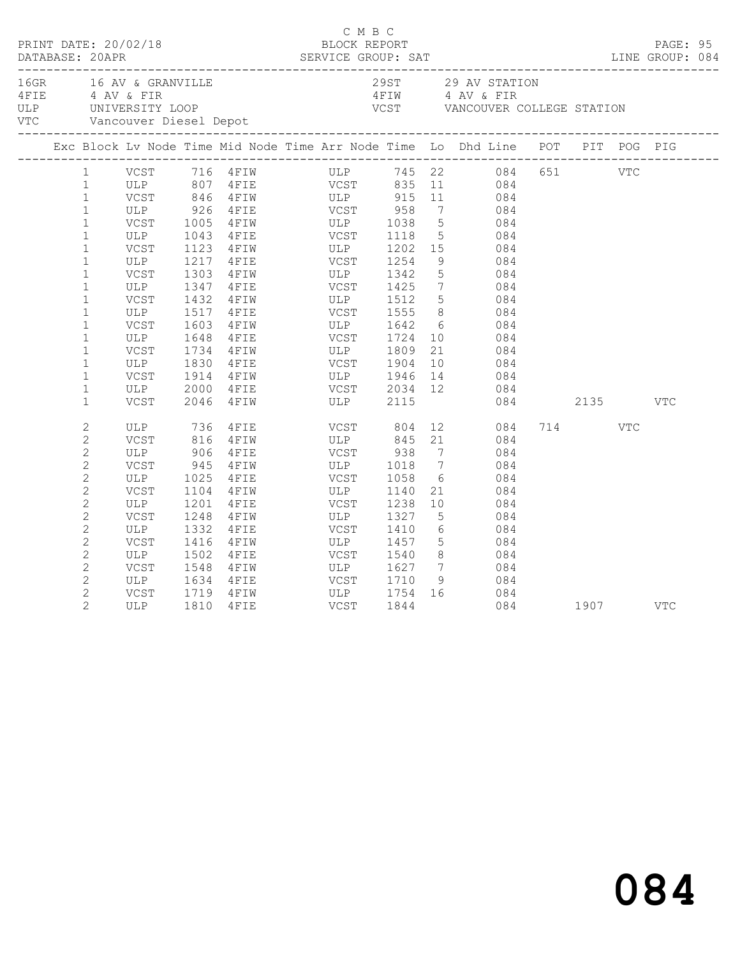|                | 16GR 16 AV & GRANVILLE<br>16GR 16 AV & GRANVILLE<br>4 AV & FIR<br>16LP UNIVERSITY LOOP VCST VANCOUVER COLLEGE STATION<br>16TIM 4 AV & FIR<br>16TIM 4 AV & FIR<br>16TIM VCST VANCOUVER COLLEGE STATION<br>16TIM 1 AV & FIR<br>16TIM VCST VANCOU |      |                                                         |             |                       |                 |                                                                                                                                        |              |      |     |     |  |
|----------------|------------------------------------------------------------------------------------------------------------------------------------------------------------------------------------------------------------------------------------------------|------|---------------------------------------------------------|-------------|-----------------------|-----------------|----------------------------------------------------------------------------------------------------------------------------------------|--------------|------|-----|-----|--|
|                | Exc Block Lv Node Time Mid Node Time Arr Node Time Lo Dhd Line POT PIT POG PIG                                                                                                                                                                 |      |                                                         |             |                       |                 |                                                                                                                                        |              |      |     |     |  |
| $\mathbf{1}$   |                                                                                                                                                                                                                                                |      |                                                         |             |                       |                 | VCST 716 4FIW ULP 745 22 084 651 VTC                                                                                                   |              |      |     |     |  |
| $\mathbf{1}$   |                                                                                                                                                                                                                                                |      |                                                         |             |                       |                 |                                                                                                                                        |              |      |     |     |  |
| $\mathbf{1}$   |                                                                                                                                                                                                                                                |      |                                                         |             |                       |                 |                                                                                                                                        |              |      |     |     |  |
| $\mathbf{1}$   | ULP 926                                                                                                                                                                                                                                        |      | 4FIE VCST 958                                           |             |                       |                 | 7 084                                                                                                                                  |              |      |     |     |  |
| $\mathbf{1}$   |                                                                                                                                                                                                                                                |      | VCST 1005 4FIW ULP 1038<br>ULP 1043 4FIE VCST 1118      |             |                       |                 |                                                                                                                                        |              |      |     |     |  |
| $\mathbf{1}$   |                                                                                                                                                                                                                                                |      |                                                         |             |                       |                 | $\begin{array}{ccc} 5 & 084 \\ 5 & 084 \end{array}$                                                                                    |              |      |     |     |  |
| $\mathbf{1}$   | VCST                                                                                                                                                                                                                                           | 1123 |                                                         |             |                       |                 | 15 084                                                                                                                                 |              |      |     |     |  |
| $\mathbf{1}$   | ULP                                                                                                                                                                                                                                            |      | 4FIW ULP 1202<br>4FIE VCST 1254<br>1217 4FIE            |             |                       | 9               | 084                                                                                                                                    |              |      |     |     |  |
| $\mathbf{1}$   | VCST                                                                                                                                                                                                                                           | 1303 | 4FIW ULP 1342                                           |             |                       | 5 <sup>5</sup>  | 084                                                                                                                                    |              |      |     |     |  |
| $\mathbf{1}$   | ULP                                                                                                                                                                                                                                            | 1347 |                                                         |             |                       |                 |                                                                                                                                        |              |      |     |     |  |
| $\mathbf{1}$   | VCST                                                                                                                                                                                                                                           |      | 1432 4FIW                                               |             |                       |                 | $\begin{array}{ccc} 7 & 084 \\ 5 & 084 \end{array}$                                                                                    |              |      |     |     |  |
| $\mathbf{1}$   | ULP                                                                                                                                                                                                                                            |      | 1517 4FIE                                               |             | <b>VCST</b> 1555      |                 | 8 084                                                                                                                                  |              |      |     |     |  |
| $\mathbf{1}$   | VCST                                                                                                                                                                                                                                           | 1603 |                                                         |             |                       |                 | $\begin{array}{c} 6 \\ 10 \end{array}$<br>084                                                                                          |              |      |     |     |  |
| $\mathbf{1}$   | ULP                                                                                                                                                                                                                                            | 1648 | 4 FIW ULP 1642<br>4 FIE VCST 1724                       |             |                       |                 | 084                                                                                                                                    |              |      |     |     |  |
| $\mathbf{1}$   | VCST                                                                                                                                                                                                                                           | 1734 | 4 FIW ULP 1809                                          |             |                       |                 | 21<br>084                                                                                                                              |              |      |     |     |  |
| $\mathbf{1}$   | ULP                                                                                                                                                                                                                                            | 1830 | $4$ FIE                                                 | VCST        | 1904                  | 10              | 084                                                                                                                                    |              |      |     |     |  |
| $\mathbf{1}$   | VCST                                                                                                                                                                                                                                           | 1914 | 4FIW ULP 1946                                           |             |                       |                 | $\begin{array}{ccc} 13 & 084 \end{array}$                                                                                              |              |      |     |     |  |
| $\mathbf{1}$   | ULP                                                                                                                                                                                                                                            | 2000 |                                                         |             |                       |                 | 12 084                                                                                                                                 |              |      |     |     |  |
| $\mathbf{1}$   | VCST                                                                                                                                                                                                                                           | 2046 |                                                         |             |                       |                 |                                                                                                                                        | 084 2135 VTC |      |     |     |  |
| $\sqrt{2}$     | ULP                                                                                                                                                                                                                                            |      | 4 FIE VCST 804<br>4 FIW ULP 845<br>736 4FIE<br>816 4FIW |             |                       |                 | $\begin{array}{ccc} 12 & 084 \\ 21 & 084 \end{array}$                                                                                  |              | 714  | VTC |     |  |
| $\mathbf{2}$   | VCST                                                                                                                                                                                                                                           |      |                                                         |             |                       |                 |                                                                                                                                        |              |      |     |     |  |
| $\overline{c}$ | ULP                                                                                                                                                                                                                                            | 906  | $4$ FIE                                                 |             | VCST 938              |                 | $7\overline{ }$<br>084                                                                                                                 |              |      |     |     |  |
| $\overline{c}$ | VCST                                                                                                                                                                                                                                           | 945  | 4 F I W                                                 |             | ULP 1018              | $7\overline{)}$ | 084                                                                                                                                    |              |      |     |     |  |
| $\mathbf{2}$   | ULP                                                                                                                                                                                                                                            |      | 1025 4FIE                                               |             | VCST 1058             | 6               | 084                                                                                                                                    |              |      |     |     |  |
| $\mathbf{2}$   | VCST                                                                                                                                                                                                                                           | 1104 | 4 F I W                                                 | ULP<br>VCST | 1140                  |                 | 21 084                                                                                                                                 |              |      |     |     |  |
| $\sqrt{2}$     | ULP                                                                                                                                                                                                                                            | 1201 | 4FIE                                                    |             | 1238                  | 10              | 084                                                                                                                                    |              |      |     |     |  |
| $\mathbf{2}$   | VCST                                                                                                                                                                                                                                           | 1248 | 4FIW                                                    |             | ULP 1327              | $5\overline{)}$ | 084                                                                                                                                    |              |      |     |     |  |
| $\mathbf{2}$   | ULP                                                                                                                                                                                                                                            | 1332 | 4 F I E                                                 |             | VCST 1410<br>ULP 1457 |                 | 084                                                                                                                                    |              |      |     |     |  |
| $\overline{c}$ | VCST                                                                                                                                                                                                                                           |      | 1416 4FIW                                               |             | 1457                  |                 | $\begin{array}{c} 6 \\ 5 \end{array}$<br>084                                                                                           |              |      |     |     |  |
| $\mathbf{2}$   | ULP                                                                                                                                                                                                                                            | 1502 | 4 F I E                                                 | VCST        | 1540                  |                 | 8 084                                                                                                                                  |              |      |     |     |  |
| $\sqrt{2}$     | VCST                                                                                                                                                                                                                                           | 1548 | 4FIW                                                    | ULP         | 1627                  | $7\overline{ }$ | 084                                                                                                                                    |              |      |     |     |  |
| $\overline{c}$ | ULP                                                                                                                                                                                                                                            |      | 1634 4FIE                                               |             | VCST 1710             |                 | $\begin{array}{ccc} \text{1} & \text{1} & \text{1} \\ \text{2} & \text{1} & \text{2} \\ \text{3} & \text{1} & \text{3} \\ \end{array}$ |              |      |     |     |  |
| $\overline{2}$ | VCST                                                                                                                                                                                                                                           | 1719 | 4 F I W                                                 |             | ULP 1754<br>VCST 1844 |                 | 16 084                                                                                                                                 |              |      |     |     |  |
| $\overline{2}$ | ULP                                                                                                                                                                                                                                            | 1810 | 4FIE                                                    |             |                       |                 | 084                                                                                                                                    |              | 1907 |     | VTC |  |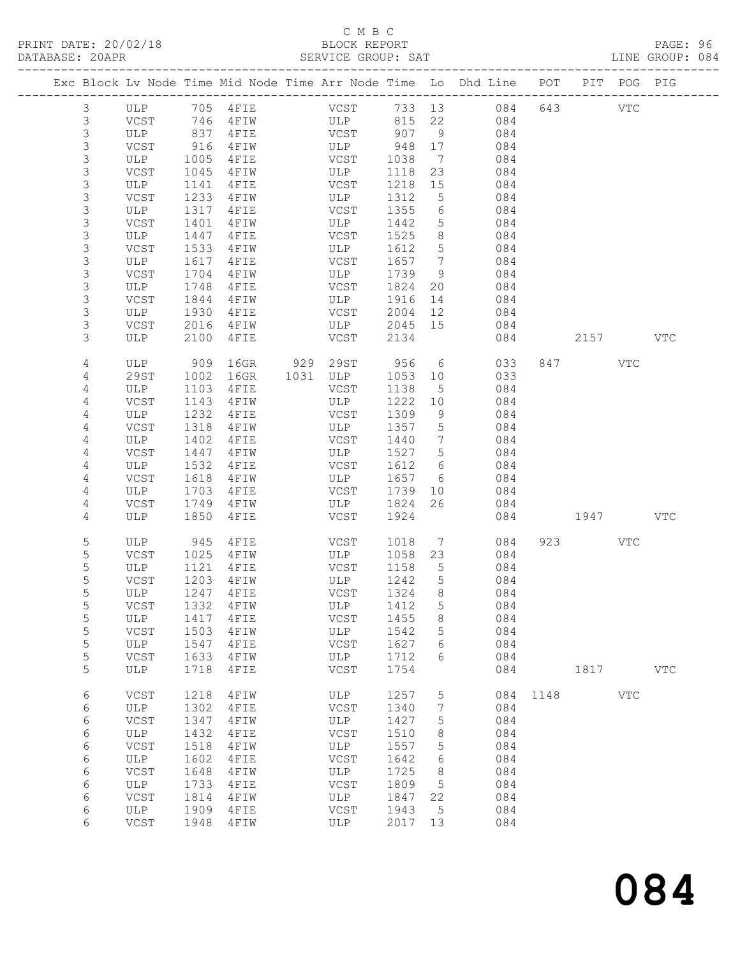### C M B C<br>BLOCK REPORT

PAGE: 96<br>LINE GROUP: 084

|                  |              |              |                    |             |              |                      | Exc Block Lv Node Time Mid Node Time Arr Node Time Lo Dhd Line POT PIT POG PIG |      |         |            |              |
|------------------|--------------|--------------|--------------------|-------------|--------------|----------------------|--------------------------------------------------------------------------------|------|---------|------------|--------------|
| 3                | ULP 705 4FIE |              |                    | <b>VCST</b> | 733 13       |                      | 084                                                                            |      | 643     | VTC        |              |
| 3                | VCST         | 746          | 4 F I W            | ULP         | 815          | 22                   | 084                                                                            |      |         |            |              |
| 3                | ULP          | 837          | 4 F I E            | VCST        | 907          | 9                    | 084                                                                            |      |         |            |              |
| 3                | VCST         | 916          | 4 F I W            | ULP         | 948          | 17                   | 084                                                                            |      |         |            |              |
| 3                | ULP          | 1005         | 4FIE               | VCST        | 1038         | $\overline{7}$       | 084                                                                            |      |         |            |              |
| 3                | VCST         | 1045         | 4 F I W            | ULP         | 1118         | 23                   | 084                                                                            |      |         |            |              |
| 3                | ULP          | 1141         | 4FIE               | VCST        | 1218         | 15                   | 084                                                                            |      |         |            |              |
| 3                | VCST         | 1233         | 4 F I W            | ULP         | 1312         | 5                    | 084                                                                            |      |         |            |              |
| 3                | ULP          | 1317         | 4FIE               | VCST        | 1355         | 6                    | 084                                                                            |      |         |            |              |
| $\mathsf 3$<br>3 | VCST<br>ULP  | 1401<br>1447 | 4FIW<br>4 F I E    | ULP<br>VCST | 1442<br>1525 | $5\phantom{.0}$<br>8 | 084<br>084                                                                     |      |         |            |              |
| 3                | VCST         | 1533         | 4FIW               | ULP         | 1612         | 5                    | 084                                                                            |      |         |            |              |
| 3                | ULP          | 1617         | 4FIE               | VCST        | 1657         | $\overline{7}$       | 084                                                                            |      |         |            |              |
| 3                | VCST         | 1704         | 4FIW               | ULP         | 1739         | 9                    | 084                                                                            |      |         |            |              |
| $\mathsf S$      | ULP          | 1748         | 4FIE               | VCST        | 1824         | 20                   | 084                                                                            |      |         |            |              |
| 3                | VCST         | 1844         | 4FIW               | ULP         | 1916         | 14                   | 084                                                                            |      |         |            |              |
| 3                | ULP          | 1930         | 4FIE               | VCST        | 2004         | 12                   | 084                                                                            |      |         |            |              |
| 3                | VCST         | 2016         | 4FIW               | ULP         | 2045         | 15                   | 084                                                                            |      |         |            |              |
| 3                | ULP          | 2100         | 4FIE               | VCST        | 2134         |                      | 084                                                                            |      | 2157    |            | <b>VTC</b>   |
| 4                | ULP          | 909          | 16GR               | 929 29ST    | 956          | 6                    | 033                                                                            |      | 847 VTC |            |              |
| 4                | 29ST         | 1002         | 16GR               | 1031 ULP    | 1053         | 10                   | 033                                                                            |      |         |            |              |
| 4                | ULP          | 1103         | 4FIE               | VCST        | 1138         | 5                    | 084                                                                            |      |         |            |              |
| 4                | VCST         | 1143         | 4 F I W            | ULP         | 1222         | 10                   | 084                                                                            |      |         |            |              |
| 4                | ULP          | 1232         | 4FIE               | VCST        | 1309         | 9                    | 084                                                                            |      |         |            |              |
| 4                | VCST         | 1318         | 4 F I W            | ULP         | 1357         | 5                    | 084                                                                            |      |         |            |              |
| $\overline{4}$   | ULP          | 1402         | 4FIE               | VCST        | 1440         | $\overline{7}$       | 084                                                                            |      |         |            |              |
| $\overline{4}$   | VCST         | 1447         | 4 F I W            | ULP         | 1527         | 5                    | 084                                                                            |      |         |            |              |
| 4<br>4           | ULP<br>VCST  | 1532<br>1618 | 4 F I E<br>4 F I W | VCST<br>ULP | 1612<br>1657 | 6<br>6               | 084<br>084                                                                     |      |         |            |              |
| $\overline{4}$   | ULP          | 1703         | 4FIE               | VCST        | 1739         | 10                   | 084                                                                            |      |         |            |              |
| 4                | VCST         | 1749         | 4 F I W            | ULP         | 1824         | 26                   | 084                                                                            |      |         |            |              |
| 4                | ULP          | 1850         | 4 F I E            | VCST        | 1924         |                      | 084                                                                            |      | 1947    |            | <b>VTC</b>   |
| 5                | ULP          | 945          | 4FIE               | VCST        | 1018         | $\overline{7}$       | 084                                                                            |      | 923     | <b>VTC</b> |              |
| $\mathsf S$      | VCST         | 1025         | 4 F I W            | ULP         | 1058         | 23                   | 084                                                                            |      |         |            |              |
| 5                | ULP          | 1121         | 4 F I E            | VCST        | 1158         | $5^{\circ}$          | 084                                                                            |      |         |            |              |
| 5                | VCST         | 1203         | 4FIW               | ULP         | 1242         | 5                    | 084                                                                            |      |         |            |              |
| 5                | ULP          | 1247         | 4FIE               | VCST        | 1324         | 8                    | 084                                                                            |      |         |            |              |
| 5                |              |              | VCST 1332 4FIW     | ULP 1412 5  |              |                      | 084                                                                            |      |         |            |              |
| 5                | ULP          | 1417         | 4FIE               | VCST        | 1455         | 8                    | 084                                                                            |      |         |            |              |
| 5                | VCST         | 1503         | 4FIW               | ULP         | 1542         | 5                    | 084                                                                            |      |         |            |              |
| 5                | ULP          | 1547         | 4FIE               | VCST        | 1627         | 6                    | 084                                                                            |      |         |            |              |
| $\mathsf S$      | VCST         | 1633         | 4FIW               | ULP         | 1712         | 6                    | 084                                                                            |      |         |            |              |
| 5                | ULP          | 1718         | 4FIE               | VCST        | 1754         |                      | 084                                                                            |      | 1817    |            | $_{\rm VTC}$ |
| 6                | VCST         | 1218         | 4FIW               | ULP         | 1257         | 5                    | 084                                                                            | 1148 |         | <b>VTC</b> |              |
| 6                | ULP          | 1302         | 4FIE               | VCST        | 1340         | 7                    | 084                                                                            |      |         |            |              |
| 6                | VCST         | 1347         | 4FIW               | ULP         | 1427         | 5                    | 084                                                                            |      |         |            |              |
| 6<br>6           | ULP<br>VCST  | 1432<br>1518 | 4FIE<br>4FIW       | VCST<br>ULP | 1510<br>1557 | 8<br>5               | 084<br>084                                                                     |      |         |            |              |
| 6                | ULP          | 1602         | 4FIE               | VCST        | 1642         | 6                    | 084                                                                            |      |         |            |              |
| 6                | VCST         | 1648         | 4FIW               | ULP         | 1725         | 8                    | 084                                                                            |      |         |            |              |
| 6                | ULP          | 1733         | 4FIE               | VCST        | 1809         | 5                    | 084                                                                            |      |         |            |              |
| 6                | VCST         | 1814         | 4FIW               | ULP         | 1847         | 22                   | 084                                                                            |      |         |            |              |
| 6                | ULP          | 1909         | 4FIE               | VCST        | 1943         | 5                    | 084                                                                            |      |         |            |              |
| 6                | VCST         | 1948         | 4FIW               | ULP         | 2017         | 13                   | 084                                                                            |      |         |            |              |
|                  |              |              |                    |             |              |                      |                                                                                |      |         |            |              |